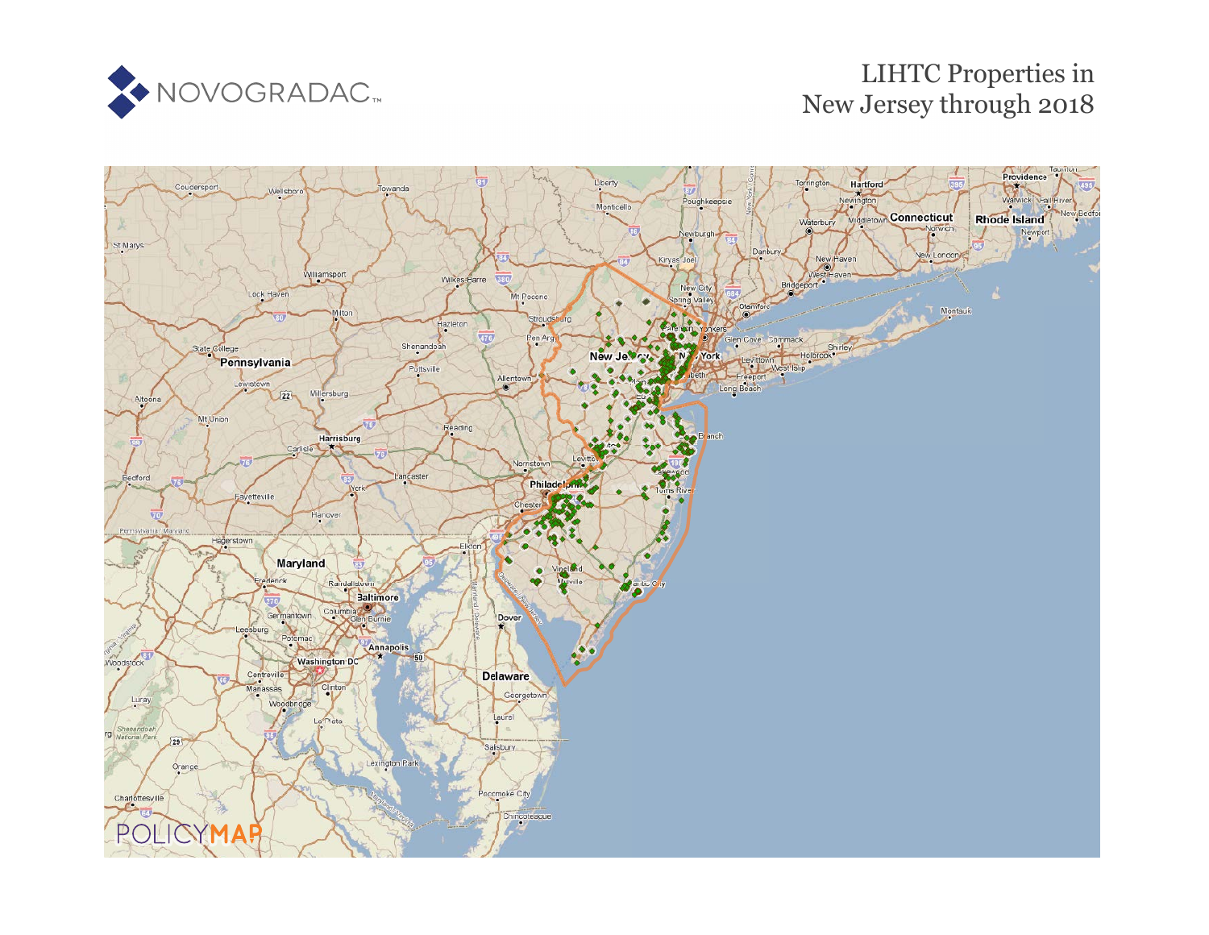

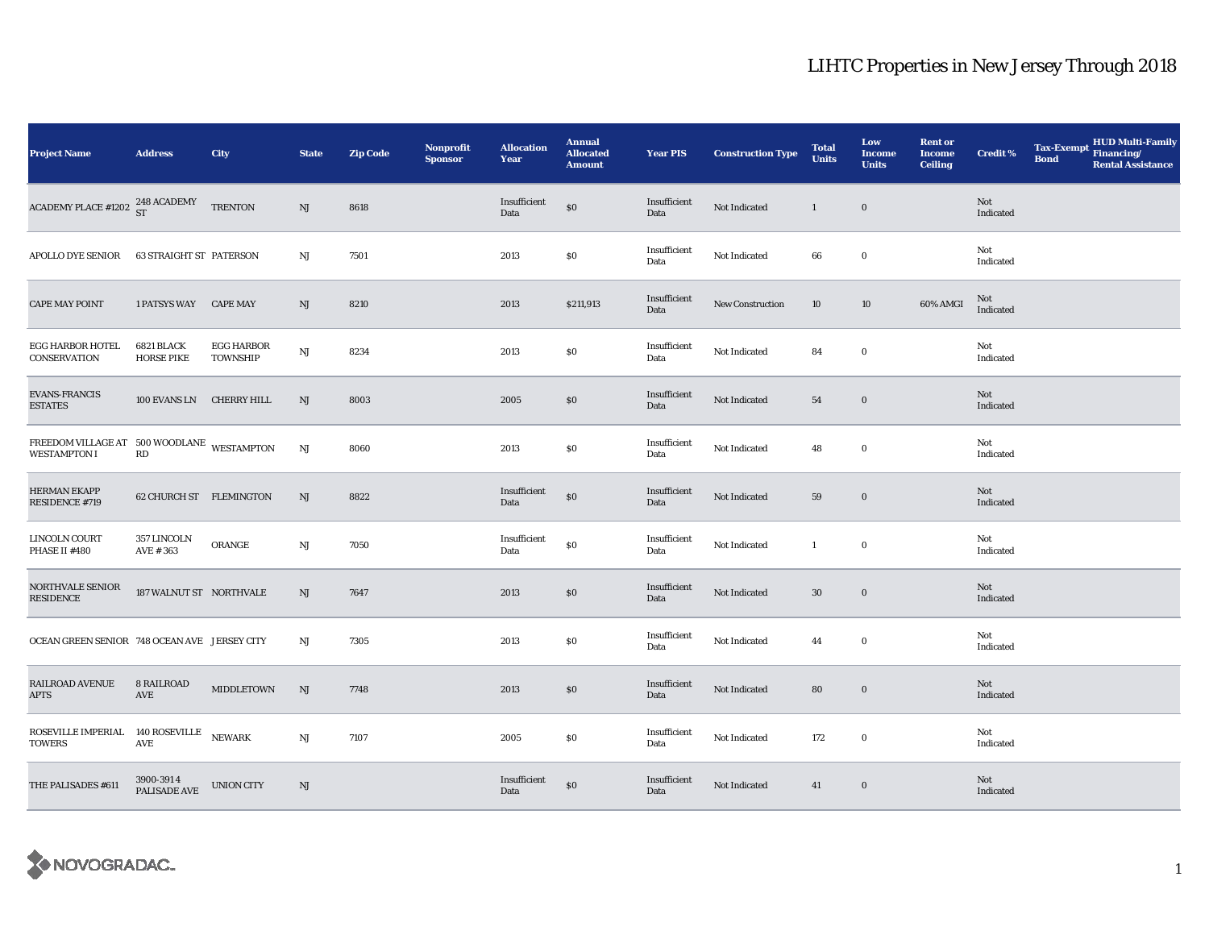| <b>Project Name</b>                                                                                                                                  | <b>Address</b>                  | City                                 | <b>State</b> | <b>Zip Code</b> | Nonprofit<br><b>Sponsor</b> | <b>Allocation</b><br>Year | <b>Annual</b><br><b>Allocated</b><br><b>Amount</b> | <b>Year PIS</b>      | <b>Construction Type</b> | <b>Total</b><br><b>Units</b> | Low<br><b>Income</b><br><b>Units</b> | <b>Rent or</b><br><b>Income</b><br><b>Ceiling</b> | <b>Credit %</b>  | <b>Tax-Exempt</b><br><b>Bond</b> | ${\bf HUD}$ Multi-Family Financing/<br><b>Rental Assistance</b> |
|------------------------------------------------------------------------------------------------------------------------------------------------------|---------------------------------|--------------------------------------|--------------|-----------------|-----------------------------|---------------------------|----------------------------------------------------|----------------------|--------------------------|------------------------------|--------------------------------------|---------------------------------------------------|------------------|----------------------------------|-----------------------------------------------------------------|
| ACADEMY PLACE #1202 $^{248}_{ST}$ ACADEMY TRENTON                                                                                                    |                                 |                                      | NJ           | 8618            |                             | Insufficient<br>Data      | \$0                                                | Insufficient<br>Data | Not Indicated            | $\mathbf{1}$                 | $\bf{0}$                             |                                                   | Not<br>Indicated |                                  |                                                                 |
| <b>APOLLO DYE SENIOR</b>                                                                                                                             | <b>63 STRAIGHT ST PATERSON</b>  |                                      | NJ           | 7501            |                             | 2013                      | $\$0$                                              | Insufficient<br>Data | Not Indicated            | 66                           | $\bf{0}$                             |                                                   | Not<br>Indicated |                                  |                                                                 |
| <b>CAPE MAY POINT</b>                                                                                                                                | 1 PATSYS WAY CAPE MAY           |                                      | NJ           | 8210            |                             | 2013                      | \$211,913                                          | Insufficient<br>Data | New Construction         | 10                           | 10                                   | 60% AMGI                                          | Not<br>Indicated |                                  |                                                                 |
| EGG HARBOR HOTEL<br><b>CONSERVATION</b>                                                                                                              | 6821 BLACK<br><b>HORSE PIKE</b> | <b>EGG HARBOR</b><br><b>TOWNSHIP</b> | <b>NJ</b>    | 8234            |                             | 2013                      | \$0                                                | Insufficient<br>Data | Not Indicated            | 84                           | $\bf{0}$                             |                                                   | Not<br>Indicated |                                  |                                                                 |
| <b>EVANS-FRANCIS</b><br><b>ESTATES</b>                                                                                                               | 100 EVANS LN CHERRY HILL        |                                      | NJ           | 8003            |                             | 2005                      | \$0                                                | Insufficient<br>Data | Not Indicated            | 54                           | $\boldsymbol{0}$                     |                                                   | Not<br>Indicated |                                  |                                                                 |
| $\begin{array}{lll} \textbf{FREEDOM VILLAGE AT} & 500 \textbf{ WOODLANE} & \textbf{WESTAMPTON} \\ \textbf{WESTAMPTON I} & \textbf{RD} & \end{array}$ |                                 |                                      | <b>NJ</b>    | 8060            |                             | 2013                      | $\$0$                                              | Insufficient<br>Data | Not Indicated            | 48                           | $\bf{0}$                             |                                                   | Not<br>Indicated |                                  |                                                                 |
| HERMAN EKAPP<br>RESIDENCE #719                                                                                                                       | 62 CHURCH ST FLEMINGTON         |                                      | NJ           | 8822            |                             | Insufficient<br>Data      | $\$0$                                              | Insufficient<br>Data | Not Indicated            | 59                           | $\mathbf 0$                          |                                                   | Not<br>Indicated |                                  |                                                                 |
| LINCOLN COURT<br>PHASE II #480                                                                                                                       | 357 LINCOLN<br>AVE #363         | ORANGE                               | $\rm{NJ}$    | 7050            |                             | Insufficient<br>Data      | \$0                                                | Insufficient<br>Data | Not Indicated            | $\mathbf{1}$                 | $\bf{0}$                             |                                                   | Not<br>Indicated |                                  |                                                                 |
| NORTHVALE SENIOR<br><b>RESIDENCE</b>                                                                                                                 | 187 WALNUT ST NORTHVALE         |                                      | NJ           | 7647            |                             | 2013                      | $\$0$                                              | Insufficient<br>Data | Not Indicated            | 30                           | $\boldsymbol{0}$                     |                                                   | Not<br>Indicated |                                  |                                                                 |
| OCEAN GREEN SENIOR 748 OCEAN AVE JERSEY CITY                                                                                                         |                                 |                                      | $_{\rm NJ}$  | 7305            |                             | 2013                      | \$0                                                | Insufficient<br>Data | Not Indicated            | 44                           | $\bf{0}$                             |                                                   | Not<br>Indicated |                                  |                                                                 |
| RAILROAD AVENUE<br><b>APTS</b>                                                                                                                       | <b>8 RAILROAD</b><br>AVE        | <b>MIDDLETOWN</b>                    | NJ           | 7748            |                             | 2013                      | \$0                                                | Insufficient<br>Data | Not Indicated            | 80                           | $\bf{0}$                             |                                                   | Not<br>Indicated |                                  |                                                                 |
| ROSEVILLE IMPERIAL 140 ROSEVILLE NEWARK<br><b>TOWERS</b>                                                                                             | <b>AVE</b>                      |                                      | $_{\rm NJ}$  | 7107            |                             | 2005                      | \$0                                                | Insufficient<br>Data | Not Indicated            | 172                          | $\bf{0}$                             |                                                   | Not<br>Indicated |                                  |                                                                 |
| THE PALISADES #611                                                                                                                                   | 3900-3914<br>PALISADE AVE       | <b>UNION CITY</b>                    | NJ           |                 |                             | Insufficient<br>Data      | \$0                                                | Insufficient<br>Data | Not Indicated            | 41                           | $\boldsymbol{0}$                     |                                                   | Not<br>Indicated |                                  |                                                                 |

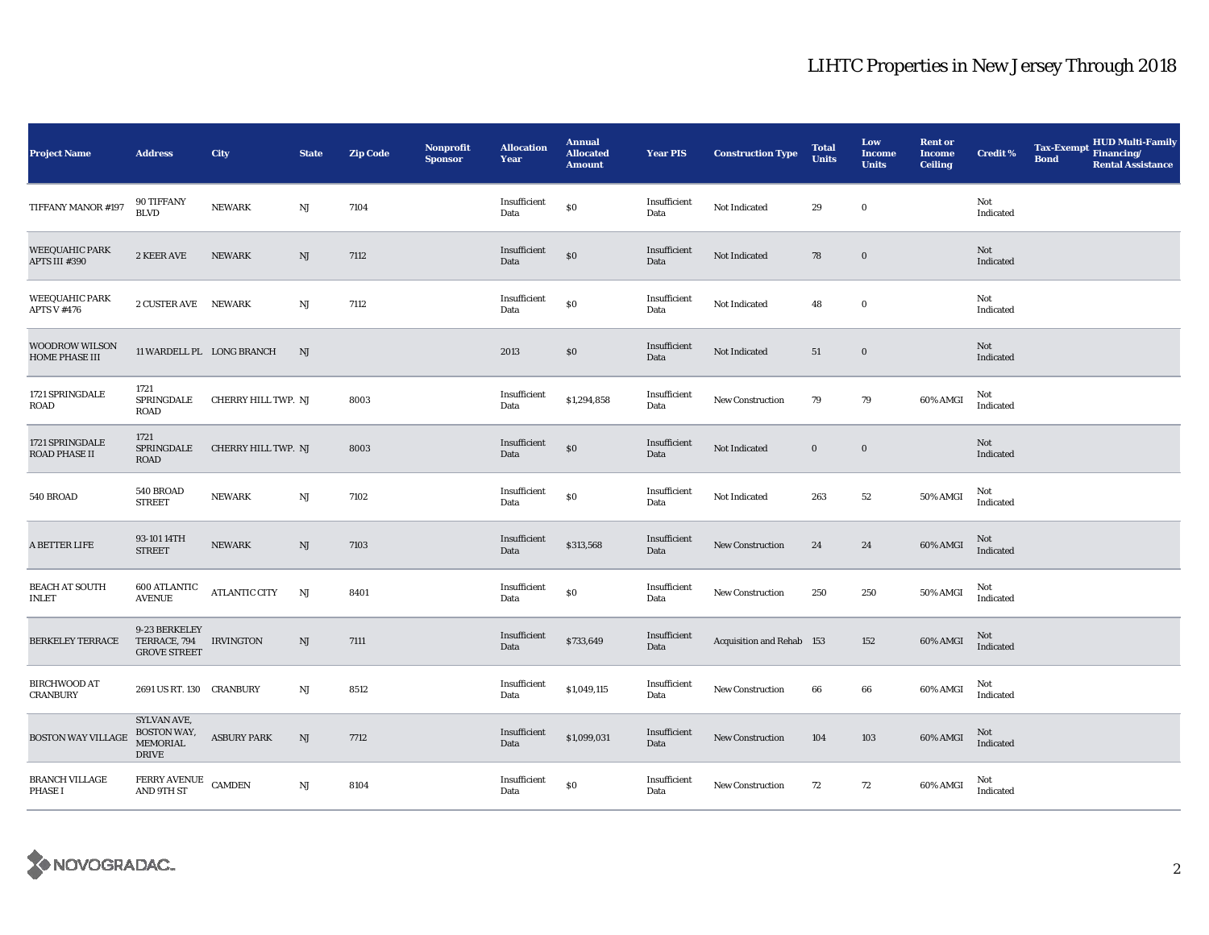| <b>Project Name</b>                            | <b>Address</b>                                                | City                      | <b>State</b>           | <b>Zip Code</b> | <b>Nonprofit</b><br><b>Sponsor</b> | <b>Allocation</b><br>Year | <b>Annual</b><br><b>Allocated</b><br><b>Amount</b> | <b>Year PIS</b>      | <b>Construction Type</b>  | <b>Total</b><br><b>Units</b> | Low<br><b>Income</b><br><b>Units</b> | <b>Rent or</b><br><b>Income</b><br><b>Ceiling</b> | <b>Credit %</b>  | <b>Tax-Exempt</b><br><b>Bond</b> | <b>HUD Multi-Family</b><br>Financing/<br><b>Rental Assistance</b> |
|------------------------------------------------|---------------------------------------------------------------|---------------------------|------------------------|-----------------|------------------------------------|---------------------------|----------------------------------------------------|----------------------|---------------------------|------------------------------|--------------------------------------|---------------------------------------------------|------------------|----------------------------------|-------------------------------------------------------------------|
| TIFFANY MANOR #197                             | 90 TIFFANY<br><b>BLVD</b>                                     | <b>NEWARK</b>             | $\rm{NJ}$              | 7104            |                                    | Insufficient<br>Data      | \$0                                                | Insufficient<br>Data | Not Indicated             | 29                           | $\bf{0}$                             |                                                   | Not<br>Indicated |                                  |                                                                   |
| <b>WEEQUAHIC PARK</b><br>APTS III #390         | 2 KEER AVE                                                    | <b>NEWARK</b>             | NJ                     | 7112            |                                    | Insufficient<br>Data      | \$0                                                | Insufficient<br>Data | Not Indicated             | 78                           | $\boldsymbol{0}$                     |                                                   | Not<br>Indicated |                                  |                                                                   |
| <b>WEEQUAHIC PARK</b><br><b>APTS V #476</b>    | 2 CUSTER AVE NEWARK                                           |                           | NJ                     | 7112            |                                    | Insufficient<br>Data      | \$0                                                | Insufficient<br>Data | Not Indicated             | 48                           | $\bf{0}$                             |                                                   | Not<br>Indicated |                                  |                                                                   |
| <b>WOODROW WILSON</b><br><b>HOME PHASE III</b> |                                                               | 11 WARDELL PL LONG BRANCH | NJ                     |                 |                                    | 2013                      | \$0\$                                              | Insufficient<br>Data | Not Indicated             | 51                           | $\bf{0}$                             |                                                   | Not<br>Indicated |                                  |                                                                   |
| 1721 SPRINGDALE<br>ROAD                        | 1721<br>SPRINGDALE<br><b>ROAD</b>                             | CHERRY HILL TWP. NJ       |                        | 8003            |                                    | Insufficient<br>Data      | \$1,294,858                                        | Insufficient<br>Data | New Construction          | 79                           | 79                                   | 60% AMGI                                          | Not<br>Indicated |                                  |                                                                   |
| 1721 SPRINGDALE<br>ROAD PHASE II               | 1721<br>SPRINGDALE<br>ROAD                                    | CHERRY HILL TWP. NJ       |                        | 8003            |                                    | Insufficient<br>Data      | \$0                                                | Insufficient<br>Data | Not Indicated             | $\bf{0}$                     | $\boldsymbol{0}$                     |                                                   | Not<br>Indicated |                                  |                                                                   |
| 540 BROAD                                      | 540 BROAD<br><b>STREET</b>                                    | <b>NEWARK</b>             | NJ                     | 7102            |                                    | Insufficient<br>Data      | $\$0$                                              | Insufficient<br>Data | Not Indicated             | 263                          | 52                                   | 50% AMGI                                          | Not<br>Indicated |                                  |                                                                   |
| A BETTER LIFE                                  | 93-101 14TH<br><b>STREET</b>                                  | <b>NEWARK</b>             | NJ                     | 7103            |                                    | Insufficient<br>Data      | \$313,568                                          | Insufficient<br>Data | New Construction          | 24                           | 24                                   | 60% AMGI                                          | Not<br>Indicated |                                  |                                                                   |
| <b>BEACH AT SOUTH</b><br><b>INLET</b>          | <b>600 ATLANTIC</b><br><b>AVENUE</b>                          | <b>ATLANTIC CITY</b>      | NJ                     | 8401            |                                    | Insufficient<br>Data      | $\$0$                                              | Insufficient<br>Data | <b>New Construction</b>   | 250                          | 250                                  | 50% AMGI                                          | Not<br>Indicated |                                  |                                                                   |
| <b>BERKELEY TERRACE</b>                        | 9-23 BERKELEY<br>TERRACE, 794<br><b>GROVE STREET</b>          | <b>IRVINGTON</b>          | NJ                     | 7111            |                                    | Insufficient<br>Data      | \$733,649                                          | Insufficient<br>Data | Acquisition and Rehab 153 |                              | 152                                  | 60% AMGI                                          | Not<br>Indicated |                                  |                                                                   |
| <b>BIRCHWOOD AT</b><br><b>CRANBURY</b>         | 2691 US RT. 130 CRANBURY                                      |                           | NJ                     | 8512            |                                    | Insufficient<br>Data      | \$1,049,115                                        | Insufficient<br>Data | <b>New Construction</b>   | 66                           | 66                                   | 60% AMGI                                          | Not<br>Indicated |                                  |                                                                   |
| <b>BOSTON WAY VILLAGE</b>                      | SYLVAN AVE,<br>BOSTON WAY,<br><b>MEMORIAL</b><br><b>DRIVE</b> | <b>ASBURY PARK</b>        | NJ                     | 7712            |                                    | Insufficient<br>Data      | \$1,099,031                                        | Insufficient<br>Data | New Construction          | 104                          | 103                                  | 60% AMGI                                          | Not<br>Indicated |                                  |                                                                   |
| BRANCH VILLAGE<br><b>PHASE I</b>               | FERRY AVENUE CAMDEN<br>AND 9TH ST                             |                           | $\mathbf{N}\mathbf{J}$ | 8104            |                                    | Insufficient<br>Data      | $\$0$                                              | Insufficient<br>Data | <b>New Construction</b>   | 72                           | 72                                   | 60% AMGI                                          | Not<br>Indicated |                                  |                                                                   |

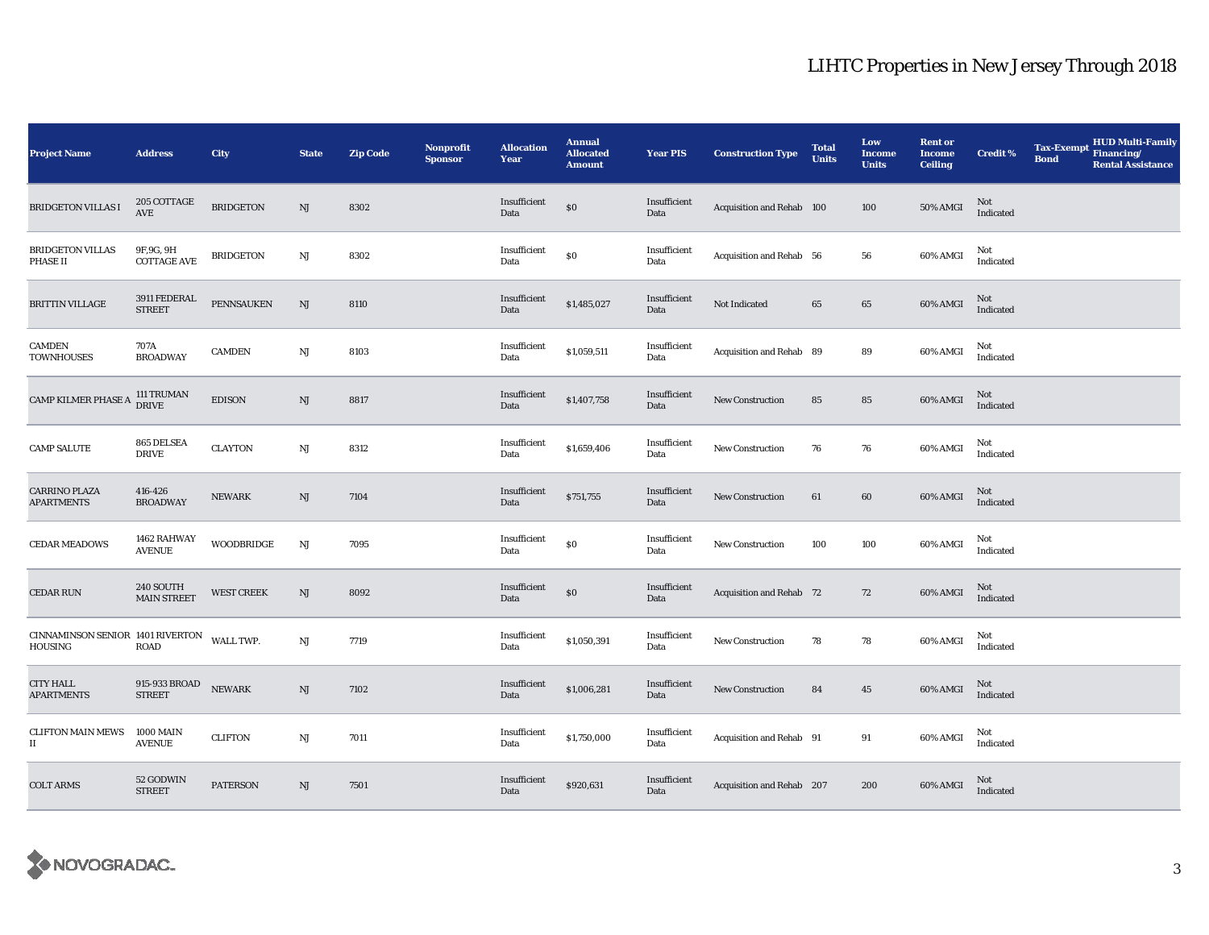| <b>Project Name</b>                                   | <b>Address</b>                    | City              | <b>State</b>           | <b>Zip Code</b> | Nonprofit<br><b>Sponsor</b> | <b>Allocation</b><br>Year | <b>Annual</b><br><b>Allocated</b><br><b>Amount</b> | <b>Year PIS</b>      | <b>Construction Type</b>  | <b>Total</b><br><b>Units</b> | Low<br>Income<br><b>Units</b> | <b>Rent or</b><br><b>Income</b><br><b>Ceiling</b> | <b>Credit %</b>  | <b>Tax-Exempt</b><br><b>Bond</b> | HUD Multi-Family<br>Financing/<br><b>Rental Assistance</b> |
|-------------------------------------------------------|-----------------------------------|-------------------|------------------------|-----------------|-----------------------------|---------------------------|----------------------------------------------------|----------------------|---------------------------|------------------------------|-------------------------------|---------------------------------------------------|------------------|----------------------------------|------------------------------------------------------------|
| <b>BRIDGETON VILLAS I</b>                             | 205 COTTAGE<br>AVE                | <b>BRIDGETON</b>  | $\mathrm{NJ}$          | 8302            |                             | Insufficient<br>Data      | $\$0$                                              | Insufficient<br>Data | Acquisition and Rehab 100 |                              | 100                           | 50% AMGI                                          | Not<br>Indicated |                                  |                                                            |
| <b>BRIDGETON VILLAS</b><br>PHASE II                   | 9F, 9G, 9H<br><b>COTTAGE AVE</b>  | <b>BRIDGETON</b>  | NJ                     | 8302            |                             | Insufficient<br>Data      | \$0                                                | Insufficient<br>Data | Acquisition and Rehab 56  |                              | 56                            | 60% AMGI                                          | Not<br>Indicated |                                  |                                                            |
| <b>BRITTIN VILLAGE</b>                                | 3911 FEDERAL<br><b>STREET</b>     | <b>PENNSAUKEN</b> | NJ                     | 8110            |                             | Insufficient<br>Data      | \$1,485,027                                        | Insufficient<br>Data | Not Indicated             | 65                           | 65                            | 60% AMGI                                          | Not<br>Indicated |                                  |                                                            |
| CAMDEN<br><b>TOWNHOUSES</b>                           | 707A<br><b>BROADWAY</b>           | <b>CAMDEN</b>     | NJ                     | 8103            |                             | Insufficient<br>Data      | \$1,059,511                                        | Insufficient<br>Data | Acquisition and Rehab 89  |                              | 89                            | 60% AMGI                                          | Not<br>Indicated |                                  |                                                            |
| CAMP KILMER PHASE A                                   | 111 TRUMAN<br>DRIVE               | <b>EDISON</b>     | $\rm{NJ}$              | 8817            |                             | Insufficient<br>Data      | \$1,407,758                                        | Insufficient<br>Data | <b>New Construction</b>   | 85                           | 85                            | 60% AMGI                                          | Not<br>Indicated |                                  |                                                            |
| <b>CAMP SALUTE</b>                                    | 865 DELSEA<br><b>DRIVE</b>        | <b>CLAYTON</b>    | $\rm{NJ}$              | 8312            |                             | Insufficient<br>Data      | \$1,659,406                                        | Insufficient<br>Data | New Construction          | 76                           | 76                            | 60% AMGI                                          | Not<br>Indicated |                                  |                                                            |
| <b>CARRINO PLAZA</b><br><b>APARTMENTS</b>             | 416-426<br><b>BROADWAY</b>        | <b>NEWARK</b>     | NJ                     | 7104            |                             | Insufficient<br>Data      | \$751,755                                          | Insufficient<br>Data | <b>New Construction</b>   | 61                           | 60                            | 60% AMGI                                          | Not<br>Indicated |                                  |                                                            |
| <b>CEDAR MEADOWS</b>                                  | 1462 RAHWAY<br><b>AVENUE</b>      | <b>WOODBRIDGE</b> | $\mathbf{N}\mathbf{J}$ | 7095            |                             | Insufficient<br>Data      | \$0                                                | Insufficient<br>Data | <b>New Construction</b>   | 100                          | 100                           | 60% AMGI                                          | Not<br>Indicated |                                  |                                                            |
| <b>CEDAR RUN</b>                                      | 240 SOUTH<br><b>MAIN STREET</b>   | <b>WEST CREEK</b> | NJ                     | 8092            |                             | Insufficient<br>Data      | $\$0$                                              | Insufficient<br>Data | Acquisition and Rehab 72  |                              | 72                            | 60% AMGI                                          | Not<br>Indicated |                                  |                                                            |
| $\,$ CINNAMINSON SENIOR $\,$ 1401 RIVERTON<br>HOUSING | <b>ROAD</b>                       | WALL TWP.         | NJ                     | 7719            |                             | Insufficient<br>Data      | \$1,050,391                                        | Insufficient<br>Data | <b>New Construction</b>   | 78                           | 78                            | 60% AMGI                                          | Not<br>Indicated |                                  |                                                            |
| <b>CITY HALL</b><br><b>APARTMENTS</b>                 | 915-933 BROAD<br><b>STREET</b>    | <b>NEWARK</b>     | $\mathrm{NJ}$          | 7102            |                             | Insufficient<br>Data      | \$1,006,281                                        | Insufficient<br>Data | <b>New Construction</b>   | 84                           | 45                            | 60% AMGI                                          | Not<br>Indicated |                                  |                                                            |
| <b>CLIFTON MAIN MEWS</b><br>$\scriptstyle\rm II$      | <b>1000 MAIN</b><br><b>AVENUE</b> | <b>CLIFTON</b>    | $\rm{NJ}$              | 7011            |                             | Insufficient<br>Data      | \$1,750,000                                        | Insufficient<br>Data | Acquisition and Rehab 91  |                              | 91                            | 60% AMGI                                          | Not<br>Indicated |                                  |                                                            |
| <b>COLT ARMS</b>                                      | 52 GODWIN<br><b>STREET</b>        | <b>PATERSON</b>   | $\mathrm{NJ}$          | 7501            |                             | Insufficient<br>Data      | \$920,631                                          | Insufficient<br>Data | Acquisition and Rehab 207 |                              | 200                           | 60% AMGI                                          | Not<br>Indicated |                                  |                                                            |

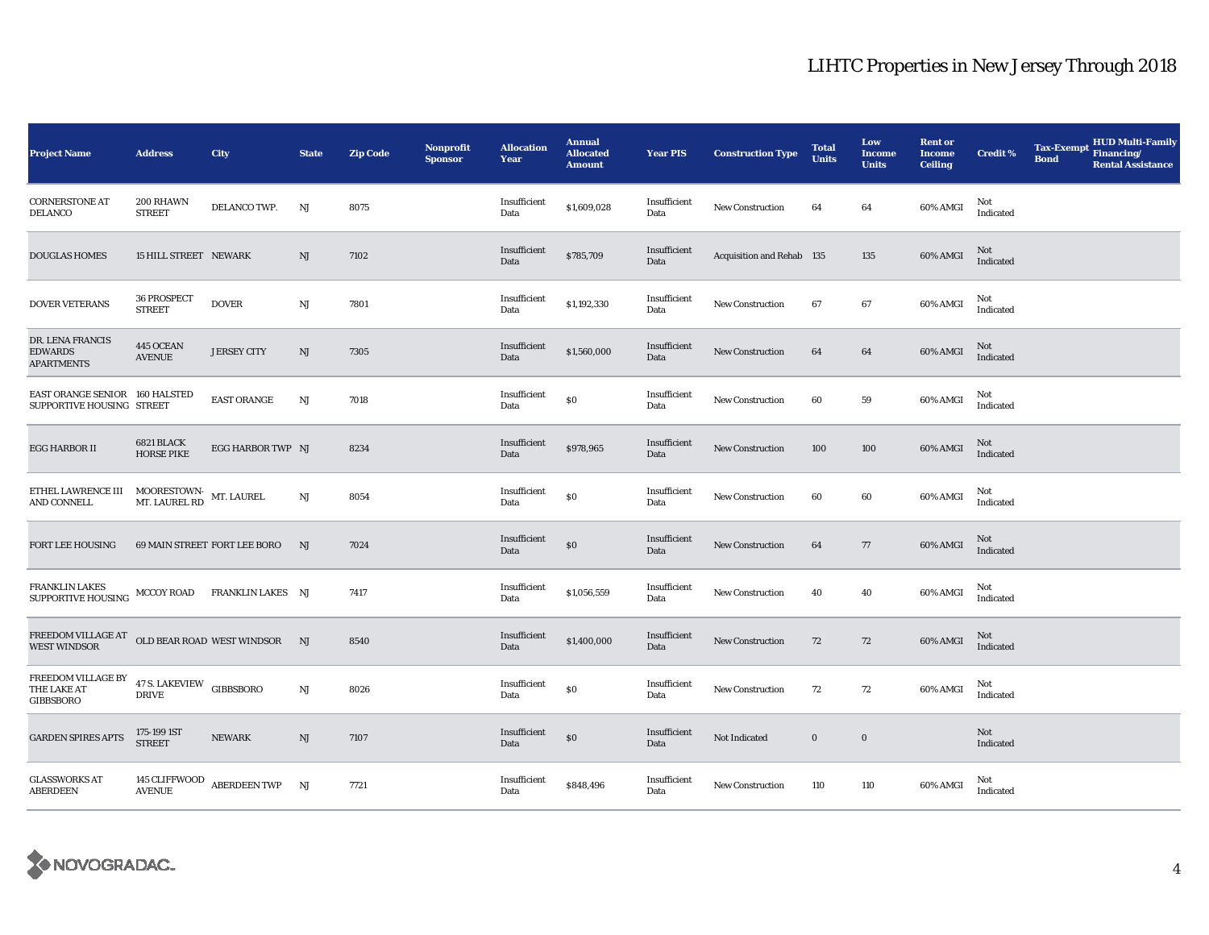| <b>Project Name</b>                                                                                                                                                                                                                   | <b>Address</b>                           | City                         | <b>State</b>           | <b>Zip Code</b> | <b>Nonprofit</b><br><b>Sponsor</b> | <b>Allocation</b><br>Year | <b>Annual</b><br><b>Allocated</b><br><b>Amount</b> | <b>Year PIS</b>      | <b>Construction Type</b>         | <b>Total</b><br><b>Units</b> | Low<br>Income<br><b>Units</b> | <b>Rent or</b><br><b>Income</b><br><b>Ceiling</b> | <b>Credit %</b>  | <b>Tax-Exempt</b><br><b>Bond</b> | <b>HUD Multi-Family</b><br>Financing/<br><b>Rental Assistance</b> |
|---------------------------------------------------------------------------------------------------------------------------------------------------------------------------------------------------------------------------------------|------------------------------------------|------------------------------|------------------------|-----------------|------------------------------------|---------------------------|----------------------------------------------------|----------------------|----------------------------------|------------------------------|-------------------------------|---------------------------------------------------|------------------|----------------------------------|-------------------------------------------------------------------|
| <b>CORNERSTONE AT</b><br><b>DELANCO</b>                                                                                                                                                                                               | 200 RHAWN<br><b>STREET</b>               | DELANCO TWP.                 | NJ                     | 8075            |                                    | Insufficient<br>Data      | \$1,609,028                                        | Insufficient<br>Data | New Construction                 | 64                           | 64                            | 60% AMGI                                          | Not<br>Indicated |                                  |                                                                   |
| <b>DOUGLAS HOMES</b>                                                                                                                                                                                                                  | <b>15 HILL STREET NEWARK</b>             |                              | NJ                     | 7102            |                                    | Insufficient<br>Data      | \$785,709                                          | Insufficient<br>Data | <b>Acquisition and Rehab 135</b> |                              | 135                           | 60% AMGI                                          | Not<br>Indicated |                                  |                                                                   |
| DOVER VETERANS                                                                                                                                                                                                                        | 36 PROSPECT<br><b>STREET</b>             | <b>DOVER</b>                 | $\mathbf{N}\mathbf{J}$ | 7801            |                                    | Insufficient<br>Data      | \$1,192,330                                        | Insufficient<br>Data | New Construction                 | 67                           | $\bf{67}$                     | 60% AMGI                                          | Not<br>Indicated |                                  |                                                                   |
| DR. LENA FRANCIS<br><b>EDWARDS</b><br><b>APARTMENTS</b>                                                                                                                                                                               | 445 OCEAN<br><b>AVENUE</b>               | <b>JERSEY CITY</b>           | NJ                     | 7305            |                                    | Insufficient<br>Data      | \$1,560,000                                        | Insufficient<br>Data | <b>New Construction</b>          | 64                           | 64                            | 60% AMGI                                          | Not<br>Indicated |                                  |                                                                   |
| EAST ORANGE SENIOR 160 HALSTED<br>SUPPORTIVE HOUSING STREET                                                                                                                                                                           |                                          | <b>EAST ORANGE</b>           | $\mathbf{N}\mathbf{J}$ | 7018            |                                    | Insufficient<br>Data      | \$0                                                | Insufficient<br>Data | <b>New Construction</b>          | 60                           | 59                            | 60% AMGI                                          | Not<br>Indicated |                                  |                                                                   |
| <b>EGG HARBOR II</b>                                                                                                                                                                                                                  | 6821 BLACK<br><b>HORSE PIKE</b>          | EGG HARBOR TWP NJ            |                        | 8234            |                                    | Insufficient<br>Data      | \$978,965                                          | Insufficient<br>Data | <b>New Construction</b>          | 100                          | 100                           | 60% AMGI                                          | Not<br>Indicated |                                  |                                                                   |
| ${\small \texttt{ETHEL} \texttt{LAWRENCE} \texttt{III}} & {\small \texttt{MOORESTOWN-} \texttt{MT} \texttt{.}\texttt{AUREL}} \\ {\small \texttt{M} \texttt{T.}\texttt{LAUREL} \texttt{RD}} & {\small \texttt{MT.}\texttt{LAUREL}} \\$ |                                          |                              | NJ                     | 8054            |                                    | Insufficient<br>Data      | \$0                                                | Insufficient<br>Data | <b>New Construction</b>          | 60                           | 60                            | 60% AMGI                                          | Not<br>Indicated |                                  |                                                                   |
| FORT LEE HOUSING                                                                                                                                                                                                                      |                                          | 69 MAIN STREET FORT LEE BORO | NJ                     | 7024            |                                    | Insufficient<br>Data      | \$0                                                | Insufficient<br>Data | <b>New Construction</b>          | 64                           | 77                            | 60% AMGI                                          | Not<br>Indicated |                                  |                                                                   |
| FRANKLIN LAKES<br><b>SUPPORTIVE HOUSING</b>                                                                                                                                                                                           |                                          | MCCOY ROAD FRANKLIN LAKES NJ |                        | 7417            |                                    | Insufficient<br>Data      | \$1,056,559                                        | Insufficient<br>Data | <b>New Construction</b>          | 40                           | 40                            | 60% AMGI                                          | Not<br>Indicated |                                  |                                                                   |
| ${\tt FREEDOM\,VILLAGE\,AT}$ OLD BEAR ROAD WEST WINDSOR<br><b>WEST WINDSOR</b>                                                                                                                                                        |                                          |                              | NJ                     | 8540            |                                    | Insufficient<br>Data      | \$1,400,000                                        | Insufficient<br>Data | <b>New Construction</b>          | 72                           | 72                            | 60% AMGI                                          | Not<br>Indicated |                                  |                                                                   |
| ${\tt FREEDOM}$ VILLAGE BY<br>THE LAKE AT<br><b>GIBBSBORO</b>                                                                                                                                                                         | 47 S. LAKEVIEW GIBBSBORO<br><b>DRIVE</b> |                              | NJ                     | 8026            |                                    | Insufficient<br>Data      | \$0                                                | Insufficient<br>Data | <b>New Construction</b>          | 72                           | 72                            | 60% AMGI                                          | Not<br>Indicated |                                  |                                                                   |
| <b>GARDEN SPIRES APTS</b>                                                                                                                                                                                                             | 175-199 IST<br><b>STREET</b>             | <b>NEWARK</b>                | $\mathrm{NJ}$          | 7107            |                                    | Insufficient<br>Data      | \$0                                                | Insufficient<br>Data | Not Indicated                    | $\bf{0}$                     | $\mathbf 0$                   |                                                   | Not<br>Indicated |                                  |                                                                   |
| <b>GLASSWORKS AT</b><br><b>ABERDEEN</b>                                                                                                                                                                                               | <b>AVENUE</b>                            | 145 CLIFFWOOD ABERDEEN TWP   | NJ                     | 7721            |                                    | Insufficient<br>Data      | \$848,496                                          | Insufficient<br>Data | <b>New Construction</b>          | 110                          | 110                           | 60% AMGI                                          | Not<br>Indicated |                                  |                                                                   |

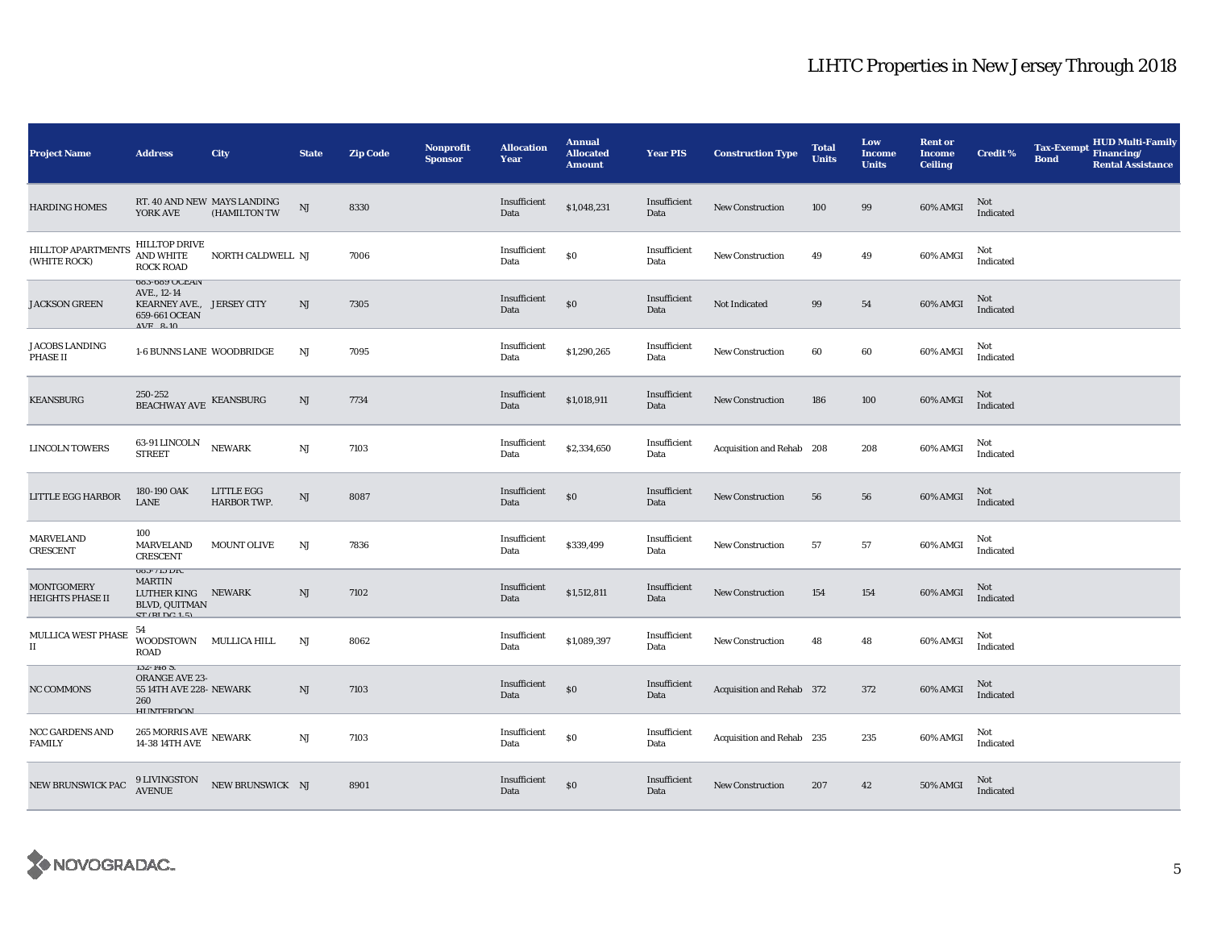| <b>Project Name</b>                          | <b>Address</b>                                                                                   | <b>City</b>                                           | <b>State</b>           | <b>Zip Code</b> | <b>Nonprofit</b><br><b>Sponsor</b> | <b>Allocation</b><br>Year | <b>Annual</b><br><b>Allocated</b><br><b>Amount</b> | <b>Year PIS</b>      | <b>Construction Type</b>  | <b>Total</b><br><b>Units</b> | Low<br><b>Income</b><br><b>Units</b> | <b>Rent or</b><br><b>Income</b><br><b>Ceiling</b> | <b>Credit %</b>  | <b>Tax-Exempt</b><br><b>Bond</b> | <b>HUD Multi-Family</b><br>Financing/<br><b>Rental Assistance</b> |
|----------------------------------------------|--------------------------------------------------------------------------------------------------|-------------------------------------------------------|------------------------|-----------------|------------------------------------|---------------------------|----------------------------------------------------|----------------------|---------------------------|------------------------------|--------------------------------------|---------------------------------------------------|------------------|----------------------------------|-------------------------------------------------------------------|
| <b>HARDING HOMES</b>                         | RT. 40 AND NEW MAYS LANDING<br>YORK AVE                                                          | (HAMILTON TW                                          | $\mathbf{N}\mathbf{J}$ | 8330            |                                    | Insufficient<br>Data      | \$1,048,231                                        | Insufficient<br>Data | New Construction          | 100                          | 99                                   | 60% AMGI                                          | Not<br>Indicated |                                  |                                                                   |
| <b>HILLTOP APARTMENTS</b><br>(WHITE ROCK)    | <b>HILLTOP DRIVE</b><br><b>AND WHITE</b><br><b>ROCK ROAD</b>                                     | NORTH CALDWELL NJ                                     |                        | 7006            |                                    | Insufficient<br>Data      | \$0                                                | Insufficient<br>Data | <b>New Construction</b>   | 49                           | 49                                   | 60% AMGI                                          | Not<br>Indicated |                                  |                                                                   |
| <b>JACKSON GREEN</b>                         | 083-089 UULAIV<br>AVE., 12-14<br>KEARNEY AVE., JERSEY CITY<br>659-661 OCEAN<br>$\Lambda$ VE 0 10 |                                                       | NJ                     | 7305            |                                    | Insufficient<br>Data      | $\$0$                                              | Insufficient<br>Data | Not Indicated             | 99                           | 54                                   | 60% AMGI                                          | Not<br>Indicated |                                  |                                                                   |
| <b>JACOBS LANDING</b><br><b>PHASE II</b>     | 1-6 BUNNS LANE WOODBRIDGE                                                                        |                                                       | NJ                     | 7095            |                                    | Insufficient<br>Data      | \$1,290,265                                        | Insufficient<br>Data | <b>New Construction</b>   | 60                           | 60                                   | 60% AMGI                                          | Not<br>Indicated |                                  |                                                                   |
| <b>KEANSBURG</b>                             | 250-252<br>BEACHWAY AVE KEANSBURG                                                                |                                                       | NJ                     | 7734            |                                    | Insufficient<br>Data      | \$1,018,911                                        | Insufficient<br>Data | <b>New Construction</b>   | 186                          | 100                                  | 60% AMGI                                          | Not<br>Indicated |                                  |                                                                   |
| <b>LINCOLN TOWERS</b>                        | $63\mbox{-}91$ LINCOLN<br><b>STREET</b>                                                          | <b>NEWARK</b>                                         | $_{\rm NJ}$            | 7103            |                                    | Insufficient<br>Data      | \$2,334,650                                        | Insufficient<br>Data | Acquisition and Rehab 208 |                              | 208                                  | 60% AMGI                                          | Not<br>Indicated |                                  |                                                                   |
| LITTLE EGG HARBOR                            | 180-190 OAK<br><b>LANE</b>                                                                       | LITTLE EGG<br>HARBOR TWP.                             | $\rm{NJ}$              | 8087            |                                    | Insufficient<br>Data      | $\$0$                                              | Insufficient<br>Data | <b>New Construction</b>   | 56                           | 56                                   | 60% AMGI                                          | Not<br>Indicated |                                  |                                                                   |
| MARVELAND<br><b>CRESCENT</b>                 | 100<br><b>MARVELAND</b><br><b>CRESCENT</b>                                                       | <b>MOUNT OLIVE</b>                                    | NJ                     | 7836            |                                    | Insufficient<br>Data      | \$339,499                                          | Insufficient<br>Data | <b>New Construction</b>   | 57                           | 57                                   | 60% AMGI                                          | Not<br>Indicated |                                  |                                                                   |
| <b>MONTGOMERY</b><br><b>HEIGHTS PHASE II</b> | 080-710 DK.<br><b>MARTIN</b><br>LUTHER KING NEWARK<br><b>BLVD, QUITMAN</b><br>CT/DIDC15          |                                                       | NJ                     | 7102            |                                    | Insufficient<br>Data      | \$1,512,811                                        | Insufficient<br>Data | <b>New Construction</b>   | 154                          | 154                                  | 60% AMGI                                          | Not<br>Indicated |                                  |                                                                   |
| MULLICA WEST PHASE<br>$\scriptstyle\rm II$   | 54<br>WOODSTOWN MULLICA HILL<br><b>ROAD</b>                                                      |                                                       | $_{\rm NJ}$            | 8062            |                                    | Insufficient<br>Data      | \$1,089,397                                        | Insufficient<br>Data | <b>New Construction</b>   | 48                           | 48                                   | 60% AMGI                                          | Not<br>Indicated |                                  |                                                                   |
| <b>NC COMMONS</b>                            | $132 - 148$ 3.<br>ORANGE AVE 23-<br>55 14TH AVE 228- NEWARK<br>260<br><b>HIINTEDDOM</b>          |                                                       | NJ                     | 7103            |                                    | Insufficient<br>Data      | $\$0$                                              | Insufficient<br>Data | Acquisition and Rehab 372 |                              | 372                                  | 60% AMGI                                          | Not<br>Indicated |                                  |                                                                   |
| <b>NCC GARDENS AND</b><br><b>FAMILY</b>      |                                                                                                  |                                                       | NJ                     | 7103            |                                    | Insufficient<br>Data      | \$0                                                | Insufficient<br>Data | Acquisition and Rehab 235 |                              | 235                                  | 60% AMGI                                          | Not<br>Indicated |                                  |                                                                   |
| NEW BRUNSWICK PAC                            |                                                                                                  | $9$ LIVINGSTON $$\tt NEW$ BRUNSWICK $$\tt NJ$$ AVENUE |                        | 8901            |                                    | Insufficient<br>Data      | $\$0$                                              | Insufficient<br>Data | New Construction          | 207                          | 42                                   | 50% AMGI                                          | Not<br>Indicated |                                  |                                                                   |

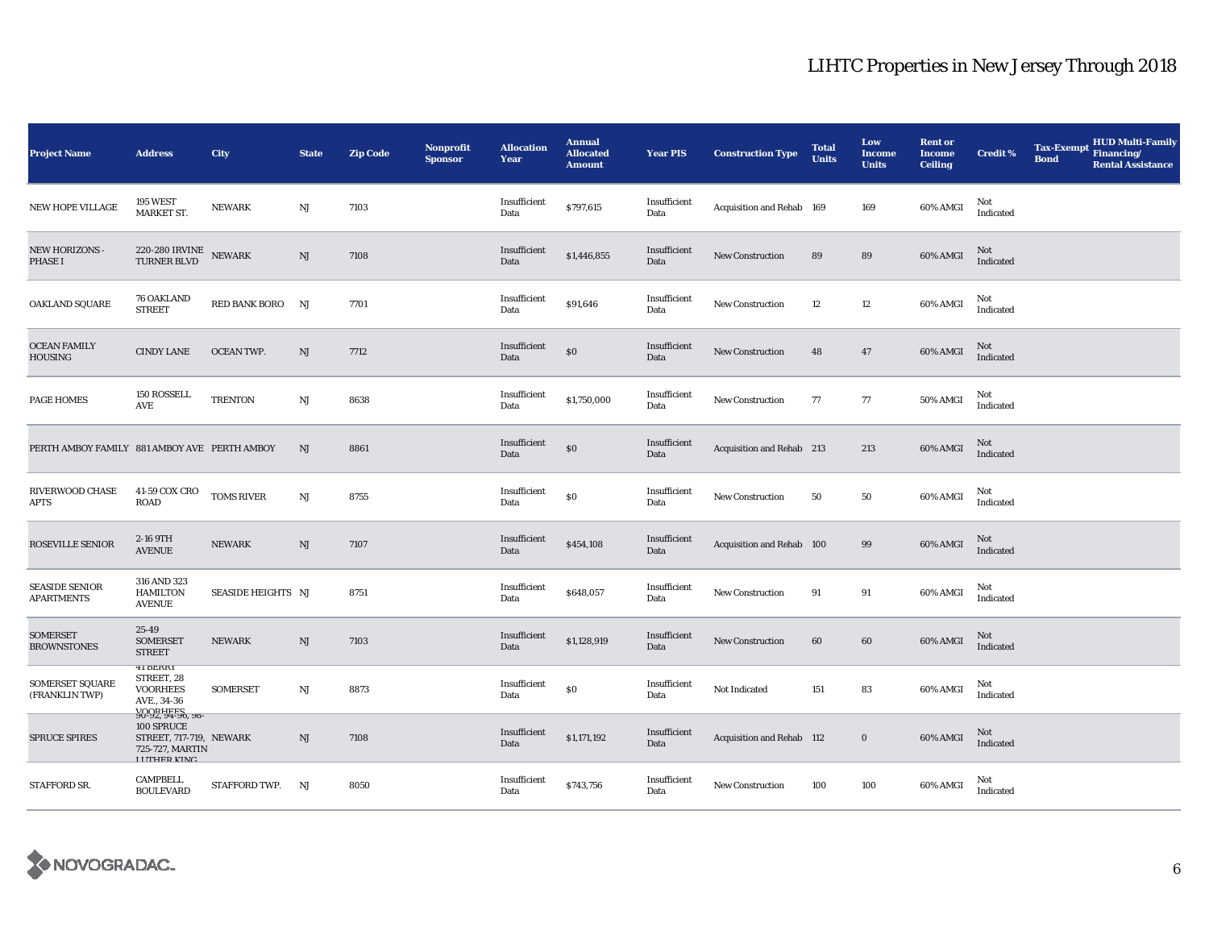| <b>Project Name</b>                          | <b>Address</b>                                                                                                         | City               | <b>State</b>  | Zip Code | <b>Nonprofit</b><br><b>Sponsor</b> | <b>Allocation</b><br>Year | <b>Annual</b><br><b>Allocated</b><br><b>Amount</b> | <b>Year PIS</b>      | <b>Construction Type</b>  | <b>Total</b><br><b>Units</b> | Low<br><b>Income</b><br><b>Units</b> | <b>Rent or</b><br><b>Income</b><br><b>Ceiling</b> | <b>Credit %</b>  | <b>Tax-Exempt</b><br><b>Bond</b> | <b>HUD Multi-Family</b><br>Financing/<br><b>Rental Assistance</b> |
|----------------------------------------------|------------------------------------------------------------------------------------------------------------------------|--------------------|---------------|----------|------------------------------------|---------------------------|----------------------------------------------------|----------------------|---------------------------|------------------------------|--------------------------------------|---------------------------------------------------|------------------|----------------------------------|-------------------------------------------------------------------|
| <b>NEW HOPE VILLAGE</b>                      | <b>195 WEST</b><br>MARKET ST.                                                                                          | <b>NEWARK</b>      | $_{\rm NJ}$   | 7103     |                                    | Insufficient<br>Data      | \$797,615                                          | Insufficient<br>Data | Acquisition and Rehab 169 |                              | 169                                  | 60% AMGI                                          | Not<br>Indicated |                                  |                                                                   |
| NEW HORIZONS -<br>PHASE I                    | $220\text{-}280$ IRVINE NEWARK TURNER BLVD                                                                             |                    | NJ            | 7108     |                                    | Insufficient<br>Data      | \$1,446,855                                        | Insufficient<br>Data | <b>New Construction</b>   | 89                           | 89                                   | 60% AMGI                                          | Not<br>Indicated |                                  |                                                                   |
| OAKLAND SQUARE                               | <b>76 OAKLAND</b><br><b>STREET</b>                                                                                     | RED BANK BORO      | NJ            | 7701     |                                    | Insufficient<br>Data      | \$91,646                                           | Insufficient<br>Data | New Construction          | 12                           | 12                                   | 60% AMGI                                          | Not<br>Indicated |                                  |                                                                   |
| <b>OCEAN FAMILY</b><br>HOUSING               | <b>CINDY LANE</b>                                                                                                      | <b>OCEAN TWP.</b>  | $\mathrm{NJ}$ | 7712     |                                    | Insufficient<br>Data      | $\$0$                                              | Insufficient<br>Data | New Construction          | 48                           | 47                                   | 60% AMGI                                          | Not<br>Indicated |                                  |                                                                   |
| PAGE HOMES                                   | 150 ROSSELL<br>AVE                                                                                                     | <b>TRENTON</b>     | $_{\rm NJ}$   | 8638     |                                    | Insufficient<br>Data      | \$1,750,000                                        | Insufficient<br>Data | <b>New Construction</b>   | 77                           | 77                                   | 50% AMGI                                          | Not<br>Indicated |                                  |                                                                   |
| PERTH AMBOY FAMILY 881 AMBOY AVE PERTH AMBOY |                                                                                                                        |                    | NJ            | 8861     |                                    | Insufficient<br>Data      | $\$0$                                              | Insufficient<br>Data | Acquisition and Rehab 213 |                              | 213                                  | 60% AMGI                                          | Not<br>Indicated |                                  |                                                                   |
| RIVERWOOD CHASE<br>APTS                      | 41-59 COX CRO<br><b>ROAD</b>                                                                                           | <b>TOMS RIVER</b>  | $_{\rm NJ}$   | 8755     |                                    | Insufficient<br>Data      | $\$0$                                              | Insufficient<br>Data | <b>New Construction</b>   | 50                           | ${\bf 50}$                           | 60% AMGI                                          | Not<br>Indicated |                                  |                                                                   |
| ROSEVILLE SENIOR                             | 2-16 9TH<br><b>AVENUE</b>                                                                                              | <b>NEWARK</b>      | $\mathrm{NJ}$ | 7107     |                                    | Insufficient<br>Data      | \$454,108                                          | Insufficient<br>Data | Acquisition and Rehab 100 |                              | 99                                   | 60% AMGI                                          | Not<br>Indicated |                                  |                                                                   |
| <b>SEASIDE SENIOR</b><br><b>APARTMENTS</b>   | 316 AND 323<br><b>HAMILTON</b><br><b>AVENUE</b>                                                                        | SEASIDE HEIGHTS NJ |               | 8751     |                                    | Insufficient<br>Data      | \$648,057                                          | Insufficient<br>Data | New Construction          | 91                           | 91                                   | 60% AMGI                                          | Not<br>Indicated |                                  |                                                                   |
| <b>SOMERSET</b><br><b>BROWNSTONES</b>        | 25-49<br><b>SOMERSET</b><br><b>STREET</b>                                                                              | <b>NEWARK</b>      | $\mathrm{NJ}$ | 7103     |                                    | Insufficient<br>Data      | \$1,128,919                                        | Insufficient<br>Data | <b>New Construction</b>   | 60                           | 60                                   | 60% AMGI                                          | Not<br>Indicated |                                  |                                                                   |
| <b>SOMERSET SQUARE</b><br>(FRANKLIN TWP)     | 41 BEKKI<br>STREET, 28<br><b>VOORHEES</b><br>AVE., 34-36                                                               | <b>SOMERSET</b>    | $_{\rm NJ}$   | 8873     |                                    | Insufficient<br>Data      | $\$0$                                              | Insufficient<br>Data | Not Indicated             | 151                          | 83                                   | 60% AMGI                                          | Not<br>Indicated |                                  |                                                                   |
| <b>SPRUCE SPIRES</b>                         | <b>VOOPHEES</b><br>90-92, 94-90, 98-<br>100 SPRUCE<br>STREET, 717-719, NEWARK<br>725-727, MARTIN<br><b>LUTHED KINC</b> |                    | NJ            | 7108     |                                    | Insufficient<br>Data      | \$1,171,192                                        | Insufficient<br>Data | Acquisition and Rehab 112 |                              | $\bf{0}$                             | 60% AMGI                                          | Not<br>Indicated |                                  |                                                                   |
| STAFFORD SR.                                 | CAMPBELL<br><b>BOULEVARD</b>                                                                                           | STAFFORD TWP.      | NJ            | 8050     |                                    | Insufficient<br>Data      | \$743,756                                          | Insufficient<br>Data | New Construction          | 100                          | 100                                  | 60% AMGI                                          | Not<br>Indicated |                                  |                                                                   |

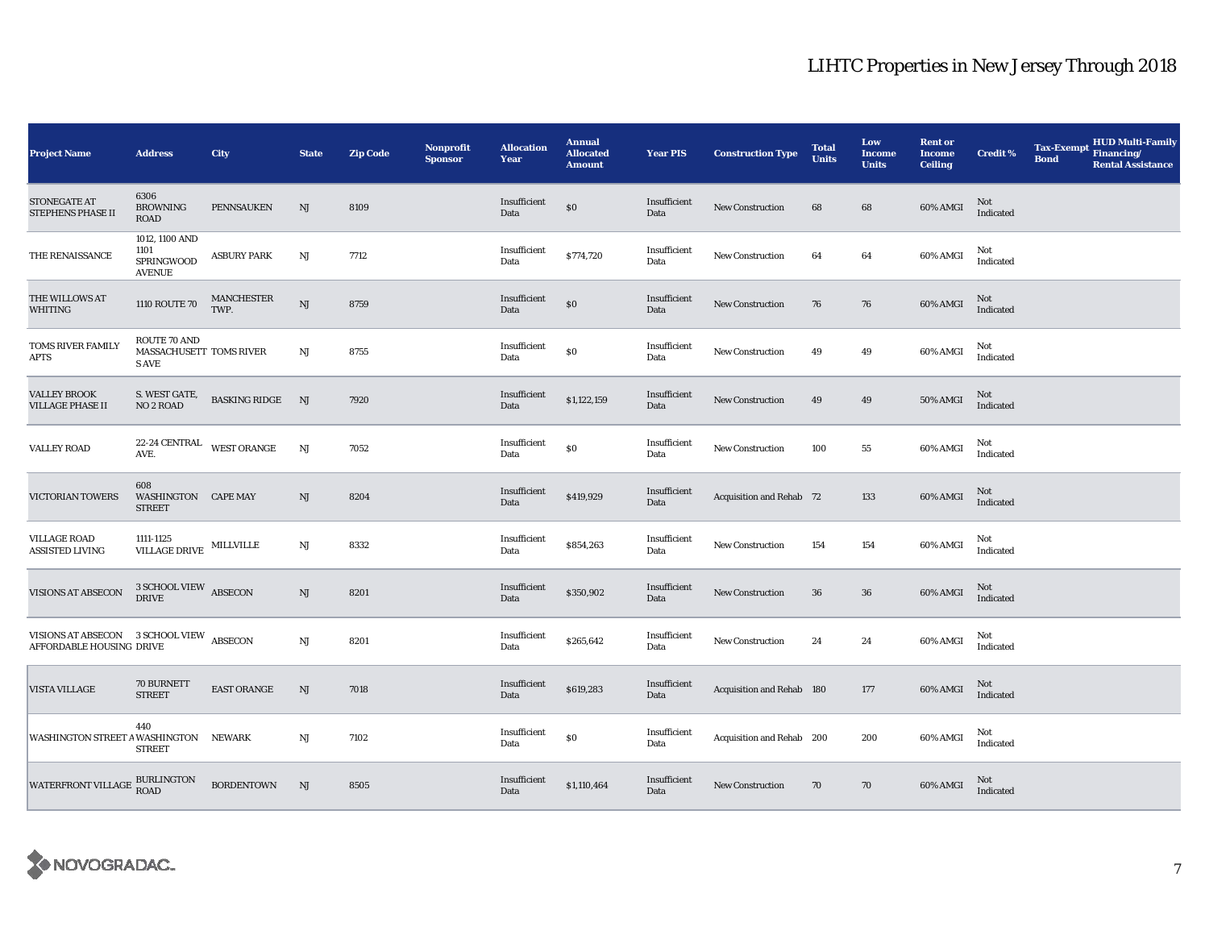| <b>Project Name</b>                                                  | <b>Address</b>                                                                                                                                                                                                                                                                                                                               | City                      | <b>State</b> | <b>Zip Code</b> | <b>Nonprofit</b><br><b>Sponsor</b> | <b>Allocation</b><br>Year | <b>Annual</b><br><b>Allocated</b><br><b>Amount</b> | <b>Year PIS</b>      | <b>Construction Type</b>        | <b>Total</b><br><b>Units</b> | Low<br>Income<br><b>Units</b> | <b>Rent or</b><br><b>Income</b><br><b>Ceiling</b> | <b>Credit %</b>  | <b>Tax-Exempt</b><br><b>Bond</b> | HUD Multi-Family<br>Financing/<br><b>Rental Assistance</b> |
|----------------------------------------------------------------------|----------------------------------------------------------------------------------------------------------------------------------------------------------------------------------------------------------------------------------------------------------------------------------------------------------------------------------------------|---------------------------|--------------|-----------------|------------------------------------|---------------------------|----------------------------------------------------|----------------------|---------------------------------|------------------------------|-------------------------------|---------------------------------------------------|------------------|----------------------------------|------------------------------------------------------------|
| <b>STONEGATE AT</b><br>STEPHENS PHASE II                             | 6306<br><b>BROWNING</b><br><b>ROAD</b>                                                                                                                                                                                                                                                                                                       | <b>PENNSAUKEN</b>         | NJ           | 8109            |                                    | Insufficient<br>Data      | $\$0$                                              | Insufficient<br>Data | <b>New Construction</b>         | 68                           | 68                            | 60% AMGI                                          | Not<br>Indicated |                                  |                                                            |
| THE RENAISSANCE                                                      | 1012, 1100 AND<br>1101<br><b>SPRINGWOOD</b><br><b>AVENUE</b>                                                                                                                                                                                                                                                                                 | <b>ASBURY PARK</b>        | $_{\rm NJ}$  | 7712            |                                    | Insufficient<br>Data      | \$774,720                                          | Insufficient<br>Data | <b>New Construction</b>         | 64                           | 64                            | 60% AMGI                                          | Not<br>Indicated |                                  |                                                            |
| THE WILLOWS AT<br>WHITING                                            | 1110 ROUTE 70                                                                                                                                                                                                                                                                                                                                | <b>MANCHESTER</b><br>TWP. | NJ           | 8759            |                                    | Insufficient<br>Data      | $\$0$                                              | Insufficient<br>Data | <b>New Construction</b>         | 76                           | 76                            | 60% AMGI                                          | Not<br>Indicated |                                  |                                                            |
| TOMS RIVER FAMILY<br><b>APTS</b>                                     | <b>ROUTE 70 AND</b><br>MASSACHUSETT TOMS RIVER<br><b>SAVE</b>                                                                                                                                                                                                                                                                                |                           | NJ           | 8755            |                                    | Insufficient<br>Data      | $\$0$                                              | Insufficient<br>Data | <b>New Construction</b>         | 49                           | 49                            | 60% AMGI                                          | Not<br>Indicated |                                  |                                                            |
| <b>VALLEY BROOK</b><br><b>VILLAGE PHASE II</b>                       | S. WEST GATE,<br>NO <sub>2</sub> ROAD                                                                                                                                                                                                                                                                                                        | <b>BASKING RIDGE</b>      | NJ           | 7920            |                                    | Insufficient<br>Data      | \$1,122,159                                        | Insufficient<br>Data | <b>New Construction</b>         | 49                           | 49                            | 50% AMGI                                          | Not<br>Indicated |                                  |                                                            |
| <b>VALLEY ROAD</b>                                                   | $22\text{-}24$ CENTRAL WEST ORANGE<br>AVE.                                                                                                                                                                                                                                                                                                   |                           | NJ           | 7052            |                                    | Insufficient<br>Data      | $\$0$                                              | Insufficient<br>Data | New Construction                | 100                          | 55                            | 60% AMGI                                          | Not<br>Indicated |                                  |                                                            |
| VICTORIAN TOWERS                                                     | 608<br>WASHINGTON CAPE MAY<br><b>STREET</b>                                                                                                                                                                                                                                                                                                  |                           | NJ           | 8204            |                                    | Insufficient<br>Data      | \$419,929                                          | Insufficient<br>Data | <b>Acquisition and Rehab 72</b> |                              | 133                           | 60% AMGI                                          | Not<br>Indicated |                                  |                                                            |
| <b>VILLAGE ROAD</b><br>ASSISTED LIVING                               | 1111-1125<br>$\begin{tabular}{ll} \multicolumn{2}{c}{\textbf{VILL}} \multicolumn{2}{c}{\textbf{WILL} \end{tabular} \begin{tabular}{ll} \multicolumn{2}{c}{\textbf{NILL} \end{tabular} \begin{tabular}{ll} \multicolumn{2}{c}{\textbf{WILL} \end{tabular} \begin{tabular}{ll} \multicolumn{2}{c}{\textbf{NILL} \end{tabular} } \end{tabular}$ |                           | NJ           | 8332            |                                    | Insufficient<br>Data      | \$854,263                                          | Insufficient<br>Data | <b>New Construction</b>         | 154                          | 154                           | 60% AMGI                                          | Not<br>Indicated |                                  |                                                            |
| <b>VISIONS AT ABSECON</b>                                            | $3$ SCHOOL VIEW $\;$ ABSECON DRIVE                                                                                                                                                                                                                                                                                                           |                           | NJ           | 8201            |                                    | Insufficient<br>Data      | \$350,902                                          | Insufficient<br>Data | New Construction                | 36                           | 36                            | 60% AMGI                                          | Not<br>Indicated |                                  |                                                            |
| VISIONS AT ABSECON 3 SCHOOL VIEW ABSECON<br>AFFORDABLE HOUSING DRIVE |                                                                                                                                                                                                                                                                                                                                              |                           | $_{\rm NJ}$  | 8201            |                                    | Insufficient<br>Data      | \$265,642                                          | Insufficient<br>Data | <b>New Construction</b>         | 24                           | 24                            | 60% AMGI                                          | Not<br>Indicated |                                  |                                                            |
| VISTA VILLAGE                                                        | 70 BURNETT<br><b>STREET</b>                                                                                                                                                                                                                                                                                                                  | <b>EAST ORANGE</b>        | NJ           | 7018            |                                    | Insufficient<br>Data      | \$619,283                                          | Insufficient<br>Data | Acquisition and Rehab 180       |                              | 177                           | 60% AMGI                                          | Not<br>Indicated |                                  |                                                            |
| WASHINGTON STREET A WASHINGTON NEWARK                                | 440<br><b>STREET</b>                                                                                                                                                                                                                                                                                                                         |                           | $_{\rm NJ}$  | 7102            |                                    | Insufficient<br>Data      | $\$0$                                              | Insufficient<br>Data | Acquisition and Rehab 200       |                              | 200                           | 60% AMGI                                          | Not<br>Indicated |                                  |                                                            |
| WATERFRONT VILLAGE BURLINGTON                                        |                                                                                                                                                                                                                                                                                                                                              | <b>BORDENTOWN</b>         | NJ           | 8505            |                                    | Insufficient<br>Data      | \$1,110,464                                        | Insufficient<br>Data | <b>New Construction</b>         | 70                           | 70                            | 60% AMGI                                          | Not<br>Indicated |                                  |                                                            |

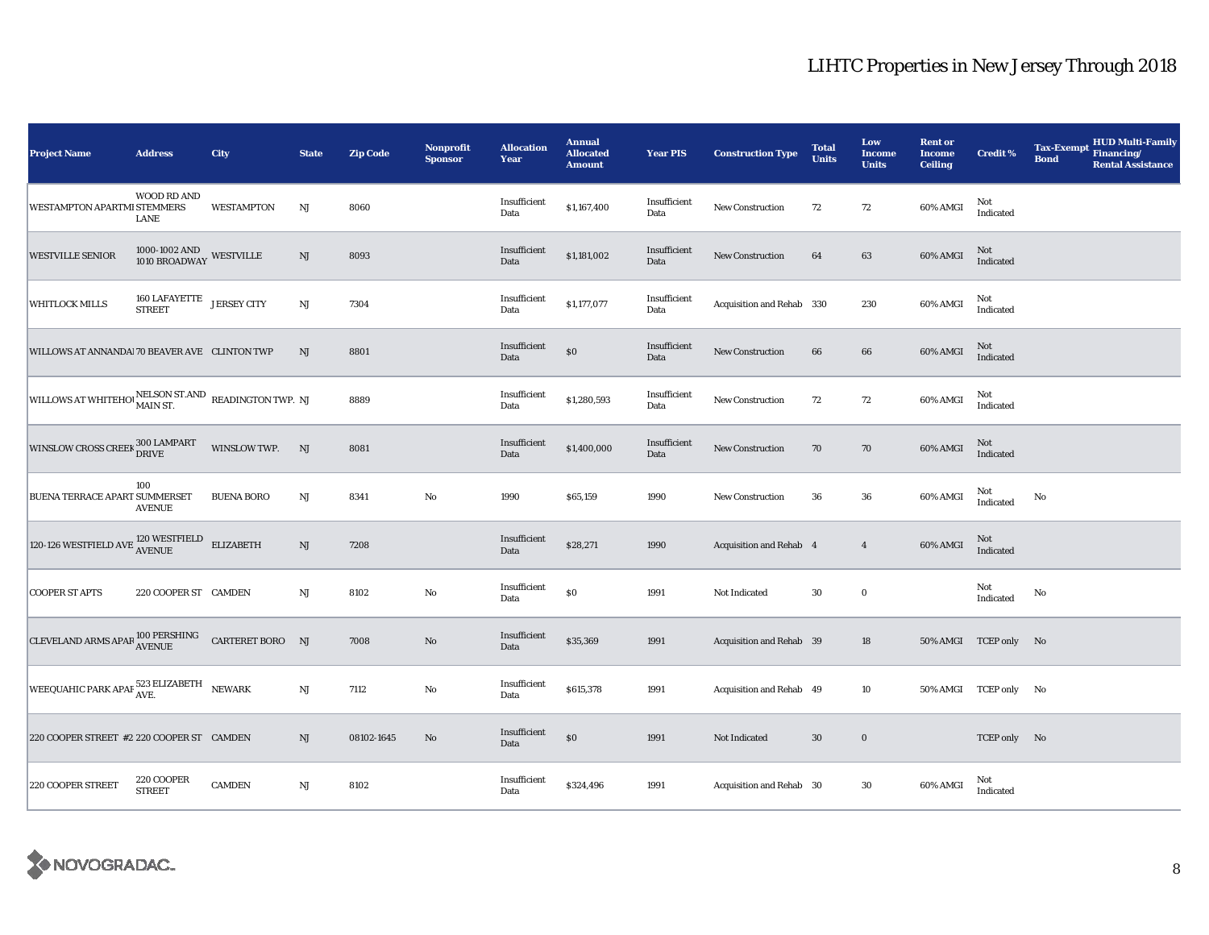| <b>Project Name</b>                                                                                                                                                     | <b>Address</b>                                                | <b>City</b>       | <b>State</b>  | <b>Zip Code</b> | Nonprofit<br><b>Sponsor</b> | <b>Allocation</b><br>Year | <b>Annual</b><br><b>Allocated</b><br><b>Amount</b> | <b>Year PIS</b>      | <b>Construction Type</b>  | <b>Total</b><br><b>Units</b> | Low<br>Income<br><b>Units</b> | <b>Rent or</b><br><b>Income</b><br><b>Ceiling</b> | <b>Credit %</b>       | <b>Tax-Exempt</b><br><b>Bond</b> | <b>HUD Multi-Family</b><br>Financing/<br><b>Rental Assistance</b> |
|-------------------------------------------------------------------------------------------------------------------------------------------------------------------------|---------------------------------------------------------------|-------------------|---------------|-----------------|-----------------------------|---------------------------|----------------------------------------------------|----------------------|---------------------------|------------------------------|-------------------------------|---------------------------------------------------|-----------------------|----------------------------------|-------------------------------------------------------------------|
| <b>WESTAMPTON APARTMI STEMMERS</b>                                                                                                                                      | WOOD RD AND<br>LANE                                           | <b>WESTAMPTON</b> | $_{\rm NJ}$   | 8060            |                             | Insufficient<br>Data      | \$1,167,400                                        | Insufficient<br>Data | <b>New Construction</b>   | 72                           | 72                            | 60% AMGI                                          | Not<br>Indicated      |                                  |                                                                   |
| <b>WESTVILLE SENIOR</b>                                                                                                                                                 | $1000$ - $1002$ AND $$\tt WESTVILLE$$ $1010$ ${\tt BROADWAY}$ |                   | $\rm{NJ}$     | 8093            |                             | Insufficient<br>Data      | \$1,181,002                                        | Insufficient<br>Data | <b>New Construction</b>   | 64                           | 63                            | 60% AMGI                                          | Not<br>Indicated      |                                  |                                                                   |
| WHITLOCK MILLS                                                                                                                                                          | $160$ LAFAYETTE $$\tt JERSEY\,CTTY$$                          |                   | $\rm{NJ}$     | 7304            |                             | Insufficient<br>Data      | \$1,177,077                                        | Insufficient<br>Data | Acquisition and Rehab 330 |                              | 230                           | 60% AMGI                                          | Not<br>Indicated      |                                  |                                                                   |
| WILLOWS AT ANNANDAI 70 BEAVER AVE CLINTON TWP                                                                                                                           |                                                               |                   | NJ            | 8801            |                             | Insufficient<br>Data      | $\$0$                                              | Insufficient<br>Data | <b>New Construction</b>   | 66                           | 66                            | 60% AMGI                                          | $\rm Not$ Indicated   |                                  |                                                                   |
| WILLOWS AT WHITEHOI MAIN ST. READINGTON TWP. NJ                                                                                                                         |                                                               |                   |               | 8889            |                             | Insufficient<br>Data      | \$1,280,593                                        | Insufficient<br>Data | <b>New Construction</b>   | 72                           | 72                            | 60% AMGI                                          | Not<br>Indicated      |                                  |                                                                   |
| WINSLOW CROSS CREEK 300 LAMPART                                                                                                                                         |                                                               | WINSLOW TWP.      | NJ            | 8081            |                             | Insufficient<br>Data      | \$1,400,000                                        | Insufficient<br>Data | <b>New Construction</b>   | 70                           | 70                            | 60% AMGI                                          | Not<br>Indicated      |                                  |                                                                   |
| BUENA TERRACE APART SUMMERSET                                                                                                                                           | 100<br><b>AVENUE</b>                                          | <b>BUENA BORO</b> | $_{\rm NJ}$   | 8341            | $\rm No$                    | 1990                      | \$65,159                                           | 1990                 | New Construction          | 36                           | 36                            | 60% AMGI                                          | Not<br>Indicated      | No                               |                                                                   |
| $120\text{-}126 \text{ WESTFIELD} \text{AVE} \begin{tabular}{c} 120 \text{WESTFIELD} \\ \text{AVENUE} \end{tabular} \begin{tabular}{ll} \text{ELIZABETH} \end{tabular}$ |                                                               |                   | $\mathrm{NJ}$ | 7208            |                             | Insufficient<br>Data      | \$28,271                                           | 1990                 | Acquisition and Rehab 4   |                              | $\overline{4}$                | 60% AMGI                                          | Not<br>Indicated      |                                  |                                                                   |
| <b>COOPER ST APTS</b>                                                                                                                                                   | 220 COOPER ST CAMDEN                                          |                   | $_{\rm NJ}$   | 8102            | No                          | Insufficient<br>Data      | \$0                                                | 1991                 | Not Indicated             | 30                           | $\bf{0}$                      |                                                   | Not<br>Indicated      | No                               |                                                                   |
| CLEVELAND ARMS APAR $_{\mbox{AVENUE}}^{\mbox{100 }PERSHING}$ CARTERET BORO NJ                                                                                           |                                                               |                   |               | 7008            | $\rm No$                    | Insufficient<br>Data      | \$35,369                                           | 1991                 | Acquisition and Rehab 39  |                              | 18                            |                                                   | 50% AMGI TCEP only No |                                  |                                                                   |
| WEEQUAHIC PARK APAF $_{\mbox{AVE}}^{523}$ ELIZABETH NEWARK                                                                                                              |                                                               |                   | $\rm{NJ}$     | 7112            | $\rm No$                    | Insufficient<br>Data      | \$615,378                                          | 1991                 | Acquisition and Rehab 49  |                              | 10                            |                                                   | 50% AMGI TCEP only No |                                  |                                                                   |
| 220 COOPER STREET #2 220 COOPER ST CAMDEN                                                                                                                               |                                                               |                   | NJ            | 08102-1645      | No                          | Insufficient<br>Data      | $\$0$                                              | 1991                 | Not Indicated             | 30                           | $\boldsymbol{0}$              |                                                   | TCEP only No          |                                  |                                                                   |
| 220 COOPER STREET                                                                                                                                                       | 220 COOPER<br><b>STREET</b>                                   | <b>CAMDEN</b>     | $\rm{NJ}$     | 8102            |                             | Insufficient<br>Data      | \$324,496                                          | 1991                 | Acquisition and Rehab 30  |                              | $30\,$                        | 60% AMGI                                          | Not<br>Indicated      |                                  |                                                                   |

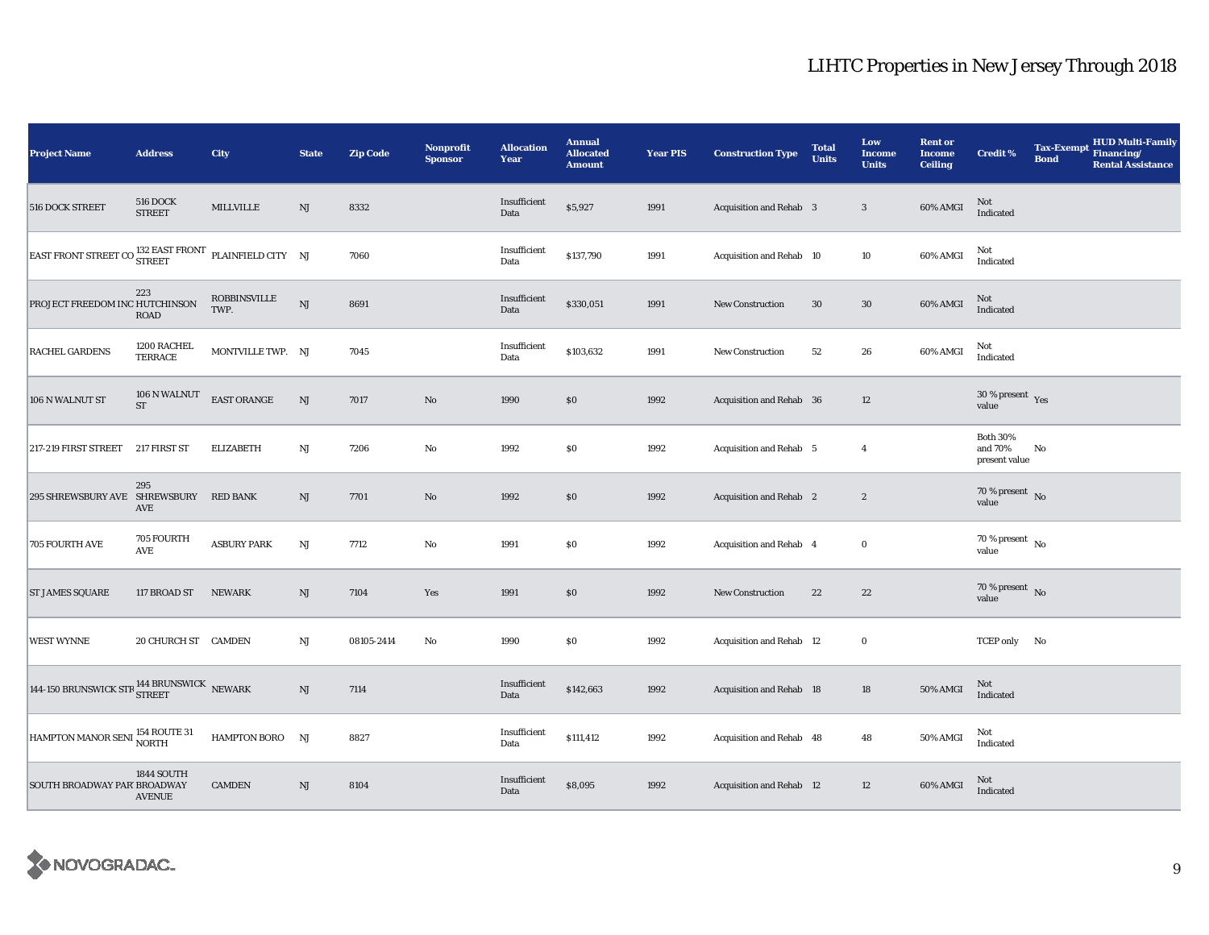| Project Name                                                           | <b>Address</b>                   | City                        | <b>State</b>  | <b>Zip Code</b> | <b>Nonprofit</b><br><b>Sponsor</b> | <b>Allocation</b><br>Year | <b>Annual</b><br><b>Allocated</b><br><b>Amount</b> | <b>Year PIS</b> | <b>Construction Type</b>        | <b>Total</b><br><b>Units</b> | Low<br>Income<br><b>Units</b> | <b>Rent or</b><br><b>Income</b><br><b>Ceiling</b> | <b>Credit %</b>                             | <b>Tax-Exempt</b><br><b>Bond</b> | HUD Multi-Family<br>Financing/<br><b>Rental Assistance</b> |
|------------------------------------------------------------------------|----------------------------------|-----------------------------|---------------|-----------------|------------------------------------|---------------------------|----------------------------------------------------|-----------------|---------------------------------|------------------------------|-------------------------------|---------------------------------------------------|---------------------------------------------|----------------------------------|------------------------------------------------------------|
| <b>516 DOCK STREET</b>                                                 | <b>516 DOCK</b><br><b>STREET</b> | MILLVILLE                   | NJ            | 8332            |                                    | Insufficient<br>Data      | \$5,927                                            | 1991            | Acquisition and Rehab 3         |                              | $\mathbf{3}$                  | 60% AMGI                                          | $\mbox{Not}$ Indicated                      |                                  |                                                            |
| EAST FRONT STREET CO $^{132}_{\bf STREET}$ FRONT PLAINFIELD CITY NJ    |                                  |                             |               | 7060            |                                    | Insufficient<br>Data      | \$137,790                                          | 1991            | Acquisition and Rehab 10        |                              | 10                            | 60% AMGI                                          | Not<br>Indicated                            |                                  |                                                            |
| PROJECT FREEDOM INC HUTCHINSON                                         | 223<br>ROAD                      | <b>ROBBINSVILLE</b><br>TWP. | NJ            | 8691            |                                    | Insufficient<br>Data      | \$330,051                                          | 1991            | <b>New Construction</b>         | 30                           | $30\,$                        | 60% AMGI                                          | $\rm Not$ Indicated                         |                                  |                                                            |
| <b>RACHEL GARDENS</b>                                                  | 1200 RACHEL<br>TERRACE           | MONTVILLE TWP. NJ           |               | 7045            |                                    | Insufficient<br>Data      | \$103,632                                          | 1991            | New Construction                | 52                           | 26                            | 60% AMGI                                          | Not<br>Indicated                            |                                  |                                                            |
| 106 N WALNUT ST                                                        | $106$ N WALNUT<br>ST             | EAST ORANGE                 | $\mathrm{NJ}$ | 7017            | $\rm\thinspace No$                 | 1990                      | $\$0$                                              | 1992            | Acquisition and Rehab 36        |                              | 12                            |                                                   | $30\,\%$ present $\,$ Yes value             |                                  |                                                            |
| 217-219 FIRST STREET                                                   | 217 FIRST ST                     | <b>ELIZABETH</b>            | $_{\rm NJ}$   | 7206            | $\rm No$                           | 1992                      | $\$0$                                              | 1992            | Acquisition and Rehab 5         |                              | $\overline{4}$                |                                                   | <b>Both 30%</b><br>and 70%<br>present value | No                               |                                                            |
| 295 SHREWSBURY AVE SHREWSBURY                                          | 295<br>AVE                       | <b>RED BANK</b>             | NJ            | 7701            | $\rm\thinspace No$                 | 1992                      | \$0                                                | 1992            | Acquisition and Rehab 2         |                              | $\boldsymbol{2}$              |                                                   | 70 % present $\hbox{~No}$<br>value          |                                  |                                                            |
| 705 FOURTH AVE                                                         | 705 FOURTH<br>AVE                | <b>ASBURY PARK</b>          | $_{\rm NJ}$   | 7712            | $\mathbf {No}$                     | 1991                      | \$0                                                | 1992            | Acquisition and Rehab 4         |                              | $\mathbf 0$                   |                                                   | $70\,\%$ present $\,$ No value              |                                  |                                                            |
| <b>ST JAMES SQUARE</b>                                                 | 117 BROAD ST                     | <b>NEWARK</b>               | $\rm{NJ}$     | 7104            | Yes                                | 1991                      | $\$0$                                              | 1992            | New Construction                | 22                           | $\bf{22}$                     |                                                   | 70 % present $\,$ No $\,$<br>value          |                                  |                                                            |
| <b>WEST WYNNE</b>                                                      | 20 CHURCH ST CAMDEN              |                             | NJ            | 08105-2414      | $\rm No$                           | 1990                      | $\$0$                                              | 1992            | Acquisition and Rehab 12        |                              | $\mathbf 0$                   |                                                   | TCEP only No                                |                                  |                                                            |
| 144-150 BRUNSWICK STR $_{\rm{STREF}}^{144}$ BRUNSWICK $_{\rm{NEWARK}}$ |                                  |                             | NJ            | 7114            |                                    | Insufficient<br>Data      | \$142,663                                          | 1992            | <b>Acquisition and Rehab 18</b> |                              | 18                            | 50% AMGI                                          | Not<br>Indicated                            |                                  |                                                            |
| HAMPTON MANOR SENI 154 ROUTE 31                                        |                                  | HAMPTON BORO NJ             |               | 8827            |                                    | Insufficient<br>Data      | \$111,412                                          | 1992            | Acquisition and Rehab 48        |                              | 48                            | 50% AMGI                                          | Not<br>Indicated                            |                                  |                                                            |
| SOUTH BROADWAY PAR' BROADWAY                                           | 1844 SOUTH<br><b>AVENUE</b>      | <b>CAMDEN</b>               | NJ            | 8104            |                                    | Insufficient<br>Data      | \$8,095                                            | 1992            | Acquisition and Rehab 12        |                              | 12                            | 60% AMGI                                          | Not<br>Indicated                            |                                  |                                                            |

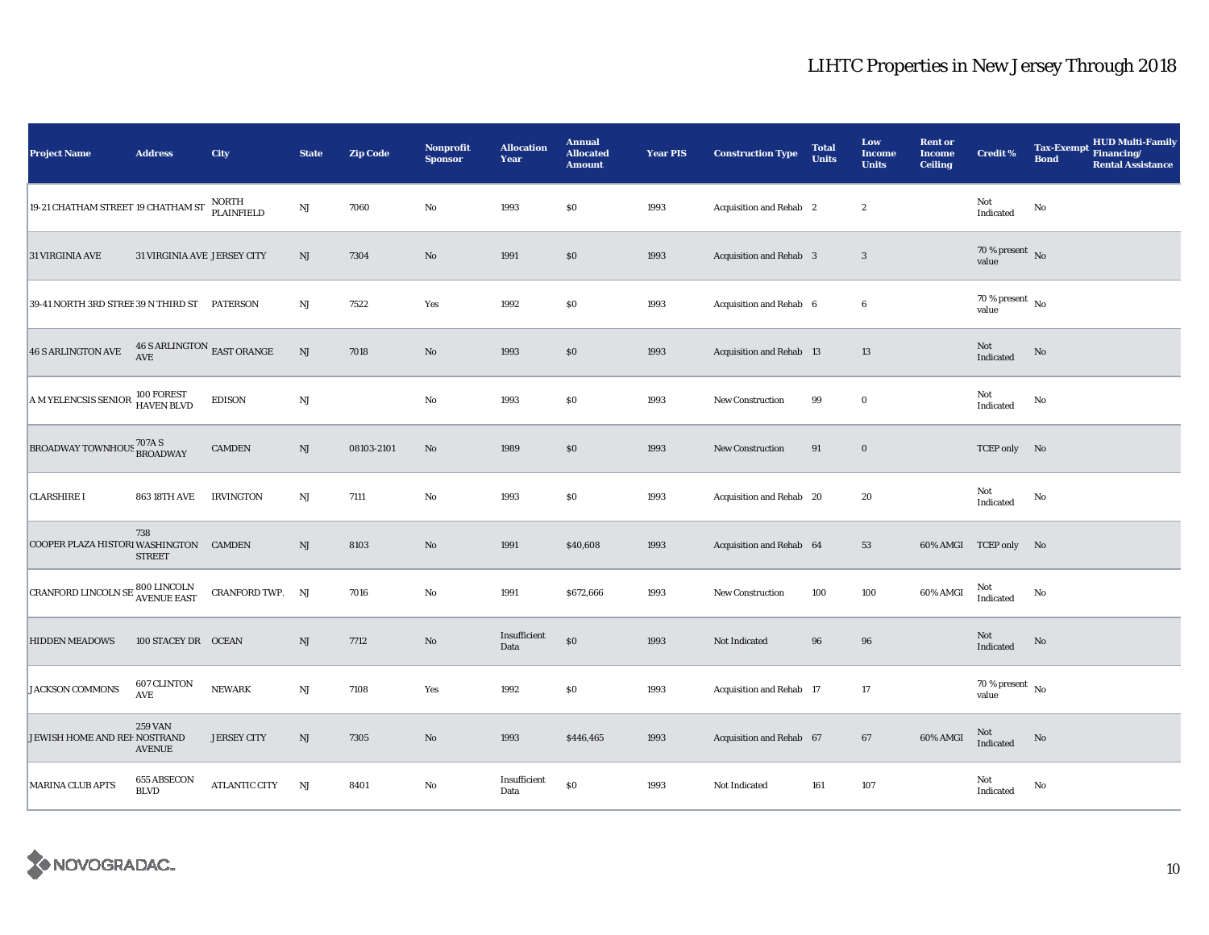| <b>Project Name</b>                                                                                                                      | <b>Address</b>                            | City                 | <b>State</b>           | <b>Zip Code</b> | <b>Nonprofit</b><br><b>Sponsor</b> | <b>Allocation</b><br>Year | <b>Annual</b><br><b>Allocated</b><br><b>Amount</b> | <b>Year PIS</b> | <b>Construction Type</b>       | <b>Total</b><br>Units | Low<br><b>Income</b><br><b>Units</b> | <b>Rent or</b><br><b>Income</b><br><b>Ceiling</b> | <b>Credit %</b>                    | <b>Tax-Exempt</b><br><b>Bond</b> | <b>HUD Multi-Family</b><br>Financing/<br><b>Rental Assistance</b> |
|------------------------------------------------------------------------------------------------------------------------------------------|-------------------------------------------|----------------------|------------------------|-----------------|------------------------------------|---------------------------|----------------------------------------------------|-----------------|--------------------------------|-----------------------|--------------------------------------|---------------------------------------------------|------------------------------------|----------------------------------|-------------------------------------------------------------------|
| 19-21 CHATHAM STREET 19 CHATHAM ST                                                                                                       |                                           | NORTH<br>PLAINFIELD  | $\mathbf{N}\mathbf{J}$ | 7060            | $\rm No$                           | 1993                      | \$0                                                | 1993            | Acquisition and Rehab 2        |                       | $\boldsymbol{2}$                     |                                                   | Not<br>Indicated                   | $\mathbf{No}$                    |                                                                   |
| 31 VIRGINIA AVE                                                                                                                          | 31 VIRGINIA AVE JERSEY CITY               |                      | $\rm{NJ}$              | 7304            | $\rm No$                           | 1991                      | \$0                                                | 1993            | <b>Acquisition and Rehab 3</b> |                       | $\sqrt{3}$                           |                                                   | $70$ % present $_{\rm No}$ value   |                                  |                                                                   |
| 39-41 NORTH 3RD STREE 39 N THIRD ST PATERSON                                                                                             |                                           |                      | $\mathbf{N}\mathbf{J}$ | 7522            | Yes                                | 1992                      | $\$0$                                              | 1993            | Acquisition and Rehab 6        |                       | $\boldsymbol{6}$                     |                                                   | 70 % present $\hbox{~No}$<br>value |                                  |                                                                   |
| <b>46 S ARLINGTON AVE</b>                                                                                                                | $46$ S ARLINGTON $_{\rm EAST}$ ORANGE AVE |                      | $\mathbf{N}\mathbf{J}$ | 7018            | No                                 | 1993                      | \$0                                                | 1993            | Acquisition and Rehab 13       |                       | 13                                   |                                                   | Not<br>Indicated                   | No                               |                                                                   |
| A M YELENCSIS SENIOR                                                                                                                     | 100 FOREST<br>HAVEN BLVD                  | <b>EDISON</b>        | $\mathbf{N}\mathbf{J}$ |                 | No                                 | 1993                      | $\$0$                                              | 1993            | <b>New Construction</b>        | 99                    | $\bf{0}$                             |                                                   | Not<br>Indicated                   | $\mathbf{No}$                    |                                                                   |
| BROADWAY TOWNHOUS <sup>707A S</sup> BROADWAY                                                                                             |                                           | <b>CAMDEN</b>        | NJ                     | 08103-2101      | $\rm No$                           | 1989                      | $\$0$                                              | 1993            | New Construction               | 91                    | $\bf{0}$                             |                                                   | TCEP only No                       |                                  |                                                                   |
| <b>CLARSHIRE I</b>                                                                                                                       | <b>863 18TH AVE</b>                       | <b>IRVINGTON</b>     | NJ                     | 7111            | No                                 | 1993                      | \$0                                                | 1993            | Acquisition and Rehab 20       |                       | 20                                   |                                                   | Not<br>Indicated                   | No                               |                                                                   |
| COOPER PLAZA HISTORI WASHINGTON CAMDEN                                                                                                   | 738<br><b>STREET</b>                      |                      | $\rm{NJ}$              | 8103            | $\rm No$                           | 1991                      | \$40,608                                           | 1993            | Acquisition and Rehab 64       |                       | 53                                   |                                                   | 60% AMGI TCEP only                 | No                               |                                                                   |
| $\begin{array}{ l } \hline \texttt{CRANFORD LINCOLN SE} \hline & \texttt{800 LINCOLN} \\ \hline \texttt{AVENUE EAST} \hline \end{array}$ |                                           | CRANFORD TWP. NJ     |                        | 7016            | $\rm No$                           | 1991                      | \$672,666                                          | 1993            | <b>New Construction</b>        | 100                   | 100                                  | 60% AMGI                                          | Not<br>Indicated                   | No                               |                                                                   |
| <b>HIDDEN MEADOWS</b>                                                                                                                    | 100 STACEY DR OCEAN                       |                      | NJ                     | 7712            | No                                 | Insufficient<br>Data      | $\$0$                                              | 1993            | Not Indicated                  | 96                    | 96                                   |                                                   | Not<br>Indicated                   | No                               |                                                                   |
| <b>JACKSON COMMONS</b>                                                                                                                   | 607 CLINTON<br><b>AVE</b>                 | <b>NEWARK</b>        | $\mathbf{N}\mathbf{J}$ | 7108            | Yes                                | 1992                      | \$0                                                | 1993            | Acquisition and Rehab 17       |                       | 17                                   |                                                   | 70 % present $\hbox{~No}$<br>value |                                  |                                                                   |
| JEWISH HOME AND REF NOSTRAND                                                                                                             | <b>259 VAN</b><br><b>AVENUE</b>           | <b>JERSEY CITY</b>   | $\mathbf{N}\mathbf{J}$ | 7305            | $\rm No$                           | 1993                      | \$446,465                                          | 1993            | Acquisition and Rehab 67       |                       | 67                                   | 60% AMGI                                          | Not<br>Indicated                   | No                               |                                                                   |
| <b>MARINA CLUB APTS</b>                                                                                                                  | 655 ABSECON<br><b>BLVD</b>                | <b>ATLANTIC CITY</b> | $\mathbf{N}\mathbf{J}$ | 8401            | $\rm No$                           | Insufficient<br>Data      | \$0                                                | 1993            | Not Indicated                  | 161                   | 107                                  |                                                   | Not<br>Indicated                   | No                               |                                                                   |

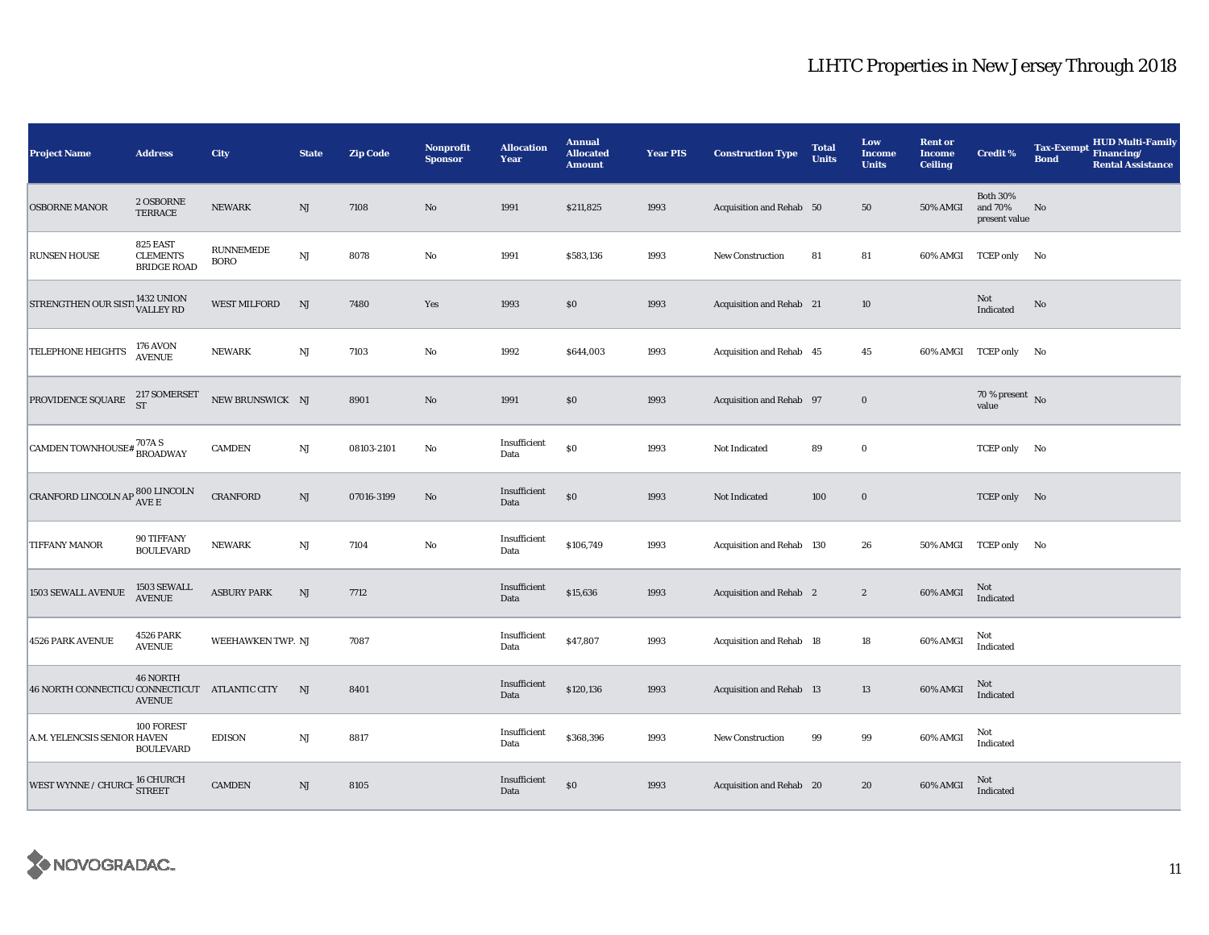| <b>Project Name</b>                                    | <b>Address</b>                                    | City                            | <b>State</b>  | <b>Zip Code</b> | <b>Nonprofit</b><br><b>Sponsor</b> | <b>Allocation</b><br>Year | <b>Annual</b><br><b>Allocated</b><br><b>Amount</b> | <b>Year PIS</b> | <b>Construction Type</b>  | <b>Total</b><br><b>Units</b> | Low<br><b>Income</b><br><b>Units</b> | <b>Rent or</b><br><b>Income</b><br><b>Ceiling</b> | <b>Credit %</b>                                   | <b>Tax-Exempt</b><br><b>Bond</b> | <b>HUD Multi-Family</b><br>Financing/<br><b>Rental Assistance</b> |
|--------------------------------------------------------|---------------------------------------------------|---------------------------------|---------------|-----------------|------------------------------------|---------------------------|----------------------------------------------------|-----------------|---------------------------|------------------------------|--------------------------------------|---------------------------------------------------|---------------------------------------------------|----------------------------------|-------------------------------------------------------------------|
| <b>OSBORNE MANOR</b>                                   | 2 OSBORNE<br>TERRACE                              | <b>NEWARK</b>                   | NJ            | 7108            | $\mathbf{N}\mathbf{o}$             | 1991                      | \$211,825                                          | 1993            | Acquisition and Rehab 50  |                              | 50                                   | 50% AMGI                                          | <b>Both 30%</b><br>and 70%<br>present value       | No                               |                                                                   |
| <b>RUNSEN HOUSE</b>                                    | 825 EAST<br><b>CLEMENTS</b><br><b>BRIDGE ROAD</b> | <b>RUNNEMEDE</b><br><b>BORO</b> | NJ            | 8078            | $\rm No$                           | 1991                      | \$583,136                                          | 1993            | <b>New Construction</b>   | 81                           | 81                                   |                                                   | 60% AMGI TCEP only No                             |                                  |                                                                   |
| STRENGTHEN OUR SIST 1432 UNION                         |                                                   | <b>WEST MILFORD</b>             | NJ            | 7480            | Yes                                | 1993                      | \$0                                                | 1993            | Acquisition and Rehab 21  |                              | 10                                   |                                                   | Not<br>$\label{thm:indicated} \textbf{Indicated}$ | No                               |                                                                   |
| TELEPHONE HEIGHTS                                      | <b>176 AVON</b><br><b>AVENUE</b>                  | <b>NEWARK</b>                   | NJ            | 7103            | $\rm No$                           | 1992                      | \$644,003                                          | 1993            | Acquisition and Rehab 45  |                              | 45                                   |                                                   | 60% AMGI TCEP only No                             |                                  |                                                                   |
| PROVIDENCE SQUARE                                      | $217$ SOMERSET $\operatorname{ST}$                | NEW BRUNSWICK NJ                |               | 8901            | $\mathbf{N}\mathbf{o}$             | 1991                      | \$0                                                | 1993            | Acquisition and Rehab 97  |                              | $\boldsymbol{0}$                     |                                                   | 70 % present $\sqrt{\ }$ No<br>value              |                                  |                                                                   |
| CAMDEN TOWNHOUSE# ${}^{707A}_{\text{BROADWAY}}$        |                                                   | <b>CAMDEN</b>                   | NJ            | 08103-2101      | No                                 | Insufficient<br>Data      | \$0                                                | 1993            | Not Indicated             | 89                           | $\bf{0}$                             |                                                   | TCEP only No                                      |                                  |                                                                   |
| CRANFORD LINCOLN AP $_{\rm AVE\,E}^{800\,\rm LINCOLN}$ |                                                   | <b>CRANFORD</b>                 | NJ            | 07016-3199      | No                                 | Insufficient<br>Data      | \$0                                                | 1993            | Not Indicated             | 100                          | $\bf{0}$                             |                                                   | TCEP only No                                      |                                  |                                                                   |
| TIFFANY MANOR                                          | 90 TIFFANY<br><b>BOULEVARD</b>                    | <b>NEWARK</b>                   | $_{\rm NJ}$   | 7104            | $\rm No$                           | Insufficient<br>Data      | \$106,749                                          | 1993            | Acquisition and Rehab 130 |                              | 26                                   | <b>50% AMGI</b>                                   | TCEP only No                                      |                                  |                                                                   |
| 1503 SEWALL AVENUE                                     | 1503 SEWALL<br>AVENUE                             | <b>ASBURY PARK</b>              | $\mathrm{NJ}$ | 7712            |                                    | Insufficient<br>Data      | \$15,636                                           | 1993            | Acquisition and Rehab 2   |                              | $\boldsymbol{2}$                     | 60% AMGI                                          | Not<br>Indicated                                  |                                  |                                                                   |
| 4526 PARK AVENUE                                       | <b>4526 PARK</b><br><b>AVENUE</b>                 | WEEHAWKEN TWP. NJ               |               | 7087            |                                    | Insufficient<br>Data      | \$47,807                                           | 1993            | Acquisition and Rehab 18  |                              | $18\,$                               | 60% AMGI                                          | Not<br>Indicated                                  |                                  |                                                                   |
| 46 NORTH CONNECTICU CONNECTICUT ATLANTIC CITY          | <b>46 NORTH</b><br><b>AVENUE</b>                  |                                 | NJ            | 8401            |                                    | Insufficient<br>Data      | \$120,136                                          | 1993            | Acquisition and Rehab 13  |                              | $13\,$                               | 60% AMGI                                          | Not<br>Indicated                                  |                                  |                                                                   |
| A.M. YELENCSIS SENIOR HAVEN                            | 100 FOREST<br><b>BOULEVARD</b>                    | <b>EDISON</b>                   | NJ            | 8817            |                                    | Insufficient<br>Data      | \$368,396                                          | 1993            | <b>New Construction</b>   | 99                           | 99                                   | 60% AMGI                                          | Not<br>Indicated                                  |                                  |                                                                   |
| WEST WYNNE / CHURCH 16 CHURCH                          |                                                   | <b>CAMDEN</b>                   | $\mathrm{NJ}$ | 8105            |                                    | Insufficient<br>Data      | \$0                                                | 1993            | Acquisition and Rehab 20  |                              | 20                                   | 60% AMGI                                          | Not<br>Indicated                                  |                                  |                                                                   |

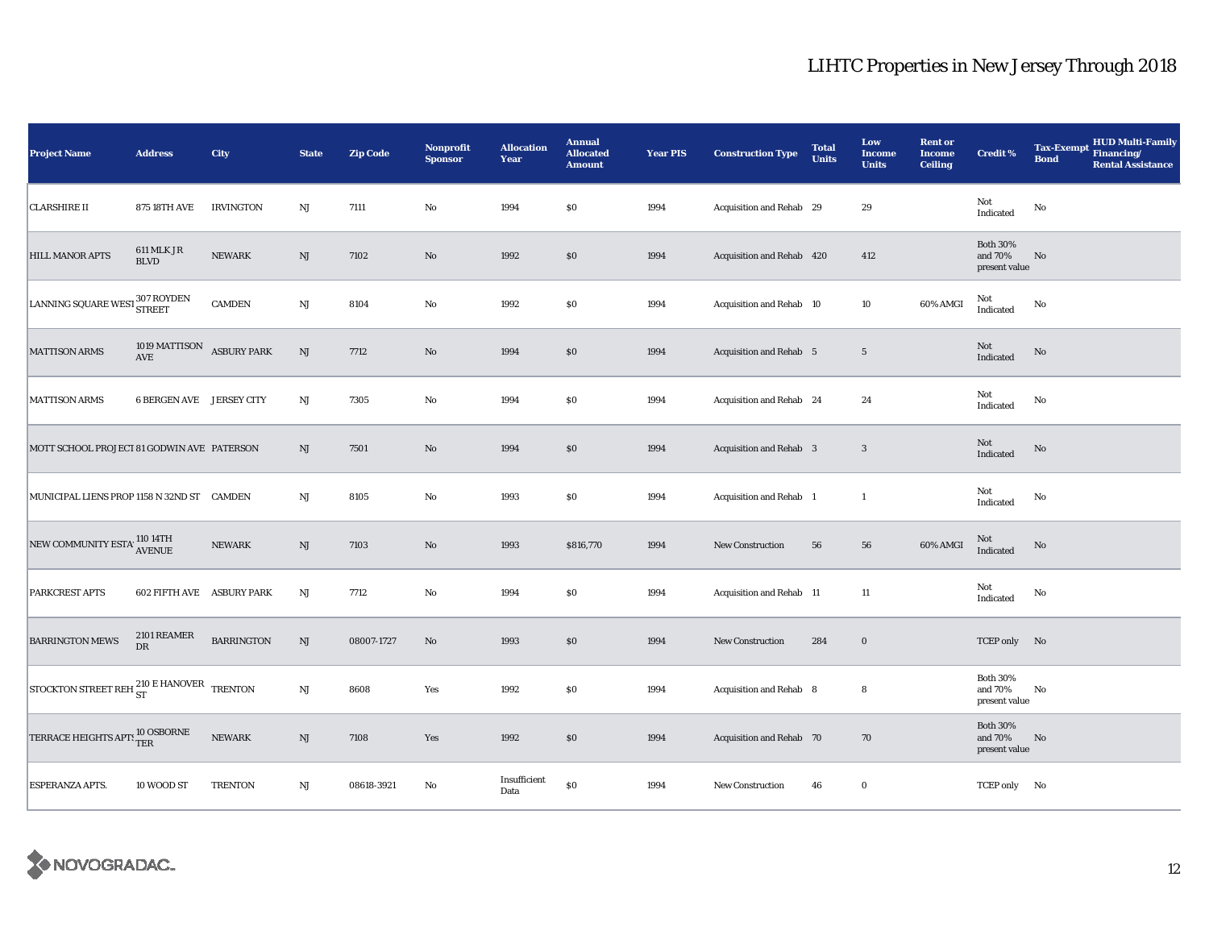| <b>Project Name</b>                                  | <b>Address</b>                  | City               | <b>State</b>           | <b>Zip Code</b> | Nonprofit<br><b>Sponsor</b> | <b>Allocation</b><br>Year | <b>Annual</b><br><b>Allocated</b><br><b>Amount</b> | <b>Year PIS</b> | <b>Construction Type</b>       | <b>Total</b><br><b>Units</b> | Low<br><b>Income</b><br><b>Units</b> | <b>Rent or</b><br><b>Income</b><br><b>Ceiling</b> | <b>Credit %</b>                             | <b>Tax-Exempt</b><br><b>Bond</b> | <b>HUD Multi-Family</b><br>Financing/<br><b>Rental Assistance</b> |
|------------------------------------------------------|---------------------------------|--------------------|------------------------|-----------------|-----------------------------|---------------------------|----------------------------------------------------|-----------------|--------------------------------|------------------------------|--------------------------------------|---------------------------------------------------|---------------------------------------------|----------------------------------|-------------------------------------------------------------------|
| <b>CLARSHIRE II</b>                                  | <b>875 18TH AVE</b>             | <b>IRVINGTON</b>   | NJ                     | 7111            | $\rm No$                    | 1994                      | \$0                                                | 1994            | Acquisition and Rehab 29       |                              | 29                                   |                                                   | Not<br>Indicated                            | No                               |                                                                   |
| <b>HILL MANOR APTS</b>                               | 611 MLK JR<br><b>BLVD</b>       | <b>NEWARK</b>      | NJ                     | 7102            | $\rm No$                    | 1992                      | $\$0$                                              | 1994            | Acquisition and Rehab 420      |                              | 412                                  |                                                   | <b>Both 30%</b><br>and 70%<br>present value | No                               |                                                                   |
| LANNING SQUARE WEST 307 ROYDEN                       |                                 | CAMDEN             | $\mathbf{N}\mathbf{J}$ | 8104            | No                          | 1992                      | \$0                                                | 1994            | Acquisition and Rehab 10       |                              | 10                                   | 60% AMGI                                          | Not<br>Indicated                            | No                               |                                                                   |
| <b>MATTISON ARMS</b>                                 | 1019 MATTISON<br>AVE            | <b>ASBURY PARK</b> | $\mathbf{N}\mathbf{J}$ | 7712            | $\rm No$                    | 1994                      | \$0                                                | 1994            | <b>Acquisition and Rehab 5</b> |                              | $5\phantom{.0}$                      |                                                   | Not<br>Indicated                            | No                               |                                                                   |
| <b>MATTISON ARMS</b>                                 | <b>6 BERGEN AVE JERSEY CITY</b> |                    | NJ                     | 7305            | No                          | 1994                      | $\$0$                                              | 1994            | Acquisition and Rehab 24       |                              | 24                                   |                                                   | Not<br>Indicated                            | No                               |                                                                   |
| MOTT SCHOOL PROJECT 81 GODWIN AVE PATERSON           |                                 |                    | NJ                     | 7501            | $\rm No$                    | 1994                      | $\$0$                                              | 1994            | Acquisition and Rehab 3        |                              | $\mathbf{3}$                         |                                                   | $\operatorname{\mathsf{Not}}$<br>Indicated  | $\rm No$                         |                                                                   |
| MUNICIPAL LIENS PROP 1158 N 32ND ST CAMDEN           |                                 |                    | NJ                     | 8105            | No                          | 1993                      | \$0                                                | 1994            | <b>Acquisition and Rehab 1</b> |                              | $\mathbf{1}$                         |                                                   | Not<br>Indicated                            | No                               |                                                                   |
| NEW COMMUNITY ESTA' 110 14TH                         |                                 | <b>NEWARK</b>      | $\rm{NJ}$              | 7103            | $\rm No$                    | 1993                      | \$816,770                                          | 1994            | <b>New Construction</b>        | 56                           | 56                                   | 60% AMGI                                          | $\rm Not$ Indicated                         | No                               |                                                                   |
| PARKCREST APTS                                       | 602 FIFTH AVE ASBURY PARK       |                    | NJ                     | 7712            | No                          | 1994                      | \$0                                                | 1994            | Acquisition and Rehab 11       |                              | $11\,$                               |                                                   | Not<br>Indicated                            | No                               |                                                                   |
| <b>BARRINGTON MEWS</b>                               | 2101 REAMER<br>DR               | <b>BARRINGTON</b>  | $\mathrm{NJ}$          | 08007-1727      | $\rm No$                    | 1993                      | \$0                                                | 1994            | New Construction               | 284                          | $\bf{0}$                             |                                                   | TCEP only No                                |                                  |                                                                   |
| STOCKTON STREET REH <sup>210</sup> E HANOVER TRENTON |                                 |                    | $\mathbf{N}\mathbf{J}$ | 8608            | Yes                         | 1992                      | \$0                                                | 1994            | Acquisition and Rehab 8        |                              | 8                                    |                                                   | <b>Both 30%</b><br>and 70%<br>present value | No                               |                                                                   |
| TERRACE HEIGHTS APT: 10 OSBORNE                      |                                 | NEWARK             | NJ                     | 7108            | Yes                         | 1992                      | \$0                                                | 1994            | Acquisition and Rehab 70       |                              | 70                                   |                                                   | <b>Both 30%</b><br>and 70%<br>present value | No                               |                                                                   |
| <b>ESPERANZA APTS.</b>                               | 10 WOOD ST                      | <b>TRENTON</b>     | NJ                     | 08618-3921      | No                          | Insufficient<br>Data      | $\$0$                                              | 1994            | New Construction               | 46                           | $\bf{0}$                             |                                                   | TCEP only No                                |                                  |                                                                   |

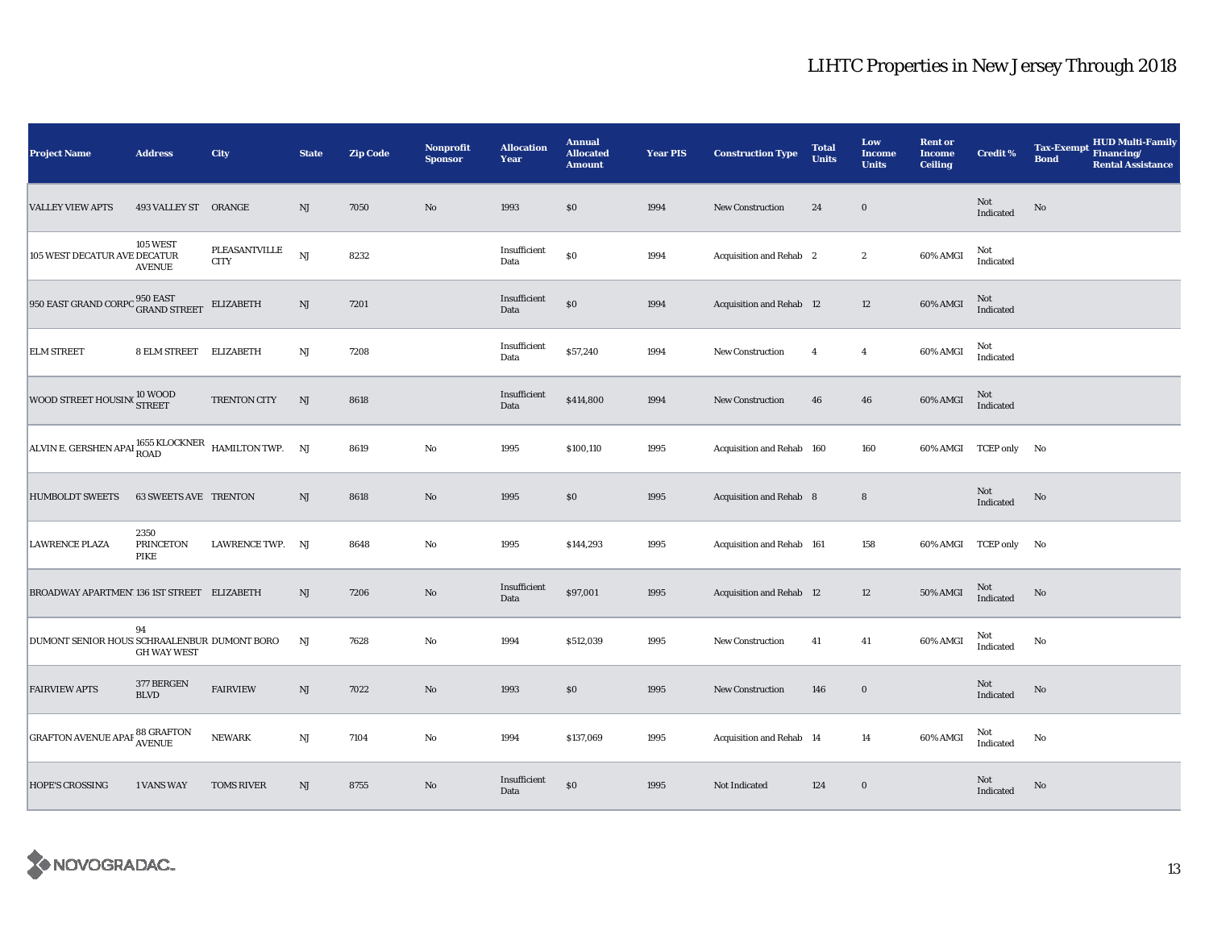| <b>Project Name</b>                                                   | <b>Address</b>                          | <b>City</b>                  | <b>State</b> | <b>Zip Code</b> | <b>Nonprofit</b><br><b>Sponsor</b> | <b>Allocation</b><br>Year | <b>Annual</b><br><b>Allocated</b><br><b>Amount</b> | <b>Year PIS</b> | <b>Construction Type</b>       | <b>Total</b><br><b>Units</b> | Low<br><b>Income</b><br><b>Units</b> | <b>Rent or</b><br><b>Income</b><br><b>Ceiling</b> | <b>Credit %</b>       | <b>Tax-Exempt</b><br><b>Bond</b> | <b>HUD Multi-Family</b><br>Financing/<br><b>Rental Assistance</b> |
|-----------------------------------------------------------------------|-----------------------------------------|------------------------------|--------------|-----------------|------------------------------------|---------------------------|----------------------------------------------------|-----------------|--------------------------------|------------------------------|--------------------------------------|---------------------------------------------------|-----------------------|----------------------------------|-------------------------------------------------------------------|
| <b>VALLEY VIEW APTS</b>                                               | 493 VALLEY ST ORANGE                    |                              | $\rm{NJ}$    | 7050            | $\rm No$                           | 1993                      | $\$0$                                              | 1994            | <b>New Construction</b>        | 24                           | $\mathbf 0$                          |                                                   | Not<br>Indicated      | No                               |                                                                   |
| 105 WEST DECATUR AVE DECATUR                                          | <b>105 WEST</b><br><b>AVENUE</b>        | PLEASANTVILLE<br><b>CITY</b> | NJ           | 8232            |                                    | Insufficient<br>Data      | $\$0$                                              | 1994            | Acquisition and Rehab 2        |                              | $\boldsymbol{2}$                     | 60% AMGI                                          | Not<br>Indicated      |                                  |                                                                   |
| 950 EAST GRAND CORPO <sup>950 EAST</sup> GRAND STREET                 |                                         | <b>ELIZABETH</b>             | NJ           | 7201            |                                    | Insufficient<br>Data      | $\$0$                                              | 1994            | Acquisition and Rehab 12       |                              | 12                                   | 60% AMGI                                          | Not<br>Indicated      |                                  |                                                                   |
| <b>ELM STREET</b>                                                     | 8 ELM STREET                            | <b>ELIZABETH</b>             | NJ           | 7208            |                                    | Insufficient<br>Data      | \$57,240                                           | 1994            | <b>New Construction</b>        | $\overline{4}$               | $\overline{4}$                       | 60% AMGI                                          | Not<br>Indicated      |                                  |                                                                   |
| WOOD STREET HOUSING TREET                                             |                                         | TRENTON CITY                 | NJ           | 8618            |                                    | Insufficient<br>Data      | \$414,800                                          | 1994            | <b>New Construction</b>        | 46                           | 46                                   | 60% AMGI                                          | Not<br>Indicated      |                                  |                                                                   |
| ALVIN E. GERSHEN APAI $_{\rm{ROAD}}^{1655}$ KLOCKNER HAMILTON TWP. NJ |                                         |                              |              | 8619            | $\rm No$                           | 1995                      | \$100,110                                          | 1995            | Acquisition and Rehab 160      |                              | 160                                  |                                                   | 60% AMGI TCEP only No |                                  |                                                                   |
| <b>HUMBOLDT SWEETS</b>                                                | <b>63 SWEETS AVE TRENTON</b>            |                              | NJ           | 8618            | No                                 | 1995                      | \$0                                                | 1995            | <b>Acquisition and Rehab 8</b> |                              | 8                                    |                                                   | Not<br>Indicated      | No                               |                                                                   |
| <b>LAWRENCE PLAZA</b>                                                 | 2350<br><b>PRINCETON</b><br><b>PIKE</b> | LAWRENCE TWP.                | NJ           | 8648            | No                                 | 1995                      | \$144,293                                          | 1995            | Acquisition and Rehab 161      |                              | 158                                  | 60% AMGI TCEP only                                |                       | No                               |                                                                   |
| BROADWAY APARTMEN' 136 1ST STREET ELIZABETH                           |                                         |                              | NJ           | 7206            | $\rm No$                           | Insufficient<br>Data      | \$97,001                                           | 1995            | Acquisition and Rehab 12       |                              | 12                                   | 50% AMGI                                          | Not<br>Indicated      | No                               |                                                                   |
| DUMONT SENIOR HOUS SCHRAALENBUR DUMONT BORO                           | 94<br><b>GH WAY WEST</b>                |                              | NJ           | 7628            | No                                 | 1994                      | \$512,039                                          | 1995            | New Construction               | 41                           | 41                                   | 60% AMGI                                          | Not<br>Indicated      | No                               |                                                                   |
| <b>FAIRVIEW APTS</b>                                                  | 377 BERGEN<br><b>BLVD</b>               | <b>FAIRVIEW</b>              | NJ           | 7022            | $\rm No$                           | 1993                      | $\$0$                                              | 1995            | <b>New Construction</b>        | 146                          | $\bf{0}$                             |                                                   | Not<br>Indicated      | No                               |                                                                   |
| GRAFTON AVENUE APAF <sup>88</sup> GRAFTON                             |                                         | <b>NEWARK</b>                | NJ           | 7104            | No                                 | 1994                      | \$137,069                                          | 1995            | Acquisition and Rehab 14       |                              | 14                                   | 60% AMGI                                          | Not<br>Indicated      | No                               |                                                                   |
| <b>HOPE'S CROSSING</b>                                                | <b>1 VANS WAY</b>                       | <b>TOMS RIVER</b>            | NJ           | 8755            | $\rm No$                           | Insufficient<br>Data      | $\$0$                                              | 1995            | Not Indicated                  | 124                          | $\mathbf 0$                          |                                                   | Not<br>Indicated      | No                               |                                                                   |

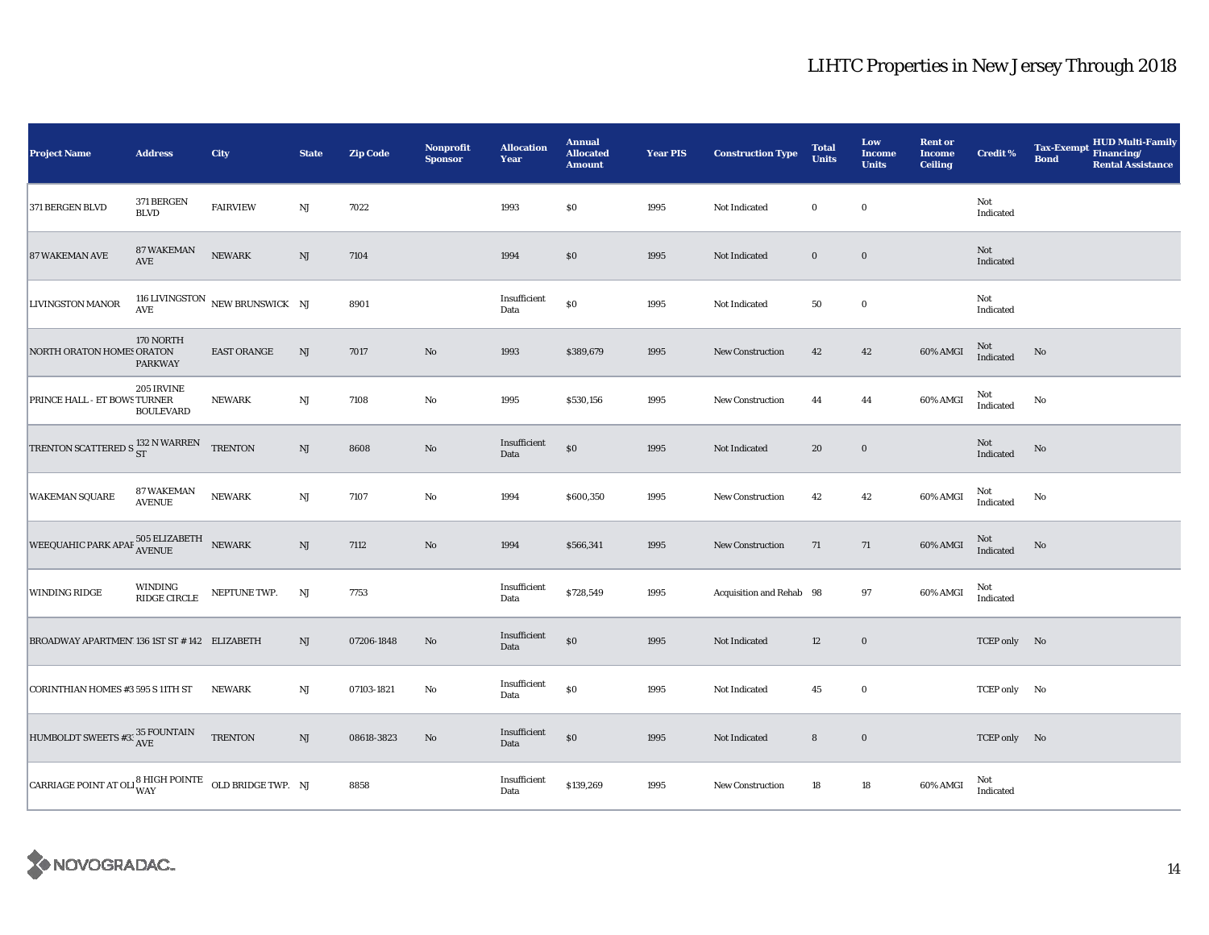| <b>Project Name</b>                                                         | <b>Address</b>                                  | City                                | <b>State</b>           | <b>Zip Code</b> | Nonprofit<br><b>Sponsor</b> | <b>Allocation</b><br>Year | <b>Annual</b><br><b>Allocated</b><br><b>Amount</b> | <b>Year PIS</b> | <b>Construction Type</b> | <b>Total</b><br><b>Units</b> | Low<br><b>Income</b><br><b>Units</b> | <b>Rent or</b><br><b>Income</b><br><b>Ceiling</b> | <b>Credit %</b>  | <b>Tax-Exempt</b><br><b>Bond</b> | ${\bf HUD}$ Multi-Family<br>${\bf Financial}$<br><b>Rental Assistance</b> |
|-----------------------------------------------------------------------------|-------------------------------------------------|-------------------------------------|------------------------|-----------------|-----------------------------|---------------------------|----------------------------------------------------|-----------------|--------------------------|------------------------------|--------------------------------------|---------------------------------------------------|------------------|----------------------------------|---------------------------------------------------------------------------|
| 371 BERGEN BLVD                                                             | 371 BERGEN<br><b>BLVD</b>                       | <b>FAIRVIEW</b>                     | NJ                     | 7022            |                             | 1993                      | \$0                                                | 1995            | Not Indicated            | $\bf{0}$                     | $\bf{0}$                             |                                                   | Not<br>Indicated |                                  |                                                                           |
| <b>87 WAKEMAN AVE</b>                                                       | 87 WAKEMAN<br>AVE                               | <b>NEWARK</b>                       | $\mathbf{N}\mathbf{J}$ | 7104            |                             | 1994                      | $\$0$                                              | 1995            | Not Indicated            | $\mathbf 0$                  | $\boldsymbol{0}$                     |                                                   | Not<br>Indicated |                                  |                                                                           |
| LIVINGSTON MANOR                                                            |                                                 | 116 LIVINGSTON NEW BRUNSWICK NJ AVE |                        | 8901            |                             | Insufficient<br>Data      | $\$0$                                              | 1995            | Not Indicated            | ${\bf 50}$                   | $\mathbf 0$                          |                                                   | Not<br>Indicated |                                  |                                                                           |
| NORTH ORATON HOMES ORATON                                                   | 170 NORTH<br><b>PARKWAY</b>                     | <b>EAST ORANGE</b>                  | $\rm{NJ}$              | 7017            | No                          | 1993                      | \$389,679                                          | 1995            | New Construction         | 42                           | 42                                   | 60% AMGI                                          | Not<br>Indicated | $\rm No$                         |                                                                           |
| PRINCE HALL - ET BOWS TURNER                                                | 205 IRVINE<br><b>BOULEVARD</b>                  | <b>NEWARK</b>                       | $\mathbf{N}\mathbf{J}$ | 7108            | $\rm No$                    | 1995                      | \$530,156                                          | 1995            | New Construction         | 44                           | 44                                   | 60% AMGI                                          | Not<br>Indicated | No                               |                                                                           |
| TRENTON SCATTERED S $^{132}_{\rm ST}$ N WARREN                              |                                                 | <b>TRENTON</b>                      | $\rm{NJ}$              | 8608            | No                          | Insufficient<br>Data      | $\$0$                                              | 1995            | Not Indicated            | 20                           | $\boldsymbol{0}$                     |                                                   | Not<br>Indicated | No                               |                                                                           |
| <b>WAKEMAN SQUARE</b>                                                       | <b>87 WAKEMAN</b><br><b>AVENUE</b>              | <b>NEWARK</b>                       | $\mathbf{N}\mathbf{J}$ | 7107            | $\rm No$                    | 1994                      | \$600,350                                          | 1995            | New Construction         | 42                           | 42                                   | 60% AMGI                                          | Not<br>Indicated | No                               |                                                                           |
| WEEQUAHIC PARK APAF $^{505}_{\mbox{AVENUE}}$ NEWARK                         |                                                 |                                     | $\rm{NJ}$              | 7112            | No                          | 1994                      | \$566,341                                          | 1995            | <b>New Construction</b>  | 71                           | 71                                   | 60% AMGI                                          | Not<br>Indicated | No                               |                                                                           |
| <b>WINDING RIDGE</b>                                                        | $\ensuremath{\mathsf{WINDING}}$<br>RIDGE CIRCLE | NEPTUNE TWP.                        | NJ                     | 7753            |                             | Insufficient<br>Data      | \$728,549                                          | 1995            | Acquisition and Rehab 98 |                              | 97                                   | 60% AMGI                                          | Not<br>Indicated |                                  |                                                                           |
| BROADWAY APARTMEN' 136 1ST ST # 142 ELIZABETH                               |                                                 |                                     | NJ                     | 07206-1848      | No                          | Insufficient<br>Data      | $\$0$                                              | 1995            | Not Indicated            | 12                           | $\boldsymbol{0}$                     |                                                   | TCEP only No     |                                  |                                                                           |
| CORINTHIAN HOMES #3 595 S 11TH ST                                           |                                                 | <b>NEWARK</b>                       | NJ                     | 07103-1821      | No                          | Insufficient<br>Data      | $\$0$                                              | 1995            | Not Indicated            | 45                           | $\bf{0}$                             |                                                   | TCEP only No     |                                  |                                                                           |
| HUMBOLDT SWEETS #3: $\frac{35 \text{ FOUNTAIN}}{\text{AVE}}$                |                                                 | <b>TRENTON</b>                      | $\mathrm{NJ}$          | 08618-3823      | No                          | Insufficient<br>Data      | $\$0$                                              | 1995            | Not Indicated            | ${\bf 8}$                    | $\boldsymbol{0}$                     |                                                   | TCEP only No     |                                  |                                                                           |
| CARRIAGE POINT AT OLI $_{\rm WAY}^{\rm 8\,HIGH\,POINTE}$ OLD BRIDGE TWP. NJ |                                                 |                                     |                        | 8858            |                             | Insufficient<br>Data      | \$139,269                                          | 1995            | New Construction         | 18                           | $18\,$                               | 60% AMGI                                          | Not<br>Indicated |                                  |                                                                           |

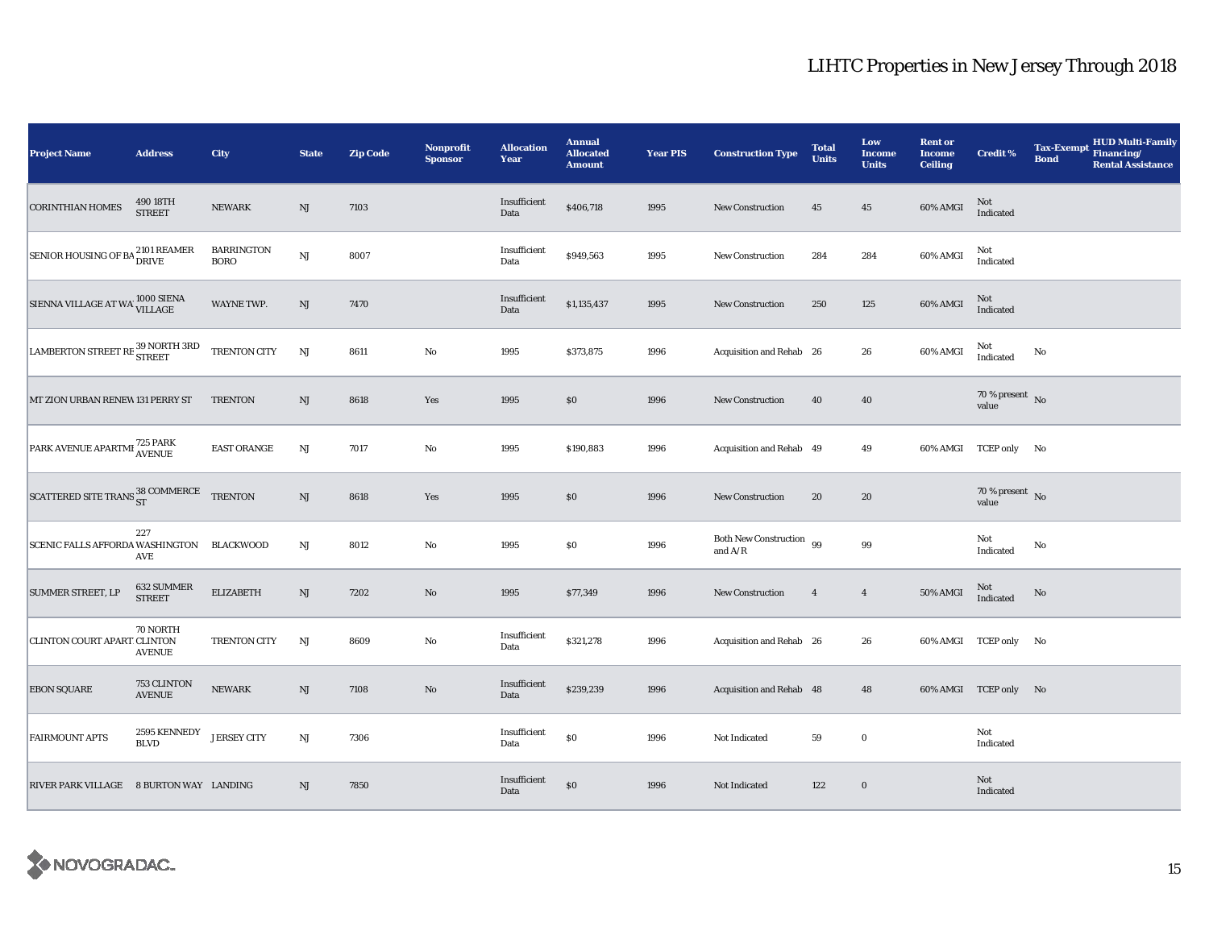| <b>Project Name</b>                                  | <b>Address</b>               | City                             | <b>State</b>  | <b>Zip Code</b> | Nonprofit<br><b>Sponsor</b> | <b>Allocation</b><br>Year | <b>Annual</b><br><b>Allocated</b><br><b>Amount</b> | <b>Year PIS</b> | <b>Construction Type</b>              | <b>Total</b><br><b>Units</b> | Low<br><b>Income</b><br><b>Units</b> | <b>Rent or</b><br><b>Income</b><br><b>Ceiling</b> | <b>Credit %</b>                    | <b>Tax-Exempt</b><br><b>Bond</b> | HUD Multi-Family<br>Financing/<br><b>Rental Assistance</b> |
|------------------------------------------------------|------------------------------|----------------------------------|---------------|-----------------|-----------------------------|---------------------------|----------------------------------------------------|-----------------|---------------------------------------|------------------------------|--------------------------------------|---------------------------------------------------|------------------------------------|----------------------------------|------------------------------------------------------------|
| <b>CORINTHIAN HOMES</b>                              | 490 18TH<br><b>STREET</b>    | <b>NEWARK</b>                    | $\mathrm{NJ}$ | 7103            |                             | Insufficient<br>Data      | \$406,718                                          | 1995            | <b>New Construction</b>               | 45                           | $\bf 45$                             | 60% AMGI                                          | Not<br>Indicated                   |                                  |                                                            |
| SENIOR HOUSING OF BA <sup>2101</sup> REAMER<br>DRIVE |                              | <b>BARRINGTON</b><br><b>BORO</b> | NJ            | 8007            |                             | Insufficient<br>Data      | \$949,563                                          | 1995            | <b>New Construction</b>               | 284                          | 284                                  | 60% AMGI                                          | Not<br>Indicated                   |                                  |                                                            |
| SIENNA VILLAGE AT WA 1000 SIENA                      |                              | WAYNE TWP.                       | $\rm{NJ}$     | 7470            |                             | Insufficient<br>Data      | \$1,135,437                                        | 1995            | <b>New Construction</b>               | 250                          | 125                                  | 60% AMGI                                          | Not<br>Indicated                   |                                  |                                                            |
| LAMBERTON STREET RE <sup>39</sup> NORTH 3RD          |                              | TRENTON CITY                     | NJ            | 8611            | No                          | 1995                      | \$373,875                                          | 1996            | Acquisition and Rehab 26              |                              | 26                                   | 60% AMGI                                          | Not<br>Indicated                   | No                               |                                                            |
| MT ZION URBAN RENEW 131 PERRY ST                     |                              | <b>TRENTON</b>                   | NJ            | 8618            | Yes                         | 1995                      | \$0                                                | 1996            | New Construction                      | 40                           | 40                                   |                                                   | $70$ % present $$\rm \, No$$ value |                                  |                                                            |
| PARK AVENUE APARTMI 725 PARK                         |                              | EAST ORANGE                      | NJ            | 7017            | $\mathbf{No}$               | 1995                      | \$190,883                                          | 1996            | Acquisition and Rehab 49              |                              | 49                                   |                                                   | 60% AMGI TCEP only No              |                                  |                                                            |
| SCATTERED SITE TRANS ST COMMERCE TRENTON             |                              |                                  | $\mathrm{NJ}$ | 8618            | Yes                         | 1995                      | \$0                                                | 1996            | <b>New Construction</b>               | 20                           | 20                                   |                                                   | 70 % present $\hbox{~No}$<br>value |                                  |                                                            |
| SCENIC FALLS AFFORDA WASHINGTON BLACKWOOD            | 227<br>AVE                   |                                  | NJ            | 8012            | $\rm No$                    | 1995                      | \$0                                                | 1996            | Both New Construction 99<br>and $A/R$ |                              | 99                                   |                                                   | Not<br>Indicated                   | No                               |                                                            |
| <b>SUMMER STREET, LP</b>                             | 632 SUMMER<br><b>STREET</b>  | <b>ELIZABETH</b>                 | NJ            | 7202            | $\mathbf{No}$               | 1995                      | \$77,349                                           | 1996            | New Construction                      | $\overline{4}$               | $\overline{4}$                       | 50% AMGI                                          | Not<br>Indicated                   | No                               |                                                            |
| CLINTON COURT APART CLINTON                          | 70 NORTH<br><b>AVENUE</b>    | <b>TRENTON CITY</b>              | NJ            | 8609            | No                          | Insufficient<br>Data      | \$321,278                                          | 1996            | Acquisition and Rehab 26              |                              | 26                                   |                                                   | 60% AMGI TCEP only No              |                                  |                                                            |
| <b>EBON SQUARE</b>                                   | 753 CLINTON<br><b>AVENUE</b> | <b>NEWARK</b>                    | NJ            | 7108            | $\rm No$                    | Insufficient<br>Data      | \$239,239                                          | 1996            | Acquisition and Rehab 48              |                              | 48                                   |                                                   | 60% AMGI TCEP only No              |                                  |                                                            |
| <b>FAIRMOUNT APTS</b>                                | 2595 KENNEDY<br><b>BLVD</b>  | <b>JERSEY CITY</b>               | NJ            | 7306            |                             | Insufficient<br>Data      | $\$0$                                              | 1996            | Not Indicated                         | 59                           | $\mathbf 0$                          |                                                   | Not<br>Indicated                   |                                  |                                                            |
| RIVER PARK VILLAGE 8 BURTON WAY LANDING              |                              |                                  | NJ            | 7850            |                             | Insufficient<br>Data      | \$0                                                | 1996            | Not Indicated                         | 122                          | $\bf{0}$                             |                                                   | Not<br>Indicated                   |                                  |                                                            |

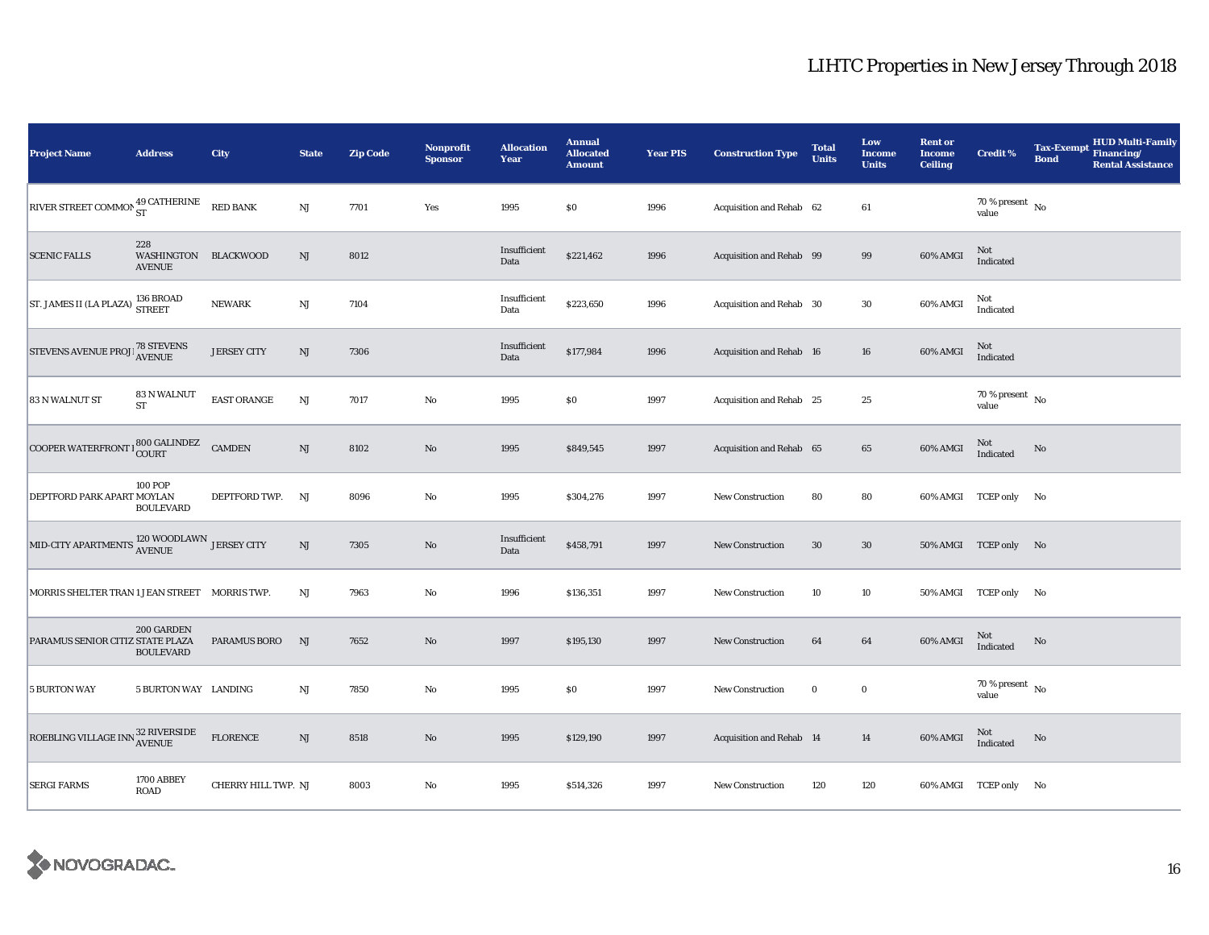| <b>Project Name</b>                                            | <b>Address</b>                               | City                | <b>State</b>           | <b>Zip Code</b> | <b>Nonprofit</b><br><b>Sponsor</b> | <b>Allocation</b><br>Year | <b>Annual</b><br><b>Allocated</b><br><b>Amount</b> | <b>Year PIS</b> | <b>Construction Type</b> | <b>Total</b><br><b>Units</b> | Low<br><b>Income</b><br><b>Units</b> | <b>Rent or</b><br><b>Income</b><br><b>Ceiling</b> | <b>Credit %</b>                    | <b>Tax-Exempt</b><br><b>Bond</b> | <b>HUD Multi-Family</b><br>Financing/<br><b>Rental Assistance</b> |
|----------------------------------------------------------------|----------------------------------------------|---------------------|------------------------|-----------------|------------------------------------|---------------------------|----------------------------------------------------|-----------------|--------------------------|------------------------------|--------------------------------------|---------------------------------------------------|------------------------------------|----------------------------------|-------------------------------------------------------------------|
| RIVER STREET COMMON 49 CATHERINE                               |                                              | <b>RED BANK</b>     | NJ                     | 7701            | Yes                                | 1995                      | \$0                                                | 1996            | Acquisition and Rehab 62 |                              | 61                                   |                                                   | 70 % present $\hbox{~No}$<br>value |                                  |                                                                   |
| <b>SCENIC FALLS</b>                                            | 228<br>WASHINGTON BLACKWOOD<br><b>AVENUE</b> |                     | $\mathbf{N}\mathbf{J}$ | 8012            |                                    | Insufficient<br>Data      | \$221,462                                          | 1996            | Acquisition and Rehab 99 |                              | 99                                   | 60% AMGI                                          | Not<br>Indicated                   |                                  |                                                                   |
| ST. JAMES II (LA PLAZA) <sup>136</sup> BROAD                   |                                              | ${\bf NEWARK}$      | $\mathbf{N}\mathbf{J}$ | 7104            |                                    | Insufficient<br>Data      | \$223,650                                          | 1996            | Acquisition and Rehab 30 |                              | 30                                   | 60% AMGI                                          | Not<br>Indicated                   |                                  |                                                                   |
| STEVENS AVENUE PROJE <sup>78</sup> STEVENS                     |                                              | <b>JERSEY CITY</b>  | $\mathbf{N}\mathbf{J}$ | 7306            |                                    | Insufficient<br>Data      | \$177,984                                          | 1996            | Acquisition and Rehab 16 |                              | ${\bf 16}$                           | 60% AMGI                                          | $\rm Not$ Indicated                |                                  |                                                                   |
| 83 N WALNUT ST                                                 | <b>83 N WALNUT</b><br><b>ST</b>              | <b>EAST ORANGE</b>  | $\mathbf{N}\mathbf{J}$ | 7017            | No                                 | 1995                      | \$0                                                | 1997            | Acquisition and Rehab 25 |                              | $\bf 25$                             |                                                   | 70 % present $\hbox{~No}$<br>value |                                  |                                                                   |
| COOPER WATERFRONT   800 GALINDEZ                               |                                              | <b>CAMDEN</b>       | $\mathbf{N}\mathbf{J}$ | 8102            | $\rm No$                           | 1995                      | \$849,545                                          | 1997            | Acquisition and Rehab 65 |                              | 65                                   | 60% AMGI                                          | Not<br>Indicated                   | No                               |                                                                   |
| DEPTFORD PARK APART MOYLAN                                     | <b>100 POP</b><br><b>BOULEVARD</b>           | DEPTFORD TWP.       | NJ                     | 8096            | No                                 | 1995                      | \$304,276                                          | 1997            | <b>New Construction</b>  | 80                           | 80                                   |                                                   | 60% AMGI TCEP only No              |                                  |                                                                   |
| MID-CITY APARTMENTS $_{\rm AVENUE}^{120}$ WOODLAWN JERSEY CITY |                                              |                     | $_{\rm NJ}$            | 7305            | $\rm No$                           | Insufficient<br>Data      | \$458,791                                          | 1997            | New Construction         | 30                           | $30\,$                               |                                                   | 50% AMGI TCEP only No              |                                  |                                                                   |
| MORRIS SHELTER TRAN 1 JEAN STREET MORRIS TWP.                  |                                              |                     | $_{\rm NJ}$            | 7963            | No                                 | 1996                      | \$136,351                                          | 1997            | <b>New Construction</b>  | 10                           | 10                                   |                                                   | 50% AMGI TCEP only No              |                                  |                                                                   |
| PARAMUS SENIOR CITIZ STATE PLAZA                               | 200 GARDEN<br><b>BOULEVARD</b>               | <b>PARAMUS BORO</b> | NJ                     | 7652            | $\rm No$                           | 1997                      | \$195,130                                          | 1997            | <b>New Construction</b>  | 64                           | $\bf{64}$                            | 60% AMGI                                          | Not<br>Indicated                   | No                               |                                                                   |
| <b>5 BURTON WAY</b>                                            | 5 BURTON WAY LANDING                         |                     | NJ                     | 7850            | No                                 | 1995                      | \$0                                                | 1997            | New Construction         | $\bf{0}$                     | $\bf{0}$                             |                                                   | 70 % present $\hbox{~No}$<br>value |                                  |                                                                   |
| ROEBLING VILLAGE INN $_{\rm AVENUE}^{32}$ RIVERSIDE            |                                              | <b>FLORENCE</b>     | $_{\rm NJ}$            | 8518            | $\rm No$                           | 1995                      | \$129,190                                          | 1997            | Acquisition and Rehab 14 |                              | 14                                   | 60% AMGI                                          | $\rm Not$ Indicated                | $\rm No$                         |                                                                   |
| <b>SERGI FARMS</b>                                             | 1700 ABBEY<br>ROAD                           | CHERRY HILL TWP. NJ |                        | 8003            | $\rm No$                           | 1995                      | \$514,326                                          | 1997            | <b>New Construction</b>  | 120                          | 120                                  |                                                   | 60% AMGI TCEP only No              |                                  |                                                                   |

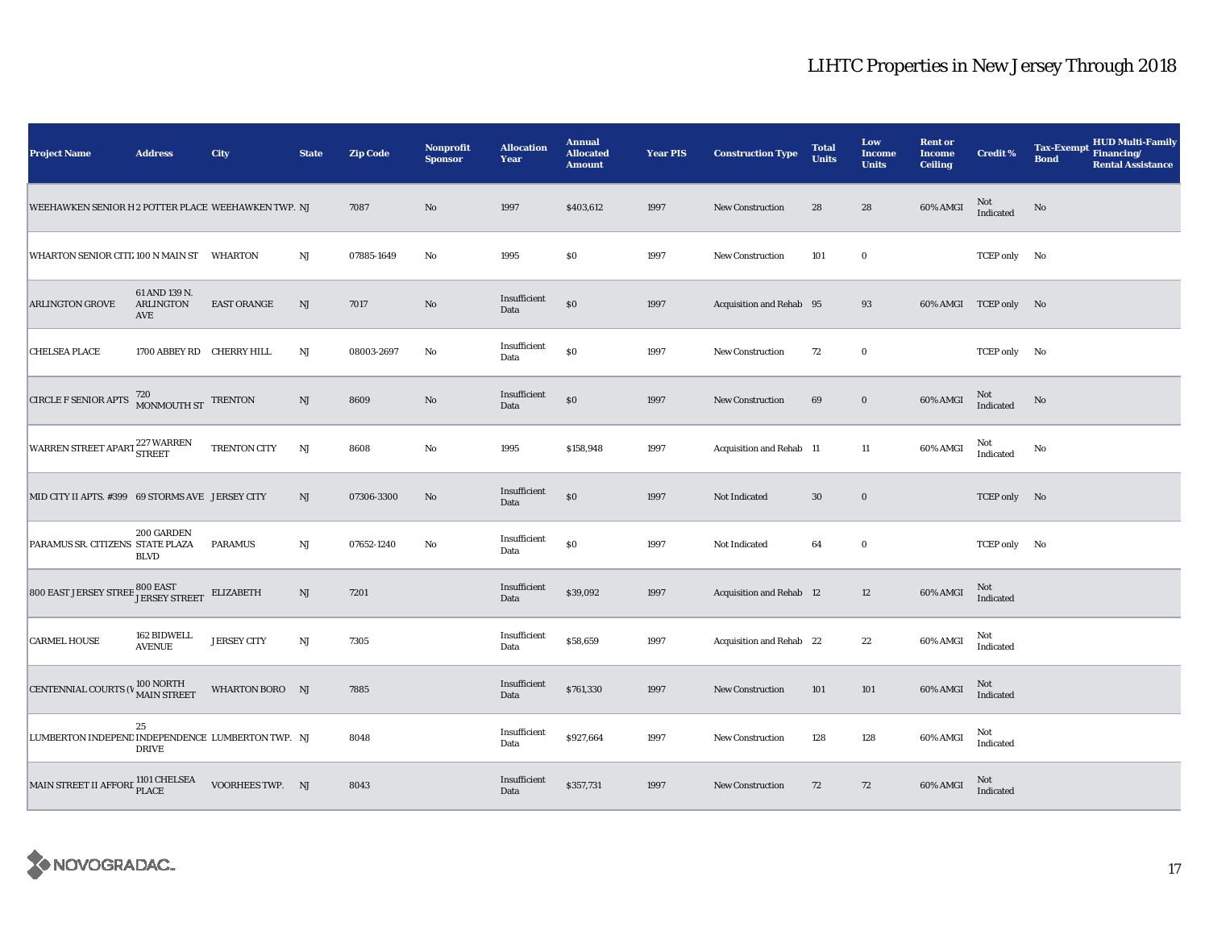| <b>Project Name</b>                                                                                                                           | <b>Address</b>                    | City               | <b>State</b> | <b>Zip Code</b> | <b>Nonprofit</b><br><b>Sponsor</b> | <b>Allocation</b><br>Year | <b>Annual</b><br><b>Allocated</b><br><b>Amount</b> | <b>Year PIS</b> | <b>Construction Type</b> | <b>Total</b><br><b>Units</b> | Low<br>Income<br><b>Units</b> | <b>Rent or</b><br><b>Income</b><br><b>Ceiling</b> | <b>Credit %</b>       | <b>HUD Multi-Family</b><br><b>Tax-Exempt</b><br>Financing/<br><b>Bond</b><br><b>Rental Assistance</b> |
|-----------------------------------------------------------------------------------------------------------------------------------------------|-----------------------------------|--------------------|--------------|-----------------|------------------------------------|---------------------------|----------------------------------------------------|-----------------|--------------------------|------------------------------|-------------------------------|---------------------------------------------------|-----------------------|-------------------------------------------------------------------------------------------------------|
| WEEHAWKEN SENIOR H 2 POTTER PLACE WEEHAWKEN TWP. NJ                                                                                           |                                   |                    |              | 7087            | No                                 | 1997                      | \$403,612                                          | 1997            | <b>New Construction</b>  | 28                           | 28                            | 60% AMGI                                          | Not<br>Indicated      | No                                                                                                    |
| WHARTON SENIOR CITL 100 N MAIN ST    WHARTON                                                                                                  |                                   |                    | NJ           | 07885-1649      | No                                 | 1995                      | \$0                                                | 1997            | <b>New Construction</b>  | 101                          | $\bf{0}$                      |                                                   | TCEP only No          |                                                                                                       |
| <b>ARLINGTON GROVE</b>                                                                                                                        | 61 AND 139 N.<br>ARLINGTON<br>AVE | <b>EAST ORANGE</b> | NJ           | 7017            | $\rm No$                           | Insufficient<br>Data      | $\$0$                                              | 1997            | Acquisition and Rehab 95 |                              | 93                            |                                                   | 60% AMGI TCEP only No |                                                                                                       |
| <b>CHELSEA PLACE</b>                                                                                                                          | 1700 ABBEY RD CHERRY HILL         |                    | NJ           | 08003-2697      | No                                 | Insufficient<br>Data      | $\$0$                                              | 1997            | New Construction         | 72                           | $\mathbf 0$                   |                                                   | TCEP only No          |                                                                                                       |
| <b>CIRCLE F SENIOR APTS</b>                                                                                                                   | $720\,$ MONMOUTH ST $\,$ TRENTON  |                    | NJ           | 8609            | $\rm No$                           | Insufficient<br>Data      | $\$0$                                              | 1997            | <b>New Construction</b>  | 69                           | $\bf{0}$                      | 60% AMGI                                          | Not<br>Indicated      | $\rm No$                                                                                              |
| WARREN STREET APART <sup>227</sup> WARREN                                                                                                     |                                   | TRENTON CITY       | NJ           | 8608            | No                                 | 1995                      | \$158,948                                          | 1997            | Acquisition and Rehab 11 |                              | 11                            | 60% AMGI                                          | Not<br>Indicated      | No                                                                                                    |
| MID CITY II APTS. #399 69 STORMS AVE JERSEY CITY                                                                                              |                                   |                    | NJ           | 07306-3300      | No                                 | Insufficient<br>Data      | $\$0$                                              | 1997            | Not Indicated            | 30                           | $\mathbf 0$                   |                                                   | TCEP only No          |                                                                                                       |
| PARAMUS SR. CITIZENS STATE PLAZA                                                                                                              | 200 GARDEN<br><b>BLVD</b>         | <b>PARAMUS</b>     | $_{\rm NJ}$  | 07652-1240      | No                                 | Insufficient<br>Data      | \$0                                                | 1997            | Not Indicated            | 64                           | $\bf{0}$                      |                                                   | TCEP only No          |                                                                                                       |
| $800\ \mathrm{EAST}\ \mathrm{JERSEY}\ \mathrm{STREE}\ \mathrm{S00}\ \mathrm{EAST}\\ \mathrm{JERSEY}\ \mathrm{STREET}\quad \mathrm{ELIZABETH}$ |                                   |                    | NJ           | 7201            |                                    | Insufficient<br>Data      | \$39,092                                           | 1997            | Acquisition and Rehab 12 |                              | 12                            | 60% AMGI                                          | Not<br>Indicated      |                                                                                                       |
| <b>CARMEL HOUSE</b>                                                                                                                           | 162 BIDWELL<br><b>AVENUE</b>      | <b>JERSEY CITY</b> | $\rm{NJ}$    | 7305            |                                    | Insufficient<br>Data      | \$58,659                                           | 1997            | Acquisition and Rehab 22 |                              | $\bf{22}$                     | 60% AMGI                                          | Not<br>Indicated      |                                                                                                       |
| CENTENNIAL COURTS (VALUE MAIN STREET                                                                                                          | 100 NORTH                         | WHARTON BORO NJ    |              | 7885            |                                    | Insufficient<br>Data      | \$761,330                                          | 1997            | New Construction         | 101                          | 101                           | 60% AMGI                                          | Not<br>Indicated      |                                                                                                       |
| LUMBERTON INDEPEND INDEPENDENCE LUMBERTON TWP. NJ                                                                                             | 25<br><b>DRIVE</b>                |                    |              | 8048            |                                    | Insufficient<br>Data      | \$927,664                                          | 1997            | <b>New Construction</b>  | 128                          | 128                           | 60% AMGI                                          | Not<br>Indicated      |                                                                                                       |
| MAIN STREET II AFFORE 1101 CHELSEA                                                                                                            |                                   | VOORHEES TWP. NJ   |              | 8043            |                                    | Insufficient<br>Data      | \$357,731                                          | 1997            | <b>New Construction</b>  | 72                           | 72                            | 60% AMGI                                          | Not<br>Indicated      |                                                                                                       |

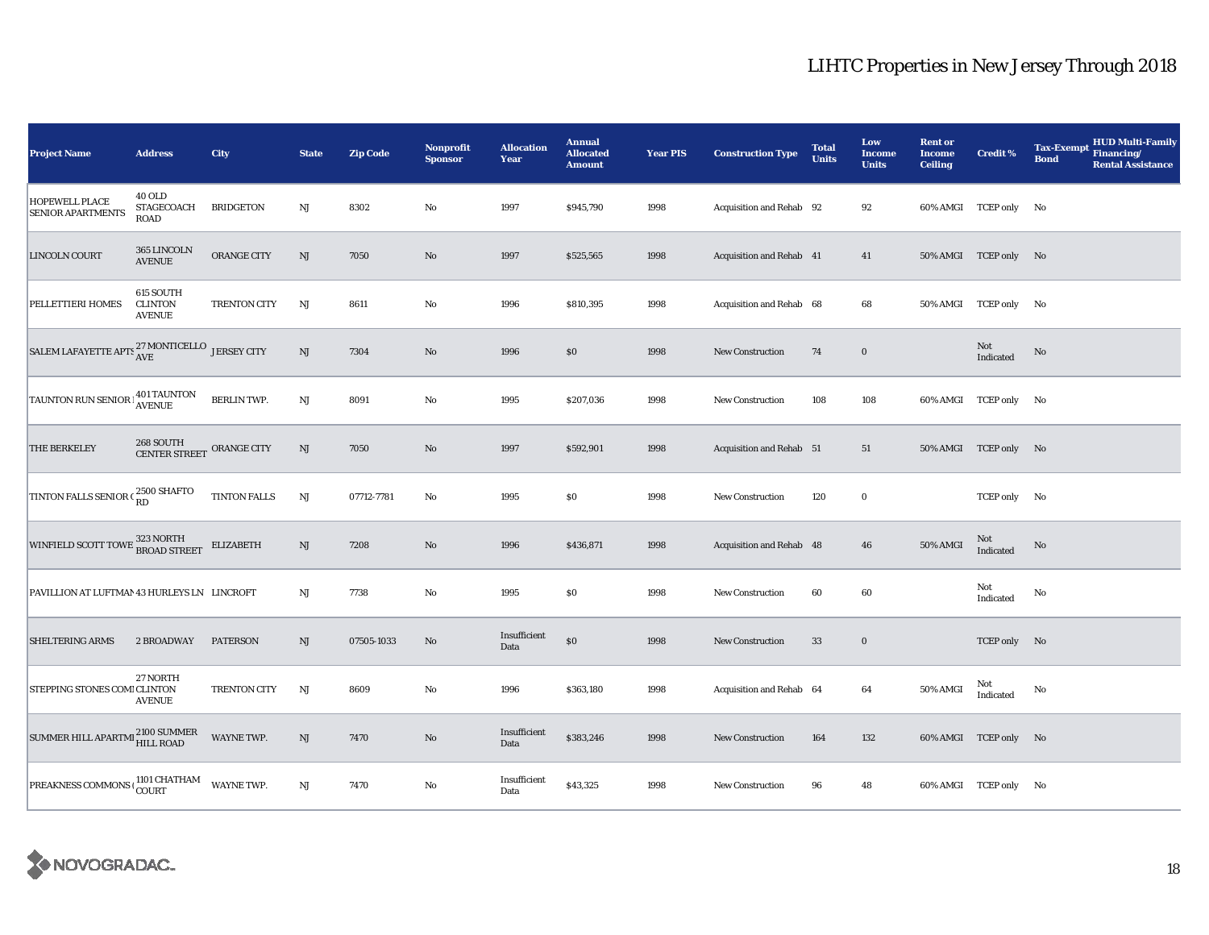| <b>Project Name</b>                                           | <b>Address</b>                                    | City                | <b>State</b>           | <b>Zip Code</b> | <b>Nonprofit</b><br><b>Sponsor</b> | <b>Allocation</b><br>Year | <b>Annual</b><br><b>Allocated</b><br><b>Amount</b> | <b>Year PIS</b> | <b>Construction Type</b> | <b>Total</b><br><b>Units</b> | Low<br><b>Income</b><br><b>Units</b> | <b>Rent or</b><br><b>Income</b><br><b>Ceiling</b> | <b>Credit %</b>       | <b>Tax-Exempt</b><br><b>Bond</b> | <b>HUD Multi-Family</b><br>Financing/<br><b>Rental Assistance</b> |
|---------------------------------------------------------------|---------------------------------------------------|---------------------|------------------------|-----------------|------------------------------------|---------------------------|----------------------------------------------------|-----------------|--------------------------|------------------------------|--------------------------------------|---------------------------------------------------|-----------------------|----------------------------------|-------------------------------------------------------------------|
| <b>HOPEWELL PLACE</b><br><b>SENIOR APARTMENTS</b>             | <b>40 OLD</b><br>STAGECOACH<br><b>ROAD</b>        | <b>BRIDGETON</b>    | $_{\rm NJ}$            | 8302            | $\rm No$                           | 1997                      | \$945,790                                          | 1998            | Acquisition and Rehab 92 |                              | 92                                   |                                                   | 60% AMGI TCEP only No |                                  |                                                                   |
| LINCOLN COURT                                                 | 365 LINCOLN<br><b>AVENUE</b>                      | ORANGE CITY         | $\mathbf{N}\mathbf{J}$ | 7050            | No                                 | 1997                      | \$525,565                                          | 1998            | Acquisition and Rehab 41 |                              | 41                                   |                                                   | 50% AMGI TCEP only No |                                  |                                                                   |
| PELLETTIERI HOMES                                             | 615 SOUTH<br><b>CLINTON</b><br><b>AVENUE</b>      | TRENTON CITY        | <b>NJ</b>              | 8611            | No                                 | 1996                      | \$810,395                                          | 1998            | Acquisition and Rehab 68 |                              | 68                                   |                                                   | 50% AMGI TCEP only No |                                  |                                                                   |
| SALEM LAFAYETTE APTS $_{\rm AVE}^{27}$ MONTICELLO JERSEY CITY |                                                   |                     | NJ                     | 7304            | No                                 | 1996                      | \$0                                                | 1998            | <b>New Construction</b>  | 74                           | $\bf{0}$                             |                                                   | Not<br>Indicated      | No                               |                                                                   |
| TAUNTON RUN SENIOR                                            | <b>401 TAUNTON</b><br><b>AVENUE</b>               | <b>BERLIN TWP.</b>  | $\mathbf{N}\mathbf{J}$ | 8091            | No                                 | 1995                      | \$207,036                                          | 1998            | <b>New Construction</b>  | 108                          | 108                                  |                                                   | 60% AMGI TCEP only No |                                  |                                                                   |
| THE BERKELEY                                                  | $268\,$ SOUTH $\,$ CENTER STREET $\,$ ORANGE CITY |                     | $\mathbf{N}\mathbf{J}$ | 7050            | $\rm No$                           | 1997                      | \$592,901                                          | 1998            | Acquisition and Rehab 51 |                              | 51                                   |                                                   | 50% AMGI TCEP only No |                                  |                                                                   |
| TINTON FALLS SENIOR C 2500 SHAFTO                             |                                                   | TINTON FALLS        | $\mathbf{N}\mathbf{J}$ | 07712-7781      | $\rm No$                           | 1995                      | $\$0$                                              | 1998            | New Construction         | 120                          | $\bf{0}$                             |                                                   | TCEP only No          |                                  |                                                                   |
| WINFIELD SCOTT TOWE 323 NORTH                                 |                                                   | <b>ELIZABETH</b>    | NJ                     | 7208            | $\rm No$                           | 1996                      | \$436,871                                          | 1998            | Acquisition and Rehab 48 |                              | 46                                   | 50% AMGI                                          | Not<br>Indicated      | No                               |                                                                   |
| PAVILLION AT LUFTMAN 43 HURLEYS LN LINCROFT                   |                                                   |                     | NJ                     | 7738            | No                                 | 1995                      | $\$0$                                              | 1998            | <b>New Construction</b>  | 60                           | 60                                   |                                                   | Not<br>Indicated      | No                               |                                                                   |
| <b>SHELTERING ARMS</b>                                        | 2 BROADWAY                                        | <b>PATERSON</b>     | NJ                     | 07505-1033      | No                                 | Insufficient<br>Data      | $\$0$                                              | 1998            | <b>New Construction</b>  | 33                           | $\bf{0}$                             |                                                   | TCEP only No          |                                  |                                                                   |
| STEPPING STONES COMI CLINTON                                  | 27 NORTH<br><b>AVENUE</b>                         | <b>TRENTON CITY</b> | NJ                     | 8609            | $\rm No$                           | 1996                      | \$363,180                                          | 1998            | Acquisition and Rehab 64 |                              | 64                                   | 50% AMGI                                          | Not<br>Indicated      | No                               |                                                                   |
| SUMMER HILL APARTMI 2100 SUMMER                               |                                                   | WAYNE TWP.          | NJ                     | 7470            | $\rm No$                           | Insufficient<br>Data      | \$383,246                                          | 1998            | <b>New Construction</b>  | 164                          | 132                                  |                                                   | 60% AMGI TCEP only No |                                  |                                                                   |
| PREAKNESS COMMONS $\frac{1101 \text{ CHATHAM}}{\text{COURT}}$ |                                                   | WAYNE TWP.          | $\mathbf{N}\mathbf{J}$ | 7470            | No                                 | Insufficient<br>Data      | \$43,325                                           | 1998            | New Construction         | 96                           | 48                                   |                                                   | 60% AMGI TCEP only No |                                  |                                                                   |

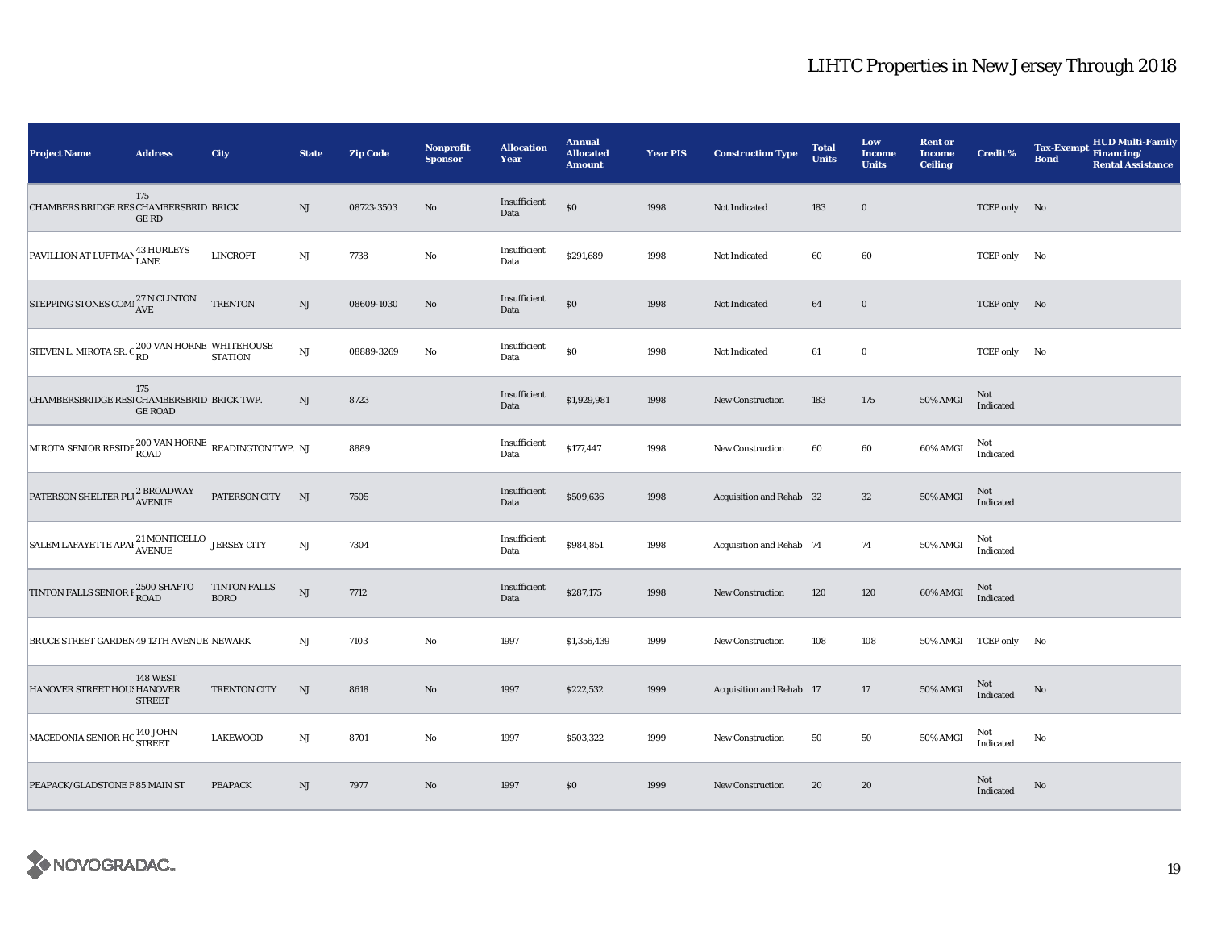| <b>Project Name</b>                                                   | <b>Address</b>                   | City                               | <b>State</b>           | <b>Zip Code</b> | <b>Nonprofit</b><br><b>Sponsor</b> | <b>Allocation</b><br>Year | <b>Annual</b><br><b>Allocated</b><br><b>Amount</b> | <b>Year PIS</b> | <b>Construction Type</b> | <b>Total</b><br><b>Units</b> | Low<br>Income<br><b>Units</b> | <b>Rent or</b><br><b>Income</b><br><b>Ceiling</b> | <b>Credit %</b>       | <b>Tax-Exempt</b><br><b>Bond</b> | <b>HUD Multi-Family</b><br>Financing/<br><b>Rental Assistance</b> |
|-----------------------------------------------------------------------|----------------------------------|------------------------------------|------------------------|-----------------|------------------------------------|---------------------------|----------------------------------------------------|-----------------|--------------------------|------------------------------|-------------------------------|---------------------------------------------------|-----------------------|----------------------------------|-------------------------------------------------------------------|
| CHAMBERS BRIDGE RES CHAMBERSBRID BRICK                                | 175<br><b>GERD</b>               |                                    | NJ                     | 08723-3503      | No                                 | Insufficient<br>Data      | $\$0$                                              | 1998            | Not Indicated            | 183                          | $\mathbf 0$                   |                                                   | TCEP only No          |                                  |                                                                   |
| PAVILLION AT LUFTMAN 43 HURLEYS                                       |                                  | <b>LINCROFT</b>                    | NJ                     | 7738            | $\rm\thinspace No$                 | Insufficient<br>Data      | \$291,689                                          | 1998            | Not Indicated            | 60                           | 60                            |                                                   | TCEP only No          |                                  |                                                                   |
| STEPPING STONES COMPANE                                               |                                  | <b>TRENTON</b>                     | $\mathbf{N}\mathbf{J}$ | 08609-1030      | No                                 | Insufficient<br>Data      | $\$0$                                              | 1998            | Not Indicated            | 64                           | $\bf{0}$                      |                                                   | TCEP only No          |                                  |                                                                   |
| STEVEN L. MIROTA SR. C $_{\rm RD}^{200}$ VAN HORNE WHITEHOUSE STATION |                                  |                                    | $_{\rm NJ}$            | 08889-3269      | No                                 | Insufficient<br>Data      | $\$0$                                              | 1998            | Not Indicated            | 61                           | $\mathbf 0$                   |                                                   | TCEP only No          |                                  |                                                                   |
| CHAMBERSBRIDGE RESI CHAMBERSBRID BRICK TWP.                           | 175<br><b>GE ROAD</b>            |                                    | $\rm{NJ}$              | 8723            |                                    | Insufficient<br>Data      | \$1,929,981                                        | 1998            | <b>New Construction</b>  | 183                          | 175                           | 50% AMGI                                          | Not<br>Indicated      |                                  |                                                                   |
| MIROTA SENIOR RESIDE ${}^{200}$ VAN HORNE READINGTON TWP. NJ          |                                  |                                    |                        | 8889            |                                    | Insufficient<br>Data      | \$177,447                                          | 1998            | New Construction         | 60                           | 60                            | 60% AMGI                                          | Not<br>Indicated      |                                  |                                                                   |
| PATERSON SHELTER PLI <sup>2</sup> BROADWAY                            |                                  | PATERSON CITY                      | NJ                     | 7505            |                                    | Insufficient<br>Data      | \$509,636                                          | 1998            | Acquisition and Rehab 32 |                              | $32\,$                        | <b>50% AMGI</b>                                   | Not<br>Indicated      |                                  |                                                                   |
| SALEM LAFAYETTE APAI <sup>21</sup> MONTICELLO JERSEY CITY             |                                  |                                    | $\mathrm{NJ}$          | 7304            |                                    | Insufficient<br>Data      | \$984,851                                          | 1998            | Acquisition and Rehab 74 |                              | 74                            | 50% AMGI                                          | Not<br>Indicated      |                                  |                                                                   |
| TINTON FALLS SENIOR F 2500 SHAFTO                                     |                                  | <b>TINTON FALLS</b><br><b>BORO</b> | $\mathbf{N}\mathbf{J}$ | 7712            |                                    | Insufficient<br>Data      | \$287,175                                          | 1998            | New Construction         | 120                          | 120                           | 60% AMGI                                          | Not<br>Indicated      |                                  |                                                                   |
| BRUCE STREET GARDEN 49 12TH AVENUE NEWARK                             |                                  |                                    | NJ                     | 7103            | $\rm No$                           | 1997                      | \$1,356,439                                        | 1999            | New Construction         | 108                          | 108                           |                                                   | 50% AMGI TCEP only No |                                  |                                                                   |
| HANOVER STREET HOU! HANOVER                                           | <b>148 WEST</b><br><b>STREET</b> | <b>TRENTON CITY</b>                | NJ                     | 8618            | $\rm No$                           | 1997                      | \$222,532                                          | 1999            | Acquisition and Rehab 17 |                              | 17                            | 50% AMGI                                          | Not<br>Indicated      | No                               |                                                                   |
| MACEDONIA SENIOR HC <sup>140 JOHN</sup><br>STREET                     |                                  | <b>LAKEWOOD</b>                    | $_{\rm NJ}$            | 8701            | No                                 | 1997                      | \$503,322                                          | 1999            | <b>New Construction</b>  | 50                           | 50                            | 50% AMGI                                          | Not<br>Indicated      | No                               |                                                                   |
| PEAPACK/GLADSTONE F 85 MAIN ST                                        |                                  | <b>PEAPACK</b>                     | NJ                     | 7977            | No                                 | 1997                      | \$0                                                | 1999            | <b>New Construction</b>  | 20                           | 20                            |                                                   | Not<br>Indicated      | No                               |                                                                   |

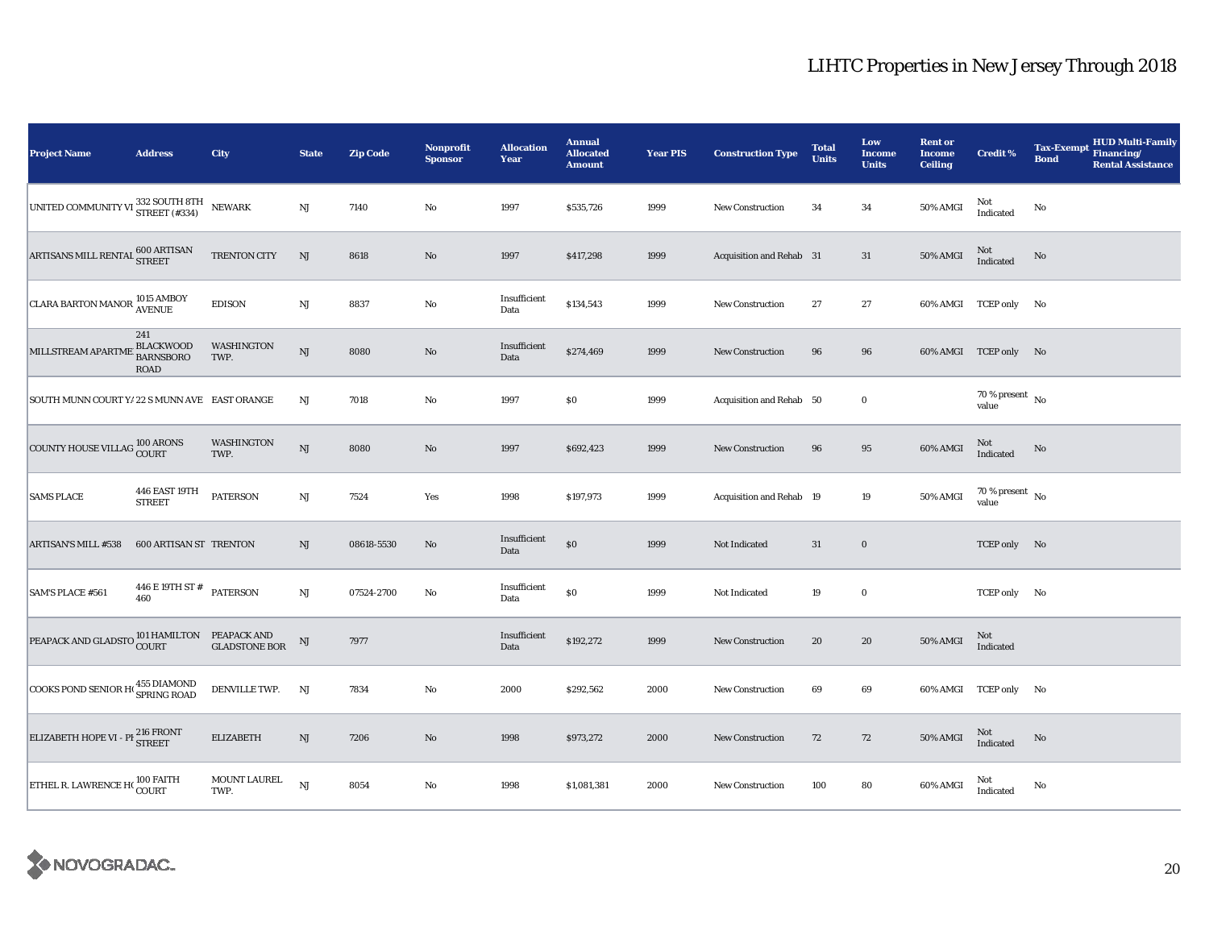| <b>Project Name</b>                                            | <b>Address</b>                                             | <b>City</b>                 | <b>State</b>  | <b>Zip Code</b> | Nonprofit<br><b>Sponsor</b> | <b>Allocation</b><br>Year | <b>Annual</b><br><b>Allocated</b><br><b>Amount</b> | <b>Year PIS</b> | <b>Construction Type</b> | <b>Total</b><br><b>Units</b> | Low<br>Income<br><b>Units</b> | <b>Rent or</b><br><b>Income</b><br><b>Ceiling</b> | <b>Credit %</b>                      | <b>Tax-Exempt</b><br><b>Bond</b> | <b>HUD Multi-Family</b><br>Financing/<br><b>Rental Assistance</b> |
|----------------------------------------------------------------|------------------------------------------------------------|-----------------------------|---------------|-----------------|-----------------------------|---------------------------|----------------------------------------------------|-----------------|--------------------------|------------------------------|-------------------------------|---------------------------------------------------|--------------------------------------|----------------------------------|-------------------------------------------------------------------|
| UNITED COMMUNITY VI 332 SOUTH 8TH                              |                                                            | <b>NEWARK</b>               | NJ            | 7140            | $\rm No$                    | 1997                      | \$535,726                                          | 1999            | <b>New Construction</b>  | 34                           | $\bf{34}$                     | 50% AMGI                                          | Not<br>Indicated                     | $\mathbf{No}$                    |                                                                   |
| ARTISANS MILL RENTAL 600 ARTISAN                               |                                                            | TRENTON CITY                | NJ            | 8618            | $\rm No$                    | 1997                      | \$417,298                                          | 1999            | Acquisition and Rehab 31 |                              | $31\,$                        | <b>50% AMGI</b>                                   | Not<br>Indicated                     | No                               |                                                                   |
| <b>CLARA BARTON MANOR 1015 AMBOY</b>                           |                                                            | <b>EDISON</b>               | $\rm{NJ}$     | 8837            | $\rm No$                    | Insufficient<br>Data      | \$134,543                                          | 1999            | <b>New Construction</b>  | 27                           | 27                            |                                                   | 60% AMGI TCEP only No                |                                  |                                                                   |
| MILLSTREAM APARTME                                             | 241<br><b>BLACKWOOD</b><br><b>BARNSBORO</b><br><b>ROAD</b> | WASHINGTON<br>TWP.          | NJ            | 8080            | No                          | Insufficient<br>Data      | \$274,469                                          | 1999            | <b>New Construction</b>  | 96                           | 96                            |                                                   | 60% AMGI TCEP only No                |                                  |                                                                   |
| SOUTH MUNN COURT Y/ 22 S MUNN AVE EAST ORANGE                  |                                                            |                             | NJ            | 7018            | $\rm No$                    | 1997                      | $\$0$                                              | 1999            | Acquisition and Rehab 50 |                              | $\mathbf 0$                   |                                                   | 70 % present $\hbox{~No}$<br>value   |                                  |                                                                   |
| COUNTY HOUSE VILLAG 100 ARONS                                  |                                                            | WASHINGTON<br>TWP.          | NJ            | 8080            | $\rm No$                    | 1997                      | \$692,423                                          | 1999            | New Construction         | 96                           | 95                            | 60% AMGI                                          | Not<br>Indicated                     | No                               |                                                                   |
| <b>SAMS PLACE</b>                                              | 446 EAST 19TH<br><b>STREET</b>                             | <b>PATERSON</b>             | $_{\rm NJ}$   | 7524            | Yes                         | 1998                      | \$197,973                                          | 1999            | Acquisition and Rehab 19 |                              | 19                            | 50% AMGI                                          | $70$ % present $\,$ No $\,$<br>value |                                  |                                                                   |
| <b>ARTISAN'S MILL #538</b>                                     | <b>600 ARTISAN ST TRENTON</b>                              |                             | NJ            | 08618-5530      | No                          | Insufficient<br>Data      | $\$0$                                              | 1999            | Not Indicated            | 31                           | $\mathbf 0$                   |                                                   | TCEP only No                         |                                  |                                                                   |
| SAM'S PLACE #561                                               | 446 E 19TH ST #<br>460                                     | <b>PATERSON</b>             | NJ            | 07524-2700      | $\rm No$                    | Insufficient<br>Data      | $\$0$                                              | 1999            | Not Indicated            | 19                           | $\mathbf 0$                   |                                                   | TCEP only No                         |                                  |                                                                   |
| PEAPACK AND GLADSTO 101 HAMILTON PEAPACK AND CLADSTONE BOTTLES |                                                            | <b>GLADSTONE BOR</b>        | $_{\rm NJ}$   | 7977            |                             | Insufficient<br>Data      | \$192,272                                          | 1999            | <b>New Construction</b>  | 20                           | 20                            | <b>50% AMGI</b>                                   | Not<br>Indicated                     |                                  |                                                                   |
| COOKS POND SENIOR HO 455 DIAMOND                               |                                                            | DENVILLE TWP.               | <b>NJ</b>     | 7834            | $\rm No$                    | 2000                      | \$292,562                                          | 2000            | New Construction         | 69                           | 69                            |                                                   | 60% AMGI TCEP only No                |                                  |                                                                   |
| ELIZABETH HOPE VI - PI <sup>216</sup> FRONT                    |                                                            | <b>ELIZABETH</b>            | $\mathrm{NJ}$ | 7206            | $\rm No$                    | 1998                      | \$973,272                                          | 2000            | <b>New Construction</b>  | 72                           | 72                            | <b>50% AMGI</b>                                   | Not<br>Indicated                     | $\mathbf{No}$                    |                                                                   |
| ETHEL R. LAWRENCE HOLOD FAITH                                  |                                                            | <b>MOUNT LAUREL</b><br>TWP. | NJ            | 8054            | $\rm No$                    | 1998                      | \$1,081,381                                        | 2000            | <b>New Construction</b>  | 100                          | 80                            | 60% AMGI                                          | Not<br>Indicated                     | No                               |                                                                   |

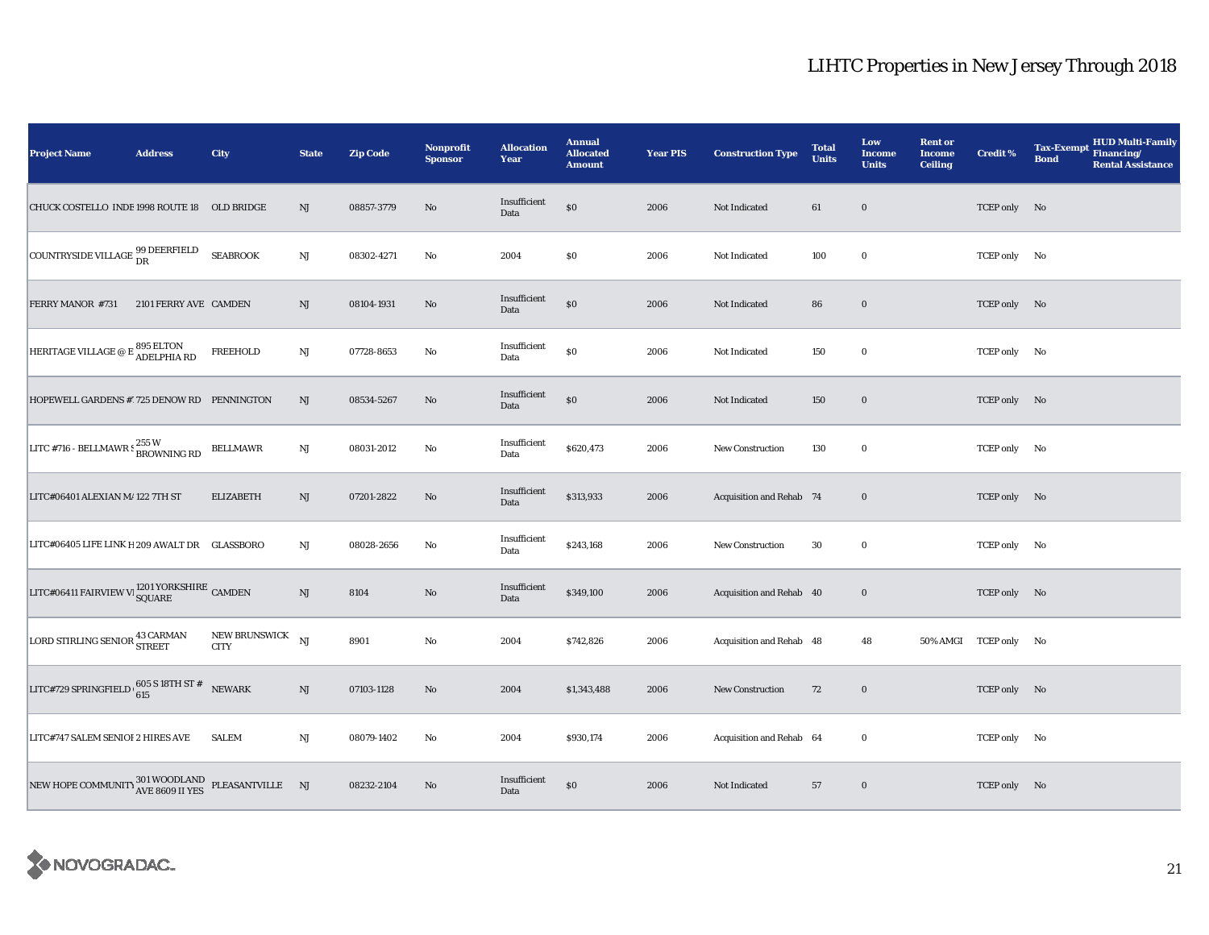| <b>Project Name</b>                                                | <b>Address</b>        | City                            | <b>State</b> | <b>Zip Code</b> | <b>Nonprofit</b><br><b>Sponsor</b> | <b>Allocation</b><br>Year | <b>Annual</b><br><b>Allocated</b><br><b>Amount</b> | <b>Year PIS</b> | <b>Construction Type</b> | <b>Total</b><br><b>Units</b> | Low<br>Income<br><b>Units</b> | <b>Rent or</b><br><b>Income</b><br><b>Ceiling</b> | <b>Credit %</b>       | <b>HUD Multi-Family</b><br><b>Tax-Exempt</b><br>Financing/<br><b>Bond</b><br><b>Rental Assistance</b> |
|--------------------------------------------------------------------|-----------------------|---------------------------------|--------------|-----------------|------------------------------------|---------------------------|----------------------------------------------------|-----------------|--------------------------|------------------------------|-------------------------------|---------------------------------------------------|-----------------------|-------------------------------------------------------------------------------------------------------|
| CHUCK COSTELLO INDE 1998 ROUTE 18 OLD BRIDGE                       |                       |                                 | NJ           | 08857-3779      | No                                 | Insufficient<br>Data      | \$0                                                | 2006            | Not Indicated            | 61                           | $\bf{0}$                      |                                                   | TCEP only No          |                                                                                                       |
| COUNTRYSIDE VILLAGE $^{99}_{\text{DR}}$                            |                       | <b>SEABROOK</b>                 | NJ           | 08302-4271      | No                                 | 2004                      | \$0                                                | 2006            | Not Indicated            | 100                          | $\bf{0}$                      |                                                   | TCEP only No          |                                                                                                       |
| FERRY MANOR #731                                                   | 2101 FERRY AVE CAMDEN |                                 | NJ           | 08104-1931      | $\mathbf{N}\mathbf{o}$             | Insufficient<br>Data      | $\$0$                                              | 2006            | Not Indicated            | 86                           | $\bf{0}$                      |                                                   | TCEP only No          |                                                                                                       |
| HERITAGE VILLAGE @ E $_{\rm ADELPHIA}^{\rm 895\ ELTON}$            |                       | FREEHOLD                        | NJ           | 07728-8653      | No                                 | Insufficient<br>Data      | $\$0$                                              | 2006            | Not Indicated            | 150                          | $\bf{0}$                      |                                                   | TCEP only No          |                                                                                                       |
| HOPEWELL GARDENS #1725 DENOW RD PENNINGTON                         |                       |                                 | NJ           | 08534-5267      | $\mathbf{N}\mathbf{o}$             | Insufficient<br>Data      | \$0                                                | 2006            | Not Indicated            | 150                          | $\bf{0}$                      |                                                   | TCEP only No          |                                                                                                       |
| LITC #716 - BELLMAWR $\frac{255 \text{ W}}{B \text{ROWNING RD}}$   |                       | <b>BELLMAWR</b>                 | NJ           | 08031-2012      | $\rm No$                           | Insufficient<br>Data      | \$620,473                                          | 2006            | New Construction         | 130                          | $\bf{0}$                      |                                                   | TCEP only No          |                                                                                                       |
| LITC#06401 ALEXIAN M/122 7TH ST                                    |                       | <b>ELIZABETH</b>                | NJ           | 07201-2822      | $\mathbf{N}\mathbf{o}$             | Insufficient<br>Data      | \$313,933                                          | 2006            | Acquisition and Rehab 74 |                              | $\bf{0}$                      |                                                   | TCEP only No          |                                                                                                       |
| LITC#06405 LIFE LINK H 209 AWALT DR GLASSBORO                      |                       |                                 | NJ           | 08028-2656      | $\rm No$                           | Insufficient<br>Data      | \$243,168                                          | 2006            | <b>New Construction</b>  | 30                           | $\bf{0}$                      |                                                   | TCEP only No          |                                                                                                       |
| LITC#06411 FAIRVIEW V<br>l $_{\bf SQUARE}^{1201}$ YORKSHIRE CAMDEN |                       |                                 | NJ           | 8104            | No                                 | Insufficient<br>Data      | \$349,100                                          | 2006            | Acquisition and Rehab 40 |                              | $\bf{0}$                      |                                                   | TCEP only No          |                                                                                                       |
| LORD STIRLING SENIOR <sup>43 CARMAN</sup>                          |                       | NEW BRUNSWICK NJ<br><b>CITY</b> |              | 8901            | $\rm No$                           | 2004                      | \$742,826                                          | 2006            | Acquisition and Rehab 48 |                              | 48                            |                                                   | 50% AMGI TCEP only No |                                                                                                       |
| LITC#729 SPRINGFIELD $\frac{605 \text{ S}}{615}$ SPRINGFIELD       |                       | NEWARK                          | NJ           | 07103-1128      | $\mathbf{N}\mathbf{o}$             | 2004                      | \$1,343,488                                        | 2006            | New Construction         | 72                           | $\bf{0}$                      |                                                   | TCEP only No          |                                                                                                       |
| LITC#747 SALEM SENIOI 2 HIRES AVE                                  |                       | <b>SALEM</b>                    | NJ           | 08079-1402      | No                                 | 2004                      | \$930,174                                          | 2006            | Acquisition and Rehab 64 |                              | $\bf{0}$                      |                                                   | TCEP only No          |                                                                                                       |
| NEW HOPE COMMUNITY $_{\text{AVE}}^{301}$ WOODLAND PLEASANTVILLE NJ |                       |                                 |              | 08232-2104      | $\mathbf{N}\mathbf{o}$             | Insufficient<br>Data      | \$0                                                | 2006            | Not Indicated            | 57                           | $\bf{0}$                      |                                                   | TCEP only No          |                                                                                                       |

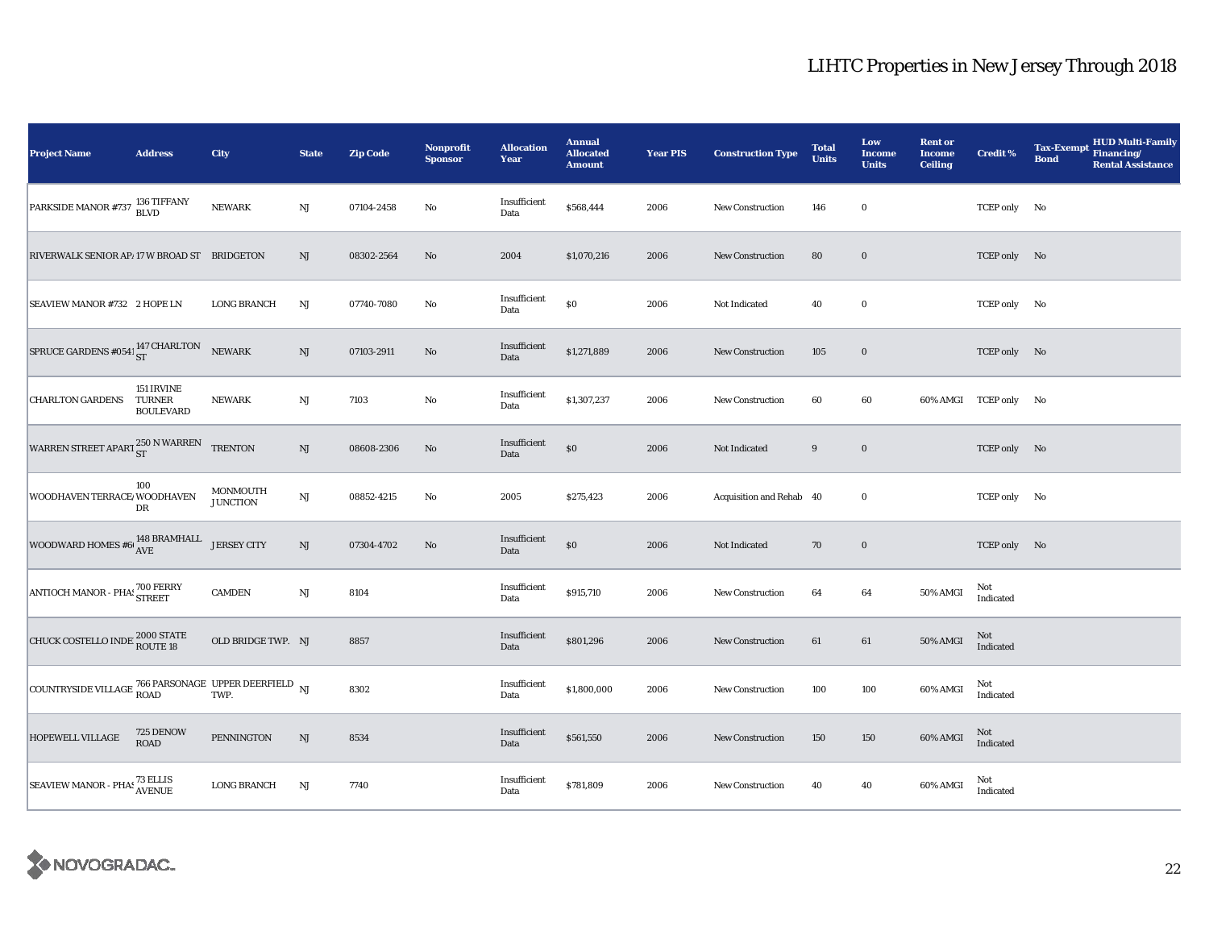| <b>Project Name</b>                                                                                                                                                                                 | <b>Address</b>                           | City                        | <b>State</b>           | <b>Zip Code</b> | Nonprofit<br><b>Sponsor</b> | <b>Allocation</b><br>Year | <b>Annual</b><br><b>Allocated</b><br><b>Amount</b> | <b>Year PIS</b> | <b>Construction Type</b> | <b>Total</b><br><b>Units</b> | Low<br>Income<br><b>Units</b> | <b>Rent or</b><br><b>Income</b><br><b>Ceiling</b> | <b>Credit %</b>       | HUD Multi-Family<br>Financing/<br><b>Tax-Exempt</b><br><b>Bond</b><br><b>Rental Assistance</b> |
|-----------------------------------------------------------------------------------------------------------------------------------------------------------------------------------------------------|------------------------------------------|-----------------------------|------------------------|-----------------|-----------------------------|---------------------------|----------------------------------------------------|-----------------|--------------------------|------------------------------|-------------------------------|---------------------------------------------------|-----------------------|------------------------------------------------------------------------------------------------|
| PARKSIDE MANOR #737 <sup>136</sup> TIFFANY                                                                                                                                                          |                                          | <b>NEWARK</b>               | NJ                     | 07104-2458      | No                          | Insufficient<br>Data      | \$568,444                                          | 2006            | <b>New Construction</b>  | 146                          | $\bf{0}$                      |                                                   | TCEP only No          |                                                                                                |
| RIVERWALK SENIOR AP/17 W BROAD ST BRIDGETON                                                                                                                                                         |                                          |                             | $\rm{NJ}$              | 08302-2564      | $\mathbf{N}\mathbf{o}$      | 2004                      | \$1,070,216                                        | 2006            | <b>New Construction</b>  | 80                           | $\bf{0}$                      |                                                   | TCEP only No          |                                                                                                |
| SEAVIEW MANOR #732 2 HOPE LN                                                                                                                                                                        |                                          | <b>LONG BRANCH</b>          | NJ                     | 07740-7080      | No                          | Insufficient<br>Data      | $\$0$                                              | 2006            | Not Indicated            | 40                           | $\bf{0}$                      |                                                   | TCEP only No          |                                                                                                |
| SPRUCE GARDENS #0541 $_{ST}^{147}$ CHARLTON NEWARK                                                                                                                                                  |                                          |                             | $\rm{NJ}$              | 07103-2911      | No                          | Insufficient<br>Data      | \$1,271,889                                        | 2006            | New Construction         | 105                          | $\bf{0}$                      |                                                   | TCEP only No          |                                                                                                |
| <b>CHARLTON GARDENS</b>                                                                                                                                                                             | 151 IRVINE<br>TURNER<br><b>BOULEVARD</b> | <b>NEWARK</b>               | $\mathbf{N}\mathbf{J}$ | 7103            | No                          | Insufficient<br>Data      | \$1,307,237                                        | 2006            | New Construction         | 60                           | 60                            |                                                   | 60% AMGI TCEP only No |                                                                                                |
| WARREN STREET APART $^{250\, \rm N}$ WARREN                                                                                                                                                         |                                          | <b>TRENTON</b>              | $\rm{NJ}$              | 08608-2306      | No                          | Insufficient<br>Data      | $\$0$                                              | 2006            | Not Indicated            | 9                            | $\boldsymbol{0}$              |                                                   | TCEP only No          |                                                                                                |
| WOODHAVEN TERRACE WOODHAVEN                                                                                                                                                                         | 100<br>${\rm DR}$                        | MONMOUTH<br><b>JUNCTION</b> | $\mathbf{N}\mathbf{J}$ | 08852-4215      | $\mathbf{No}$               | 2005                      | \$275,423                                          | 2006            | Acquisition and Rehab 40 |                              | $\bf{0}$                      |                                                   | TCEP only No          |                                                                                                |
| WOODWARD HOMES #6  $^{148}$ BRAMHALL JERSEY CITY                                                                                                                                                    |                                          |                             | $\rm{NJ}$              | 07304-4702      | No                          | Insufficient<br>Data      | $\$0$                                              | 2006            | Not Indicated            | 70                           | $\boldsymbol{0}$              |                                                   | TCEP only No          |                                                                                                |
| ANTIOCH MANOR - PHA! 700 FERRY                                                                                                                                                                      |                                          | <b>CAMDEN</b>               | $\mathbf{N}\mathbf{J}$ | 8104            |                             | Insufficient<br>Data      | \$915,710                                          | 2006            | New Construction         | 64                           | 64                            | 50% AMGI                                          | Not<br>Indicated      |                                                                                                |
| <b>CHUCK COSTELLO INDE 2000 STATE</b>                                                                                                                                                               |                                          | OLD BRIDGE TWP. NJ          |                        | 8857            |                             | Insufficient<br>Data      | \$801,296                                          | 2006            | <b>New Construction</b>  | 61                           | 61                            | 50% AMGI                                          | Not<br>Indicated      |                                                                                                |
| $\begin{array}{ l } \hline \textbf{COUNTRYSIDE VILLAGE} \begin{tabular}{ll} \textbf{766 PARSONAGE} & \textbf{UPPER DEERFIELD} \\ \textbf{ROAD} & \textbf{TWP}. \end{tabular} \end{array} \text{NJ}$ |                                          |                             |                        | 8302            |                             | Insufficient<br>Data      | \$1,800,000                                        | 2006            | New Construction         | 100                          | 100                           | 60% AMGI                                          | Not<br>Indicated      |                                                                                                |
| HOPEWELL VILLAGE                                                                                                                                                                                    | 725 DENOW<br>ROAD                        | PENNINGTON                  | $\mathbf{N}\mathbf{J}$ | 8534            |                             | Insufficient<br>Data      | \$561,550                                          | 2006            | New Construction         | 150                          | 150                           | 60% AMGI                                          | Not<br>Indicated      |                                                                                                |
| SEAVIEW MANOR - PHAS <sup>73</sup> ELLIS<br>AVENUE                                                                                                                                                  |                                          | <b>LONG BRANCH</b>          | $\rm{NJ}$              | 7740            |                             | Insufficient<br>Data      | \$781,809                                          | 2006            | New Construction         | 40                           | 40                            | 60% AMGI                                          | Not<br>Indicated      |                                                                                                |

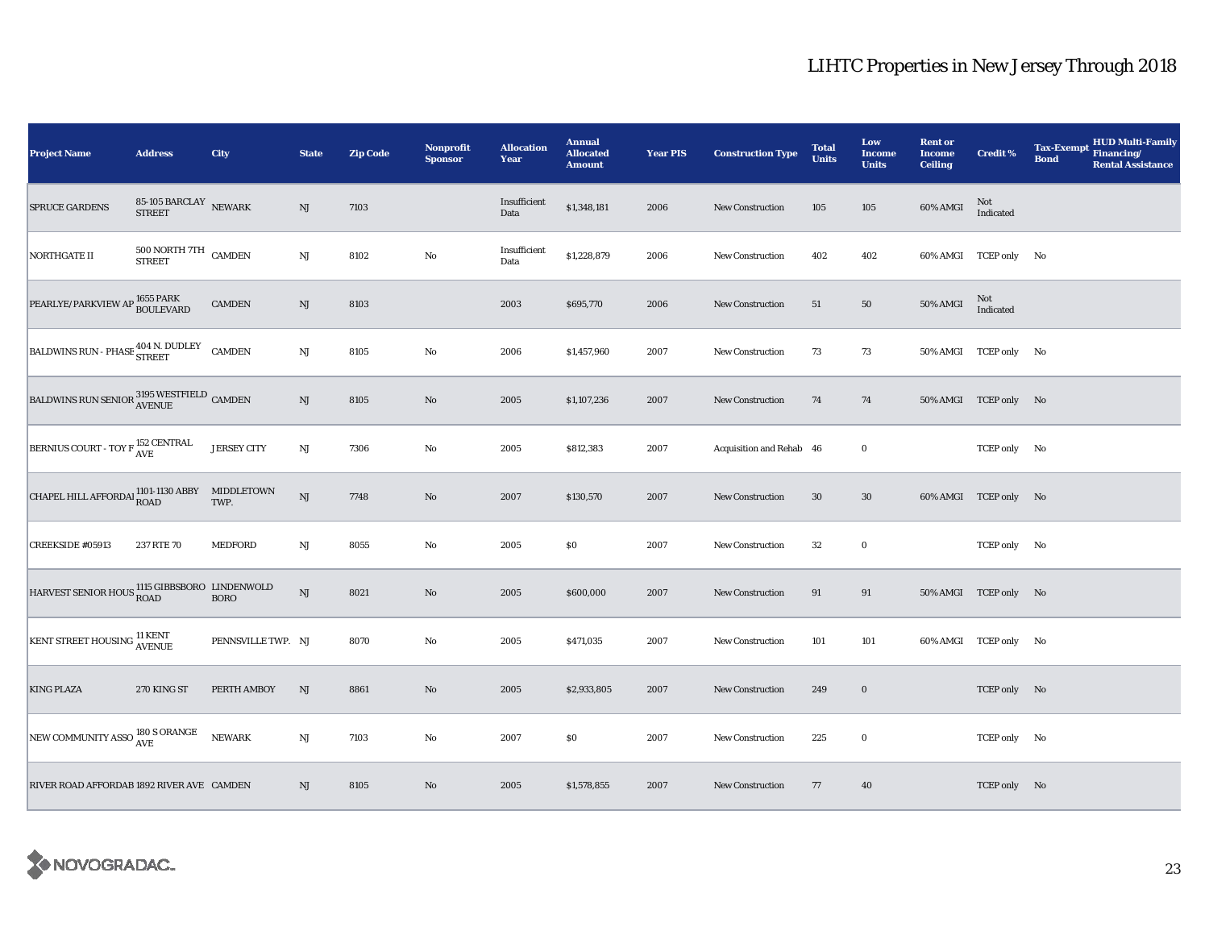| <b>Project Name</b>                                                         | <b>Address</b>                                | City               | <b>State</b>           | <b>Zip Code</b> | Nonprofit<br><b>Sponsor</b> | <b>Allocation</b><br>Year | <b>Annual</b><br><b>Allocated</b><br><b>Amount</b> | <b>Year PIS</b> | <b>Construction Type</b> | <b>Total</b><br><b>Units</b> | Low<br><b>Income</b><br><b>Units</b> | <b>Rent or</b><br><b>Income</b><br><b>Ceiling</b> | <b>Credit %</b>       | <b>HUD Multi-Family</b><br><b>Tax-Exempt</b><br>Financing/<br><b>Bond</b><br><b>Rental Assistance</b> |
|-----------------------------------------------------------------------------|-----------------------------------------------|--------------------|------------------------|-----------------|-----------------------------|---------------------------|----------------------------------------------------|-----------------|--------------------------|------------------------------|--------------------------------------|---------------------------------------------------|-----------------------|-------------------------------------------------------------------------------------------------------|
| <b>SPRUCE GARDENS</b>                                                       | 85-105 BARCLAY NEWARK<br><b>STREET</b>        |                    | NJ                     | 7103            |                             | Insufficient<br>Data      | \$1,348,181                                        | 2006            | <b>New Construction</b>  | 105                          | 105                                  | 60% AMGI                                          | Not<br>Indicated      |                                                                                                       |
| <b>NORTHGATE II</b>                                                         | $500$ NORTH $7\mathrm{TH}$ $\,$ CAMDEN STREET |                    | NJ                     | 8102            | No                          | Insufficient<br>Data      | \$1,228,879                                        | 2006            | New Construction         | 402                          | 402                                  |                                                   | 60% AMGI TCEP only No |                                                                                                       |
| PEARLYE/PARKVIEW AP 1655 PARK                                               |                                               | <b>CAMDEN</b>      | $\mathrm{NJ}$          | 8103            |                             | 2003                      | \$695,770                                          | 2006            | <b>New Construction</b>  | 51                           | 50                                   | 50% AMGI                                          | Not<br>Indicated      |                                                                                                       |
| BALDWINS RUN - PHASE STREET CAMDEN                                          |                                               |                    | $\mathbf{N}\mathbf{J}$ | 8105            | No                          | 2006                      | \$1,457,960                                        | 2007            | <b>New Construction</b>  | 73                           | 73                                   |                                                   | 50% AMGI TCEP only No |                                                                                                       |
| BALDWINS RUN SENIOR $_{\rm AVENUE}^{3195}$ WESTFIELD $\,$ CAMDEN $\,$       |                                               |                    | NJ                     | 8105            | No                          | 2005                      | \$1,107,236                                        | 2007            | <b>New Construction</b>  | 74                           | 74                                   |                                                   | 50% AMGI TCEP only No |                                                                                                       |
| BERNIUS COURT - TOY F <sup>152</sup> CENTRAL                                |                                               | <b>JERSEY CITY</b> | $\mathbf{N}\mathbf{J}$ | 7306            | $\rm No$                    | 2005                      | \$812,383                                          | 2007            | Acquisition and Rehab 46 |                              | $\bf{0}$                             |                                                   | TCEP only No          |                                                                                                       |
| CHAPEL HILL AFFORDAL $_{\rm ROAD}^{1101-1130 \text{ ABBY}}$ MIDDLETOWN      |                                               |                    | <b>NJ</b>              | 7748            | $\rm No$                    | 2007                      | \$130,570                                          | 2007            | New Construction         | 30                           | $30\,$                               |                                                   | 60% AMGI TCEP only No |                                                                                                       |
| CREEKSIDE #05913                                                            | 237 RTE 70                                    | <b>MEDFORD</b>     | $\mathbf{N}\mathbf{J}$ | 8055            | $\rm No$                    | 2005                      | \$0                                                | 2007            | <b>New Construction</b>  | 32                           | $\bf{0}$                             |                                                   | TCEP only No          |                                                                                                       |
| $\,$ HARVEST SENIOR HOUS $\,$ 1115 GIBBSBORO $\,$ LINDENWOLD $\,$ BORO $\,$ |                                               |                    | $\mathbf{N}\mathbf{J}$ | 8021            | No                          | 2005                      | \$600,000                                          | 2007            | New Construction         | 91                           | 91                                   |                                                   | 50% AMGI TCEP only No |                                                                                                       |
| <b>KENT STREET HOUSING AVENUE</b>                                           |                                               | PENNSVILLE TWP. NJ |                        | 8070            | No                          | 2005                      | \$471,035                                          | 2007            | New Construction         | 101                          | 101                                  |                                                   | 60% AMGI TCEP only No |                                                                                                       |
| <b>KING PLAZA</b>                                                           | 270 KING ST                                   | PERTH AMBOY        | NJ                     | 8861            | $\rm No$                    | 2005                      | \$2,933,805                                        | 2007            | <b>New Construction</b>  | 249                          | $\mathbf 0$                          |                                                   | TCEP only No          |                                                                                                       |
| NEW COMMUNITY ASSO 180 S ORANGE                                             |                                               | <b>NEWARK</b>      | $_{\rm NJ}$            | 7103            | No                          | 2007                      | \$0                                                | 2007            | <b>New Construction</b>  | 225                          | $\bf{0}$                             |                                                   | TCEP only No          |                                                                                                       |
| RIVER ROAD AFFORDAB 1892 RIVER AVE CAMDEN                                   |                                               |                    | $\rm{NJ}$              | 8105            | No                          | 2005                      | \$1,578,855                                        | 2007            | <b>New Construction</b>  | 77                           | 40                                   |                                                   | TCEP only No          |                                                                                                       |

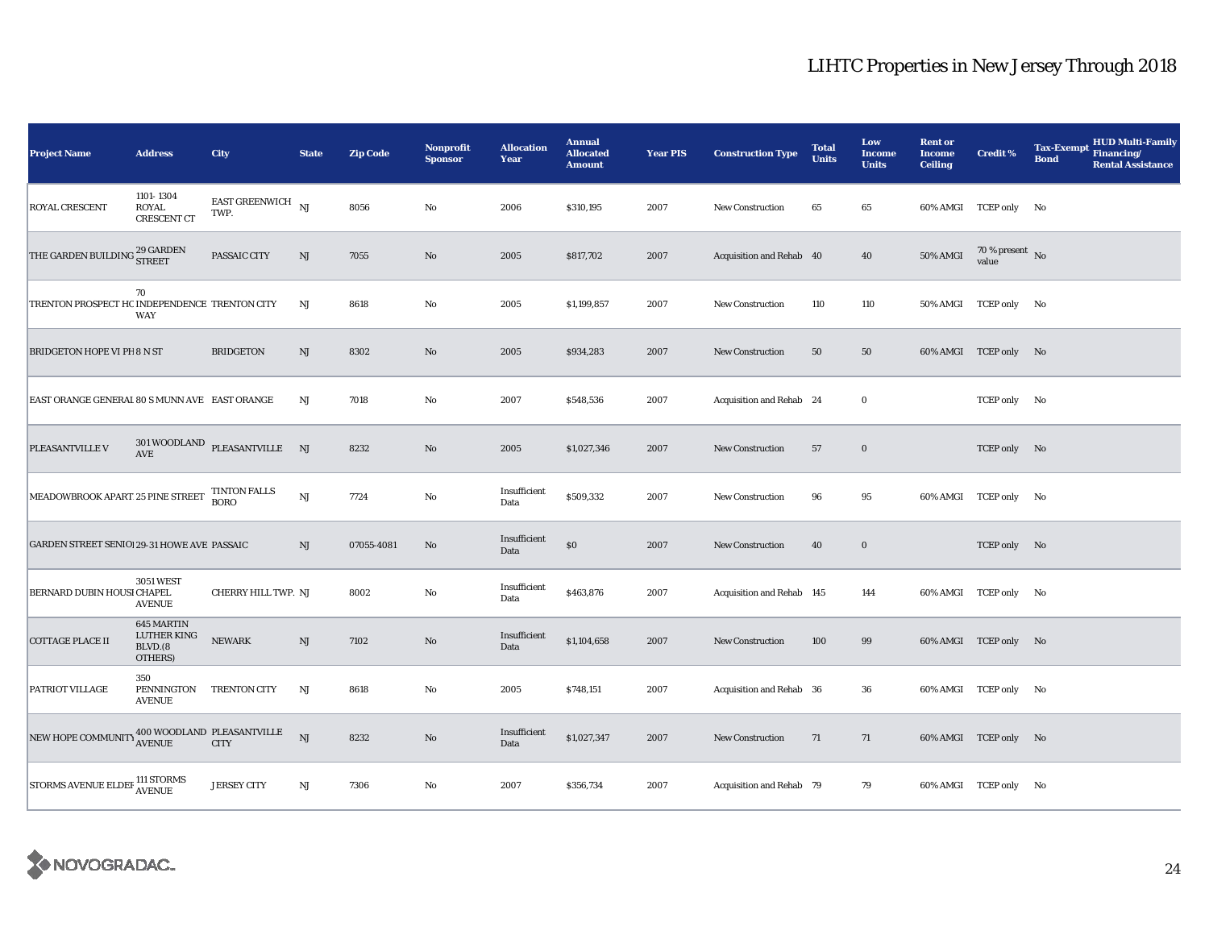| <b>Project Name</b>                           | <b>Address</b>                                  | <b>City</b>                                 | <b>State</b>           | <b>Zip Code</b> | Nonprofit<br><b>Sponsor</b> | <b>Allocation</b><br>Year | <b>Annual</b><br><b>Allocated</b><br><b>Amount</b> | <b>Year PIS</b> | <b>Construction Type</b>  | <b>Total</b><br><b>Units</b> | Low<br><b>Income</b><br><b>Units</b> | <b>Rent or</b><br><b>Income</b><br><b>Ceiling</b> | <b>Credit %</b>                    | <b>HUD Multi-Family</b><br><b>Tax-Exempt</b><br>Financing/<br><b>Bond</b><br><b>Rental Assistance</b> |
|-----------------------------------------------|-------------------------------------------------|---------------------------------------------|------------------------|-----------------|-----------------------------|---------------------------|----------------------------------------------------|-----------------|---------------------------|------------------------------|--------------------------------------|---------------------------------------------------|------------------------------------|-------------------------------------------------------------------------------------------------------|
| ROYAL CRESCENT                                | 1101-1304<br><b>ROYAL</b><br><b>CRESCENT CT</b> | <b>EAST GREENWICH</b><br>TWP.               | NJ                     | 8056            | No                          | 2006                      | \$310,195                                          | 2007            | <b>New Construction</b>   | 65                           | 65                                   |                                                   | 60% AMGI TCEP only No              |                                                                                                       |
| THE GARDEN BUILDING $^{29}_{\rm STREET}$      |                                                 | PASSAIC CITY                                | NJ                     | 7055            | No                          | 2005                      | \$817,702                                          | 2007            | Acquisition and Rehab 40  |                              | 40                                   | <b>50% AMGI</b>                                   | 70 % present $\,$ No $\,$<br>value |                                                                                                       |
| TRENTON PROSPECT HC INDEPENDENCE TRENTON CITY | 70<br>WAY                                       |                                             | $_{\rm NJ}$            | 8618            | No                          | 2005                      | \$1,199,857                                        | 2007            | <b>New Construction</b>   | 110                          | 110                                  |                                                   | 50% AMGI TCEP only No              |                                                                                                       |
| <b>BRIDGETON HOPE VI PH 8 N ST</b>            |                                                 | <b>BRIDGETON</b>                            | NJ                     | 8302            | No                          | 2005                      | \$934,283                                          | 2007            | <b>New Construction</b>   | 50                           | 50                                   |                                                   | 60% AMGI TCEP only No              |                                                                                                       |
| EAST ORANGE GENERAL 80 S MUNN AVE EAST ORANGE |                                                 |                                             | NJ                     | 7018            | No                          | 2007                      | \$548,536                                          | 2007            | Acquisition and Rehab 24  |                              | $\mathbf 0$                          |                                                   | TCEP only No                       |                                                                                                       |
| PLEASANTVILLE V                               | AVE                                             | $301\,$ WOODLAND $\,$ PLEASANTVILLE $\,$ NJ |                        | 8232            | $\mathbf{N}\mathbf{o}$      | 2005                      | \$1,027,346                                        | 2007            | New Construction          | 57                           | $\bf{0}$                             |                                                   | TCEP only No                       |                                                                                                       |
| MEADOWBROOK APART 25 PINE STREET              |                                                 | <b>TINTON FALLS</b><br><b>BORO</b>          | $\mathbf{N}\mathbf{J}$ | 7724            | No                          | Insufficient<br>Data      | \$509,332                                          | 2007            | <b>New Construction</b>   | 96                           | 95                                   |                                                   | 60% AMGI TCEP only No              |                                                                                                       |
| GARDEN STREET SENIO! 29-31 HOWE AVE PASSAIC   |                                                 |                                             | NJ                     | 07055-4081      | No                          | Insufficient<br>Data      | $\$0$                                              | 2007            | New Construction          | 40                           | $\bf{0}$                             |                                                   | TCEP only No                       |                                                                                                       |
| BERNARD DUBIN HOUSI CHAPEL                    | <b>3051 WEST</b><br><b>AVENUE</b>               | CHERRY HILL TWP. NJ                         |                        | 8002            | $\rm No$                    | Insufficient<br>Data      | \$463,876                                          | 2007            | Acquisition and Rehab 145 |                              | 144                                  |                                                   | 60% AMGI TCEP only No              |                                                                                                       |
| <b>COTTAGE PLACE II</b>                       | 645 MARTIN<br>LUTHER KING<br>BLVD.(8<br>OTHERS) | <b>NEWARK</b>                               | $\mathrm{NJ}$          | 7102            | No                          | Insufficient<br>Data      | \$1,104,658                                        | 2007            | New Construction          | 100                          | 99                                   |                                                   | 60% AMGI TCEP only No              |                                                                                                       |
| PATRIOT VILLAGE                               | 350<br>PENNINGTON<br><b>AVENUE</b>              | <b>TRENTON CITY</b>                         | $_{\rm NJ}$            | 8618            | No                          | 2005                      | \$748,151                                          | 2007            | Acquisition and Rehab 36  |                              | 36                                   |                                                   | 60% AMGI TCEP only No              |                                                                                                       |
| NEW HOPE COMMUNITY AVENUE                     |                                                 | 400 WOODLAND PLEASANTVILLE<br><b>CITY</b>   | NJ                     | 8232            | $\mathbf{N}\mathbf{o}$      | Insufficient<br>Data      | \$1,027,347                                        | 2007            | <b>New Construction</b>   | 71                           | 71                                   |                                                   | 60% AMGI TCEP only No              |                                                                                                       |
| STORMS AVENUE ELDEF 111 STORMS                |                                                 | <b>JERSEY CITY</b>                          | $\rm{NJ}$              | 7306            | No                          | 2007                      | \$356,734                                          | 2007            | Acquisition and Rehab 79  |                              | 79                                   |                                                   | 60% AMGI TCEP only No              |                                                                                                       |

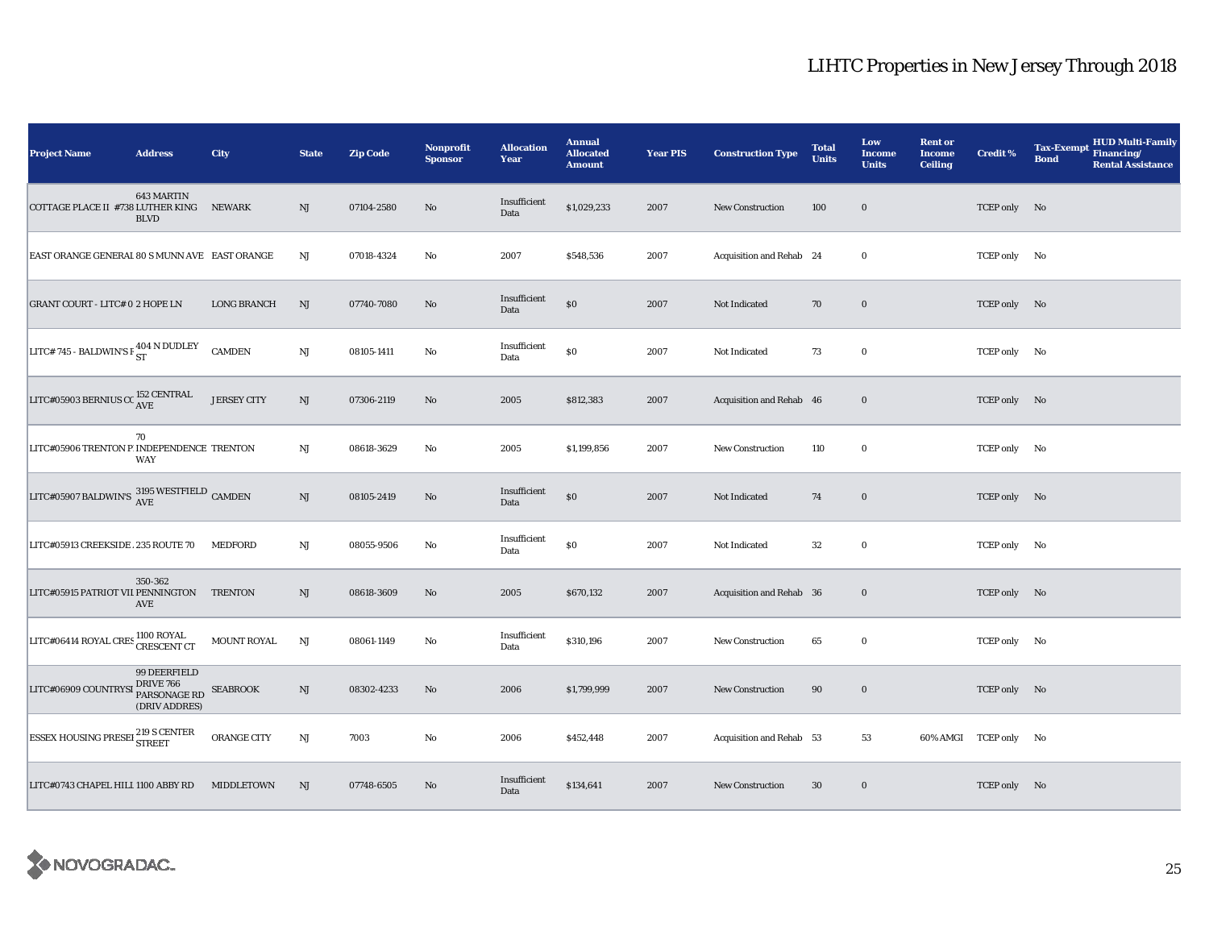| <b>Project Name</b>                                              | <b>Address</b>                                             | City               | <b>State</b> | <b>Zip Code</b> | Nonprofit<br><b>Sponsor</b> | <b>Allocation</b><br>Year | <b>Annual</b><br><b>Allocated</b><br><b>Amount</b> | <b>Year PIS</b> | <b>Construction Type</b> | <b>Total</b><br><b>Units</b> | Low<br><b>Income</b><br><b>Units</b> | <b>Rent or</b><br><b>Income</b><br><b>Ceiling</b> | <b>Credit %</b>       | <b>HUD Multi-Family</b><br><b>Tax-Exempt</b><br>Financing/<br><b>Bond</b><br><b>Rental Assistance</b> |
|------------------------------------------------------------------|------------------------------------------------------------|--------------------|--------------|-----------------|-----------------------------|---------------------------|----------------------------------------------------|-----------------|--------------------------|------------------------------|--------------------------------------|---------------------------------------------------|-----------------------|-------------------------------------------------------------------------------------------------------|
| COTTAGE PLACE II #738 LUTHER KING                                | 643 MARTIN<br><b>BLVD</b>                                  | <b>NEWARK</b>      | NJ           | 07104-2580      | No                          | Insufficient<br>Data      | \$1,029,233                                        | 2007            | <b>New Construction</b>  | 100                          | $\mathbf 0$                          |                                                   | TCEP only No          |                                                                                                       |
| EAST ORANGE GENERAL 80 S MUNN AVE EAST ORANGE                    |                                                            |                    | NJ           | 07018-4324      | No                          | 2007                      | \$548,536                                          | 2007            | Acquisition and Rehab 24 |                              | $\bf{0}$                             |                                                   | TCEP only No          |                                                                                                       |
| <b>GRANT COURT - LITC# 0 2 HOPE LN</b>                           |                                                            | <b>LONG BRANCH</b> | NJ           | 07740-7080      | No                          | Insufficient<br>Data      | $\$0$                                              | 2007            | Not Indicated            | 70                           | $\mathbf 0$                          |                                                   | TCEP only No          |                                                                                                       |
| LITC# 745 - BALDWIN'S F $_{\rm ST}^{404\text{ N}}$ DUDLEY        |                                                            | <b>CAMDEN</b>      | $_{\rm NJ}$  | 08105-1411      | No                          | Insufficient<br>Data      | $\$0$                                              | 2007            | Not Indicated            | 73                           | $\bf{0}$                             |                                                   | TCEP only No          |                                                                                                       |
| LITC#05903 BERNIUS CC $_{\rm AVE}^{152}$ CENTRAL                 |                                                            | <b>JERSEY CITY</b> | $\rm{NJ}$    | 07306-2119      | $\rm No$                    | 2005                      | \$812,383                                          | 2007            | Acquisition and Rehab 46 |                              | $\bf{0}$                             |                                                   | TCEP only No          |                                                                                                       |
| LITC#05906 TRENTON P. INDEPENDENCE TRENTON                       | 70<br><b>WAY</b>                                           |                    | $_{\rm NJ}$  | 08618-3629      | $\rm No$                    | 2005                      | \$1,199,856                                        | 2007            | <b>New Construction</b>  | 110                          | $\bf{0}$                             |                                                   | TCEP only No          |                                                                                                       |
| LITC#05907 BALDWIN'S $\frac{\rm 3195}{\rm AVE}$ WESTFIELD CAMDEN |                                                            |                    | NJ           | 08105-2419      | No                          | Insufficient<br>Data      | $\$0$                                              | 2007            | Not Indicated            | 74                           | $\bf{0}$                             |                                                   | TCEP only No          |                                                                                                       |
| LITC#05913 CREEKSIDE. 235 ROUTE 70                               |                                                            | <b>MEDFORD</b>     | $_{\rm NJ}$  | 08055-9506      | $\rm No$                    | Insufficient<br>Data      | $\$0$                                              | 2007            | Not Indicated            | 32                           | $\bf{0}$                             |                                                   | TCEP only No          |                                                                                                       |
| LITC#05915 PATRIOT VII PENNINGTON TRENTON                        | 350-362<br>AVE                                             |                    | NJ           | 08618-3609      | $\mathbf{N}\mathbf{o}$      | 2005                      | \$670,132                                          | 2007            | Acquisition and Rehab 36 |                              | $\mathbf 0$                          |                                                   | TCEP only No          |                                                                                                       |
| LITC#06414 ROYAL CRES 1100 ROYAL                                 |                                                            | <b>MOUNT ROYAL</b> | NJ           | 08061-1149      | No                          | Insufficient<br>Data      | \$310,196                                          | 2007            | New Construction         | 65                           | $\mathbf 0$                          |                                                   | TCEP only No          |                                                                                                       |
| LITC#06909 COUNTRY                                               | 99 DEERFIELD<br>DRIVE 766<br>PARSONAGE RD<br>(DRIV ADDRES) | <b>SEABROOK</b>    | NJ           | 08302-4233      | No                          | 2006                      | \$1,799,999                                        | 2007            | New Construction         | 90                           | $\mathbf 0$                          |                                                   | TCEP only No          |                                                                                                       |
| <b>ESSEX HOUSING PRESEL 219 S CENTER</b>                         |                                                            | ORANGE CITY        | $\rm{NJ}$    | 7003            | $\rm No$                    | 2006                      | \$452,448                                          | 2007            | Acquisition and Rehab 53 |                              | 53                                   |                                                   | 60% AMGI TCEP only No |                                                                                                       |
| LITC#0743 CHAPEL HILI 1100 ABBY RD                               |                                                            | MIDDLETOWN         | NJ           | 07748-6505      | No                          | Insufficient<br>Data      | \$134,641                                          | 2007            | <b>New Construction</b>  | 30                           | $\bf{0}$                             |                                                   | TCEP only No          |                                                                                                       |

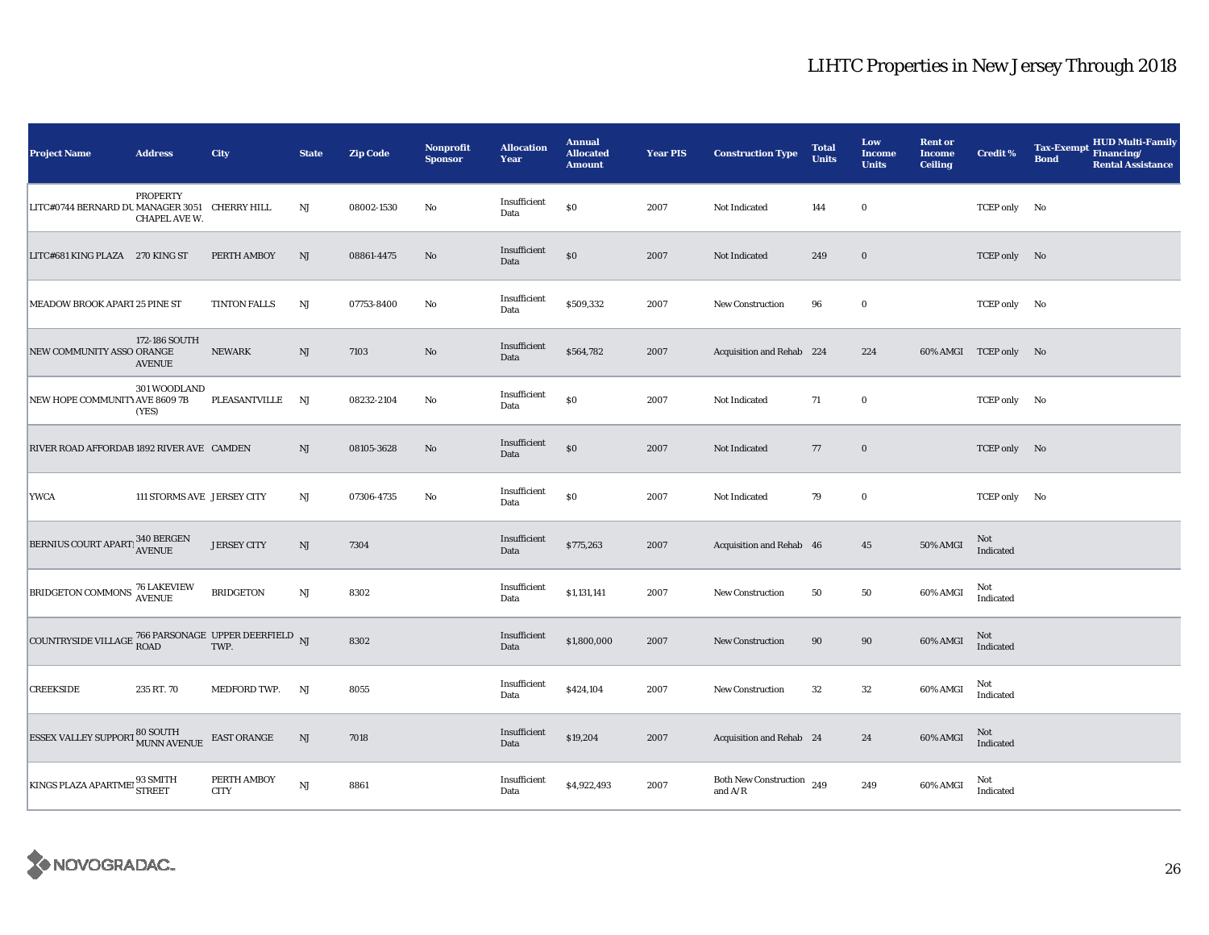| <b>Project Name</b>                                                   | <b>Address</b>                   | City                       | <b>State</b>           | <b>Zip Code</b> | <b>Nonprofit</b><br><b>Sponsor</b> | <b>Allocation</b><br>Year | <b>Annual</b><br><b>Allocated</b><br><b>Amount</b> | <b>Year PIS</b> | <b>Construction Type</b>                  | <b>Total</b><br>Units | Low<br>Income<br><b>Units</b> | <b>Rent or</b><br><b>Income</b><br><b>Ceiling</b> | <b>Credit %</b>       | <b>HUD Multi-Family</b><br><b>Tax-Exempt</b><br>Financing/<br><b>Bond</b><br><b>Rental Assistance</b> |
|-----------------------------------------------------------------------|----------------------------------|----------------------------|------------------------|-----------------|------------------------------------|---------------------------|----------------------------------------------------|-----------------|-------------------------------------------|-----------------------|-------------------------------|---------------------------------------------------|-----------------------|-------------------------------------------------------------------------------------------------------|
| LITC#0744 BERNARD DU MANAGER 3051 CHERRY HILL                         | <b>PROPERTY</b><br>CHAPEL AVE W. |                            | $_{\rm NJ}$            | 08002-1530      | No                                 | Insufficient<br>Data      | $\$0$                                              | 2007            | Not Indicated                             | 144                   | $\bf{0}$                      |                                                   | TCEP only No          |                                                                                                       |
| LITC#681 KING PLAZA 270 KING ST                                       |                                  | PERTH AMBOY                | $\mathbf{N}\mathbf{J}$ | 08861-4475      | No                                 | Insufficient<br>Data      | \$0                                                | 2007            | Not Indicated                             | 249                   | $\boldsymbol{0}$              |                                                   | TCEP only No          |                                                                                                       |
| MEADOW BROOK APART 25 PINE ST                                         |                                  | <b>TINTON FALLS</b>        | NJ                     | 07753-8400      | No                                 | Insufficient<br>Data      | \$509,332                                          | 2007            | <b>New Construction</b>                   | 96                    | $\bf{0}$                      |                                                   | TCEP only No          |                                                                                                       |
| NEW COMMUNITY ASSO ORANGE                                             | 172-186 SOUTH<br><b>AVENUE</b>   | <b>NEWARK</b>              | NJ                     | 7103            | No                                 | Insufficient<br>Data      | \$564,782                                          | 2007            | Acquisition and Rehab 224                 |                       | 224                           |                                                   | 60% AMGI TCEP only No |                                                                                                       |
| NEW HOPE COMMUNITY AVE 8609 7B                                        | 301 WOODLAND<br>(YES)            | PLEASANTVILLE              | NJ                     | 08232-2104      | No                                 | Insufficient<br>Data      | \$0                                                | 2007            | Not Indicated                             | 71                    | $\bf{0}$                      |                                                   | TCEP only No          |                                                                                                       |
| RIVER ROAD AFFORDAB 1892 RIVER AVE CAMDEN                             |                                  |                            | NJ                     | 08105-3628      | $\rm No$                           | Insufficient<br>Data      | \$0                                                | 2007            | Not Indicated                             | 77                    | $\bf{0}$                      |                                                   | TCEP only No          |                                                                                                       |
| <b>YWCA</b>                                                           | 111 STORMS AVE JERSEY CITY       |                            | $_{\rm NJ}$            | 07306-4735      | No                                 | Insufficient<br>Data      | \$0                                                | 2007            | Not Indicated                             | 79                    | $\bf{0}$                      |                                                   | TCEP only No          |                                                                                                       |
| BERNIUS COURT APARTI 340 BERGEN                                       |                                  | <b>JERSEY CITY</b>         | NJ                     | 7304            |                                    | Insufficient<br>Data      | \$775,263                                          | 2007            | Acquisition and Rehab 46                  |                       | 45                            | <b>50% AMGI</b>                                   | Not<br>Indicated      |                                                                                                       |
| BRIDGETON COMMONS 76 LAKEVIEW                                         |                                  | <b>BRIDGETON</b>           | $\mathbf{N}\mathbf{J}$ | 8302            |                                    | Insufficient<br>Data      | \$1,131,141                                        | 2007            | <b>New Construction</b>                   | 50                    | 50                            | 60% AMGI                                          | Not<br>Indicated      |                                                                                                       |
| COUNTRYSIDE VILLAGE $^{766}_{\rm{ROAD}}$ PARSONAGE UPPER DEERFIELD NJ |                                  |                            |                        | 8302            |                                    | Insufficient<br>Data      | \$1,800,000                                        | 2007            | <b>New Construction</b>                   | 90                    | 90                            | 60% AMGI                                          | Not<br>Indicated      |                                                                                                       |
| <b>CREEKSIDE</b>                                                      | 235 RT. 70                       | MEDFORD TWP.               | NJ                     | 8055            |                                    | Insufficient<br>Data      | \$424,104                                          | 2007            | New Construction                          | 32                    | 32                            | 60% AMGI                                          | Not<br>Indicated      |                                                                                                       |
| ESSEX VALLEY SUPPORT 80 SOUTH MUNN AVENUE                             |                                  | <b>EAST ORANGE</b>         | $_{\rm NJ}$            | 7018            |                                    | Insufficient<br>Data      | \$19,204                                           | 2007            | Acquisition and Rehab 24                  |                       | 24                            | 60% AMGI                                          | Not<br>Indicated      |                                                                                                       |
| KINGS PLAZA APARTMEI 93 SMITH                                         |                                  | PERTH AMBOY<br><b>CITY</b> | NJ                     | 8861            |                                    | Insufficient<br>Data      | \$4,922,493                                        | 2007            | <b>Both New Construction</b><br>and $A/R$ | 249                   | 249                           | 60% AMGI                                          | Not<br>Indicated      |                                                                                                       |

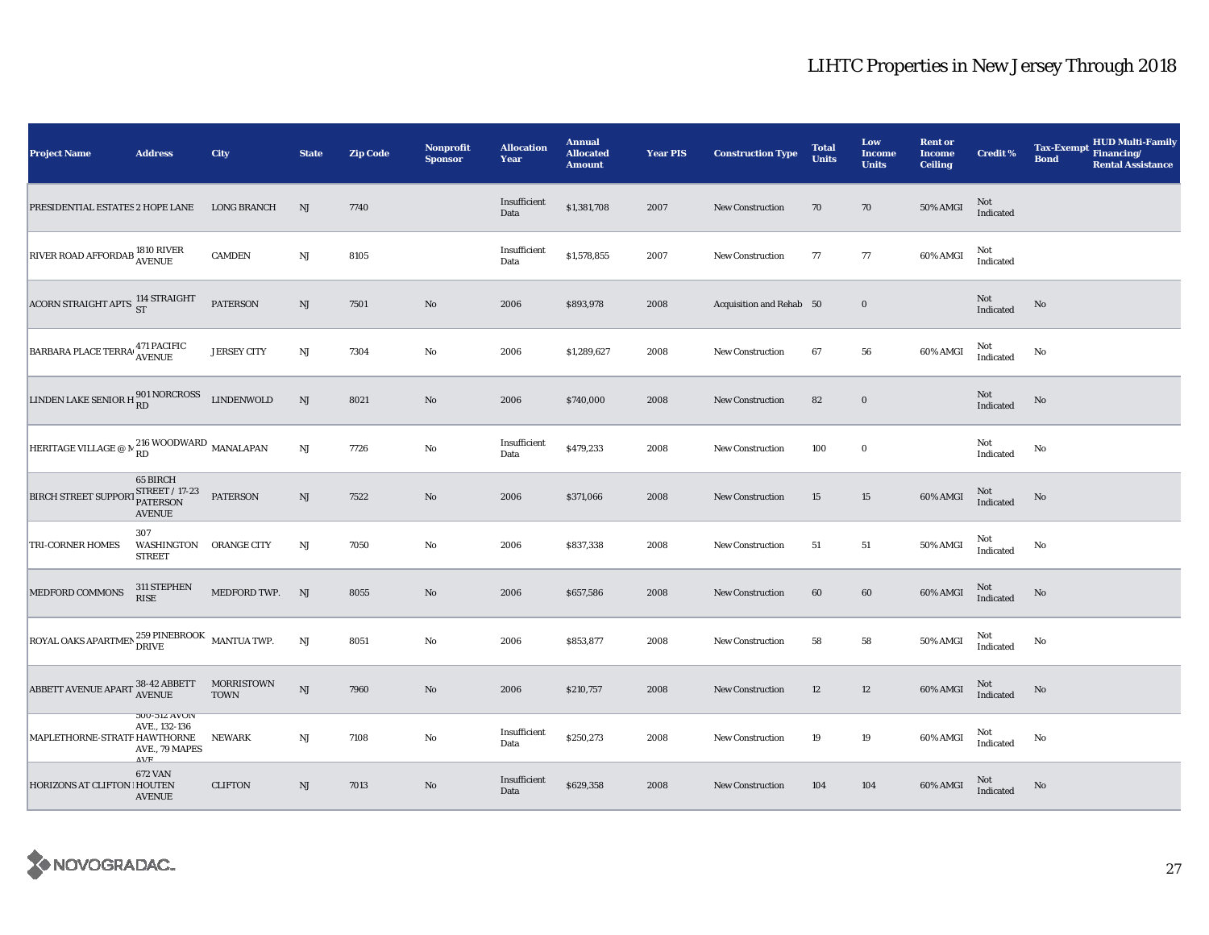| <b>Project Name</b>                                                                                                      | <b>Address</b>                                                                     | City                      | <b>State</b>           | <b>Zip Code</b> | <b>Nonprofit</b><br><b>Sponsor</b> | <b>Allocation</b><br>Year | <b>Annual</b><br><b>Allocated</b><br><b>Amount</b> | <b>Year PIS</b> | <b>Construction Type</b> | <b>Total</b><br><b>Units</b> | Low<br><b>Income</b><br><b>Units</b> | <b>Rent or</b><br><b>Income</b><br><b>Ceiling</b> | <b>Credit %</b>  | <b>HUD Multi-Family</b><br><b>Tax-Exempt</b><br>Financing/<br><b>Bond</b><br><b>Rental Assistance</b> |
|--------------------------------------------------------------------------------------------------------------------------|------------------------------------------------------------------------------------|---------------------------|------------------------|-----------------|------------------------------------|---------------------------|----------------------------------------------------|-----------------|--------------------------|------------------------------|--------------------------------------|---------------------------------------------------|------------------|-------------------------------------------------------------------------------------------------------|
| PRESIDENTIAL ESTATES 2 HOPE LANE                                                                                         |                                                                                    | <b>LONG BRANCH</b>        | NJ                     | 7740            |                                    | Insufficient<br>Data      | \$1,381,708                                        | 2007            | New Construction         | 70                           | 70                                   | 50% AMGI                                          | Not<br>Indicated |                                                                                                       |
| RIVER ROAD AFFORDAB 1810 RIVER                                                                                           |                                                                                    | <b>CAMDEN</b>             | $\mathbf{N}\mathbf{J}$ | 8105            |                                    | Insufficient<br>Data      | \$1,578,855                                        | 2007            | <b>New Construction</b>  | 77                           | 77                                   | 60% AMGI                                          | Not<br>Indicated |                                                                                                       |
| ACORN STRAIGHT APTS 114 STRAIGHT                                                                                         |                                                                                    | <b>PATERSON</b>           | $\mathbf{N}\mathbf{J}$ | 7501            | $\rm No$                           | 2006                      | \$893,978                                          | 2008            | Acquisition and Rehab 50 |                              | $\mathbf 0$                          |                                                   | Not<br>Indicated | $\rm No$                                                                                              |
| BARBARA PLACE TERRA 471 PACIFIC                                                                                          |                                                                                    | <b>JERSEY CITY</b>        | NJ                     | 7304            | No                                 | 2006                      | \$1,289,627                                        | 2008            | <b>New Construction</b>  | 67                           | 56                                   | 60% AMGI                                          | Not<br>Indicated | No                                                                                                    |
| LINDEN LAKE SENIOR H 801 NORCROSS                                                                                        |                                                                                    | <b>LINDENWOLD</b>         | $\mathbf{N}\mathbf{J}$ | 8021            | $\rm No$                           | 2006                      | \$740,000                                          | 2008            | <b>New Construction</b>  | 82                           | $\mathbf 0$                          |                                                   | Not<br>Indicated | No                                                                                                    |
| HERITAGE VILLAGE @ N $_{\rm RD}^{216}$ WOODWARD MANALAPAN                                                                |                                                                                    |                           | $\mathbf{N}\mathbf{J}$ | 7726            | No                                 | Insufficient<br>Data      | \$479,233                                          | 2008            | New Construction         | 100                          | $\bf{0}$                             |                                                   | Not<br>Indicated | No                                                                                                    |
| BIRCH STREET SUPPORT STREET / 17-23                                                                                      | 65 BIRCH<br><b>AVENUE</b>                                                          | <b>PATERSON</b>           | NJ                     | 7522            | $\rm No$                           | 2006                      | \$371,066                                          | 2008            | New Construction         | 15                           | 15                                   | 60% AMGI                                          | Not<br>Indicated | $\rm No$                                                                                              |
| TRI-CORNER HOMES                                                                                                         | 307<br>WASHINGTON ORANGE CITY<br><b>STREET</b>                                     |                           | $\mathbf{N}\mathbf{J}$ | 7050            | No                                 | 2006                      | \$837,338                                          | 2008            | New Construction         | 51                           | 51                                   | 50% AMGI                                          | Not<br>Indicated | No                                                                                                    |
| MEDFORD COMMONS                                                                                                          | 311 STEPHEN<br><b>RISE</b>                                                         | MEDFORD TWP.              | NJ                     | 8055            | $\rm No$                           | 2006                      | \$657,586                                          | 2008            | <b>New Construction</b>  | 60                           | $60\,$                               | 60% AMGI                                          | Not<br>Indicated | No                                                                                                    |
| ROYAL OAKS APARTMEN ${}^{259}_{\rm DRIVE}$ MANTUA TWP.                                                                   |                                                                                    |                           | $\rm NJ$               | 8051            | $\rm No$                           | 2006                      | \$853,877                                          | 2008            | <b>New Construction</b>  | 58                           | 58                                   | $50\%$ AMGI                                       | Not<br>Indicated | No                                                                                                    |
| ${\small \bf ABBERT\ AVENUE\ APART\ \begin{smallmatrix} 38\text{-}42\ \text{ABBERT}}\\ \text{AVENUE} \end{smallmatrix}}$ |                                                                                    | MORRISTOWN<br><b>TOWN</b> | NJ                     | 7960            | No                                 | 2006                      | \$210,757                                          | 2008            | <b>New Construction</b>  | 12                           | 12                                   | 60% AMGI                                          | Not<br>Indicated | No                                                                                                    |
| MAPLETHORNE-STRATF HAWTHORNE                                                                                             | <b>300-314 AVOIV</b><br>AVE., 132-136<br>AVE., 79 MAPES<br>$\Lambda$ <sub>VE</sub> | <b>NEWARK</b>             | $\mathbf{N}\mathbf{J}$ | 7108            | No                                 | Insufficient<br>Data      | \$250,273                                          | 2008            | <b>New Construction</b>  | 19                           | $19\,$                               | 60% AMGI                                          | Not<br>Indicated | No                                                                                                    |
| HORIZONS AT CLIFTON   HOUTEN                                                                                             | <b>672 VAN</b><br><b>AVENUE</b>                                                    | <b>CLIFTON</b>            | NJ                     | 7013            | No                                 | Insufficient<br>Data      | \$629,358                                          | 2008            | <b>New Construction</b>  | 104                          | 104                                  | 60% AMGI                                          | Not<br>Indicated | No                                                                                                    |

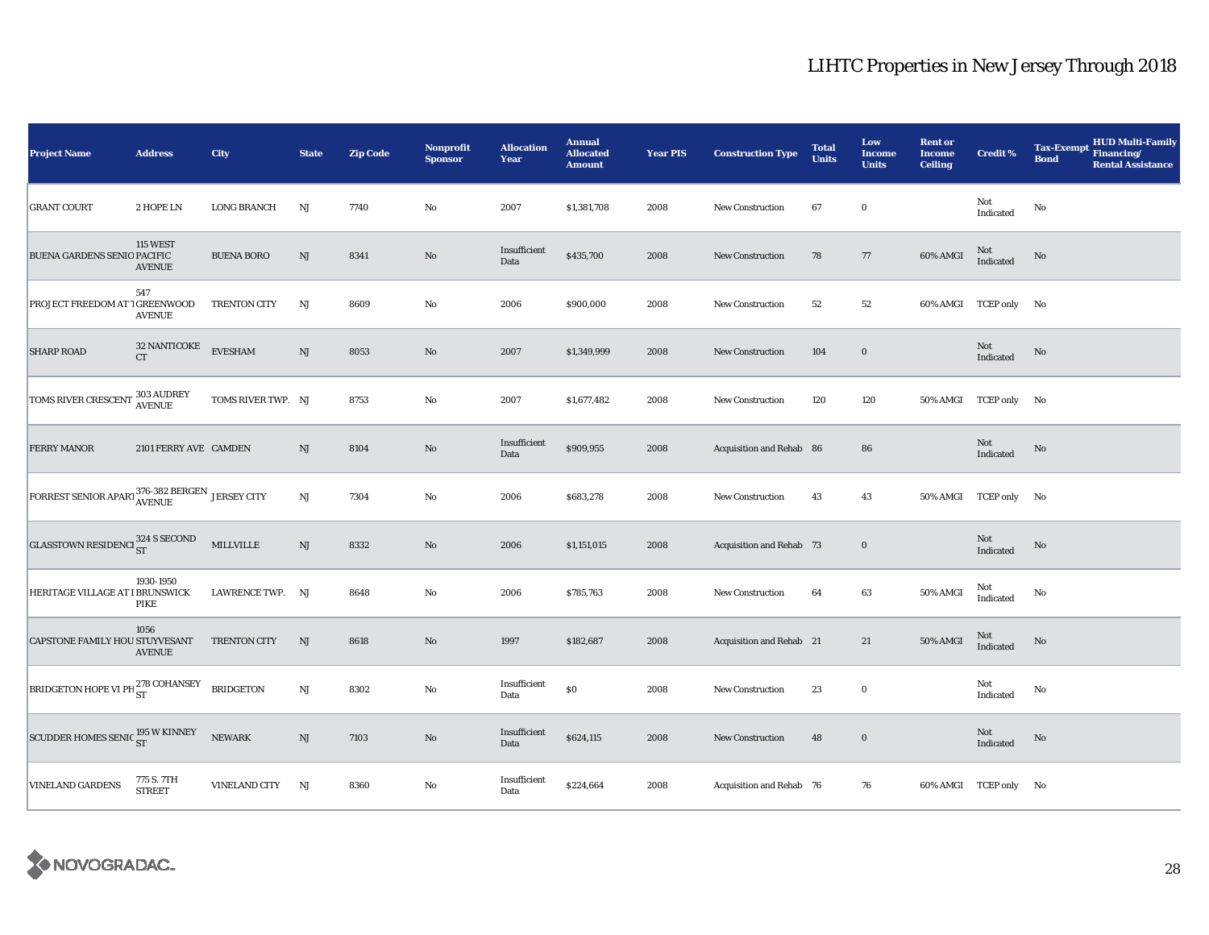| <b>Project Name</b>                             | <b>Address</b>                   | City                 | <b>State</b>           | <b>Zip Code</b> | <b>Nonprofit</b><br><b>Sponsor</b> | <b>Allocation</b><br>Year | <b>Annual</b><br><b>Allocated</b><br><b>Amount</b> | <b>Year PIS</b> | <b>Construction Type</b> | <b>Total</b><br><b>Units</b> | Low<br><b>Income</b><br><b>Units</b> | <b>Rent or</b><br><b>Income</b><br><b>Ceiling</b> | <b>Credit %</b>       | <b>Tax-Exempt</b><br><b>Bond</b> | <b>HUD Multi-Family</b><br>Financing/<br><b>Rental Assistance</b> |
|-------------------------------------------------|----------------------------------|----------------------|------------------------|-----------------|------------------------------------|---------------------------|----------------------------------------------------|-----------------|--------------------------|------------------------------|--------------------------------------|---------------------------------------------------|-----------------------|----------------------------------|-------------------------------------------------------------------|
| <b>GRANT COURT</b>                              | 2 HOPE LN                        | <b>LONG BRANCH</b>   | NJ                     | 7740            | No                                 | 2007                      | \$1,381,708                                        | 2008            | <b>New Construction</b>  | 67                           | $\bf{0}$                             |                                                   | Not<br>Indicated      | No                               |                                                                   |
| BUENA GARDENS SENIO PACIFIC                     | <b>115 WEST</b><br><b>AVENUE</b> | <b>BUENA BORO</b>    | $\mathbf{N}\mathbf{J}$ | 8341            | No                                 | Insufficient<br>Data      | \$435,700                                          | 2008            | New Construction         | 78                           | $77\,$                               | 60% AMGI                                          | Not<br>Indicated      | No                               |                                                                   |
| PROJECT FREEDOM AT 1 GREENWOOD                  | 547<br><b>AVENUE</b>             | <b>TRENTON CITY</b>  | NJ                     | 8609            | $\rm No$                           | 2006                      | \$900,000                                          | 2008            | <b>New Construction</b>  | 52                           | 52                                   |                                                   | 60% AMGI TCEP only No |                                  |                                                                   |
| <b>SHARP ROAD</b>                               | 32 NANTICOKE<br>CT               | <b>EVESHAM</b>       | $\mathbf{N}\mathbf{J}$ | 8053            | $\rm No$                           | 2007                      | \$1,349,999                                        | 2008            | New Construction         | 104                          | $\mathbf 0$                          |                                                   | Not<br>Indicated      | No                               |                                                                   |
| TOMS RIVER CRESCENT                             | 303 AUDREY<br>AVENUE             | TOMS RIVER TWP. NJ   |                        | 8753            | No                                 | 2007                      | \$1,677,482                                        | 2008            | <b>New Construction</b>  | 120                          | 120                                  | 50% AMGI TCEP only                                |                       | No.                              |                                                                   |
| <b>FERRY MANOR</b>                              | 2101 FERRY AVE CAMDEN            |                      | $\mathrm{NJ}$          | 8104            | No                                 | Insufficient<br>Data      | \$909,955                                          | 2008            | Acquisition and Rehab 86 |                              | 86                                   |                                                   | Not<br>Indicated      | No                               |                                                                   |
| FORREST SENIOR APART 376-382 BERGEN JERSEY CITY |                                  |                      | $\mathbf{N}\mathbf{J}$ | 7304            | No                                 | 2006                      | \$683,278                                          | 2008            | New Construction         | 43                           | 43                                   |                                                   | 50% AMGI TCEP only No |                                  |                                                                   |
| <b>GLASSTOWN RESIDENCI</b> 324 S SECOND         |                                  | $\text{MILLVILLE}$   | $\rm{NJ}$              | 8332            | $\rm No$                           | 2006                      | \$1,151,015                                        | 2008            | Acquisition and Rehab 73 |                              | $\mathbf 0$                          |                                                   | Not<br>Indicated      | $\rm No$                         |                                                                   |
| HERITAGE VILLAGE AT I BRUNSWICK                 | 1930-1950<br>PIKE                | LAWRENCE TWP. NJ     |                        | 8648            | No                                 | 2006                      | \$785,763                                          | 2008            | <b>New Construction</b>  | 64                           | $\bf63$                              | 50% AMGI                                          | Not<br>Indicated      | No                               |                                                                   |
| CAPSTONE FAMILY HOU STUYVESANT                  | 1056<br><b>AVENUE</b>            | <b>TRENTON CITY</b>  | NJ                     | 8618            | $\rm No$                           | 1997                      | \$182,687                                          | 2008            | Acquisition and Rehab 21 |                              | 21                                   | 50% AMGI                                          | Not<br>Indicated      | $\rm No$                         |                                                                   |
| <b>BRIDGETON HOPE VI PH 278 COHANSEY</b>        |                                  | <b>BRIDGETON</b>     | NJ                     | 8302            | No                                 | Insufficient<br>Data      | $\$0$                                              | 2008            | New Construction         | 23                           | $\bf{0}$                             |                                                   | Not<br>Indicated      | No                               |                                                                   |
| SCUDDER HOMES SENIC 195 W KINNEY                |                                  | <b>NEWARK</b>        | $_{\rm NJ}$            | 7103            | No                                 | Insufficient<br>Data      | \$624,115                                          | 2008            | New Construction         | 48                           | $\mathbf 0$                          |                                                   | Not<br>Indicated      | No                               |                                                                   |
| <b>VINELAND GARDENS</b>                         | 775 S. 7TH<br><b>STREET</b>      | <b>VINELAND CITY</b> | NJ                     | 8360            | $\rm No$                           | Insufficient<br>Data      | \$224,664                                          | 2008            | Acquisition and Rehab 76 |                              | 76                                   |                                                   | 60% AMGI TCEP only No |                                  |                                                                   |

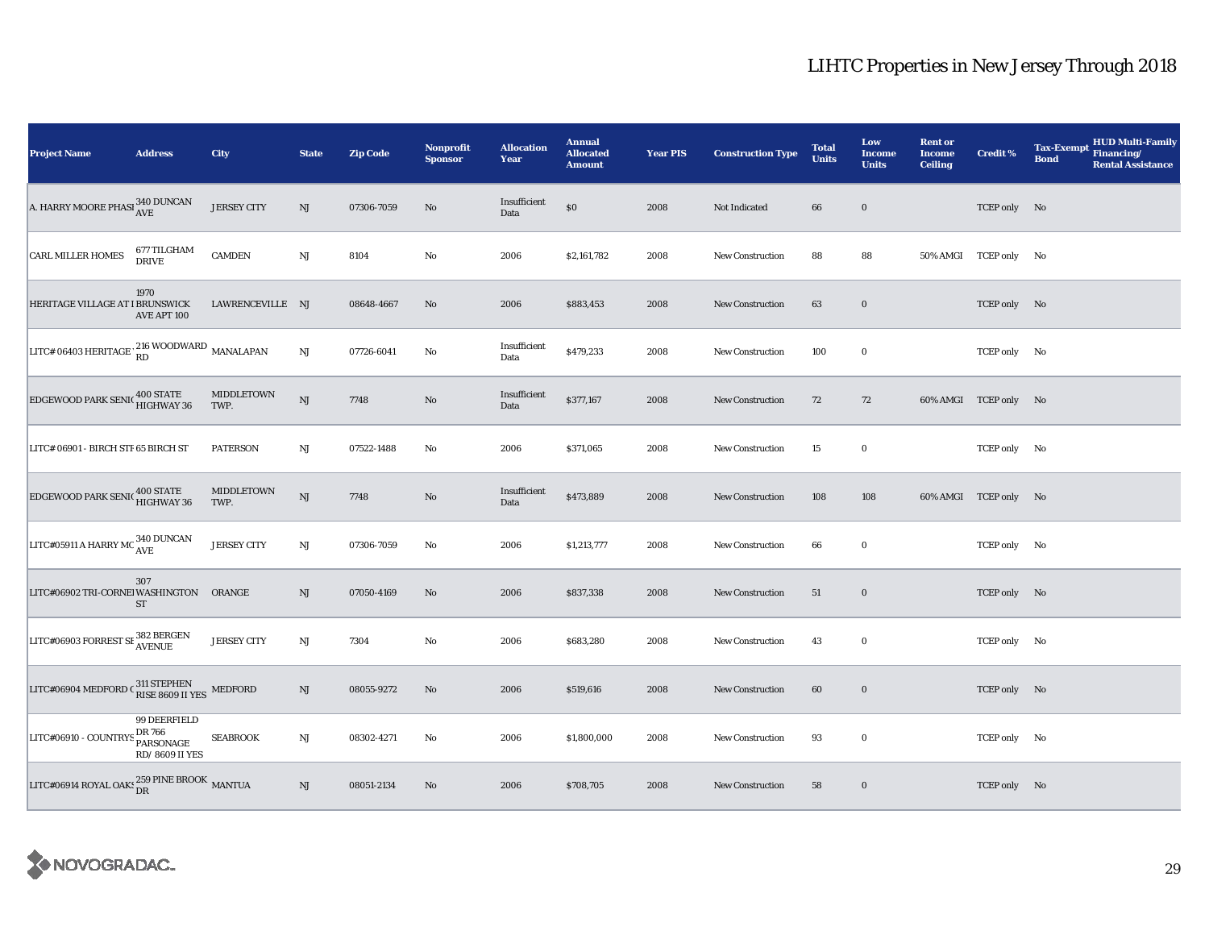| <b>Project Name</b>                                                                                 | <b>Address</b>                           | City               | <b>State</b>           | <b>Zip Code</b> | <b>Nonprofit</b><br><b>Sponsor</b> | <b>Allocation</b><br>Year | <b>Annual</b><br><b>Allocated</b><br><b>Amount</b> | <b>Year PIS</b> | <b>Construction Type</b> | <b>Total</b><br><b>Units</b> | Low<br>Income<br><b>Units</b> | <b>Rent or</b><br><b>Income</b><br><b>Ceiling</b> | <b>Credit %</b>       | <b>HUD Multi-Family</b><br><b>Tax-Exempt</b><br>Financing/<br><b>Bond</b><br><b>Rental Assistance</b> |
|-----------------------------------------------------------------------------------------------------|------------------------------------------|--------------------|------------------------|-----------------|------------------------------------|---------------------------|----------------------------------------------------|-----------------|--------------------------|------------------------------|-------------------------------|---------------------------------------------------|-----------------------|-------------------------------------------------------------------------------------------------------|
| A. HARRY MOORE PHASI $_{\mbox{AVE}}^{340\; \mbox{DUNCAN}}$                                          |                                          | <b>JERSEY CITY</b> | NJ                     | 07306-7059      | No                                 | Insufficient<br>Data      | $\$0$                                              | 2008            | Not Indicated            | 66                           | $\mathbf 0$                   |                                                   | TCEP only No          |                                                                                                       |
| <b>CARL MILLER HOMES</b>                                                                            | 677 TILGHAM<br><b>DRIVE</b>              | <b>CAMDEN</b>      | NJ                     | 8104            | $\rm No$                           | 2006                      | \$2,161,782                                        | 2008            | <b>New Construction</b>  | 88                           | 88                            |                                                   | 50% AMGI TCEP only No |                                                                                                       |
| HERITAGE VILLAGE AT I BRUNSWICK                                                                     | 1970<br>AVE APT 100                      | LAWRENCEVILLE NJ   |                        | 08648-4667      | No                                 | 2006                      | \$883,453                                          | 2008            | <b>New Construction</b>  | 63                           | $\bf{0}$                      |                                                   | TCEP only No          |                                                                                                       |
| LITC# 06403 HERITAGE $\frac{216}{RD}$ WOODWARD MANALAPAN                                            |                                          |                    | $_{\rm NJ}$            | 07726-6041      | No                                 | Insufficient<br>Data      | \$479,233                                          | 2008            | <b>New Construction</b>  | 100                          | $\bf{0}$                      |                                                   | TCEP only No          |                                                                                                       |
| EDGEWOOD PARK SENIC                                                                                 | 400 STATE<br>HIGHWAY 36                  | MIDDLETOWN<br>TWP. | NJ                     | 7748            | $\rm No$                           | Insufficient<br>Data      | \$377,167                                          | 2008            | <b>New Construction</b>  | 72                           | 72                            |                                                   | 60% AMGI TCEP only No |                                                                                                       |
| LITC# 06901 - BIRCH STF 65 BIRCH ST                                                                 |                                          | <b>PATERSON</b>    | NJ                     | 07522-1488      | No                                 | 2006                      | \$371,065                                          | 2008            | <b>New Construction</b>  | 15                           | $\mathbf 0$                   |                                                   | TCEP only No          |                                                                                                       |
| <b>EDGEWOOD PARK SENIC 400 STATE</b>                                                                |                                          | MIDDLETOWN<br>TWP. | $\mathbf{N}\mathbf{J}$ | 7748            | $\rm No$                           | Insufficient<br>Data      | \$473,889                                          | 2008            | New Construction         | 108                          | 108                           |                                                   | 60% AMGI TCEP only No |                                                                                                       |
| LITC#05911 A HARRY MC $_{\rm AVE}^{340}$ DUNCAN                                                     |                                          | <b>JERSEY CITY</b> | NJ                     | 07306-7059      | No                                 | 2006                      | \$1,213,777                                        | 2008            | New Construction         | 66                           | $\bf{0}$                      |                                                   | TCEP only No          |                                                                                                       |
| LITC#06902 TRI-CORNEl WASHINGTON ORANGE                                                             | 307<br><b>ST</b>                         |                    | NJ                     | 07050-4169      | No                                 | 2006                      | \$837,338                                          | 2008            | <b>New Construction</b>  | 51                           | $\bf{0}$                      |                                                   | TCEP only No          |                                                                                                       |
| LITC#06903 FORREST SE 382 BERGEN                                                                    |                                          | <b>JERSEY CITY</b> | NJ                     | 7304            | $\rm No$                           | 2006                      | \$683,280                                          | 2008            | <b>New Construction</b>  | 43                           | $\bf{0}$                      |                                                   | TCEP only No          |                                                                                                       |
| $\mbox{LITC\#06904 MEDFORD C}\xspace_{\mbox{RISE 8609 II YES}}^{311\mbox{ STEPHEN}} \mbox{MEDFORD}$ |                                          |                    | NJ                     | 08055-9272      | No                                 | 2006                      | \$519,616                                          | 2008            | <b>New Construction</b>  | 60                           | $\bf{0}$                      |                                                   | TCEP only No          |                                                                                                       |
| LITC#06910 - COUNTRYS PARSONAGE                                                                     | 99 DEERFIELD<br>DR 766<br>RD/8609 II YES | <b>SEABROOK</b>    | $_{\rm NJ}$            | 08302-4271      | $\rm No$                           | 2006                      | \$1,800,000                                        | 2008            | <b>New Construction</b>  | 93                           | $\mathbf 0$                   |                                                   | TCEP only No          |                                                                                                       |
| LITC#06914 ROYAL OAK: $^{259}_{\rm{DR}}$ PINE BROOK $\,$ MANTUA                                     |                                          |                    | NJ                     | 08051-2134      | No                                 | 2006                      | \$708,705                                          | 2008            | New Construction         | 58                           | $\bf{0}$                      |                                                   | TCEP only No          |                                                                                                       |

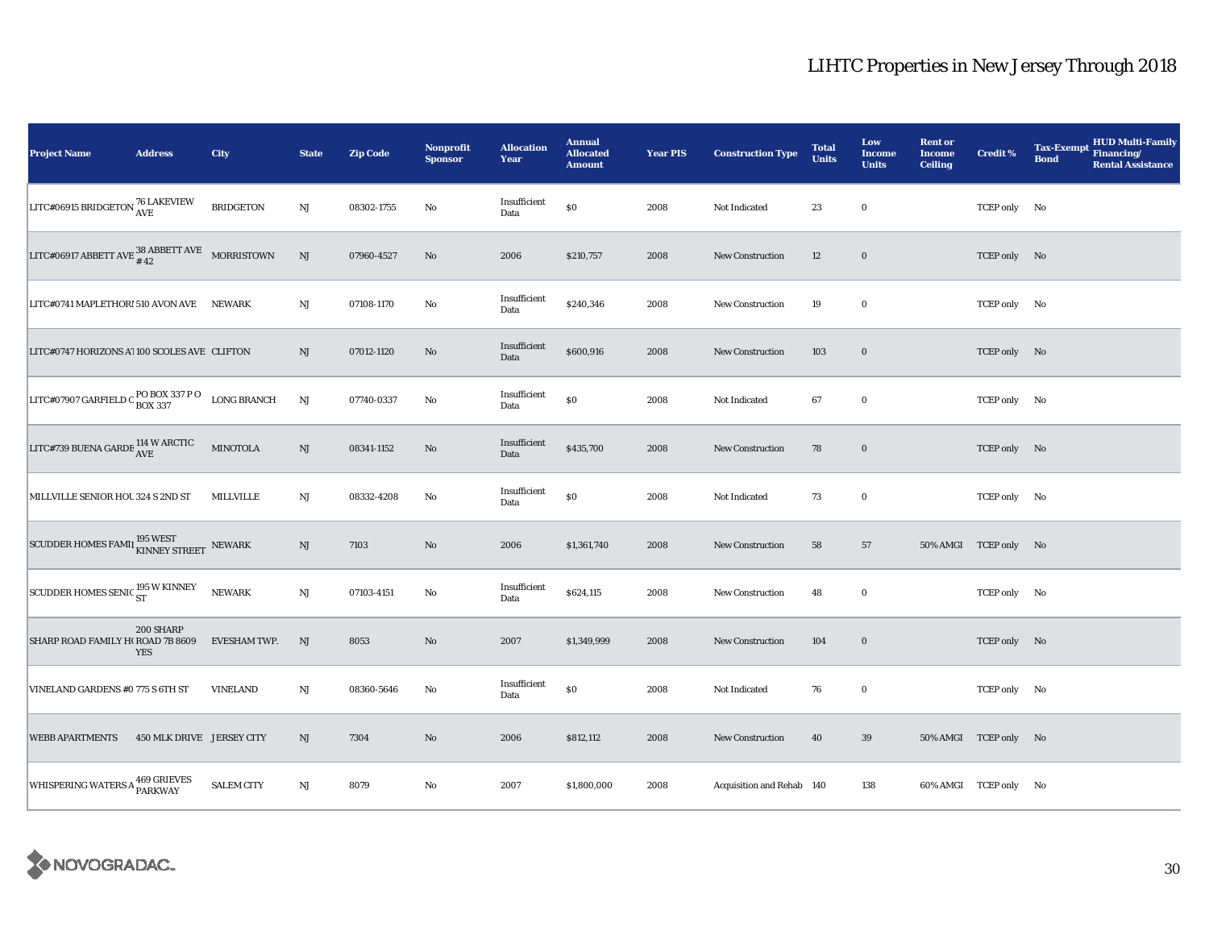| <b>Project Name</b>                                                                                                | <b>Address</b>            | City                | <b>State</b>           | <b>Zip Code</b> | Nonprofit<br><b>Sponsor</b> | <b>Allocation</b><br>Year | <b>Annual</b><br><b>Allocated</b><br><b>Amount</b> | <b>Year PIS</b> | <b>Construction Type</b>  | <b>Total</b><br><b>Units</b> | Low<br><b>Income</b><br><b>Units</b> | <b>Rent or</b><br><b>Income</b><br><b>Ceiling</b> | <b>Credit %</b>       | <b>HUD Multi-Family</b><br><b>Tax-Exempt</b><br>Financing/<br><b>Bond</b><br><b>Rental Assistance</b> |
|--------------------------------------------------------------------------------------------------------------------|---------------------------|---------------------|------------------------|-----------------|-----------------------------|---------------------------|----------------------------------------------------|-----------------|---------------------------|------------------------------|--------------------------------------|---------------------------------------------------|-----------------------|-------------------------------------------------------------------------------------------------------|
| LITC#06915 BRIDGETON $^{76}_{\rm AVE}$ LAKEVIEW                                                                    |                           | <b>BRIDGETON</b>    | $_{\rm NJ}$            | 08302-1755      | No                          | Insufficient<br>Data      | $\$0$                                              | 2008            | Not Indicated             | 23                           | $\bf{0}$                             |                                                   | TCEP only No          |                                                                                                       |
| LITC#06917 ABBETT AVE $\begin{array}{cc} 38 \text{ } \text{ABBETT} \text{ AVE} & \text{MORRISTOWN} \\ \end{array}$ |                           |                     | $\rm{NJ}$              | 07960-4527      | $\rm No$                    | 2006                      | \$210,757                                          | 2008            | New Construction          | 12                           | $\bf{0}$                             |                                                   | TCEP only No          |                                                                                                       |
| LITC#0741 MAPLETHOR! 510 AVON AVE NEWARK                                                                           |                           |                     | $_{\rm NJ}$            | 07108-1170      | $\rm No$                    | Insufficient<br>Data      | \$240,346                                          | 2008            | <b>New Construction</b>   | 19                           | $\bf{0}$                             |                                                   | TCEP only No          |                                                                                                       |
| LITC#0747 HORIZONS A 100 SCOLES AVE CLIFTON                                                                        |                           |                     | NJ                     | 07012-1120      | No                          | Insufficient<br>Data      | \$600,916                                          | 2008            | <b>New Construction</b>   | 103                          | $\bf{0}$                             |                                                   | TCEP only No          |                                                                                                       |
| LITC#07907 GARFIELD C BOX 337 P O LONG BRANCH                                                                      |                           |                     | NJ                     | 07740-0337      | No                          | Insufficient<br>Data      | $\$0$                                              | 2008            | Not Indicated             | 67                           | $\mathbf 0$                          |                                                   | TCEP only No          |                                                                                                       |
| LITC#739 BUENA GARDE $^{114}_{\rm{AVE}}$ W ARCTIC                                                                  |                           | <b>MINOTOLA</b>     | NJ                     | 08341-1152      | No                          | Insufficient<br>Data      | \$435,700                                          | 2008            | New Construction          | 78                           | $\bf{0}$                             |                                                   | TCEP only No          |                                                                                                       |
| MILLVILLE SENIOR HOU 324 S 2ND ST                                                                                  |                           | MILLVILLE           | NJ                     | 08332-4208      | No                          | Insufficient<br>Data      | $\$0$                                              | 2008            | Not Indicated             | 73                           | $\mathbf 0$                          |                                                   | TCEP only No          |                                                                                                       |
| SCUDDER HOMES FAMII $_{\rm KINNEY\,STREET}^{\rm 195\,WEST}$ NEWARK                                                 |                           |                     | NJ                     | 7103            | $\rm No$                    | 2006                      | \$1,361,740                                        | 2008            | <b>New Construction</b>   | 58                           | 57                                   |                                                   | 50% AMGI TCEP only No |                                                                                                       |
| SCUDDER HOMES SENIC 195 W KINNEY                                                                                   |                           | <b>NEWARK</b>       | $\mathbf{N}\mathbf{J}$ | 07103-4151      | No                          | Insufficient<br>Data      | \$624,115                                          | 2008            | <b>New Construction</b>   | 48                           | $\bf{0}$                             |                                                   | TCEP only No          |                                                                                                       |
| SHARP ROAD FAMILY H(ROAD 7B 8609                                                                                   | 200 SHARP<br><b>YES</b>   | <b>EVESHAM TWP.</b> | NJ                     | 8053            | $\rm No$                    | 2007                      | \$1,349,999                                        | 2008            | <b>New Construction</b>   | 104                          | $\mathbf 0$                          |                                                   | TCEP only No          |                                                                                                       |
| VINELAND GARDENS #0 775 S 6TH ST                                                                                   |                           | <b>VINELAND</b>     | $_{\rm NJ}$            | 08360-5646      | No                          | Insufficient<br>Data      | $\$0$                                              | 2008            | Not Indicated             | 76                           | $\mathbf 0$                          |                                                   | TCEP only No          |                                                                                                       |
| <b>WEBB APARTMENTS</b>                                                                                             | 450 MLK DRIVE JERSEY CITY |                     | NJ                     | 7304            | $\rm No$                    | 2006                      | \$812,112                                          | 2008            | <b>New Construction</b>   | 40                           | $39\,$                               |                                                   | 50% AMGI TCEP only No |                                                                                                       |
| WHISPERING WATERS A 469 GRIEVES                                                                                    |                           | <b>SALEM CITY</b>   | $\mathbf{N}\mathbf{J}$ | 8079            | No                          | 2007                      | \$1,800,000                                        | 2008            | Acquisition and Rehab 140 |                              | 138                                  |                                                   | 60% AMGI TCEP only No |                                                                                                       |

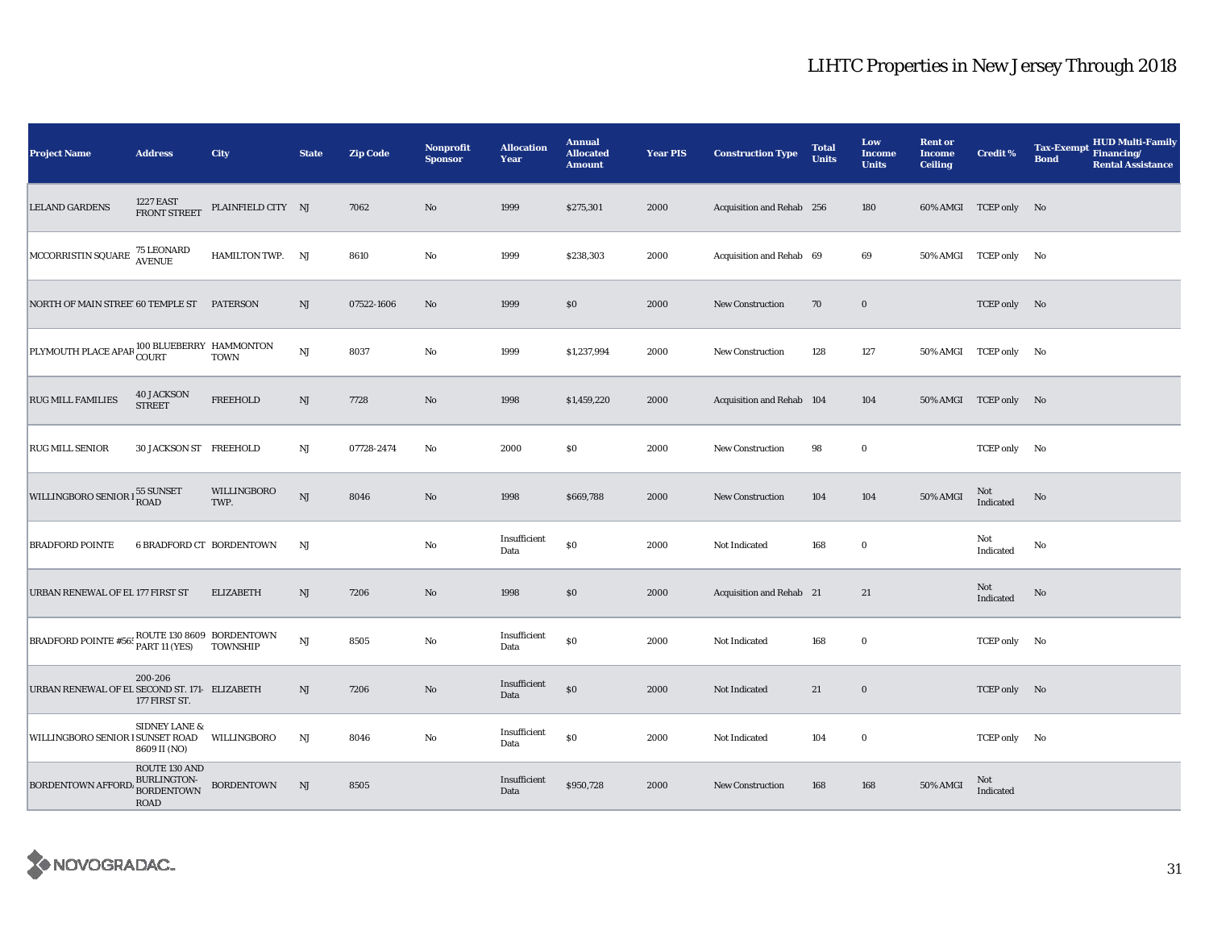| <b>Project Name</b>                                                                                                                             | <b>Address</b>                                                   | <b>City</b>                                  | <b>State</b>           | <b>Zip Code</b> | <b>Nonprofit</b><br><b>Sponsor</b> | <b>Allocation</b><br>Year | <b>Annual</b><br><b>Allocated</b><br><b>Amount</b> | <b>Year PIS</b> | <b>Construction Type</b>  | <b>Total</b><br><b>Units</b> | Low<br><b>Income</b><br><b>Units</b> | <b>Rent or</b><br><b>Income</b><br><b>Ceiling</b> | <b>Credit %</b>       | <b>Tax-Exempt</b><br><b>Bond</b> | <b>HUD Multi-Family</b><br>Financing/<br><b>Rental Assistance</b> |
|-------------------------------------------------------------------------------------------------------------------------------------------------|------------------------------------------------------------------|----------------------------------------------|------------------------|-----------------|------------------------------------|---------------------------|----------------------------------------------------|-----------------|---------------------------|------------------------------|--------------------------------------|---------------------------------------------------|-----------------------|----------------------------------|-------------------------------------------------------------------|
| <b>LELAND GARDENS</b>                                                                                                                           | <b>1227 EAST</b><br>FRONT STREET                                 | PLAINFIELD CITY NJ                           |                        | 7062            | No                                 | 1999                      | \$275,301                                          | 2000            | Acquisition and Rehab 256 |                              | 180                                  |                                                   | 60% AMGI TCEP only No |                                  |                                                                   |
| $\begin{array}{ l } \hline \texttt{MCCORRISTIN SQUARE} & \textbf{75 LEONARD} \\ \hline \texttt{AVENUE} & \textbf{AVENUE} \\ \hline \end{array}$ |                                                                  | HAMILTON TWP. NJ                             |                        | 8610            | $\rm No$                           | 1999                      | \$238,303                                          | 2000            | Acquisition and Rehab 69  |                              | 69                                   |                                                   | 50% AMGI TCEP only No |                                  |                                                                   |
| NORTH OF MAIN STREE 60 TEMPLE ST PATERSON                                                                                                       |                                                                  |                                              | NJ                     | 07522-1606      | $\rm No$                           | 1999                      | \$0\$                                              | 2000            | New Construction          | 70                           | $\mathbf 0$                          |                                                   | TCEP only No          |                                  |                                                                   |
| PLYMOUTH PLACE APAR 100 BLUEBERRY HAMMONTON                                                                                                     |                                                                  |                                              | $_{\rm NJ}$            | 8037            | $\rm No$                           | 1999                      | \$1,237,994                                        | 2000            | New Construction          | 128                          | 127                                  |                                                   | 50% AMGI TCEP only No |                                  |                                                                   |
| <b>RUG MILL FAMILIES</b>                                                                                                                        | <b>40 JACKSON</b><br><b>STREET</b>                               | <b>FREEHOLD</b>                              | NJ                     | 7728            | No                                 | 1998                      | \$1,459,220                                        | 2000            | Acquisition and Rehab 104 |                              | 104                                  |                                                   | 50% AMGI TCEP only No |                                  |                                                                   |
| <b>RUG MILL SENIOR</b>                                                                                                                          | 30 JACKSON ST FREEHOLD                                           |                                              | NJ                     | 07728-2474      | No                                 | 2000                      | \$0                                                | 2000            | <b>New Construction</b>   | 98                           | $\bf{0}$                             |                                                   | TCEP only No          |                                  |                                                                   |
| WILLINGBORO SENIOR I 55 SUNSET                                                                                                                  |                                                                  | WILLINGBORO<br>TWP.                          | NJ                     | 8046            | No                                 | 1998                      | \$669,788                                          | 2000            | <b>New Construction</b>   | 104                          | 104                                  | 50% AMGI                                          | Not<br>Indicated      | No                               |                                                                   |
| <b>BRADFORD POINTE</b>                                                                                                                          |                                                                  | <b>6 BRADFORD CT BORDENTOWN</b>              | NJ                     |                 | $\rm No$                           | Insufficient<br>Data      | \$0                                                | 2000            | Not Indicated             | 168                          | $\mathbf 0$                          |                                                   | Not<br>Indicated      | No                               |                                                                   |
| URBAN RENEWAL OF EL 177 FIRST ST                                                                                                                |                                                                  | <b>ELIZABETH</b>                             | NJ                     | 7206            | $\rm No$                           | 1998                      | \$0                                                | 2000            | Acquisition and Rehab 21  |                              | 21                                   |                                                   | Not<br>Indicated      | No                               |                                                                   |
| <b>BRADFORD POINTE #565</b>                                                                                                                     | PART 11 (YES)                                                    | ROUTE 130 8609 BORDENTOWN<br><b>TOWNSHIP</b> | $\mathbf{N}\mathbf{J}$ | 8505            | $\rm No$                           | Insufficient<br>Data      | $\$0$                                              | 2000            | Not Indicated             | 168                          | $\bf{0}$                             |                                                   | TCEP only No          |                                  |                                                                   |
| URBAN RENEWAL OF EL SECOND ST. 171- ELIZABETH                                                                                                   | 200-206<br>177 FIRST ST.                                         |                                              | NJ                     | 7206            | $\rm No$                           | Insufficient<br>Data      | $\$0$                                              | 2000            | Not Indicated             | 21                           | $\bf{0}$                             |                                                   | TCEP only No          |                                  |                                                                   |
| WILLINGBORO SENIOR I SUNSET ROAD                                                                                                                | <b>SIDNEY LANE &amp;</b><br>8609 II (NO)                         | WILLINGBORO                                  | NJ                     | 8046            | No                                 | Insufficient<br>Data      | $\$0$                                              | 2000            | Not Indicated             | 104                          | $\bf{0}$                             |                                                   | TCEP only No          |                                  |                                                                   |
| <b>BORDENTOWN AFFORD</b>                                                                                                                        | ROUTE 130 AND<br>BURLINGTON-<br><b>BORDENTOWN</b><br><b>ROAD</b> | <b>BORDENTOWN</b>                            | NJ                     | 8505            |                                    | Insufficient<br>Data      | \$950,728                                          | 2000            | <b>New Construction</b>   | 168                          | 168                                  | 50% AMGI                                          | Not<br>Indicated      |                                  |                                                                   |

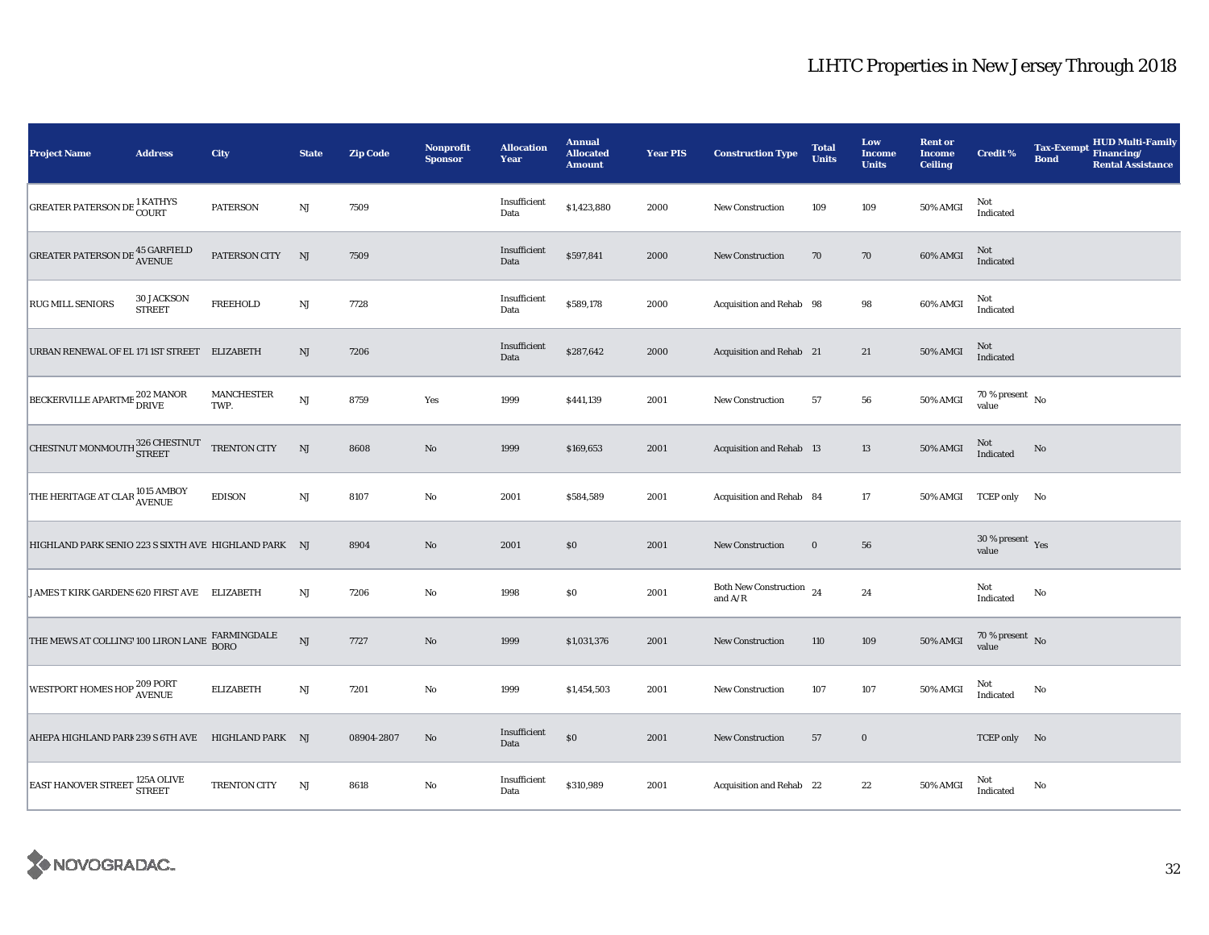| <b>Project Name</b>                                                          | <b>Address</b>                     | City                      | <b>State</b>           | <b>Zip Code</b> | <b>Nonprofit</b><br><b>Sponsor</b> | <b>Allocation</b><br>Year | <b>Annual</b><br><b>Allocated</b><br><b>Amount</b> | <b>Year PIS</b> | <b>Construction Type</b>                                                            | <b>Total</b><br><b>Units</b> | Low<br><b>Income</b><br><b>Units</b> | <b>Rent or</b><br><b>Income</b><br><b>Ceiling</b> | <b>Credit %</b>                    | <b>Tax-Exempt</b><br><b>Bond</b> | <b>HUD Multi-Family</b><br>Financing/<br><b>Rental Assistance</b> |
|------------------------------------------------------------------------------|------------------------------------|---------------------------|------------------------|-----------------|------------------------------------|---------------------------|----------------------------------------------------|-----------------|-------------------------------------------------------------------------------------|------------------------------|--------------------------------------|---------------------------------------------------|------------------------------------|----------------------------------|-------------------------------------------------------------------|
| <b>GREATER PATERSON DE 1 KATHYS</b>                                          |                                    | <b>PATERSON</b>           | $\mathbf{N}\mathbf{J}$ | 7509            |                                    | Insufficient<br>Data      | \$1,423,880                                        | 2000            | <b>New Construction</b>                                                             | 109                          | 109                                  | 50% AMGI                                          | Not<br>Indicated                   |                                  |                                                                   |
| GREATER PATERSON DE $^{45}_{\Lambda \text{VENUE}}$                           |                                    | PATERSON CITY             | NJ                     | 7509            |                                    | Insufficient<br>Data      | \$597,841                                          | 2000            | <b>New Construction</b>                                                             | 70                           | 70                                   | 60% AMGI                                          | Not<br>Indicated                   |                                  |                                                                   |
| <b>RUG MILL SENIORS</b>                                                      | <b>30 JACKSON</b><br><b>STREET</b> | <b>FREEHOLD</b>           | $\mathbf{N}\mathbf{J}$ | 7728            |                                    | Insufficient<br>Data      | \$589,178                                          | 2000            | Acquisition and Rehab 98                                                            |                              | 98                                   | 60% AMGI                                          | Not<br>Indicated                   |                                  |                                                                   |
| URBAN RENEWAL OF EL 171 IST STREET ELIZABETH                                 |                                    |                           | NJ                     | 7206            |                                    | Insufficient<br>Data      | \$287,642                                          | 2000            | Acquisition and Rehab 21                                                            |                              | 21                                   | 50% AMGI                                          | Not<br>Indicated                   |                                  |                                                                   |
| BECKERVILLE APARTME 202 MANOR                                                |                                    | <b>MANCHESTER</b><br>TWP. | <b>NJ</b>              | 8759            | Yes                                | 1999                      | \$441,139                                          | 2001            | <b>New Construction</b>                                                             | 57                           | 56                                   | 50% AMGI                                          | 70 % present $\hbox{~No}$<br>value |                                  |                                                                   |
| CHESTNUT MONMOUTH 326 CHESTNUT                                               |                                    | TRENTON CITY              | NJ                     | 8608            | No                                 | 1999                      | \$169,653                                          | 2001            | <b>Acquisition and Rehab 13</b>                                                     |                              | 13                                   | 50% AMGI                                          | Not<br>Indicated                   | No                               |                                                                   |
| THE HERITAGE AT CLAR 1015 AMBOY                                              |                                    | <b>EDISON</b>             | $\mathbf{N}\mathbf{J}$ | 8107            | $\rm No$                           | 2001                      | \$584,589                                          | 2001            | Acquisition and Rehab 84                                                            |                              | $17\,$                               |                                                   | 50% AMGI TCEP only No              |                                  |                                                                   |
| HIGHLAND PARK SENIO 223 S SIXTH AVE HIGHLAND PARK NJ                         |                                    |                           |                        | 8904            | No                                 | 2001                      | \$0                                                | 2001            | <b>New Construction</b>                                                             | $\bf{0}$                     | 56                                   |                                                   | $30\,\%$ present $\,$ Yes<br>value |                                  |                                                                   |
| JAMES T KIRK GARDENS 620 FIRST AVE ELIZABETH                                 |                                    |                           | NJ                     | 7206            | No                                 | 1998                      | \$0                                                | 2001            | Both New Construction $24$<br>and $\ensuremath{\mathrm{A}}/\ensuremath{\mathrm{R}}$ |                              | 24                                   |                                                   | Not<br>Indicated                   | No                               |                                                                   |
| THE MEWS AT COLLING' 100 LIRON LANE $\frac{\text{FARMINGDALE}}{\text{BORO}}$ |                                    |                           | <b>NJ</b>              | 7727            | $\rm No$                           | 1999                      | \$1,031,376                                        | 2001            | <b>New Construction</b>                                                             | 110                          | 109                                  | 50% AMGI                                          | $70$ % present $_{\rm{No}}$        |                                  |                                                                   |
| WESTPORT HOMES HOP <sup>209 PORT</sup><br>AVENUE                             |                                    | <b>ELIZABETH</b>          | NJ                     | 7201            | No                                 | 1999                      | \$1,454,503                                        | 2001            | New Construction                                                                    | 107                          | 107                                  | 50% AMGI                                          | Not<br>Indicated                   | No                               |                                                                   |
| AHEPA HIGHLAND PARI 239 S 6TH AVE HIGHLAND PARK NJ                           |                                    |                           |                        | 08904-2807      | $\rm No$                           | Insufficient<br>Data      | $\$0$                                              | 2001            | <b>New Construction</b>                                                             | 57                           | $\bf{0}$                             |                                                   | TCEP only No                       |                                  |                                                                   |
| <b>EAST HANOVER STREET 125A OLIVE</b>                                        |                                    | TRENTON CITY              | $_{\rm NJ}$            | 8618            | $\rm No$                           | Insufficient<br>Data      | \$310,989                                          | 2001            | Acquisition and Rehab 22                                                            |                              | $\bf{22}$                            | 50% AMGI                                          | Not<br>Indicated                   | No                               |                                                                   |

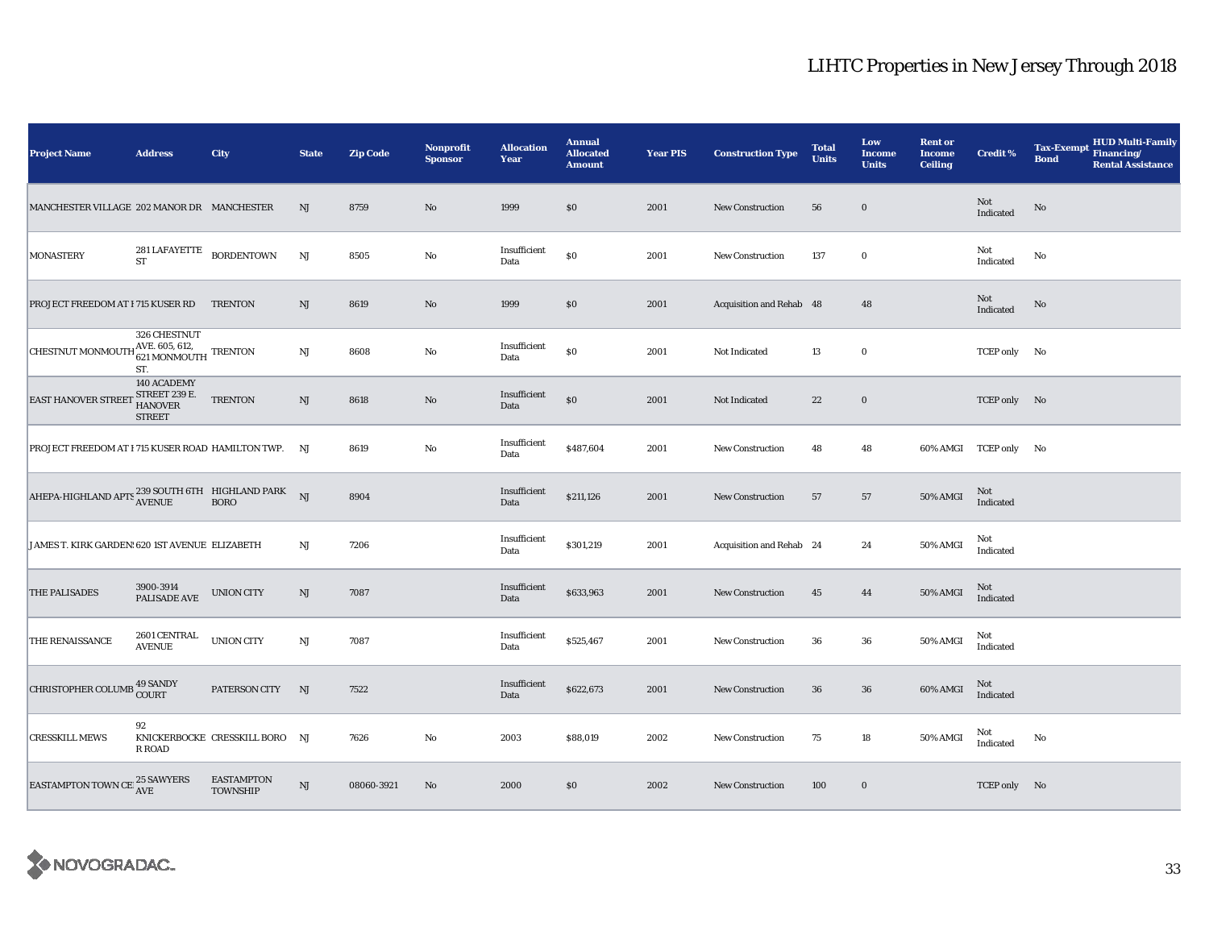| <b>Project Name</b>                                                                                                                                                                                                                                                                                                                                                                                                | <b>Address</b>                                           | City                                 | <b>State</b>           | <b>Zip Code</b> | <b>Nonprofit</b><br><b>Sponsor</b> | <b>Allocation</b><br>Year | <b>Annual</b><br><b>Allocated</b><br><b>Amount</b> | <b>Year PIS</b> | <b>Construction Type</b> | <b>Total</b><br><b>Units</b> | Low<br><b>Income</b><br><b>Units</b> | <b>Rent or</b><br><b>Income</b><br><b>Ceiling</b> | <b>Credit %</b>       | <b>HUD Multi-Family</b><br><b>Tax-Exempt</b><br>Financing/<br><b>Bond</b><br><b>Rental Assistance</b> |  |
|--------------------------------------------------------------------------------------------------------------------------------------------------------------------------------------------------------------------------------------------------------------------------------------------------------------------------------------------------------------------------------------------------------------------|----------------------------------------------------------|--------------------------------------|------------------------|-----------------|------------------------------------|---------------------------|----------------------------------------------------|-----------------|--------------------------|------------------------------|--------------------------------------|---------------------------------------------------|-----------------------|-------------------------------------------------------------------------------------------------------|--|
| MANCHESTER VILLAGE 202 MANOR DR MANCHESTER                                                                                                                                                                                                                                                                                                                                                                         |                                                          |                                      | NJ                     | 8759            | $\rm No$                           | 1999                      | \$0                                                | 2001            | <b>New Construction</b>  | 56                           | $\mathbf 0$                          |                                                   | Not<br>Indicated      | $\mathbf{No}$                                                                                         |  |
| <b>MONASTERY</b>                                                                                                                                                                                                                                                                                                                                                                                                   | $281\,{\rm LAFAYETTE}$ BORDENTOWN<br><b>ST</b>           |                                      | NJ                     | 8505            | No                                 | Insufficient<br>Data      | $\$0$                                              | 2001            | New Construction         | 137                          | $\bf{0}$                             |                                                   | Not<br>Indicated      | No                                                                                                    |  |
| PROJECT FREEDOM AT I 715 KUSER RD TRENTON                                                                                                                                                                                                                                                                                                                                                                          |                                                          |                                      | NJ                     | 8619            | No                                 | 1999                      | \$0                                                | 2001            | Acquisition and Rehab 48 |                              | 48                                   |                                                   | Not<br>Indicated      | No                                                                                                    |  |
| CHESTNUT MONMOUTH $_{621}^{AVE.605,612,}$ TRENTON                                                                                                                                                                                                                                                                                                                                                                  | 326 CHESTNUT<br>ST.                                      |                                      | NJ                     | 8608            | No                                 | Insufficient<br>Data      | $\$0$                                              | 2001            | Not Indicated            | 13                           | $\bf{0}$                             |                                                   | TCEP only No          |                                                                                                       |  |
| <b>EAST HANOVER STREET</b>                                                                                                                                                                                                                                                                                                                                                                                         | 140 ACADEMY<br>STREET 239 E.<br>HANOVER<br><b>STREET</b> | <b>TRENTON</b>                       | NJ                     | 8618            | No                                 | Insufficient<br>Data      | $\$0$                                              | 2001            | Not Indicated            | 22                           | $\bf{0}$                             |                                                   | TCEP only No          |                                                                                                       |  |
| PROJECT FREEDOM AT I 715 KUSER ROAD HAMILTON TWP. NJ                                                                                                                                                                                                                                                                                                                                                               |                                                          |                                      |                        | 8619            | No                                 | Insufficient<br>Data      | \$487,604                                          | 2001            | New Construction         | 48                           | 48                                   |                                                   | 60% AMGI TCEP only No |                                                                                                       |  |
| ${\small \bf AHEPA-HIGHLAND \; APTS \; \begin{tabular}{@{}c@{}} \vspace{-.08in}c@{}} \vspace{-.08in} \vspace{-.08in} \vspace{-.08in} \vspace{-.08in} \vspace{-.08in} \vspace{-.08in} \vspace{-.08in} \vspace{-.08in} \vspace{-.08in} \vspace{-.08in} \vspace{-.08in} \vspace{-.08in} \vspace{-.08in} \vspace{-.08in} \vspace{-.08in} \vspace{-.08in} \vspace{-.08in} \vspace{-.08in} \vspace{-.08in} \vspace{-.08$ |                                                          |                                      |                        | 8904            |                                    | Insufficient<br>Data      | \$211,126                                          | 2001            | New Construction         | 57                           | 57                                   | 50% AMGI                                          | Not<br>Indicated      |                                                                                                       |  |
| JAMES T. KIRK GARDEN: 620 IST AVENUE ELIZABETH                                                                                                                                                                                                                                                                                                                                                                     |                                                          |                                      | NJ                     | 7206            |                                    | Insufficient<br>Data      | \$301,219                                          | 2001            | Acquisition and Rehab 24 |                              | 24                                   | 50% AMGI                                          | Not<br>Indicated      |                                                                                                       |  |
| <b>THE PALISADES</b>                                                                                                                                                                                                                                                                                                                                                                                               | 3900-3914<br>PALISADE AVE                                | <b>UNION CITY</b>                    | NJ                     | 7087            |                                    | Insufficient<br>Data      | \$633,963                                          | 2001            | <b>New Construction</b>  | 45                           | 44                                   | 50% AMGI                                          | Not<br>Indicated      |                                                                                                       |  |
| <b>THE RENAISSANCE</b>                                                                                                                                                                                                                                                                                                                                                                                             | 2601 CENTRAL<br><b>AVENUE</b>                            | <b>UNION CITY</b>                    | $\mathbf{N}\mathbf{J}$ | 7087            |                                    | Insufficient<br>Data      | \$525,467                                          | 2001            | <b>New Construction</b>  | 36                           | 36                                   | 50% AMGI                                          | Not<br>Indicated      |                                                                                                       |  |
| CHRISTOPHER COLUMB 49 SANDY                                                                                                                                                                                                                                                                                                                                                                                        |                                                          | PATERSON CITY                        | NJ                     | 7522            |                                    | Insufficient<br>Data      | \$622,673                                          | 2001            | <b>New Construction</b>  | 36                           | 36                                   | 60% AMGI                                          | Not<br>Indicated      |                                                                                                       |  |
| <b>CRESSKILL MEWS</b>                                                                                                                                                                                                                                                                                                                                                                                              | 92<br>R ROAD                                             | KNICKERBOCKE CRESSKILL BORO NJ       |                        | 7626            | No                                 | 2003                      | \$88,019                                           | 2002            | <b>New Construction</b>  | 75                           | 18                                   | 50% AMGI                                          | Not<br>Indicated      | No                                                                                                    |  |
| EASTAMPTON TOWN CE $^{25}_{\Lambda \text{VE}}$ SAWYERS                                                                                                                                                                                                                                                                                                                                                             |                                                          | <b>EASTAMPTON</b><br><b>TOWNSHIP</b> | $\mathbf{N}\mathbf{J}$ | 08060-3921      | $\rm No$                           | 2000                      | \$0                                                | 2002            | <b>New Construction</b>  | 100                          | $\bf{0}$                             |                                                   | TCEP only No          |                                                                                                       |  |

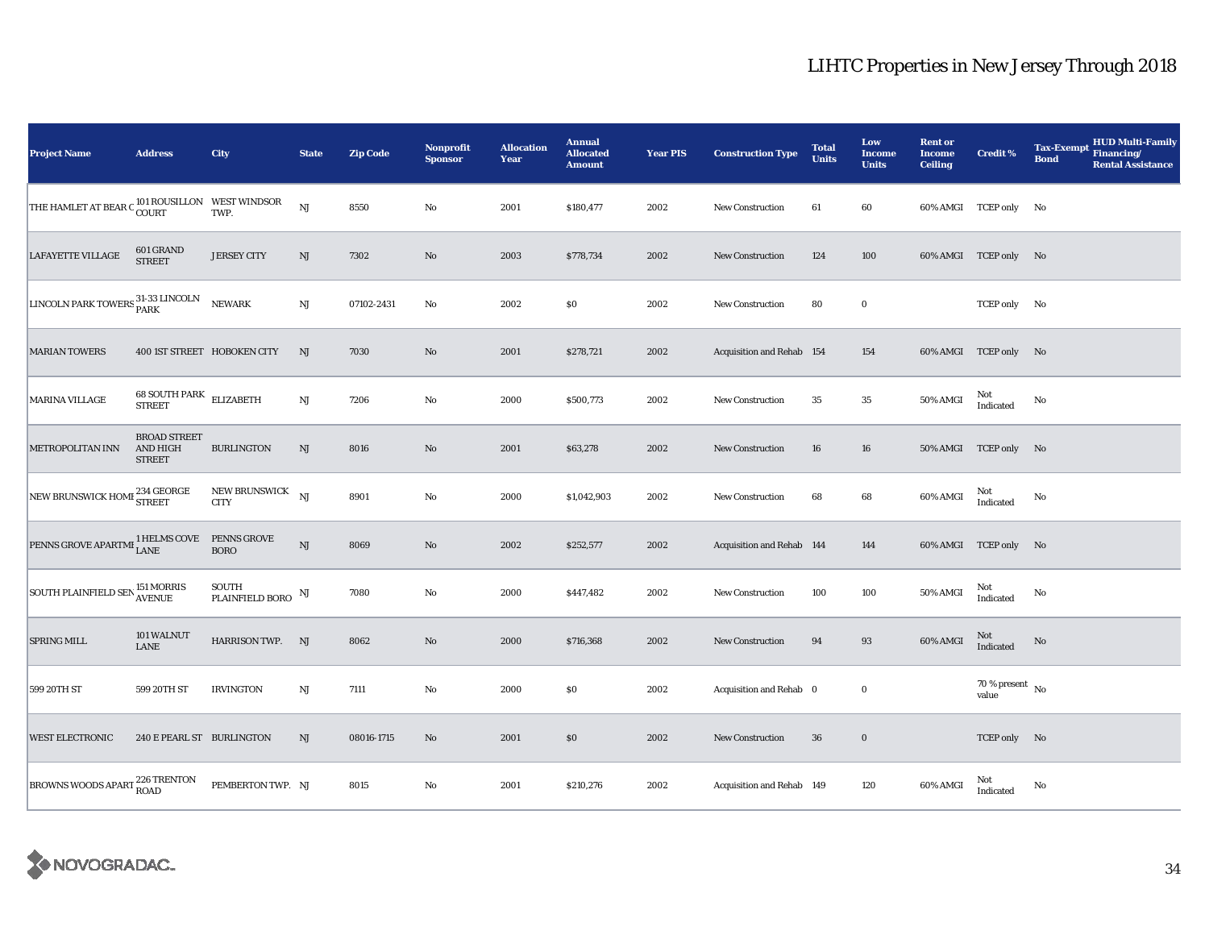| <b>Project Name</b>                                                             | <b>Address</b>                                   | City                         | <b>State</b>           | <b>Zip Code</b> | <b>Nonprofit</b><br><b>Sponsor</b> | <b>Allocation</b><br>Year | <b>Annual</b><br><b>Allocated</b><br><b>Amount</b> | <b>Year PIS</b> | <b>Construction Type</b>  | <b>Total</b><br><b>Units</b> | Low<br>Income<br><b>Units</b> | <b>Rent or</b><br><b>Income</b><br><b>Ceiling</b> | <b>Credit %</b>                    | <b>Tax-Exempt</b><br><b>Bond</b> | <b>HUD Multi-Family</b><br><b>Financing/</b><br><b>Rental Assistance</b> |
|---------------------------------------------------------------------------------|--------------------------------------------------|------------------------------|------------------------|-----------------|------------------------------------|---------------------------|----------------------------------------------------|-----------------|---------------------------|------------------------------|-------------------------------|---------------------------------------------------|------------------------------------|----------------------------------|--------------------------------------------------------------------------|
| THE HAMLET AT BEAR C $_{\rm COURT}^{101\,ROUSILLON}$ WEST WINDSOR TWP.          |                                                  |                              | $_{\rm NJ}$            | 8550            | $\rm No$                           | 2001                      | \$180,477                                          | 2002            | <b>New Construction</b>   | 61                           | 60                            |                                                   | 60% AMGI TCEP only No              |                                  |                                                                          |
| <b>LAFAYETTE VILLAGE</b>                                                        | 601 GRAND<br><b>STREET</b>                       | <b>JERSEY CITY</b>           | NJ                     | 7302            | $\rm No$                           | 2003                      | \$778,734                                          | 2002            | <b>New Construction</b>   | 124                          | 100                           |                                                   | 60% AMGI TCEP only No              |                                  |                                                                          |
| LINCOLN PARK TOWERS 31-33 LINCOLN                                               |                                                  | NEWARK                       | $\mathbf{N}\mathbf{J}$ | 07102-2431      | No                                 | 2002                      | \$0                                                | 2002            | <b>New Construction</b>   | 80                           | $\bf{0}$                      |                                                   | TCEP only No                       |                                  |                                                                          |
| <b>MARIAN TOWERS</b>                                                            |                                                  | 400 IST STREET HOBOKEN CITY  | NJ                     | 7030            | No                                 | 2001                      | \$278,721                                          | 2002            | Acquisition and Rehab 154 |                              | 154                           |                                                   | 60% AMGI TCEP only No              |                                  |                                                                          |
| <b>MARINA VILLAGE</b>                                                           | 68 SOUTH PARK ELIZABETH<br><b>STREET</b>         |                              | $\mathbf{N}\mathbf{J}$ | 7206            | $\rm No$                           | 2000                      | \$500,773                                          | 2002            | <b>New Construction</b>   | 35                           | $\bf 35$                      | 50% AMGI                                          | Not<br>Indicated                   | No                               |                                                                          |
| METROPOLITAN INN                                                                | <b>BROAD STREET</b><br>AND HIGH<br><b>STREET</b> | <b>BURLINGTON</b>            | NJ                     | 8016            | $\rm No$                           | 2001                      | \$63,278                                           | 2002            | New Construction          | 16                           | 16                            |                                                   | 50% AMGI TCEP only No              |                                  |                                                                          |
| NEW BRUNSWICK HOME 234 GEORGE                                                   |                                                  | NEW BRUNSWICK<br><b>CITY</b> | NJ                     | 8901            | No                                 | 2000                      | \$1,042,903                                        | 2002            | <b>New Construction</b>   | 68                           | 68                            | 60% AMGI                                          | Not<br>Indicated                   | No                               |                                                                          |
|                                                                                 |                                                  |                              | NJ                     | 8069            | $\rm No$                           | 2002                      | \$252,577                                          | 2002            | Acquisition and Rehab 144 |                              | 144                           |                                                   | 60% AMGI TCEP only No              |                                  |                                                                          |
| $\boxed{\textrm{SOUTH PLAINFIELD SEN}^{\textbf{151} MORRIS}_{\textbf{AVENUE}}}$ |                                                  | SOUTH<br>PLAINFIELD BORO     | NJ                     | 7080            | No                                 | 2000                      | \$447,482                                          | 2002            | New Construction          | 100                          | 100                           | 50% AMGI                                          | Not<br>Indicated                   | No                               |                                                                          |
| <b>SPRING MILL</b>                                                              | 101 WALNUT<br>LANE                               | HARRISON TWP. NJ             |                        | 8062            | $\rm No$                           | 2000                      | \$716,368                                          | 2002            | New Construction          | 94                           | 93                            | 60% AMGI                                          | Not<br>Indicated                   | $\rm No$                         |                                                                          |
| 599 20TH ST                                                                     | 599 20TH ST                                      | <b>IRVINGTON</b>             | $\rm{NJ}$              | 7111            | $\rm No$                           | 2000                      | $\$0$                                              | 2002            | Acquisition and Rehab 0   |                              | $\mathbf 0$                   |                                                   | 70 % present $\hbox{~No}$<br>value |                                  |                                                                          |
| <b>WEST ELECTRONIC</b>                                                          | 240 E PEARL ST BURLINGTON                        |                              | NJ                     | 08016-1715      | No                                 | 2001                      | \$0                                                | 2002            | <b>New Construction</b>   | 36                           | $\mathbf 0$                   |                                                   | TCEP only No                       |                                  |                                                                          |
| BROWNS WOODS APART 226 TRENTON                                                  |                                                  | PEMBERTON TWP. NJ            |                        | 8015            | No                                 | 2001                      | \$210,276                                          | 2002            | Acquisition and Rehab 149 |                              | 120                           | 60% AMGI                                          | Not<br>Indicated                   | No                               |                                                                          |

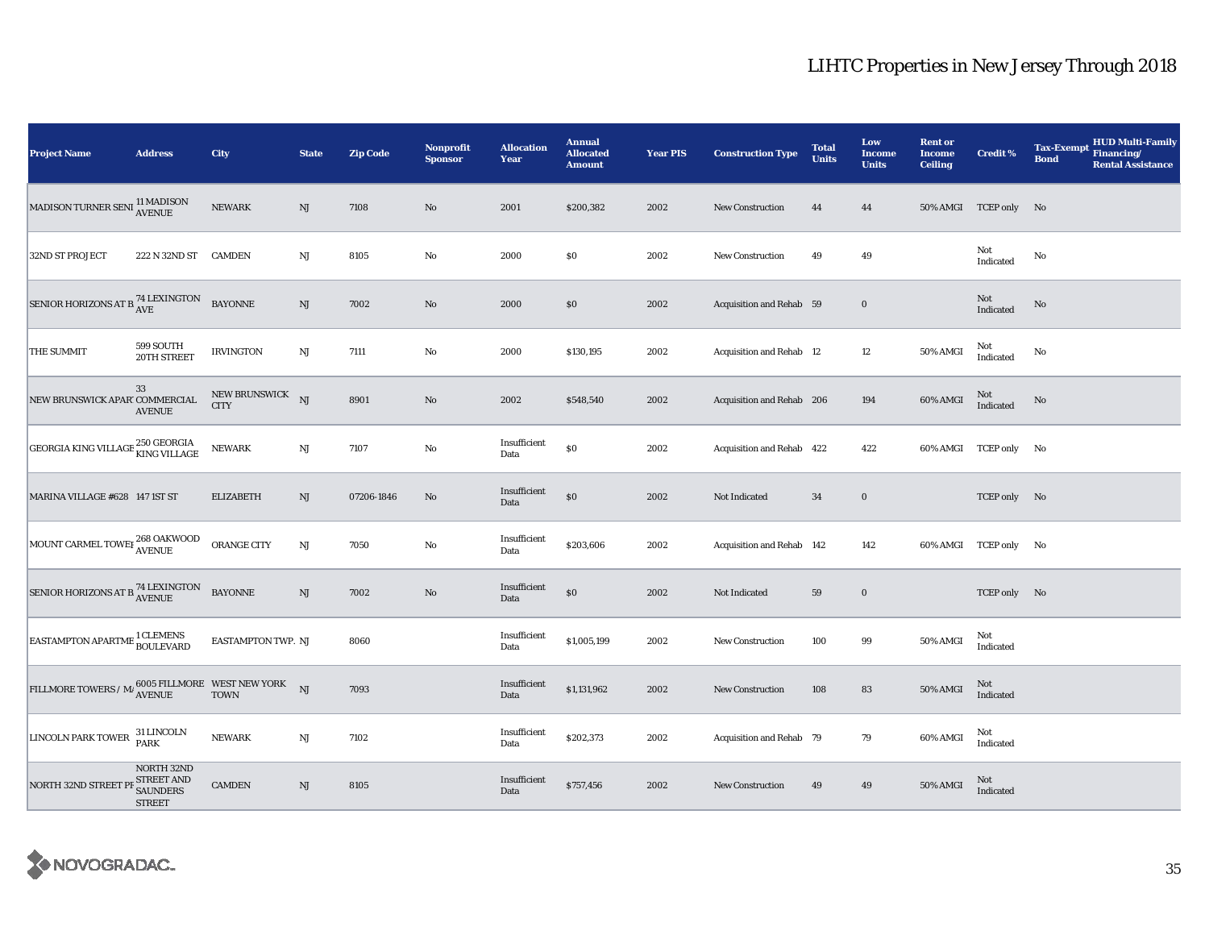| <b>Project Name</b>                                                                                                                                          | <b>Address</b>                                                      | City                            | <b>State</b>           | <b>Zip Code</b> | <b>Nonprofit</b><br><b>Sponsor</b> | <b>Allocation</b><br>Year | <b>Annual</b><br><b>Allocated</b><br><b>Amount</b> | <b>Year PIS</b> | <b>Construction Type</b>        | <b>Total</b><br><b>Units</b> | Low<br><b>Income</b><br><b>Units</b> | <b>Rent or</b><br><b>Income</b><br><b>Ceiling</b> | <b>Credit %</b>       | <b>Tax-Exempt</b><br><b>Bond</b> | <b>HUD Multi-Family</b><br>Financing/<br><b>Rental Assistance</b> |
|--------------------------------------------------------------------------------------------------------------------------------------------------------------|---------------------------------------------------------------------|---------------------------------|------------------------|-----------------|------------------------------------|---------------------------|----------------------------------------------------|-----------------|---------------------------------|------------------------------|--------------------------------------|---------------------------------------------------|-----------------------|----------------------------------|-------------------------------------------------------------------|
| MADISON TURNER SENI <sup>11</sup> MADISON<br>AVENUE                                                                                                          |                                                                     | <b>NEWARK</b>                   | $\rm{NJ}$              | 7108            | $\rm No$                           | 2001                      | \$200,382                                          | 2002            | New Construction                | 44                           | 44                                   |                                                   | 50% AMGI TCEP only No |                                  |                                                                   |
| <b>32ND ST PROJECT</b>                                                                                                                                       | 222 N 32ND ST                                                       | <b>CAMDEN</b>                   | $_{\rm NJ}$            | 8105            | No                                 | 2000                      | \$0                                                | 2002            | <b>New Construction</b>         | 49                           | 49                                   |                                                   | Not<br>Indicated      | No                               |                                                                   |
| SENIOR HORIZONS AT B $^{74}_{\rm{AVE}}$                                                                                                                      |                                                                     | <b>BAYONNE</b>                  | $_{\rm NJ}$            | 7002            | $\rm No$                           | 2000                      | \$0                                                | 2002            | Acquisition and Rehab 59        |                              | $\bf{0}$                             |                                                   | Not<br>Indicated      | $\mathbf{No}$                    |                                                                   |
| THE SUMMIT                                                                                                                                                   | 599 SOUTH<br>20TH STREET                                            | <b>IRVINGTON</b>                | NJ                     | 7111            | No                                 | 2000                      | \$130,195                                          | 2002            | <b>Acquisition and Rehab 12</b> |                              | 12                                   | 50% AMGI                                          | Not<br>Indicated      | No                               |                                                                   |
| NEW BRUNSWICK APAR' COMMERCIAL                                                                                                                               | 33<br><b>AVENUE</b>                                                 | NEW BRUNSWICK NJ<br><b>CITY</b> |                        | 8901            | No                                 | 2002                      | \$548,540                                          | 2002            | Acquisition and Rehab 206       |                              | 194                                  | 60% AMGI                                          | Not<br>Indicated      | No                               |                                                                   |
| GEORGIA KING VILLAGE 250 GEORGIA                                                                                                                             |                                                                     | <b>NEWARK</b>                   | $\mathbf{N}\mathbf{J}$ | 7107            | No                                 | Insufficient<br>Data      | \$0                                                | 2002            | Acquisition and Rehab 422       |                              | 422                                  |                                                   | 60% AMGI TCEP only No |                                  |                                                                   |
| MARINA VILLAGE #628 147 1ST ST                                                                                                                               |                                                                     | <b>ELIZABETH</b>                | NJ                     | 07206-1846      | No                                 | Insufficient<br>Data      | \$0                                                | 2002            | Not Indicated                   | 34                           | $\mathbf 0$                          |                                                   | TCEP only No          |                                  |                                                                   |
| MOUNT CARMEL TOWEI 268 OAKWOOD                                                                                                                               |                                                                     | <b>ORANGE CITY</b>              | $\mathbf{N}\mathbf{J}$ | 7050            | No                                 | Insufficient<br>Data      | \$203,606                                          | 2002            | Acquisition and Rehab 142       |                              | 142                                  |                                                   | 60% AMGI TCEP only No |                                  |                                                                   |
| SENIOR HORIZONS AT B <sup>74</sup> LEXINGTON                                                                                                                 |                                                                     | <b>BAYONNE</b>                  | $_{\rm NJ}$            | 7002            | $\rm No$                           | Insufficient<br>Data      | $\$0$                                              | 2002            | Not Indicated                   | 59                           | $\mathbf 0$                          |                                                   | TCEP only No          |                                  |                                                                   |
| EASTAMPTON APARTME <sup>1</sup> CLEMENS<br>BOULEVARD                                                                                                         |                                                                     | EASTAMPTON TWP. NJ              |                        | 8060            |                                    | Insufficient<br>Data      | \$1,005,199                                        | 2002            | <b>New Construction</b>         | 100                          | 99                                   | 50% AMGI                                          | Not<br>Indicated      |                                  |                                                                   |
| $\textrm{FILLMORE TOWERS}\,\textit{/}\, \textrm{M}\,\textit{j} \xspace_{\textrm{AVENUE}}^{6005\textrm{ FILLMORE}} \textrm{WEST NEW YORK} \qquad \textrm{NJ}$ |                                                                     |                                 |                        | 7093            |                                    | Insufficient<br>Data      | \$1,131,962                                        | 2002            | <b>New Construction</b>         | 108                          | 83                                   | 50% AMGI                                          | Not<br>Indicated      |                                  |                                                                   |
| <b>LINCOLN PARK TOWER</b>                                                                                                                                    | 31 LINCOLN<br><b>PARK</b>                                           | <b>NEWARK</b>                   | NJ                     | 7102            |                                    | Insufficient<br>Data      | \$202,373                                          | 2002            | Acquisition and Rehab 79        |                              | 79                                   | 60% AMGI                                          | Not<br>Indicated      |                                  |                                                                   |
| NORTH 32ND STREET                                                                                                                                            | NORTH 32ND<br><b>STREET AND</b><br><b>SAUNDERS</b><br><b>STREET</b> | <b>CAMDEN</b>                   | $\rm{NJ}$              | 8105            |                                    | Insufficient<br>Data      | \$757,456                                          | 2002            | New Construction                | 49                           | 49                                   | 50% AMGI                                          | Not<br>Indicated      |                                  |                                                                   |

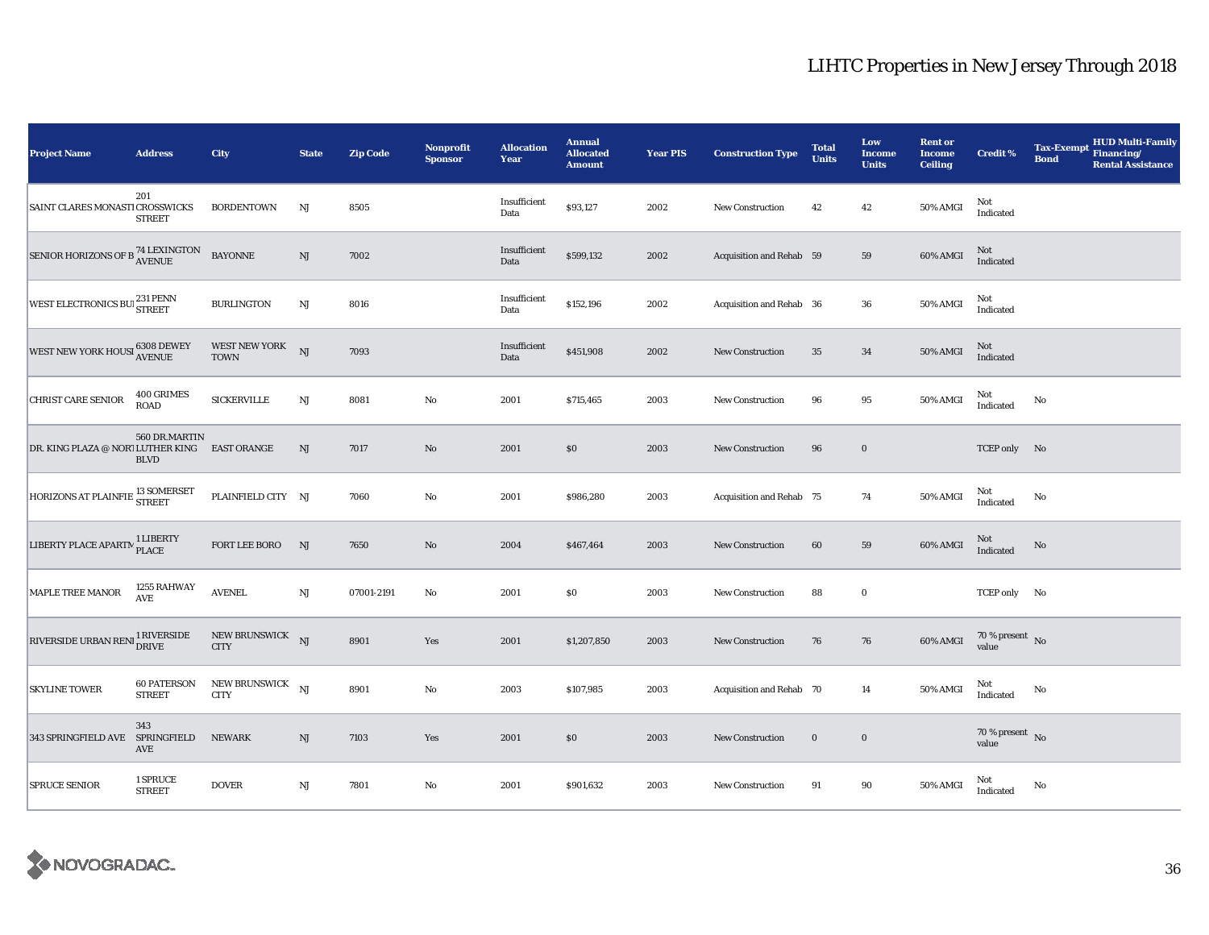| Project Name                                  | <b>Address</b>                      | City                                | <b>State</b>           | <b>Zip Code</b> | Nonprofit<br><b>Sponsor</b> | <b>Allocation</b><br>Year | <b>Annual</b><br><b>Allocated</b><br><b>Amount</b> | <b>Year PIS</b> | <b>Construction Type</b> | <b>Total</b><br><b>Units</b> | Low<br><b>Income</b><br><b>Units</b> | <b>Rent or</b><br><b>Income</b><br><b>Ceiling</b> | <b>Credit %</b>                    | <b>Tax-Exempt</b><br><b>Bond</b> | <b>HUD Multi-Family</b><br>Financing/<br><b>Rental Assistance</b> |
|-----------------------------------------------|-------------------------------------|-------------------------------------|------------------------|-----------------|-----------------------------|---------------------------|----------------------------------------------------|-----------------|--------------------------|------------------------------|--------------------------------------|---------------------------------------------------|------------------------------------|----------------------------------|-------------------------------------------------------------------|
| SAINT CLARES MONASTI CROSSWICKS               | 201<br><b>STREET</b>                | <b>BORDENTOWN</b>                   | NJ                     | 8505            |                             | Insufficient<br>Data      | \$93,127                                           | 2002            | <b>New Construction</b>  | 42                           | 42                                   | 50% AMGI                                          | Not<br>Indicated                   |                                  |                                                                   |
| SENIOR HORIZONS OF B <sup>74</sup> LEXINGTON  |                                     | <b>BAYONNE</b>                      | $\mathrm{NJ}$          | 7002            |                             | Insufficient<br>Data      | \$599,132                                          | 2002            | Acquisition and Rehab 59 |                              | 59                                   | 60% AMGI                                          | Not<br>Indicated                   |                                  |                                                                   |
| WEST ELECTRONICS BUI 231 PENN                 |                                     | <b>BURLINGTON</b>                   | $\rm{NJ}$              | 8016            |                             | Insufficient<br>Data      | \$152,196                                          | 2002            | Acquisition and Rehab 36 |                              | 36                                   | 50% AMGI                                          | Not<br>Indicated                   |                                  |                                                                   |
| WEST NEW YORK HOUSI 6308 DEWEY                |                                     | <b>WEST NEW YORK</b><br><b>TOWN</b> | NJ                     | 7093            |                             | Insufficient<br>Data      | \$451,908                                          | 2002            | New Construction         | 35                           | 34                                   | 50% AMGI                                          | Not<br>Indicated                   |                                  |                                                                   |
| <b>CHRIST CARE SENIOR</b>                     | 400 GRIMES<br>ROAD                  | <b>SICKERVILLE</b>                  | $\mathbf{N}\mathbf{J}$ | 8081            | $\rm No$                    | 2001                      | \$715,465                                          | 2003            | New Construction         | 96                           | 95                                   | 50% AMGI                                          | Not<br>Indicated                   | No                               |                                                                   |
| DR. KING PLAZA @ NORT LUTHER KING EAST ORANGE | 560 DR.MARTIN<br><b>BLVD</b>        |                                     | NJ                     | 7017            | No                          | 2001                      | \$0                                                | 2003            | New Construction         | 96                           | $\bf{0}$                             |                                                   | TCEP only No                       |                                  |                                                                   |
| HORIZONS AT PLAINFIE <sup>13</sup> SOMERSET   |                                     | PLAINFIELD CITY NJ                  |                        | 7060            | $\rm No$                    | 2001                      | \$986,280                                          | 2003            | Acquisition and Rehab 75 |                              | 74                                   | 50% AMGI                                          | Not<br>Indicated                   | No                               |                                                                   |
| LIBERTY PLACE APARTM <sup>1</sup> LIBERTY     |                                     | FORT LEE BORO                       | NJ                     | 7650            | $\rm No$                    | 2004                      | \$467,464                                          | 2003            | <b>New Construction</b>  | 60                           | 59                                   | 60% AMGI                                          | Not<br>Indicated                   | No                               |                                                                   |
| MAPLE TREE MANOR                              | 1255 RAHWAY<br>$\operatorname{AVE}$ | $\operatorname{AVENEL}$             | $\mathbf{N}\mathbf{J}$ | 07001-2191      | No                          | 2001                      | \$0                                                | 2003            | New Construction         | 88                           | $\bf{0}$                             |                                                   | TCEP only No                       |                                  |                                                                   |
| RIVERSIDE URBAN RENI 1 RIVERSIDE              |                                     | NEW BRUNSWICK NJ<br><b>CITY</b>     |                        | 8901            | Yes                         | 2001                      | \$1,207,850                                        | 2003            | <b>New Construction</b>  | 76                           | 76                                   | 60% AMGI                                          | 70 % present $\,$ No $\,$<br>value |                                  |                                                                   |
| <b>SKYLINE TOWER</b>                          | <b>60 PATERSON</b><br><b>STREET</b> | NEW BRUNSWICK<br><b>CITY</b>        | $_{\rm NJ}$            | 8901            | $\rm No$                    | 2003                      | \$107,985                                          | 2003            | Acquisition and Rehab 70 |                              | 14                                   | 50% AMGI                                          | Not<br>Indicated                   | No                               |                                                                   |
| 343 SPRINGFIELD AVE SPRINGFIELD               | 343<br>AVE                          | <b>NEWARK</b>                       | $\mathbf{N}\mathbf{J}$ | 7103            | Yes                         | 2001                      | $\$0$                                              | 2003            | New Construction         | $\bf{0}$                     | $\boldsymbol{0}$                     |                                                   | 70 % present $\hbox{~No}$<br>value |                                  |                                                                   |
| <b>SPRUCE SENIOR</b>                          | 1 SPRUCE<br><b>STREET</b>           | <b>DOVER</b>                        | $\mathbf{N}\mathbf{J}$ | 7801            | $\rm No$                    | 2001                      | \$901,632                                          | 2003            | New Construction         | 91                           | 90                                   | 50% AMGI                                          | Not<br>Indicated                   | No                               |                                                                   |

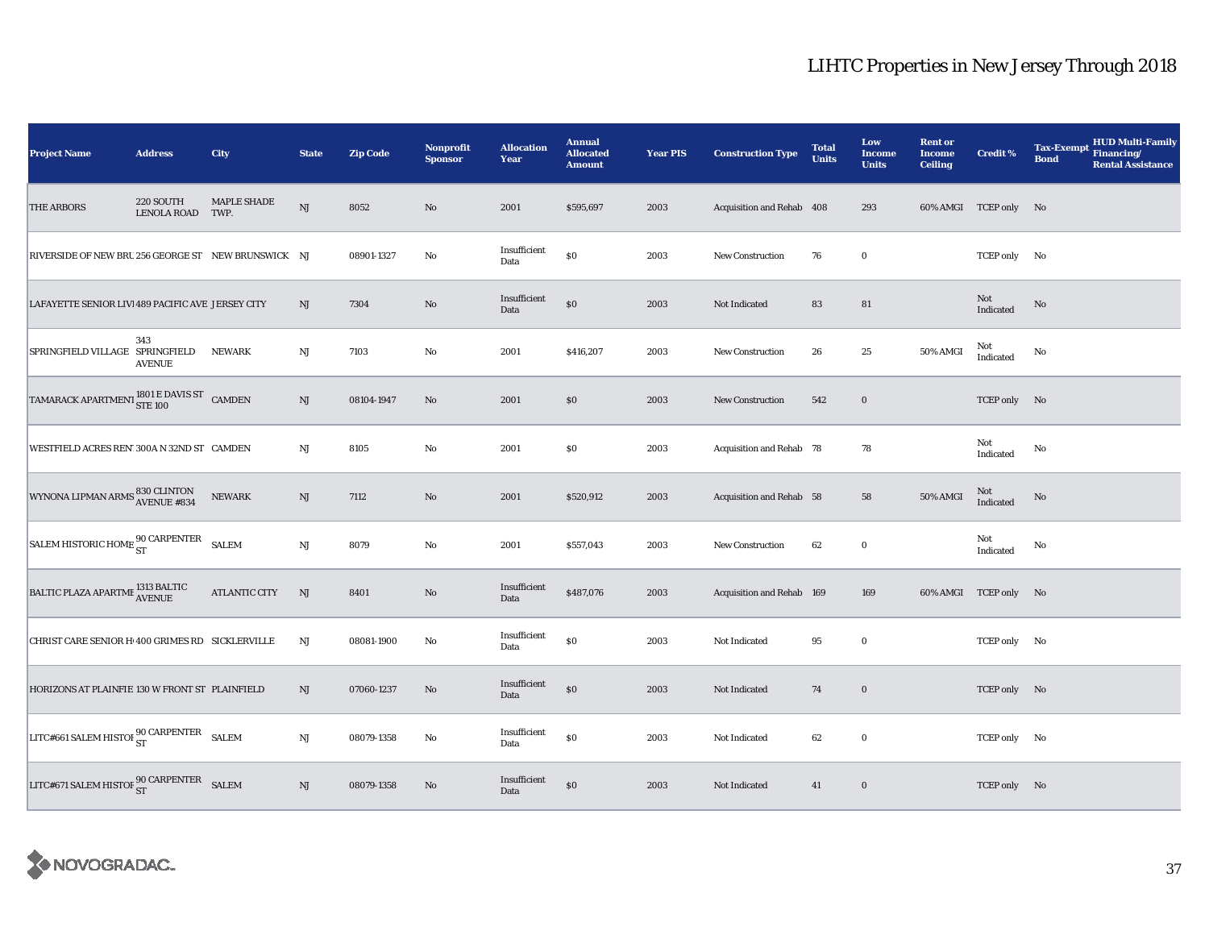| <b>Project Name</b>                                                                                                                                              | <b>Address</b>                | City          | <b>State</b>           | <b>Zip Code</b> | Nonprofit<br><b>Sponsor</b> | <b>Allocation</b><br>Year | <b>Annual</b><br><b>Allocated</b><br><b>Amount</b> | <b>Year PIS</b> | <b>Construction Type</b>  | <b>Total</b><br><b>Units</b> | Low<br><b>Income</b><br><b>Units</b> | <b>Rent or</b><br><b>Income</b><br><b>Ceiling</b> | <b>Credit %</b>       | <b>HUD Multi-Family</b><br><b>Tax-Exempt</b><br>Financing/<br><b>Bond</b><br><b>Rental Assistance</b> |
|------------------------------------------------------------------------------------------------------------------------------------------------------------------|-------------------------------|---------------|------------------------|-----------------|-----------------------------|---------------------------|----------------------------------------------------|-----------------|---------------------------|------------------------------|--------------------------------------|---------------------------------------------------|-----------------------|-------------------------------------------------------------------------------------------------------|
| <b>THE ARBORS</b>                                                                                                                                                | 220 SOUTH<br>LENOLA ROAD TWP. | MAPLE SHADE   | NJ                     | 8052            | $\rm No$                    | 2001                      | \$595,697                                          | 2003            | Acquisition and Rehab 408 |                              | 293                                  |                                                   | 60% AMGI TCEP only No |                                                                                                       |
| RIVERSIDE OF NEW BRU 256 GEORGE ST NEW BRUNSWICK NJ                                                                                                              |                               |               |                        | 08901-1327      | $\rm No$                    | Insufficient<br>Data      | $\$0$                                              | 2003            | <b>New Construction</b>   | 76                           | $\bf{0}$                             |                                                   | TCEP only No          |                                                                                                       |
| LAFAYETTE SENIOR LIVI 489 PACIFIC AVE JERSEY CITY                                                                                                                |                               |               | NJ                     | 7304            | No                          | Insufficient<br>Data      | $\$0$                                              | 2003            | Not Indicated             | 83                           | 81                                   |                                                   | Not<br>Indicated      | No                                                                                                    |
| SPRINGFIELD VILLAGE SPRINGFIELD                                                                                                                                  | 343<br><b>AVENUE</b>          | <b>NEWARK</b> | $\mathbf{N}\mathbf{J}$ | 7103            | No                          | 2001                      | \$416,207                                          | 2003            | <b>New Construction</b>   | 26                           | 25                                   | 50% AMGI                                          | Not<br>Indicated      | No                                                                                                    |
| $\begin{tabular}{ c c c c c } \hline \texttt{TAMARACK} \texttt{APARTMENT} & \texttt{1801} \texttt{E} \texttt{DAVIS} \texttt{ST} & \texttt{CAMDEN} \end{tabular}$ |                               |               | NJ                     | 08104-1947      | No                          | 2001                      | \$0                                                | 2003            | <b>New Construction</b>   | 542                          | $\bf{0}$                             |                                                   | TCEP only No          |                                                                                                       |
| WESTFIELD ACRES REN' 300A N 32ND ST CAMDEN                                                                                                                       |                               |               | $_{\rm NJ}$            | 8105            | $\rm No$                    | 2001                      | \$0                                                | 2003            | Acquisition and Rehab 78  |                              | 78                                   |                                                   | Not<br>Indicated      | No                                                                                                    |
| WYNONA LIPMAN ARMS 830 CLINTON<br>AVENUE #834                                                                                                                    |                               | NEWARK        | NJ                     | 7112            | $\rm No$                    | 2001                      | \$520,912                                          | 2003            | Acquisition and Rehab 58  |                              | 58                                   | 50% AMGI                                          | $\rm Not$ Indicated   | No                                                                                                    |
| SALEM HISTORIC HOME ST SALEM                                                                                                                                     |                               |               | $\mathbf{N}\mathbf{J}$ | 8079            | No                          | 2001                      | \$557,043                                          | 2003            | New Construction          | 62                           | $\bf{0}$                             |                                                   | Not<br>Indicated      | No                                                                                                    |
| BALTIC PLAZA APARTME 1313 BALTIC                                                                                                                                 |                               | ATLANTIC CITY | NJ                     | 8401            | No                          | Insufficient<br>Data      | \$487,076                                          | 2003            | Acquisition and Rehab 169 |                              | 169                                  |                                                   | 60% AMGI TCEP only No |                                                                                                       |
| CHRIST CARE SENIOR H 400 GRIMES RD SICKLERVILLE                                                                                                                  |                               |               | NJ                     | 08081-1900      | No                          | Insufficient<br>Data      | $\$0$                                              | 2003            | Not Indicated             | 95                           | $\bf{0}$                             |                                                   | TCEP only No          |                                                                                                       |
| HORIZONS AT PLAINFIE 130 W FRONT ST PLAINFIELD                                                                                                                   |                               |               | NJ                     | 07060-1237      | No                          | Insufficient<br>Data      | $\$0$                                              | 2003            | Not Indicated             | 74                           | $\bf{0}$                             |                                                   | TCEP only No          |                                                                                                       |
| LITC#661 SALEM HISTOI 90 CARPENTER                                                                                                                               |                               | <b>SALEM</b>  | $\mathbf{N}\mathbf{J}$ | 08079-1358      | No                          | Insufficient<br>Data      | $\$0$                                              | 2003            | Not Indicated             | 62                           | $\bf{0}$                             |                                                   | TCEP only No          |                                                                                                       |
| $LITC\#671\;SALEM\;HISTOF\frac{90}{ST}\;\text{CARPENTER}\quad SALEM$                                                                                             |                               |               | NJ                     | 08079-1358      | No                          | Insufficient<br>Data      | $\$0$                                              | 2003            | Not Indicated             | 41                           | $\bf{0}$                             |                                                   | TCEP only No          |                                                                                                       |

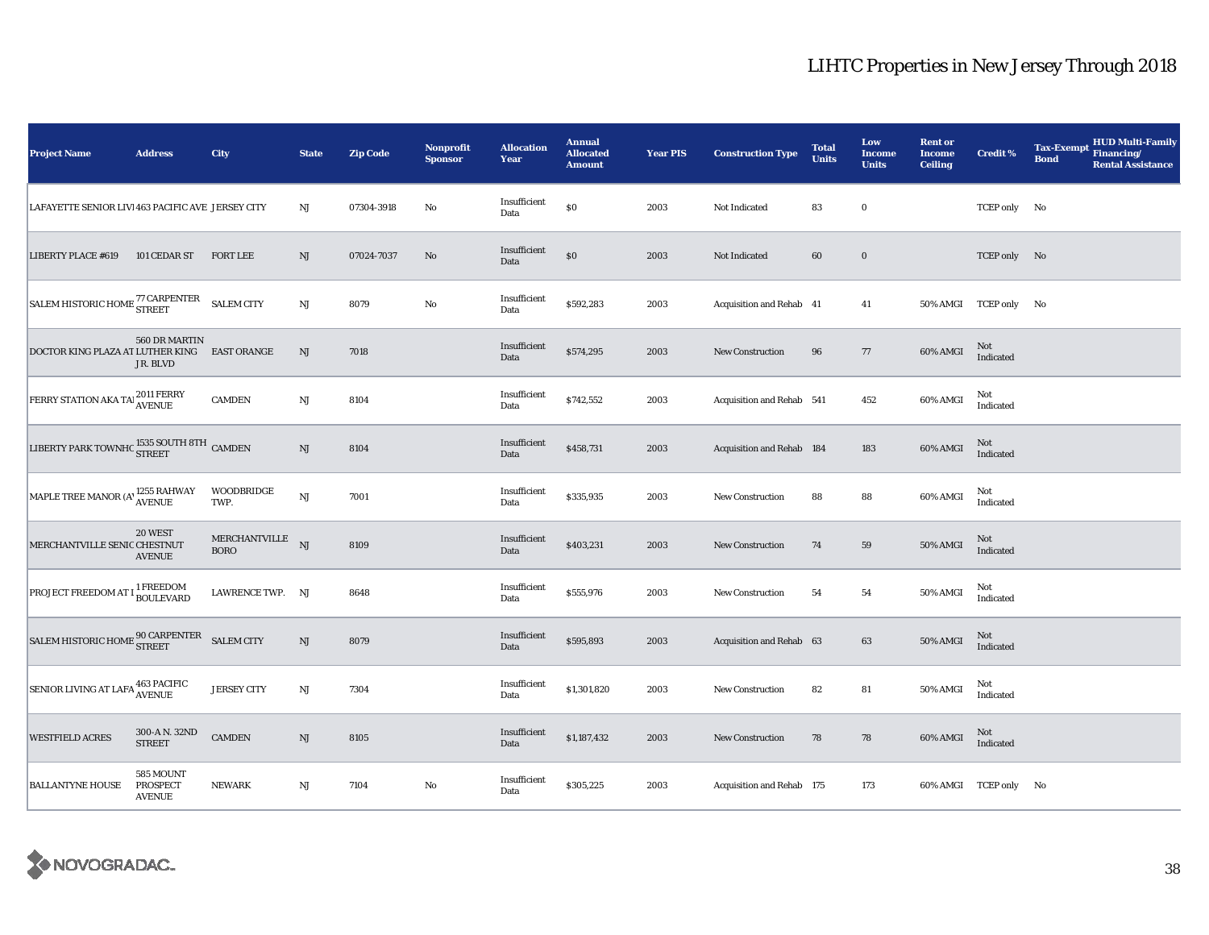| <b>Project Name</b>                                                                                                                  | <b>Address</b>                                | City                            | <b>State</b>           | <b>Zip Code</b> | <b>Nonprofit</b><br><b>Sponsor</b> | <b>Allocation</b><br>Year | <b>Annual</b><br><b>Allocated</b><br><b>Amount</b> | <b>Year PIS</b> | <b>Construction Type</b>  | <b>Total</b><br><b>Units</b> | Low<br><b>Income</b><br><b>Units</b> | <b>Rent or</b><br><b>Income</b><br><b>Ceiling</b> | <b>Credit %</b>       | HUD Multi-Family<br>Financing/<br><b>Tax-Exempt</b><br><b>Bond</b><br><b>Rental Assistance</b> |
|--------------------------------------------------------------------------------------------------------------------------------------|-----------------------------------------------|---------------------------------|------------------------|-----------------|------------------------------------|---------------------------|----------------------------------------------------|-----------------|---------------------------|------------------------------|--------------------------------------|---------------------------------------------------|-----------------------|------------------------------------------------------------------------------------------------|
| LAFAYETTE SENIOR LIVI 463 PACIFIC AVE JERSEY CITY                                                                                    |                                               |                                 | NJ                     | 07304-3918      | No                                 | Insufficient<br>Data      | $\$0$                                              | 2003            | Not Indicated             | 83                           | $\bf{0}$                             |                                                   | TCEP only No          |                                                                                                |
| <b>LIBERTY PLACE #619</b>                                                                                                            | 101 CEDAR ST                                  | <b>FORT LEE</b>                 | $\mathbf{N}\mathbf{J}$ | 07024-7037      | No                                 | Insufficient<br>Data      | $\$0$                                              | 2003            | Not Indicated             | 60                           | $\bf{0}$                             |                                                   | TCEP only No          |                                                                                                |
| $\begin{array}{ l } \hbox{SALEM HISTORIC HOME} \begin{array}{l@{}} 77 \text{ CARPENTER} \end{array} & \hbox{SALEM CITY} \end{array}$ |                                               |                                 | $\mathbf{N}\mathbf{J}$ | 8079            | $\rm\thinspace No$                 | Insufficient<br>Data      | \$592,283                                          | 2003            | Acquisition and Rehab 41  |                              | 41                                   |                                                   | 50% AMGI TCEP only No |                                                                                                |
| DOCTOR KING PLAZA AT LUTHER KING                                                                                                     | 560 DR MARTIN<br>JR. BLVD                     | <b>EAST ORANGE</b>              | $\rm{NJ}$              | 7018            |                                    | Insufficient<br>Data      | \$574,295                                          | 2003            | <b>New Construction</b>   | 96                           | 77                                   | 60% AMGI                                          | Not<br>Indicated      |                                                                                                |
| FERRY STATION AKA TAI 2011 FERRY                                                                                                     |                                               | <b>CAMDEN</b>                   | $\mathbf{N}\mathbf{J}$ | 8104            |                                    | Insufficient<br>Data      | \$742,552                                          | 2003            | Acquisition and Rehab 541 |                              | 452                                  | 60% AMGI                                          | Not<br>Indicated      |                                                                                                |
| LIBERTY PARK TOWNHC $\frac{1535}{\rm{STREF}}$ CAMDEN                                                                                 |                                               |                                 | $\mathbf{N}\mathbf{J}$ | 8104            |                                    | Insufficient<br>Data      | \$458,731                                          | 2003            | Acquisition and Rehab 184 |                              | 183                                  | 60% AMGI                                          | Not<br>Indicated      |                                                                                                |
| MAPLE TREE MANOR (A' 1255 RAHWAY                                                                                                     |                                               | WOODBRIDGE<br>TWP.              | $\mathbf{N}\mathbf{J}$ | 7001            |                                    | Insufficient<br>Data      | \$335,935                                          | 2003            | <b>New Construction</b>   | 88                           | 88                                   | 60% AMGI                                          | Not<br>Indicated      |                                                                                                |
| MERCHANTVILLE SENIC CHESTNUT                                                                                                         | 20 WEST<br><b>AVENUE</b>                      | MERCHANTVILLE NJ<br><b>BORO</b> |                        | 8109            |                                    | Insufficient<br>Data      | \$403,231                                          | 2003            | <b>New Construction</b>   | 74                           | 59                                   | 50% AMGI                                          | Not<br>Indicated      |                                                                                                |
| <b>PROJECT FREEDOM AT I <sup>1</sup> FREEDOM</b>                                                                                     |                                               | LAWRENCE TWP. NJ                |                        | 8648            |                                    | Insufficient<br>Data      | \$555,976                                          | 2003            | <b>New Construction</b>   | 54                           | 54                                   | 50% AMGI                                          | Not<br>Indicated      |                                                                                                |
| $\begin{array}{lll} \text{SALEM HISTORIC HOME} & \text{90 CARPENTER} & \text{SALEM CITY} \end{array}$                                |                                               |                                 | $\mathrm{NJ}$          | 8079            |                                    | Insufficient<br>Data      | \$595,893                                          | 2003            | Acquisition and Rehab 63  |                              | 63                                   | 50% AMGI                                          | Not<br>Indicated      |                                                                                                |
| SENIOR LIVING AT LAFA 463 PACIFIC                                                                                                    |                                               | <b>JERSEY CITY</b>              | $\mathbf{N}\mathbf{J}$ | 7304            |                                    | Insufficient<br>Data      | \$1,301,820                                        | 2003            | New Construction          | 82                           | ${\bf 81}$                           | 50% AMGI                                          | Not<br>Indicated      |                                                                                                |
| <b>WESTFIELD ACRES</b>                                                                                                               | 300-A N. 32ND<br><b>STREET</b>                | <b>CAMDEN</b>                   | $\mathbf{N}\mathbf{J}$ | 8105            |                                    | Insufficient<br>Data      | \$1,187,432                                        | 2003            | <b>New Construction</b>   | 78                           | 78                                   | 60% AMGI                                          | Not<br>Indicated      |                                                                                                |
| <b>BALLANTYNE HOUSE</b>                                                                                                              | 585 MOUNT<br><b>PROSPECT</b><br><b>AVENUE</b> | <b>NEWARK</b>                   | $\mathbf{N}\mathbf{J}$ | 7104            | $\mathbf{No}$                      | Insufficient<br>Data      | \$305,225                                          | 2003            | Acquisition and Rehab 175 |                              | 173                                  |                                                   | 60% AMGI TCEP only No |                                                                                                |

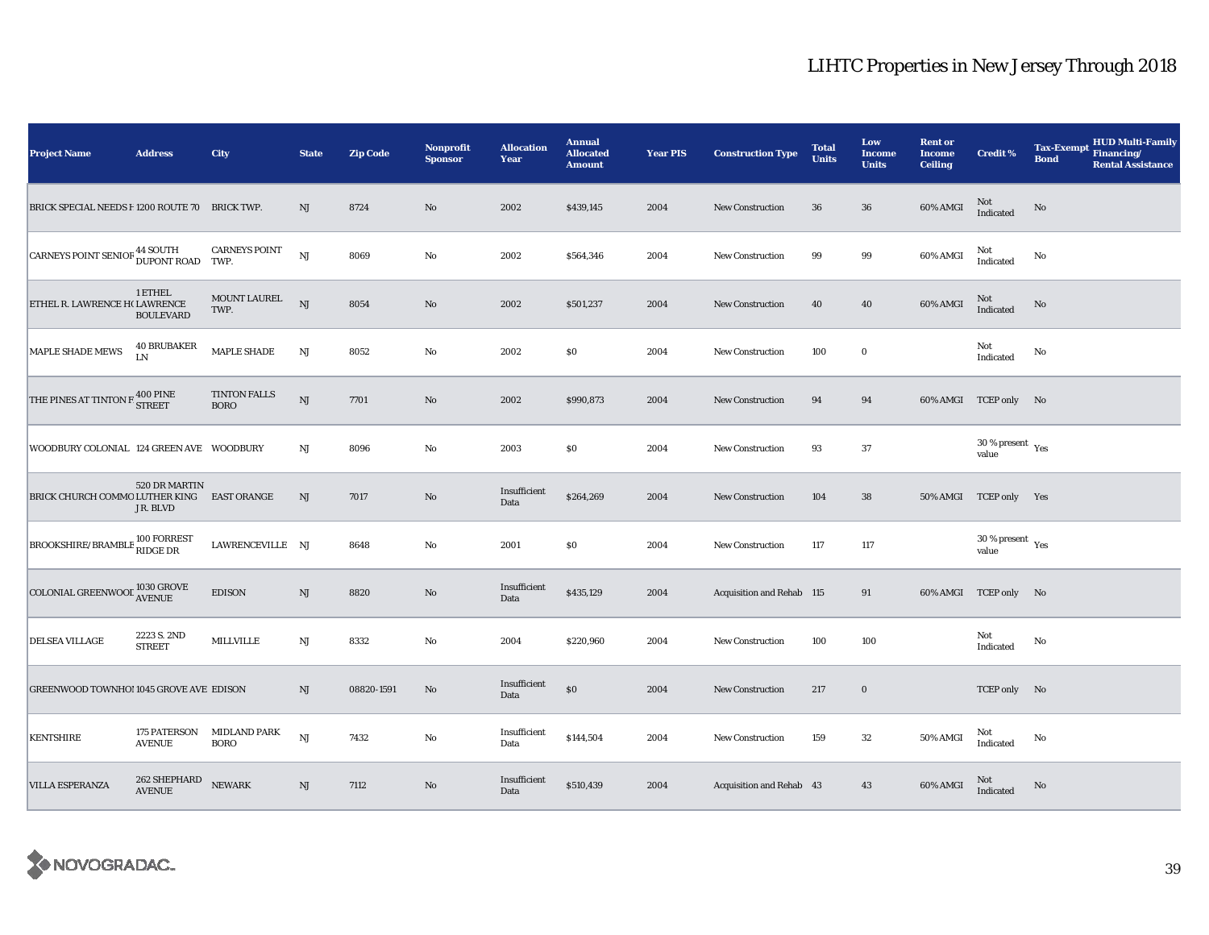| <b>Project Name</b>                                 | <b>Address</b>                   | City                               | <b>State</b>           | <b>Zip Code</b> | <b>Nonprofit</b><br><b>Sponsor</b> | <b>Allocation</b><br>Year | <b>Annual</b><br><b>Allocated</b><br><b>Amount</b> | <b>Year PIS</b> | <b>Construction Type</b>  | <b>Total</b><br><b>Units</b> | Low<br><b>Income</b><br><b>Units</b> | <b>Rent or</b><br><b>Income</b><br><b>Ceiling</b> | <b>Credit %</b>                           | <b>HUD Multi-Family</b><br><b>Tax-Exempt</b><br>Financing/<br><b>Bond</b><br><b>Rental Assistance</b> |  |
|-----------------------------------------------------|----------------------------------|------------------------------------|------------------------|-----------------|------------------------------------|---------------------------|----------------------------------------------------|-----------------|---------------------------|------------------------------|--------------------------------------|---------------------------------------------------|-------------------------------------------|-------------------------------------------------------------------------------------------------------|--|
| BRICK SPECIAL NEEDS F 1200 ROUTE 70 BRICK TWP.      |                                  |                                    | <b>NJ</b>              | 8724            | $\rm No$                           | 2002                      | \$439,145                                          | 2004            | New Construction          | 36                           | 36                                   | 60% AMGI                                          | Not<br>Indicated                          | $\rm No$                                                                                              |  |
| CARNEYS POINT SENIOF <sup>44 SOUTH</sup>            |                                  | <b>CARNEYS POINT</b><br>TWP.       | <b>NJ</b>              | 8069            | $\rm No$                           | 2002                      | \$564,346                                          | 2004            | <b>New Construction</b>   | 99                           | 99                                   | 60% AMGI                                          | Not<br>Indicated                          | No                                                                                                    |  |
| ETHEL R. LAWRENCE H( LAWRENCE                       | 1 ETHEL<br><b>BOULEVARD</b>      | MOUNT LAUREL<br>TWP.               | <b>NJ</b>              | 8054            | $\rm No$                           | 2002                      | \$501,237                                          | 2004            | <b>New Construction</b>   | 40                           | ${\bf 40}$                           | 60% AMGI                                          | $\mbox{Not}$ Indicated                    | No                                                                                                    |  |
| MAPLE SHADE MEWS                                    | <b>40 BRUBAKER</b><br>LN         | MAPLE SHADE                        | NJ                     | 8052            | No                                 | 2002                      | \$0                                                | 2004            | <b>New Construction</b>   | 100                          | $\bf{0}$                             |                                                   | Not<br>Indicated                          | No                                                                                                    |  |
| THE PINES AT TINTON F                               | <b>400 PINE</b><br><b>STREET</b> | <b>TINTON FALLS</b><br><b>BORO</b> | $_{\rm NJ}$            | 7701            | $\rm No$                           | 2002                      | \$990,873                                          | 2004            | <b>New Construction</b>   | 94                           | 94                                   |                                                   | 60% AMGI TCEP only No                     |                                                                                                       |  |
| WOODBURY COLONIAL 124 GREEN AVE WOODBURY            |                                  |                                    | NJ                     | 8096            | $\rm No$                           | 2003                      | \$0                                                | 2004            | <b>New Construction</b>   | 93                           | 37                                   |                                                   | $30\,\%$ present $\,$ $\rm{Yes}$<br>value |                                                                                                       |  |
| BRICK CHURCH COMMO LUTHER KING                      | 520 DR MARTIN<br>JR. BLVD        | <b>EAST ORANGE</b>                 | NJ                     | 7017            | No                                 | Insufficient<br>Data      | \$264,269                                          | 2004            | <b>New Construction</b>   | 104                          | 38                                   |                                                   | 50% AMGI TCEP only Yes                    |                                                                                                       |  |
| BROOKSHIRE/BRAMBLE 100 FORREST                      |                                  | LAWRENCEVILLE NJ                   |                        | 8648            | $\rm No$                           | 2001                      | \$0                                                | 2004            | <b>New Construction</b>   | 117                          | 117                                  |                                                   | $30\,\%$ present $\,$ $\rm Yes$<br>value  |                                                                                                       |  |
| COLONIAL GREENWOOL $^{1030}_{\Lambda \text{VENUE}}$ |                                  | <b>EDISON</b>                      | $\mathbf{N}\mathbf{J}$ | 8820            | $\rm No$                           | Insufficient<br>Data      | \$435,129                                          | 2004            | Acquisition and Rehab 115 |                              | 91                                   |                                                   | 60% AMGI TCEP only No                     |                                                                                                       |  |
| DELSEA VILLAGE                                      | 2223 S. 2ND<br><b>STREET</b>     | <b>MILLVILLE</b>                   | $\mathbf{N}\mathbf{J}$ | 8332            | No                                 | 2004                      | \$220,960                                          | 2004            | <b>New Construction</b>   | 100                          | 100                                  |                                                   | Not<br>Indicated                          | No                                                                                                    |  |
| GREENWOOD TOWNHO! 1045 GROVE AVE EDISON             |                                  |                                    | NJ                     | 08820-1591      | No                                 | Insufficient<br>Data      | $\$0$                                              | 2004            | New Construction          | 217                          | $\bf{0}$                             |                                                   | TCEP only No                              |                                                                                                       |  |
| <b>KENTSHIRE</b>                                    | 175 PATERSON<br><b>AVENUE</b>    | <b>MIDLAND PARK</b><br><b>BORO</b> | $_{\rm NJ}$            | 7432            | $\rm No$                           | Insufficient<br>Data      | \$144,504                                          | 2004            | <b>New Construction</b>   | 159                          | $32\,$                               | <b>50% AMGI</b>                                   | Not<br>Indicated                          | No                                                                                                    |  |
| <b>VILLA ESPERANZA</b>                              | 262 SHEPHARD<br><b>AVENUE</b>    | <b>NEWARK</b>                      | $\mathbf{N}\mathbf{J}$ | 7112            | $\rm No$                           | Insufficient<br>Data      | \$510,439                                          | 2004            | Acquisition and Rehab 43  |                              | 43                                   | 60% AMGI                                          | Not<br>Indicated                          | No                                                                                                    |  |

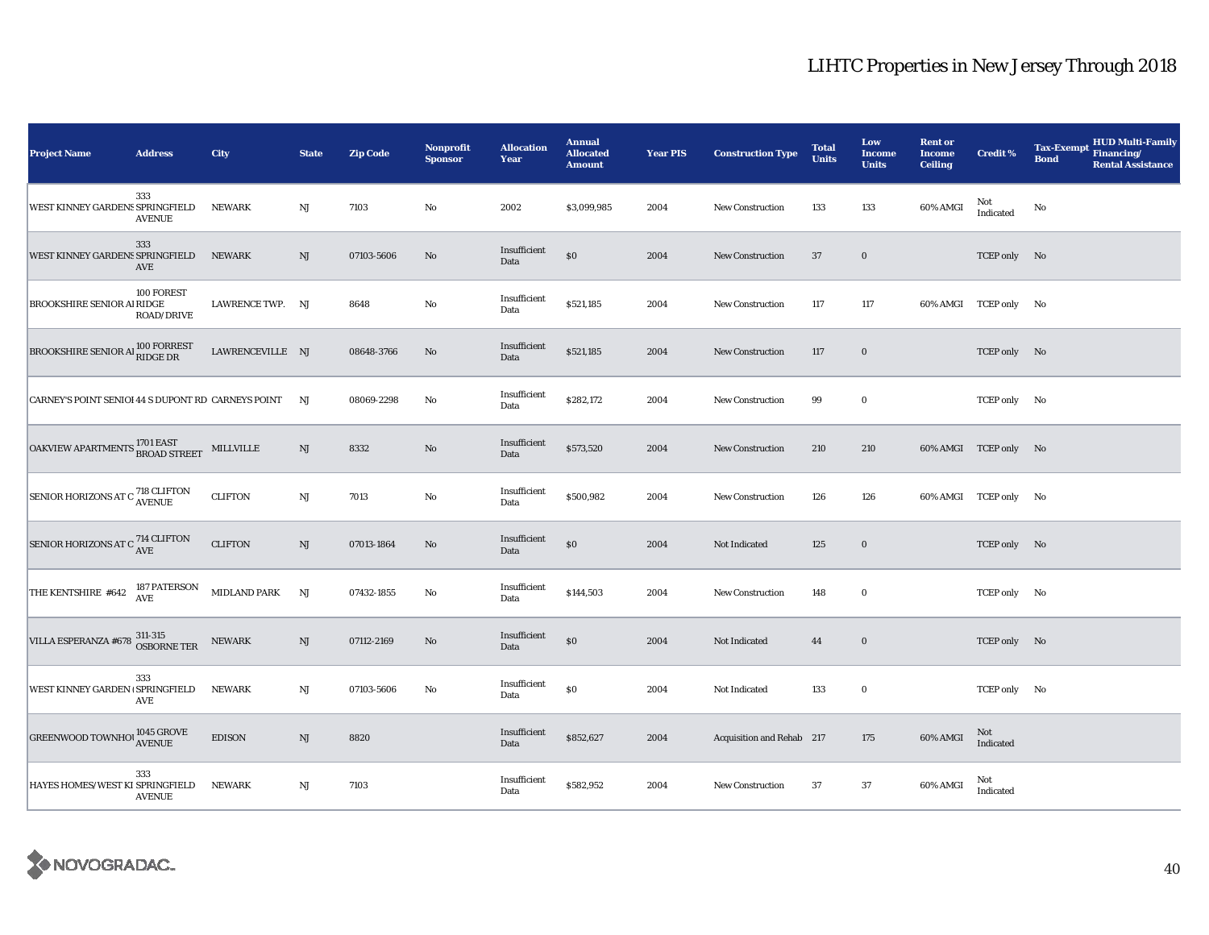| <b>Project Name</b>                                                                                              | <b>Address</b>           | City                | <b>State</b>           | <b>Zip Code</b> | Nonprofit<br><b>Sponsor</b> | <b>Allocation</b><br>Year | <b>Annual</b><br><b>Allocated</b><br><b>Amount</b> | <b>Year PIS</b> | <b>Construction Type</b>  | <b>Total</b><br><b>Units</b> | Low<br><b>Income</b><br><b>Units</b> | <b>Rent or</b><br><b>Income</b><br><b>Ceiling</b> | <b>Credit %</b>       | <b>HUD Multi-Family</b><br><b>Tax-Exempt</b><br>Financing/<br><b>Bond</b><br><b>Rental Assistance</b> |
|------------------------------------------------------------------------------------------------------------------|--------------------------|---------------------|------------------------|-----------------|-----------------------------|---------------------------|----------------------------------------------------|-----------------|---------------------------|------------------------------|--------------------------------------|---------------------------------------------------|-----------------------|-------------------------------------------------------------------------------------------------------|
| WEST KINNEY GARDENS SPRINGFIELD                                                                                  | 333<br><b>AVENUE</b>     | <b>NEWARK</b>       | $\rm{NJ}$              | 7103            | $\mathbf{No}$               | 2002                      | \$3,099,985                                        | 2004            | New Construction          | 133                          | 133                                  | 60% AMGI                                          | Not<br>Indicated      | No                                                                                                    |
| WEST KINNEY GARDENS SPRINGFIELD                                                                                  | 333<br>AVE               | <b>NEWARK</b>       | $\rm{NJ}$              | 07103-5606      | No                          | Insufficient<br>Data      | $\$0$                                              | 2004            | New Construction          | 37                           | $\bf{0}$                             |                                                   | TCEP only No          |                                                                                                       |
| <b>BROOKSHIRE SENIOR AI RIDGE</b>                                                                                | 100 FOREST<br>ROAD/DRIVE | LAWRENCE TWP. NJ    |                        | 8648            | $\rm No$                    | Insufficient<br>Data      | \$521,185                                          | 2004            | <b>New Construction</b>   | 117                          | 117                                  |                                                   | 60% AMGI TCEP only No |                                                                                                       |
| BROOKSHIRE SENIOR AI 100 FORREST                                                                                 |                          | LAWRENCEVILLE NJ    |                        | 08648-3766      | No                          | Insufficient<br>Data      | \$521,185                                          | 2004            | <b>New Construction</b>   | 117                          | $\boldsymbol{0}$                     |                                                   | TCEP only No          |                                                                                                       |
| CARNEY'S POINT SENIOI 44 S DUPONT RD CARNEYS POINT                                                               |                          |                     | NJ                     | 08069-2298      | No                          | Insufficient<br>Data      | \$282,172                                          | 2004            | <b>New Construction</b>   | 99                           | $\bf{0}$                             |                                                   | TCEP only No          |                                                                                                       |
| $\boxed{\textbf{OAKVIEW APARTMENTS}}\overset{\textbf{1701 EAST}}{\textbf{BROAD STREF}} \quad \textbf{MILLVILLE}$ |                          |                     | $\rm{NJ}$              | 8332            | No                          | Insufficient<br>Data      | \$573,520                                          | 2004            | <b>New Construction</b>   | 210                          | 210                                  |                                                   | 60% AMGI TCEP only No |                                                                                                       |
| SENIOR HORIZONS AT C <sup>718</sup> CLIFTON                                                                      |                          | <b>CLIFTON</b>      | $\mathbf{N}\mathbf{J}$ | 7013            | No                          | Insufficient<br>Data      | \$500,982                                          | 2004            | <b>New Construction</b>   | 126                          | 126                                  |                                                   | 60% AMGI TCEP only No |                                                                                                       |
| SENIOR HORIZONS AT C <sup>714</sup> CLIFTON                                                                      |                          | <b>CLIFTON</b>      | $\rm{NJ}$              | 07013-1864      | No                          | Insufficient<br>Data      | $\$0$                                              | 2004            | Not Indicated             | 125                          | $\bf{0}$                             |                                                   | TCEP only No          |                                                                                                       |
| THE KENTSHIRE #642 $187$ PATERSON<br>AVE                                                                         |                          | <b>MIDLAND PARK</b> | NJ                     | 07432-1855      | No                          | Insufficient<br>Data      | \$144,503                                          | 2004            | New Construction          | 148                          | $\bf{0}$                             |                                                   | TCEP only No          |                                                                                                       |
| VILLA ESPERANZA #678 311-315<br>OSBORNE TER                                                                      |                          | <b>NEWARK</b>       | NJ                     | 07112-2169      | No                          | Insufficient<br>Data      | $\$0$                                              | 2004            | Not Indicated             | 44                           | $\bf{0}$                             |                                                   | TCEP only No          |                                                                                                       |
| WEST KINNEY GARDEN SPRINGFIELD                                                                                   | 333<br>AVE               | <b>NEWARK</b>       | $\rm{NJ}$              | 07103-5606      | $\mathbf{No}$               | Insufficient<br>Data      | $\$0$                                              | 2004            | Not Indicated             | 133                          | $\bf{0}$                             |                                                   | TCEP only No          |                                                                                                       |
| $\begin{array}{ l } \hline \texttt{GREENWOOD TOWNHO1} \hline \texttt{AVENUE}\\ \hline \end{array}$               |                          | <b>EDISON</b>       | NJ                     | 8820            |                             | Insufficient<br>Data      | \$852,627                                          | 2004            | Acquisition and Rehab 217 |                              | 175                                  | 60% AMGI                                          | Not<br>Indicated      |                                                                                                       |
| HAYES HOMES/WEST KI SPRINGFIELD                                                                                  | 333<br><b>AVENUE</b>     | <b>NEWARK</b>       | $\rm{NJ}$              | 7103            |                             | Insufficient<br>Data      | \$582,952                                          | 2004            | <b>New Construction</b>   | 37                           | 37                                   | 60% AMGI                                          | Not<br>Indicated      |                                                                                                       |

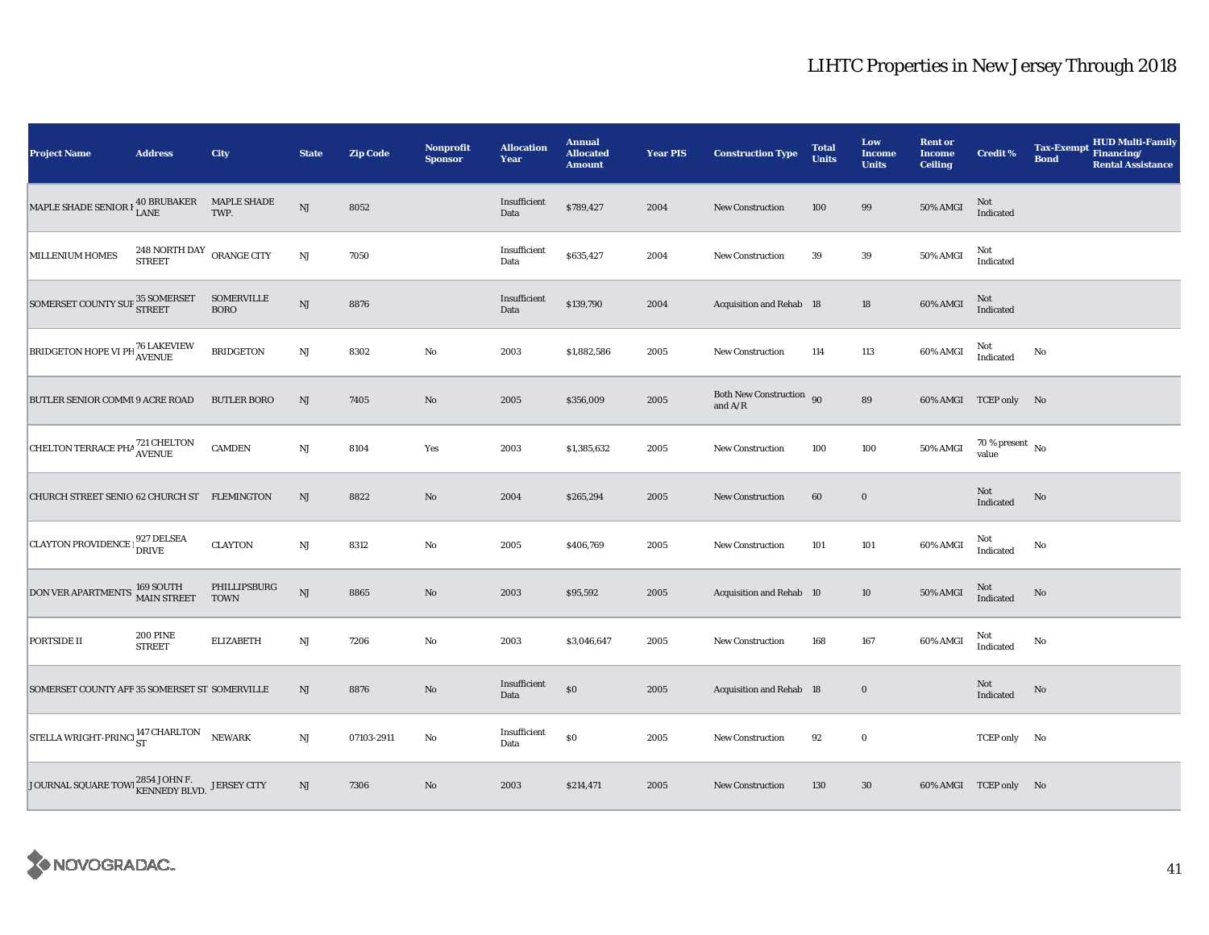| <b>Project Name</b>                                                                                   | <b>Address</b>                             | City                        | <b>State</b>           | <b>Zip Code</b> | <b>Nonprofit</b><br><b>Sponsor</b> | <b>Allocation</b><br>Year | <b>Annual</b><br><b>Allocated</b><br><b>Amount</b> | <b>Year PIS</b> | <b>Construction Type</b>                  | <b>Total</b><br><b>Units</b> | Low<br>Income<br><b>Units</b> | <b>Rent or</b><br><b>Income</b><br><b>Ceiling</b> | <b>Credit %</b>                    | <b>Tax-Exempt</b><br><b>Bond</b> | <b>HUD Multi-Family</b><br>Financing/<br><b>Rental Assistance</b> |
|-------------------------------------------------------------------------------------------------------|--------------------------------------------|-----------------------------|------------------------|-----------------|------------------------------------|---------------------------|----------------------------------------------------|-----------------|-------------------------------------------|------------------------------|-------------------------------|---------------------------------------------------|------------------------------------|----------------------------------|-------------------------------------------------------------------|
| MAPLE SHADE SENIOR $\rm{I}_{\rm{LANE}}^{40}$ BRUBAKER                                                 |                                            | <b>MAPLE SHADE</b><br>TWP.  | NJ                     | 8052            |                                    | Insufficient<br>Data      | \$789,427                                          | 2004            | New Construction                          | 100                          | 99                            | $50\%$ AMGI                                       | Not<br>Indicated                   |                                  |                                                                   |
| <b>MILLENIUM HOMES</b>                                                                                | 248 NORTH DAY ORANGE CITY<br><b>STREET</b> |                             | $\rm{NJ}$              | 7050            |                                    | Insufficient<br>Data      | \$635,427                                          | 2004            | <b>New Construction</b>                   | 39                           | 39                            | 50% AMGI                                          | Not<br>Indicated                   |                                  |                                                                   |
| $\boxed{\text{SOMERSET COUNTY SUP}} \begin{matrix} 35 \text{ SOMERSET} \\ \text{STREET} \end{matrix}$ |                                            | SOMERVILLE<br><b>BORO</b>   | $\mathbf{N}\mathbf{J}$ | 8876            |                                    | Insufficient<br>Data      | \$139,790                                          | 2004            | <b>Acquisition and Rehab 18</b>           |                              | 18                            | 60% AMGI                                          | $\mbox{Not}$ Indicated             |                                  |                                                                   |
| <b>BRIDGETON HOPE VI PH 76 LAKEVIEW</b>                                                               |                                            | <b>BRIDGETON</b>            | NJ                     | 8302            | $\rm No$                           | 2003                      | \$1,882,586                                        | 2005            | <b>New Construction</b>                   | 114                          | 113                           | 60% AMGI                                          | Not<br>Indicated                   | No                               |                                                                   |
| BUTLER SENIOR COMMI 9 ACRE ROAD                                                                       |                                            | <b>BUTLER BORO</b>          | NJ                     | 7405            | No                                 | 2005                      | \$356,009                                          | 2005            | Both New Construction 90<br>and $\rm A/R$ |                              | 89                            |                                                   | 60% AMGI TCEP only No              |                                  |                                                                   |
| CHELTON TERRACE PHA <sup>721</sup> CHELTON                                                            |                                            | <b>CAMDEN</b>               | NJ                     | 8104            | Yes                                | 2003                      | \$1,385,632                                        | 2005            | New Construction                          | 100                          | 100                           | 50% AMGI                                          | 70 % present $\hbox{~No}$<br>value |                                  |                                                                   |
| CHURCH STREET SENIO 62 CHURCH ST FLEMINGTON                                                           |                                            |                             | NJ                     | 8822            | No                                 | 2004                      | \$265,294                                          | 2005            | New Construction                          | 60                           | $\mathbf 0$                   |                                                   | Not<br>Indicated                   | No                               |                                                                   |
| CLAYTON PROVIDENCE   927 DELSEA                                                                       |                                            | <b>CLAYTON</b>              | $\rm{NJ}$              | 8312            | $\rm No$                           | 2005                      | \$406,769                                          | 2005            | <b>New Construction</b>                   | 101                          | 101                           | 60% AMGI                                          | Not<br>Indicated                   | No                               |                                                                   |
| DON VER APARTMENTS 169 SOUTH MAIN STREET                                                              |                                            | PHILLIPSBURG<br><b>TOWN</b> | $_{\rm NJ}$            | 8865            | No                                 | 2003                      | \$95,592                                           | 2005            | Acquisition and Rehab 10                  |                              | 10                            | 50% AMGI                                          | Not<br>Indicated                   | No                               |                                                                   |
| <b>PORTSIDE II</b>                                                                                    | <b>200 PINE</b><br><b>STREET</b>           | <b>ELIZABETH</b>            | $_{\rm NJ}$            | 7206            | $\rm No$                           | 2003                      | \$3,046,647                                        | 2005            | <b>New Construction</b>                   | 168                          | 167                           | 60% AMGI                                          | Not<br>Indicated                   | No                               |                                                                   |
| SOMERSET COUNTY AFF 35 SOMERSET ST SOMERVILLE                                                         |                                            |                             | NJ                     | 8876            | No                                 | Insufficient<br>Data      | $\$0$                                              | 2005            | <b>Acquisition and Rehab</b> 18           |                              | $\bf{0}$                      |                                                   | Not<br>Indicated                   | No                               |                                                                   |
| STELLA WRIGHT-PRINCI ST                                                                               |                                            | <b>NEWARK</b>               | NJ                     | 07103-2911      | $\rm No$                           | Insufficient<br>Data      | $\$0$                                              | 2005            | New Construction                          | 92                           | $\bf{0}$                      |                                                   | TCEP only No                       |                                  |                                                                   |
| JOURNAL SQUARE TOWI 2854 JOHN F. JERSEY CITY                                                          |                                            |                             | NJ                     | 7306            | No                                 | 2003                      | \$214,471                                          | 2005            | New Construction                          | 130                          | 30                            |                                                   | 60% AMGI TCEP only No              |                                  |                                                                   |

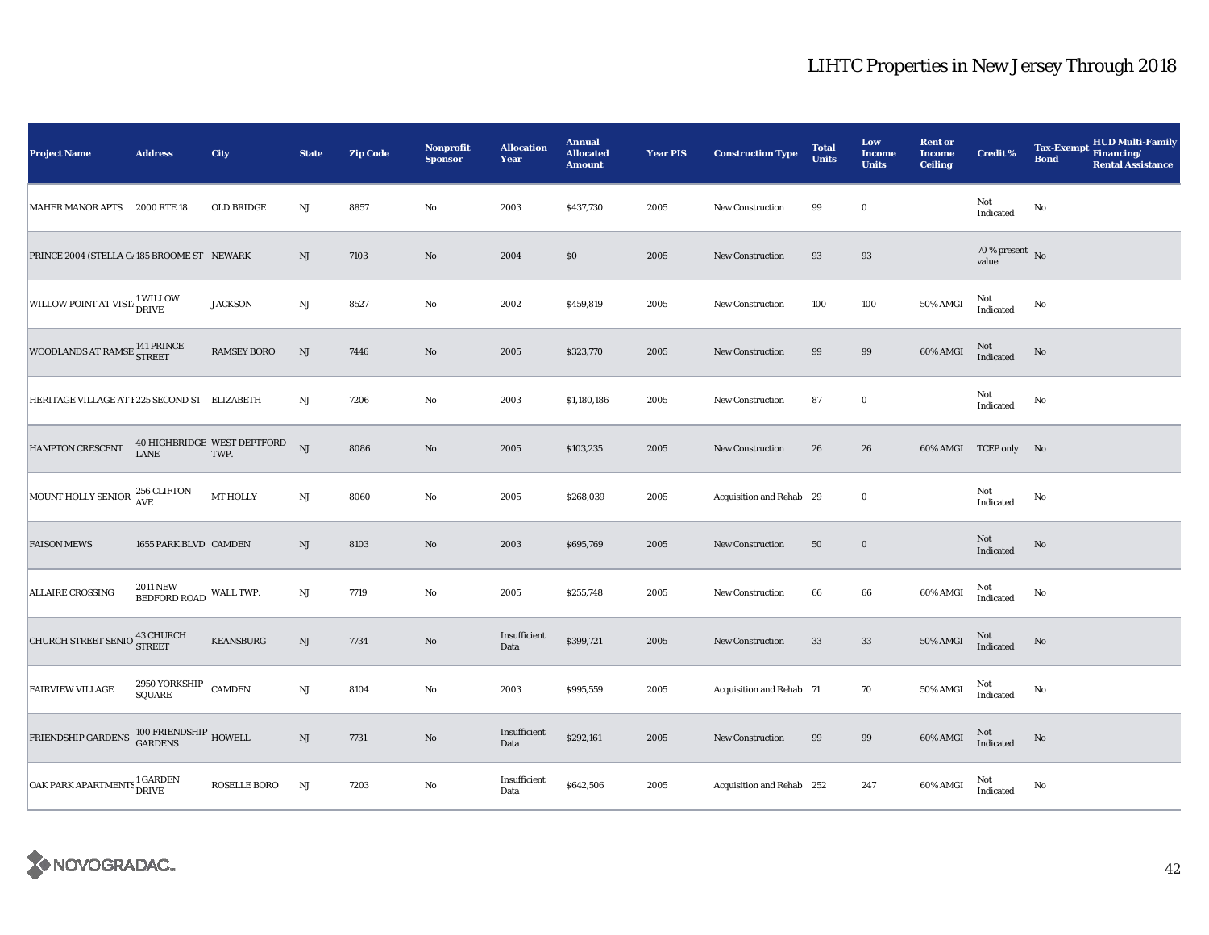| <b>Project Name</b>                                | <b>Address</b>                            | City                                | <b>State</b>           | <b>Zip Code</b> | <b>Nonprofit</b><br><b>Sponsor</b> | <b>Allocation</b><br>Year | <b>Annual</b><br><b>Allocated</b><br><b>Amount</b> | <b>Year PIS</b> | <b>Construction Type</b>  | <b>Total</b><br><b>Units</b> | Low<br><b>Income</b><br><b>Units</b> | <b>Rent or</b><br><b>Income</b><br><b>Ceiling</b> | Credit %                     | <b>HUD Multi-Family</b><br><b>Tax-Exempt</b><br>Financing/<br><b>Bond</b><br><b>Rental Assistance</b> |
|----------------------------------------------------|-------------------------------------------|-------------------------------------|------------------------|-----------------|------------------------------------|---------------------------|----------------------------------------------------|-----------------|---------------------------|------------------------------|--------------------------------------|---------------------------------------------------|------------------------------|-------------------------------------------------------------------------------------------------------|
| MAHER MANOR APTS 2000 RTE 18                       |                                           | OLD BRIDGE                          | NJ                     | 8857            | No                                 | 2003                      | \$437,730                                          | 2005            | New Construction          | 99                           | $\bf{0}$                             |                                                   | Not<br>Indicated             | No                                                                                                    |
| PRINCE 2004 (STELLA G/185 BROOME ST NEWARK         |                                           |                                     | $\mathrm{NJ}$          | 7103            | $\rm No$                           | 2004                      | \$0                                                | 2005            | <b>New Construction</b>   | 93                           | 93                                   |                                                   | $70$ % present $\,$ No value |                                                                                                       |
| WILLOW POINT AT VIST. <sup>1</sup> WILLOW          |                                           | <b>JACKSON</b>                      | $\mathbf{N}\mathbf{J}$ | 8527            | $\rm No$                           | 2002                      | \$459,819                                          | 2005            | <b>New Construction</b>   | 100                          | 100                                  | 50% AMGI                                          | Not<br>Indicated             | No                                                                                                    |
| WOODLANDS AT RAMSE <sup>141 PRINCE</sup><br>STREET |                                           | <b>RAMSEY BORO</b>                  | $\mathbf{N}\mathbf{J}$ | 7446            | $\rm No$                           | 2005                      | \$323,770                                          | 2005            | <b>New Construction</b>   | 99                           | 99                                   | 60% AMGI                                          | $\rm Not$ Indicated          | No                                                                                                    |
| HERITAGE VILLAGE AT I 225 SECOND ST ELIZABETH      |                                           |                                     | NJ                     | 7206            | No                                 | 2003                      | \$1,180,186                                        | 2005            | <b>New Construction</b>   | 87                           | $\bf{0}$                             |                                                   | Not<br>Indicated             | No                                                                                                    |
| HAMPTON CRESCENT                                   | <b>LANE</b>                               | 40 HIGHBRIDGE WEST DEPTFORD<br>TWP. | NJ                     | 8086            | $\rm No$                           | 2005                      | \$103,235                                          | 2005            | New Construction          | 26                           | 26                                   |                                                   | 60% AMGI TCEP only No        |                                                                                                       |
| MOUNT HOLLY SENIOR 256 CLIFTON                     |                                           | <b>MT HOLLY</b>                     | NJ                     | 8060            | $\rm No$                           | 2005                      | \$268,039                                          | 2005            | Acquisition and Rehab 29  |                              | $\bf{0}$                             |                                                   | Not<br>Indicated             | No                                                                                                    |
| <b>FAISON MEWS</b>                                 | 1655 PARK BLVD CAMDEN                     |                                     | $\mathbf{N}\mathbf{J}$ | 8103            | $\rm No$                           | 2003                      | \$695,769                                          | 2005            | <b>New Construction</b>   | 50                           | $\bf{0}$                             |                                                   | Not<br>Indicated             | No                                                                                                    |
| <b>ALLAIRE CROSSING</b>                            | <b>2011 NEW</b><br>BEDFORD ROAD WALL TWP. |                                     | NJ                     | 7719            | No                                 | 2005                      | \$255,748                                          | 2005            | <b>New Construction</b>   | 66                           | 66                                   | 60% AMGI                                          | Not<br>Indicated             | No                                                                                                    |
| CHURCH STREET SENIO 43 CHURCH                      |                                           | <b>KEANSBURG</b>                    | NJ                     | 7734            | $\rm No$                           | Insufficient<br>Data      | \$399,721                                          | 2005            | New Construction          | 33                           | 33                                   | 50% AMGI                                          | Not<br>Indicated             | No                                                                                                    |
| <b>FAIRVIEW VILLAGE</b>                            | 2950 YORKSHIP CAMDEN<br><b>SQUARE</b>     |                                     | $\mathbf{N}\mathbf{J}$ | 8104            | No                                 | 2003                      | \$995,559                                          | 2005            | Acquisition and Rehab 71  |                              | 70                                   | 50% AMGI                                          | Not<br>Indicated             | No                                                                                                    |
| FRIENDSHIP GARDENS 100 FRIENDSHIP HOWELL           |                                           |                                     | NJ                     | 7731            | No                                 | Insufficient<br>Data      | \$292,161                                          | 2005            | <b>New Construction</b>   | 99                           | 99                                   | 60% AMGI                                          | Not<br>Indicated             | No                                                                                                    |
| OAK PARK APARTMENTS <sup>1</sup> GARDEN            |                                           | <b>ROSELLE BORO</b>                 | $_{\rm NJ}$            | 7203            | No                                 | Insufficient<br>Data      | \$642,506                                          | 2005            | Acquisition and Rehab 252 |                              | 247                                  | 60% AMGI                                          | Not<br>Indicated             | No                                                                                                    |

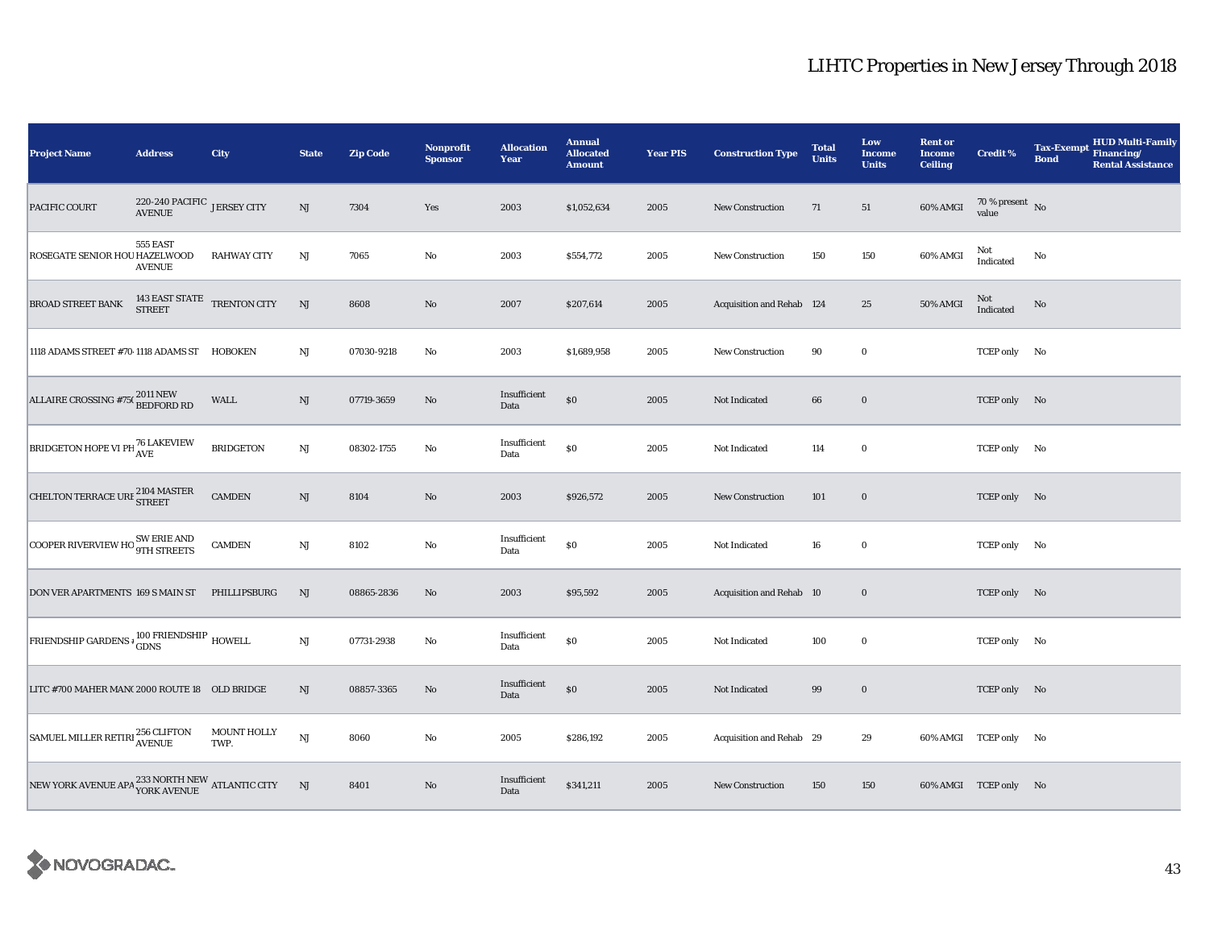| <b>Project Name</b>                           | <b>Address</b>                               | City                       | <b>State</b>  | <b>Zip Code</b> | <b>Nonprofit</b><br><b>Sponsor</b> | <b>Allocation</b><br>Year | <b>Annual</b><br><b>Allocated</b><br><b>Amount</b> | <b>Year PIS</b> | <b>Construction Type</b>  | <b>Total</b><br><b>Units</b> | Low<br>Income<br><b>Units</b> | <b>Rent or</b><br><b>Income</b><br><b>Ceiling</b> | <b>Credit %</b>                    | <b>Tax-Exempt</b><br><b>Bond</b> | <b>HUD Multi-Family</b><br><b>Financing/</b><br><b>Rental Assistance</b> |
|-----------------------------------------------|----------------------------------------------|----------------------------|---------------|-----------------|------------------------------------|---------------------------|----------------------------------------------------|-----------------|---------------------------|------------------------------|-------------------------------|---------------------------------------------------|------------------------------------|----------------------------------|--------------------------------------------------------------------------|
| PACIFIC COURT                                 | 220-240 PACIFIC JERSEY CITY<br><b>AVENUE</b> |                            | $\mathrm{NJ}$ | 7304            | Yes                                | 2003                      | \$1,052,634                                        | 2005            | <b>New Construction</b>   | 71                           | 51                            | 60% AMGI                                          | 70 % present $\hbox{~No}$<br>value |                                  |                                                                          |
| ROSEGATE SENIOR HOU HAZELWOOD                 | 555 EAST<br><b>AVENUE</b>                    | <b>RAHWAY CITY</b>         | NJ            | 7065            | $\rm No$                           | 2003                      | \$554,772                                          | 2005            | New Construction          | 150                          | 150                           | 60% AMGI                                          | Not<br>Indicated                   | No                               |                                                                          |
| BROAD STREET BANK                             | $143$ EAST STATE $$\sf TRENTON\;CITY$$       |                            | NJ            | 8608            | $\rm No$                           | 2007                      | \$207,614                                          | 2005            | Acquisition and Rehab 124 |                              | 25                            | 50% AMGI                                          | Not<br>Indicated                   | No                               |                                                                          |
| 1118 ADAMS STREET #70 1118 ADAMS ST HOBOKEN   |                                              |                            | $_{\rm NJ}$   | 07030-9218      | $\rm No$                           | 2003                      | \$1,689,958                                        | 2005            | New Construction          | 90                           | $\boldsymbol{0}$              |                                                   | TCEP only No                       |                                  |                                                                          |
| ALLAIRE CROSSING #75(2011 NEW<br>BEDFORD RD   |                                              | <b>WALL</b>                | NJ            | 07719-3659      | No                                 | Insufficient<br>Data      | $\$0$                                              | 2005            | Not Indicated             | 66                           | $\bf{0}$                      |                                                   | TCEP only No                       |                                  |                                                                          |
| BRIDGETON HOPE VI PH <sup>76</sup> LAKEVIEW   |                                              | <b>BRIDGETON</b>           | $_{\rm NJ}$   | 08302-1755      | No                                 | Insufficient<br>Data      | $\$0$                                              | 2005            | Not Indicated             | 114                          | $\mathbf 0$                   |                                                   | TCEP only No                       |                                  |                                                                          |
| CHELTON TERRACE URE 2104 MASTER               |                                              | <b>CAMDEN</b>              | NJ            | 8104            | $\rm No$                           | 2003                      | \$926,572                                          | 2005            | New Construction          | 101                          | $\mathbf 0$                   |                                                   | TCEP only No                       |                                  |                                                                          |
| COOPER RIVERVIEW HO SW ERIE AND               |                                              | <b>CAMDEN</b>              | NJ            | 8102            | $\rm No$                           | Insufficient<br>Data      | $\$0$                                              | 2005            | Not Indicated             | 16                           | $\mathbf 0$                   |                                                   | TCEP only No                       |                                  |                                                                          |
| DON VER APARTMENTS 169 S MAIN ST PHILLIPSBURG |                                              |                            | NJ            | 08865-2836      | No                                 | 2003                      | \$95,592                                           | 2005            | Acquisition and Rehab 10  |                              | $\mathbf 0$                   |                                                   | TCEP only No                       |                                  |                                                                          |
| FRIENDSHIP GARDENS + GDNS<br>GDNS             |                                              |                            | NJ            | 07731-2938      | $\rm No$                           | Insufficient<br>Data      | $\$0$                                              | 2005            | Not Indicated             | 100                          | $\boldsymbol{0}$              |                                                   | TCEP only No                       |                                  |                                                                          |
| LITC #700 MAHER MAN(2000 ROUTE 18 OLD BRIDGE  |                                              |                            | NJ            | 08857-3365      | No                                 | Insufficient<br>Data      | $\$0$                                              | 2005            | Not Indicated             | 99                           | $\mathbf 0$                   |                                                   | TCEP only No                       |                                  |                                                                          |
| SAMUEL MILLER RETIRI 256 CLIFTON              |                                              | <b>MOUNT HOLLY</b><br>TWP. | NJ            | 8060            | No                                 | 2005                      | \$286,192                                          | 2005            | Acquisition and Rehab 29  |                              | 29                            |                                                   | 60% AMGI TCEP only No              |                                  |                                                                          |
| NEW YORK AVENUE APA YORK AVENUE ATLANTIC CITY |                                              |                            | NJ            | 8401            | No                                 | Insufficient<br>Data      | \$341,211                                          | 2005            | <b>New Construction</b>   | 150                          | 150                           |                                                   | 60% AMGI TCEP only No              |                                  |                                                                          |

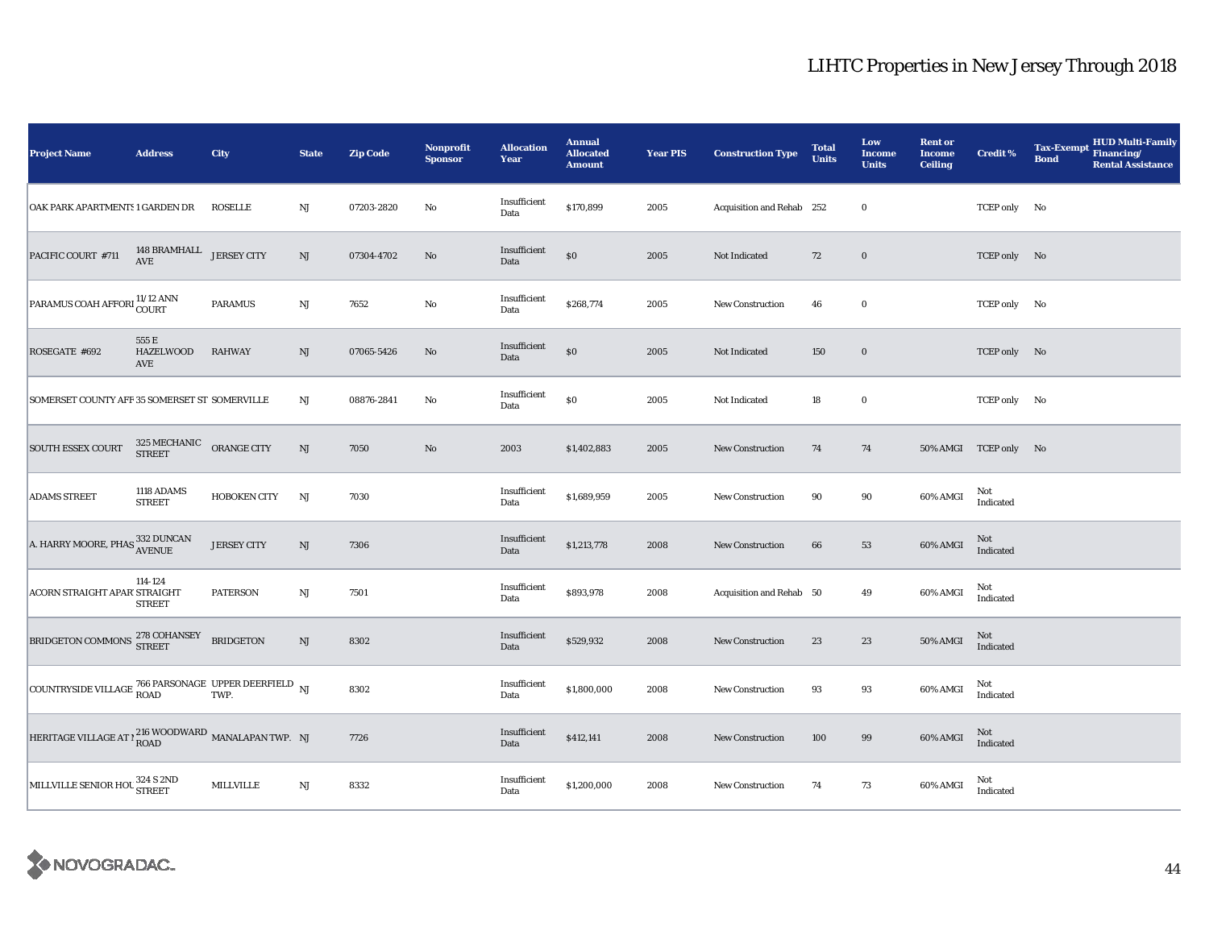| <b>Project Name</b>                                                                                                                      | <b>Address</b>                                   | City                | <b>State</b>           | <b>Zip Code</b> | Nonprofit<br><b>Sponsor</b> | <b>Allocation</b><br>Year | <b>Annual</b><br><b>Allocated</b><br><b>Amount</b> | <b>Year PIS</b> | <b>Construction Type</b>  | <b>Total</b><br><b>Units</b> | Low<br><b>Income</b><br><b>Units</b> | <b>Rent or</b><br><b>Income</b><br><b>Ceiling</b> | <b>Credit %</b>                   | HUD Multi-Family<br>Financing/<br><b>Tax-Exempt</b><br><b>Bond</b><br><b>Rental Assistance</b> |
|------------------------------------------------------------------------------------------------------------------------------------------|--------------------------------------------------|---------------------|------------------------|-----------------|-----------------------------|---------------------------|----------------------------------------------------|-----------------|---------------------------|------------------------------|--------------------------------------|---------------------------------------------------|-----------------------------------|------------------------------------------------------------------------------------------------|
| OAK PARK APARTMENTS 1 GARDEN DR                                                                                                          |                                                  | <b>ROSELLE</b>      | NJ                     | 07203-2820      | No                          | Insufficient<br>Data      | \$170,899                                          | 2005            | Acquisition and Rehab 252 |                              | $\bf{0}$                             |                                                   | TCEP only No                      |                                                                                                |
| PACIFIC COURT #711                                                                                                                       | 148 BRAMHALL JERSEY CITY<br>AVE                  |                     | $\mathrm{NJ}$          | 07304-4702      | $\mathbf{N}\mathbf{o}$      | Insufficient<br>Data      | $\$0$                                              | 2005            | Not Indicated             | 72                           | $\boldsymbol{0}$                     |                                                   | TCEP only No                      |                                                                                                |
| PARAMUS COAH AFFORI 11/12 ANN                                                                                                            |                                                  | <b>PARAMUS</b>      | $\mathbf{N}\mathbf{J}$ | 7652            | No                          | Insufficient<br>Data      | \$268,774                                          | 2005            | <b>New Construction</b>   | 46                           | $\bf{0}$                             |                                                   | TCEP only No                      |                                                                                                |
| ROSEGATE #692                                                                                                                            | 555 E<br><b>HAZELWOOD</b><br>AVE                 | <b>RAHWAY</b>       | $\rm{NJ}$              | 07065-5426      | No                          | Insufficient<br>Data      | $\$0$                                              | 2005            | Not Indicated             | 150                          | $\boldsymbol{0}$                     |                                                   | TCEP only No                      |                                                                                                |
| SOMERSET COUNTY AFF 35 SOMERSET ST SOMERVILLE                                                                                            |                                                  |                     | NJ                     | 08876-2841      | No                          | Insufficient<br>Data      | $\$0$                                              | 2005            | Not Indicated             | 18                           | $\bf{0}$                             |                                                   | TCEP only No                      |                                                                                                |
| SOUTH ESSEX COURT                                                                                                                        | $325\,{\rm MECHANIC}$ $$\rm ORANGE\,{\rm CITY}$$ |                     | $\mathrm{NJ}$          | 7050            | $\rm No$                    | 2003                      | \$1,402,883                                        | 2005            | New Construction          | 74                           | 74                                   |                                                   | 50% AMGI TCEP only No             |                                                                                                |
| <b>ADAMS STREET</b>                                                                                                                      | 1118 ADAMS<br><b>STREET</b>                      | <b>HOBOKEN CITY</b> | NJ                     | 7030            |                             | Insufficient<br>Data      | \$1,689,959                                        | 2005            | New Construction          | 90                           | 90                                   | 60% AMGI                                          | Not<br>Indicated                  |                                                                                                |
| A. HARRY MOORE, PHAS 332 DUNCAN                                                                                                          |                                                  | <b>JERSEY CITY</b>  | $\mathrm{NJ}$          | 7306            |                             | Insufficient<br>Data      | \$1,213,778                                        | 2008            | New Construction          | 66                           | 53                                   | 60% AMGI                                          | Not<br>Indicated                  |                                                                                                |
| ACORN STRAIGHT APAR' STRAIGHT                                                                                                            | 114-124<br><b>STREET</b>                         | <b>PATERSON</b>     | $\mathbf{N}\mathbf{J}$ | 7501            |                             | Insufficient<br>Data      | \$893,978                                          | 2008            | Acquisition and Rehab 50  |                              | 49                                   | 60% AMGI                                          | Not<br>Indicated                  |                                                                                                |
| BRIDGETON COMMONS 278 COHANSEY                                                                                                           |                                                  | <b>BRIDGETON</b>    | NJ                     | 8302            |                             | Insufficient<br>Data      | \$529,932                                          | 2008            | <b>New Construction</b>   | 23                           | 23                                   | <b>50% AMGI</b>                                   | Not<br>$\operatorname{Indicated}$ |                                                                                                |
| $\boxed{\text{COUNTRYSIDE VILLAGE}\begin{bmatrix} 766\text{ PARSONAGE} \text{ UPPER DEERFIELD} \text{ NJ} \\ \text{ROAD} \end{bmatrix}}$ |                                                  |                     |                        | 8302            |                             | Insufficient<br>Data      | \$1,800,000                                        | 2008            | New Construction          | 93                           | 93                                   | 60% AMGI                                          | Not<br>Indicated                  |                                                                                                |
| HERITAGE VILLAGE AT $\gamma^{216}$ WOODWARD MANALAPAN TWP. NJ                                                                            |                                                  |                     |                        | 7726            |                             | Insufficient<br>Data      | \$412,141                                          | 2008            | New Construction          | 100                          | 99                                   | 60% AMGI                                          | Not<br>Indicated                  |                                                                                                |
| MILLVILLE SENIOR HOU 324 S 2ND                                                                                                           |                                                  | MILLVILLE           | $\mathrm{NJ}$          | 8332            |                             | Insufficient<br>Data      | \$1,200,000                                        | 2008            | New Construction          | 74                           | 73                                   | 60% AMGI                                          | Not<br>Indicated                  |                                                                                                |

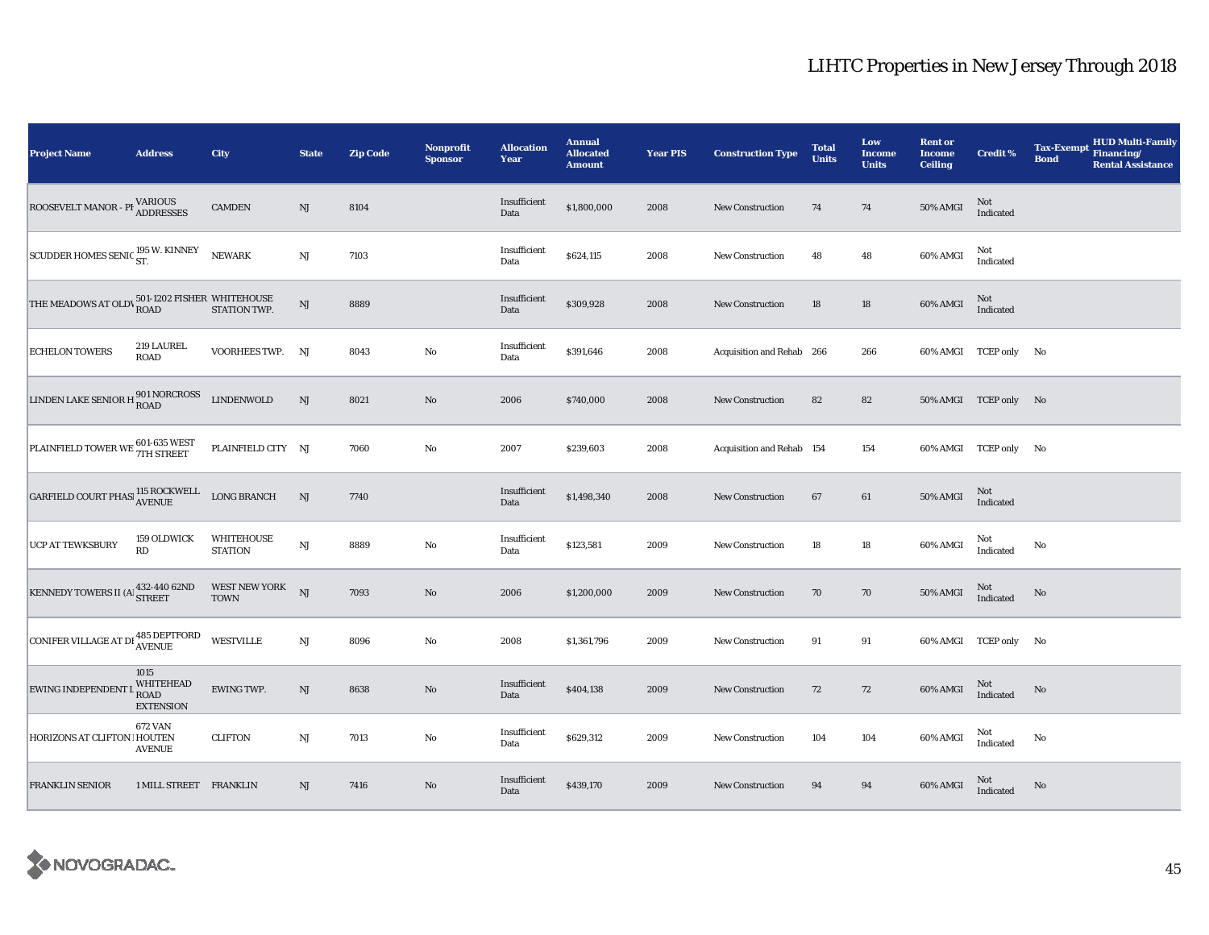| <b>Project Name</b>                                                                                                | <b>Address</b>                                       | City                            | <b>State</b>           | <b>Zip Code</b> | <b>Nonprofit</b><br><b>Sponsor</b> | <b>Allocation</b><br>Year | <b>Annual</b><br><b>Allocated</b><br><b>Amount</b> | <b>Year PIS</b> | <b>Construction Type</b>  | <b>Total</b><br><b>Units</b> | Low<br><b>Income</b><br><b>Units</b> | <b>Rent or</b><br><b>Income</b><br><b>Ceiling</b> | <b>Credit %</b>       | <b>Tax-Exempt</b><br><b>Bond</b> | <b>HUD Multi-Family</b><br>Financing/<br><b>Rental Assistance</b> |
|--------------------------------------------------------------------------------------------------------------------|------------------------------------------------------|---------------------------------|------------------------|-----------------|------------------------------------|---------------------------|----------------------------------------------------|-----------------|---------------------------|------------------------------|--------------------------------------|---------------------------------------------------|-----------------------|----------------------------------|-------------------------------------------------------------------|
| ROOSEVELT MANOR - PI VARIOUS                                                                                       |                                                      | <b>CAMDEN</b>                   | NJ                     | 8104            |                                    | Insufficient<br>Data      | \$1,800,000                                        | 2008            | <b>New Construction</b>   | 74                           | 74                                   | 50% AMGI                                          | Not<br>Indicated      |                                  |                                                                   |
| SCUDDER HOMES SENIC <sup>195</sup> W. KINNEY                                                                       |                                                      | NEWARK                          | $\mathbf{N}\mathbf{J}$ | 7103            |                                    | Insufficient<br>Data      | \$624,115                                          | 2008            | <b>New Construction</b>   | 48                           | 48                                   | 60% AMGI                                          | Not<br>Indicated      |                                  |                                                                   |
| THE MEADOWS AT OLD\ $^{501\text{-}1202}_{\text{ROAD}}$ FISHER WHITEHOUSE STATION TWP.                              |                                                      |                                 | $\mathbf{N}\mathbf{J}$ | 8889            |                                    | Insufficient<br>Data      | \$309,928                                          | 2008            | <b>New Construction</b>   | 18                           | $18\,$                               | 60% AMGI                                          | Not<br>Indicated      |                                  |                                                                   |
| <b>ECHELON TOWERS</b>                                                                                              | 219 LAUREL<br><b>ROAD</b>                            | VOORHEES TWP. NJ                |                        | 8043            | No                                 | Insufficient<br>Data      | \$391,646                                          | 2008            | Acquisition and Rehab 266 |                              | 266                                  |                                                   | 60% AMGI TCEP only No |                                  |                                                                   |
| LINDEN LAKE SENIOR H 801 NORCROSS                                                                                  |                                                      | <b>LINDENWOLD</b>               | $\mathrm{NJ}$          | 8021            | $\rm No$                           | 2006                      | \$740,000                                          | 2008            | <b>New Construction</b>   | 82                           | 82                                   |                                                   | 50% AMGI TCEP only No |                                  |                                                                   |
| PLAINFIELD TOWER WE 601-635 WEST                                                                                   |                                                      | PLAINFIELD CITY NJ              |                        | 7060            | $\rm No$                           | 2007                      | \$239,603                                          | 2008            | Acquisition and Rehab 154 |                              | 154                                  |                                                   | 60% AMGI TCEP only No |                                  |                                                                   |
| $\begin{tabular}{ll} \textbf{GARFIED COURT PHASI} & \textbf{115 ROCKWELL} & \textbf{LONG BRANCH} \\ \end{tabular}$ |                                                      |                                 | NJ                     | 7740            |                                    | Insufficient<br>Data      | \$1,498,340                                        | 2008            | <b>New Construction</b>   | 67                           | 61                                   | <b>50% AMGI</b>                                   | Not<br>Indicated      |                                  |                                                                   |
| <b>UCP AT TEWKSBURY</b>                                                                                            | 159 OLDWICK<br>RD                                    | WHITEHOUSE<br><b>STATION</b>    | <b>NJ</b>              | 8889            | $\rm No$                           | Insufficient<br>Data      | \$123,581                                          | 2009            | <b>New Construction</b>   | 18                           | 18                                   | 60% AMGI                                          | Not<br>Indicated      | No                               |                                                                   |
| KENNEDY TOWERS II (A $^{432\text{-}440\;62\text{ND}}_{\rm STREET}$                                                 |                                                      | WEST NEW YORK NJ<br><b>TOWN</b> |                        | 7093            | $\rm No$                           | 2006                      | \$1,200,000                                        | 2009            | New Construction          | 70                           | 70                                   | 50% AMGI                                          | Not<br>Indicated      | No                               |                                                                   |
| CONIFER VILLAGE AT DI <sup>485</sup> DEPTFORD                                                                      |                                                      | <b>WESTVILLE</b>                | NJ                     | 8096            | No                                 | 2008                      | \$1,361,796                                        | 2009            | <b>New Construction</b>   | 91                           | 91                                   |                                                   | 60% AMGI TCEP only No |                                  |                                                                   |
| EWING INDEPENDENT L                                                                                                | 1015<br>WHITEHEAD<br><b>ROAD</b><br><b>EXTENSION</b> | EWING TWP.                      | NJ                     | 8638            | No                                 | Insufficient<br>Data      | \$404,138                                          | 2009            | <b>New Construction</b>   | 72                           | 72                                   | 60% AMGI                                          | Not<br>Indicated      | No                               |                                                                   |
| HORIZONS AT CLIFTON ! HOUTEN                                                                                       | <b>672 VAN</b><br><b>AVENUE</b>                      | <b>CLIFTON</b>                  | $\mathbf{N}\mathbf{J}$ | 7013            | No                                 | Insufficient<br>Data      | \$629,312                                          | 2009            | <b>New Construction</b>   | 104                          | 104                                  | 60% AMGI                                          | Not<br>Indicated      | No                               |                                                                   |
| <b>FRANKLIN SENIOR</b>                                                                                             | 1 MILL STREET FRANKLIN                               |                                 | NJ                     | 7416            | No                                 | Insufficient<br>Data      | \$439,170                                          | 2009            | <b>New Construction</b>   | 94                           | 94                                   | 60% AMGI                                          | Not<br>Indicated      | No                               |                                                                   |

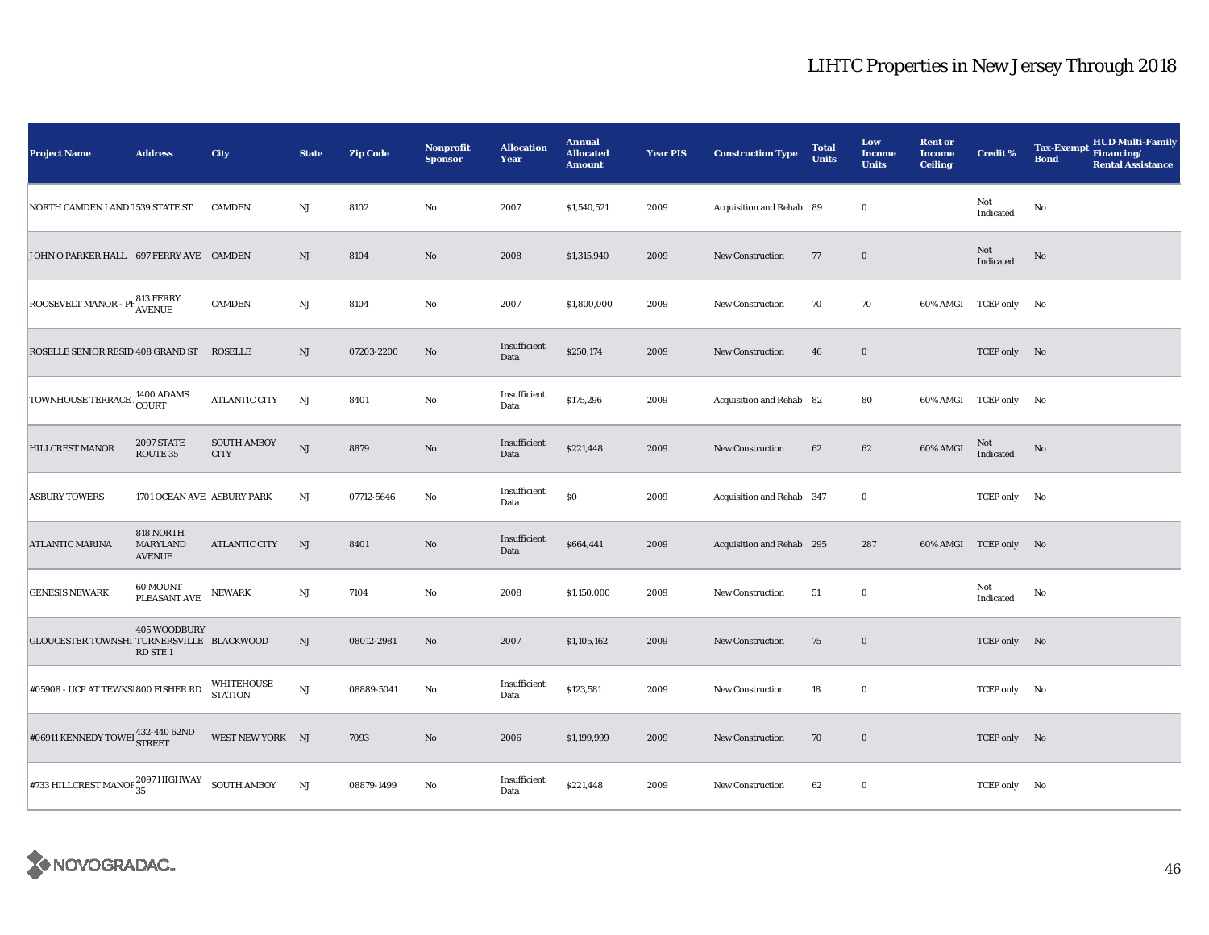| <b>Project Name</b>                                                  | <b>Address</b>                                | City                              | <b>State</b>           | <b>Zip Code</b> | <b>Nonprofit</b><br><b>Sponsor</b> | <b>Allocation</b><br>Year | <b>Annual</b><br><b>Allocated</b><br><b>Amount</b> | <b>Year PIS</b> | <b>Construction Type</b>  | <b>Total</b><br><b>Units</b> | Low<br><b>Income</b><br><b>Units</b> | <b>Rent or</b><br><b>Income</b><br><b>Ceiling</b> | <b>Credit %</b>       | HUD Multi-Family<br>Financing/<br><b>Tax-Exempt</b><br><b>Bond</b><br><b>Rental Assistance</b> |
|----------------------------------------------------------------------|-----------------------------------------------|-----------------------------------|------------------------|-----------------|------------------------------------|---------------------------|----------------------------------------------------|-----------------|---------------------------|------------------------------|--------------------------------------|---------------------------------------------------|-----------------------|------------------------------------------------------------------------------------------------|
| NORTH CAMDEN LAND 1539 STATE ST                                      |                                               | <b>CAMDEN</b>                     | $\mathbf{N}\mathbf{J}$ | 8102            | No                                 | 2007                      | \$1,540,521                                        | 2009            | Acquisition and Rehab 89  |                              | $\bf{0}$                             |                                                   | Not<br>Indicated      | No                                                                                             |
| JOHN O PARKER HALL 697 FERRY AVE CAMDEN                              |                                               |                                   | $\rm{NJ}$              | 8104            | $\rm No$                           | 2008                      | \$1,315,940                                        | 2009            | New Construction          | 77                           | $\mathbf 0$                          |                                                   | Not<br>Indicated      | No                                                                                             |
| ROOSEVELT MANOR - PI 813 FERRY                                       |                                               | <b>CAMDEN</b>                     | $\mathbf{N}\mathbf{J}$ | 8104            | No                                 | 2007                      | \$1,800,000                                        | 2009            | <b>New Construction</b>   | 70                           | 70                                   |                                                   | 60% AMGI TCEP only No |                                                                                                |
| ROSELLE SENIOR RESID 408 GRAND ST                                    |                                               | <b>ROSELLE</b>                    | NJ                     | 07203-2200      | No                                 | Insufficient<br>Data      | \$250,174                                          | 2009            | <b>New Construction</b>   | 46                           | $\bf{0}$                             |                                                   | TCEP only No          |                                                                                                |
| TOWNHOUSE TERRACE 1400 ADAMS                                         |                                               | <b>ATLANTIC CITY</b>              | NJ                     | 8401            | No                                 | Insufficient<br>Data      | \$175,296                                          | 2009            | Acquisition and Rehab 82  |                              | 80                                   |                                                   | 60% AMGI TCEP only No |                                                                                                |
| HILLCREST MANOR                                                      | <b>2097 STATE</b><br>ROUTE 35                 | <b>SOUTH AMBOY</b><br><b>CITY</b> | <b>NJ</b>              | 8879            | No                                 | Insufficient<br>Data      | \$221,448                                          | 2009            | <b>New Construction</b>   | 62                           | 62                                   | 60% AMGI                                          | Not<br>Indicated      | No                                                                                             |
| <b>ASBURY TOWERS</b>                                                 | 1701 OCEAN AVE ASBURY PARK                    |                                   | NJ                     | 07712-5646      | No                                 | Insufficient<br>Data      | $\$0$                                              | 2009            | Acquisition and Rehab 347 |                              | $\bf{0}$                             |                                                   | TCEP only No          |                                                                                                |
| <b>ATLANTIC MARINA</b>                                               | 818 NORTH<br><b>MARYLAND</b><br><b>AVENUE</b> | <b>ATLANTIC CITY</b>              | NJ                     | 8401            | No                                 | Insufficient<br>Data      | \$664,441                                          | 2009            | Acquisition and Rehab 295 |                              | 287                                  |                                                   | 60% AMGI TCEP only No |                                                                                                |
| <b>GENESIS NEWARK</b>                                                | 60 MOUNT<br>PLEASANT AVE                      | NEWARK                            | $\mathbf{N}\mathbf{J}$ | 7104            | $\rm No$                           | 2008                      | \$1,150,000                                        | 2009            | <b>New Construction</b>   | 51                           | $\bf{0}$                             |                                                   | Not<br>Indicated      | No                                                                                             |
| GLOUCESTER TOWNSHI TURNERSVILLE BLACKWOOD                            | 405 WOODBURY<br>RD STE <sub>1</sub>           |                                   | $\rm{NJ}$              | 08012-2981      | No                                 | 2007                      | \$1,105,162                                        | 2009            | <b>New Construction</b>   | 75                           | $\bf{0}$                             |                                                   | TCEP only No          |                                                                                                |
| #05908 - UCP AT TEWKS 800 FISHER RD                                  |                                               | WHITEHOUSE<br><b>STATION</b>      | NJ                     | 08889-5041      | No                                 | Insufficient<br>Data      | \$123,581                                          | 2009            | <b>New Construction</b>   | 18                           | $\bf{0}$                             |                                                   | TCEP only No          |                                                                                                |
| $\#06911$ KENNEDY TOWEI $^{432\text{-}440~62\text{ND}}_{\rm STREET}$ |                                               | WEST NEW YORK NJ                  |                        | 7093            | $\rm No$                           | 2006                      | \$1,199,999                                        | 2009            | <b>New Construction</b>   | 70                           | $\bf{0}$                             |                                                   | TCEP only No          |                                                                                                |
| $\# 733$ HILLCREST MANOF ${}^{2097}_{35}$ HIGHWAY ${}$ SOUTH AMBOY   |                                               |                                   | NJ                     | 08879-1499      | No                                 | Insufficient<br>Data      | \$221,448                                          | 2009            | New Construction          | 62                           | $\bf{0}$                             |                                                   | TCEP only No          |                                                                                                |

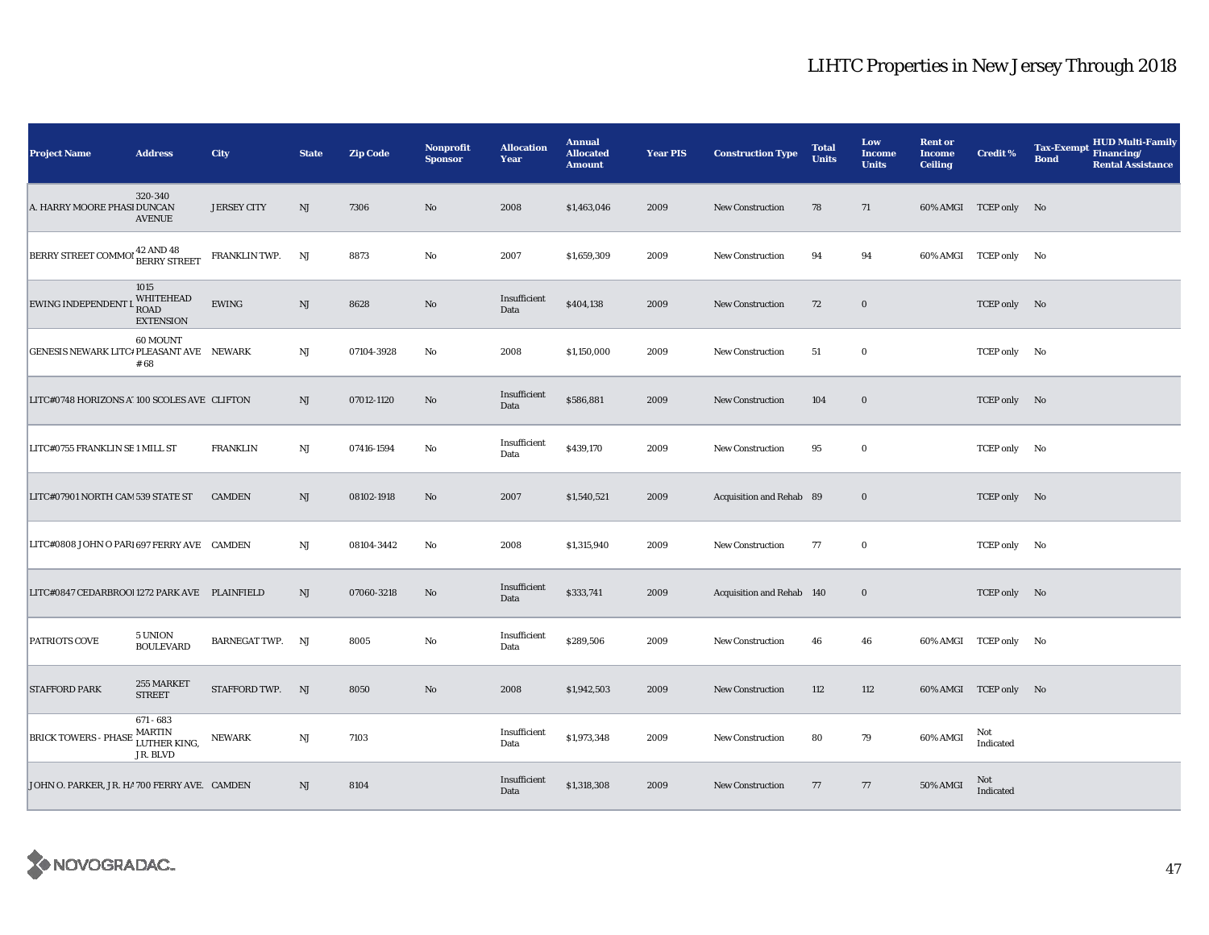| <b>Project Name</b>                                                 | <b>Address</b>                                         | City               | <b>State</b>  | <b>Zip Code</b> | <b>Nonprofit</b><br><b>Sponsor</b> | <b>Allocation</b><br>Year | <b>Annual</b><br><b>Allocated</b><br><b>Amount</b> | <b>Year PIS</b> | <b>Construction Type</b>  | <b>Total</b><br><b>Units</b> | Low<br><b>Income</b><br><b>Units</b> | <b>Rent or</b><br><b>Income</b><br><b>Ceiling</b> | <b>Credit %</b>       | <b>HUD Multi-Family</b><br><b>Tax-Exempt</b><br>Financing/<br><b>Bond</b><br><b>Rental Assistance</b> |
|---------------------------------------------------------------------|--------------------------------------------------------|--------------------|---------------|-----------------|------------------------------------|---------------------------|----------------------------------------------------|-----------------|---------------------------|------------------------------|--------------------------------------|---------------------------------------------------|-----------------------|-------------------------------------------------------------------------------------------------------|
| A. HARRY MOORE PHASI DUNCAN                                         | 320-340<br><b>AVENUE</b>                               | <b>JERSEY CITY</b> | NJ            | 7306            | $\mathbf{N}\mathbf{o}$             | 2008                      | \$1,463,046                                        | 2009            | <b>New Construction</b>   | 78                           | 71                                   |                                                   | 60% AMGI TCEP only No |                                                                                                       |
| BERRY STREET COMMOI <sup>42</sup> AND <sup>48</sup><br>BERRY STREET |                                                        | FRANKLIN TWP.      | NJ            | 8873            | No                                 | 2007                      | \$1,659,309                                        | 2009            | <b>New Construction</b>   | 94                           | 94                                   |                                                   | 60% AMGI TCEP only No |                                                                                                       |
| <b>EWING INDEPENDENT</b>                                            | 1015<br>WHITEHEAD<br>ROAD<br><b>EXTENSION</b>          | ${\rm EWING}$      | $\mathrm{NJ}$ | 8628            | No                                 | Insufficient<br>Data      | \$404,138                                          | 2009            | <b>New Construction</b>   | 72                           | $\bf{0}$                             |                                                   | TCEP only No          |                                                                                                       |
| GENESIS NEWARK LITC# PLEASANT AVE NEWARK                            | 60 MOUNT<br># 68                                       |                    | $_{\rm NJ}$   | 07104-3928      | No                                 | 2008                      | \$1,150,000                                        | 2009            | <b>New Construction</b>   | 51                           | $\bf{0}$                             |                                                   | TCEP only No          |                                                                                                       |
| LITC#0748 HORIZONS A' 100 SCOLES AVE CLIFTON                        |                                                        |                    | NJ            | 07012-1120      | No                                 | Insufficient<br>Data      | \$586,881                                          | 2009            | <b>New Construction</b>   | 104                          | $\bf{0}$                             |                                                   | TCEP only No          |                                                                                                       |
| LITC#0755 FRANKLIN SE 1 MILL ST                                     |                                                        | <b>FRANKLIN</b>    | NJ            | 07416-1594      | No                                 | Insufficient<br>Data      | \$439,170                                          | 2009            | New Construction          | 95                           | $\bf{0}$                             |                                                   | TCEP only No          |                                                                                                       |
| LITC#07901 NORTH CAM 539 STATE ST                                   |                                                        | <b>CAMDEN</b>      | NJ            | 08102-1918      | No                                 | 2007                      | \$1,540,521                                        | 2009            | Acquisition and Rehab 89  |                              | $\bf{0}$                             |                                                   | TCEP only No          |                                                                                                       |
| LITC#0808 JOHN O PARI 697 FERRY AVE CAMDEN                          |                                                        |                    | NJ            | 08104-3442      | No                                 | 2008                      | \$1,315,940                                        | 2009            | <b>New Construction</b>   | 77                           | $\bf{0}$                             |                                                   | TCEP only No          |                                                                                                       |
| LITC#0847 CEDARBROOI 1272 PARK AVE PLAINFIELD                       |                                                        |                    | NJ            | 07060-3218      | No                                 | Insufficient<br>Data      | \$333,741                                          | 2009            | Acquisition and Rehab 140 |                              | $\bf{0}$                             |                                                   | TCEP only No          |                                                                                                       |
| <b>PATRIOTS COVE</b>                                                | 5 UNION<br><b>BOULEVARD</b>                            | BARNEGAT TWP. NJ   |               | 8005            | $\rm No$                           | Insufficient<br>Data      | \$289,506                                          | 2009            | New Construction          | 46                           | 46                                   |                                                   | 60% AMGI TCEP only No |                                                                                                       |
| <b>STAFFORD PARK</b>                                                | 255 MARKET<br><b>STREET</b>                            | STAFFORD TWP. NJ   |               | 8050            | $\mathbf{N}\mathbf{o}$             | 2008                      | \$1,942,503                                        | 2009            | <b>New Construction</b>   | 112                          | 112                                  |                                                   | 60% AMGI TCEP only No |                                                                                                       |
| <b>BRICK TOWERS - PHASE</b>                                         | 671 - 683<br><b>MARTIN</b><br>LUTHER KING,<br>JR. BLVD | <b>NEWARK</b>      | $_{\rm NJ}$   | 7103            |                                    | Insufficient<br>Data      | \$1,973,348                                        | 2009            | <b>New Construction</b>   | 80                           | 79                                   | 60% AMGI                                          | Not<br>Indicated      |                                                                                                       |
| JOHN O. PARKER, JR. HA 700 FERRY AVE. CAMDEN                        |                                                        |                    | NJ            | 8104            |                                    | Insufficient<br>Data      | \$1,318,308                                        | 2009            | <b>New Construction</b>   | 77                           | 77                                   | 50% AMGI                                          | Not<br>Indicated      |                                                                                                       |

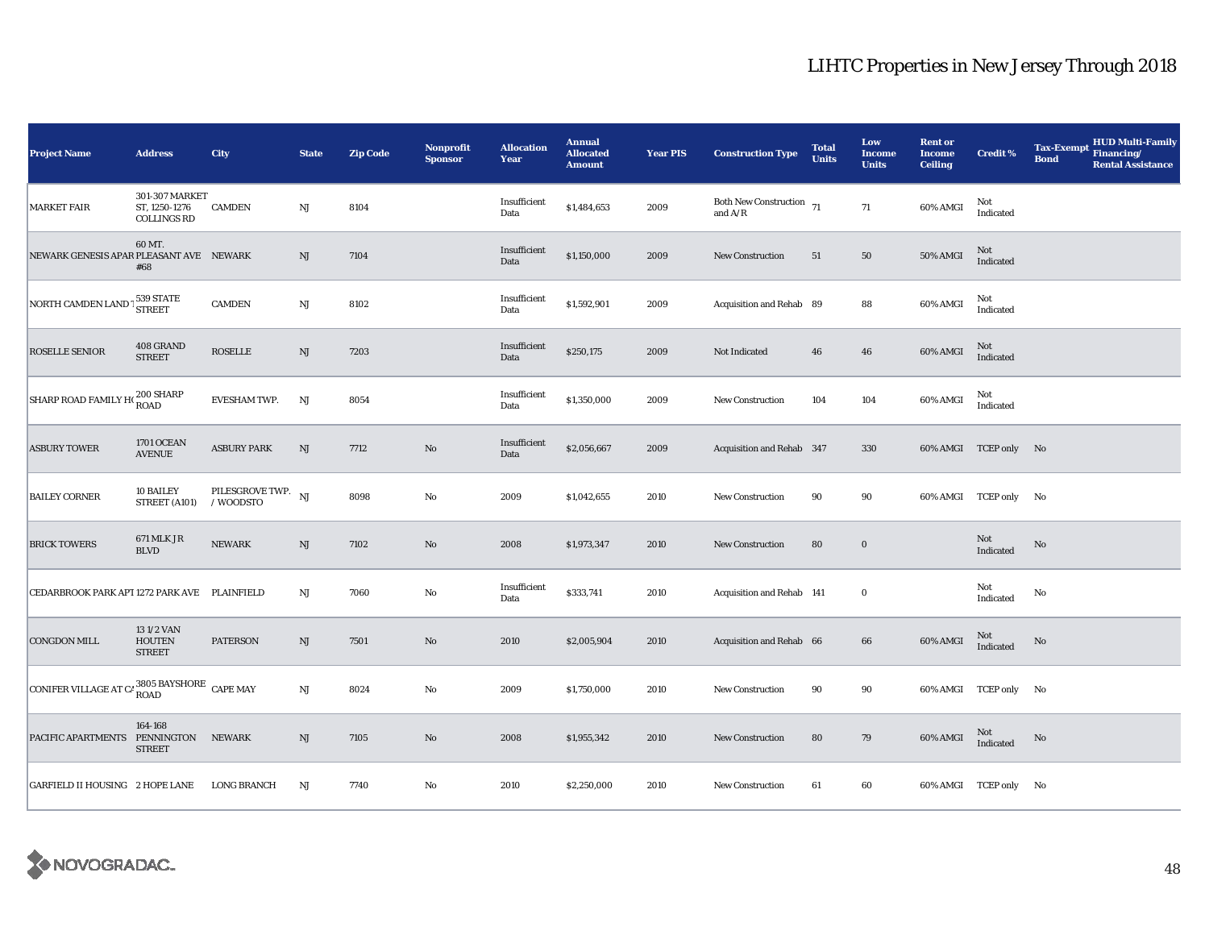| <b>Project Name</b>                                        | <b>Address</b>                                        | City                            | <b>State</b>           | <b>Zip Code</b> | <b>Nonprofit</b><br><b>Sponsor</b> | <b>Allocation</b><br>Year | <b>Annual</b><br><b>Allocated</b><br><b>Amount</b> | <b>Year PIS</b> | <b>Construction Type</b>                                                                    | <b>Total</b><br><b>Units</b> | Low<br><b>Income</b><br><b>Units</b> | <b>Rent or</b><br><b>Income</b><br><b>Ceiling</b> | <b>Credit %</b>                   | <b>Tax-Exempt</b><br><b>Bond</b> | <b>HUD Multi-Family</b><br>Financing/<br><b>Rental Assistance</b> |
|------------------------------------------------------------|-------------------------------------------------------|---------------------------------|------------------------|-----------------|------------------------------------|---------------------------|----------------------------------------------------|-----------------|---------------------------------------------------------------------------------------------|------------------------------|--------------------------------------|---------------------------------------------------|-----------------------------------|----------------------------------|-------------------------------------------------------------------|
| <b>MARKET FAIR</b>                                         | 301-307 MARKET<br>ST, 1250-1276<br><b>COLLINGS RD</b> | <b>CAMDEN</b>                   | $_{\rm NJ}$            | 8104            |                                    | Insufficient<br>Data      | \$1,484,653                                        | 2009            | Both New Construction $\,$ 71 $\,$<br>and $\ensuremath{\mathrm{A}}/\ensuremath{\mathrm{R}}$ |                              | 71                                   | 60% AMGI                                          | Not<br>Indicated                  |                                  |                                                                   |
| NEWARK GENESIS APAR PLEASANT AVE NEWARK                    | 60 MT.<br>#68                                         |                                 | NJ                     | 7104            |                                    | Insufficient<br>Data      | \$1,150,000                                        | 2009            | <b>New Construction</b>                                                                     | 51                           | 50                                   | <b>50% AMGI</b>                                   | Not<br>Indicated                  |                                  |                                                                   |
| NORTH CAMDEN LAND <sup>1</sup> 539 STATE                   |                                                       | <b>CAMDEN</b>                   | $\mathbf{N}\mathbf{J}$ | 8102            |                                    | Insufficient<br>Data      | \$1,592,901                                        | 2009            | Acquisition and Rehab 89                                                                    |                              | 88                                   | 60% AMGI                                          | Not<br>Indicated                  |                                  |                                                                   |
| <b>ROSELLE SENIOR</b>                                      | 408 GRAND<br><b>STREET</b>                            | <b>ROSELLE</b>                  | $\rm{NJ}$              | 7203            |                                    | Insufficient<br>Data      | \$250,175                                          | 2009            | Not Indicated                                                                               | 46                           | 46                                   | 60% AMGI                                          | Not<br>Indicated                  |                                  |                                                                   |
| SHARP ROAD FAMILY H(200 SHARP                              |                                                       | EVESHAM TWP.                    | NJ                     | 8054            |                                    | Insufficient<br>Data      | \$1,350,000                                        | 2009            | New Construction                                                                            | 104                          | 104                                  | 60% AMGI                                          | Not<br>$\operatorname{Indicated}$ |                                  |                                                                   |
| <b>ASBURY TOWER</b>                                        | 1701 OCEAN<br><b>AVENUE</b>                           | <b>ASBURY PARK</b>              | NJ                     | 7712            | $\rm\thinspace No$                 | Insufficient<br>Data      | \$2,056,667                                        | 2009            | Acquisition and Rehab 347                                                                   |                              | 330                                  |                                                   | 60% AMGI TCEP only No             |                                  |                                                                   |
| <b>BAILEY CORNER</b>                                       | 10 BAILEY<br>STREET (A101)                            | PILESGROVE TWP. NJ<br>/ WOODSTO |                        | 8098            | $\rm No$                           | 2009                      | \$1,042,655                                        | 2010            | New Construction                                                                            | 90                           | 90                                   |                                                   | 60% AMGI TCEP only No             |                                  |                                                                   |
| <b>BRICK TOWERS</b>                                        | <b>671 MLK JR</b><br><b>BLVD</b>                      | <b>NEWARK</b>                   | $\rm{NJ}$              | 7102            | $\rm No$                           | 2008                      | \$1,973,347                                        | 2010            | <b>New Construction</b>                                                                     | 80                           | $\mathbf 0$                          |                                                   | Not<br>Indicated                  | No                               |                                                                   |
| CEDARBROOK PARK APT 1272 PARK AVE PLAINFIELD               |                                                       |                                 | NJ                     | 7060            | No                                 | Insufficient<br>Data      | \$333,741                                          | 2010            | Acquisition and Rehab 141                                                                   |                              | $\bf{0}$                             |                                                   | Not<br>Indicated                  | No                               |                                                                   |
| <b>CONGDON MILL</b>                                        | 131/2 VAN<br><b>HOUTEN</b><br><b>STREET</b>           | <b>PATERSON</b>                 | NJ                     | 7501            | $\rm No$                           | 2010                      | \$2,005,904                                        | 2010            | Acquisition and Rehab 66                                                                    |                              | 66                                   | 60% AMGI                                          | Not<br>Indicated                  | No                               |                                                                   |
| CONIFER VILLAGE AT $C_f$ <sup>3805</sup> BAYSHORE CAPE MAY |                                                       |                                 | NJ                     | 8024            | No                                 | 2009                      | \$1,750,000                                        | 2010            | New Construction                                                                            | 90                           | 90                                   |                                                   | 60% AMGI TCEP only No             |                                  |                                                                   |
| PACIFIC APARTMENTS PENNINGTON NEWARK                       | 164-168<br><b>STREET</b>                              |                                 | $\mathbf{N}\mathbf{J}$ | 7105            | $\rm No$                           | 2008                      | \$1,955,342                                        | 2010            | <b>New Construction</b>                                                                     | 80                           | 79                                   | 60% AMGI                                          | Not<br>Indicated                  | No                               |                                                                   |
| <b>GARFIELD II HOUSING 2 HOPE LANE</b>                     |                                                       | <b>LONG BRANCH</b>              | NJ                     | 7740            | $\rm No$                           | 2010                      | \$2,250,000                                        | 2010            | New Construction                                                                            | 61                           | 60                                   |                                                   | 60% AMGI TCEP only                | No                               |                                                                   |

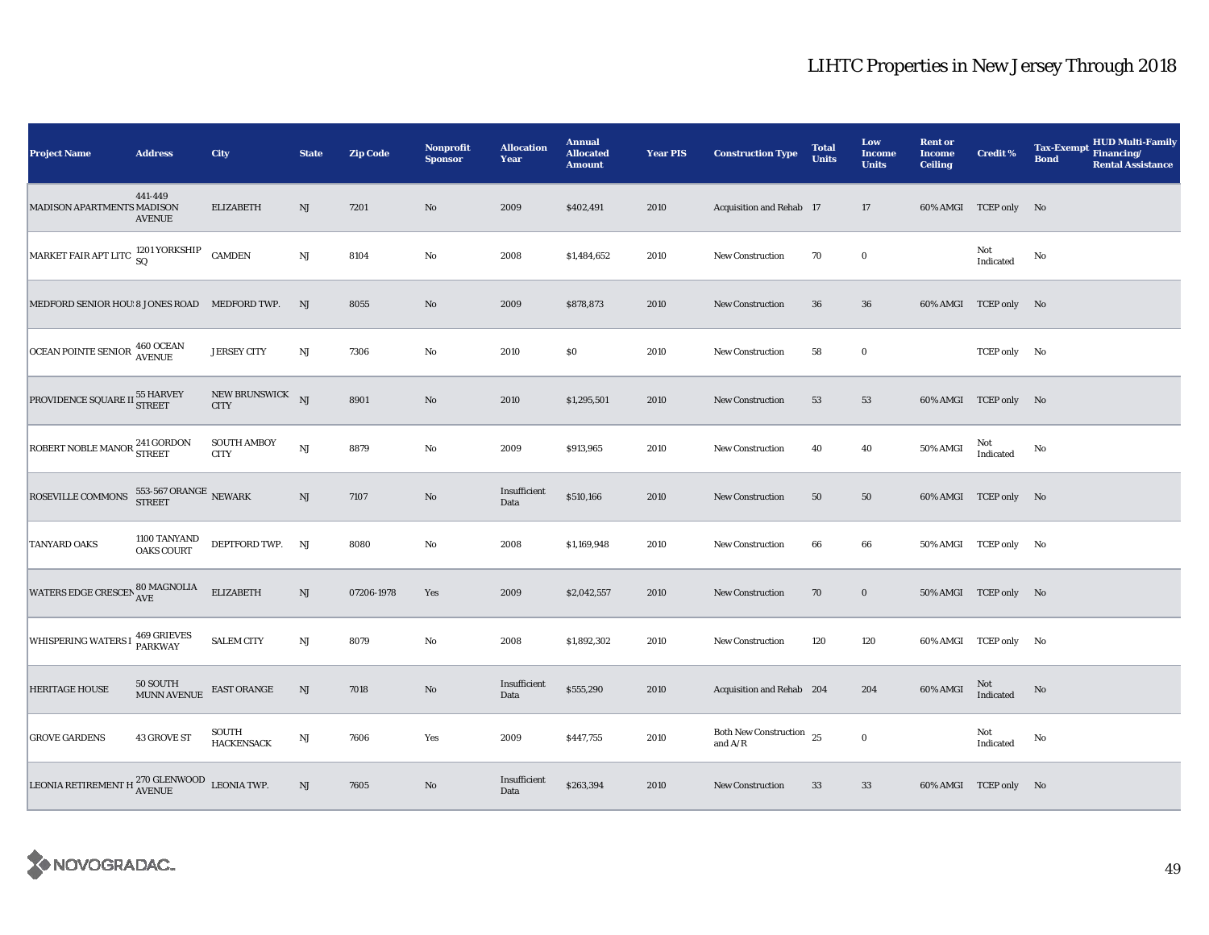| <b>Project Name</b>                                                                                                             | <b>Address</b>                         | City                              | <b>State</b>           | <b>Zip Code</b> | Nonprofit<br><b>Sponsor</b> | <b>Allocation</b><br>Year | <b>Annual</b><br><b>Allocated</b><br><b>Amount</b> | <b>Year PIS</b> | <b>Construction Type</b>                | <b>Total</b><br><b>Units</b> | Low<br><b>Income</b><br><b>Units</b> | <b>Rent or</b><br><b>Income</b><br><b>Ceiling</b> | <b>Credit %</b>       | <b>HUD Multi-Family</b><br><b>Tax-Exempt</b><br>Financing/<br><b>Bond</b><br><b>Rental Assistance</b> |
|---------------------------------------------------------------------------------------------------------------------------------|----------------------------------------|-----------------------------------|------------------------|-----------------|-----------------------------|---------------------------|----------------------------------------------------|-----------------|-----------------------------------------|------------------------------|--------------------------------------|---------------------------------------------------|-----------------------|-------------------------------------------------------------------------------------------------------|
| MADISON APARTMENTS MADISON                                                                                                      | 441-449<br><b>AVENUE</b>               | <b>ELIZABETH</b>                  | NJ                     | 7201            | $\rm No$                    | 2009                      | \$402,491                                          | 2010            | Acquisition and Rehab 17                |                              | 17                                   |                                                   | 60% AMGI TCEP only No |                                                                                                       |
| $\begin{array}{ l } \hbox{MARKET FAIR APT LITC} \begin{array}{l} \textbf{1201 YORKSHIP} \\ \textbf{SQ} \end{array} \end{array}$ |                                        | <b>CAMDEN</b>                     | $_{\rm NJ}$            | 8104            | No                          | 2008                      | \$1,484,652                                        | 2010            | New Construction                        | 70                           | $\bf{0}$                             |                                                   | Not<br>Indicated      | No                                                                                                    |
| MEDFORD SENIOR HOU 8 JONES ROAD MEDFORD TWP.                                                                                    |                                        |                                   | NJ                     | 8055            | No                          | 2009                      | \$878,873                                          | 2010            | <b>New Construction</b>                 | 36                           | 36                                   |                                                   | 60% AMGI TCEP only No |                                                                                                       |
| OCEAN POINTE SENIOR 460 OCEAN                                                                                                   |                                        | <b>JERSEY CITY</b>                | $\rm{NJ}$              | 7306            | $\rm No$                    | 2010                      | $\$0$                                              | 2010            | <b>New Construction</b>                 | 58                           | $\mathbf 0$                          |                                                   | TCEP only No          |                                                                                                       |
| PROVIDENCE SQUARE II 55 HARVEY                                                                                                  |                                        | NEW BRUNSWICK NJ<br><b>CITY</b>   |                        | 8901            | No                          | 2010                      | \$1,295,501                                        | 2010            | <b>New Construction</b>                 | 53                           | 53                                   |                                                   | 60% AMGI TCEP only No |                                                                                                       |
| ROBERT NOBLE MANOR <sup>241</sup> GORDON                                                                                        |                                        | <b>SOUTH AMBOY</b><br><b>CITY</b> | NJ                     | 8879            | $\rm No$                    | 2009                      | \$913,965                                          | 2010            | New Construction                        | 40                           | 40                                   | 50% AMGI                                          | Not<br>Indicated      | No                                                                                                    |
| ROSEVILLE COMMONS                                                                                                               | 553-567 ORANGE $\,$ NEWARK $\,$ STREET |                                   | $\mathbf{N}\mathbf{J}$ | 7107            | $\rm No$                    | Insufficient<br>Data      | \$510,166                                          | 2010            | New Construction                        | 50                           | 50                                   |                                                   | 60% AMGI TCEP only No |                                                                                                       |
| <b>TANYARD OAKS</b>                                                                                                             | 1100 TANYAND<br><b>OAKS COURT</b>      | DEPTFORD TWP. NJ                  |                        | 8080            | $\rm No$                    | 2008                      | \$1,169,948                                        | 2010            | <b>New Construction</b>                 | 66                           | 66                                   |                                                   | 50% AMGI TCEP only No |                                                                                                       |
| WATERS EDGE CRESCEN 80 MAGNOLIA                                                                                                 |                                        | <b>ELIZABETH</b>                  | NJ                     | 07206-1978      | Yes                         | 2009                      | \$2,042,557                                        | 2010            | New Construction                        | 70                           | $\bf{0}$                             |                                                   | 50% AMGI TCEP only No |                                                                                                       |
| WHISPERING WATERS I 469 GRIEVES                                                                                                 |                                        | <b>SALEM CITY</b>                 | NJ                     | 8079            | $\rm No$                    | 2008                      | \$1,892,302                                        | 2010            | New Construction                        | 120                          | 120                                  |                                                   | 60% AMGI TCEP only No |                                                                                                       |
| <b>HERITAGE HOUSE</b>                                                                                                           | 50 SOUTH<br><b>MUNN AVENUE</b>         | <b>EAST ORANGE</b>                | NJ                     | 7018            | No                          | Insufficient<br>Data      | \$555,290                                          | 2010            | Acquisition and Rehab 204               |                              | 204                                  | 60% AMGI                                          | Not<br>Indicated      | No                                                                                                    |
| <b>GROVE GARDENS</b>                                                                                                            | 43 GROVE ST                            | SOUTH<br><b>HACKENSACK</b>        | $_{\rm NJ}$            | 7606            | Yes                         | 2009                      | \$447,755                                          | 2010            | Both New Construction $25$<br>and $A/R$ |                              | $\mathbf 0$                          |                                                   | Not<br>Indicated      | No                                                                                                    |
| LEONIA RETIREMENT H $^{270}_{\Lambda \rm VENUE}$ LEONIA TWP.                                                                    |                                        |                                   | $\mathrm{NJ}$          | 7605            | No                          | Insufficient<br>Data      | \$263,394                                          | 2010            | <b>New Construction</b>                 | 33                           | 33                                   |                                                   | 60% AMGI TCEP only No |                                                                                                       |

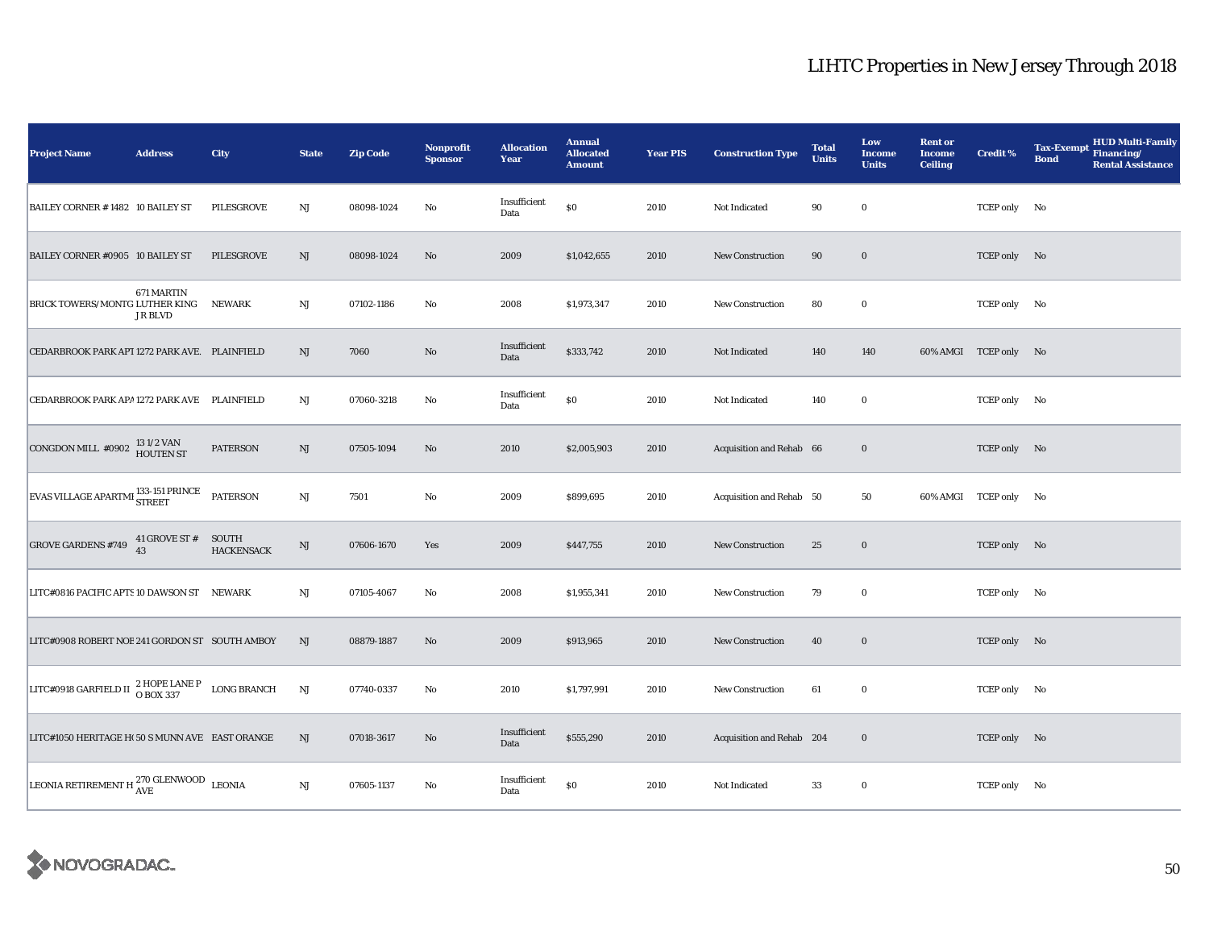| <b>Project Name</b>                                                                  | <b>Address</b>            | City              | <b>State</b> | <b>Zip Code</b> | <b>Nonprofit</b><br><b>Sponsor</b> | <b>Allocation</b><br>Year | <b>Annual</b><br><b>Allocated</b><br><b>Amount</b> | <b>Year PIS</b> | <b>Construction Type</b>  | <b>Total</b><br><b>Units</b> | Low<br><b>Income</b><br><b>Units</b> | <b>Rent or</b><br><b>Income</b><br><b>Ceiling</b> | <b>Credit %</b>       | <b>HUD Multi-Family</b><br><b>Tax-Exempt</b><br>Financing/<br><b>Bond</b><br><b>Rental Assistance</b> |
|--------------------------------------------------------------------------------------|---------------------------|-------------------|--------------|-----------------|------------------------------------|---------------------------|----------------------------------------------------|-----------------|---------------------------|------------------------------|--------------------------------------|---------------------------------------------------|-----------------------|-------------------------------------------------------------------------------------------------------|
| BAILEY CORNER #1482 10 BAILEY ST                                                     |                           | PILESGROVE        | $_{\rm NJ}$  | 08098-1024      | No                                 | Insufficient<br>Data      | $\$0$                                              | 2010            | Not Indicated             | 90                           | $\bf{0}$                             |                                                   | TCEP only No          |                                                                                                       |
| BAILEY CORNER #0905 10 BAILEY ST                                                     |                           | PILESGROVE        | NJ           | 08098-1024      | $\rm No$                           | 2009                      | \$1,042,655                                        | 2010            | <b>New Construction</b>   | 90                           | $\mathbf 0$                          |                                                   | TCEP only No          |                                                                                                       |
| BRICK TOWERS/MONTG LUTHER KING NEWARK                                                | 671 MARTIN<br>JR BLVD     |                   | $_{\rm NJ}$  | 07102-1186      | No                                 | 2008                      | \$1,973,347                                        | 2010            | <b>New Construction</b>   | 80                           | $\bf{0}$                             |                                                   | TCEP only No          |                                                                                                       |
| CEDARBROOK PARK APT 1272 PARK AVE. PLAINFIELD                                        |                           |                   | NJ           | 7060            | No                                 | Insufficient<br>Data      | \$333,742                                          | 2010            | Not Indicated             | 140                          | 140                                  |                                                   | 60% AMGI TCEP only No |                                                                                                       |
| CEDARBROOK PARK APA 1272 PARK AVE PLAINFIELD                                         |                           |                   | NJ           | 07060-3218      | No                                 | Insufficient<br>Data      | $\$0$                                              | 2010            | Not Indicated             | 140                          | $\mathbf 0$                          |                                                   | TCEP only No          |                                                                                                       |
| CONGDON MILL #0902 $\frac{131/2 \text{ VAN}}{\text{HOUTEN ST}}$                      |                           | <b>PATERSON</b>   | NJ           | 07505-1094      | No                                 | 2010                      | \$2,005,903                                        | 2010            | Acquisition and Rehab 66  |                              | $\bf{0}$                             |                                                   | TCEP only No          |                                                                                                       |
| EVAS VILLAGE APARTMI 33-151 PRINCE PATERSON                                          |                           |                   | NJ           | 7501            | $\rm No$                           | 2009                      | \$899,695                                          | 2010            | Acquisition and Rehab 50  |                              | 50                                   |                                                   | 60% AMGI TCEP only No |                                                                                                       |
| <b>GROVE GARDENS #749</b>                                                            | 41 GROVE ST # SOUTH<br>43 | <b>HACKENSACK</b> | $\rm{NJ}$    | 07606-1670      | Yes                                | 2009                      | \$447,755                                          | 2010            | New Construction          | 25                           | $\bf{0}$                             |                                                   | TCEP only No          |                                                                                                       |
| LITC#0816 PACIFIC APTS 10 DAWSON ST NEWARK                                           |                           |                   | $_{\rm NJ}$  | 07105-4067      | $\rm No$                           | 2008                      | \$1,955,341                                        | 2010            | <b>New Construction</b>   | 79                           | $\bf{0}$                             |                                                   | TCEP only No          |                                                                                                       |
| LITC#0908 ROBERT NOE 241 GORDON ST SOUTH AMBOY                                       |                           |                   | NJ           | 08879-1887      | No                                 | 2009                      | \$913,965                                          | 2010            | <b>New Construction</b>   | 40                           | $\bf{0}$                             |                                                   | TCEP only No          |                                                                                                       |
| LITC#0918 GARFIELD II $\frac{2 \text{ HOPE LANE P}}{O \text{ BOX } 337}$ LONG BRANCH |                           |                   | NJ           | 07740-0337      | No                                 | 2010                      | \$1,797,991                                        | 2010            | <b>New Construction</b>   | 61                           | $\mathbf 0$                          |                                                   | TCEP only No          |                                                                                                       |
| LITC#1050 HERITAGE H(50 S MUNN AVE EAST ORANGE                                       |                           |                   | NJ           | 07018-3617      | No                                 | Insufficient<br>Data      | \$555,290                                          | 2010            | Acquisition and Rehab 204 |                              | $\bf{0}$                             |                                                   | TCEP only No          |                                                                                                       |
| LEONIA RETIREMENT H $^{270}_{\rm{AVE}}$ CLENWOOD LEONIA                              |                           |                   | $_{\rm NJ}$  | 07605-1137      | No                                 | Insufficient<br>Data      | $\$0$                                              | 2010            | Not Indicated             | 33                           | $\bf{0}$                             |                                                   | TCEP only No          |                                                                                                       |

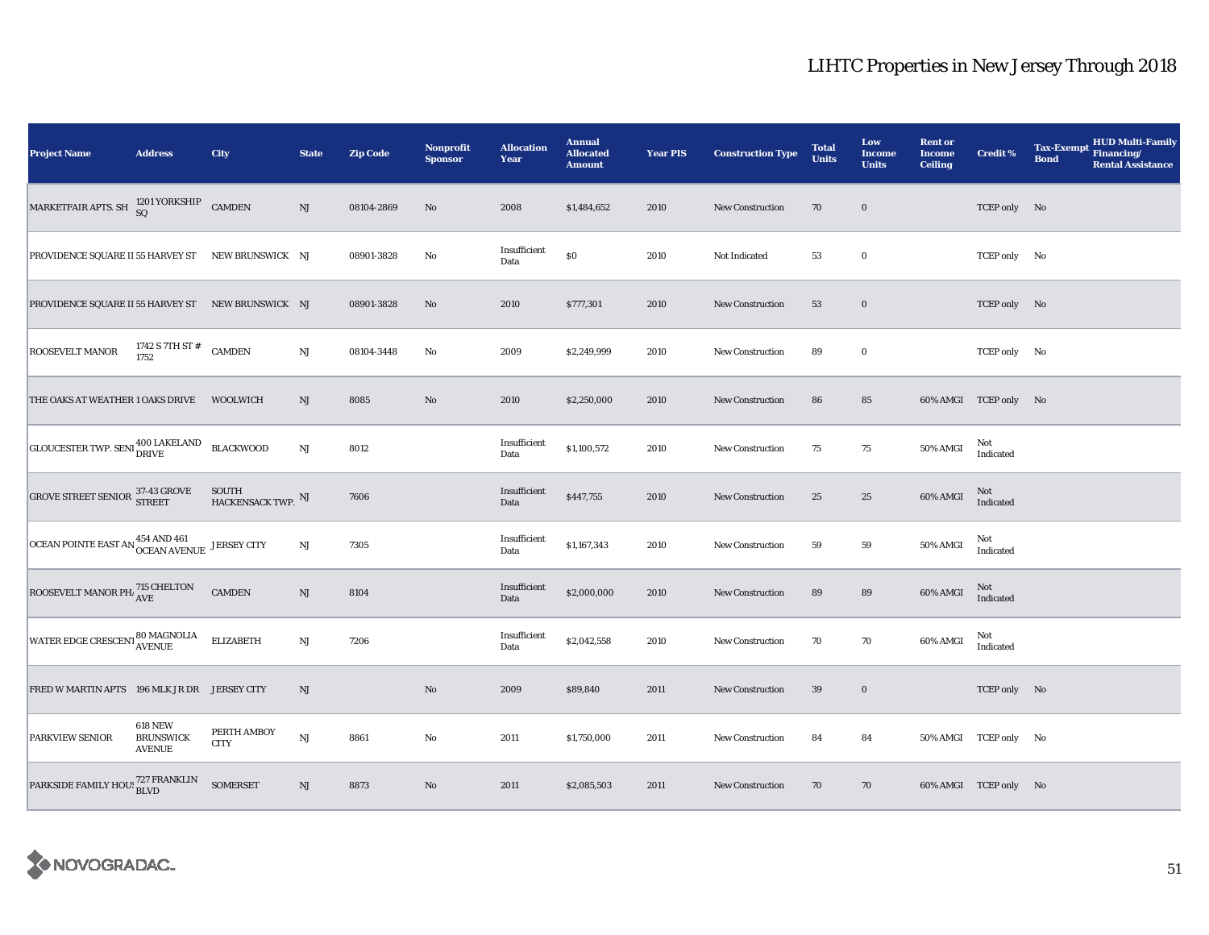| <b>Project Name</b>                                                | <b>Address</b>                                      | City                       | <b>State</b>           | <b>Zip Code</b> | <b>Nonprofit</b><br><b>Sponsor</b> | <b>Allocation</b><br>Year | <b>Annual</b><br><b>Allocated</b><br><b>Amount</b> | <b>Year PIS</b> | <b>Construction Type</b> | <b>Total</b><br><b>Units</b> | Low<br><b>Income</b><br><b>Units</b> | <b>Rent or</b><br><b>Income</b><br><b>Ceiling</b> | <b>Credit %</b>       | <b>HUD Multi-Family</b><br><b>Tax-Exempt</b><br>Financing/<br><b>Bond</b><br><b>Rental Assistance</b> |
|--------------------------------------------------------------------|-----------------------------------------------------|----------------------------|------------------------|-----------------|------------------------------------|---------------------------|----------------------------------------------------|-----------------|--------------------------|------------------------------|--------------------------------------|---------------------------------------------------|-----------------------|-------------------------------------------------------------------------------------------------------|
| MARKETFAIR APTS. SH $^{1201}$ YORKSHIP CAMDEN                      |                                                     |                            | NJ                     | 08104-2869      | No                                 | 2008                      | \$1,484,652                                        | 2010            | <b>New Construction</b>  | 70                           | $\bf{0}$                             |                                                   | TCEP only No          |                                                                                                       |
| PROVIDENCE SQUARE II 55 HARVEY ST NEW BRUNSWICK NJ                 |                                                     |                            |                        | 08901-3828      | No                                 | Insufficient<br>Data      | \$0                                                | 2010            | Not Indicated            | 53                           | $\bf{0}$                             |                                                   | TCEP only No          |                                                                                                       |
| PROVIDENCE SQUARE II 55 HARVEY ST NEW BRUNSWICK NJ                 |                                                     |                            |                        | 08901-3828      | No                                 | 2010                      | \$777,301                                          | 2010            | <b>New Construction</b>  | 53                           | $\bf{0}$                             |                                                   | TCEP only No          |                                                                                                       |
| <b>ROOSEVELT MANOR</b>                                             | 1742 S 7TH ST # CAMDEN 1752                         |                            | $\rm{NJ}$              | 08104-3448      | No                                 | 2009                      | \$2,249,999                                        | 2010            | New Construction         | 89                           | $\bf{0}$                             |                                                   | TCEP only No          |                                                                                                       |
| THE OAKS AT WEATHER 1 OAKS DRIVE                                   |                                                     | WOOLWICH                   | NJ                     | 8085            | $\mathbf{No}$                      | 2010                      | \$2,250,000                                        | 2010            | <b>New Construction</b>  | 86                           | 85                                   |                                                   | 60% AMGI TCEP only No |                                                                                                       |
| GLOUCESTER TWP. SENI 400 LAKELAND BLACKWOOD                        |                                                     |                            | $\mathbf{N}\mathbf{J}$ | 8012            |                                    | Insufficient<br>Data      | \$1,100,572                                        | 2010            | New Construction         | 75                           | 75                                   | 50% AMGI                                          | Not<br>Indicated      |                                                                                                       |
| GROVE STREET SENIOR 37-43 GROVE                                    |                                                     | SOUTH HACKENSACK TWP. NJ   |                        | 7606            |                                    | Insufficient<br>Data      | \$447,755                                          | 2010            | New Construction         | 25                           | 25                                   | 60% AMGI                                          | Not<br>Indicated      |                                                                                                       |
| OCEAN POINTE EAST AN <sup>454</sup> AND <sup>461</sup> JERSEY CITY |                                                     |                            | $\rm{NJ}$              | 7305            |                                    | Insufficient<br>Data      | \$1,167,343                                        | 2010            | <b>New Construction</b>  | 59                           | 59                                   | 50% AMGI                                          | Not<br>Indicated      |                                                                                                       |
| ROOSEVELT MANOR PH. 715 CHELTON                                    |                                                     | <b>CAMDEN</b>              | $\rm{NJ}$              | 8104            |                                    | Insufficient<br>Data      | \$2,000,000                                        | 2010            | <b>New Construction</b>  | 89                           | 89                                   | 60% AMGI                                          | Not<br>Indicated      |                                                                                                       |
| WATER EDGE CRESCENT 80 MAGNOLIA                                    |                                                     | <b>ELIZABETH</b>           | NJ                     | 7206            |                                    | Insufficient<br>Data      | \$2,042,558                                        | 2010            | <b>New Construction</b>  | 70                           | 70                                   | 60% AMGI                                          | Not<br>Indicated      |                                                                                                       |
| FRED W MARTIN APTS 196 MLK JR DR JERSEY CITY                       |                                                     |                            | NJ                     |                 | $\rm No$                           | 2009                      | \$89,840                                           | 2011            | New Construction         | 39                           | $\bf{0}$                             |                                                   | TCEP only No          |                                                                                                       |
| <b>PARKVIEW SENIOR</b>                                             | <b>618 NEW</b><br><b>BRUNSWICK</b><br><b>AVENUE</b> | PERTH AMBOY<br><b>CITY</b> | NJ                     | 8861            | No                                 | 2011                      | \$1,750,000                                        | 2011            | New Construction         | 84                           | 84                                   |                                                   | 50% AMGI TCEP only No |                                                                                                       |
| PARKSIDE FAMILY HOUS 727 FRANKLIN                                  |                                                     | <b>SOMERSET</b>            | NJ                     | 8873            | $\mathbf{No}$                      | 2011                      | \$2,085,503                                        | 2011            | New Construction         | 70                           | 70                                   |                                                   | 60% AMGI TCEP only No |                                                                                                       |

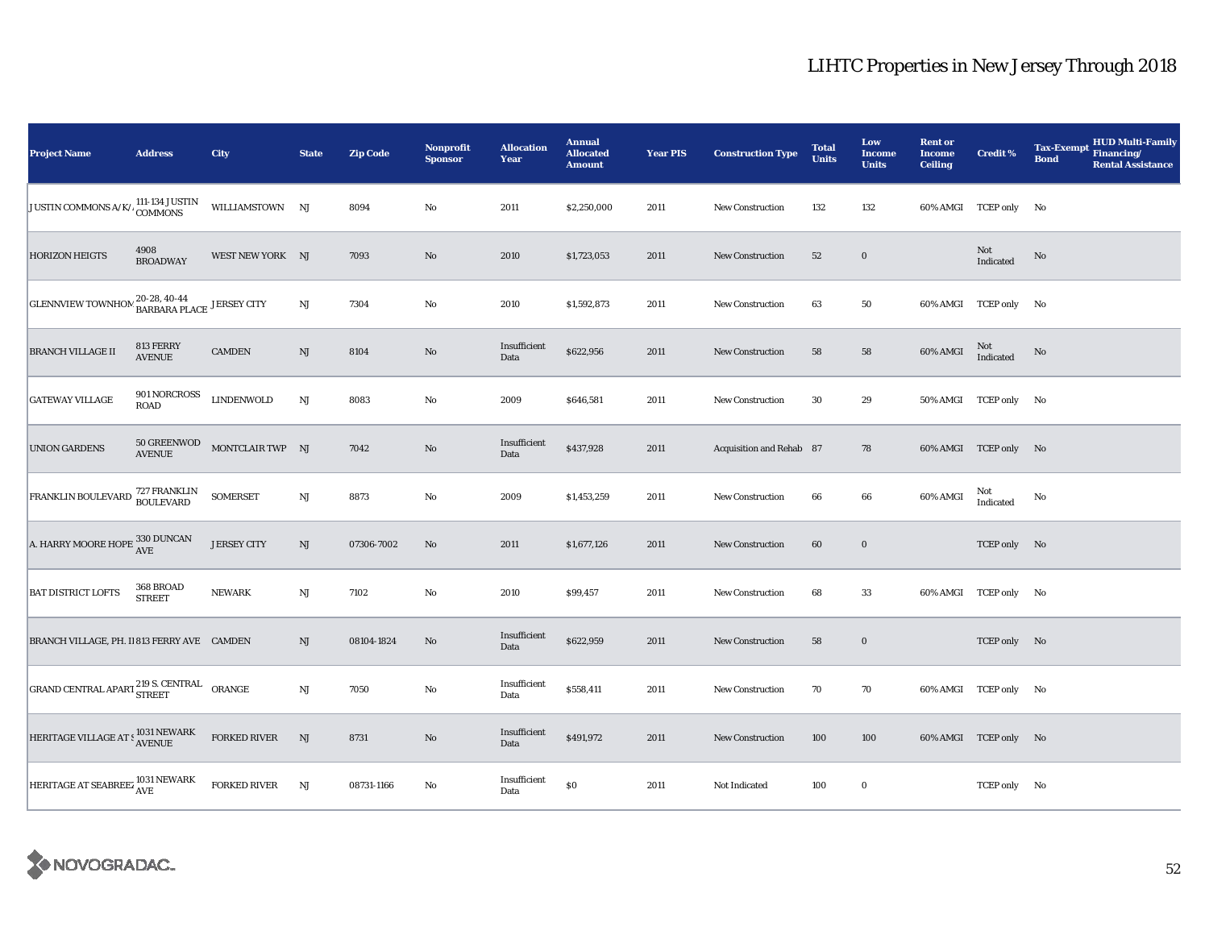| <b>Project Name</b>                                                                                        | <b>Address</b>              | City                | <b>State</b>           | <b>Zip Code</b> | <b>Nonprofit</b><br><b>Sponsor</b> | <b>Allocation</b><br>Year | <b>Annual</b><br><b>Allocated</b><br><b>Amount</b> | <b>Year PIS</b> | <b>Construction Type</b> | <b>Total</b><br><b>Units</b> | Low<br><b>Income</b><br><b>Units</b> | <b>Rent or</b><br><b>Income</b><br><b>Ceiling</b> | <b>Credit %</b>       | <b>HUD Multi-Family</b><br><b>Tax-Exempt</b><br>Financing/<br><b>Bond</b><br><b>Rental Assistance</b> |
|------------------------------------------------------------------------------------------------------------|-----------------------------|---------------------|------------------------|-----------------|------------------------------------|---------------------------|----------------------------------------------------|-----------------|--------------------------|------------------------------|--------------------------------------|---------------------------------------------------|-----------------------|-------------------------------------------------------------------------------------------------------|
| JUSTIN COMMONS A/K/.                                                                                       | UMI-134 JUSTIN<br>COMMONS   | WILLIAMSTOWN NJ     |                        | 8094            | $\rm No$                           | 2011                      | \$2,250,000                                        | 2011            | <b>New Construction</b>  | 132                          | 132                                  |                                                   | 60% AMGI TCEP only No |                                                                                                       |
| <b>HORIZON HEIGTS</b>                                                                                      | 4908<br><b>BROADWAY</b>     | WEST NEW YORK NJ    |                        | 7093            | $\rm No$                           | 2010                      | \$1,723,053                                        | 2011            | <b>New Construction</b>  | 52                           | $\mathbf 0$                          |                                                   | Not<br>Indicated      | No                                                                                                    |
| GLENNVIEW TOWNHOM $_{\bf BARBARA\ PLACE}^{20-28,\ 40-44}$ JERSEY CITY                                      |                             |                     | $\mathbf{N}\mathbf{J}$ | 7304            | $\rm No$                           | 2010                      | \$1,592,873                                        | 2011            | New Construction         | 63                           | 50                                   |                                                   | 60% AMGI TCEP only No |                                                                                                       |
| <b>BRANCH VILLAGE II</b>                                                                                   | 813 FERRY<br><b>AVENUE</b>  | <b>CAMDEN</b>       | $\rm{NJ}$              | 8104            | No                                 | Insufficient<br>Data      | \$622,956                                          | 2011            | <b>New Construction</b>  | 58                           | 58                                   | 60% AMGI                                          | Not<br>Indicated      | No                                                                                                    |
| <b>GATEWAY VILLAGE</b>                                                                                     | 901 NORCROSS<br><b>ROAD</b> | <b>LINDENWOLD</b>   | $\mathbf{N}\mathbf{J}$ | 8083            | No                                 | 2009                      | \$646,581                                          | 2011            | New Construction         | 30                           | 29                                   |                                                   | 50% AMGI TCEP only No |                                                                                                       |
| <b>UNION GARDENS</b>                                                                                       | 50 GREENWOD<br>AVENUE       | MONTCLAIR TWP NJ    |                        | 7042            | $\rm No$                           | Insufficient<br>Data      | \$437,928                                          | 2011            | Acquisition and Rehab 87 |                              | 78                                   |                                                   | 60% AMGI TCEP only No |                                                                                                       |
| FRANKLIN BOULEVARD 727 FRANKLIN                                                                            |                             | <b>SOMERSET</b>     | NJ                     | 8873            | No                                 | 2009                      | \$1,453,259                                        | 2011            | <b>New Construction</b>  | 66                           | 66                                   | 60% AMGI                                          | Not<br>Indicated      | No                                                                                                    |
| A. HARRY MOORE HOPE 330 DUNCAN                                                                             |                             | <b>JERSEY CITY</b>  | $\mathrm{NJ}$          | 07306-7002      | $\rm No$                           | 2011                      | \$1,677,126                                        | 2011            | <b>New Construction</b>  | 60                           | $\bf{0}$                             |                                                   | TCEP only No          |                                                                                                       |
| <b>BAT DISTRICT LOFTS</b>                                                                                  | 368 BROAD<br><b>STREET</b>  | <b>NEWARK</b>       | $\mathbf{N}\mathbf{J}$ | 7102            | No                                 | 2010                      | \$99,457                                           | 2011            | <b>New Construction</b>  | 68                           | 33                                   |                                                   | 60% AMGI TCEP only No |                                                                                                       |
| BRANCH VILLAGE, PH. II 813 FERRY AVE CAMDEN                                                                |                             |                     | NJ                     | 08104-1824      | No                                 | Insufficient<br>Data      | \$622,959                                          | 2011            | <b>New Construction</b>  | 58                           | $\bf{0}$                             |                                                   | TCEP only No          |                                                                                                       |
| GRAND CENTRAL APART <sup>219</sup> S. CENTRAL ORANGE                                                       |                             |                     | $\mathbf{N}\mathbf{J}$ | 7050            | No                                 | Insufficient<br>Data      | \$558,411                                          | 2011            | New Construction         | 70                           | 70                                   |                                                   | 60% AMGI TCEP only No |                                                                                                       |
| HERITAGE VILLAGE AT S 1031 NEWARK                                                                          |                             | FORKED RIVER        | NJ                     | 8731            | $\rm No$                           | Insufficient<br>Data      | \$491,972                                          | 2011            | <b>New Construction</b>  | 100                          | 100                                  |                                                   | 60% AMGI TCEP only No |                                                                                                       |
| $\begin{array}{ l } \hline & \text{HERITAGE AT SEABREEZ}\xspace\ \hline \text{AVE} \text{AVE} \end{array}$ |                             | <b>FORKED RIVER</b> | NJ                     | 08731-1166      | $\rm No$                           | Insufficient<br>Data      | \$0                                                | 2011            | Not Indicated            | 100                          | $\bf{0}$                             |                                                   | TCEP only No          |                                                                                                       |

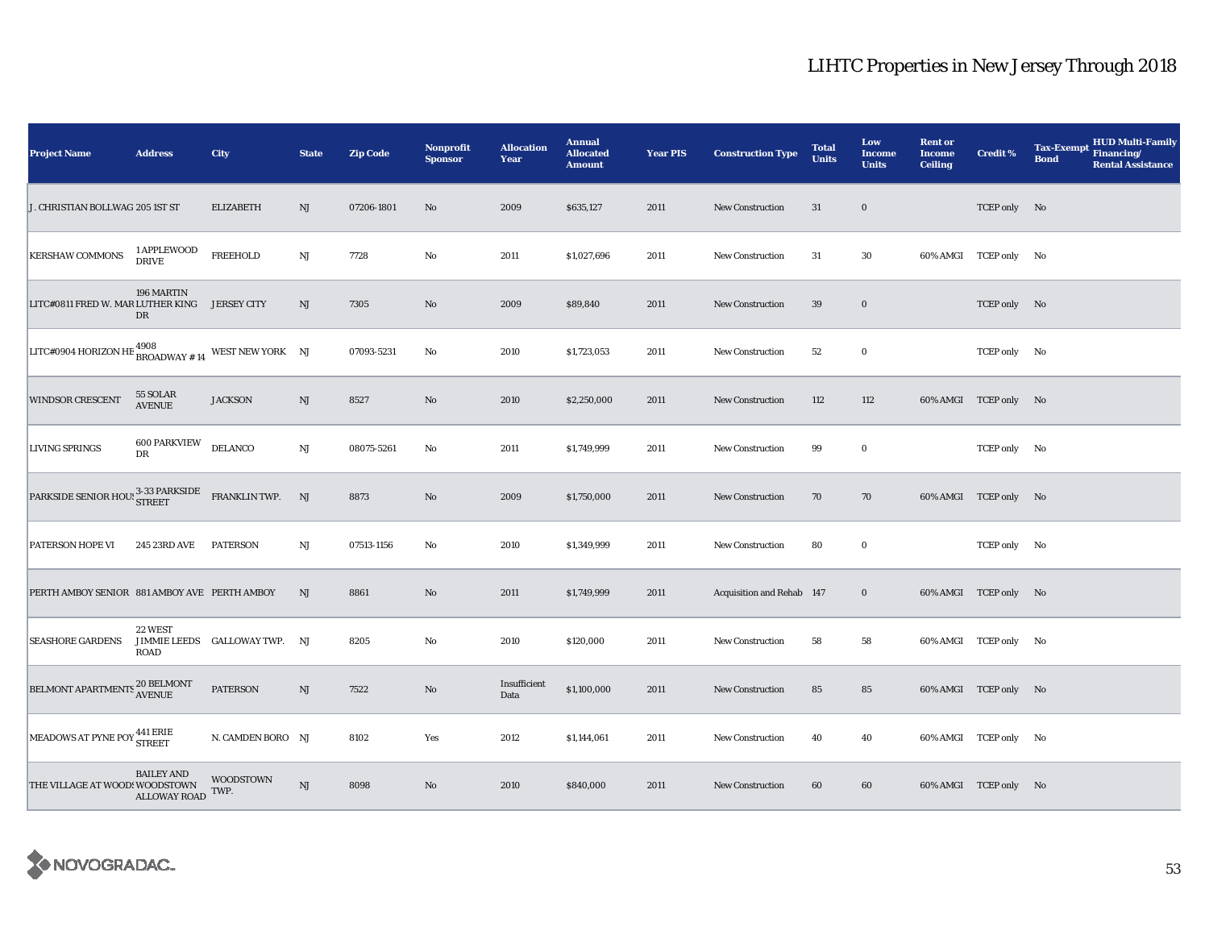| <b>Project Name</b>                                                                                                                                                                  | <b>Address</b>                         | City                          | <b>State</b>  | <b>Zip Code</b> | <b>Nonprofit</b><br><b>Sponsor</b> | <b>Allocation</b><br>Year | <b>Annual</b><br><b>Allocated</b><br><b>Amount</b> | <b>Year PIS</b> | <b>Construction Type</b>  | <b>Total</b><br><b>Units</b> | Low<br><b>Income</b><br><b>Units</b> | <b>Rent or</b><br><b>Income</b><br><b>Ceiling</b> | <b>Credit %</b>       | <b>HUD Multi-Family</b><br><b>Tax-Exempt</b><br>Financing/<br><b>Bond</b><br><b>Rental Assistance</b> |
|--------------------------------------------------------------------------------------------------------------------------------------------------------------------------------------|----------------------------------------|-------------------------------|---------------|-----------------|------------------------------------|---------------------------|----------------------------------------------------|-----------------|---------------------------|------------------------------|--------------------------------------|---------------------------------------------------|-----------------------|-------------------------------------------------------------------------------------------------------|
| J. CHRISTIAN BOLLWAG 205 1ST ST                                                                                                                                                      |                                        | <b>ELIZABETH</b>              | NJ            | 07206-1801      | No                                 | 2009                      | \$635,127                                          | 2011            | <b>New Construction</b>   | 31                           | $\bf{0}$                             |                                                   | TCEP only No          |                                                                                                       |
| <b>KERSHAW COMMONS</b>                                                                                                                                                               | 1 APPLEWOOD<br><b>DRIVE</b>            | <b>FREEHOLD</b>               | $_{\rm NJ}$   | 7728            | $\rm No$                           | 2011                      | \$1,027,696                                        | 2011            | <b>New Construction</b>   | 31                           | 30                                   |                                                   | 60% AMGI TCEP only No |                                                                                                       |
| LITC#0811 FRED W. MAR LUTHER KING JERSEY CITY                                                                                                                                        | 196 MARTIN<br>DR                       |                               | NJ            | 7305            | No                                 | 2009                      | \$89,840                                           | 2011            | New Construction          | 39                           | $\bf{0}$                             |                                                   | TCEP only No          |                                                                                                       |
| LITC#0904 HORIZON HE $^{4908}_{\text{BROADWAY # 14}}$ WEST NEW YORK NJ                                                                                                               |                                        |                               |               | 07093-5231      | No                                 | 2010                      | \$1,723,053                                        | 2011            | <b>New Construction</b>   | 52                           | $\bf{0}$                             |                                                   | TCEP only No          |                                                                                                       |
| <b>WINDSOR CRESCENT</b>                                                                                                                                                              | 55 SOLAR<br><b>AVENUE</b>              | <b>JACKSON</b>                | $\mathrm{NJ}$ | 8527            | $\rm No$                           | 2010                      | \$2,250,000                                        | 2011            | <b>New Construction</b>   | 112                          | 112                                  |                                                   | 60% AMGI TCEP only No |                                                                                                       |
| <b>LIVING SPRINGS</b>                                                                                                                                                                | <b>600 PARKVIEW</b><br>DR              | <b>DELANCO</b>                | NJ            | 08075-5261      | $\rm No$                           | 2011                      | \$1,749,999                                        | 2011            | <b>New Construction</b>   | 99                           | $\bf{0}$                             |                                                   | TCEP only No          |                                                                                                       |
| $\texttt{PARKSIDE SENDR HOU:} \begin{tabular}{ll} \bf{PARKSIDE} & \bf{FRANKLIN \; TWP.} \\ \end{tabular} \begin{tabular}{ll} \bf{PARKSIDF} & \bf{FRANKLIN \; TWP.} \\ \end{tabular}$ |                                        |                               |               | 8873            | $\rm No$                           | 2009                      | \$1,750,000                                        | 2011            | <b>New Construction</b>   | 70                           | 70                                   |                                                   | 60% AMGI TCEP only No |                                                                                                       |
| PATERSON HOPE VI                                                                                                                                                                     | 245 23RD AVE                           | <b>PATERSON</b>               | NJ            | 07513-1156      | No                                 | 2010                      | \$1,349,999                                        | 2011            | <b>New Construction</b>   | 80                           | $\bf{0}$                             |                                                   | TCEP only No          |                                                                                                       |
| PERTH AMBOY SENIOR 881 AMBOY AVE PERTH AMBOY                                                                                                                                         |                                        |                               | <b>NJ</b>     | 8861            | $\rm No$                           | 2011                      | \$1,749,999                                        | 2011            | Acquisition and Rehab 147 |                              | $\bf{0}$                             |                                                   | 60% AMGI TCEP only No |                                                                                                       |
| <b>SEASHORE GARDENS</b>                                                                                                                                                              | 22 WEST<br><b>ROAD</b>                 | JIMMIE LEEDS GALLOWAY TWP. NJ |               | 8205            | No                                 | 2010                      | \$120,000                                          | 2011            | <b>New Construction</b>   | 58                           | 58                                   |                                                   | 60% AMGI TCEP only No |                                                                                                       |
|                                                                                                                                                                                      |                                        | <b>PATERSON</b>               | NJ            | 7522            | $\rm No$                           | Insufficient<br>Data      | \$1,100,000                                        | 2011            | <b>New Construction</b>   | 85                           | 85                                   |                                                   | 60% AMGI TCEP only No |                                                                                                       |
| MEADOWS AT PYNE POY 441 ERIE                                                                                                                                                         |                                        | N. CAMDEN BORO NJ             |               | 8102            | Yes                                | 2012                      | \$1,144,061                                        | 2011            | New Construction          | 40                           | 40                                   |                                                   | 60% AMGI TCEP only No |                                                                                                       |
| THE VILLAGE AT WOOD! WOODSTOWN                                                                                                                                                       | <b>BAILEY AND</b><br>ALLOWAY ROAD TWP. | <b>WOODSTOWN</b>              | NJ            | 8098            | No                                 | 2010                      | \$840,000                                          | 2011            | <b>New Construction</b>   | 60                           | 60                                   |                                                   | 60% AMGI TCEP only No |                                                                                                       |

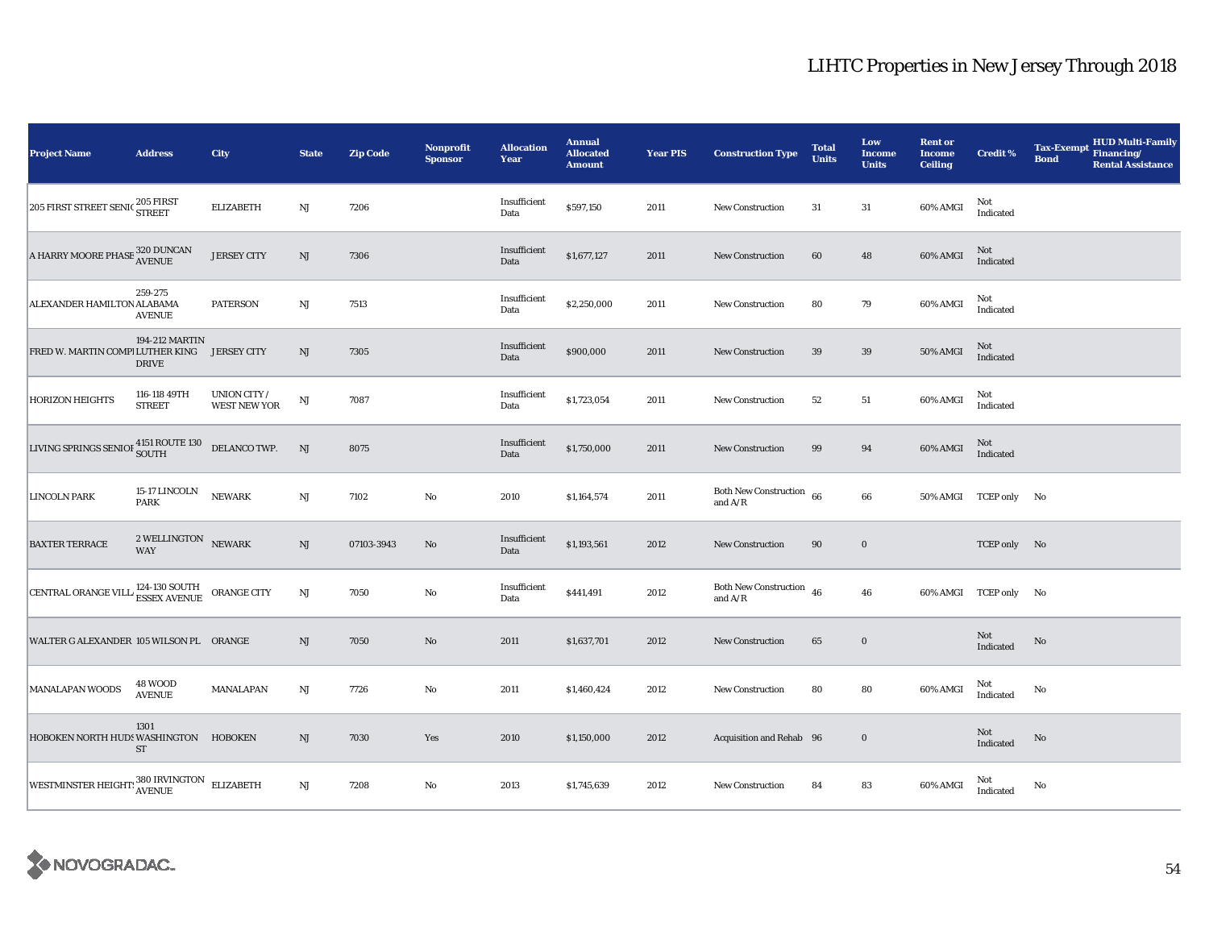| <b>Project Name</b>                                                                                                                        | <b>Address</b>                           | City                                | <b>State</b>           | <b>Zip Code</b> | <b>Nonprofit</b><br><b>Sponsor</b> | <b>Allocation</b><br>Year | <b>Annual</b><br><b>Allocated</b><br><b>Amount</b> | <b>Year PIS</b> | <b>Construction Type</b>                  | <b>Total</b><br><b>Units</b> | Low<br><b>Income</b><br><b>Units</b> | <b>Rent or</b><br><b>Income</b><br><b>Ceiling</b> | <b>Credit %</b>       | <b>Tax-Exempt</b><br><b>Bond</b> | <b>HUD Multi-Family</b><br>Financing/<br><b>Rental Assistance</b> |
|--------------------------------------------------------------------------------------------------------------------------------------------|------------------------------------------|-------------------------------------|------------------------|-----------------|------------------------------------|---------------------------|----------------------------------------------------|-----------------|-------------------------------------------|------------------------------|--------------------------------------|---------------------------------------------------|-----------------------|----------------------------------|-------------------------------------------------------------------|
| 205 FIRST STREET SENIC 205 FIRST                                                                                                           |                                          | <b>ELIZABETH</b>                    | NJ                     | 7206            |                                    | Insufficient<br>Data      | \$597,150                                          | 2011            | <b>New Construction</b>                   | 31                           | 31                                   | 60% AMGI                                          | Not<br>Indicated      |                                  |                                                                   |
| A HARRY MOORE PHASE $_{\rm AVENUE}^{320}$ DUNCAN                                                                                           |                                          | <b>JERSEY CITY</b>                  | $\mathbf{N}\mathbf{J}$ | 7306            |                                    | Insufficient<br>Data      | \$1,677,127                                        | 2011            | <b>New Construction</b>                   | 60                           | 48                                   | 60% AMGI                                          | Not<br>Indicated      |                                  |                                                                   |
| ALEXANDER HAMILTON ALABAMA                                                                                                                 | 259-275<br><b>AVENUE</b>                 | <b>PATERSON</b>                     | $\rm{NJ}$              | 7513            |                                    | Insufficient<br>Data      | \$2,250,000                                        | 2011            | <b>New Construction</b>                   | 80                           | 79                                   | 60% AMGI                                          | Not<br>Indicated      |                                  |                                                                   |
| FRED W. MARTIN COMPI LUTHER KING                                                                                                           | 194-212 MARTIN<br><b>DRIVE</b>           | <b>JERSEY CITY</b>                  | NJ                     | 7305            |                                    | Insufficient<br>Data      | \$900,000                                          | 2011            | New Construction                          | 39                           | 39                                   | 50% AMGI                                          | Not<br>Indicated      |                                  |                                                                   |
| <b>HORIZON HEIGHTS</b>                                                                                                                     | 116-118 49TH<br><b>STREET</b>            | UNION CITY /<br><b>WEST NEW YOR</b> | $\mathbf{N}\mathbf{J}$ | 7087            |                                    | Insufficient<br>Data      | \$1,723,054                                        | 2011            | New Construction                          | 52                           | 51                                   | 60% AMGI                                          | Not<br>Indicated      |                                  |                                                                   |
| LIVING SPRINGS SENIOF $^{4151}_{\text{SOUTH}}$ ROUTE 130 DELANCO TWP.                                                                      |                                          |                                     | NJ                     | 8075            |                                    | Insufficient<br>Data      | \$1,750,000                                        | 2011            | New Construction                          | 99                           | 94                                   | 60% AMGI                                          | Not<br>Indicated      |                                  |                                                                   |
| <b>LINCOLN PARK</b>                                                                                                                        | 15-17 LINCOLN<br><b>PARK</b>             | <b>NEWARK</b>                       | $\mathbf{N}\mathbf{J}$ | 7102            | $\rm No$                           | 2010                      | \$1,164,574                                        | 2011            | <b>Both New Construction</b><br>and $A/R$ | 66                           | 66                                   |                                                   | 50% AMGI TCEP only No |                                  |                                                                   |
| <b>BAXTER TERRACE</b>                                                                                                                      | $2$ WELLINGTON $\,$ NEWARK<br><b>WAY</b> |                                     | NJ                     | 07103-3943      | No                                 | Insufficient<br>Data      | \$1,193,561                                        | 2012            | <b>New Construction</b>                   | 90                           | $\boldsymbol{0}$                     |                                                   | TCEP only No          |                                  |                                                                   |
| CENTRAL ORANGE VILL $^{124\text{-}130\text{-}\mathrm{S}\mathrm{O}\mathrm{U}\mathrm{T}\mathrm{H}}_{\text{ESSEX\text{-}AVENUE}}$ ORANGE CITY |                                          |                                     | NJ                     | 7050            | No                                 | Insufficient<br>Data      | \$441,491                                          | 2012            | <b>Both New Construction</b><br>and $A/R$ | 46                           | 46                                   |                                                   | 60% AMGI TCEP only No |                                  |                                                                   |
| WALTER G ALEXANDER 105 WILSON PL ORANGE                                                                                                    |                                          |                                     | NJ                     | 7050            | $\rm No$                           | 2011                      | \$1,637,701                                        | 2012            | <b>New Construction</b>                   | 65                           | $\bf{0}$                             |                                                   | Not<br>Indicated      | No                               |                                                                   |
| MANALAPAN WOODS                                                                                                                            | <b>48 WOOD</b><br><b>AVENUE</b>          | MANALAPAN                           | $\rm{NJ}$              | 7726            | $\rm No$                           | 2011                      | \$1,460,424                                        | 2012            | New Construction                          | 80                           | 80                                   | 60% AMGI                                          | Not<br>Indicated      | No                               |                                                                   |
| HOBOKEN NORTH HUDS WASHINGTON HOBOKEN                                                                                                      | 1301<br><b>ST</b>                        |                                     | $\rm{NJ}$              | 7030            | Yes                                | 2010                      | \$1,150,000                                        | 2012            | Acquisition and Rehab 96                  |                              | $\bf{0}$                             |                                                   | Not<br>Indicated      | No                               |                                                                   |
| WESTMINSTER HEIGHT: <sup>380</sup> IRVINGTON ELIZABETH                                                                                     |                                          |                                     | NJ                     | 7208            | $\rm No$                           | 2013                      | \$1,745,639                                        | 2012            | New Construction                          | 84                           | 83                                   | 60% AMGI                                          | Not<br>Indicated      | No                               |                                                                   |

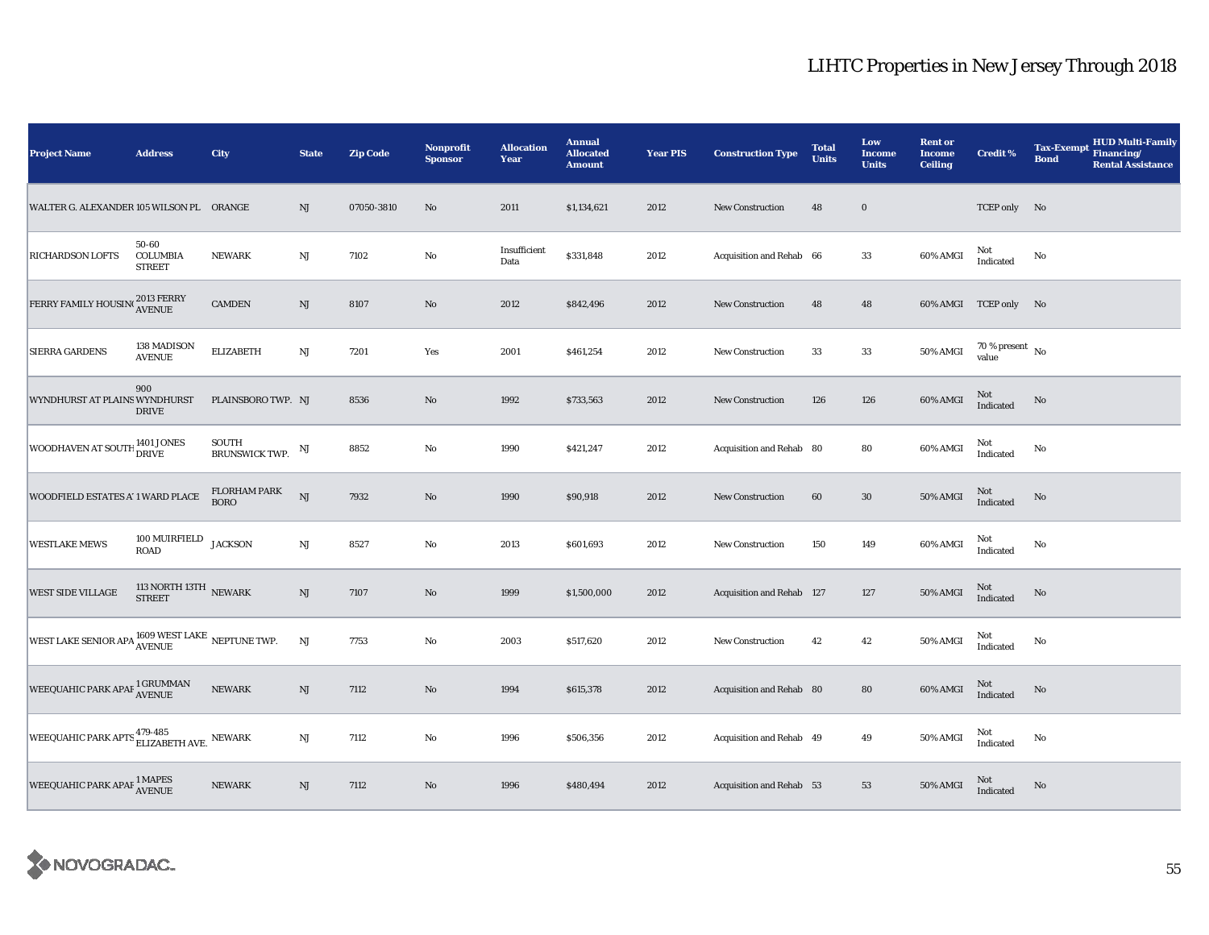| <b>Project Name</b>                                                            | <b>Address</b>                                  | City                           | <b>State</b>           | <b>Zip Code</b> | <b>Nonprofit</b><br><b>Sponsor</b> | <b>Allocation</b><br>Year | <b>Annual</b><br><b>Allocated</b><br><b>Amount</b> | <b>Year PIS</b> | <b>Construction Type</b>  | <b>Total</b><br><b>Units</b> | Low<br><b>Income</b><br><b>Units</b> | <b>Rent or</b><br><b>Income</b><br><b>Ceiling</b> | <b>Credit %</b>                    | <b>Tax-Exempt</b><br><b>Bond</b> | <b>HUD Multi-Family</b><br>Financing/<br><b>Rental Assistance</b> |
|--------------------------------------------------------------------------------|-------------------------------------------------|--------------------------------|------------------------|-----------------|------------------------------------|---------------------------|----------------------------------------------------|-----------------|---------------------------|------------------------------|--------------------------------------|---------------------------------------------------|------------------------------------|----------------------------------|-------------------------------------------------------------------|
| WALTER G. ALEXANDER 105 WILSON PL ORANGE                                       |                                                 |                                | NJ                     | 07050-3810      | No                                 | 2011                      | \$1,134,621                                        | 2012            | New Construction          | 48                           | $\mathbf 0$                          |                                                   | TCEP only No                       |                                  |                                                                   |
| <b>RICHARDSON LOFTS</b>                                                        | 50-60<br><b>COLUMBIA</b><br><b>STREET</b>       | <b>NEWARK</b>                  | $\rm{NJ}$              | 7102            | $\rm\thinspace No$                 | Insufficient<br>Data      | \$331,848                                          | 2012            | Acquisition and Rehab 66  |                              | $33\,$                               | 60% AMGI                                          | Not<br>Indicated                   | No                               |                                                                   |
| FERRY FAMILY HOUSING 2013 FERRY                                                |                                                 | <b>CAMDEN</b>                  | NJ                     | 8107            | $\rm No$                           | 2012                      | \$842,496                                          | 2012            | New Construction          | 48                           | 48                                   |                                                   | 60% AMGI TCEP only No              |                                  |                                                                   |
| <b>SIERRA GARDENS</b>                                                          | 138 MADISON<br><b>AVENUE</b>                    | <b>ELIZABETH</b>               | $_{\rm NJ}$            | 7201            | Yes                                | 2001                      | \$461,254                                          | 2012            | <b>New Construction</b>   | 33                           | 33                                   | 50% AMGI                                          | 70 % present $\hbox{~No}$<br>value |                                  |                                                                   |
| WYNDHURST AT PLAINS WYNDHURST                                                  | 900<br><b>DRIVE</b>                             | PLAINSBORO TWP. NJ             |                        | 8536            | $\rm No$                           | 1992                      | \$733,563                                          | 2012            | New Construction          | 126                          | 126                                  | 60% AMGI                                          | Not<br>Indicated                   | $\rm No$                         |                                                                   |
| WOODHAVEN AT SOUTH 1401 JONES                                                  |                                                 | SOUTH<br><b>BRUNSWICK TWP.</b> | NJ                     | 8852            | No                                 | 1990                      | \$421,247                                          | 2012            | Acquisition and Rehab 80  |                              | 80                                   | 60% AMGI                                          | Not<br>Indicated                   | No                               |                                                                   |
| WOODFIELD ESTATES A' 1 WARD PLACE                                              |                                                 | FLORHAM PARK<br><b>BORO</b>    | NJ                     | 7932            | $\rm No$                           | 1990                      | \$90,918                                           | 2012            | <b>New Construction</b>   | 60                           | ${\bf 30}$                           | 50% AMGI                                          | Not<br>Indicated                   | $\mathbf{No}$                    |                                                                   |
| <b>WESTLAKE MEWS</b>                                                           | $100$ MUIRFIELD $_{\rm JACKSON}$<br><b>ROAD</b> |                                | $\rm{NJ}$              | 8527            | $\rm No$                           | 2013                      | \$601,693                                          | 2012            | <b>New Construction</b>   | 150                          | 149                                  | 60% AMGI                                          | Not<br>Indicated                   | No                               |                                                                   |
| <b>WEST SIDE VILLAGE</b>                                                       | 113 NORTH 13TH $\,$ NEWARK STREET               |                                | $\mathbf{N}\mathbf{J}$ | 7107            | $\rm No$                           | 1999                      | \$1,500,000                                        | 2012            | Acquisition and Rehab 127 |                              | 127                                  | <b>50% AMGI</b>                                   | Not<br>Indicated                   | $\rm No$                         |                                                                   |
| WEST LAKE SENIOR APA $^{1609}_{\Lambda \textrm{VENUE}}$ LAKE $\,$ NEPTUNE TWP. |                                                 |                                | $_{\rm NJ}$            | 7753            | $\rm No$                           | 2003                      | \$517,620                                          | 2012            | New Construction          | 42                           | 42                                   | 50% AMGI                                          | Not<br>Indicated                   | No                               |                                                                   |
| WEEQUAHIC PARK APAF 1 GRUMMAN                                                  |                                                 | <b>NEWARK</b>                  | $\rm{NJ}$              | 7112            | No                                 | 1994                      | \$615,378                                          | 2012            | Acquisition and Rehab 80  |                              | 80                                   | 60% AMGI                                          | Not<br>Indicated                   | No                               |                                                                   |
| WEEQUAHIC PARK APTS $^{479\text{-}485}_{\text{ELIZABETH AVE.}}$ NEWARK         |                                                 |                                | NJ                     | 7112            | $\rm No$                           | 1996                      | \$506,356                                          | 2012            | Acquisition and Rehab 49  |                              | 49                                   | 50% AMGI                                          | Not<br>Indicated                   | No                               |                                                                   |
| WEEQUAHIC PARK APAF <sup>1</sup> MAPES<br>AVENUE                               |                                                 | <b>NEWARK</b>                  | $\mathbf{N}\mathbf{J}$ | 7112            | $\rm No$                           | 1996                      | \$480,494                                          | 2012            | Acquisition and Rehab 53  |                              | 53                                   | 50% AMGI                                          | Not<br>Indicated                   | No                               |                                                                   |

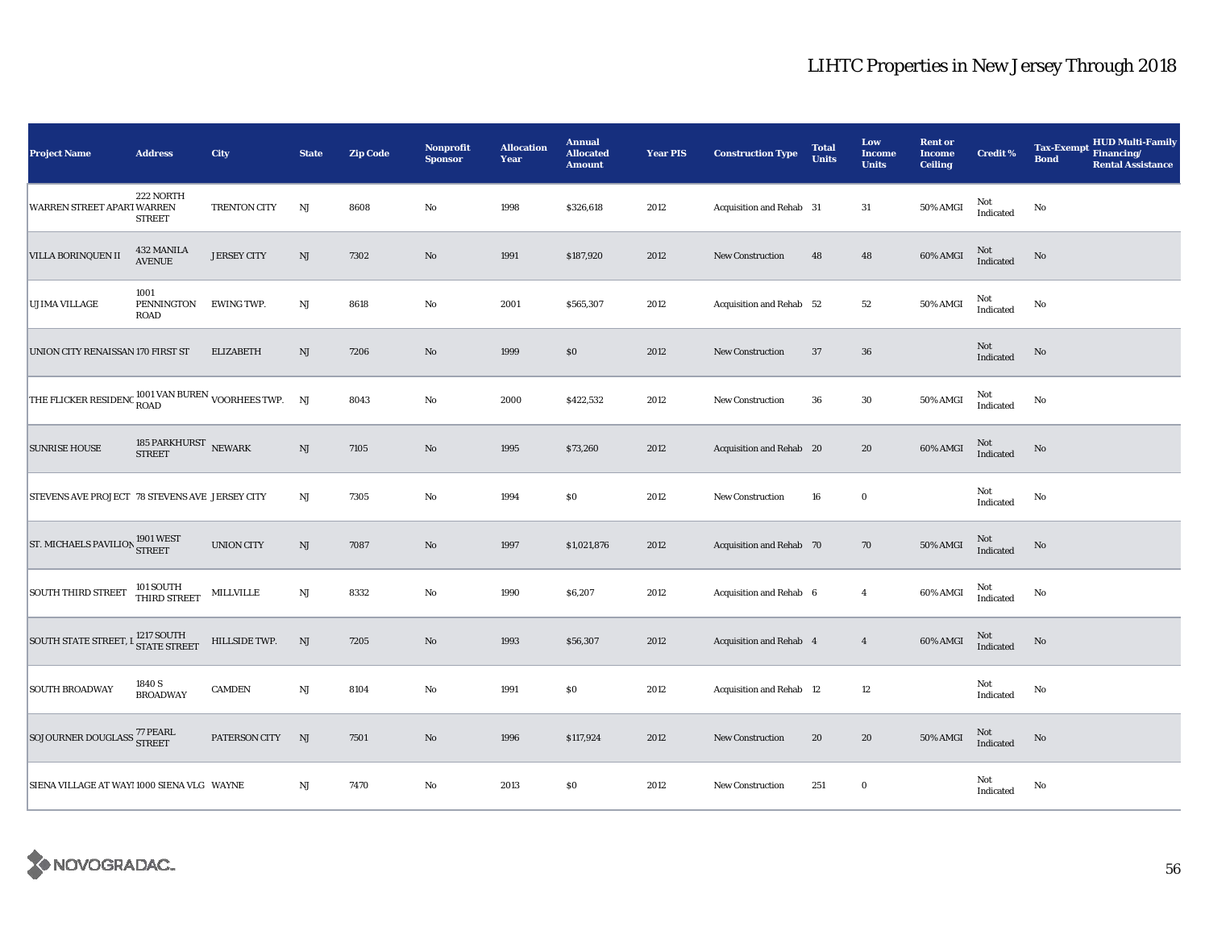| <b>Project Name</b>                                          | <b>Address</b>                   | City               | <b>State</b>           | <b>Zip Code</b> | Nonprofit<br><b>Sponsor</b> | <b>Allocation</b><br>Year | <b>Annual</b><br><b>Allocated</b><br><b>Amount</b> | <b>Year PIS</b> | <b>Construction Type</b>       | <b>Total</b><br><b>Units</b> | Low<br><b>Income</b><br><b>Units</b> | <b>Rent or</b><br><b>Income</b><br><b>Ceiling</b> | <b>Credit %</b>     | <b>Tax-Exempt</b><br><b>Bond</b> | <b>HUD Multi-Family</b><br>Financing/<br><b>Rental Assistance</b> |
|--------------------------------------------------------------|----------------------------------|--------------------|------------------------|-----------------|-----------------------------|---------------------------|----------------------------------------------------|-----------------|--------------------------------|------------------------------|--------------------------------------|---------------------------------------------------|---------------------|----------------------------------|-------------------------------------------------------------------|
| WARREN STREET APART WARREN                                   | 222 NORTH<br><b>STREET</b>       | TRENTON CITY       | NJ                     | 8608            | $\rm No$                    | 1998                      | \$326,618                                          | 2012            | Acquisition and Rehab 31       |                              | 31                                   | 50% AMGI                                          | Not<br>Indicated    | No                               |                                                                   |
| VILLA BORINQUEN II                                           | 432 MANILA<br><b>AVENUE</b>      | <b>JERSEY CITY</b> | $\mathbf{N}\mathbf{J}$ | 7302            | $\mathbf{N}\mathbf{o}$      | 1991                      | \$187,920                                          | 2012            | <b>New Construction</b>        | 48                           | 48                                   | 60% AMGI                                          | Not<br>Indicated    | No                               |                                                                   |
| <b>UJIMA VILLAGE</b>                                         | 1001<br>PENNINGTON<br>ROAD       | EWING TWP.         | NJ                     | 8618            | No                          | 2001                      | \$565,307                                          | 2012            | Acquisition and Rehab 52       |                              | 52                                   | 50% AMGI                                          | Not<br>Indicated    | No                               |                                                                   |
| UNION CITY RENAISSAN 170 FIRST ST                            |                                  | ELIZABETH          | $\mathbf{N}\mathbf{J}$ | 7206            | No                          | 1999                      | \$0                                                | 2012            | New Construction               | 37                           | ${\bf 36}$                           |                                                   | Not<br>Indicated    | No                               |                                                                   |
| THE FLICKER RESIDENC $^{1001} _{\rm{ROAD}}$ VOORHEES TWP. NJ |                                  |                    |                        | 8043            | No                          | 2000                      | \$422,532                                          | 2012            | New Construction               | 36                           | 30                                   | 50% AMGI                                          | Not<br>Indicated    | No                               |                                                                   |
| <b>SUNRISE HOUSE</b>                                         | 185 PARKHURST $\,$ NEWARK STREET |                    | $\mathrm{NJ}$          | 7105            | $\rm No$                    | 1995                      | \$73,260                                           | 2012            | Acquisition and Rehab 20       |                              | 20                                   | 60% AMGI                                          | Not<br>Indicated    | No                               |                                                                   |
| STEVENS AVE PROJECT 78 STEVENS AVE JERSEY CITY               |                                  |                    | $\rm{NJ}$              | 7305            | No                          | 1994                      | \$0                                                | 2012            | New Construction               | 16                           | $\bf{0}$                             |                                                   | Not<br>Indicated    | No                               |                                                                   |
| ST. MICHAELS PAVILION 1901 WEST                              |                                  | <b>UNION CITY</b>  | $\rm{NJ}$              | 7087            | $\rm No$                    | 1997                      | \$1,021,876                                        | 2012            | Acquisition and Rehab 70       |                              | 70                                   | <b>50% AMGI</b>                                   | Not<br>Indicated    | No                               |                                                                   |
| <b>SOUTH THIRD STREET</b>                                    | 101 SOUTH<br>THIRD STREET        | MILLVILLE          | $\mathrm{NJ}$          | 8332            | No                          | 1990                      | \$6,207                                            | 2012            | Acquisition and Rehab 6        |                              | $\overline{4}$                       | 60% AMGI                                          | Not<br>Indicated    | No                               |                                                                   |
| SOUTH STATE STREET, I STATE STREET                           |                                  | HILLSIDE TWP.      | NJ                     | 7205            | $\rm No$                    | 1993                      | \$56,307                                           | 2012            | <b>Acquisition and Rehab 4</b> |                              | $\overline{4}$                       | 60% AMGI                                          | $\rm Not$ Indicated | No                               |                                                                   |
| <b>SOUTH BROADWAY</b>                                        | 1840 S<br><b>BROADWAY</b>        | <b>CAMDEN</b>      | $\mathbf{N}\mathbf{J}$ | 8104            | No                          | 1991                      | \$0                                                | 2012            | Acquisition and Rehab 12       |                              | $12\,$                               |                                                   | Not<br>Indicated    | No                               |                                                                   |
| SOJOURNER DOUGLASS 77 PEARL<br>STREET                        |                                  | PATERSON CITY      | NJ                     | 7501            | No                          | 1996                      | \$117,924                                          | 2012            | <b>New Construction</b>        | 20                           | 20                                   | 50% AMGI                                          | Not<br>Indicated    | No                               |                                                                   |
| SIENA VILLAGE AT WAY! 1000 SIENA VLG WAYNE                   |                                  |                    | $\rm NJ$               | 7470            | $\rm No$                    | 2013                      | $\$0$                                              | 2012            | <b>New Construction</b>        | 251                          | $\bf{0}$                             |                                                   | Not<br>Indicated    | No                               |                                                                   |

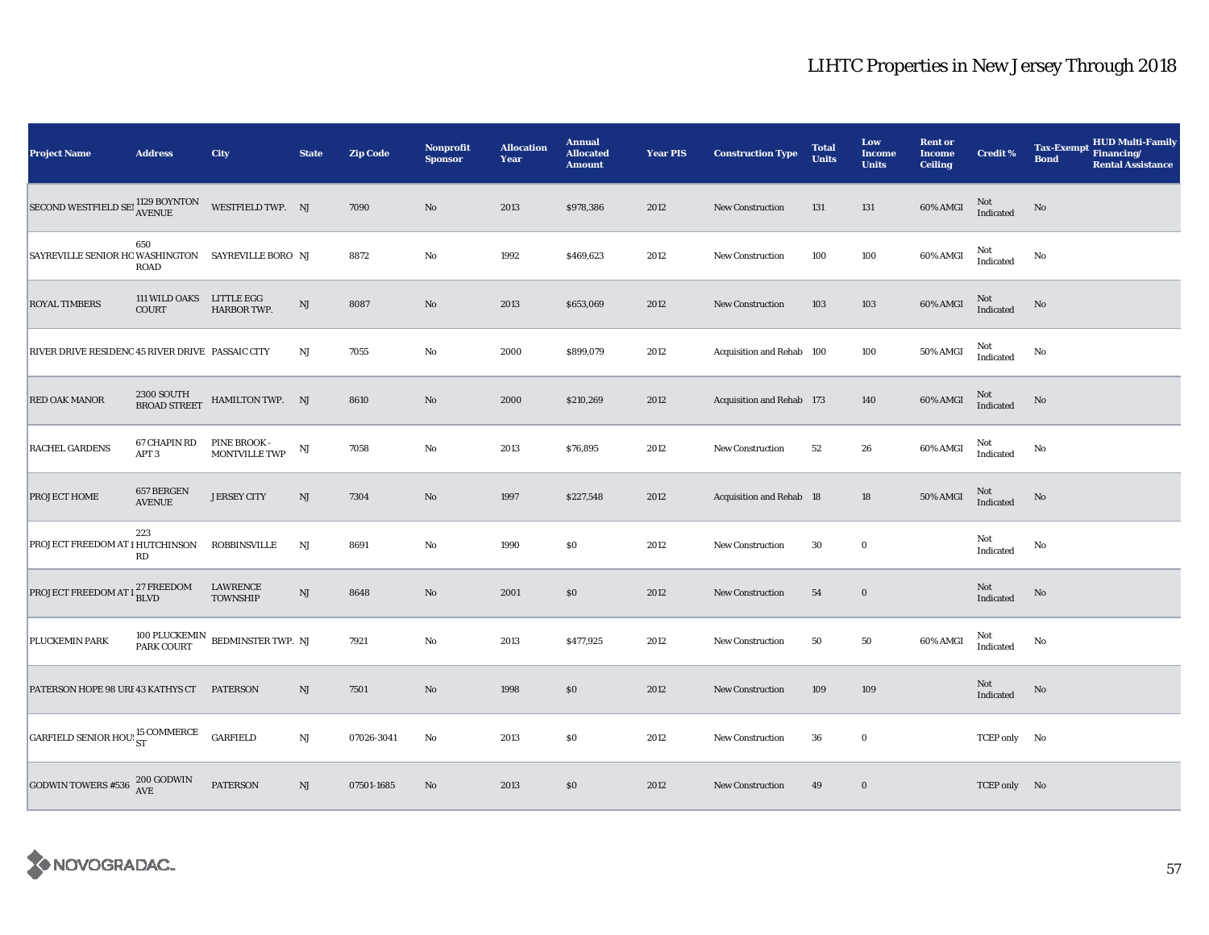| <b>Project Name</b>                                                                                                                     | <b>Address</b>                    | <b>City</b>                                        | <b>State</b>           | <b>Zip Code</b> | <b>Nonprofit</b><br><b>Sponsor</b> | <b>Allocation</b><br>Year | <b>Annual</b><br><b>Allocated</b><br><b>Amount</b> | <b>Year PIS</b> | <b>Construction Type</b>  | <b>Total</b><br><b>Units</b> | Low<br><b>Income</b><br><b>Units</b> | <b>Rent or</b><br><b>Income</b><br><b>Ceiling</b> | <b>Credit %</b>     | <b>HUD Multi-Family</b><br><b>Tax-Exempt</b><br>Financing/<br><b>Bond</b><br><b>Rental Assistance</b> |
|-----------------------------------------------------------------------------------------------------------------------------------------|-----------------------------------|----------------------------------------------------|------------------------|-----------------|------------------------------------|---------------------------|----------------------------------------------------|-----------------|---------------------------|------------------------------|--------------------------------------|---------------------------------------------------|---------------------|-------------------------------------------------------------------------------------------------------|
| $\begin{array}{lll} \text{SECOND} & \text{WESTFIELD} & \text{SEI} & \text{1129 BOVNTON} \\ \text{AVENUE} & \text{AVENUE} & \end{array}$ |                                   | WESTFIELD TWP. NJ                                  |                        | 7090            | $\mathbf{N}\mathbf{o}$             | 2013                      | \$978,386                                          | 2012            | New Construction          | 131                          | 131                                  | 60% AMGI                                          | Not<br>Indicated    | No                                                                                                    |
| SAYREVILLE SENIOR HOWASHINGTON SAYREVILLE BORO NJ                                                                                       | 650<br>ROAD                       |                                                    |                        | 8872            | No                                 | 1992                      | \$469,623                                          | 2012            | New Construction          | 100                          | 100                                  | 60% AMGI                                          | Not<br>Indicated    | No                                                                                                    |
| <b>ROYAL TIMBERS</b>                                                                                                                    | 111 WILD OAKS LITTLE EGG<br>COURT | HARBOR TWP.                                        | $\mathbf{N}\mathbf{J}$ | 8087            | $\mathbf{N}\mathbf{o}$             | 2013                      | \$653,069                                          | 2012            | <b>New Construction</b>   | 103                          | 103                                  | 60% AMGI                                          | $\rm Not$ Indicated | No                                                                                                    |
| RIVER DRIVE RESIDENC 45 RIVER DRIVE PASSAIC CITY                                                                                        |                                   |                                                    | NJ                     | 7055            | No                                 | 2000                      | \$899,079                                          | 2012            | Acquisition and Rehab 100 |                              | 100                                  | <b>50% AMGI</b>                                   | Not<br>Indicated    | No                                                                                                    |
| RED OAK MANOR                                                                                                                           | 2300 SOUTH<br>BROAD STREET        | HAMILTON TWP. NJ                                   |                        | 8610            | $\rm No$                           | 2000                      | \$210,269                                          | 2012            | Acquisition and Rehab 173 |                              | 140                                  | <b>60% AMGI</b>                                   | Not<br>Indicated    | No                                                                                                    |
| RACHEL GARDENS                                                                                                                          | 67 CHAPIN RD<br>APT <sub>3</sub>  | PINE BROOK -<br><b>MONTVILLE TWP</b>               | NJ                     | 7058            | No                                 | 2013                      | \$76,895                                           | 2012            | <b>New Construction</b>   | 52                           | 26                                   | 60% AMGI                                          | Not<br>Indicated    | No                                                                                                    |
| PROJECT HOME                                                                                                                            | 657 BERGEN<br><b>AVENUE</b>       | <b>JERSEY CITY</b>                                 | $\mathrm{NJ}$          | 7304            | No                                 | 1997                      | \$227,548                                          | 2012            | Acquisition and Rehab 18  |                              | 18                                   | 50% AMGI                                          | Not<br>Indicated    | No                                                                                                    |
| PROJECT FREEDOM AT I HUTCHINSON                                                                                                         | 223<br>RD                         | <b>ROBBINSVILLE</b>                                | NJ                     | 8691            | No                                 | 1990                      | $\$0$                                              | 2012            | New Construction          | 30                           | $\bf{0}$                             |                                                   | Not<br>Indicated    | $\mathbf{No}$                                                                                         |
| PROJECT FREEDOM AT I <sup>27</sup> FREEDOM                                                                                              |                                   | <b>LAWRENCE</b><br><b>TOWNSHIP</b>                 | $\mathbf{N}\mathbf{J}$ | 8648            | $\rm No$                           | 2001                      | \$0                                                | 2012            | <b>New Construction</b>   | 54                           | $\mathbf 0$                          |                                                   | Not<br>Indicated    | No                                                                                                    |
| PLUCKEMIN PARK                                                                                                                          |                                   | $100$ PLUCKEMIN $\;$ BEDMINSTER TWP. NJ PARK COURT |                        | 7921            | $\rm No$                           | 2013                      | \$477,925                                          | 2012            | New Construction          | 50                           | 50                                   | 60% AMGI                                          | Not<br>Indicated    | No                                                                                                    |
| PATERSON HOPE 98 URI 43 KATHYS CT                                                                                                       |                                   | <b>PATERSON</b>                                    | NJ                     | 7501            | $\mathbf{N}\mathbf{o}$             | 1998                      | $\$0$                                              | 2012            | New Construction          | 109                          | 109                                  |                                                   | Not<br>Indicated    | No                                                                                                    |
| GARFIELD SENIOR HOU: ST                                                                                                                 |                                   | <b>GARFIELD</b>                                    | $\rm{NJ}$              | 07026-3041      | No                                 | 2013                      | $\$0$                                              | 2012            | <b>New Construction</b>   | 36                           | $\mathbf 0$                          |                                                   | TCEP only No        |                                                                                                       |
| <b>GODWIN TOWERS #536</b>                                                                                                               | $200\,\mbox{GODWIN}$ AVE          | <b>PATERSON</b>                                    | $\mathrm{NJ}$          | 07501-1685      | No                                 | 2013                      | \$0\$                                              | 2012            | <b>New Construction</b>   | 49                           | $\bf{0}$                             |                                                   | TCEP only No        |                                                                                                       |

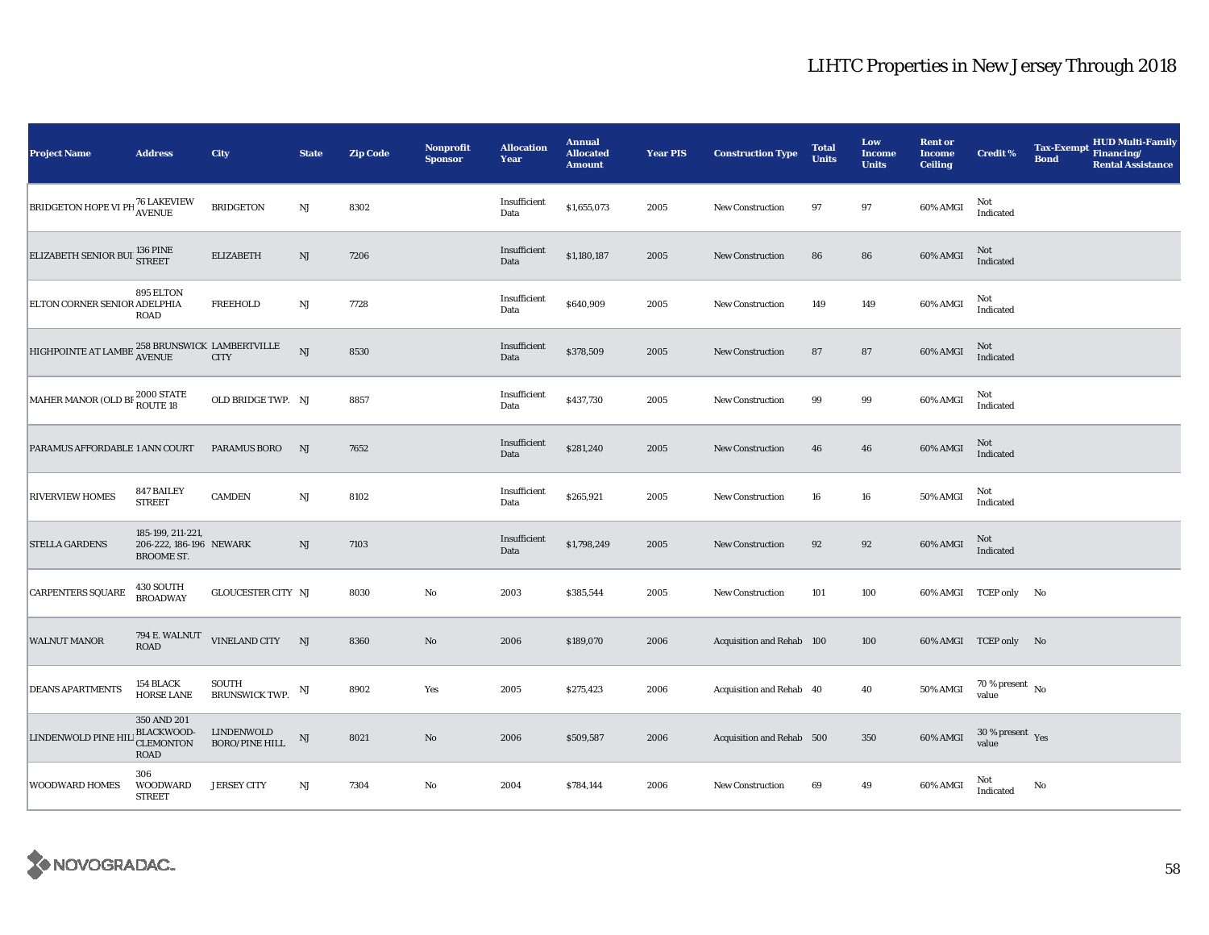| <b>Project Name</b>                                                    | <b>Address</b>                                                    | City                                | <b>State</b>           | <b>Zip Code</b> | Nonprofit<br><b>Sponsor</b> | <b>Allocation</b><br>Year | <b>Annual</b><br><b>Allocated</b><br><b>Amount</b> | <b>Year PIS</b> | <b>Construction Type</b>  | <b>Total</b><br><b>Units</b> | Low<br><b>Income</b><br><b>Units</b> | <b>Rent or</b><br><b>Income</b><br><b>Ceiling</b> | <b>Credit %</b>                             | <b>Tax-Exempt</b><br><b>Bond</b> | <b>HUD Multi-Family</b><br>Financing/<br><b>Rental Assistance</b> |
|------------------------------------------------------------------------|-------------------------------------------------------------------|-------------------------------------|------------------------|-----------------|-----------------------------|---------------------------|----------------------------------------------------|-----------------|---------------------------|------------------------------|--------------------------------------|---------------------------------------------------|---------------------------------------------|----------------------------------|-------------------------------------------------------------------|
| <b>BRIDGETON HOPE VI PH <sup>76</sup> LAKEVIEW</b>                     |                                                                   | <b>BRIDGETON</b>                    | NJ                     | 8302            |                             | Insufficient<br>Data      | \$1,655,073                                        | 2005            | New Construction          | 97                           | 97                                   | 60% AMGI                                          | Not<br>Indicated                            |                                  |                                                                   |
| ELIZABETH SENIOR BUI 136 PINE                                          |                                                                   | <b>ELIZABETH</b>                    | $\rm{NJ}$              | 7206            |                             | Insufficient<br>Data      | \$1,180,187                                        | 2005            | New Construction          | 86                           | 86                                   | 60% AMGI                                          | Not<br>Indicated                            |                                  |                                                                   |
| ELTON CORNER SENIOR ADELPHIA                                           | 895 ELTON<br>ROAD                                                 | <b>FREEHOLD</b>                     | $\mathbf{N}\mathbf{J}$ | 7728            |                             | Insufficient<br>Data      | \$640,909                                          | 2005            | <b>New Construction</b>   | 149                          | 149                                  | 60% AMGI                                          | Not<br>Indicated                            |                                  |                                                                   |
| HIGHPOINTE AT LAMBE $\frac{258 \text{ BRUNSWICK}}{\text{AVENUE}}$ CITY |                                                                   |                                     | NJ                     | 8530            |                             | Insufficient<br>Data      | \$378,509                                          | 2005            | <b>New Construction</b>   | 87                           | 87                                   | 60% AMGI                                          | Not<br>Indicated                            |                                  |                                                                   |
| MAHER MANOR (OLD BF 2000 STATE                                         |                                                                   | OLD BRIDGE TWP. NJ                  |                        | 8857            |                             | Insufficient<br>Data      | \$437,730                                          | 2005            | <b>New Construction</b>   | 99                           | $\boldsymbol{99}$                    | 60% AMGI                                          | Not<br>Indicated                            |                                  |                                                                   |
| PARAMUS AFFORDABLE 1 ANN COURT                                         |                                                                   | <b>PARAMUS BORO</b>                 | NJ                     | 7652            |                             | Insufficient<br>Data      | \$281,240                                          | 2005            | <b>New Construction</b>   | 46                           | 46                                   | 60% AMGI                                          | Not<br>Indicated                            |                                  |                                                                   |
| <b>RIVERVIEW HOMES</b>                                                 | 847 BAILEY<br><b>STREET</b>                                       | <b>CAMDEN</b>                       | $\mathbf{N}\mathbf{J}$ | 8102            |                             | Insufficient<br>Data      | \$265,921                                          | 2005            | <b>New Construction</b>   | 16                           | 16                                   | 50% AMGI                                          | Not<br>Indicated                            |                                  |                                                                   |
| <b>STELLA GARDENS</b>                                                  | 185-199, 211-221,<br>206-222, 186-196 NEWARK<br><b>BROOME ST.</b> |                                     | $\rm{NJ}$              | 7103            |                             | Insufficient<br>Data      | \$1,798,249                                        | 2005            | <b>New Construction</b>   | 92                           | 92                                   | 60% AMGI                                          | Not<br>Indicated                            |                                  |                                                                   |
| <b>CARPENTERS SQUARE</b>                                               | 430 SOUTH<br><b>BROADWAY</b>                                      | GLOUCESTER CITY NJ                  |                        | 8030            | $\rm No$                    | 2003                      | \$385,544                                          | 2005            | New Construction          | 101                          | 100                                  |                                                   | 60% AMGI TCEP only No                       |                                  |                                                                   |
| <b>WALNUT MANOR</b>                                                    | 794 E. WALNUT<br><b>ROAD</b>                                      | VINELAND CITY NJ                    |                        | 8360            | No                          | 2006                      | \$189,070                                          | 2006            | Acquisition and Rehab 100 |                              | 100                                  |                                                   | 60% AMGI TCEP only No                       |                                  |                                                                   |
| <b>DEANS APARTMENTS</b>                                                | 154 BLACK<br><b>HORSE LANE</b>                                    | SOUTH<br><b>BRUNSWICK TWP.</b>      | NJ                     | 8902            | Yes                         | 2005                      | \$275,423                                          | 2006            | Acquisition and Rehab 40  |                              | 40                                   | 50% AMGI                                          | 70 % present $\hbox{~No}$<br>value          |                                  |                                                                   |
| LINDENWOLD PINE HII                                                    | 350 AND 201<br>BLACKWOOD-<br><b>CLEMONTON</b><br>ROAD             | LINDENWOLD<br><b>BORO/PINE HILL</b> | $_{\rm NJ}$            | 8021            | $\rm No$                    | 2006                      | \$509,587                                          | 2006            | Acquisition and Rehab 500 |                              | 350                                  | 60% AMGI                                          | $30\,\%$ present $\,$ $_{\rm Yes}$<br>value |                                  |                                                                   |
| <b>WOODWARD HOMES</b>                                                  | 306<br><b>WOODWARD</b><br><b>STREET</b>                           | <b>JERSEY CITY</b>                  | $\rm{NJ}$              | 7304            | No                          | 2004                      | \$784,144                                          | 2006            | <b>New Construction</b>   | 69                           | 49                                   | 60% AMGI                                          | Not<br>Indicated                            | No                               |                                                                   |

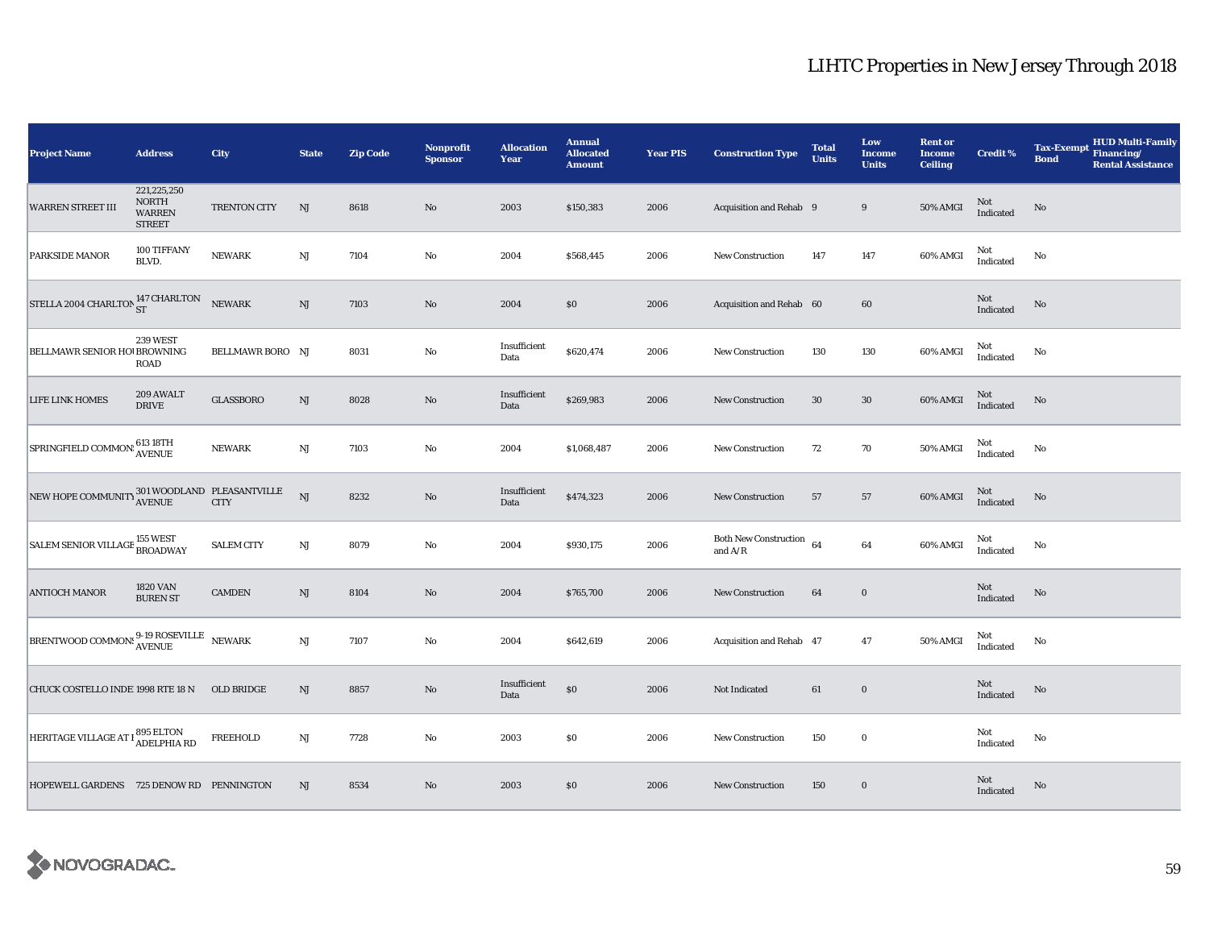| <b>Project Name</b>                                                                                                   | <b>Address</b>                                                | <b>City</b>       | <b>State</b>           | <b>Zip Code</b> | Nonprofit<br><b>Sponsor</b> | <b>Allocation</b><br>Year | <b>Annual</b><br><b>Allocated</b><br><b>Amount</b> | <b>Year PIS</b> | <b>Construction Type</b>                   | <b>Total</b><br><b>Units</b> | Low<br><b>Income</b><br><b>Units</b> | <b>Rent or</b><br><b>Income</b><br><b>Ceiling</b> | <b>Credit %</b>  | <b>HUD Multi-Family</b><br><b>Tax-Exempt</b><br>Financing/<br><b>Bond</b><br><b>Rental Assistance</b> |
|-----------------------------------------------------------------------------------------------------------------------|---------------------------------------------------------------|-------------------|------------------------|-----------------|-----------------------------|---------------------------|----------------------------------------------------|-----------------|--------------------------------------------|------------------------------|--------------------------------------|---------------------------------------------------|------------------|-------------------------------------------------------------------------------------------------------|
| <b>WARREN STREET III</b>                                                                                              | 221,225,250<br><b>NORTH</b><br><b>WARREN</b><br><b>STREET</b> | TRENTON CITY      | NJ                     | 8618            | $\mathbf{N}\mathbf{o}$      | 2003                      | \$150,383                                          | 2006            | Acquisition and Rehab 9                    |                              | 9                                    | 50% AMGI                                          | Not<br>Indicated | No                                                                                                    |
| PARKSIDE MANOR                                                                                                        | 100 TIFFANY<br>BLVD.                                          | <b>NEWARK</b>     | $\rm{NJ}$              | 7104            | No                          | 2004                      | \$568,445                                          | 2006            | <b>New Construction</b>                    | 147                          | 147                                  | 60% AMGI                                          | Not<br>Indicated | No                                                                                                    |
| STELLA 2004 CHARLTON $^{147\, \rm CHARLTON}_{\rm ST}$                                                                 |                                                               | <b>NEWARK</b>     | $\rm{NJ}$              | 7103            | $\rm No$                    | 2004                      | $\$0$                                              | 2006            | Acquisition and Rehab 60                   |                              | 60                                   |                                                   | Not<br>Indicated | $\mathbf{No}$                                                                                         |
| BELLMAWR SENIOR HO! BROWNING                                                                                          | 239 WEST<br><b>ROAD</b>                                       | BELLMAWR BORO NJ  |                        | 8031            | No                          | Insufficient<br>Data      | \$620,474                                          | 2006            | <b>New Construction</b>                    | 130                          | 130                                  | 60% AMGI                                          | Not<br>Indicated | No                                                                                                    |
| LIFE LINK HOMES                                                                                                       | 209 AWALT<br><b>DRIVE</b>                                     | <b>GLASSBORO</b>  | $\mathbf{N}\mathbf{J}$ | 8028            | $\rm No$                    | Insufficient<br>Data      | \$269,983                                          | 2006            | <b>New Construction</b>                    | 30                           | $30\,$                               | 60% AMGI                                          | Not<br>Indicated | No                                                                                                    |
| SPRINGFIELD COMMON: 613 18TH                                                                                          |                                                               | <b>NEWARK</b>     | $\rm{NJ}$              | 7103            | No                          | 2004                      | \$1,068,487                                        | 2006            | New Construction                           | 72                           | 70                                   | <b>50% AMGI</b>                                   | Not<br>Indicated | No                                                                                                    |
| NEW HOPE COMMUNITY 301 WOODLAND PLEASANTVILLE                                                                         |                                                               |                   | <b>NJ</b>              | 8232            | No                          | Insufficient<br>Data      | \$474,323                                          | 2006            | <b>New Construction</b>                    | 57                           | 57                                   | 60% AMGI                                          | Not<br>Indicated | No                                                                                                    |
| SALEM SENIOR VILLAGE <sup>155</sup> WEST                                                                              |                                                               | <b>SALEM CITY</b> | $\mathbf{N}\mathbf{J}$ | 8079            | No                          | 2004                      | \$930,175                                          | 2006            | Both New Construction $\,$ 64<br>and $A/R$ |                              | 64                                   | 60% AMGI                                          | Not<br>Indicated | No                                                                                                    |
| <b>ANTIOCH MANOR</b>                                                                                                  | <b>1820 VAN</b><br><b>BUREN ST</b>                            | <b>CAMDEN</b>     | NJ                     | 8104            | $\rm No$                    | 2004                      | \$765,700                                          | 2006            | <b>New Construction</b>                    | 64                           | $\mathbf 0$                          |                                                   | Not<br>Indicated | No                                                                                                    |
| $\boxed{\text{BRENTWOOD}\ \text{COMMON!}} \substack{\text{9-19}\ \text{ROSEVILLE}}{\text{AVENUE}}\quad \text{NEWARK}$ |                                                               |                   | $\mathbf{N}\mathbf{J}$ | 7107            | $\rm No$                    | 2004                      | \$642,619                                          | 2006            | Acquisition and Rehab 47                   |                              | 47                                   | 50% AMGI                                          | Not<br>Indicated | No                                                                                                    |
| CHUCK COSTELLO INDE 1998 RTE 18 N                                                                                     |                                                               | OLD BRIDGE        | NJ                     | 8857            | $\rm No$                    | Insufficient<br>Data      | $\$0$                                              | 2006            | Not Indicated                              | 61                           | $\mathbf 0$                          |                                                   | Not<br>Indicated | No                                                                                                    |
| HERITAGE VILLAGE AT I 895 ELTON                                                                                       |                                                               | <b>FREEHOLD</b>   | $\rm{NJ}$              | 7728            | No                          | 2003                      | $\$0$                                              | 2006            | New Construction                           | 150                          | $\mathbf 0$                          |                                                   | Not<br>Indicated | No                                                                                                    |
| HOPEWELL GARDENS 725 DENOW RD PENNINGTON                                                                              |                                                               |                   | $\mathrm{NJ}$          | 8534            | No                          | 2003                      | $\$0$                                              | 2006            | <b>New Construction</b>                    | 150                          | $\bf{0}$                             |                                                   | Not<br>Indicated | $\mathbf{No}$                                                                                         |

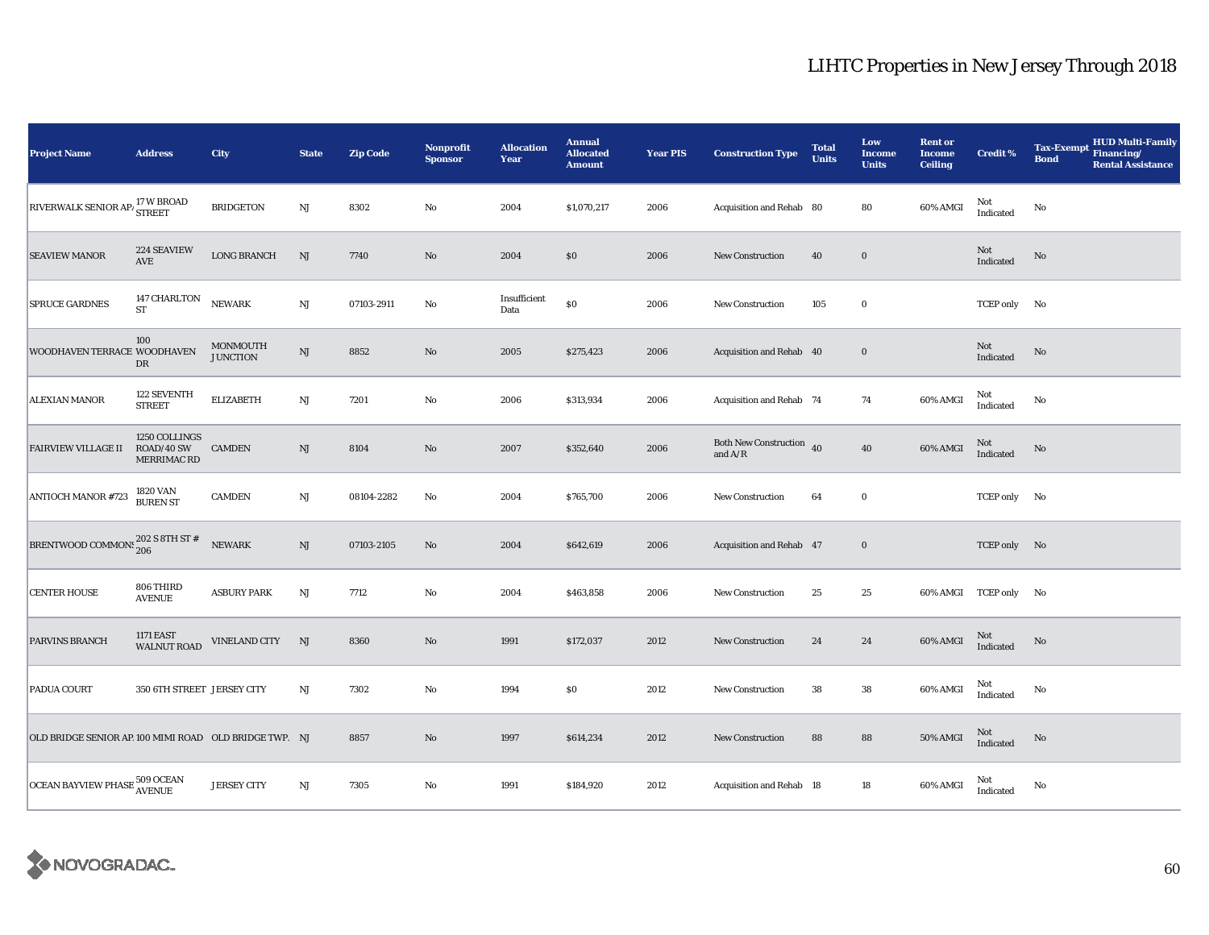| <b>Project Name</b>                                        | <b>Address</b>                             | City                        | <b>State</b>           | <b>Zip Code</b> | <b>Nonprofit</b><br><b>Sponsor</b> | <b>Allocation</b><br>Year | <b>Annual</b><br><b>Allocated</b><br><b>Amount</b> | <b>Year PIS</b> | <b>Construction Type</b>                  | <b>Total</b><br><b>Units</b> | Low<br><b>Income</b><br><b>Units</b> | <b>Rent or</b><br><b>Income</b><br><b>Ceiling</b> | <b>Credit %</b>                                   | <b>HUD Multi-Family</b><br><b>Tax-Exempt</b><br>Financing/<br><b>Bond</b><br><b>Rental Assistance</b> |
|------------------------------------------------------------|--------------------------------------------|-----------------------------|------------------------|-----------------|------------------------------------|---------------------------|----------------------------------------------------|-----------------|-------------------------------------------|------------------------------|--------------------------------------|---------------------------------------------------|---------------------------------------------------|-------------------------------------------------------------------------------------------------------|
| <b>RIVERWALK SENIOR AP/</b>                                | 17 W BROAD<br><b>STREET</b>                | <b>BRIDGETON</b>            | NJ                     | 8302            | $\rm No$                           | 2004                      | \$1,070,217                                        | 2006            | Acquisition and Rehab 80                  |                              | 80                                   | 60% AMGI                                          | Not<br>Indicated                                  | No                                                                                                    |
| <b>SEAVIEW MANOR</b>                                       | 224 SEAVIEW<br>AVE                         | <b>LONG BRANCH</b>          | NJ                     | 7740            | $\rm No$                           | 2004                      | \$0                                                | 2006            | <b>New Construction</b>                   | 40                           | $\mathbf 0$                          |                                                   | Not<br>Indicated                                  | No                                                                                                    |
| <b>SPRUCE GARDNES</b>                                      | 147 CHARLTON<br>ST                         | NEWARK                      | $\mathbf{N}\mathbf{J}$ | 07103-2911      | No                                 | Insufficient<br>Data      | $\$0$                                              | 2006            | <b>New Construction</b>                   | 105                          | $\bf{0}$                             |                                                   | <b>TCEP</b> only                                  | No                                                                                                    |
| WOODHAVEN TERRACE WOODHAVEN                                | 100<br>DR                                  | MONMOUTH<br><b>JUNCTION</b> | $\mathbf{N}\mathbf{J}$ | 8852            | $\rm No$                           | 2005                      | \$275,423                                          | 2006            | Acquisition and Rehab 40                  |                              | $\mathbf 0$                          |                                                   | Not<br>Indicated                                  | No                                                                                                    |
| <b>ALEXIAN MANOR</b>                                       | 122 SEVENTH<br><b>STREET</b>               | <b>ELIZABETH</b>            | $\mathbf{N}\mathbf{J}$ | 7201            | No                                 | 2006                      | \$313,934                                          | 2006            | Acquisition and Rehab 74                  |                              | 74                                   | 60% AMGI                                          | Not<br>Indicated                                  | No                                                                                                    |
| <b>FAIRVIEW VILLAGE II</b>                                 | 1250 COLLINGS<br>ROAD/40 SW<br>MERRIMAC RD | <b>CAMDEN</b>               | $\mathrm{NJ}$          | 8104            | $\rm No$                           | 2007                      | \$352,640                                          | 2006            | Both New Construction 40<br>and $\rm A/R$ |                              | ${\bf 40}$                           | 60% AMGI                                          | Not<br>Indicated                                  | No                                                                                                    |
| <b>ANTIOCH MANOR #723</b>                                  | 1820 VAN<br><b>BUREN ST</b>                | <b>CAMDEN</b>               | $\mathbf{N}\mathbf{J}$ | 08104-2282      | No                                 | 2004                      | \$765,700                                          | 2006            | New Construction                          | 64                           | $\bf{0}$                             |                                                   | TCEP only No                                      |                                                                                                       |
| BRENTWOOD COMMONS $_{\rm 206}^{\rm 202}$ S 8TH ST $\rm \#$ |                                            | NEWARK                      | $\rm{NJ}$              | 07103-2105      | $\rm No$                           | 2004                      | \$642,619                                          | 2006            | Acquisition and Rehab 47                  |                              | $\bf{0}$                             |                                                   | TCEP only No                                      |                                                                                                       |
| <b>CENTER HOUSE</b>                                        | 806 THIRD<br><b>AVENUE</b>                 | <b>ASBURY PARK</b>          | $\mathbf{N}\mathbf{J}$ | 7712            | No                                 | 2004                      | \$463,858                                          | 2006            | <b>New Construction</b>                   | 25                           | 25                                   |                                                   | 60% AMGI TCEP only No                             |                                                                                                       |
| PARVINS BRANCH                                             | <b>1171 EAST</b><br><b>WALNUT ROAD</b>     | <b>VINELAND CITY</b>        | NJ                     | 8360            | $\rm No$                           | 1991                      | \$172,037                                          | 2012            | <b>New Construction</b>                   | 24                           | 24                                   | 60% AMGI                                          | Not<br>Indicated                                  | $\rm No$                                                                                              |
| PADUA COURT                                                | 350 6TH STREET JERSEY CITY                 |                             | NJ                     | 7302            | No                                 | 1994                      | \$0                                                | 2012            | New Construction                          | 38                           | 38                                   | 60% AMGI                                          | Not<br>Indicated                                  | No                                                                                                    |
| OLD BRIDGE SENIOR AP 100 MIMI ROAD OLD BRIDGE TWP. NJ      |                                            |                             |                        | 8857            | $\rm No$                           | 1997                      | \$614,234                                          | 2012            | <b>New Construction</b>                   | 88                           | 88                                   | 50% AMGI                                          | Not<br>Indicated                                  | $\mathbf{No}$                                                                                         |
| OCEAN BAYVIEW PHASE 509 OCEAN                              |                                            | <b>JERSEY CITY</b>          | $\mathbf{N}\mathbf{J}$ | 7305            | $\rm No$                           | 1991                      | \$184,920                                          | 2012            | Acquisition and Rehab 18                  |                              | $18\,$                               | 60% AMGI                                          | Not<br>$\label{thm:indicated} \textbf{Indicated}$ | No                                                                                                    |

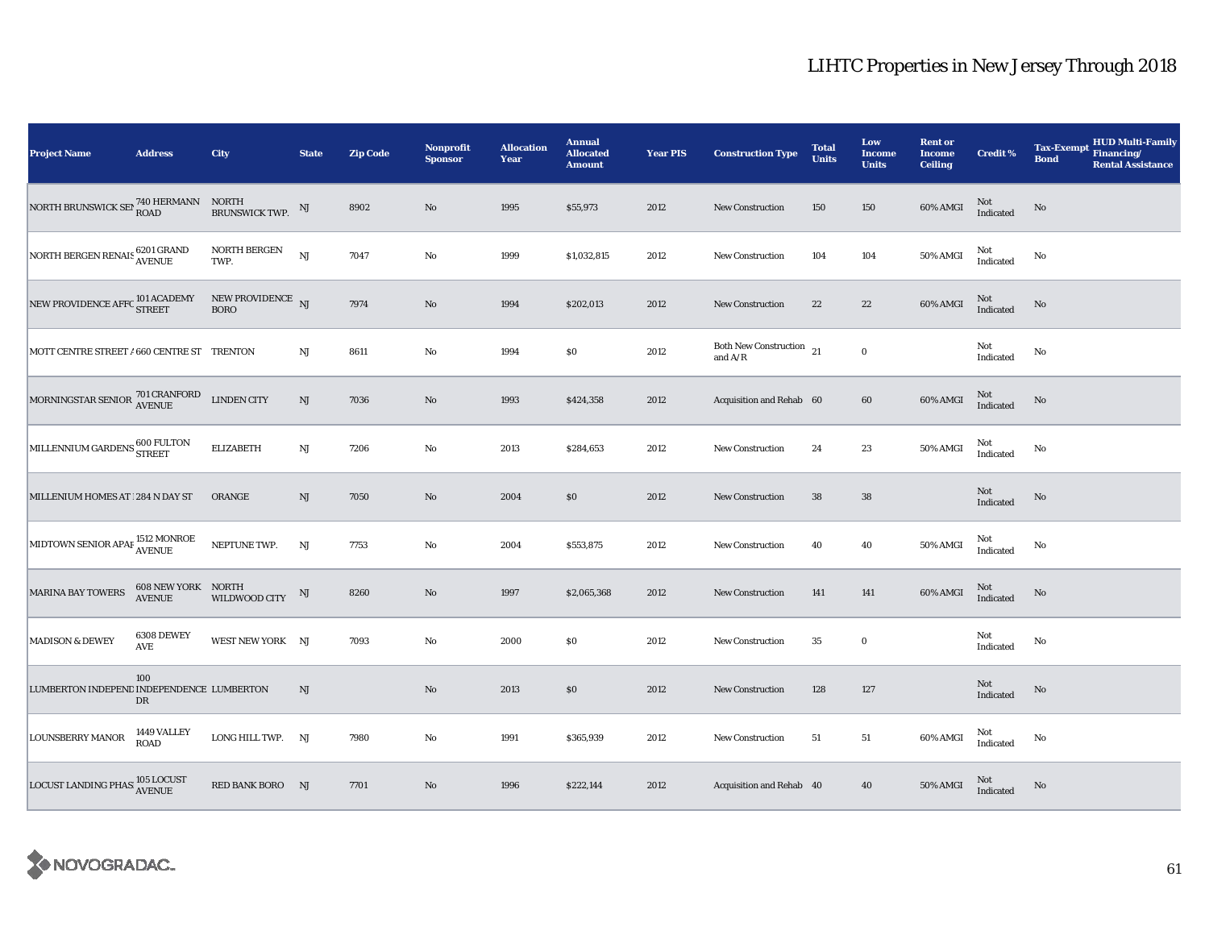| <b>Project Name</b>                                                         | <b>Address</b>                             | City                             | <b>State</b>           | <b>Zip Code</b> | Nonprofit<br><b>Sponsor</b> | <b>Allocation</b><br>Year | <b>Annual</b><br><b>Allocated</b><br><b>Amount</b> | <b>Year PIS</b> | <b>Construction Type</b>                                                                   | <b>Total</b><br><b>Units</b> | Low<br>Income<br><b>Units</b> | <b>Rent or</b><br><b>Income</b><br><b>Ceiling</b> | <b>Credit %</b>     | <b>HUD Multi-Family</b><br><b>Tax-Exempt</b><br>Financing/<br><b>Bond</b><br><b>Rental Assistance</b> |
|-----------------------------------------------------------------------------|--------------------------------------------|----------------------------------|------------------------|-----------------|-----------------------------|---------------------------|----------------------------------------------------|-----------------|--------------------------------------------------------------------------------------------|------------------------------|-------------------------------|---------------------------------------------------|---------------------|-------------------------------------------------------------------------------------------------------|
| NORTH BRUNSWICK SET $_{\rm{ROAD}}^{\rm{740\,HERMANN}}$ NORTH BRUNSWICK TWP. |                                            |                                  | NJ                     | 8902            | $\rm No$                    | 1995                      | \$55,973                                           | 2012            | <b>New Construction</b>                                                                    | 150                          | 150                           | 60% AMGI                                          | Not<br>Indicated    | $\rm No$                                                                                              |
| NORTH BERGEN RENAIS 6201 GRAND<br>AVENUE                                    |                                            | NORTH BERGEN<br>TWP.             | <b>NJ</b>              | 7047            | No                          | 1999                      | \$1,032,815                                        | 2012            | <b>New Construction</b>                                                                    | 104                          | 104                           | 50% AMGI                                          | Not<br>Indicated    | No                                                                                                    |
| NEW PROVIDENCE AFFC $^{101\,\mathrm{ACADEMY}}_{\rm STREET}$                 |                                            | NEW PROVIDENCE NJ<br><b>BORO</b> |                        | 7974            | No                          | 1994                      | \$202,013                                          | 2012            | <b>New Construction</b>                                                                    | 22                           | $22\,$                        | 60% AMGI                                          | $\rm Not$ Indicated | No                                                                                                    |
| MOTT CENTRE STREET / 660 CENTRE ST TRENTON                                  |                                            |                                  | $_{\rm NJ}$            | 8611            | $\rm No$                    | 1994                      | $\$0$                                              | 2012            | Both New Construction $\rm _{21}$<br>and $\ensuremath{\mathrm{A}}/\ensuremath{\mathrm{R}}$ |                              | $\pmb{0}$                     |                                                   | Not<br>Indicated    | No                                                                                                    |
| MORNINGSTAR SENIOR <sup>701</sup> CRANFORD<br>AVENUE                        |                                            | <b>LINDEN CITY</b>               | NJ                     | 7036            | No                          | 1993                      | \$424,358                                          | 2012            | Acquisition and Rehab 60                                                                   |                              | 60                            | 60% AMGI                                          | Not<br>Indicated    | No                                                                                                    |
| MILLENNIUM GARDENS 600 FULTON                                               |                                            | <b>ELIZABETH</b>                 | $\mathbf{N}\mathbf{J}$ | 7206            | $\rm No$                    | 2013                      | \$284,653                                          | 2012            | New Construction                                                                           | 24                           | 23                            | 50% AMGI                                          | Not<br>Indicated    | No                                                                                                    |
| MILLENIUM HOMES AT   284 N DAY ST                                           |                                            | ORANGE                           | NJ                     | 7050            | $\rm No$                    | 2004                      | \$0                                                | 2012            | <b>New Construction</b>                                                                    | 38                           | 38                            |                                                   | Not<br>Indicated    | $\mathbf{No}$                                                                                         |
| MIDTOWN SENIOR APAF <sup>1512</sup> MONROE                                  |                                            | NEPTUNE TWP.                     | $\rm{NJ}$              | 7753            | $\rm No$                    | 2004                      | \$553,875                                          | 2012            | <b>New Construction</b>                                                                    | 40                           | 40                            | 50% AMGI                                          | Not<br>Indicated    | No                                                                                                    |
| <b>MARINA BAY TOWERS</b>                                                    | <b>608 NEW YORK NORTH</b><br><b>AVENUE</b> | WILDWOOD CITY                    | NJ                     | 8260            | No                          | 1997                      | \$2,065,368                                        | 2012            | New Construction                                                                           | 141                          | 141                           | 60% AMGI                                          | Not<br>Indicated    | No                                                                                                    |
| <b>MADISON &amp; DEWEY</b>                                                  | 6308 DEWEY<br>AVE                          | WEST NEW YORK NJ                 |                        | 7093            | $\rm No$                    | 2000                      | \$0\$                                              | 2012            | New Construction                                                                           | 35                           | $\bf{0}$                      |                                                   | Not<br>Indicated    | No                                                                                                    |
| LUMBERTON INDEPEND INDEPENDENCE LUMBERTON                                   | 100<br>$_{\rm DR}$                         |                                  | NJ                     |                 | $\rm No$                    | 2013                      | \$0\$                                              | 2012            | New Construction                                                                           | 128                          | 127                           |                                                   | Not<br>Indicated    | No                                                                                                    |
| <b>LOUNSBERRY MANOR</b>                                                     | 1449 VALLEY<br>ROAD                        | LONG HILL TWP. NJ                |                        | 7980            | No                          | 1991                      | \$365,939                                          | 2012            | <b>New Construction</b>                                                                    | 51                           | 51                            | 60% AMGI                                          | Not<br>Indicated    | No                                                                                                    |
| LOCUST LANDING PHAS 105 LOCUST                                              |                                            | RED BANK BORO NJ                 |                        | 7701            | No                          | 1996                      | \$222,144                                          | 2012            | Acquisition and Rehab 40                                                                   |                              | 40                            | <b>50% AMGI</b>                                   | Not<br>Indicated    | No                                                                                                    |

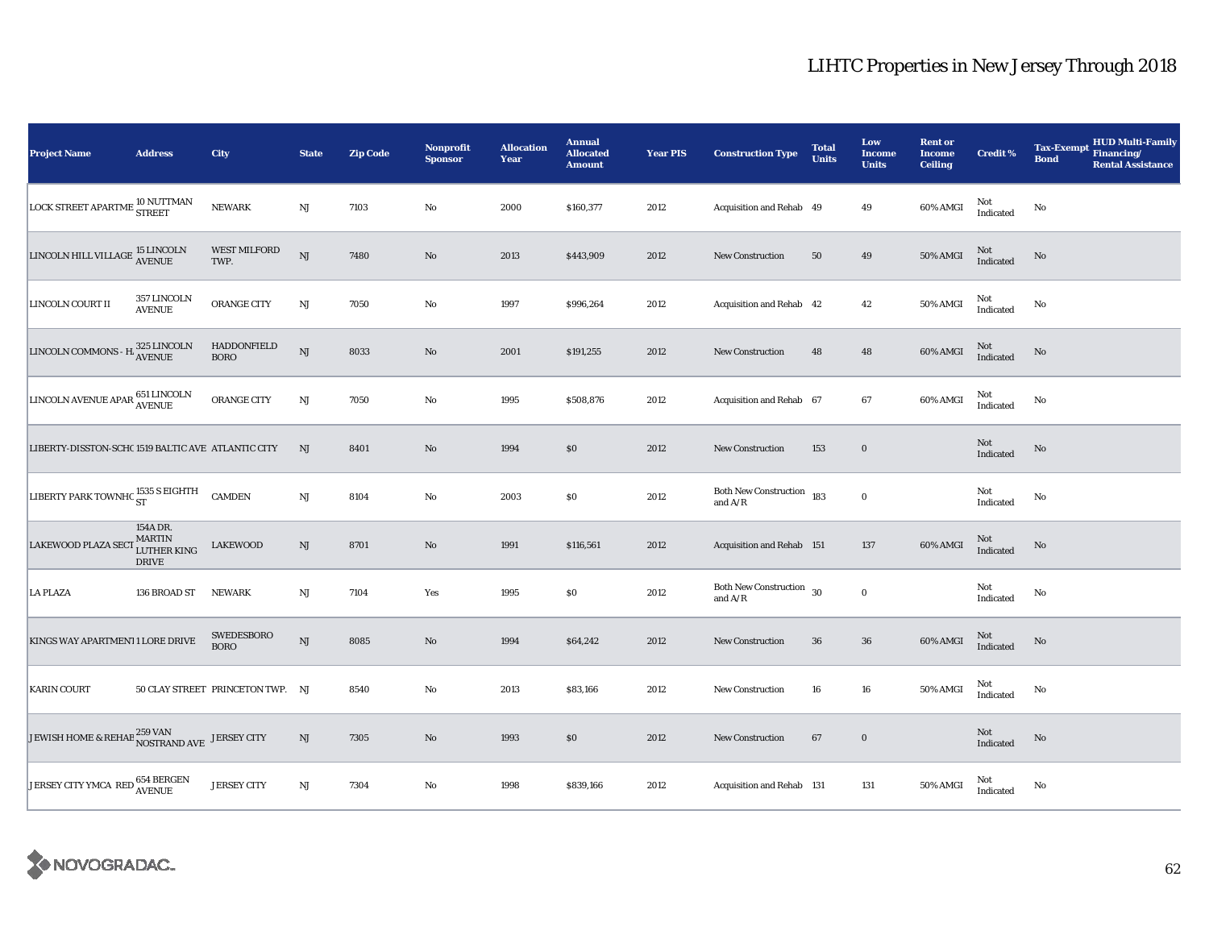| <b>Project Name</b>                                                                                                                       | <b>Address</b>                                           | City                             | <b>State</b>           | <b>Zip Code</b> | Nonprofit<br><b>Sponsor</b> | <b>Allocation</b><br>Year | <b>Annual</b><br><b>Allocated</b><br><b>Amount</b> | <b>Year PIS</b> | <b>Construction Type</b>                  | <b>Total</b><br><b>Units</b> | Low<br>Income<br><b>Units</b> | <b>Rent or</b><br><b>Income</b><br><b>Ceiling</b> | <b>Credit %</b>  | <b>HUD Multi-Family</b><br><b>Tax-Exempt</b><br>Financing/<br><b>Bond</b><br><b>Rental Assistance</b> |
|-------------------------------------------------------------------------------------------------------------------------------------------|----------------------------------------------------------|----------------------------------|------------------------|-----------------|-----------------------------|---------------------------|----------------------------------------------------|-----------------|-------------------------------------------|------------------------------|-------------------------------|---------------------------------------------------|------------------|-------------------------------------------------------------------------------------------------------|
| LOCK STREET APARTME IV IVU I                                                                                                              | <b>10 NUTTMAN</b>                                        | <b>NEWARK</b>                    | $\mathbf{N}\mathbf{J}$ | 7103            | No                          | 2000                      | \$160,377                                          | 2012            | Acquisition and Rehab 49                  |                              | 49                            | 60% AMGI                                          | Not<br>Indicated | No                                                                                                    |
| $\fbox{\texttt{LINCOLN}\texttt{HILL} \texttt{VILLAGE}}\begin{smallmatrix} \texttt{15}\texttt{LINCOLN}\\\texttt{AVENUE} \end{smallmatrix}$ |                                                          | <b>WEST MILFORD</b><br>TWP.      | NJ                     | 7480            | $\rm No$                    | 2013                      | \$443,909                                          | 2012            | <b>New Construction</b>                   | 50                           | 49                            | 50% AMGI                                          | Not<br>Indicated | No                                                                                                    |
| LINCOLN COURT II                                                                                                                          | 357 LINCOLN<br><b>AVENUE</b>                             | ORANGE CITY                      | NJ                     | 7050            | $\mathbf{No}$               | 1997                      | \$996,264                                          | 2012            | Acquisition and Rehab 42                  |                              | 42                            | 50% AMGI                                          | Not<br>Indicated | No                                                                                                    |
| LINCOLN COMMONS - H $_{\mbox{AVENUE}}^{325\mbox{\,LINCOLN}}$                                                                              |                                                          | HADDONFIELD<br><b>BORO</b>       | NJ                     | 8033            | $\mathbf{No}$               | 2001                      | \$191,255                                          | 2012            | <b>New Construction</b>                   | 48                           | 48                            | 60% AMGI                                          | Not<br>Indicated | No                                                                                                    |
| LINCOLN AVENUE APAR 651 LINCOLN<br>AVENUE                                                                                                 |                                                          | ORANGE CITY                      | $_{\rm NJ}$            | 7050            | No                          | 1995                      | \$508,876                                          | 2012            | Acquisition and Rehab 67                  |                              | 67                            | 60% AMGI                                          | Not<br>Indicated | No                                                                                                    |
| LIBERTY-DISSTON-SCHC 1519 BALTIC AVE ATLANTIC CITY                                                                                        |                                                          |                                  | NJ                     | 8401            | $\rm No$                    | 1994                      | \$0                                                | 2012            | New Construction                          | 153                          | $\bf{0}$                      |                                                   | Not<br>Indicated | No                                                                                                    |
| LIBERTY PARK TOWNHC ST                                                                                                                    |                                                          | <b>CAMDEN</b>                    | $\mathbf{N}\mathbf{J}$ | 8104            | $\mathbf {No}$              | 2003                      | \$0                                                | 2012            | <b>Both New Construction</b><br>and $A/R$ | 183                          | $\bf{0}$                      |                                                   | Not<br>Indicated | No                                                                                                    |
| <b>LAKEWOOD PLAZA SECT</b>                                                                                                                | 154A DR.<br><b>MARTIN</b><br>LUTHER KING<br><b>DRIVE</b> | <b>LAKEWOOD</b>                  | $\mathrm{NJ}$          | 8701            | $\rm No$                    | 1991                      | \$116,561                                          | 2012            | Acquisition and Rehab 151                 |                              | 137                           | 60% AMGI                                          | Not<br>Indicated | No                                                                                                    |
| <b>LA PLAZA</b>                                                                                                                           | 136 BROAD ST                                             | <b>NEWARK</b>                    | NJ                     | 7104            | Yes                         | 1995                      | $\$0$                                              | 2012            | <b>Both New Construction</b><br>and $A/R$ | 30                           | $\bf{0}$                      |                                                   | Not<br>Indicated | No                                                                                                    |
| KINGS WAY APARTMENT1 LORE DRIVE                                                                                                           |                                                          | SWEDESBORO<br><b>BORO</b>        | $\mathbf{N}\mathbf{J}$ | 8085            | No                          | 1994                      | \$64,242                                           | 2012            | <b>New Construction</b>                   | 36                           | ${\bf 36}$                    | 60% AMGI                                          | Not<br>Indicated | No                                                                                                    |
| <b>KARIN COURT</b>                                                                                                                        |                                                          | 50 CLAY STREET PRINCETON TWP. NJ |                        | 8540            | No                          | 2013                      | \$83,166                                           | 2012            | New Construction                          | 16                           | ${\bf 16}$                    | 50% AMGI                                          | Not<br>Indicated | No                                                                                                    |
| JEWISH HOME & REHAB 259 VAN NOSTRAND AVE                                                                                                  |                                                          | <b>JERSEY CITY</b>               | $\rm{NJ}$              | 7305            | $\rm No$                    | 1993                      | \$0                                                | 2012            | New Construction                          | 67                           | $\boldsymbol{0}$              |                                                   | Not<br>Indicated | No                                                                                                    |
| JERSEY CITY YMCA RED 654 BERGEN                                                                                                           |                                                          | <b>JERSEY CITY</b>               | $\mathbf{N}\mathbf{J}$ | 7304            | $\mathbf{No}$               | 1998                      | \$839,166                                          | 2012            | Acquisition and Rehab 131                 |                              | 131                           | 50% AMGI                                          | Not<br>Indicated | No                                                                                                    |

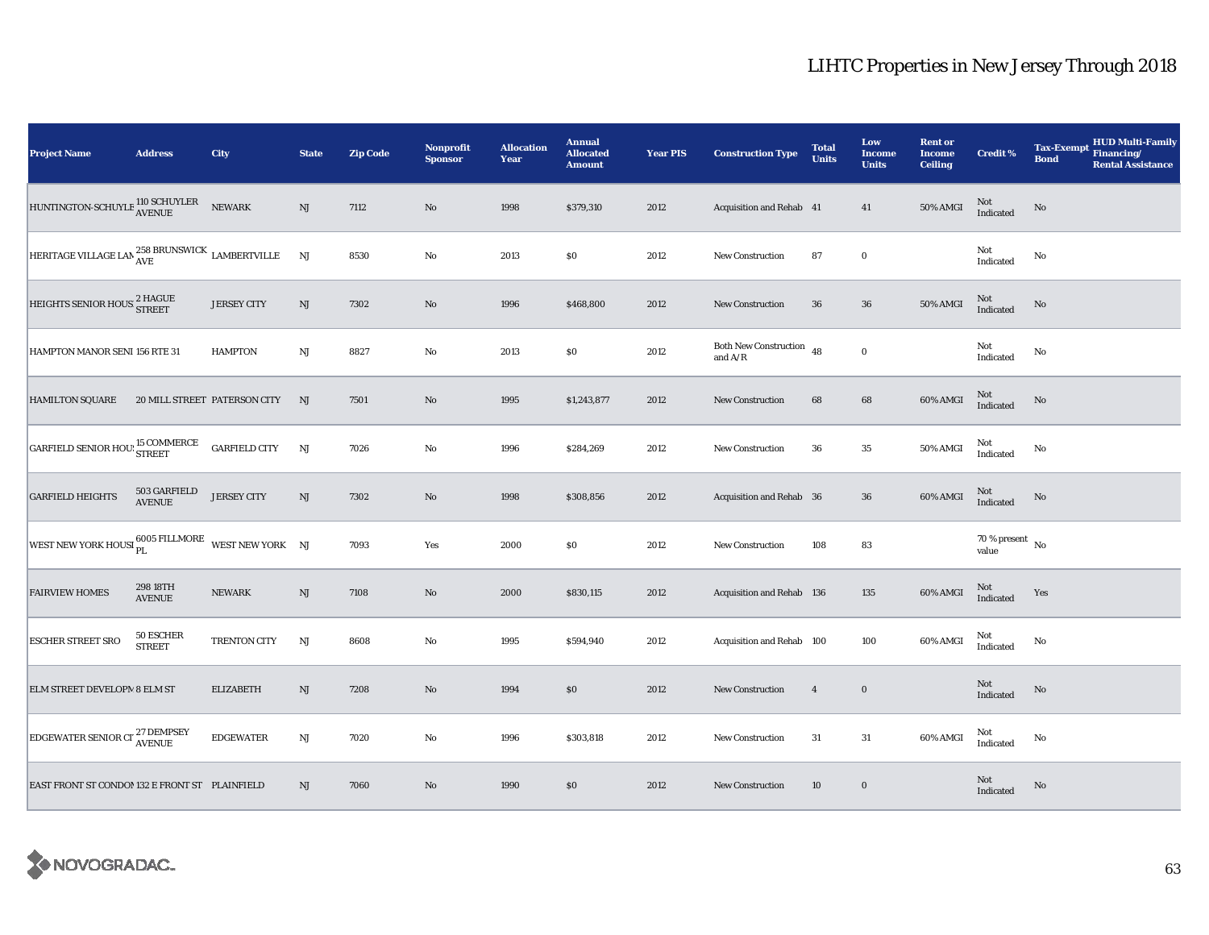| <b>Project Name</b>                                                     | <b>Address</b>                | City                         | <b>State</b>           | <b>Zip Code</b> | <b>Nonprofit</b><br><b>Sponsor</b> | <b>Allocation</b><br>Year | <b>Annual</b><br><b>Allocated</b><br><b>Amount</b> | <b>Year PIS</b> | <b>Construction Type</b>                                                            | <b>Total</b><br><b>Units</b> | Low<br>Income<br><b>Units</b> | <b>Rent or</b><br><b>Income</b><br><b>Ceiling</b> | <b>Credit %</b>                    | <b>Tax-Exempt</b><br><b>Bond</b> | <b>HUD Multi-Family</b><br>Financing/<br><b>Rental Assistance</b> |
|-------------------------------------------------------------------------|-------------------------------|------------------------------|------------------------|-----------------|------------------------------------|---------------------------|----------------------------------------------------|-----------------|-------------------------------------------------------------------------------------|------------------------------|-------------------------------|---------------------------------------------------|------------------------------------|----------------------------------|-------------------------------------------------------------------|
| HUNTINGTON-SCHUYLE 110 SCHUYLER                                         |                               | <b>NEWARK</b>                | $\mathbf{N}\mathbf{J}$ | 7112            | $\rm No$                           | 1998                      | \$379,310                                          | 2012            | Acquisition and Rehab 41                                                            |                              | 41                            | 50% AMGI                                          | $\mbox{Not}$ Indicated             | $\mathbf{No}$                    |                                                                   |
| HERITAGE VILLAGE LAN $_{\rm AVE}^{258}$ BRUNSWICK $_{\rm LAMBERTVILLE}$ |                               |                              | NJ                     | 8530            | $\rm No$                           | 2013                      | \$0\$                                              | 2012            | New Construction                                                                    | 87                           | $\mathbf 0$                   |                                                   | Not<br>Indicated                   | No                               |                                                                   |
| HEIGHTS SENIOR HOUS <sup>2</sup> HAGUE                                  |                               | <b>JERSEY CITY</b>           | NJ                     | 7302            | No                                 | 1996                      | \$468,800                                          | 2012            | <b>New Construction</b>                                                             | 36                           | 36                            | 50% AMGI                                          | $\rm Not$ Indicated                | $\rm No$                         |                                                                   |
| HAMPTON MANOR SENI 156 RTE 31                                           |                               | <b>HAMPTON</b>               | $_{\rm NJ}$            | 8827            | $\rm No$                           | 2013                      | $\$0$                                              | 2012            | Both New Construction $48$<br>and $\ensuremath{\mathrm{A}}/\ensuremath{\mathrm{R}}$ |                              | $\boldsymbol{0}$              |                                                   | Not<br>Indicated                   | No                               |                                                                   |
| <b>HAMILTON SQUARE</b>                                                  |                               | 20 MILL STREET PATERSON CITY | NJ                     | 7501            | $\rm No$                           | 1995                      | \$1,243,877                                        | 2012            | <b>New Construction</b>                                                             | 68                           | $\bf68$                       | 60% AMGI                                          | $\rm Not$ Indicated                | $\rm No$                         |                                                                   |
| GARFIELD SENIOR HOU: 15 COMMERCE                                        |                               | <b>GARFIELD CITY</b>         | NJ                     | 7026            | $\rm No$                           | 1996                      | \$284,269                                          | 2012            | New Construction                                                                    | 36                           | $\bf 35$                      | 50% AMGI                                          | Not<br>Indicated                   | $\mathbf{No}$                    |                                                                   |
| <b>GARFIELD HEIGHTS</b>                                                 | 503 GARFIELD<br><b>AVENUE</b> | <b>JERSEY CITY</b>           | NJ                     | 7302            | No                                 | 1998                      | \$308,856                                          | 2012            | Acquisition and Rehab 36                                                            |                              | 36                            | 60% AMGI                                          | Not<br>Indicated                   | No                               |                                                                   |
| WEST NEW YORK HOUSI PL 6005 FILLMORE WEST NEW YORK NJ                   |                               |                              |                        | 7093            | Yes                                | 2000                      | $\$0$                                              | 2012            | New Construction                                                                    | 108                          | 83                            |                                                   | 70 % present $\,$ No $\,$<br>value |                                  |                                                                   |
| <b>FAIRVIEW HOMES</b>                                                   | 298 18TH<br><b>AVENUE</b>     | <b>NEWARK</b>                | NJ                     | 7108            | No                                 | 2000                      | \$830,115                                          | 2012            | Acquisition and Rehab 136                                                           |                              | 135                           | 60% AMGI                                          | Not<br>Indicated                   | Yes                              |                                                                   |
| <b>ESCHER STREET SRO</b>                                                | 50 ESCHER<br><b>STREET</b>    | TRENTON CITY                 | NJ                     | 8608            | $\rm No$                           | 1995                      | \$594,940                                          | 2012            | Acquisition and Rehab 100                                                           |                              | 100                           | 60% AMGI                                          | Not<br>Indicated                   | $\mathbf{No}$                    |                                                                   |
| ELM STREET DEVELOPM 8 ELM ST                                            |                               | <b>ELIZABETH</b>             | $\rm{NJ}$              | 7208            | $\rm No$                           | 1994                      | \$0\$                                              | 2012            | New Construction                                                                    | $\overline{4}$               | $\mathbf 0$                   |                                                   | Not<br>Indicated                   | No                               |                                                                   |
| EDGEWATER SENIOR CT <sup>27</sup> DEMPSEY                               |                               | <b>EDGEWATER</b>             | $_{\rm NJ}$            | 7020            | No                                 | 1996                      | \$303,818                                          | 2012            | <b>New Construction</b>                                                             | 31                           | 31                            | 60% AMGI                                          | Not<br>Indicated                   | No                               |                                                                   |
| EAST FRONT ST CONDOM 132 E FRONT ST PLAINFIELD                          |                               |                              | NJ                     | 7060            | No                                 | 1990                      | \$0                                                | 2012            | <b>New Construction</b>                                                             | 10                           | $\bf{0}$                      |                                                   | Not<br>Indicated                   | $\mathbf{N}\mathbf{o}$           |                                                                   |

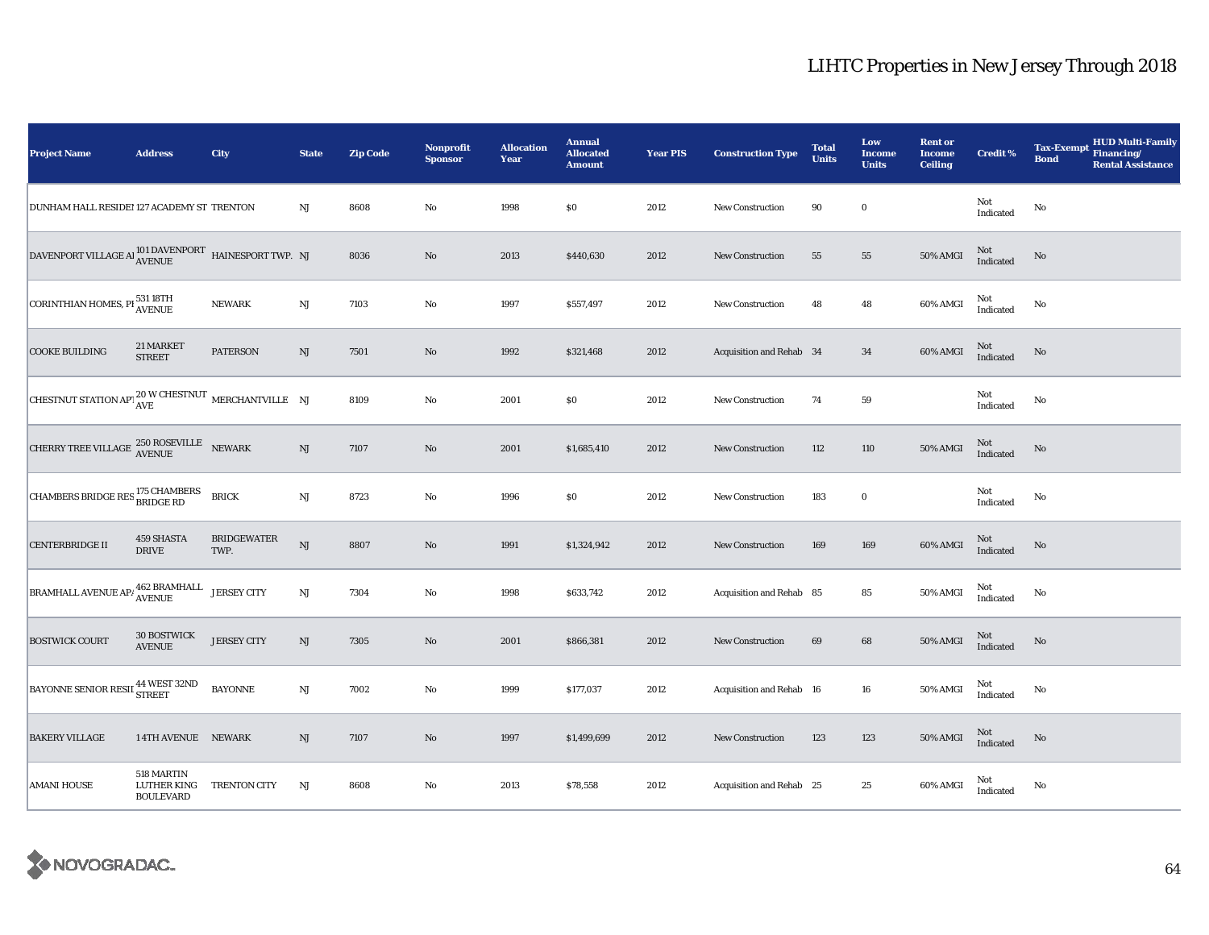| <b>Project Name</b>                                                                                                                | <b>Address</b>                                       | City                       | <b>State</b>           | <b>Zip Code</b> | Nonprofit<br><b>Sponsor</b> | <b>Allocation</b><br>Year | <b>Annual</b><br><b>Allocated</b><br><b>Amount</b> | <b>Year PIS</b> | <b>Construction Type</b> | <b>Total</b><br><b>Units</b> | Low<br><b>Income</b><br><b>Units</b> | <b>Rent or</b><br><b>Income</b><br><b>Ceiling</b> | <b>Credit %</b>  | <b>HUD Multi-Family</b><br><b>Tax-Exempt</b><br>Financing/<br><b>Bond</b><br><b>Rental Assistance</b> |
|------------------------------------------------------------------------------------------------------------------------------------|------------------------------------------------------|----------------------------|------------------------|-----------------|-----------------------------|---------------------------|----------------------------------------------------|-----------------|--------------------------|------------------------------|--------------------------------------|---------------------------------------------------|------------------|-------------------------------------------------------------------------------------------------------|
| DUNHAM HALL RESIDEI 127 ACADEMY ST TRENTON                                                                                         |                                                      |                            | NJ                     | 8608            | No                          | 1998                      | \$0                                                | 2012            | <b>New Construction</b>  | 90                           | $\bf{0}$                             |                                                   | Not<br>Indicated | No                                                                                                    |
| $\begin{tabular}{ll} \textbf{DAVENDORT VILLAGE A} & \textbf{101 DAVENDORT} & \textbf{HAINESPORT TWP.} & \textbf{NJ} \end{tabular}$ |                                                      |                            |                        | 8036            | $\mathbf{No}$               | 2013                      | \$440,630                                          | 2012            | <b>New Construction</b>  | 55                           | 55                                   | 50% AMGI                                          | Not<br>Indicated | No                                                                                                    |
| CORINTHIAN HOMES, PI 531 18TH                                                                                                      |                                                      | <b>NEWARK</b>              | $\rm{NJ}$              | 7103            | $\mathbf{No}$               | 1997                      | \$557,497                                          | 2012            | New Construction         | 48                           | 48                                   | 60% AMGI                                          | Not<br>Indicated | No                                                                                                    |
| <b>COOKE BUILDING</b>                                                                                                              | 21 MARKET<br><b>STREET</b>                           | <b>PATERSON</b>            | $\mathbf{N}\mathbf{J}$ | 7501            | $\rm No$                    | 1992                      | \$321,468                                          | 2012            | Acquisition and Rehab 34 |                              | 34                                   | 60% AMGI                                          | Not<br>Indicated | No                                                                                                    |
| CHESTNUT STATION APT $_{\text{AVE}}^{20 \text{ W } \text{CHESTNUT}}$ MERCHANTVILLE NJ                                              |                                                      |                            |                        | 8109            | $\rm No$                    | 2001                      | \$0                                                | 2012            | <b>New Construction</b>  | 74                           | ${\bf 59}$                           |                                                   | Not<br>Indicated | No                                                                                                    |
| $\begin{tabular}{ll} \bf{CHERRY TREE \: VILLAGE & \color{red}{250 ROSEVILLE} & \color{red}{NEWARK} \end{tabular}$                  |                                                      |                            | $\mathbf{N}\mathbf{J}$ | 7107            | $\rm No$                    | 2001                      | \$1,685,410                                        | 2012            | <b>New Construction</b>  | 112                          | 110                                  | 50% AMGI                                          | Not<br>Indicated | No                                                                                                    |
| CHAMBERS BRIDGE RES <sup>175</sup> CHAMBERS                                                                                        |                                                      | <b>BRICK</b>               | $\mathbf{N}\mathbf{J}$ | 8723            | $\rm No$                    | 1996                      | \$0                                                | 2012            | <b>New Construction</b>  | 183                          | $\boldsymbol{0}$                     |                                                   | Not<br>Indicated | $\rm No$                                                                                              |
| <b>CENTERBRIDGE II</b>                                                                                                             | 459 SHASTA<br><b>DRIVE</b>                           | <b>BRIDGEWATER</b><br>TWP. | $\mathbf{N}\mathbf{J}$ | 8807            | $\rm No$                    | 1991                      | \$1,324,942                                        | 2012            | New Construction         | 169                          | 169                                  | 60% AMGI                                          | Not<br>Indicated | No                                                                                                    |
| BRAMHALL AVENUE AP/462 BRAMHALL                                                                                                    |                                                      | <b>JERSEY CITY</b>         | $\mathbf{N}\mathbf{J}$ | 7304            | $\mathbf{No}$               | 1998                      | \$633,742                                          | 2012            | Acquisition and Rehab 85 |                              | 85                                   | 50% AMGI                                          | Not<br>Indicated | No                                                                                                    |
| <b>BOSTWICK COURT</b>                                                                                                              | <b>30 BOSTWICK</b><br><b>AVENUE</b>                  | <b>JERSEY CITY</b>         | NJ                     | 7305            | $\rm No$                    | 2001                      | \$866,381                                          | 2012            | <b>New Construction</b>  | 69                           | 68                                   | <b>50% AMGI</b>                                   | Not<br>Indicated | No                                                                                                    |
| BAYONNE SENIOR RESII 44 WEST 32ND                                                                                                  |                                                      | <b>BAYONNE</b>             | $_{\rm NJ}$            | 7002            | $\rm No$                    | 1999                      | \$177,037                                          | 2012            | Acquisition and Rehab 16 |                              | 16                                   | 50% AMGI                                          | Not<br>Indicated | No                                                                                                    |
| <b>BAKERY VILLAGE</b>                                                                                                              | 14TH AVENUE NEWARK                                   |                            | $\mathrm{NJ}$          | 7107            | No                          | 1997                      | \$1,499,699                                        | 2012            | <b>New Construction</b>  | 123                          | 123                                  | <b>50% AMGI</b>                                   | Not<br>Indicated | No                                                                                                    |
| <b>AMANI HOUSE</b>                                                                                                                 | 518 MARTIN<br><b>LUTHER KING</b><br><b>BOULEVARD</b> | <b>TRENTON CITY</b>        | NJ                     | 8608            | No                          | 2013                      | \$78,558                                           | 2012            | Acquisition and Rehab 25 |                              | 25                                   | 60% AMGI                                          | Not<br>Indicated | No                                                                                                    |

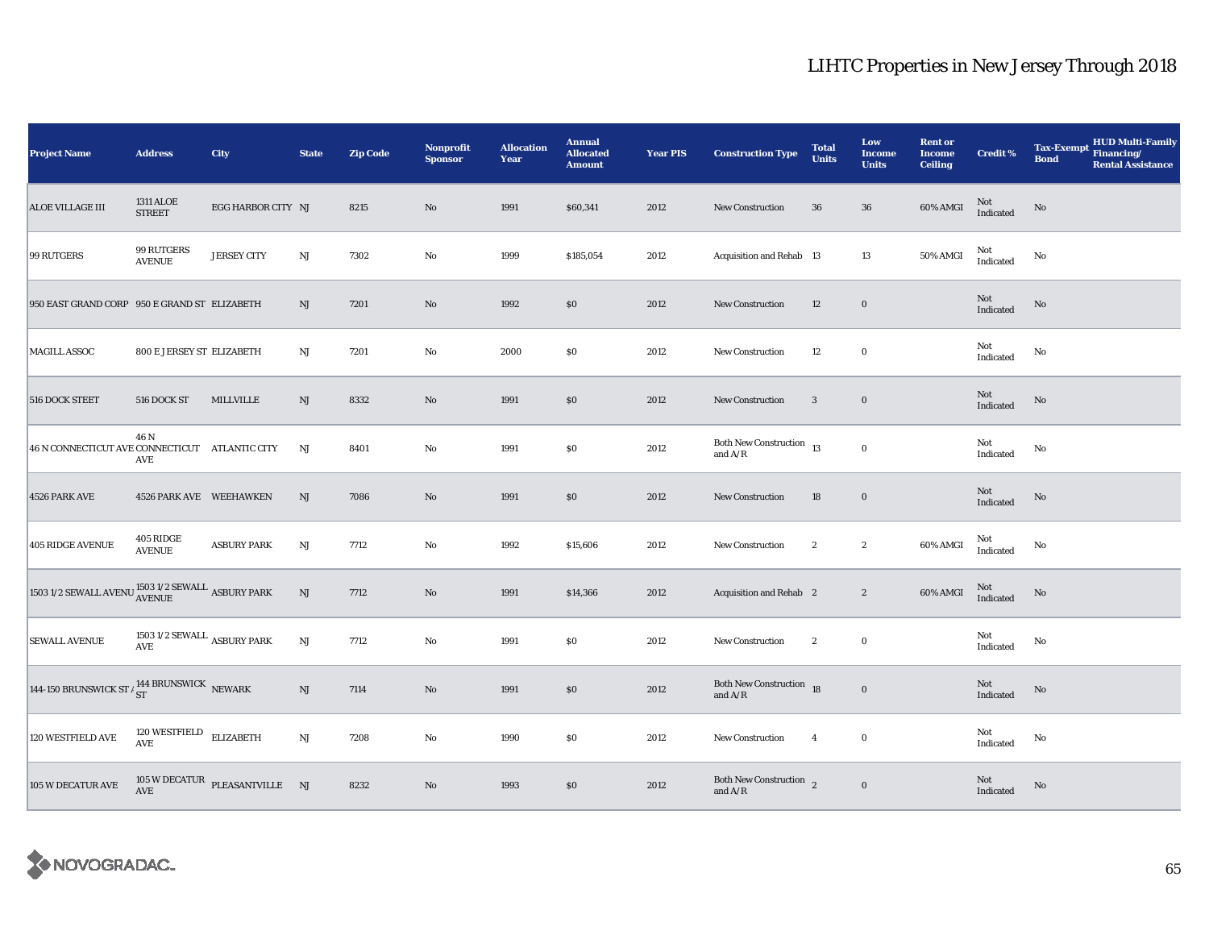| <b>Project Name</b>                                                    | <b>Address</b>                                                    | City                                                     | <b>State</b>  | <b>Zip Code</b> | <b>Nonprofit</b><br><b>Sponsor</b> | <b>Allocation</b><br>Year | <b>Annual</b><br><b>Allocated</b><br><b>Amount</b> | <b>Year PIS</b> | <b>Construction Type</b>                                                                                          | <b>Total</b><br><b>Units</b> | Low<br><b>Income</b><br><b>Units</b> | <b>Rent or</b><br><b>Income</b><br><b>Ceiling</b> | <b>Credit %</b>        | HUD Multi-Family<br><b>Tax-Exempt</b><br>Financing/<br><b>Bond</b><br><b>Rental Assistance</b> |
|------------------------------------------------------------------------|-------------------------------------------------------------------|----------------------------------------------------------|---------------|-----------------|------------------------------------|---------------------------|----------------------------------------------------|-----------------|-------------------------------------------------------------------------------------------------------------------|------------------------------|--------------------------------------|---------------------------------------------------|------------------------|------------------------------------------------------------------------------------------------|
| <b>ALOE VILLAGE III</b>                                                | <b>1311 ALOE</b><br><b>STREET</b>                                 | EGG HARBOR CITY NJ                                       |               | 8215            | $\rm No$                           | 1991                      | \$60,341                                           | 2012            | <b>New Construction</b>                                                                                           | 36                           | 36                                   | 60% AMGI                                          | $\mbox{Not}$ Indicated | $\rm No$                                                                                       |
| 99 RUTGERS                                                             | 99 RUTGERS<br><b>AVENUE</b>                                       | <b>JERSEY CITY</b>                                       | NJ            | 7302            | No                                 | 1999                      | \$185,054                                          | 2012            | Acquisition and Rehab 13                                                                                          |                              | 13                                   | 50% AMGI                                          | Not<br>Indicated       | No                                                                                             |
| 950 EAST GRAND CORP 950 E GRAND ST ELIZABETH                           |                                                                   |                                                          | $\rm{NJ}$     | 7201            | No                                 | 1992                      | \$0                                                | 2012            | New Construction                                                                                                  | 12                           | $\mathbf 0$                          |                                                   | Not<br>Indicated       | No                                                                                             |
| <b>MAGILL ASSOC</b>                                                    | <b>800 E JERSEY ST ELIZABETH</b>                                  |                                                          | $_{\rm NJ}$   | 7201            | $\rm No$                           | 2000                      | $\$0$                                              | 2012            | <b>New Construction</b>                                                                                           | 12                           | $\boldsymbol{0}$                     |                                                   | Not<br>Indicated       | No                                                                                             |
| 516 DOCK STEET                                                         | 516 DOCK ST                                                       | MILLVILLE                                                | NJ            | 8332            | No                                 | 1991                      | $\$0$                                              | 2012            | <b>New Construction</b>                                                                                           | 3                            | $\bf{0}$                             |                                                   | Not<br>Indicated       | No                                                                                             |
| 46 N CONNECTICUT AVE CONNECTICUT ATLANTIC CITY                         | 46 N<br>AVE                                                       |                                                          | NJ            | 8401            | $\rm No$                           | 1991                      | $\$0$                                              | 2012            | Both New Construction $\begin{array}{cc} 13 \end{array}$<br>and $\ensuremath{\mathrm{A}}/\ensuremath{\mathrm{R}}$ |                              | $\mathbf 0$                          |                                                   | Not<br>Indicated       | No                                                                                             |
| 4526 PARK AVE                                                          | 4526 PARK AVE WEEHAWKEN                                           |                                                          | NJ            | 7086            | $\rm No$                           | 1991                      | \$0                                                | 2012            | New Construction                                                                                                  | 18                           | $\bf{0}$                             |                                                   | Not<br>Indicated       | $\mathbf{No}$                                                                                  |
| <b>405 RIDGE AVENUE</b>                                                | 405 RIDGE<br><b>AVENUE</b>                                        | <b>ASBURY PARK</b>                                       | $\rm{NJ}$     | 7712            | $\rm No$                           | 1992                      | \$15,606                                           | 2012            | <b>New Construction</b>                                                                                           | $\boldsymbol{2}$             | $\boldsymbol{2}$                     | 60% AMGI                                          | Not<br>Indicated       | No                                                                                             |
| $1503$ 1/2 SEWALL AVENU ${\rm \overline{1503}}$ 1/2 SEWALL ASBURY PARK |                                                                   |                                                          | $\mathrm{NJ}$ | 7712            | No                                 | 1991                      | \$14,366                                           | 2012            | <b>Acquisition and Rehab</b> 2                                                                                    |                              | $\boldsymbol{2}$                     | 60% AMGI                                          | Not<br>Indicated       | No                                                                                             |
| <b>SEWALL AVENUE</b>                                                   | 1503 1/2 SEWALL $\,$ ASBURY PARK<br>$\operatorname{\mathbf{AVE}}$ |                                                          | NJ            | 7712            | $\rm No$                           | 1991                      | $\$0$                                              | 2012            | New Construction                                                                                                  | $\boldsymbol{2}$             | $\bf{0}$                             |                                                   | Not<br>Indicated       | No                                                                                             |
| 144-150 BRUNSWICK ST $/ \frac{144}{ST}$ BRUNSWICK NEWARK               |                                                                   |                                                          | NJ            | 7114            | $\rm No$                           | 1991                      | \$0                                                | 2012            | Both New Construction 18<br>and $\ensuremath{\mathrm{A}}/\ensuremath{\mathrm{R}}$                                 |                              | $\mathbf 0$                          |                                                   | Not<br>Indicated       | No                                                                                             |
| 120 WESTFIELD AVE                                                      | 120 WESTFIELD $$\tt ELIZABETH$$<br>$\operatorname{AVE}$           |                                                          | NJ            | 7208            | No                                 | 1990                      | \$0\$                                              | 2012            | <b>New Construction</b>                                                                                           | $\overline{4}$               | $\bf{0}$                             |                                                   | Not<br>Indicated       | No                                                                                             |
| 105 W DECATUR AVE                                                      |                                                                   | $105\,\mathrm{W}\,\mathrm{DECATUR}$ PLEASANTVILLE NJ AVE |               | 8232            | No                                 | 1993                      | $\$0$                                              | 2012            | Both New Construction $\frac{1}{2}$<br>and $\ensuremath{\mathrm{A}}\xspace/\ensuremath{\mathrm{R}}\xspace$        |                              | $\mathbf 0$                          |                                                   | Not<br>Indicated       | No                                                                                             |

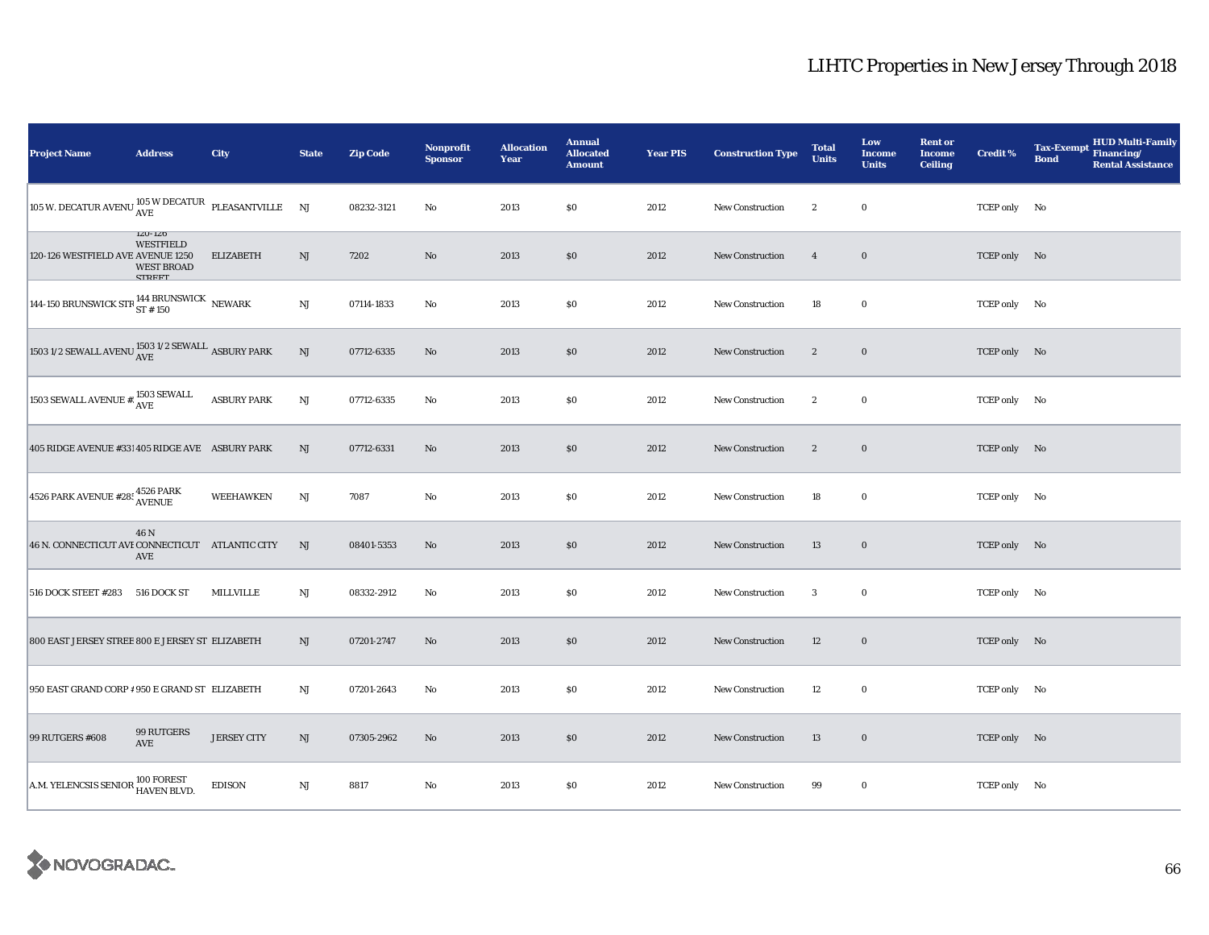| <b>Project Name</b>                                                                         | <b>Address</b>                                                        | <b>City</b>        | <b>State</b>           | <b>Zip Code</b> | <b>Nonprofit</b><br><b>Sponsor</b> | <b>Allocation</b><br>Year | <b>Annual</b><br><b>Allocated</b><br><b>Amount</b> | <b>Year PIS</b> | <b>Construction Type</b> | <b>Total</b><br><b>Units</b> | Low<br>Income<br><b>Units</b> | <b>Rent or</b><br><b>Income</b><br><b>Ceiling</b> | <b>Credit %</b> | <b>HUD Multi-Family</b><br><b>Tax-Exempt</b><br>Financing/<br><b>Bond</b><br><b>Rental Assistance</b> |
|---------------------------------------------------------------------------------------------|-----------------------------------------------------------------------|--------------------|------------------------|-----------------|------------------------------------|---------------------------|----------------------------------------------------|-----------------|--------------------------|------------------------------|-------------------------------|---------------------------------------------------|-----------------|-------------------------------------------------------------------------------------------------------|
| 105 W. DECATUR AVENU $\frac{105}{\text{AVE}}$ PLEASANTVILLE NJ                              |                                                                       |                    |                        | 08232-3121      | No                                 | 2013                      | \$0                                                | 2012            | <b>New Construction</b>  | $\boldsymbol{2}$             | $\bf{0}$                      |                                                   | TCEP only No    |                                                                                                       |
| 120-126 WESTFIELD AVE AVENUE 1250                                                           | $120 - 120$<br><b>WESTFIELD</b><br><b>WEST BROAD</b><br><b>CTDEET</b> | <b>ELIZABETH</b>   | NJ                     | 7202            | $\rm No$                           | 2013                      | \$0                                                | 2012            | <b>New Construction</b>  | $\overline{4}$               | $\bf{0}$                      |                                                   | TCEP only No    |                                                                                                       |
| 144-150 BRUNSWICK STR $_{\rm ST~ {\small H~150}}^{144~{\small BRUNSWICK}}$ NEWARK           |                                                                       |                    | $\rm{NJ}$              | 07114-1833      | No                                 | 2013                      | $\$0$                                              | 2012            | <b>New Construction</b>  | 18                           | $\bf{0}$                      |                                                   | TCEP only No    |                                                                                                       |
| 1503 1/2 SEWALL AVENU $\frac{\text{1503 1/2} }{\text{AVE}}$ ASBURY PARK                     |                                                                       |                    | $\mathbf{N}\mathbf{J}$ | 07712-6335      | No                                 | 2013                      | \$0                                                | 2012            | New Construction         | $\boldsymbol{2}$             | $\bf{0}$                      |                                                   | TCEP only No    |                                                                                                       |
| $ 1503 \:\textrm{SEWALL} \:\textrm{AVENUE} \:\# \vdots \:\: \textrm{AVE} \:\: \textrm{AVE}$ |                                                                       | <b>ASBURY PARK</b> | $\mathbf{N}\mathbf{J}$ | 07712-6335      | No                                 | 2013                      | $\$0$                                              | 2012            | New Construction         | $\boldsymbol{2}$             | $\bf{0}$                      |                                                   | TCEP only No    |                                                                                                       |
| 405 RIDGE AVENUE #331 405 RIDGE AVE ASBURY PARK                                             |                                                                       |                    | NJ                     | 07712-6331      | No                                 | 2013                      | \$0                                                | 2012            | New Construction         | $\boldsymbol{2}$             | $\bf{0}$                      |                                                   | TCEP only No    |                                                                                                       |
| $4526$ PARK AVENUE #28: $4526$ PARK<br>AVENUE                                               |                                                                       | <b>WEEHAWKEN</b>   | $\rm{NJ}$              | 7087            | No                                 | 2013                      | \$0                                                | 2012            | New Construction         | 18                           | $\mathbf 0$                   |                                                   | TCEP only No    |                                                                                                       |
| 46 N. CONNECTICUT AVI CONNECTICUT ATLANTIC CITY                                             | 46 N<br>AVE                                                           |                    | NJ                     | 08401-5353      | No                                 | 2013                      | \$0                                                | 2012            | <b>New Construction</b>  | 13                           | $\boldsymbol{0}$              |                                                   | TCEP only No    |                                                                                                       |
| 516 DOCK STEET #283 516 DOCK ST                                                             |                                                                       | MILLVILLE          | NJ                     | 08332-2912      | No                                 | 2013                      | $\$0$                                              | 2012            | New Construction         | $\boldsymbol{3}$             | $\bf{0}$                      |                                                   | TCEP only No    |                                                                                                       |
| 800 EAST JERSEY STREE 800 E JERSEY ST ELIZABETH                                             |                                                                       |                    | NJ                     | 07201-2747      | $\mathbf{N}\mathbf{o}$             | 2013                      | \$0                                                | 2012            | <b>New Construction</b>  | 12                           | $\boldsymbol{0}$              |                                                   | TCEP only No    |                                                                                                       |
| 950 EAST GRAND CORP # 950 E GRAND ST ELIZABETH                                              |                                                                       |                    | NJ                     | 07201-2643      | No                                 | 2013                      | \$0                                                | 2012            | New Construction         | 12                           | $\bf{0}$                      |                                                   | TCEP only No    |                                                                                                       |
| 99 RUTGERS #608                                                                             | 99 RUTGERS<br>AVE                                                     | <b>JERSEY CITY</b> | NJ                     | 07305-2962      | No                                 | 2013                      | \$0                                                | 2012            | New Construction         | 13                           | $\boldsymbol{0}$              |                                                   | TCEP only No    |                                                                                                       |
| A.M. YELENCSIS SENIOR 100 FOREST<br>HAVEN BLVD.                                             |                                                                       | <b>EDISON</b>      | $_{\rm NJ}$            | 8817            | No                                 | 2013                      | \$0                                                | 2012            | New Construction         | 99                           | $\bf{0}$                      |                                                   | TCEP only No    |                                                                                                       |

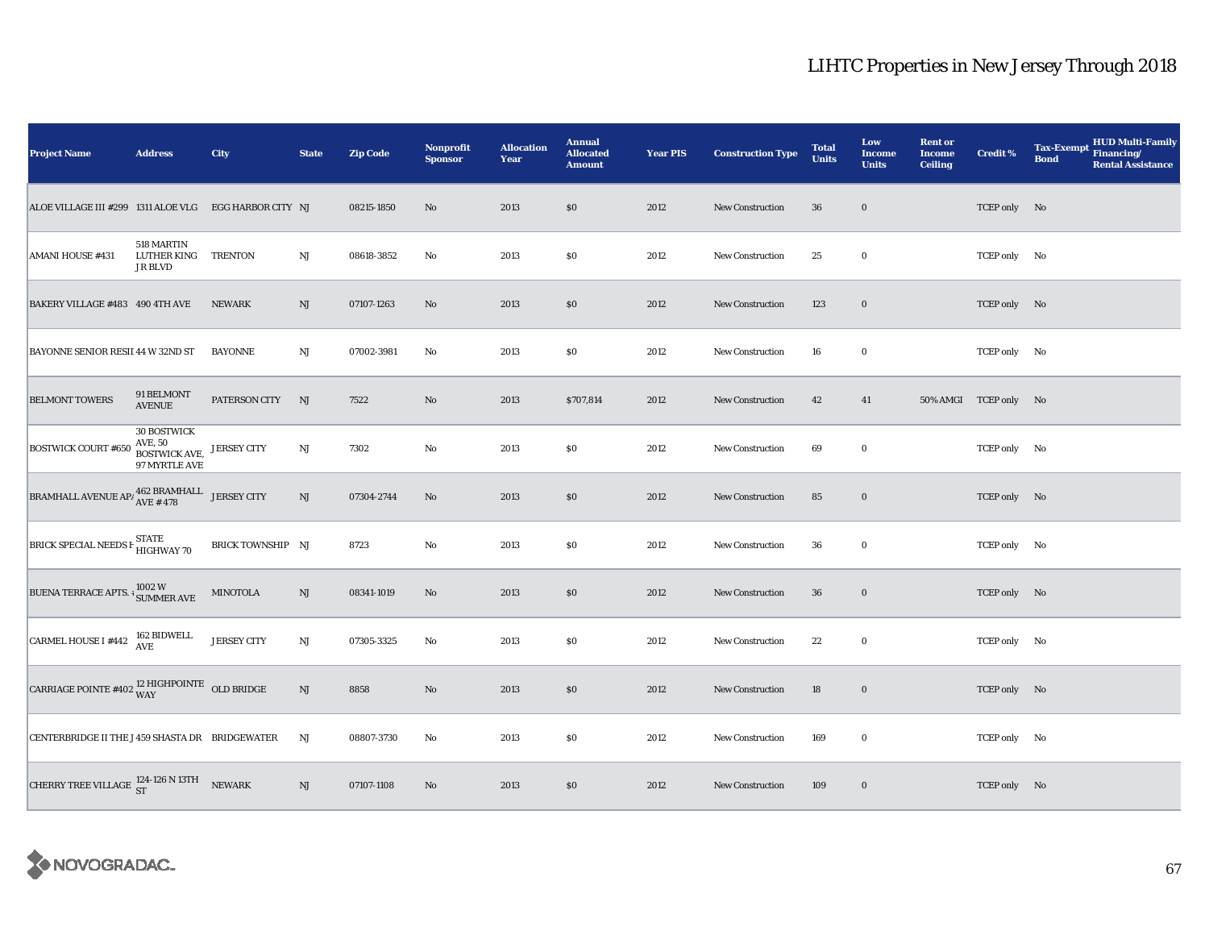| <b>Project Name</b>                                                                        | <b>Address</b>                                                  | City               | <b>State</b>           | <b>Zip Code</b> | <b>Nonprofit</b><br><b>Sponsor</b> | <b>Allocation</b><br>Year | <b>Annual</b><br><b>Allocated</b><br><b>Amount</b> | <b>Year PIS</b> | <b>Construction Type</b> | <b>Total</b><br><b>Units</b> | Low<br><b>Income</b><br><b>Units</b> | <b>Rent or</b><br><b>Income</b><br><b>Ceiling</b> | <b>Credit %</b>       | <b>Tax-Exempt</b><br><b>Bond</b> | <b>HUD Multi-Family</b><br>Financing/<br><b>Rental Assistance</b> |
|--------------------------------------------------------------------------------------------|-----------------------------------------------------------------|--------------------|------------------------|-----------------|------------------------------------|---------------------------|----------------------------------------------------|-----------------|--------------------------|------------------------------|--------------------------------------|---------------------------------------------------|-----------------------|----------------------------------|-------------------------------------------------------------------|
| ALOE VILLAGE III #299 1311 ALOE VLG EGG HARBOR CITY NJ                                     |                                                                 |                    |                        | 08215-1850      | No                                 | 2013                      | \$0\$                                              | 2012            | <b>New Construction</b>  | 36                           | $\mathbf 0$                          |                                                   | TCEP only No          |                                  |                                                                   |
| <b>AMANI HOUSE #431</b>                                                                    | 518 MARTIN<br>LUTHER KING TRENTON<br><b>JR BLVD</b>             |                    | $_{\rm NJ}$            | 08618-3852      | No                                 | 2013                      | \$0                                                | 2012            | New Construction         | 25                           | $\bf{0}$                             |                                                   | TCEP only No          |                                  |                                                                   |
| BAKERY VILLAGE #483 490 4TH AVE                                                            |                                                                 | <b>NEWARK</b>      | NJ                     | 07107-1263      | $\rm No$                           | 2013                      | \$0                                                | 2012            | <b>New Construction</b>  | 123                          | $\bf{0}$                             |                                                   | TCEP only No          |                                  |                                                                   |
| BAYONNE SENIOR RESII 44 W 32ND ST                                                          |                                                                 | <b>BAYONNE</b>     | $_{\rm NJ}$            | 07002-3981      | No                                 | 2013                      | \$0                                                | 2012            | New Construction         | 16                           | $\bf{0}$                             |                                                   | TCEP only No          |                                  |                                                                   |
| <b>BELMONT TOWERS</b>                                                                      | 91 BELMONT<br><b>AVENUE</b>                                     | PATERSON CITY      | NJ                     | 7522            | No                                 | 2013                      | \$707,814                                          | 2012            | <b>New Construction</b>  | 42                           | 41                                   |                                                   | 50% AMGI TCEP only No |                                  |                                                                   |
| <b>BOSTWICK COURT #650</b>                                                                 | <b>30 BOSTWICK</b><br>AVE, 50<br>BOSTWICK AVE,<br>97 MYRTLE AVE | <b>JERSEY CITY</b> | NJ                     | 7302            | No                                 | 2013                      | \$0                                                | 2012            | New Construction         | 69                           | $\bf{0}$                             |                                                   | TCEP only No          |                                  |                                                                   |
| $\begin{tabular}{ll} \bf BRAMHALL AVENUE AP/ $462 BRAMHALL & JERSEY CITY \\ \end{tabular}$ |                                                                 |                    | $\mathbf{N}\mathbf{J}$ | 07304-2744      | No                                 | 2013                      | \$0                                                | 2012            | <b>New Construction</b>  | 85                           | $\bf{0}$                             |                                                   | TCEP only No          |                                  |                                                                   |
| BRICK SPECIAL NEEDS F STATE<br>HIGHWAY 70                                                  |                                                                 | BRICK TOWNSHIP NJ  |                        | 8723            | No                                 | 2013                      | $\$0$                                              | 2012            | New Construction         | 36                           | $\bf{0}$                             |                                                   | TCEP only No          |                                  |                                                                   |
| BUENA TERRACE APTS. $\frac{1}{3}$ SUMMER AVE                                               |                                                                 | <b>MINOTOLA</b>    | NJ                     | 08341-1019      | No                                 | 2013                      | \$0                                                | 2012            | <b>New Construction</b>  | ${\bf 36}$                   | $\bf{0}$                             |                                                   | TCEP only No          |                                  |                                                                   |
| CARMEL HOUSE I #442 $162$ BIDWELL                                                          |                                                                 | <b>JERSEY CITY</b> | $\mathbf{N}\mathbf{J}$ | 07305-3325      | No                                 | 2013                      | $\$0$                                              | 2012            | <b>New Construction</b>  | 22                           | $\mathbf 0$                          |                                                   | TCEP only No          |                                  |                                                                   |
| CARRIAGE POINTE #402 $^{12}$ HIGHPOINTE OLD BRIDGE                                         |                                                                 |                    | NJ                     | 8858            | $\rm No$                           | 2013                      | \$0                                                | 2012            | New Construction         | 18                           | $\bf{0}$                             |                                                   | TCEP only No          |                                  |                                                                   |
| CENTERBRIDGE II THE J 459 SHASTA DR BRIDGEWATER                                            |                                                                 |                    | NJ                     | 08807-3730      | No                                 | 2013                      | \$0                                                | 2012            | <b>New Construction</b>  | 169                          | $\bf{0}$                             |                                                   | TCEP only No          |                                  |                                                                   |
| CHERRY TREE VILLAGE $^{124-126 \text{ N} 13 \text{T}H}_{\text{ST}}$ NEWARK                 |                                                                 |                    | NJ                     | 07107-1108      | $\rm No$                           | 2013                      | $\$0$                                              | 2012            | <b>New Construction</b>  | 109                          | $\bf{0}$                             |                                                   | TCEP only No          |                                  |                                                                   |

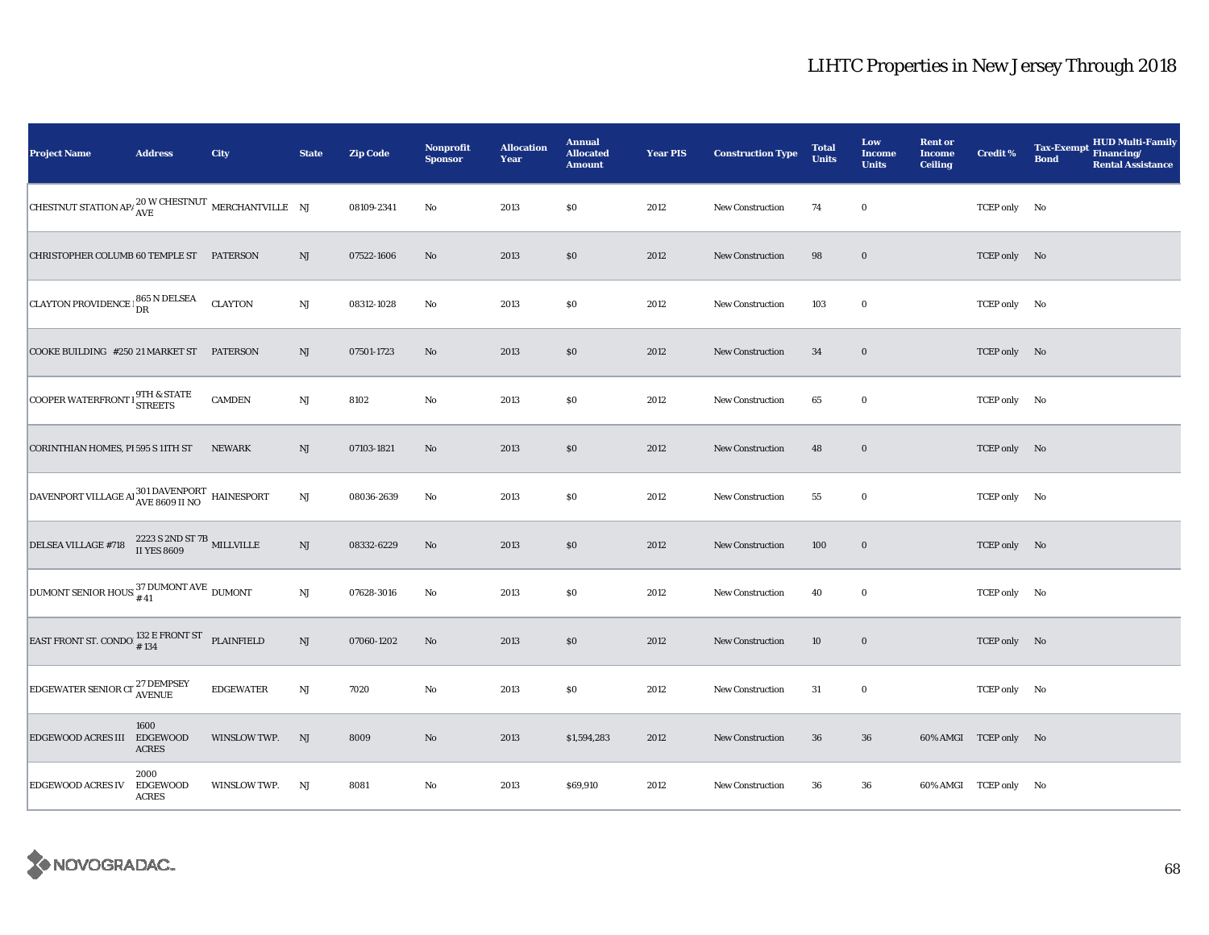| <b>Project Name</b>                                                                   | <b>Address</b>                          | City             | <b>State</b>           | <b>Zip Code</b> | <b>Nonprofit</b><br><b>Sponsor</b> | <b>Allocation</b><br>Year | <b>Annual</b><br><b>Allocated</b><br><b>Amount</b> | <b>Year PIS</b> | <b>Construction Type</b> | <b>Total</b><br><b>Units</b> | Low<br>Income<br><b>Units</b> | <b>Rent or</b><br><b>Income</b><br><b>Ceiling</b> | <b>Credit %</b>       | <b>HUD Multi-Family</b><br><b>Tax-Exempt</b><br>Financing/<br><b>Bond</b><br><b>Rental Assistance</b> |
|---------------------------------------------------------------------------------------|-----------------------------------------|------------------|------------------------|-----------------|------------------------------------|---------------------------|----------------------------------------------------|-----------------|--------------------------|------------------------------|-------------------------------|---------------------------------------------------|-----------------------|-------------------------------------------------------------------------------------------------------|
| CHESTNUT STATION AP/ $_{\text{AVE}}^{20 \text{ W } \text{CHESTNUT}}$ MERCHANTVILLE NJ |                                         |                  |                        | 08109-2341      | $\rm No$                           | 2013                      | $\$0$                                              | 2012            | New Construction         | 74                           | $\bf{0}$                      |                                                   | TCEP only No          |                                                                                                       |
| CHRISTOPHER COLUMB 60 TEMPLE ST PATERSON                                              |                                         |                  | NJ                     | 07522-1606      | No                                 | 2013                      | $\$0$                                              | 2012            | New Construction         | 98                           | $\mathbf 0$                   |                                                   | TCEP only No          |                                                                                                       |
| CLAYTON PROVIDENCE   865 N DELSEA                                                     |                                         | <b>CLAYTON</b>   | NJ                     | 08312-1028      | $\rm No$                           | 2013                      | $\$0$                                              | 2012            | <b>New Construction</b>  | 103                          | $\bf{0}$                      |                                                   | TCEP only No          |                                                                                                       |
| COOKE BUILDING #250 21 MARKET ST PATERSON                                             |                                         |                  | NJ                     | 07501-1723      | No                                 | 2013                      | \$0                                                | 2012            | <b>New Construction</b>  | 34                           | $\mathbf 0$                   |                                                   | TCEP only No          |                                                                                                       |
| COOPER WATERFRONT I STREETS                                                           |                                         | <b>CAMDEN</b>    | $_{\rm NJ}$            | 8102            | $\rm No$                           | 2013                      | $\$0$                                              | 2012            | <b>New Construction</b>  | 65                           | $\bf{0}$                      |                                                   | TCEP only No          |                                                                                                       |
| CORINTHIAN HOMES, PI 595 S 11TH ST                                                    |                                         | <b>NEWARK</b>    | NJ                     | 07103-1821      | No                                 | 2013                      | \$0                                                | 2012            | <b>New Construction</b>  | 48                           | $\bf{0}$                      |                                                   | TCEP only No          |                                                                                                       |
| DAVENPORT VILLAGE AI 301 DAVENPORT HAINESPORT                                         |                                         |                  | $\mathrm{NJ}$          | 08036-2639      | No                                 | 2013                      | $\$0$                                              | 2012            | <b>New Construction</b>  | 55                           | $\bf{0}$                      |                                                   | TCEP only No          |                                                                                                       |
| <b>DELSEA VILLAGE #718</b>                                                            | 2223 S 2ND ST 7B<br>II YES 8609         |                  | NJ                     | 08332-6229      | No                                 | 2013                      | \$0                                                | 2012            | New Construction         | 100                          | $\bf{0}$                      |                                                   | TCEP only No          |                                                                                                       |
| DUMONT SENIOR HOUS: $^{37}_{\#41}$ DUMONT AVE DUMONT                                  |                                         |                  | $\mathbf{N}\mathbf{J}$ | 07628-3016      | No                                 | 2013                      | \$0                                                | 2012            | New Construction         | 40                           | $\bf{0}$                      |                                                   | TCEP only No          |                                                                                                       |
| EAST FRONT ST. CONDO $^{132}_{\text{\#}}$ E FRONT ST PLAINFIELD                       |                                         |                  | NJ                     | 07060-1202      | No                                 | 2013                      | \$0\$                                              | 2012            | <b>New Construction</b>  | 10                           | $\bf{0}$                      |                                                   | TCEP only No          |                                                                                                       |
| <b>EDGEWATER SENIOR CT</b> <sup>27</sup> DEMPSEY                                      |                                         | <b>EDGEWATER</b> | NJ                     | 7020            | $\rm No$                           | 2013                      | \$0                                                | 2012            | New Construction         | 31                           | $\bf{0}$                      |                                                   | TCEP only No          |                                                                                                       |
| EDGEWOOD ACRES III EDGEWOOD                                                           | 1600<br><b>ACRES</b>                    | WINSLOW TWP.     | NJ                     | 8009            | No                                 | 2013                      | \$1,594,283                                        | 2012            | <b>New Construction</b>  | 36                           | 36                            |                                                   | 60% AMGI TCEP only No |                                                                                                       |
| <b>EDGEWOOD ACRES IV</b>                                                              | 2000<br><b>EDGEWOOD</b><br><b>ACRES</b> | WINSLOW TWP.     | NJ                     | 8081            | No                                 | 2013                      | \$69,910                                           | 2012            | <b>New Construction</b>  | 36                           | 36                            |                                                   | 60% AMGI TCEP only No |                                                                                                       |

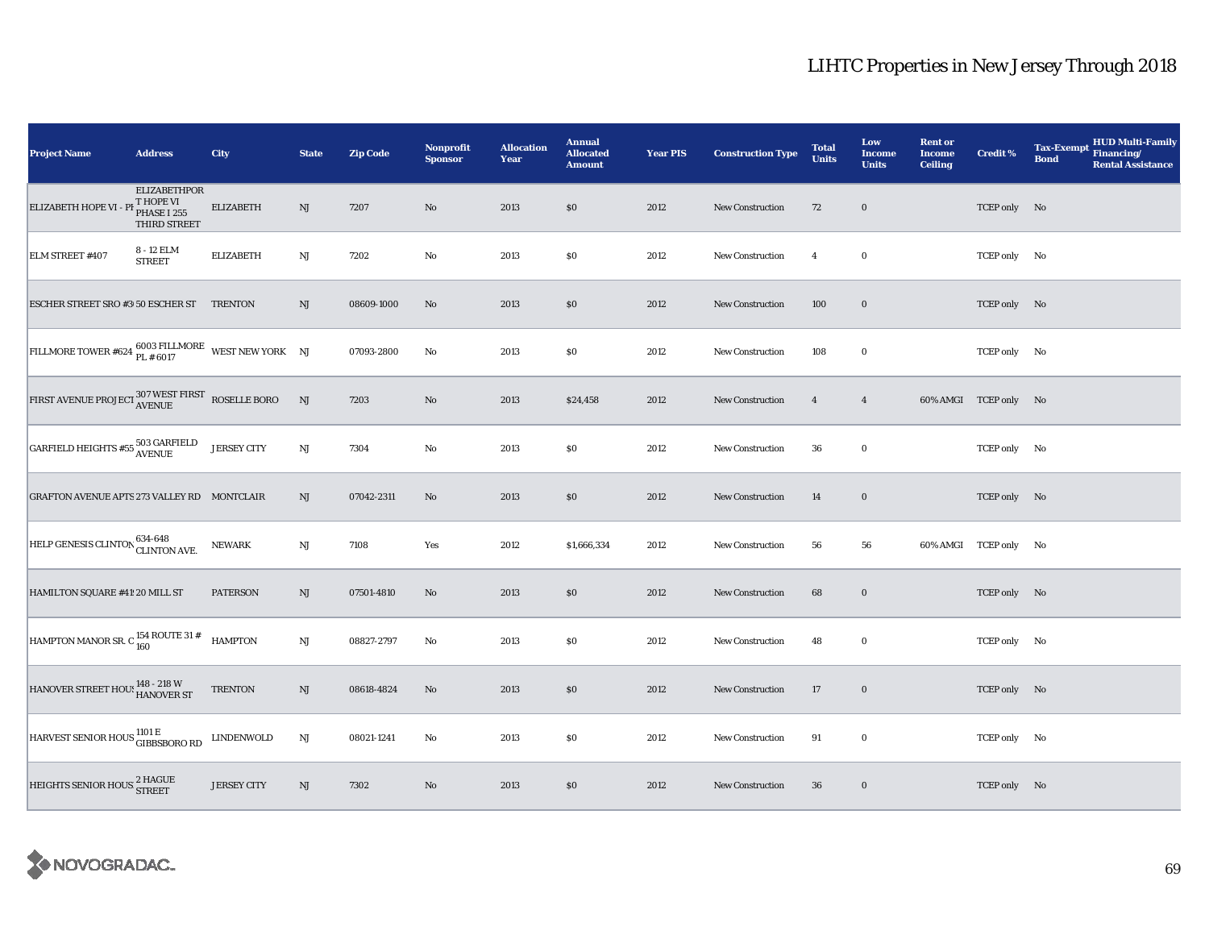| <b>Project Name</b>                                                                                                                                                                          | <b>Address</b>                                                               | City               | <b>State</b>  | <b>Zip Code</b> | <b>Nonprofit</b><br><b>Sponsor</b> | <b>Allocation</b><br>Year | <b>Annual</b><br><b>Allocated</b><br><b>Amount</b> | <b>Year PIS</b> | <b>Construction Type</b> | <b>Total</b><br><b>Units</b> | Low<br>Income<br><b>Units</b> | <b>Rent or</b><br><b>Income</b><br><b>Ceiling</b> | <b>Credit %</b>       | <b>Tax-Exempt</b><br><b>Bond</b> | <b>HUD Multi-Family</b><br>Financing/<br><b>Rental Assistance</b> |
|----------------------------------------------------------------------------------------------------------------------------------------------------------------------------------------------|------------------------------------------------------------------------------|--------------------|---------------|-----------------|------------------------------------|---------------------------|----------------------------------------------------|-----------------|--------------------------|------------------------------|-------------------------------|---------------------------------------------------|-----------------------|----------------------------------|-------------------------------------------------------------------|
| ELIZABETH HOPE VI -                                                                                                                                                                          | <b>ELIZABETHPOR</b><br><sup>F</sup> T HOPE VI<br>PHASE I 255<br>THIRD STREET | <b>ELIZABETH</b>   | NJ            | 7207            | $\rm No$                           | 2013                      | \$0                                                | 2012            | <b>New Construction</b>  | 72                           | $\mathbf 0$                   |                                                   | TCEP only No          |                                  |                                                                   |
| ELM STREET #407                                                                                                                                                                              | 8 - 12 ELM<br><b>STREET</b>                                                  | <b>ELIZABETH</b>   | NJ            | 7202            | No                                 | 2013                      | \$0                                                | 2012            | New Construction         | $\overline{4}$               | $\bf{0}$                      |                                                   | TCEP only No          |                                  |                                                                   |
| ESCHER STREET SRO #3 50 ESCHER ST TRENTON                                                                                                                                                    |                                                                              |                    | NJ            | 08609-1000      | No                                 | 2013                      | \$0                                                | 2012            | New Construction         | 100                          | $\mathbf 0$                   |                                                   | TCEP only No          |                                  |                                                                   |
| FILLMORE TOWER #624 $_{PL}^{6003}$ FILLMORE WEST NEW YORK NJ                                                                                                                                 |                                                                              |                    |               | 07093-2800      | No                                 | 2013                      | $\$0$                                              | 2012            | <b>New Construction</b>  | 108                          | $\mathbf 0$                   |                                                   | TCEP only No          |                                  |                                                                   |
| $\textrm{FIRST AVENUE PROJECT} \vspace{1mm} \begin{array}{ll} \vspace{2mm} 307 \textrm{ WEST FIRST} \vspace{1mm} \begin{array}{ll} \vspace{2mm} \text{ROSELLE BORO} \end{array} \end{array}$ |                                                                              |                    | NJ            | 7203            | No                                 | 2013                      | \$24,458                                           | 2012            | <b>New Construction</b>  | $\overline{4}$               | $\overline{4}$                |                                                   | 60% AMGI TCEP only No |                                  |                                                                   |
| $\fbox{GARFIELD HEIGHTS $\#55$\;503$\;\!GRFIELD$}$                                                                                                                                           |                                                                              | <b>JERSEY CITY</b> | $\mathrm{NJ}$ | 7304            | No                                 | 2013                      | $\$0$                                              | 2012            | New Construction         | 36                           | $\bf{0}$                      |                                                   | TCEP only No          |                                  |                                                                   |
| GRAFTON AVENUE APTS 273 VALLEY RD MONTCLAIR                                                                                                                                                  |                                                                              |                    | NJ            | 07042-2311      | No                                 | 2013                      | \$0                                                | 2012            | New Construction         | 14                           | $\mathbf 0$                   |                                                   | TCEP only No          |                                  |                                                                   |
| HELP GENESIS CLINTON 634-648<br>CLINTON AVE.                                                                                                                                                 |                                                                              | <b>NEWARK</b>      | $_{\rm NJ}$   | 7108            | Yes                                | 2012                      | \$1,666,334                                        | 2012            | New Construction         | 56                           | 56                            |                                                   | 60% AMGI TCEP only No |                                  |                                                                   |
| HAMILTON SQUARE #41 20 MILL ST                                                                                                                                                               |                                                                              | <b>PATERSON</b>    | NJ            | 07501-4810      | No                                 | 2013                      | \$0                                                | 2012            | <b>New Construction</b>  | 68                           | $\bf{0}$                      |                                                   | TCEP only No          |                                  |                                                                   |
| HAMPTON MANOR SR. C $_{160}^{154}$ ROUTE 31 #                                                                                                                                                |                                                                              | <b>HAMPTON</b>     | $\mathrm{NJ}$ | 08827-2797      | $\rm No$                           | 2013                      | $\$0$                                              | 2012            | <b>New Construction</b>  | 48                           | $\bf{0}$                      |                                                   | TCEP only No          |                                  |                                                                   |
| HANOVER STREET HOU! 148 - 218 W                                                                                                                                                              |                                                                              | <b>TRENTON</b>     | NJ            | 08618-4824      | $\mathbf{N}\mathbf{o}$             | 2013                      | $\$0$                                              | 2012            | New Construction         | 17                           | $\bf{0}$                      |                                                   | TCEP only No          |                                  |                                                                   |
| HARVEST SENIOR HOUS <sup>1101 E</sup> GIBBSBORO RD                                                                                                                                           |                                                                              | LINDENWOLD         | NJ            | 08021-1241      | No                                 | 2013                      | \$0                                                | 2012            | <b>New Construction</b>  | 91                           | $\bf{0}$                      |                                                   | TCEP only No          |                                  |                                                                   |
| HEIGHTS SENIOR HOUS <sup>2</sup> HAGUE                                                                                                                                                       |                                                                              | <b>JERSEY CITY</b> | NJ            | 7302            | No                                 | 2013                      | \$0                                                | 2012            | <b>New Construction</b>  | 36                           | $\mathbf 0$                   |                                                   | TCEP only No          |                                  |                                                                   |

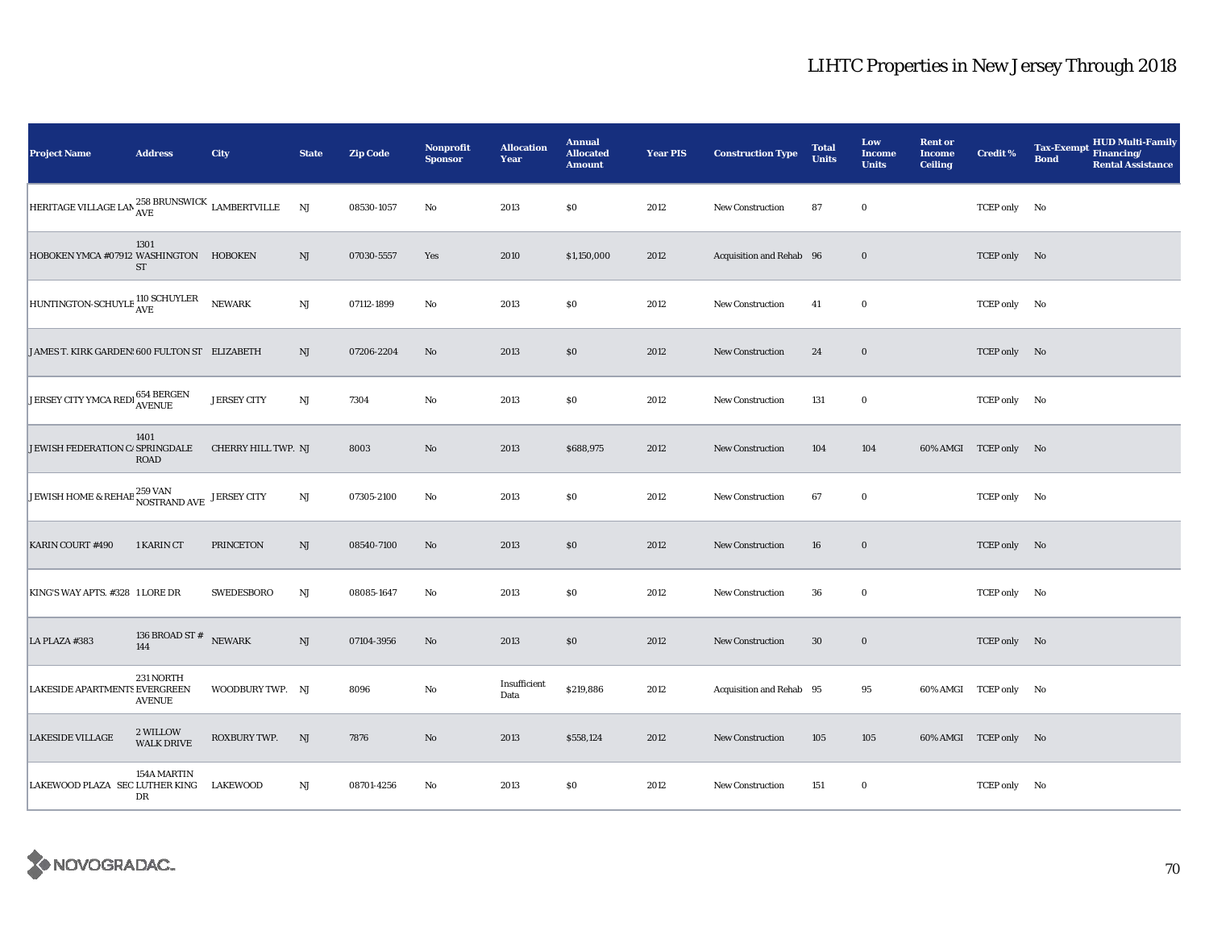| <b>Project Name</b>                                                  | <b>Address</b>                | <b>City</b>         | <b>State</b>           | <b>Zip Code</b> | <b>Nonprofit</b><br><b>Sponsor</b> | <b>Allocation</b><br>Year | <b>Annual</b><br><b>Allocated</b><br><b>Amount</b> | <b>Year PIS</b> | <b>Construction Type</b> | <b>Total</b><br><b>Units</b> | Low<br><b>Income</b><br><b>Units</b> | <b>Rent or</b><br><b>Income</b><br><b>Ceiling</b> | <b>Credit %</b>       | <b>HUD Multi-Family</b><br><b>Tax-Exempt</b><br>Financing/<br><b>Bond</b><br><b>Rental Assistance</b> |
|----------------------------------------------------------------------|-------------------------------|---------------------|------------------------|-----------------|------------------------------------|---------------------------|----------------------------------------------------|-----------------|--------------------------|------------------------------|--------------------------------------|---------------------------------------------------|-----------------------|-------------------------------------------------------------------------------------------------------|
| HERITAGE VILLAGE LAN $^{258}_{\rm AVE}$ BRUNSWICK $\rm$ LAMBERTVILLE |                               |                     | NJ                     | 08530-1057      | No                                 | 2013                      | \$0\$                                              | 2012            | <b>New Construction</b>  | 87                           | $\bf{0}$                             |                                                   | TCEP only No          |                                                                                                       |
| HOBOKEN YMCA #07912 WASHINGTON HOBOKEN                               | 1301<br>ST                    |                     | $\mathrm{NJ}$          | 07030-5557      | Yes                                | 2010                      | \$1,150,000                                        | 2012            | Acquisition and Rehab 96 |                              | $\bf{0}$                             |                                                   | TCEP only No          |                                                                                                       |
| HUNTINGTON-SCHUYLE 110 SCHUYLER                                      |                               | NEWARK              | $\mathbf{N}\mathbf{J}$ | 07112-1899      | No                                 | 2013                      | \$0\$                                              | 2012            | New Construction         | 41                           | $\bf{0}$                             |                                                   | TCEP only No          |                                                                                                       |
| JAMES T. KIRK GARDEN: 600 FULTON ST ELIZABETH                        |                               |                     | NJ                     | 07206-2204      | No                                 | 2013                      | \$0                                                | 2012            | <b>New Construction</b>  | 24                           | $\bf{0}$                             |                                                   | TCEP only No          |                                                                                                       |
| JERSEY CITY YMCA REDI 654 BERGEN                                     |                               | <b>JERSEY CITY</b>  | $\rm{NJ}$              | 7304            | No                                 | 2013                      | \$0                                                | 2012            | <b>New Construction</b>  | 131                          | $\bf{0}$                             |                                                   | TCEP only No          |                                                                                                       |
| JEWISH FEDERATION C/ SPRINGDALE                                      | 1401<br>ROAD                  | CHERRY HILL TWP. NJ |                        | 8003            | No                                 | 2013                      | \$688,975                                          | 2012            | <b>New Construction</b>  | 104                          | 104                                  |                                                   | 60% AMGI TCEP only No |                                                                                                       |
| JEWISH HOME & REHAB 259 VAN JERSEY CITY                              |                               |                     | NJ                     | 07305-2100      | No                                 | 2013                      | \$0\$                                              | 2012            | <b>New Construction</b>  | 67                           | $\bf{0}$                             |                                                   | TCEP only No          |                                                                                                       |
| <b>KARIN COURT #490</b>                                              | 1 KARIN CT                    | <b>PRINCETON</b>    | NJ                     | 08540-7100      | No                                 | 2013                      | \$0                                                | 2012            | <b>New Construction</b>  | 16                           | $\bf{0}$                             |                                                   | TCEP only No          |                                                                                                       |
| KING'S WAY APTS. #328 1 LORE DR                                      |                               | <b>SWEDESBORO</b>   | NJ                     | 08085-1647      | No                                 | 2013                      | $\$0$                                              | 2012            | <b>New Construction</b>  | 36                           | $\bf{0}$                             |                                                   | TCEP only No          |                                                                                                       |
| LA PLAZA #383                                                        | 136 BROAD ST #<br>144         | <b>NEWARK</b>       | $\rm{NJ}$              | 07104-3956      | $\mathbf{N}\mathbf{o}$             | 2013                      | \$0\$                                              | 2012            | <b>New Construction</b>  | 30                           | $\mathbf 0$                          |                                                   | TCEP only No          |                                                                                                       |
| LAKESIDE APARTMENTS EVERGREEN                                        | 231 NORTH<br><b>AVENUE</b>    | WOODBURY TWP. NJ    |                        | 8096            | $\rm No$                           | Insufficient<br>Data      | \$219,886                                          | 2012            | Acquisition and Rehab 95 |                              | 95                                   |                                                   | 60% AMGI TCEP only No |                                                                                                       |
| <b>LAKESIDE VILLAGE</b>                                              | 2 WILLOW<br><b>WALK DRIVE</b> | ROXBURY TWP.        | NJ                     | 7876            | No                                 | 2013                      | \$558,124                                          | 2012            | New Construction         | 105                          | 105                                  |                                                   | 60% AMGI TCEP only No |                                                                                                       |
| LAKEWOOD PLAZA SEC LUTHER KING LAKEWOOD                              | 154A MARTIN<br>DR             |                     | NJ                     | 08701-4256      | No                                 | 2013                      | \$0                                                | 2012            | <b>New Construction</b>  | 151                          | $\bf{0}$                             |                                                   | TCEP only No          |                                                                                                       |

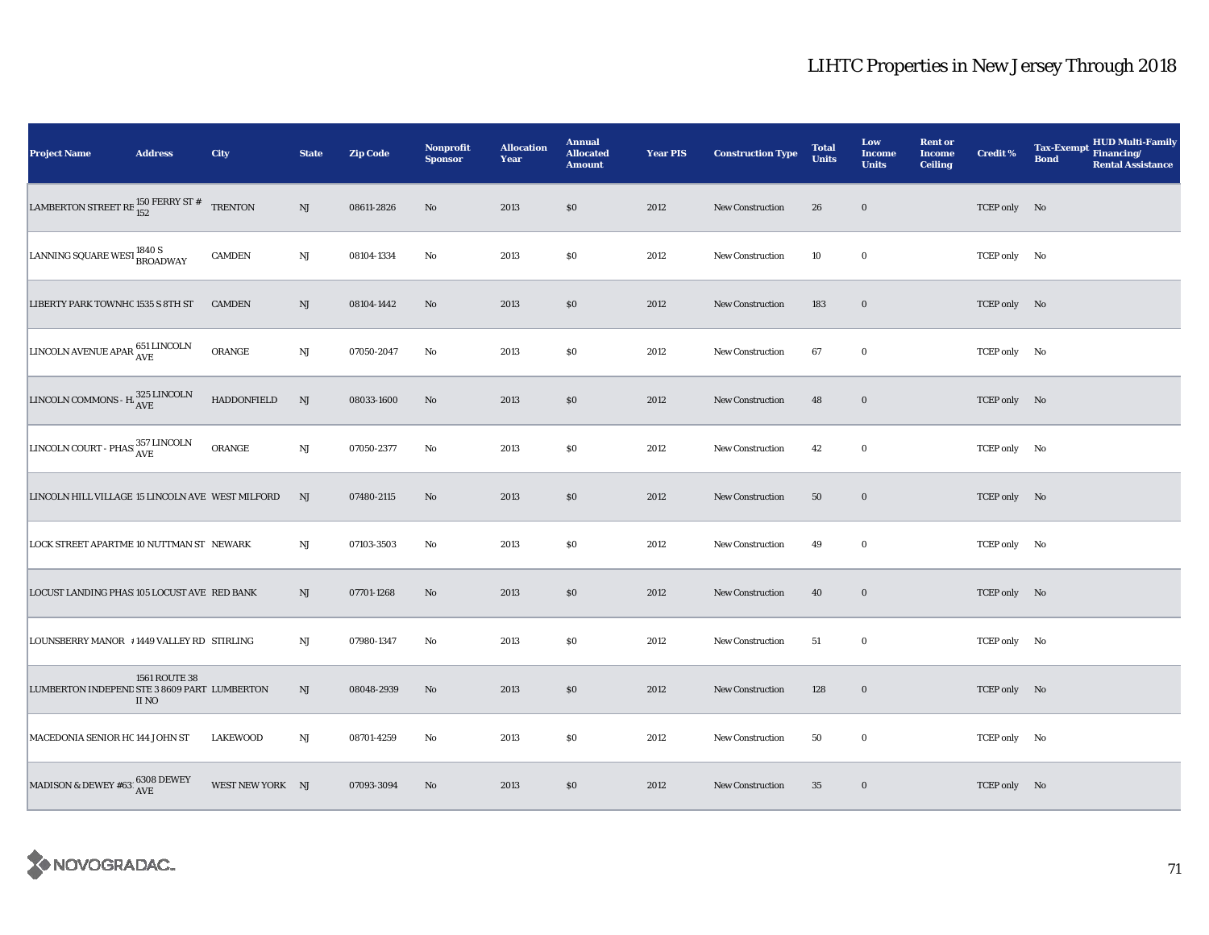| <b>Project Name</b>                                       | <b>Address</b>         | City               | <b>State</b>           | <b>Zip Code</b> | <b>Nonprofit</b><br><b>Sponsor</b> | <b>Allocation</b><br>Year | <b>Annual</b><br><b>Allocated</b><br><b>Amount</b> | <b>Year PIS</b> | <b>Construction Type</b> | <b>Total</b><br><b>Units</b> | Low<br><b>Income</b><br><b>Units</b> | <b>Rent or</b><br><b>Income</b><br><b>Ceiling</b> | <b>Credit %</b> | <b>HUD Multi-Family</b><br><b>Tax-Exempt</b><br>Financing/<br><b>Bond</b><br><b>Rental Assistance</b> |
|-----------------------------------------------------------|------------------------|--------------------|------------------------|-----------------|------------------------------------|---------------------------|----------------------------------------------------|-----------------|--------------------------|------------------------------|--------------------------------------|---------------------------------------------------|-----------------|-------------------------------------------------------------------------------------------------------|
| LAMBERTON STREET RE $_{152}^{150}$ FERRY ST #             |                        | <b>TRENTON</b>     | NJ                     | 08611-2826      | No                                 | 2013                      | $\$0$                                              | 2012            | New Construction         | 26                           | $\bf{0}$                             |                                                   | TCEP only No    |                                                                                                       |
| LANNING SQUARE WEST 1840 S<br>BROADWAY                    |                        | <b>CAMDEN</b>      | $_{\rm NJ}$            | 08104-1334      | No                                 | 2013                      | \$0                                                | 2012            | <b>New Construction</b>  | 10                           | $\bf{0}$                             |                                                   | TCEP only No    |                                                                                                       |
| LIBERTY PARK TOWNHC 1535 S 8TH ST                         |                        | <b>CAMDEN</b>      | $\rm{NJ}$              | 08104-1442      | No                                 | 2013                      | \$0                                                | 2012            | <b>New Construction</b>  | 183                          | $\bf{0}$                             |                                                   | TCEP only No    |                                                                                                       |
| LINCOLN AVENUE APAR 651 LINCOLN                           |                        | ORANGE             | $\mathbf{N}\mathbf{J}$ | 07050-2047      | No                                 | 2013                      | \$0                                                | 2012            | <b>New Construction</b>  | 67                           | $\bf{0}$                             |                                                   | TCEP only No    |                                                                                                       |
| LINCOLN COMMONS - H $_{\mbox{AVE}}^{325\mbox{\,LINCOLN}}$ |                        | <b>HADDONFIELD</b> | NJ                     | 08033-1600      | No                                 | 2013                      | \$0                                                | 2012            | New Construction         | 48                           | $\bf{0}$                             |                                                   | TCEP only No    |                                                                                                       |
| LINCOLN COURT - PHAS 357 LINCOLN                          |                        | ORANGE             | NJ                     | 07050-2377      | No                                 | 2013                      | $\$0$                                              | 2012            | New Construction         | 42                           | $\bf{0}$                             |                                                   | TCEP only No    |                                                                                                       |
| LINCOLN HILL VILLAGE 15 LINCOLN AVE WEST MILFORD          |                        |                    | NJ                     | 07480-2115      | No                                 | 2013                      | \$0                                                | 2012            | New Construction         | 50                           | $\bf{0}$                             |                                                   | TCEP only No    |                                                                                                       |
| LOCK STREET APARTME 10 NUTTMAN ST NEWARK                  |                        |                    | NJ                     | 07103-3503      | No                                 | 2013                      | \$0                                                | 2012            | <b>New Construction</b>  | 49                           | $\bf{0}$                             |                                                   | TCEP only No    |                                                                                                       |
| LOCUST LANDING PHAS 105 LOCUST AVE RED BANK               |                        |                    | NJ                     | 07701-1268      | No                                 | 2013                      | \$0                                                | 2012            | <b>New Construction</b>  | 40                           | $\bf{0}$                             |                                                   | TCEP only No    |                                                                                                       |
| LOUNSBERRY MANOR #1449 VALLEY RD STIRLING                 |                        |                    | NJ                     | 07980-1347      | No                                 | 2013                      | \$0                                                | 2012            | New Construction         | 51                           | $\bf{0}$                             |                                                   | TCEP only No    |                                                                                                       |
| LUMBERTON INDEPEND STE 3 8609 PART LUMBERTON              | 1561 ROUTE 38<br>II NO |                    | NJ                     | 08048-2939      | No                                 | 2013                      | \$0                                                | 2012            | <b>New Construction</b>  | 128                          | $\mathbf 0$                          |                                                   | TCEP only No    |                                                                                                       |
| MACEDONIA SENIOR HC 144 JOHN ST                           |                        | <b>LAKEWOOD</b>    | NJ                     | 08701-4259      | No                                 | 2013                      | \$0                                                | 2012            | <b>New Construction</b>  | 50                           | $\bf{0}$                             |                                                   | TCEP only No    |                                                                                                       |
| MADISON & DEWEY #63<br>l $^{6308}_{\mbox{AVE}}$ DEWEY     |                        | WEST NEW YORK NJ   |                        | 07093-3094      | No                                 | 2013                      | \$0                                                | 2012            | <b>New Construction</b>  | 35                           | $\bf{0}$                             |                                                   | TCEP only No    |                                                                                                       |

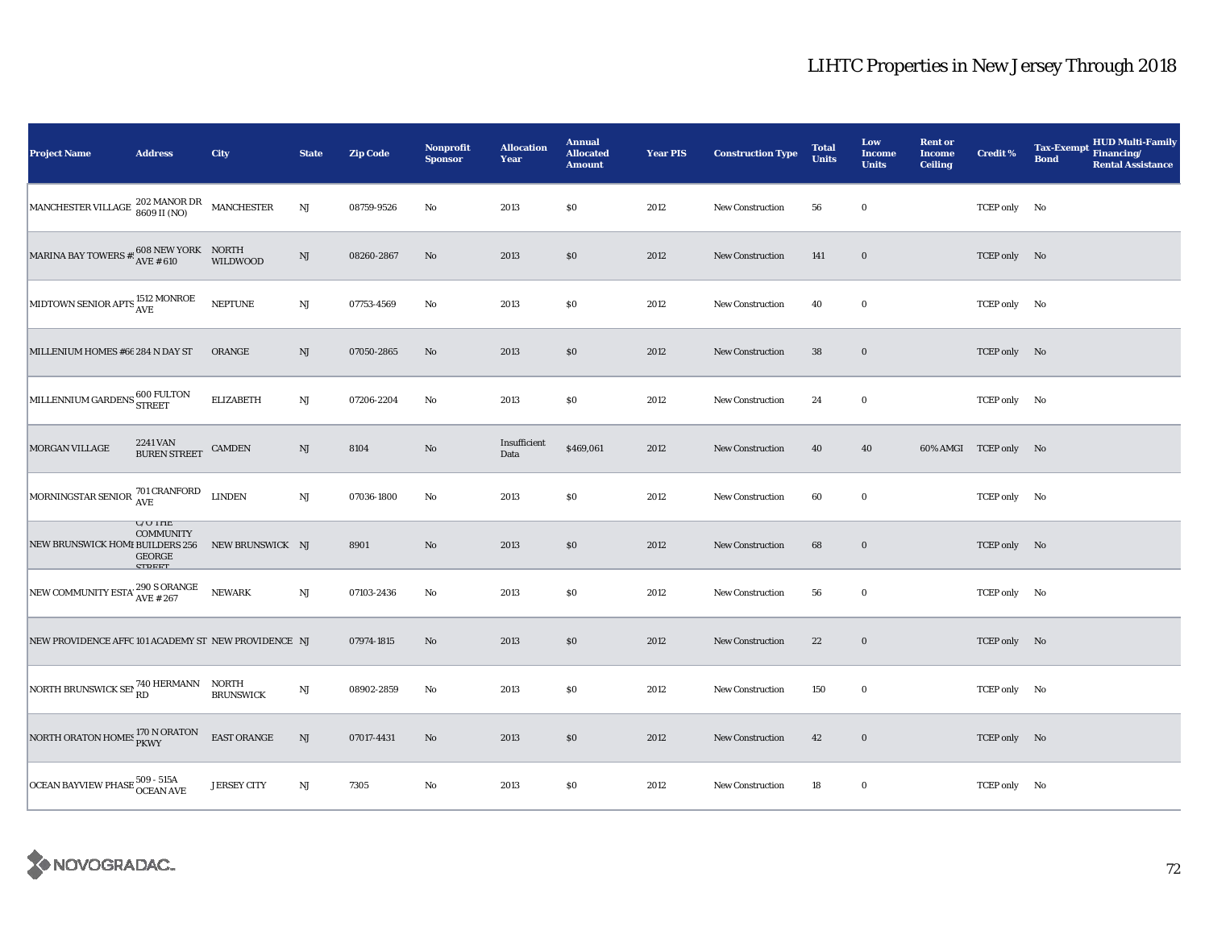| <b>Project Name</b>                                                                                           | <b>Address</b>                                                                                                                | City               | <b>State</b>           | <b>Zip Code</b> | Nonprofit<br><b>Sponsor</b> | <b>Allocation</b><br>Year | <b>Annual</b><br><b>Allocated</b><br><b>Amount</b> | <b>Year PIS</b> | <b>Construction Type</b> | <b>Total</b><br><b>Units</b> | Low<br><b>Income</b><br><b>Units</b> | <b>Rent or</b><br><b>Income</b><br><b>Ceiling</b> | <b>Credit %</b>       | <b>HUD Multi-Family</b><br><b>Tax-Exempt</b><br>Financing/<br><b>Bond</b><br><b>Rental Assistance</b> |
|---------------------------------------------------------------------------------------------------------------|-------------------------------------------------------------------------------------------------------------------------------|--------------------|------------------------|-----------------|-----------------------------|---------------------------|----------------------------------------------------|-----------------|--------------------------|------------------------------|--------------------------------------|---------------------------------------------------|-----------------------|-------------------------------------------------------------------------------------------------------|
| $\begin{tabular}{ l c c c c } \hline MANCEHESTER VILLAGE & 202 MANOR DR & MANCHESTER \\ \hline \end{tabular}$ |                                                                                                                               |                    | $\rm{NJ}$              | 08759-9526      | $\mathbf{N}\mathbf{o}$      | 2013                      | \$0                                                | 2012            | <b>New Construction</b>  | 56                           | $\bf{0}$                             |                                                   | TCEP only No          |                                                                                                       |
| <b>MARINA BAY TOWERS #!</b>                                                                                   | $\begin{array}{lll}\n 608\text{ NEW YORK} & \text{NORMAL} \\ \hline\n \text{AVE} & \text{\#}610 & \text{WILDW} \n\end{array}$ | <b>WILDWOOD</b>    | $\rm{NJ}$              | 08260-2867      | No                          | 2013                      | \$0                                                | 2012            | New Construction         | 141                          | $\bf{0}$                             |                                                   | TCEP only No          |                                                                                                       |
| MIDTOWN SENIOR APTS 1512 MONROE                                                                               |                                                                                                                               | <b>NEPTUNE</b>     | $\mathbf{N}\mathbf{J}$ | 07753-4569      | $\rm No$                    | 2013                      | \$0                                                | 2012            | <b>New Construction</b>  | 40                           | $\bf{0}$                             |                                                   | TCEP only No          |                                                                                                       |
| MILLENIUM HOMES #66 284 N DAY ST                                                                              |                                                                                                                               | ORANGE             | NJ                     | 07050-2865      | No                          | 2013                      | \$0                                                | 2012            | <b>New Construction</b>  | 38                           | $\bf{0}$                             |                                                   | TCEP only No          |                                                                                                       |
| MILLENNIUM GARDENS 600 FULTON                                                                                 |                                                                                                                               | <b>ELIZABETH</b>   | $\rm{NJ}$              | 07206-2204      | $\mathbf{No}$               | 2013                      | $\$0$                                              | 2012            | <b>New Construction</b>  | 24                           | $\bf{0}$                             |                                                   | TCEP only No          |                                                                                                       |
| MORGAN VILLAGE                                                                                                | 2241 VAN<br><b>BUREN STREET</b>                                                                                               | <b>CAMDEN</b>      | NJ                     | 8104            | $\rm No$                    | Insufficient<br>Data      | \$469,061                                          | 2012            | New Construction         | 40                           | 40                                   |                                                   | 60% AMGI TCEP only No |                                                                                                       |
| MORNINGSTAR SENIOR $\frac{701}{AVE}$ LINDEN                                                                   |                                                                                                                               |                    | $\mathbf{N}\mathbf{J}$ | 07036-1800      | No                          | 2013                      | \$0                                                | 2012            | New Construction         | 60                           | $\bf{0}$                             |                                                   | TCEP only No          |                                                                                                       |
| NEW BRUNSWICK HOMI BUILDERS 256                                                                               | $U/U$ IHE<br><b>COMMUNITY</b><br>GEORGE<br><b>CTDEET</b>                                                                      | NEW BRUNSWICK NJ   |                        | 8901            | $\mathbf{N}\mathbf{o}$      | 2013                      | \$0                                                | 2012            | New Construction         | 68                           | $\boldsymbol{0}$                     |                                                   | TCEP only No          |                                                                                                       |
| NEW COMMUNITY ESTA' 290 S ORANGE                                                                              |                                                                                                                               | <b>NEWARK</b>      | $\mathbf{N}\mathbf{J}$ | 07103-2436      | $\mathbf{No}$               | 2013                      | $\$0$                                              | 2012            | <b>New Construction</b>  | 56                           | $\bf{0}$                             |                                                   | TCEP only No          |                                                                                                       |
| NEW PROVIDENCE AFFC 101 ACADEMY ST NEW PROVIDENCE NJ                                                          |                                                                                                                               |                    |                        | 07974-1815      | No                          | 2013                      | \$0                                                | 2012            | <b>New Construction</b>  | 22                           | $\bf{0}$                             |                                                   | TCEP only No          |                                                                                                       |
| NORTH BRUNSWICK SEP 740 HERMANN NORTH                                                                         |                                                                                                                               | <b>BRUNSWICK</b>   | $\mathrm{NJ}$          | 08902-2859      | $\mathbf{No}$               | 2013                      | $\$0$                                              | 2012            | New Construction         | 150                          | $\bf{0}$                             |                                                   | TCEP only No          |                                                                                                       |
| NORTH ORATON HOMES 170 N ORATON                                                                               |                                                                                                                               | EAST ORANGE        | $\mathbf{N}\mathbf{J}$ | 07017-4431      | $\rm No$                    | 2013                      | $\$0$                                              | 2012            | New Construction         | 42                           | $\boldsymbol{0}$                     |                                                   | TCEP only No          |                                                                                                       |
| OCEAN BAYVIEW PHASE 509 - 515A<br>OCEAN AVE                                                                   |                                                                                                                               | <b>JERSEY CITY</b> | NJ                     | 7305            | $\rm No$                    | 2013                      | \$0                                                | 2012            | New Construction         | 18                           | $\bf{0}$                             |                                                   | TCEP only No          |                                                                                                       |

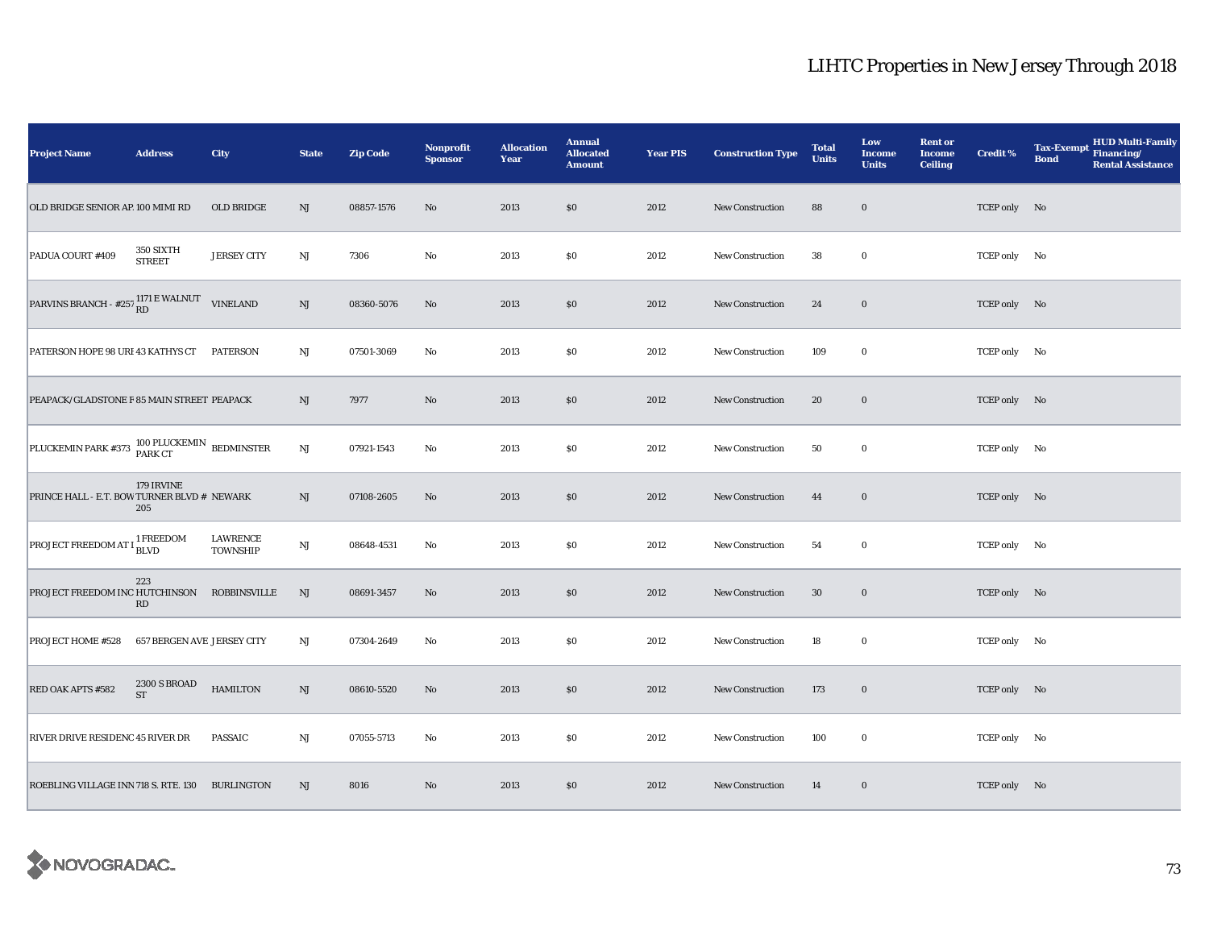| <b>Project Name</b>                              | <b>Address</b>                    | City                               | <b>State</b>           | <b>Zip Code</b> | <b>Nonprofit</b><br><b>Sponsor</b> | <b>Allocation</b><br>Year | <b>Annual</b><br><b>Allocated</b><br><b>Amount</b> | <b>Year PIS</b> | <b>Construction Type</b> | <b>Total</b><br><b>Units</b> | Low<br><b>Income</b><br><b>Units</b> | <b>Rent or</b><br><b>Income</b><br><b>Ceiling</b> | <b>Credit %</b> | <b>HUD Multi-Family</b><br><b>Tax-Exempt</b><br>Financing/<br><b>Bond</b><br><b>Rental Assistance</b> |
|--------------------------------------------------|-----------------------------------|------------------------------------|------------------------|-----------------|------------------------------------|---------------------------|----------------------------------------------------|-----------------|--------------------------|------------------------------|--------------------------------------|---------------------------------------------------|-----------------|-------------------------------------------------------------------------------------------------------|
| OLD BRIDGE SENIOR AP 100 MIMI RD                 |                                   | OLD BRIDGE                         | NJ                     | 08857-1576      | No                                 | 2013                      | $\$0$                                              | 2012            | <b>New Construction</b>  | 88                           | $\bf{0}$                             |                                                   | TCEP only No    |                                                                                                       |
| PADUA COURT #409                                 | 350 SIXTH<br><b>STREET</b>        | <b>JERSEY CITY</b>                 | NJ                     | 7306            | No                                 | 2013                      | \$0                                                | 2012            | <b>New Construction</b>  | 38                           | $\bf{0}$                             |                                                   | TCEP only No    |                                                                                                       |
| PARVINS BRANCH - $\#257\frac{1171}{RD}$ E WALNUT |                                   | <b>VINELAND</b>                    | $\rm{NJ}$              | 08360-5076      | No                                 | 2013                      | \$0                                                | 2012            | New Construction         | 24                           | $\bf{0}$                             |                                                   | TCEP only No    |                                                                                                       |
| PATERSON HOPE 98 URI 43 KATHYS CT                |                                   | <b>PATERSON</b>                    | NJ                     | 07501-3069      | No                                 | 2013                      | \$0                                                | 2012            | <b>New Construction</b>  | 109                          | $\bf{0}$                             |                                                   | TCEP only No    |                                                                                                       |
| PEAPACK/GLADSTONE F 85 MAIN STREET PEAPACK       |                                   |                                    | NJ                     | 7977            | $\rm No$                           | 2013                      | \$0                                                | 2012            | New Construction         | 20                           | $\bf{0}$                             |                                                   | TCEP only No    |                                                                                                       |
| PLUCKEMIN PARK #373 100 PLUCKEMIN BEDMINSTER     |                                   |                                    | $\mathbf{N}\mathbf{J}$ | 07921-1543      | No                                 | 2013                      | $\$0$                                              | 2012            | New Construction         | 50                           | $\bf{0}$                             |                                                   | TCEP only No    |                                                                                                       |
| PRINCE HALL - E.T. BOW TURNER BLVD # NEWARK      | 179 IRVINE<br>205                 |                                    | NJ                     | 07108-2605      | No                                 | 2013                      | \$0                                                | 2012            | <b>New Construction</b>  | 44                           | $\bf{0}$                             |                                                   | TCEP only No    |                                                                                                       |
| <b>PROJECT FREEDOM AT I <sup>1</sup> FREEDOM</b> |                                   | <b>LAWRENCE</b><br><b>TOWNSHIP</b> | $\mathbf{N}\mathbf{J}$ | 08648-4531      | No                                 | 2013                      | $\$0$                                              | 2012            | New Construction         | 54                           | $\bf{0}$                             |                                                   | TCEP only No    |                                                                                                       |
| PROJECT FREEDOM INC HUTCHINSON                   | 223<br>RD                         | <b>ROBBINSVILLE</b>                | NJ                     | 08691-3457      | No                                 | 2013                      | $\$0$                                              | 2012            | <b>New Construction</b>  | 30                           | $\mathbf 0$                          |                                                   | TCEP only No    |                                                                                                       |
| <b>PROJECT HOME #528</b>                         | <b>657 BERGEN AVE JERSEY CITY</b> |                                    | NJ                     | 07304-2649      | No                                 | 2013                      | \$0                                                | 2012            | New Construction         | 18                           | $\bf{0}$                             |                                                   | TCEP only No    |                                                                                                       |
| RED OAK APTS #582                                | 2300 S BROAD<br><b>ST</b>         | <b>HAMILTON</b>                    | NJ                     | 08610-5520      | No                                 | 2013                      | \$0                                                | 2012            | New Construction         | 173                          | $\mathbf 0$                          |                                                   | TCEP only No    |                                                                                                       |
| RIVER DRIVE RESIDENC 45 RIVER DR                 |                                   | <b>PASSAIC</b>                     | $\mathbf{N}\mathbf{J}$ | 07055-5713      | No                                 | 2013                      | \$0                                                | 2012            | New Construction         | 100                          | $\bf{0}$                             |                                                   | TCEP only No    |                                                                                                       |
| ROEBLING VILLAGE INN 718 S. RTE. 130 BURLINGTON  |                                   |                                    | NJ                     | 8016            | No                                 | 2013                      | \$0                                                | 2012            | <b>New Construction</b>  | 14                           | $\bf{0}$                             |                                                   | TCEP only No    |                                                                                                       |

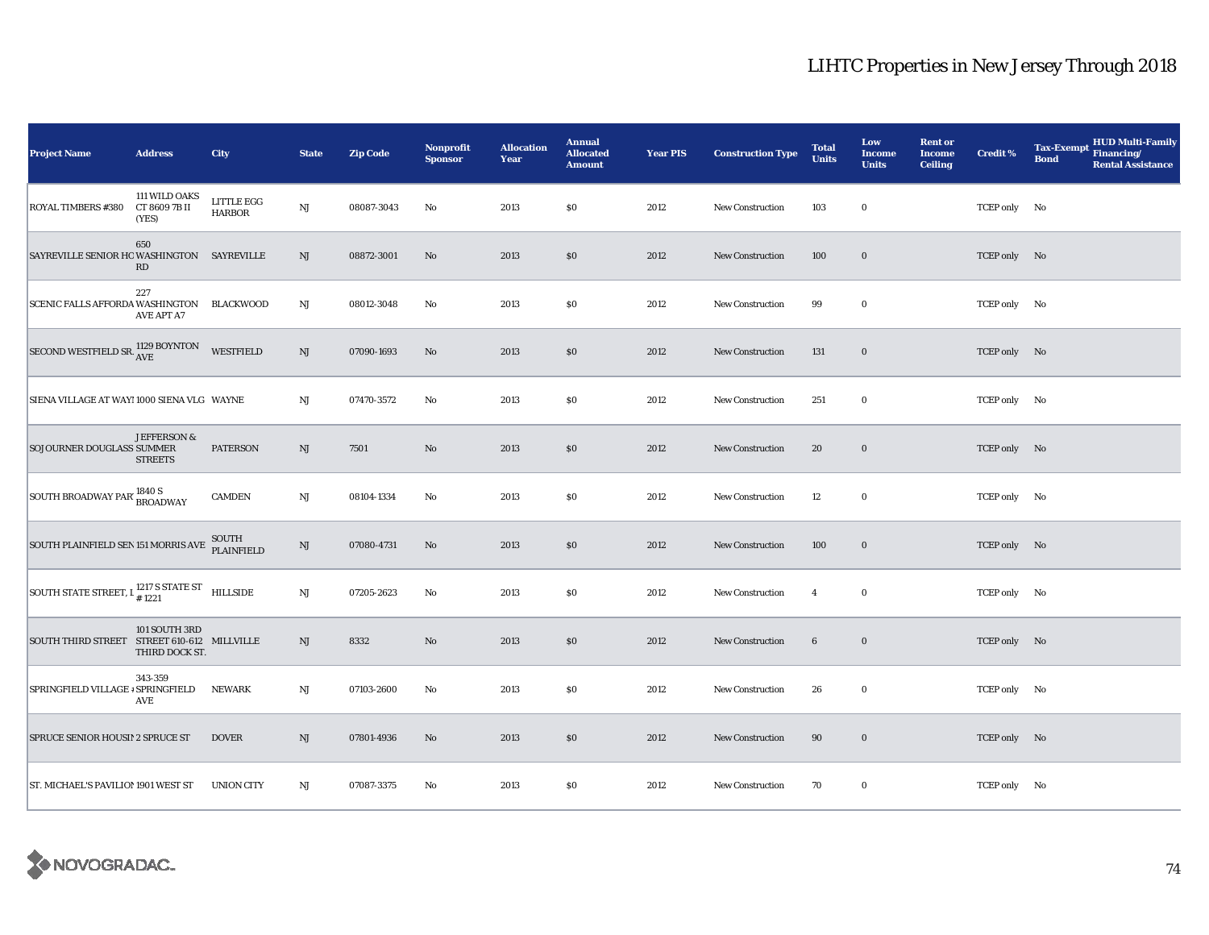| <b>Project Name</b>                                            | <b>Address</b>                          | City                        | <b>State</b> | <b>Zip Code</b> | <b>Nonprofit</b><br><b>Sponsor</b> | <b>Allocation</b><br>Year | <b>Annual</b><br><b>Allocated</b><br><b>Amount</b> | <b>Year PIS</b> | <b>Construction Type</b> | <b>Total</b><br><b>Units</b> | Low<br><b>Income</b><br><b>Units</b> | <b>Rent or</b><br><b>Income</b><br><b>Ceiling</b> | <b>Credit %</b> | HUD Multi-Family<br><b>Tax-Exempt</b><br>Financing/<br><b>Bond</b><br><b>Rental Assistance</b> |
|----------------------------------------------------------------|-----------------------------------------|-----------------------------|--------------|-----------------|------------------------------------|---------------------------|----------------------------------------------------|-----------------|--------------------------|------------------------------|--------------------------------------|---------------------------------------------------|-----------------|------------------------------------------------------------------------------------------------|
| <b>ROYAL TIMBERS #380</b>                                      | 111 WILD OAKS<br>CT 8609 7B II<br>(YES) | LITTLE EGG<br><b>HARBOR</b> | $\rm{NJ}$    | 08087-3043      | No                                 | 2013                      | \$0                                                | 2012            | New Construction         | 103                          | $\bf{0}$                             |                                                   | TCEP only No    |                                                                                                |
| SAYREVILLE SENIOR HO WASHINGTON SAYREVILLE                     | 650<br>RD                               |                             | NJ           | 08872-3001      | No                                 | 2013                      | $\$0$                                              | 2012            | New Construction         | 100                          | $\boldsymbol{0}$                     |                                                   | TCEP only No    |                                                                                                |
| SCENIC FALLS AFFORDA WASHINGTON                                | 227<br><b>AVE APT A7</b>                | BLACKWOOD                   | NJ           | 08012-3048      | No                                 | 2013                      | \$0                                                | 2012            | New Construction         | 99                           | $\bf{0}$                             |                                                   | TCEP only No    |                                                                                                |
| SECOND WESTFIELD SR. 1129 BOYNTON                              |                                         | <b>WESTFIELD</b>            | $\rm{NJ}$    | 07090-1693      | No                                 | 2013                      | \$0                                                | 2012            | <b>New Construction</b>  | 131                          | $\boldsymbol{0}$                     |                                                   | TCEP only No    |                                                                                                |
| SIENA VILLAGE AT WAY! 1000 SIENA VLG WAYNE                     |                                         |                             | NJ           | 07470-3572      | No                                 | 2013                      | \$0                                                | 2012            | New Construction         | 251                          | $\bf{0}$                             |                                                   | TCEP only No    |                                                                                                |
| SOJOURNER DOUGLASS SUMMER                                      | JEFFERSON &<br><b>STREETS</b>           | <b>PATERSON</b>             | NJ           | 7501            | $\mathbf{N}\mathbf{o}$             | 2013                      | \$0                                                | 2012            | New Construction         | 20                           | $\bf{0}$                             |                                                   | TCEP only No    |                                                                                                |
| SOUTH BROADWAY PAR' 1840 S                                     |                                         | CAMDEN                      | $\rm{NJ}$    | 08104-1334      | No                                 | 2013                      | \$0                                                | 2012            | <b>New Construction</b>  | 12                           | $\bf{0}$                             |                                                   | TCEP only No    |                                                                                                |
| SOUTH PLAINFIELD SEN 151 MORRIS AVE                            |                                         | SOUTH<br>PLAINFIELD         | NJ           | 07080-4731      | No                                 | 2013                      | $\$0$                                              | 2012            | New Construction         | 100                          | $\mathbf 0$                          |                                                   | TCEP only No    |                                                                                                |
| SOUTH STATE STREET, $I_{\#1221}^{1217}$ S STATE ST<br>HILLSIDE |                                         |                             | NJ           | 07205-2623      | No                                 | 2013                      | $\$0$                                              | 2012            | <b>New Construction</b>  | $\overline{4}$               | $\bf{0}$                             |                                                   | TCEP only No    |                                                                                                |
| SOUTH THIRD STREET STREET 610-612 MILLVILLE                    | 101 SOUTH 3RD<br>THIRD DOCK ST.         |                             | NJ           | 8332            | $\rm No$                           | 2013                      | \$0                                                | 2012            | <b>New Construction</b>  | $\bf{6}$                     | $\bf{0}$                             |                                                   | TCEP only No    |                                                                                                |
| SPRINGFIELD VILLAGE # SPRINGFIELD                              | 343-359<br>AVE                          | NEWARK                      | NJ           | 07103-2600      | No                                 | 2013                      | \$0                                                | 2012            | New Construction         | 26                           | $\bf{0}$                             |                                                   | TCEP only No    |                                                                                                |
| SPRUCE SENIOR HOUSI! 2 SPRUCE ST                               |                                         | <b>DOVER</b>                | NJ           | 07801-4936      | No                                 | 2013                      | \$0                                                | 2012            | New Construction         | 90                           | $\mathbf 0$                          |                                                   | TCEP only No    |                                                                                                |
| ST. MICHAEL'S PAVILION 1901 WEST ST                            |                                         | <b>UNION CITY</b>           | NJ           | 07087-3375      | No                                 | 2013                      | \$0                                                | 2012            | <b>New Construction</b>  | 70                           | $\bf{0}$                             |                                                   | TCEP only No    |                                                                                                |

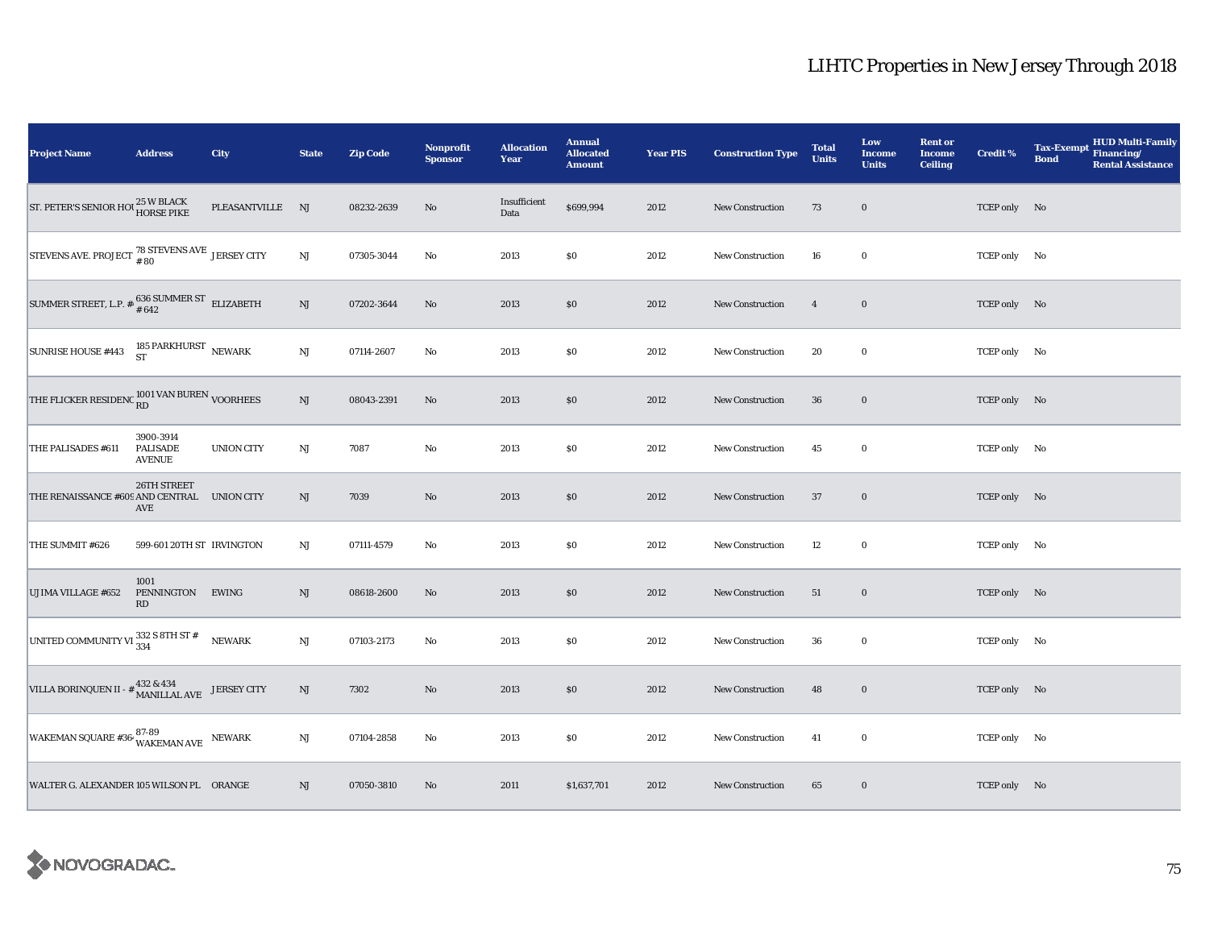| <b>Project Name</b>                                                                                                                                              | <b>Address</b>                                | City              | <b>State</b>           | <b>Zip Code</b> | <b>Nonprofit</b><br><b>Sponsor</b> | <b>Allocation</b><br>Year | <b>Annual</b><br><b>Allocated</b><br><b>Amount</b> | <b>Year PIS</b> | <b>Construction Type</b> | <b>Total</b><br><b>Units</b> | Low<br><b>Income</b><br><b>Units</b> | <b>Rent or</b><br><b>Income</b><br><b>Ceiling</b> | <b>Credit %</b> | <b>HUD Multi-Family</b><br><b>Tax-Exempt</b><br>Financing/<br><b>Bond</b><br><b>Rental Assistance</b> |
|------------------------------------------------------------------------------------------------------------------------------------------------------------------|-----------------------------------------------|-------------------|------------------------|-----------------|------------------------------------|---------------------------|----------------------------------------------------|-----------------|--------------------------|------------------------------|--------------------------------------|---------------------------------------------------|-----------------|-------------------------------------------------------------------------------------------------------|
| ST. PETER'S SENIOR HOU 25 W BLACK                                                                                                                                |                                               | PLEASANTVILLE NJ  |                        | 08232-2639      | No                                 | Insufficient<br>Data      | \$699,994                                          | 2012            | New Construction         | 73                           | $\bf{0}$                             |                                                   | TCEP only No    |                                                                                                       |
| $\begin{array}{ l } \hline \text{STEVENS AVE. PROJECT } ^{\text{78} }{} & \text{STEVENS AVE } \text{ JERSEY CITY} \\ \hline \end{array}$                         |                                               |                   | $\mathrm{NJ}$          | 07305-3044      | No                                 | 2013                      | \$0                                                | 2012            | New Construction         | 16                           | $\bf{0}$                             |                                                   | TCEP only No    |                                                                                                       |
| SUMMER STREET, L.P. $\#$ , 636 SUMMER ST ELIZABETH                                                                                                               |                                               |                   | $\mathbf{N}\mathbf{J}$ | 07202-3644      | No                                 | 2013                      | \$0                                                | 2012            | <b>New Construction</b>  | $\overline{4}$               | $\mathbf 0$                          |                                                   | TCEP only No    |                                                                                                       |
| SUNRISE HOUSE #443                                                                                                                                               | 185 PARKHURST $$\rm NEWARK$$ ST               |                   | NJ                     | 07114-2607      | $\rm No$                           | 2013                      | $\$0$                                              | 2012            | <b>New Construction</b>  | 20                           | $\mathbf 0$                          |                                                   | TCEP only No    |                                                                                                       |
| THE FLICKER RESIDENC RD VAN BUREN VOORHEES                                                                                                                       |                                               |                   | $\mathbf{N}\mathbf{J}$ | 08043-2391      | No                                 | 2013                      | \$0                                                | 2012            | <b>New Construction</b>  | 36                           | $\bf{0}$                             |                                                   | TCEP only No    |                                                                                                       |
| THE PALISADES #611                                                                                                                                               | 3900-3914<br><b>PALISADE</b><br><b>AVENUE</b> | <b>UNION CITY</b> | $_{\rm NJ}$            | 7087            | $\rm No$                           | 2013                      | $\$0$                                              | 2012            | New Construction         | 45                           | $\mathbf 0$                          |                                                   | TCEP only No    |                                                                                                       |
| THE RENAISSANCE #609 AND CENTRAL UNION CITY                                                                                                                      | 26TH STREET<br>AVE                            |                   | NJ                     | 7039            | No                                 | 2013                      | \$0                                                | 2012            | New Construction         | 37                           | $\bf{0}$                             |                                                   | TCEP only No    |                                                                                                       |
| THE SUMMIT #626                                                                                                                                                  | 599-601 20TH ST IRVINGTON                     |                   | $_{\rm NJ}$            | 07111-4579      | $\rm No$                           | 2013                      | $\$0$                                              | 2012            | New Construction         | 12                           | $\bf{0}$                             |                                                   | TCEP only No    |                                                                                                       |
| UJIMA VILLAGE #652                                                                                                                                               | 1001<br>PENNINGTON EWING<br>RD                |                   | NJ                     | 08618-2600      | No                                 | 2013                      | \$0                                                | 2012            | <b>New Construction</b>  | 51                           | $\mathbf 0$                          |                                                   | TCEP only No    |                                                                                                       |
| UNITED COMMUNITY VI $\frac{332}{334}$ S 8TH ST #                                                                                                                 |                                               | <b>NEWARK</b>     | NJ                     | 07103-2173      | $\rm No$                           | 2013                      | $\$0$                                              | 2012            | <b>New Construction</b>  | 36                           | $\mathbf 0$                          |                                                   | TCEP only No    |                                                                                                       |
| $\begin{array}{ll} \rm{VILLA~BORINQUEN~II~\text{-}~\text{\#}}~ & \begin{array}{ll} 432 & \& 434 \\ \rm{MANILLAL~AVE} \end{array} & \rm{JERSEY~CITY} \end{array}$ |                                               |                   | NJ                     | 7302            | No                                 | 2013                      | \$0                                                | 2012            | <b>New Construction</b>  | 48                           | $\bf{0}$                             |                                                   | TCEP only No    |                                                                                                       |
| WAKEMAN SQUARE #36- $87-89$<br>WAKEMAN AVE NEWARK                                                                                                                |                                               |                   | NJ                     | 07104-2858      | $\rm No$                           | 2013                      | \$0                                                | 2012            | <b>New Construction</b>  | 41                           | $\mathbf 0$                          |                                                   | TCEP only No    |                                                                                                       |
| WALTER G. ALEXANDER 105 WILSON PL ORANGE                                                                                                                         |                                               |                   | NJ                     | 07050-3810      | No                                 | 2011                      | \$1,637,701                                        | 2012            | New Construction         | 65                           | $\bf{0}$                             |                                                   | TCEP only No    |                                                                                                       |

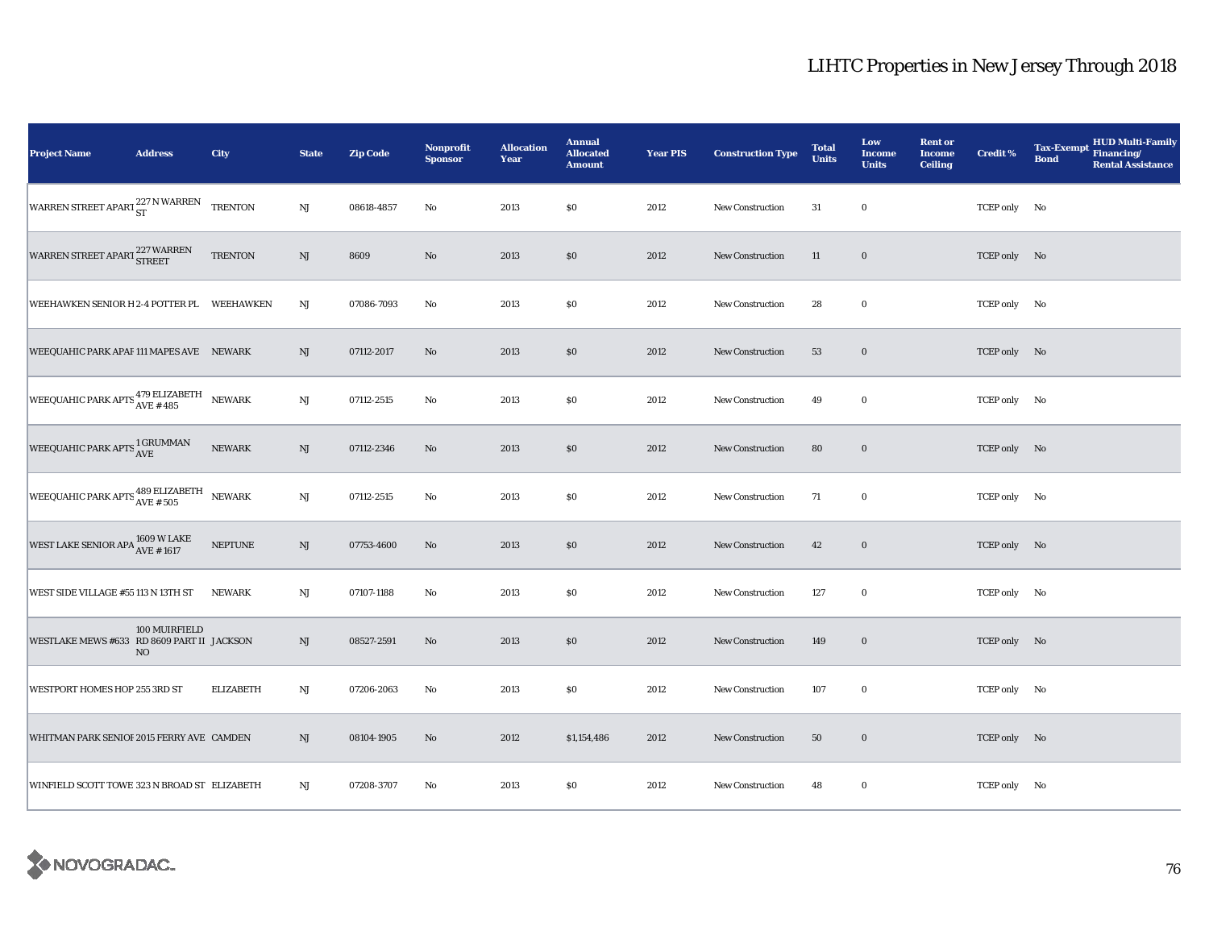| <b>Project Name</b>                                                      | <b>Address</b>                  | City             | <b>State</b>           | <b>Zip Code</b> | Nonprofit<br><b>Sponsor</b> | <b>Allocation</b><br>Year | <b>Annual</b><br><b>Allocated</b><br><b>Amount</b> | <b>Year PIS</b> | <b>Construction Type</b> | <b>Total</b><br><b>Units</b> | Low<br><b>Income</b><br><b>Units</b> | <b>Rent or</b><br><b>Income</b><br><b>Ceiling</b> | <b>Credit %</b> | <b>HUD Multi-Family</b><br><b>Tax-Exempt</b><br>Financing/<br><b>Bond</b><br><b>Rental Assistance</b> |
|--------------------------------------------------------------------------|---------------------------------|------------------|------------------------|-----------------|-----------------------------|---------------------------|----------------------------------------------------|-----------------|--------------------------|------------------------------|--------------------------------------|---------------------------------------------------|-----------------|-------------------------------------------------------------------------------------------------------|
| WARREN STREET APART 227 N WARREN                                         |                                 | <b>TRENTON</b>   | NJ                     | 08618-4857      | No                          | 2013                      | \$0                                                | 2012            | New Construction         | 31                           | $\bf{0}$                             |                                                   | TCEP only No    |                                                                                                       |
| WARREN STREET APART 227 WARREN                                           |                                 | <b>TRENTON</b>   | $\mathbf{N}\mathbf{J}$ | 8609            | $\rm No$                    | 2013                      | $\$0$                                              | 2012            | New Construction         | 11                           | $\mathbf 0$                          |                                                   | TCEP only No    |                                                                                                       |
| WEEHAWKEN SENIOR H 2-4 POTTER PL WEEHAWKEN                               |                                 |                  | $_{\rm NJ}$            | 07086-7093      | No                          | 2013                      | \$0                                                | 2012            | New Construction         | 28                           | $\bf{0}$                             |                                                   | TCEP only No    |                                                                                                       |
| WEEQUAHIC PARK APAF 111 MAPES AVE NEWARK                                 |                                 |                  | NJ                     | 07112-2017      | No                          | 2013                      | \$0                                                | 2012            | <b>New Construction</b>  | 53                           | $\bf{0}$                             |                                                   | TCEP only No    |                                                                                                       |
| WEEQUAHIC PARK APTS <sup>479</sup> ELIZABETH                             |                                 | <b>NEWARK</b>    | NJ                     | 07112-2515      | No                          | 2013                      | $\$0$                                              | 2012            | <b>New Construction</b>  | 49                           | $\mathbf 0$                          |                                                   | TCEP only No    |                                                                                                       |
| WEEQUAHIC PARK APTS $_{\rm AVE}^{1\rm\, GRUMMAN}$                        |                                 | NEWARK           | NJ                     | 07112-2346      | No                          | 2013                      | \$0                                                | 2012            | New Construction         | 80                           | $\bf{0}$                             |                                                   | TCEP only No    |                                                                                                       |
| WEEQUAHIC PARK APTS $_{\rm AVE\,\# \,\,505}^{\rm 489\,ELIZABETH}$ NEWARK |                                 |                  | $\mathbf{N}\mathbf{J}$ | 07112-2515      | No                          | 2013                      | \$0                                                | 2012            | New Construction         | 71                           | $\bf{0}$                             |                                                   | TCEP only No    |                                                                                                       |
| WEST LAKE SENIOR APA $^{1609}_{AVE~\#~1617}$                             |                                 | <b>NEPTUNE</b>   | NJ                     | 07753-4600      | No                          | 2013                      | \$0                                                | 2012            | New Construction         | 42                           | $\bf{0}$                             |                                                   | TCEP only No    |                                                                                                       |
| WEST SIDE VILLAGE #55 113 N 13TH ST                                      |                                 | <b>NEWARK</b>    | $_{\rm NJ}$            | 07107-1188      | $\rm No$                    | 2013                      | \$0                                                | 2012            | New Construction         | 127                          | $\bf{0}$                             |                                                   | TCEP only No    |                                                                                                       |
| WESTLAKE MEWS #633 RD 8609 PART II JACKSON                               | 100 MUIRFIELD<br>N <sub>O</sub> |                  | $\mathrm{NJ}$          | 08527-2591      | No                          | 2013                      | \$0                                                | 2012            | <b>New Construction</b>  | 149                          | $\mathbf 0$                          |                                                   | TCEP only No    |                                                                                                       |
| WESTPORT HOMES HOP 255 3RD ST                                            |                                 | <b>ELIZABETH</b> | NJ                     | 07206-2063      | No                          | 2013                      | \$0                                                | 2012            | <b>New Construction</b>  | 107                          | $\mathbf 0$                          |                                                   | TCEP only No    |                                                                                                       |
| WHITMAN PARK SENIOF 2015 FERRY AVE CAMDEN                                |                                 |                  | NJ                     | 08104-1905      | $\rm No$                    | 2012                      | \$1,154,486                                        | 2012            | <b>New Construction</b>  | 50                           | $\bf{0}$                             |                                                   | TCEP only No    |                                                                                                       |
| WINFIELD SCOTT TOWE 323 N BROAD ST ELIZABETH                             |                                 |                  | NJ                     | 07208-3707      | No                          | 2013                      | \$0                                                | 2012            | New Construction         | 48                           | $\bf{0}$                             |                                                   | TCEP only No    |                                                                                                       |

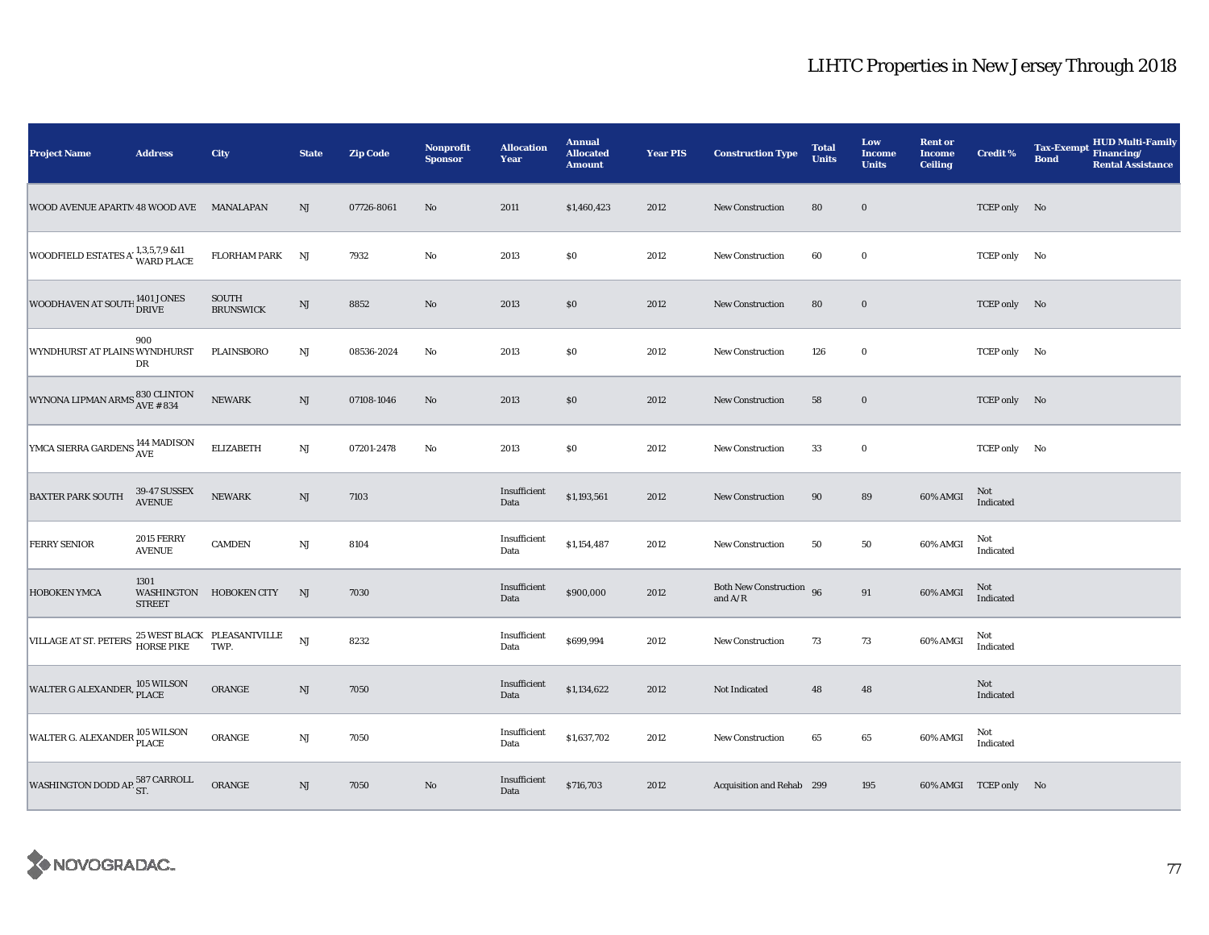| <b>Project Name</b>                                                                           | <b>Address</b>                     | City                      | <b>State</b>           | <b>Zip Code</b> | Nonprofit<br><b>Sponsor</b> | <b>Allocation</b><br>Year | <b>Annual</b><br><b>Allocated</b><br><b>Amount</b> | <b>Year PIS</b> | <b>Construction Type</b>              | <b>Total</b><br><b>Units</b> | Low<br>Income<br><b>Units</b> | <b>Rent or</b><br><b>Income</b><br><b>Ceiling</b> | <b>Credit %</b>       | <b>HUD Multi-Family</b><br><b>Tax-Exempt</b><br>Financing/<br><b>Bond</b><br><b>Rental Assistance</b> |
|-----------------------------------------------------------------------------------------------|------------------------------------|---------------------------|------------------------|-----------------|-----------------------------|---------------------------|----------------------------------------------------|-----------------|---------------------------------------|------------------------------|-------------------------------|---------------------------------------------------|-----------------------|-------------------------------------------------------------------------------------------------------|
| WOOD AVENUE APARTM 48 WOOD AVE MANALAPAN                                                      |                                    |                           | NJ                     | 07726-8061      | $\rm No$                    | 2011                      | \$1,460,423                                        | 2012            | New Construction                      | 80                           | $\mathbf 0$                   |                                                   | TCEP only No          |                                                                                                       |
| WOODFIELD ESTATES A' $^{1,3,5,7,9}_{\text{WARD PLACE}}$                                       |                                    | FLORHAM PARK              | NJ                     | 7932            | $\rm No$                    | 2013                      | \$0                                                | 2012            | <b>New Construction</b>               | 60                           | $\bf{0}$                      |                                                   | TCEP only No          |                                                                                                       |
| WOODHAVEN AT SOUTH 1401 JONES                                                                 |                                    | SOUTH<br><b>BRUNSWICK</b> | $\mathbf{N}\mathbf{J}$ | 8852            | $\rm No$                    | 2013                      | $\$0$                                              | 2012            | New Construction                      | 80                           | $\mathbf 0$                   |                                                   | TCEP only No          |                                                                                                       |
| WYNDHURST AT PLAINS WYNDHURST                                                                 | 900<br>DR                          | PLAINSBORO                | $_{\rm NJ}$            | 08536-2024      | No                          | 2013                      | $\$0$                                              | 2012            | <b>New Construction</b>               | 126                          | $\bf{0}$                      |                                                   | TCEP only No          |                                                                                                       |
| WYNONA LIPMAN ARMS $\begin{array}{l} 830 \, \text{CLINTON} \\ \text{AVE}~\#~\,34 \end{array}$ |                                    | <b>NEWARK</b>             | NJ                     | 07108-1046      | $\rm No$                    | 2013                      | \$0                                                | 2012            | <b>New Construction</b>               | 58                           | $\mathbf 0$                   |                                                   | TCEP only No          |                                                                                                       |
| YMCA SIERRA GARDENS 144 MADISON                                                               |                                    | <b>ELIZABETH</b>          | NJ                     | 07201-2478      | $\rm No$                    | 2013                      | \$0\$                                              | 2012            | New Construction                      | 33                           | $\mathbf 0$                   |                                                   | TCEP only No          |                                                                                                       |
| <b>BAXTER PARK SOUTH</b>                                                                      | 39-47 SUSSEX<br>AVENUE             | NEWARK                    | NJ                     | 7103            |                             | Insufficient<br>Data      | \$1,193,561                                        | 2012            | <b>New Construction</b>               | 90                           | 89                            | 60% AMGI                                          | Not<br>Indicated      |                                                                                                       |
| <b>FERRY SENIOR</b>                                                                           | <b>2015 FERRY</b><br><b>AVENUE</b> | <b>CAMDEN</b>             | $\mathbf{N}\mathbf{J}$ | 8104            |                             | Insufficient<br>Data      | \$1,154,487                                        | 2012            | New Construction                      | 50                           | $50\,$                        | 60% AMGI                                          | Not<br>Indicated      |                                                                                                       |
| HOBOKEN YMCA                                                                                  | 1301<br><b>STREET</b>              | WASHINGTON HOBOKEN CITY   | NJ                     | 7030            |                             | Insufficient<br>Data      | \$900,000                                          | 2012            | Both New Construction 96<br>and $A/R$ |                              | $\bf 91$                      | 60% AMGI                                          | Not<br>Indicated      |                                                                                                       |
| VILLAGE AT ST. PETERS $^{25}$ WEST BLACK PLEASANTVILLE<br>HORSE PIKE TWP.                     |                                    |                           | $_{\rm NJ}$            | 8232            |                             | Insufficient<br>Data      | \$699,994                                          | 2012            | New Construction                      | 73                           | 73                            | 60% AMGI                                          | Not<br>Indicated      |                                                                                                       |
| WALTER G ALEXANDER, 105 WILSON                                                                |                                    | ORANGE                    | NJ                     | 7050            |                             | Insufficient<br>Data      | \$1,134,622                                        | 2012            | Not Indicated                         | 48                           | 48                            |                                                   | Not<br>Indicated      |                                                                                                       |
| WALTER G. ALEXANDER 105 WILSON                                                                |                                    | ORANGE                    | $\rm{NJ}$              | 7050            |                             | Insufficient<br>Data      | \$1,637,702                                        | 2012            | <b>New Construction</b>               | 65                           | 65                            | 60% AMGI                                          | Not<br>Indicated      |                                                                                                       |
| WASHINGTON DODD AP $^{587}_{\rm ST.}$                                                         |                                    | ORANGE                    | $\mathbf{N}\mathbf{J}$ | 7050            | $\rm No$                    | Insufficient<br>Data      | \$716,703                                          | 2012            | Acquisition and Rehab 299             |                              | 195                           |                                                   | 60% AMGI TCEP only No |                                                                                                       |

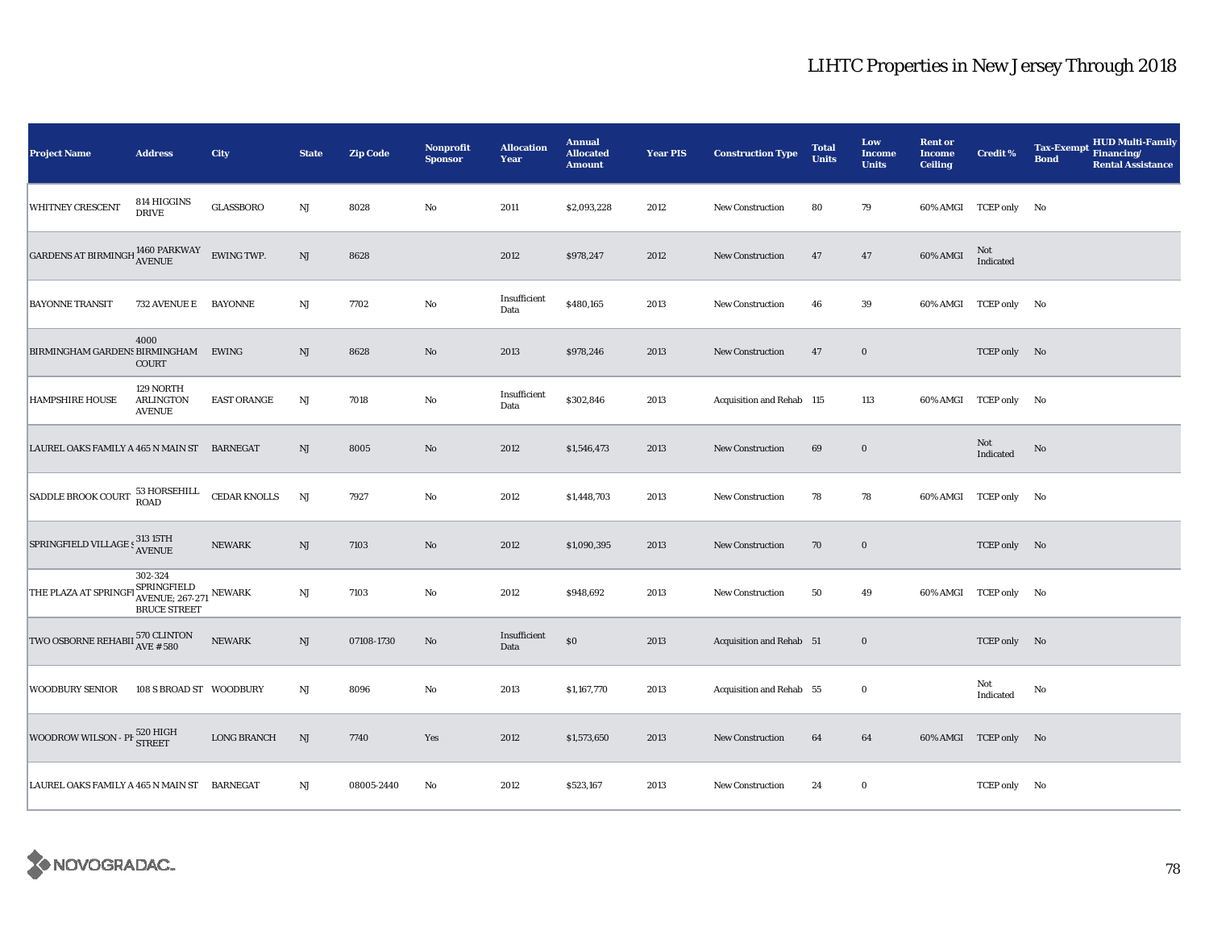| <b>Project Name</b>                                                | <b>Address</b>                                                             | City                | <b>State</b> | <b>Zip Code</b> | <b>Nonprofit</b><br><b>Sponsor</b> | <b>Allocation</b><br>Year | <b>Annual</b><br><b>Allocated</b><br><b>Amount</b> | <b>Year PIS</b> | <b>Construction Type</b>  | <b>Total</b><br><b>Units</b> | Low<br><b>Income</b><br><b>Units</b> | <b>Rent or</b><br><b>Income</b><br><b>Ceiling</b> | <b>Credit %</b>       | <b>HUD Multi-Family</b><br><b>Tax-Exempt</b><br>Financing/<br><b>Bond</b><br><b>Rental Assistance</b> |
|--------------------------------------------------------------------|----------------------------------------------------------------------------|---------------------|--------------|-----------------|------------------------------------|---------------------------|----------------------------------------------------|-----------------|---------------------------|------------------------------|--------------------------------------|---------------------------------------------------|-----------------------|-------------------------------------------------------------------------------------------------------|
| <b>WHITNEY CRESCENT</b>                                            | 814 HIGGINS<br><b>DRIVE</b>                                                | <b>GLASSBORO</b>    | NJ           | 8028            | No                                 | 2011                      | \$2,093,228                                        | 2012            | <b>New Construction</b>   | 80                           | 79                                   |                                                   | 60% AMGI TCEP only No |                                                                                                       |
| GARDENS AT BIRMINGH $^{1460}$ PARKWAY                              |                                                                            | <b>EWING TWP.</b>   | NJ           | 8628            |                                    | 2012                      | \$978,247                                          | 2012            | <b>New Construction</b>   | 47                           | 47                                   | 60% AMGI                                          | Not<br>Indicated      |                                                                                                       |
| <b>BAYONNE TRANSIT</b>                                             | 732 AVENUE E BAYONNE                                                       |                     | $_{\rm NJ}$  | 7702            | $\rm No$                           | Insufficient<br>Data      | \$480,165                                          | 2013            | <b>New Construction</b>   | 46                           | 39                                   |                                                   | 60% AMGI TCEP only No |                                                                                                       |
| BIRMINGHAM GARDENS BIRMINGHAM                                      | 4000<br>COURT                                                              | EWING               | NJ           | 8628            | No                                 | 2013                      | \$978,246                                          | 2013            | New Construction          | 47                           | $\bf{0}$                             |                                                   | TCEP only No          |                                                                                                       |
| <b>HAMPSHIRE HOUSE</b>                                             | 129 NORTH<br><b>ARLINGTON</b><br><b>AVENUE</b>                             | <b>EAST ORANGE</b>  | $_{\rm NJ}$  | 7018            | $\rm No$                           | Insufficient<br>Data      | \$302,846                                          | 2013            | Acquisition and Rehab 115 |                              | 113                                  |                                                   | 60% AMGI TCEP only No |                                                                                                       |
| LAUREL OAKS FAMILY A 465 N MAIN ST BARNEGAT                        |                                                                            |                     | NJ           | 8005            | No                                 | 2012                      | \$1,546,473                                        | 2013            | New Construction          | 69                           | $\mathbf 0$                          |                                                   | Not<br>Indicated      | No                                                                                                    |
| SADDLE BROOK COURT 53 HORSEHILL                                    |                                                                            | <b>CEDAR KNOLLS</b> | NJ           | 7927            | No                                 | 2012                      | \$1,448,703                                        | 2013            | New Construction          | 78                           | 78                                   |                                                   | 60% AMGI TCEP only No |                                                                                                       |
| SPRINGFIELD VILLAGE S313 15TH                                      |                                                                            | <b>NEWARK</b>       | $\rm{NJ}$    | 7103            | No                                 | 2012                      | \$1,090,395                                        | 2013            | <b>New Construction</b>   | 70                           | $\bf{0}$                             |                                                   | TCEP only No          |                                                                                                       |
| THE PLAZA AT SPRING                                                | 302-324<br>FI SPRINGFIELD<br>AVENUE; 267-271 NEWARK<br><b>BRUCE STREET</b> |                     | $_{\rm NJ}$  | 7103            | No                                 | 2012                      | \$948,692                                          | 2013            | New Construction          | 50                           | 49                                   |                                                   | 60% AMGI TCEP only No |                                                                                                       |
| TWO OSBORNE REHABII $_{\rm AVE~ {\rm \#}~580}^{570~{\rm CLINTON}}$ |                                                                            | <b>NEWARK</b>       | NJ           | 07108-1730      | $\mathbf{N}\mathbf{o}$             | Insufficient<br>Data      | $\$0$                                              | 2013            | Acquisition and Rehab 51  |                              | $\boldsymbol{0}$                     |                                                   | TCEP only No          |                                                                                                       |
| <b>WOODBURY SENIOR</b>                                             | 108 S BROAD ST WOODBURY                                                    |                     | $_{\rm NJ}$  | 8096            | $\rm No$                           | 2013                      | \$1,167,770                                        | 2013            | Acquisition and Rehab 55  |                              | $\bf{0}$                             |                                                   | Not<br>Indicated      | No                                                                                                    |
| WOODROW WILSON - PF 520 HIGH                                       |                                                                            | <b>LONG BRANCH</b>  | NJ           | 7740            | Yes                                | 2012                      | \$1,573,650                                        | 2013            | New Construction          | 64                           | 64                                   |                                                   | 60% AMGI TCEP only No |                                                                                                       |
| LAUREL OAKS FAMILY A 465 N MAIN ST BARNEGAT                        |                                                                            |                     | $_{\rm NJ}$  | 08005-2440      | No                                 | 2012                      | \$523,167                                          | 2013            | New Construction          | 24                           | $\bf{0}$                             |                                                   | TCEP only No          |                                                                                                       |

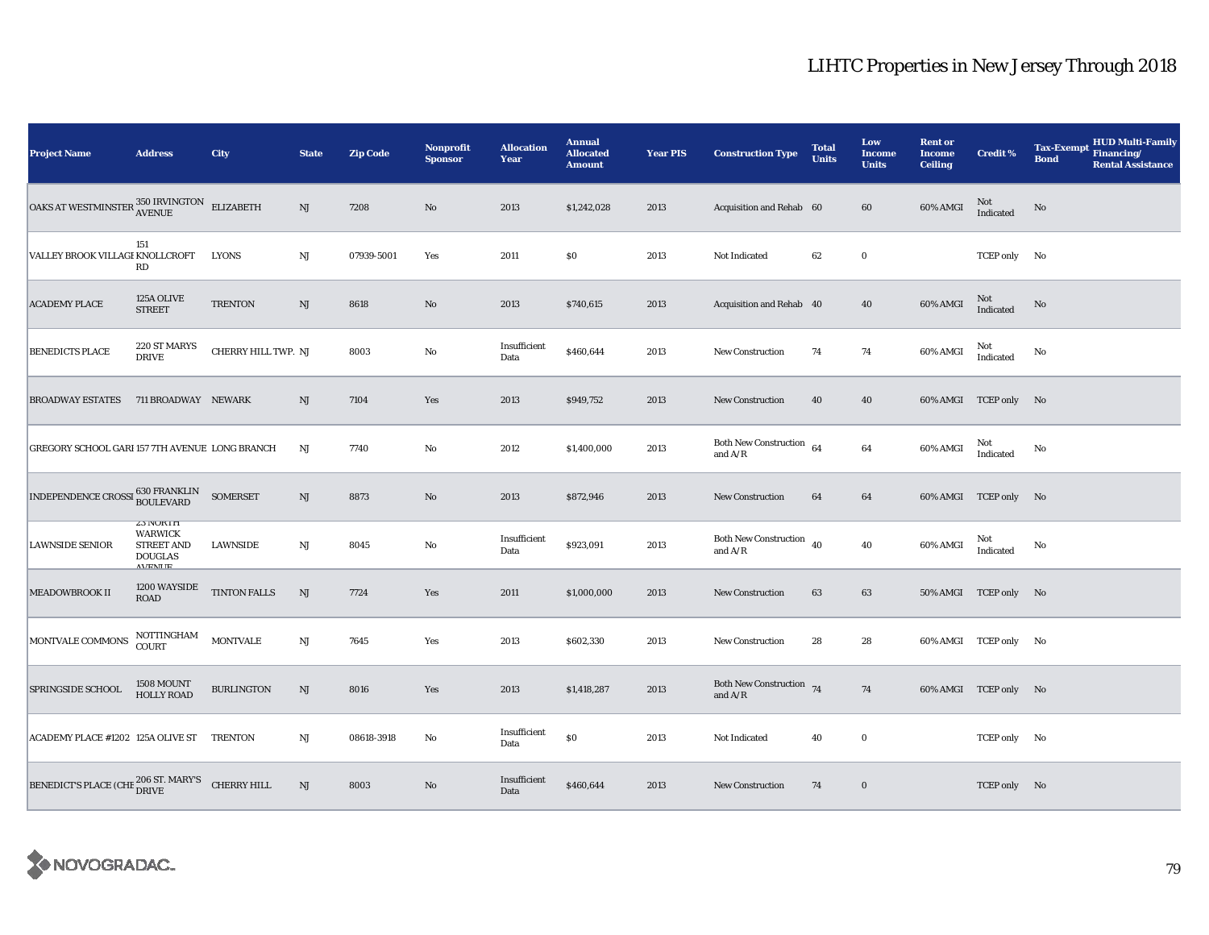| <b>Project Name</b>                                                                                                       | <b>Address</b>                                                                              | <b>City</b>         | <b>State</b> | <b>Zip Code</b> | <b>Nonprofit</b><br><b>Sponsor</b> | <b>Allocation</b><br>Year | <b>Annual</b><br><b>Allocated</b><br><b>Amount</b> | <b>Year PIS</b> | <b>Construction Type</b>                   | <b>Total</b><br><b>Units</b> | Low<br>Income<br><b>Units</b> | <b>Rent or</b><br><b>Income</b><br><b>Ceiling</b> | <b>Credit %</b>       | <b>HUD Multi-Family</b><br><b>Tax-Exempt</b><br>Financing/<br><b>Bond</b><br><b>Rental Assistance</b> |
|---------------------------------------------------------------------------------------------------------------------------|---------------------------------------------------------------------------------------------|---------------------|--------------|-----------------|------------------------------------|---------------------------|----------------------------------------------------|-----------------|--------------------------------------------|------------------------------|-------------------------------|---------------------------------------------------|-----------------------|-------------------------------------------------------------------------------------------------------|
| $\boxed{\textbf{OAKS} \ \textbf{AT} \ \textbf{WESTMINSTER} \ \textbf{350} \ \textbf{IRVINGTON} \quad \textbf{ELIZABETH}}$ |                                                                                             |                     | NJ           | 7208            | $\mathbf{N}\mathbf{o}$             | 2013                      | \$1,242,028                                        | 2013            | Acquisition and Rehab 60                   |                              | 60                            | 60% AMGI                                          | Not<br>Indicated      | No                                                                                                    |
| VALLEY BROOK VILLAGI KNOLLCROFT                                                                                           | 151<br>RD                                                                                   | <b>LYONS</b>        | $\rm{NJ}$    | 07939-5001      | Yes                                | 2011                      | $\$0$                                              | 2013            | Not Indicated                              | 62                           | $\mathbf 0$                   |                                                   | TCEP only No          |                                                                                                       |
| <b>ACADEMY PLACE</b>                                                                                                      | 125A OLIVE<br><b>STREET</b>                                                                 | <b>TRENTON</b>      | NJ           | 8618            | No                                 | 2013                      | \$740,615                                          | 2013            | Acquisition and Rehab 40                   |                              | 40                            | 60% AMGI                                          | Not<br>Indicated      | No                                                                                                    |
| <b>BENEDICTS PLACE</b>                                                                                                    | 220 ST MARYS<br><b>DRIVE</b>                                                                | CHERRY HILL TWP. NJ |              | 8003            | $\rm No$                           | Insufficient<br>Data      | \$460,644                                          | 2013            | <b>New Construction</b>                    | 74                           | 74                            | 60% AMGI                                          | Not<br>Indicated      | No                                                                                                    |
| <b>BROADWAY ESTATES</b>                                                                                                   | 711 BROADWAY NEWARK                                                                         |                     | NJ           | 7104            | Yes                                | 2013                      | \$949,752                                          | 2013            | New Construction                           | 40                           | 40                            |                                                   | 60% AMGI TCEP only No |                                                                                                       |
| GREGORY SCHOOL GARI 157 7TH AVENUE LONG BRANCH                                                                            |                                                                                             |                     | $_{\rm NJ}$  | 7740            | No                                 | 2012                      | \$1,400,000                                        | 2013            | Both New Construction 64<br>and $A/R$      |                              | 64                            | 60% AMGI                                          | Not<br>Indicated      | No                                                                                                    |
| $\boxed{\text{INDEPENDENCE CROSSI}} \begin{tabular}{c} 630 FRANKLIN \\ BOULEVARD \\ \end{tabular}$                        |                                                                                             | <b>SOMERSET</b>     | $\rm{NJ}$    | 8873            | No                                 | 2013                      | \$872,946                                          | 2013            | New Construction                           | 64                           | 64                            |                                                   | 60% AMGI TCEP only No |                                                                                                       |
| <b>LAWNSIDE SENIOR</b>                                                                                                    | <b>Z3 IVUKIH</b><br><b>WARWICK</b><br><b>STREET AND</b><br><b>DOUGLAS</b><br><b>AVENITE</b> | <b>LAWNSIDE</b>     | NJ           | 8045            | No                                 | Insufficient<br>Data      | \$923,091                                          | 2013            | Both New Construction $\,$ 40<br>and $A/R$ |                              | 40                            | 60% AMGI                                          | Not<br>Indicated      | No                                                                                                    |
| MEADOWBROOK II                                                                                                            | 1200 WAYSIDE<br>$\rm{ROAD}$                                                                 | <b>TINTON FALLS</b> | NJ           | 7724            | Yes                                | 2011                      | \$1,000,000                                        | 2013            | <b>New Construction</b>                    | 63                           | 63                            |                                                   | 50% AMGI TCEP only No |                                                                                                       |
| MONTVALE COMMONS                                                                                                          | NOTTINGHAM<br>COURT                                                                         | <b>MONTVALE</b>     | $\rm{NJ}$    | 7645            | Yes                                | 2013                      | \$602,330                                          | 2013            | <b>New Construction</b>                    | 28                           | 28                            |                                                   | 60% AMGI TCEP only No |                                                                                                       |
| SPRINGSIDE SCHOOL                                                                                                         | 1508 MOUNT<br><b>HOLLY ROAD</b>                                                             | <b>BURLINGTON</b>   | NJ           | 8016            | Yes                                | 2013                      | \$1,418,287                                        | 2013            | Both New Construction 74<br>and $A/R$      |                              | 74                            |                                                   | 60% AMGI TCEP only No |                                                                                                       |
| ACADEMY PLACE #1202 125A OLIVE ST TRENTON                                                                                 |                                                                                             |                     | NJ           | 08618-3918      | $\rm No$                           | Insufficient<br>Data      | \$0                                                | 2013            | Not Indicated                              | 40                           | $\bf{0}$                      |                                                   | TCEP only No          |                                                                                                       |
| BENEDICT'S PLACE (CHE $_{\text{DRIVE}}^{206 \text{ ST. } \text{MARK} \times \text{CHERRY HILL}}$                          |                                                                                             |                     | $\rm{NJ}$    | 8003            | No                                 | Insufficient<br>Data      | \$460,644                                          | 2013            | New Construction                           | 74                           | $\bf{0}$                      |                                                   | TCEP only No          |                                                                                                       |

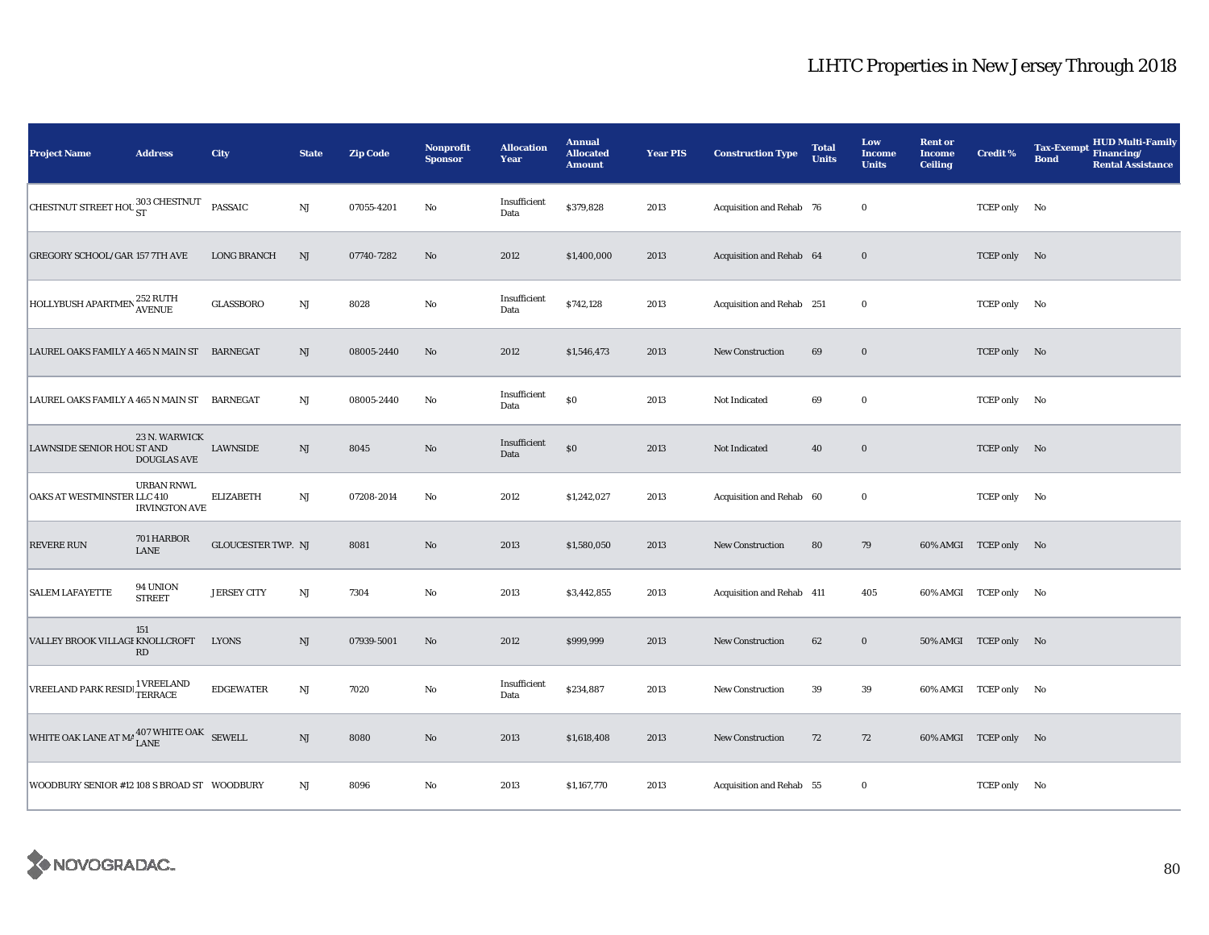| <b>Project Name</b>                                       | <b>Address</b>                            | City                      | <b>State</b>           | <b>Zip Code</b> | Nonprofit<br><b>Sponsor</b> | <b>Allocation</b><br>Year | <b>Annual</b><br><b>Allocated</b><br><b>Amount</b> | <b>Year PIS</b> | <b>Construction Type</b>  | <b>Total</b><br><b>Units</b> | Low<br><b>Income</b><br><b>Units</b> | <b>Rent or</b><br><b>Income</b><br><b>Ceiling</b> | <b>Credit %</b>       | <b>HUD Multi-Family</b><br><b>Tax-Exempt</b><br>Financing/<br><b>Bond</b><br><b>Rental Assistance</b> |
|-----------------------------------------------------------|-------------------------------------------|---------------------------|------------------------|-----------------|-----------------------------|---------------------------|----------------------------------------------------|-----------------|---------------------------|------------------------------|--------------------------------------|---------------------------------------------------|-----------------------|-------------------------------------------------------------------------------------------------------|
| CHESTNUT STREET HOU 303 CHESTNUT                          |                                           | <b>PASSAIC</b>            | $\mathbf{N}\mathbf{J}$ | 07055-4201      | No                          | Insufficient<br>Data      | \$379,828                                          | 2013            | Acquisition and Rehab 76  |                              | $\bf{0}$                             |                                                   | TCEP only No          |                                                                                                       |
| <b>GREGORY SCHOOL/GAR 157 7TH AVE</b>                     |                                           | <b>LONG BRANCH</b>        | NJ                     | 07740-7282      | No                          | 2012                      | \$1,400,000                                        | 2013            | Acquisition and Rehab 64  |                              | $\bf{0}$                             |                                                   | TCEP only No          |                                                                                                       |
| HOLLYBUSH APARTMEN <sup>252</sup> RUTH                    |                                           | <b>GLASSBORO</b>          | NJ                     | 8028            | $\rm\thinspace No$          | Insufficient<br>Data      | \$742,128                                          | 2013            | Acquisition and Rehab 251 |                              | $\bf{0}$                             |                                                   | TCEP only No          |                                                                                                       |
| LAUREL OAKS FAMILY A 465 N MAIN ST BARNEGAT               |                                           |                           | $\mathrm{NJ}$          | 08005-2440      | No                          | 2012                      | \$1,546,473                                        | 2013            | New Construction          | 69                           | $\bf{0}$                             |                                                   | TCEP only No          |                                                                                                       |
| LAUREL OAKS FAMILY A 465 N MAIN ST                        |                                           | BARNEGAT                  | NJ                     | 08005-2440      | No                          | Insufficient<br>Data      | \$0                                                | 2013            | Not Indicated             | 69                           | $\bf{0}$                             |                                                   | TCEP only No          |                                                                                                       |
| LAWNSIDE SENIOR HOU ST AND                                | 23 N. WARWICK<br><b>DOUGLAS AVE</b>       | LAWNSIDE                  | $\rm{NJ}$              | 8045            | No                          | Insufficient<br>Data      | $\$0$                                              | 2013            | Not Indicated             | 40                           | $\bf{0}$                             |                                                   | TCEP only No          |                                                                                                       |
| OAKS AT WESTMINSTER LLC 410                               | <b>URBAN RNWL</b><br><b>IRVINGTON AVE</b> | <b>ELIZABETH</b>          | NJ                     | 07208-2014      | No                          | 2012                      | \$1,242,027                                        | 2013            | Acquisition and Rehab 60  |                              | $\bf{0}$                             |                                                   | TCEP only No          |                                                                                                       |
| <b>REVERE RUN</b>                                         | 701 HARBOR<br><b>LANE</b>                 | <b>GLOUCESTER TWP. NJ</b> |                        | 8081            | $\mathbf{N}\mathbf{o}$      | 2013                      | \$1,580,050                                        | 2013            | New Construction          | 80                           | 79                                   |                                                   | 60% AMGI TCEP only No |                                                                                                       |
| <b>SALEM LAFAYETTE</b>                                    | 94 UNION<br><b>STREET</b>                 | <b>JERSEY CITY</b>        | NJ                     | 7304            | No                          | 2013                      | \$3,442,855                                        | 2013            | Acquisition and Rehab 411 |                              | 405                                  |                                                   | 60% AMGI TCEP only No |                                                                                                       |
| VALLEY BROOK VILLAGI KNOLLCROFT                           | 151<br>RD                                 | <b>LYONS</b>              | $\mathbf{N}\mathbf{J}$ | 07939-5001      | No                          | 2012                      | \$999,999                                          | 2013            | <b>New Construction</b>   | 62                           | $\bf{0}$                             |                                                   | 50% AMGI TCEP only No |                                                                                                       |
| VREELAND PARK RESIDE <sup>1</sup> VREELAND                |                                           | <b>EDGEWATER</b>          | $\mathbf{N}\mathbf{J}$ | 7020            | $\rm No$                    | Insufficient<br>Data      | \$234,887                                          | 2013            | New Construction          | 39                           | 39                                   |                                                   | 60% AMGI TCEP only No |                                                                                                       |
| WHITE OAK LANE AT MA $^{407}_{\rm LANE}$ WHITE OAK SEWELL |                                           |                           | NJ                     | 8080            | No                          | 2013                      | \$1,618,408                                        | 2013            | <b>New Construction</b>   | 72                           | 72                                   |                                                   | 60% AMGI TCEP only No |                                                                                                       |
| WOODBURY SENIOR #12 108 S BROAD ST WOODBURY               |                                           |                           | NJ                     | 8096            | $\mathbf{No}$               | 2013                      | \$1,167,770                                        | 2013            | Acquisition and Rehab 55  |                              | $\bf{0}$                             |                                                   | TCEP only No          |                                                                                                       |

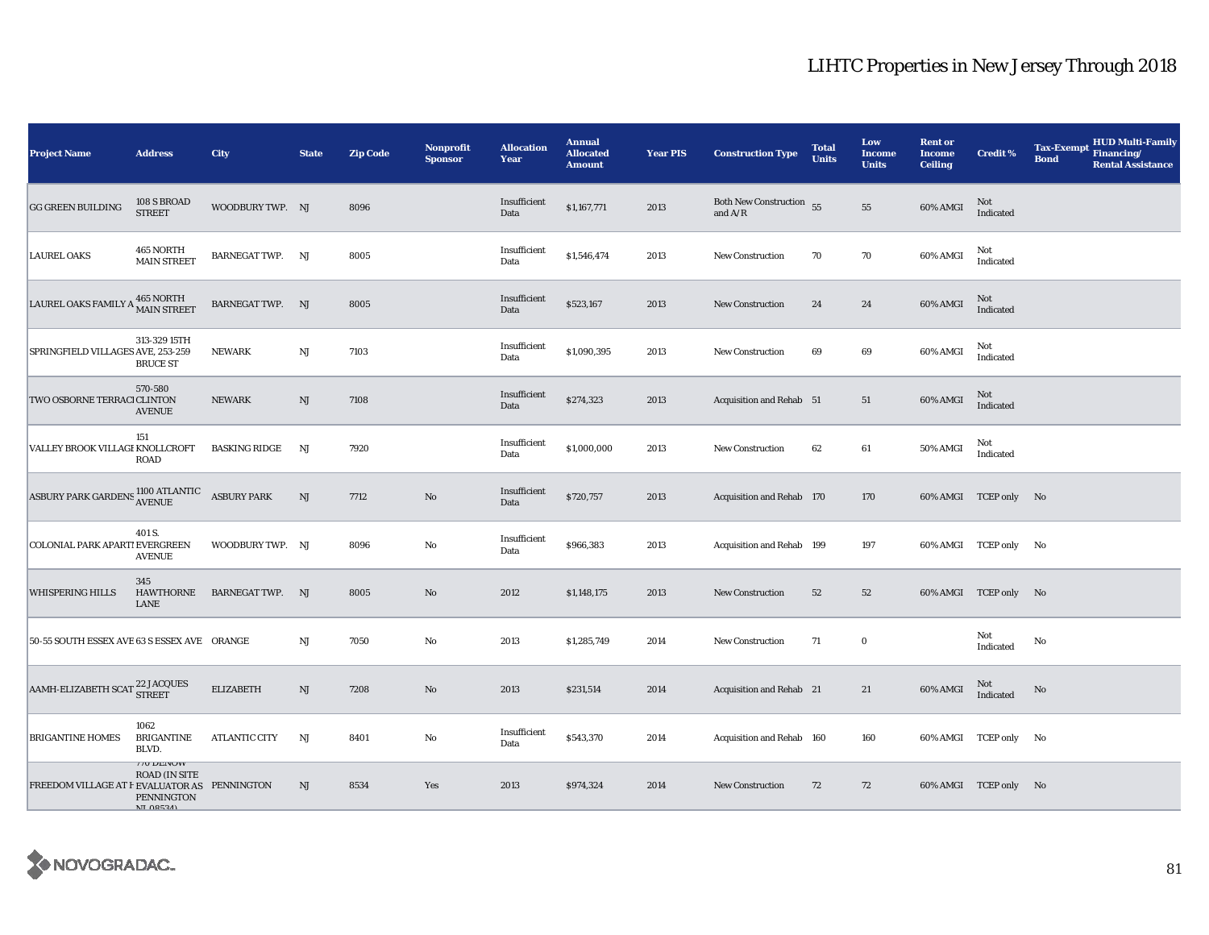| <b>Project Name</b>                          | <b>Address</b>                                                                   | <b>City</b>             | <b>State</b> | <b>Zip Code</b> | <b>Nonprofit</b><br><b>Sponsor</b> | <b>Allocation</b><br>Year | <b>Annual</b><br><b>Allocated</b><br><b>Amount</b> | <b>Year PIS</b> | <b>Construction Type</b>              | <b>Total</b><br><b>Units</b> | Low<br><b>Income</b><br><b>Units</b> | <b>Rent or</b><br><b>Income</b><br><b>Ceiling</b> | <b>Credit %</b>       | <b>Tax-Exempt</b><br><b>Bond</b> | <b>HUD Multi-Family</b><br>Financing/<br><b>Rental Assistance</b> |
|----------------------------------------------|----------------------------------------------------------------------------------|-------------------------|--------------|-----------------|------------------------------------|---------------------------|----------------------------------------------------|-----------------|---------------------------------------|------------------------------|--------------------------------------|---------------------------------------------------|-----------------------|----------------------------------|-------------------------------------------------------------------|
| <b>GG GREEN BUILDING</b>                     | 108 S BROAD<br><b>STREET</b>                                                     | WOODBURY TWP. NJ        |              | 8096            |                                    | Insufficient<br>Data      | \$1,167,771                                        | 2013            | Both New Construction 55<br>and $A/R$ |                              | ${\bf 55}$                           | 60% AMGI                                          | Not<br>Indicated      |                                  |                                                                   |
| <b>LAUREL OAKS</b>                           | 465 NORTH<br><b>MAIN STREET</b>                                                  | <b>BARNEGAT TWP. NJ</b> |              | 8005            |                                    | Insufficient<br>Data      | \$1,546,474                                        | 2013            | <b>New Construction</b>               | 70                           | $70\,$                               | 60% AMGI                                          | Not<br>Indicated      |                                  |                                                                   |
| LAUREL OAKS FAMILY A 465 NORTH               |                                                                                  | BARNEGAT TWP. NJ        |              | 8005            |                                    | Insufficient<br>Data      | \$523,167                                          | 2013            | New Construction                      | 24                           | 24                                   | 60% AMGI                                          | Not<br>Indicated      |                                  |                                                                   |
| SPRINGFIELD VILLAGES AVE, 253-259            | 313-329 15TH<br><b>BRUCE ST</b>                                                  | <b>NEWARK</b>           | NJ           | 7103            |                                    | Insufficient<br>Data      | \$1,090,395                                        | 2013            | <b>New Construction</b>               | 69                           | 69                                   | 60% AMGI                                          | Not<br>Indicated      |                                  |                                                                   |
| TWO OSBORNE TERRACI CLINTON                  | 570-580<br><b>AVENUE</b>                                                         | <b>NEWARK</b>           | NJ           | 7108            |                                    | Insufficient<br>Data      | \$274,323                                          | 2013            | Acquisition and Rehab 51              |                              | 51                                   | 60% AMGI                                          | Not<br>Indicated      |                                  |                                                                   |
| VALLEY BROOK VILLAGI KNOLLCROFT              | 151<br><b>ROAD</b>                                                               | <b>BASKING RIDGE</b>    | NJ           | 7920            |                                    | Insufficient<br>Data      | \$1,000,000                                        | 2013            | <b>New Construction</b>               | 62                           | $\bf 61$                             | <b>50% AMGI</b>                                   | Not<br>Indicated      |                                  |                                                                   |
| ASBURY PARK GARDENS 1100 ATLANTIC            |                                                                                  | <b>ASBURY PARK</b>      | NJ           | 7712            | $\rm No$                           | Insufficient<br>Data      | \$720,757                                          | 2013            | Acquisition and Rehab 170             |                              | 170                                  |                                                   | 60% AMGI TCEP only No |                                  |                                                                   |
| COLONIAL PARK APART! EVERGREEN               | 401 S.<br><b>AVENUE</b>                                                          | WOODBURY TWP. NJ        |              | 8096            | $\rm No$                           | Insufficient<br>Data      | \$966,383                                          | 2013            | Acquisition and Rehab 199             |                              | 197                                  |                                                   | 60% AMGI TCEP only No |                                  |                                                                   |
| <b>WHISPERING HILLS</b>                      | 345<br>HAWTHORNE<br>LANE                                                         | <b>BARNEGAT TWP. NJ</b> |              | 8005            | No                                 | 2012                      | \$1,148,175                                        | 2013            | New Construction                      | 52                           | 52                                   |                                                   | 60% AMGI TCEP only No |                                  |                                                                   |
| 50-55 SOUTH ESSEX AVE 63 S ESSEX AVE ORANGE  |                                                                                  |                         | $_{\rm NJ}$  | 7050            | $\rm No$                           | 2013                      | \$1,285,749                                        | 2014            | <b>New Construction</b>               | 71                           | $\mathbf 0$                          |                                                   | Not<br>Indicated      | No                               |                                                                   |
| AAMH-ELIZABETH SCAT 22 JACQUES               |                                                                                  | <b>ELIZABETH</b>        | NJ           | 7208            | No                                 | 2013                      | \$231,514                                          | 2014            | Acquisition and Rehab 21              |                              | 21                                   | 60% AMGI                                          | Not<br>Indicated      | No                               |                                                                   |
| <b>BRIGANTINE HOMES</b>                      | 1062<br><b>BRIGANTINE</b><br>BLVD.                                               | <b>ATLANTIC CITY</b>    | NJ           | 8401            | $\rm No$                           | Insufficient<br>Data      | \$543,370                                          | 2014            | Acquisition and Rehab 160             |                              | 160                                  |                                                   | 60% AMGI TCEP only No |                                  |                                                                   |
| FREEDOM VILLAGE AT F EVALUATOR AS PENNINGTON | <b>TO DENOW</b><br><b>ROAD (IN SITE</b><br><b>PENNINGTON</b><br><b>NI 08524)</b> |                         | NJ           | 8534            | Yes                                | 2013                      | \$974,324                                          | 2014            | <b>New Construction</b>               | 72                           | 72                                   |                                                   | 60% AMGI TCEP only No |                                  |                                                                   |

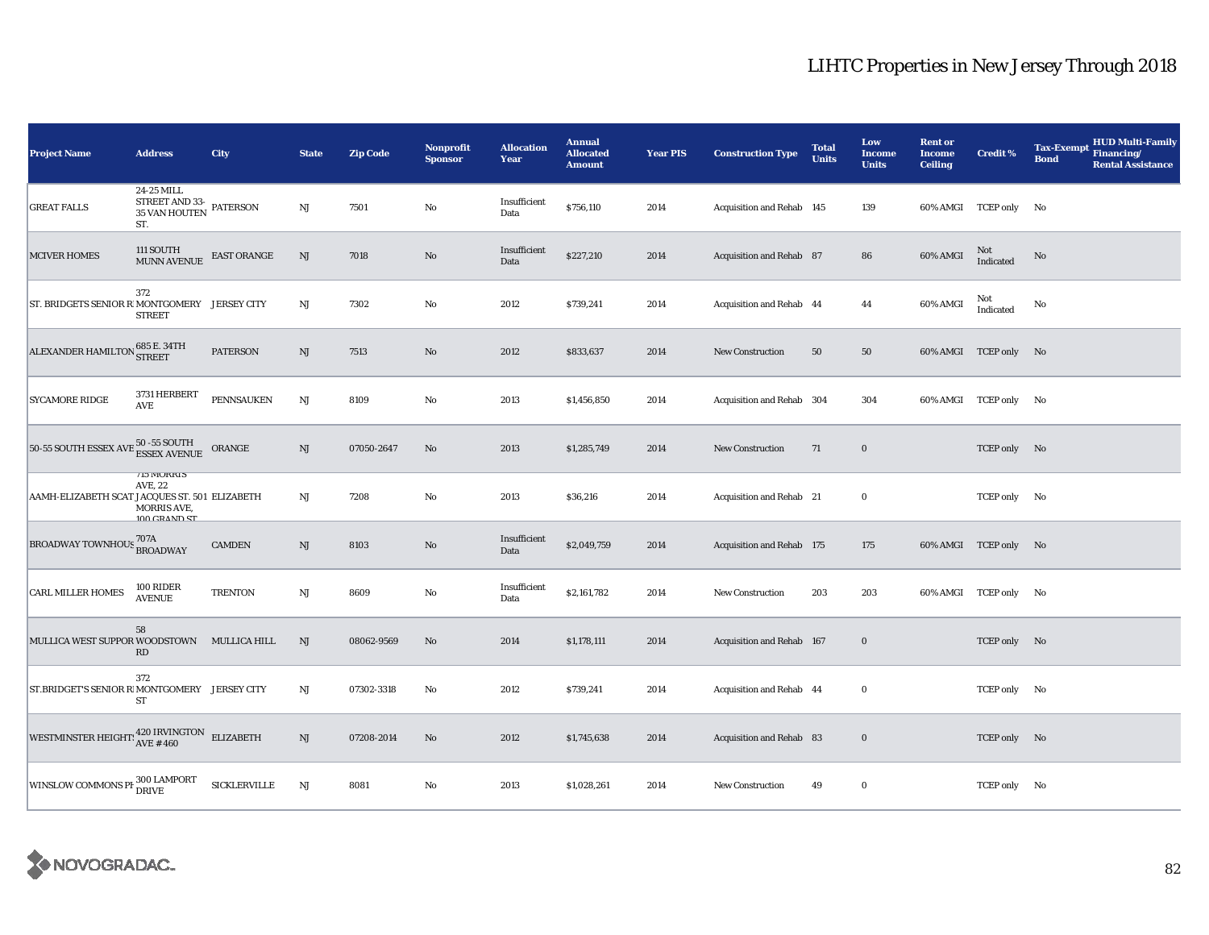| <b>Project Name</b>                                                  | <b>Address</b>                                                                                                   | City                | <b>State</b> | <b>Zip Code</b> | <b>Nonprofit</b><br><b>Sponsor</b> | <b>Allocation</b><br>Year | <b>Annual</b><br><b>Allocated</b><br><b>Amount</b> | <b>Year PIS</b> | <b>Construction Type</b>  | <b>Total</b><br><b>Units</b> | Low<br><b>Income</b><br><b>Units</b> | <b>Rent or</b><br><b>Income</b><br><b>Ceiling</b> | <b>Credit %</b>       | <b>Tax-Exempt</b><br><b>Bond</b> | <b>HUD Multi-Family</b><br>Financing/<br><b>Rental Assistance</b> |
|----------------------------------------------------------------------|------------------------------------------------------------------------------------------------------------------|---------------------|--------------|-----------------|------------------------------------|---------------------------|----------------------------------------------------|-----------------|---------------------------|------------------------------|--------------------------------------|---------------------------------------------------|-----------------------|----------------------------------|-------------------------------------------------------------------|
| <b>GREAT FALLS</b>                                                   | 24-25 MILL<br>$\begin{array}{cc}\text{STREET AND 33-}\\\text{35 VAN HOUTEN} & \text{PATERSON}\end{array}$<br>ST. |                     | $_{\rm NJ}$  | 7501            | No                                 | Insufficient<br>Data      | \$756,110                                          | 2014            | Acquisition and Rehab 145 |                              | 139                                  |                                                   | 60% AMGI TCEP only No |                                  |                                                                   |
| <b>MCIVER HOMES</b>                                                  | 111 SOUTH<br><b>MUNN AVENUE</b>                                                                                  | <b>EAST ORANGE</b>  | NJ           | 7018            | $\rm No$                           | Insufficient<br>Data      | \$227,210                                          | 2014            | Acquisition and Rehab 87  |                              | 86                                   | 60% AMGI                                          | Not<br>Indicated      | No                               |                                                                   |
| ST. BRIDGETS SENIOR R MONTGOMERY JERSEY CITY                         | 372<br><b>STREET</b>                                                                                             |                     | $\rm{NJ}$    | 7302            | $\rm No$                           | 2012                      | \$739,241                                          | 2014            | Acquisition and Rehab 44  |                              | 44                                   | 60% AMGI                                          | Not<br>Indicated      | No                               |                                                                   |
| ALEXANDER HAMILTON 685 E. 34TH                                       |                                                                                                                  | <b>PATERSON</b>     | NJ           | 7513            | No                                 | 2012                      | \$833,637                                          | 2014            | <b>New Construction</b>   | 50                           | 50                                   |                                                   | 60% AMGI TCEP only No |                                  |                                                                   |
| <b>SYCAMORE RIDGE</b>                                                | 3731 HERBERT<br>$\operatorname{\mathsf{AVE}}$                                                                    | <b>PENNSAUKEN</b>   | $\rm{NJ}$    | 8109            | $\rm No$                           | 2013                      | \$1,456,850                                        | 2014            | Acquisition and Rehab 304 |                              | 304                                  |                                                   | 60% AMGI TCEP only No |                                  |                                                                   |
| 50-55 SOUTH ESSEX AVE                                                | 3 50 -55 SOUTH<br>ESSEX AVENUE                                                                                   | ORANGE              | $\rm{NJ}$    | 07050-2647      | No                                 | 2013                      | \$1,285,749                                        | 2014            | <b>New Construction</b>   | 71                           | $\bf{0}$                             |                                                   | TCEP only No          |                                  |                                                                   |
| AAMH-ELIZABETH SCAT JACQUES ST. 501 ELIZABETH                        | <b>113 MURKIS</b><br>AVE, 22<br>MORRIS AVE,<br>100 CRAND ST                                                      |                     | NJ           | 7208            | $\rm No$                           | 2013                      | \$36,216                                           | 2014            | Acquisition and Rehab 21  |                              | $\bf{0}$                             |                                                   | TCEP only No          |                                  |                                                                   |
| BROADWAY TOWNHOUS <sup>707A</sup> BROADWAY                           |                                                                                                                  | <b>CAMDEN</b>       | NJ           | 8103            | No                                 | Insufficient<br>Data      | \$2,049,759                                        | 2014            | Acquisition and Rehab 175 |                              | 175                                  |                                                   | 60% AMGI TCEP only No |                                  |                                                                   |
| <b>CARL MILLER HOMES</b>                                             | 100 RIDER<br><b>AVENUE</b>                                                                                       | <b>TRENTON</b>      | $\rm{NJ}$    | 8609            | $\rm No$                           | Insufficient<br>Data      | \$2,161,782                                        | 2014            | <b>New Construction</b>   | 203                          | 203                                  |                                                   | 60% AMGI TCEP only No |                                  |                                                                   |
| MULLICA WEST SUPPOR WOODSTOWN MULLICA HILL                           | 58<br>RD                                                                                                         |                     | NJ           | 08062-9569      | No                                 | 2014                      | \$1,178,111                                        | 2014            | Acquisition and Rehab 167 |                              | $\bf{0}$                             |                                                   | TCEP only No          |                                  |                                                                   |
| ST.BRIDGET'S SENIOR RIMONTGOMERY JERSEY CITY                         | 372<br>ST                                                                                                        |                     | $_{\rm NJ}$  | 07302-3318      | No                                 | 2012                      | \$739,241                                          | 2014            | Acquisition and Rehab 44  |                              | $\bf{0}$                             |                                                   | TCEP only No          |                                  |                                                                   |
| WESTMINSTER HEIGHT: $\frac{420 \text{ IRVINGTON}}{\text{AVE} # 460}$ |                                                                                                                  | <b>ELIZABETH</b>    | $\rm{NJ}$    | 07208-2014      | $\rm No$                           | 2012                      | \$1,745,638                                        | 2014            | Acquisition and Rehab 83  |                              | $\boldsymbol{0}$                     |                                                   | TCEP only No          |                                  |                                                                   |
| <b>WINSLOW COMMONS PH</b>                                            | 300 LAMPORT<br><b>DRIVE</b>                                                                                      | <b>SICKLERVILLE</b> | $\rm{NJ}$    | 8081            | No                                 | 2013                      | \$1,028,261                                        | 2014            | <b>New Construction</b>   | 49                           | $\bf{0}$                             |                                                   | TCEP only No          |                                  |                                                                   |

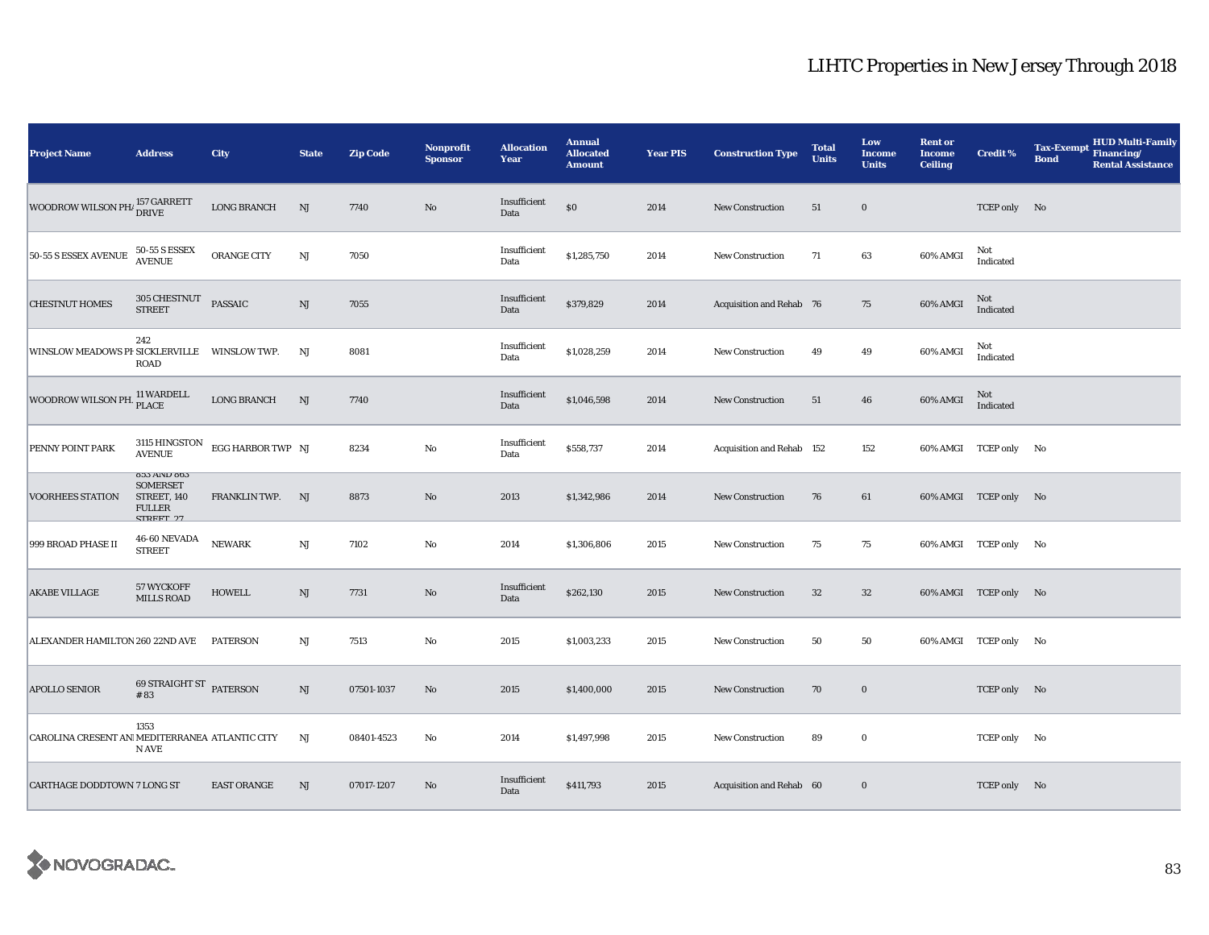| <b>Project Name</b>                            | <b>Address</b>                                                                      | <b>City</b>        | <b>State</b> | <b>Zip Code</b> | <b>Nonprofit</b><br><b>Sponsor</b> | <b>Allocation</b><br>Year | <b>Annual</b><br><b>Allocated</b><br><b>Amount</b> | <b>Year PIS</b> | <b>Construction Type</b>  | <b>Total</b><br><b>Units</b> | Low<br><b>Income</b><br><b>Units</b> | <b>Rent or</b><br><b>Income</b><br><b>Ceiling</b> | <b>Credit %</b>       | <b>HUD Multi-Family</b><br><b>Tax-Exempt</b><br>Financing/<br><b>Bond</b><br><b>Rental Assistance</b> |
|------------------------------------------------|-------------------------------------------------------------------------------------|--------------------|--------------|-----------------|------------------------------------|---------------------------|----------------------------------------------------|-----------------|---------------------------|------------------------------|--------------------------------------|---------------------------------------------------|-----------------------|-------------------------------------------------------------------------------------------------------|
| WOODROW WILSON PH/ 157 GARRETT                 |                                                                                     | <b>LONG BRANCH</b> | NJ           | 7740            | $\rm No$                           | Insufficient<br>Data      | $\$0$                                              | 2014            | New Construction          | 51                           | $\boldsymbol{0}$                     |                                                   | TCEP only No          |                                                                                                       |
| 50-55 S ESSEX AVENUE                           | 50-55 S ESSEX<br>AVENUE                                                             | ORANGE CITY        | $\rm{NJ}$    | 7050            |                                    | Insufficient<br>Data      | \$1,285,750                                        | 2014            | New Construction          | 71                           | 63                                   | 60% AMGI                                          | Not<br>Indicated      |                                                                                                       |
| <b>CHESTNUT HOMES</b>                          | 305 CHESTNUT<br>STREET                                                              | PASSAIC            | $\rm{NJ}$    | 7055            |                                    | Insufficient<br>Data      | \$379,829                                          | 2014            | Acquisition and Rehab 76  |                              | 75                                   | 60% AMGI                                          | Not<br>Indicated      |                                                                                                       |
| WINSLOW MEADOWS PF SICKLERVILLE WINSLOW TWP.   | 242<br><b>ROAD</b>                                                                  |                    | NJ           | 8081            |                                    | Insufficient<br>Data      | \$1,028,259                                        | 2014            | <b>New Construction</b>   | 49                           | 49                                   | 60% AMGI                                          | Not<br>Indicated      |                                                                                                       |
| WOODROW WILSON PH.                             | 11 WARDELL<br>PLACE                                                                 | <b>LONG BRANCH</b> | NJ           | 7740            |                                    | Insufficient<br>Data      | \$1,046,598                                        | 2014            | <b>New Construction</b>   | 51                           | 46                                   | <b>60% AMGI</b>                                   | Not<br>Indicated      |                                                                                                       |
| PENNY POINT PARK                               | 3115 HINGSTON<br><b>AVENUE</b>                                                      | EGG HARBOR TWP NJ  |              | 8234            | No                                 | Insufficient<br>Data      | \$558,737                                          | 2014            | Acquisition and Rehab 152 |                              | 152                                  |                                                   | 60% AMGI TCEP only No |                                                                                                       |
| <b>VOORHEES STATION</b>                        | 803 AIND 803<br><b>SOMERSET</b><br>STREET, 140<br><b>FULLER</b><br><b>CTDEET 97</b> | FRANKLIN TWP.      | NJ           | 8873            | No                                 | 2013                      | \$1,342,986                                        | 2014            | <b>New Construction</b>   | 76                           | 61                                   |                                                   | 60% AMGI TCEP only No |                                                                                                       |
| 999 BROAD PHASE II                             | 46-60 NEVADA<br><b>STREET</b>                                                       | <b>NEWARK</b>      | NJ           | 7102            | No                                 | 2014                      | \$1,306,806                                        | 2015            | New Construction          | 75                           | 75                                   |                                                   | 60% AMGI TCEP only No |                                                                                                       |
| <b>AKABE VILLAGE</b>                           | 57 WYCKOFF<br><b>MILLS ROAD</b>                                                     | <b>HOWELL</b>      | NJ           | 7731            | $\rm No$                           | Insufficient<br>Data      | \$262,130                                          | 2015            | <b>New Construction</b>   | 32                           | 32                                   |                                                   | 60% AMGI TCEP only No |                                                                                                       |
| ALEXANDER HAMILTON 260 22ND AVE                |                                                                                     | <b>PATERSON</b>    | NJ           | 7513            | $\rm No$                           | 2015                      | \$1,003,233                                        | 2015            | New Construction          | 50                           | 50                                   |                                                   | 60% AMGI TCEP only No |                                                                                                       |
| <b>APOLLO SENIOR</b>                           | 69 STRAIGHT ST PATERSON<br>#83                                                      |                    | NJ           | 07501-1037      | No                                 | 2015                      | \$1,400,000                                        | 2015            | New Construction          | 70                           | $\mathbf 0$                          |                                                   | TCEP only No          |                                                                                                       |
| CAROLINA CRESENT AN MEDITERRANEA ATLANTIC CITY | 1353<br>N AVE                                                                       |                    | $_{\rm NJ}$  | 08401-4523      | No                                 | 2014                      | \$1,497,998                                        | 2015            | New Construction          | 89                           | $\mathbf 0$                          |                                                   | TCEP only No          |                                                                                                       |
| <b>CARTHAGE DODDTOWN 7 LONG ST</b>             |                                                                                     | <b>EAST ORANGE</b> | NJ           | 07017-1207      | No                                 | Insufficient<br>Data      | \$411,793                                          | 2015            | Acquisition and Rehab 60  |                              | $\bf{0}$                             |                                                   | TCEP only No          |                                                                                                       |

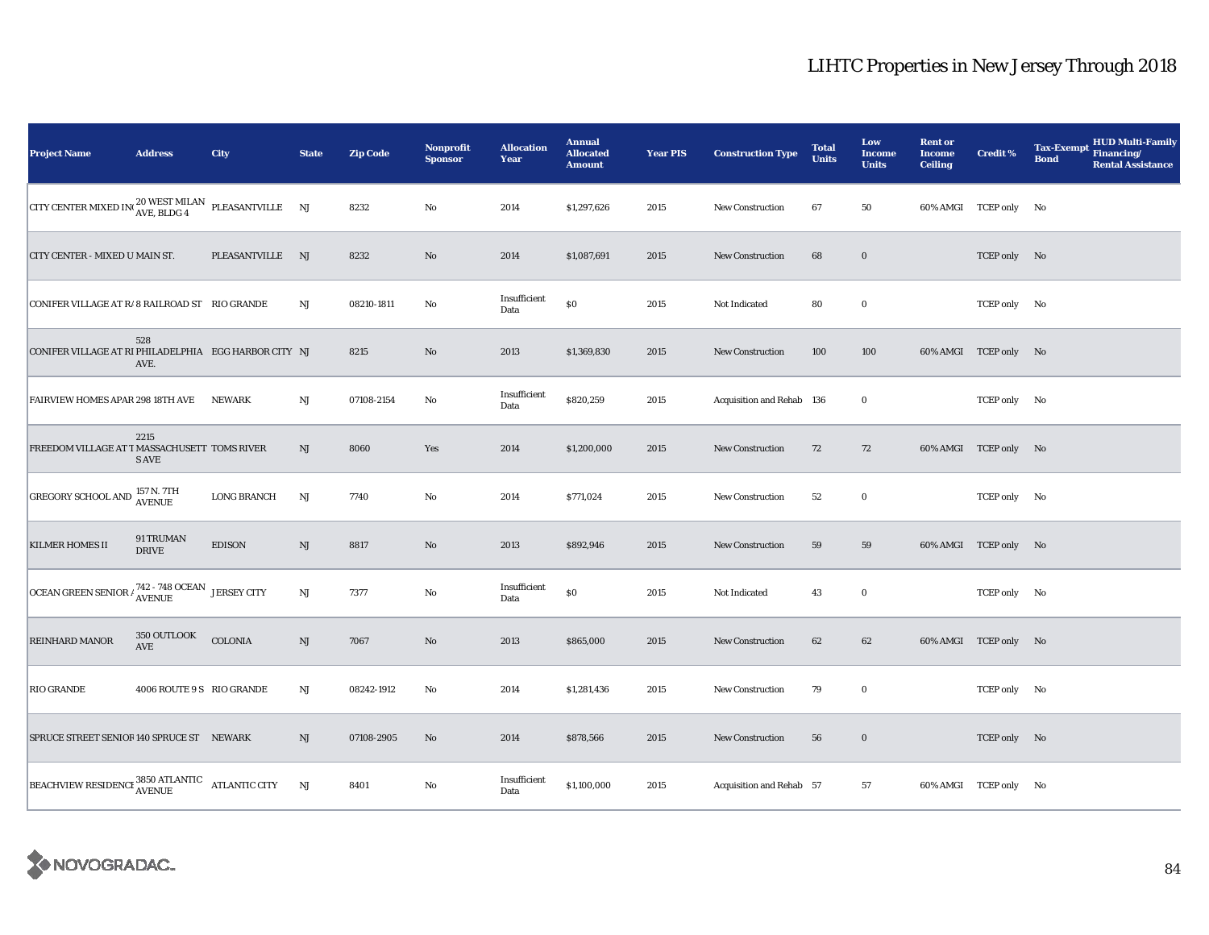| <b>Project Name</b>                                                                   | <b>Address</b>            | City               | <b>State</b> | <b>Zip Code</b> | Nonprofit<br><b>Sponsor</b> | <b>Allocation</b><br>Year | <b>Annual</b><br><b>Allocated</b><br><b>Amount</b> | <b>Year PIS</b> | <b>Construction Type</b>  | <b>Total</b><br><b>Units</b> | Low<br><b>Income</b><br><b>Units</b> | <b>Rent or</b><br><b>Income</b><br><b>Ceiling</b> | <b>Credit %</b>       | <b>HUD Multi-Family</b><br><b>Tax-Exempt</b><br>Financing/<br><b>Bond</b><br><b>Rental Assistance</b> |
|---------------------------------------------------------------------------------------|---------------------------|--------------------|--------------|-----------------|-----------------------------|---------------------------|----------------------------------------------------|-----------------|---------------------------|------------------------------|--------------------------------------|---------------------------------------------------|-----------------------|-------------------------------------------------------------------------------------------------------|
| CITY CENTER MIXED IN $_{\text{AVE, BLDG 4}}^{20 \text{ WEST MILAN}}$ PLEASANTVILLE NJ |                           |                    |              | 8232            | $\rm No$                    | 2014                      | \$1,297,626                                        | 2015            | <b>New Construction</b>   | 67                           | 50                                   |                                                   | 60% AMGI TCEP only No |                                                                                                       |
| CITY CENTER - MIXED U MAIN ST.                                                        |                           | PLEASANTVILLE NJ   |              | 8232            | $\rm No$                    | 2014                      | \$1,087,691                                        | 2015            | <b>New Construction</b>   | 68                           | $\bf{0}$                             |                                                   | TCEP only No          |                                                                                                       |
| CONIFER VILLAGE AT R/8 RAILROAD ST RIO GRANDE                                         |                           |                    | $_{\rm NJ}$  | 08210-1811      | $\rm No$                    | Insufficient<br>Data      | $\$0$                                              | 2015            | Not Indicated             | 80                           | $\mathbf 0$                          |                                                   | TCEP only No          |                                                                                                       |
| CONIFER VILLAGE AT RI PHILADELPHIA EGG HARBOR CITY NJ                                 | 528<br>AVE.               |                    |              | 8215            | No                          | 2013                      | \$1,369,830                                        | 2015            | <b>New Construction</b>   | 100                          | 100                                  |                                                   | 60% AMGI TCEP only No |                                                                                                       |
| FAIRVIEW HOMES APAR 298 18TH AVE                                                      |                           | <b>NEWARK</b>      | NJ           | 07108-2154      | $\rm No$                    | Insufficient<br>Data      | \$820,259                                          | 2015            | Acquisition and Rehab 136 |                              | $\mathbf 0$                          |                                                   | TCEP only No          |                                                                                                       |
| FREEDOM VILLAGE AT T MASSACHUSETT TOMS RIVER                                          | 2215<br><b>S AVE</b>      |                    | NJ           | 8060            | Yes                         | 2014                      | \$1,200,000                                        | 2015            | New Construction          | 72                           | 72                                   |                                                   | 60% AMGI TCEP only No |                                                                                                       |
| <b>GREGORY SCHOOL AND 157 N. 7TH</b>                                                  |                           | <b>LONG BRANCH</b> | NJ           | 7740            | No                          | 2014                      | \$771,024                                          | 2015            | <b>New Construction</b>   | 52                           | $\mathbf 0$                          |                                                   | TCEP only No          |                                                                                                       |
| <b>KILMER HOMES II</b>                                                                | 91 TRUMAN<br><b>DRIVE</b> | <b>EDISON</b>      | NJ           | 8817            | $\rm No$                    | 2013                      | \$892,946                                          | 2015            | <b>New Construction</b>   | 59                           | 59                                   |                                                   | 60% AMGI TCEP only No |                                                                                                       |
| OCEAN GREEN SENIOR $\frac{742 - 748}{\text{AVENUE}}$ JERSEY CITY                      |                           |                    | $\rm{NJ}$    | 7377            | $\rm No$                    | Insufficient<br>Data      | $\$0$                                              | 2015            | Not Indicated             | 43                           | $\mathbf 0$                          |                                                   | TCEP only No          |                                                                                                       |
| <b>REINHARD MANOR</b>                                                                 | 350 OUTLOOK<br>AVE        | COLONIA            | NJ           | 7067            | No                          | 2013                      | \$865,000                                          | 2015            | <b>New Construction</b>   | 62                           | 62                                   |                                                   | 60% AMGI TCEP only No |                                                                                                       |
| <b>RIO GRANDE</b>                                                                     | 4006 ROUTE 9 S RIO GRANDE |                    | $_{\rm NJ}$  | 08242-1912      | $\rm No$                    | 2014                      | \$1,281,436                                        | 2015            | New Construction          | 79                           | $\bf{0}$                             |                                                   | TCEP only No          |                                                                                                       |
| SPRUCE STREET SENIOR 140 SPRUCE ST NEWARK                                             |                           |                    | NJ           | 07108-2905      | $\rm No$                    | 2014                      | \$878,566                                          | 2015            | <b>New Construction</b>   | 56                           | $\mathbf 0$                          |                                                   | TCEP only No          |                                                                                                       |
| BEACHVIEW RESIDENCE 3850 ATLANTIC ATLANTIC CITY                                       |                           |                    | NJ           | 8401            | $\rm No$                    | Insufficient<br>Data      | \$1,100,000                                        | 2015            | Acquisition and Rehab 57  |                              | 57                                   |                                                   | 60% AMGI TCEP only No |                                                                                                       |

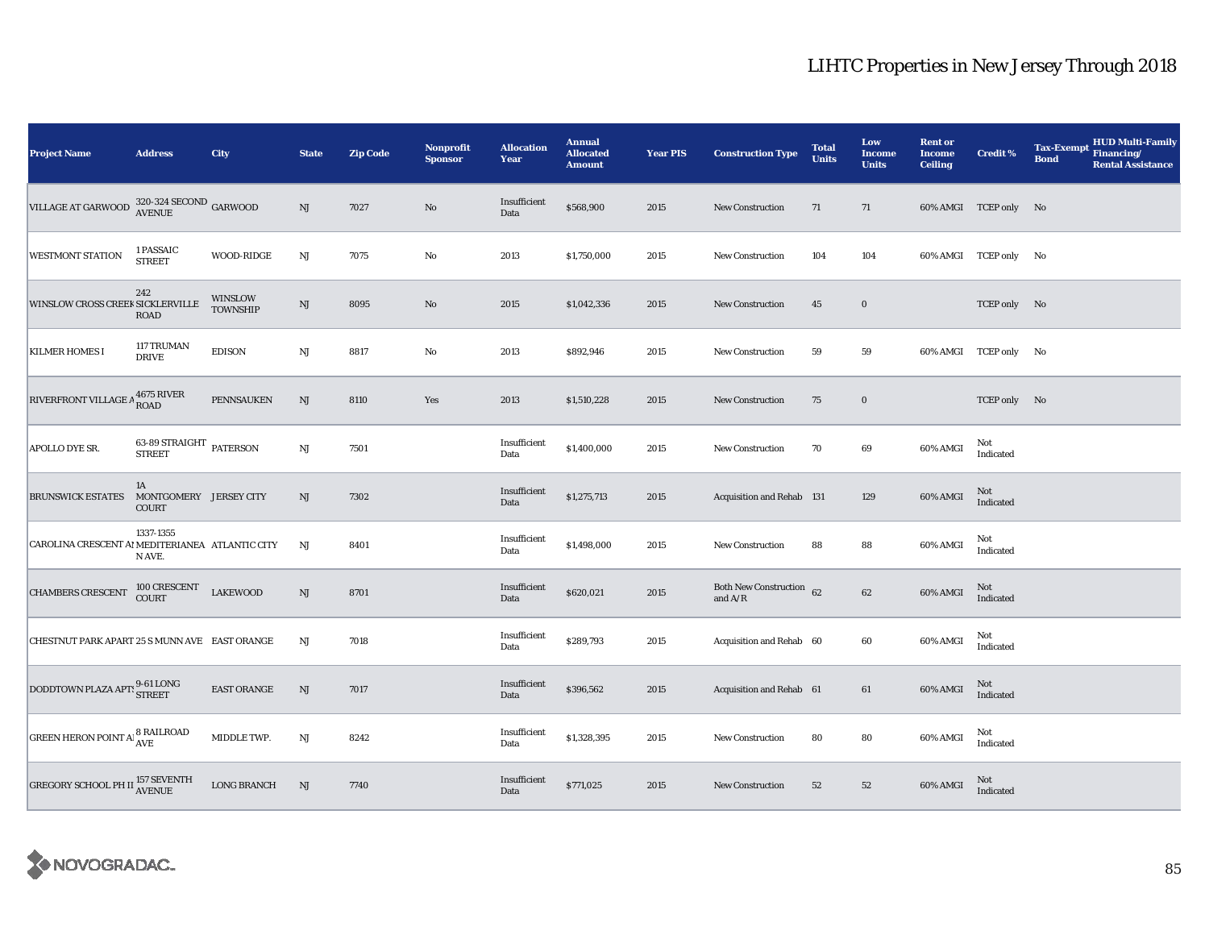| <b>Project Name</b>                              | <b>Address</b>                               | City                       | <b>State</b>           | <b>Zip Code</b> | <b>Nonprofit</b><br><b>Sponsor</b> | <b>Allocation</b><br>Year | <b>Annual</b><br><b>Allocated</b><br><b>Amount</b> | <b>Year PIS</b> | <b>Construction Type</b>                                                          | <b>Total</b><br><b>Units</b> | Low<br><b>Income</b><br><b>Units</b> | <b>Rent or</b><br><b>Income</b><br><b>Ceiling</b> | <b>Credit %</b>       | <b>Tax-Exempt</b><br><b>Bond</b> | <b>HUD Multi-Family</b><br>Financing/<br><b>Rental Assistance</b> |
|--------------------------------------------------|----------------------------------------------|----------------------------|------------------------|-----------------|------------------------------------|---------------------------|----------------------------------------------------|-----------------|-----------------------------------------------------------------------------------|------------------------------|--------------------------------------|---------------------------------------------------|-----------------------|----------------------------------|-------------------------------------------------------------------|
| VILLAGE AT GARWOOD                               | $320\text{-}324$ SECOND GARWOOD AVENUE       |                            | $_{\rm NJ}$            | 7027            | $\rm No$                           | Insufficient<br>Data      | \$568,900                                          | 2015            | <b>New Construction</b>                                                           | 71                           | 71                                   |                                                   | 60% AMGI TCEP only No |                                  |                                                                   |
| <b>WESTMONT STATION</b>                          | 1 PASSAIC<br><b>STREET</b>                   | <b>WOOD-RIDGE</b>          | $\mathbf{N}\mathbf{J}$ | 7075            | No                                 | 2013                      | \$1,750,000                                        | 2015            | <b>New Construction</b>                                                           | 104                          | 104                                  |                                                   | 60% AMGI TCEP only No |                                  |                                                                   |
| WINSLOW CROSS CREEK SICKLERVILLE                 | 242<br><b>ROAD</b>                           | WINSLOW<br><b>TOWNSHIP</b> | $\mathbf{N}\mathbf{J}$ | 8095            | $\rm No$                           | 2015                      | \$1,042,336                                        | 2015            | New Construction                                                                  | 45                           | $\bf{0}$                             |                                                   | TCEP only No          |                                  |                                                                   |
| <b>KILMER HOMES I</b>                            | 117 TRUMAN<br><b>DRIVE</b>                   | <b>EDISON</b>              | $\mathbf{N}\mathbf{J}$ | 8817            | No                                 | 2013                      | \$892,946                                          | 2015            | <b>New Construction</b>                                                           | 59                           | 59                                   |                                                   | 60% AMGI TCEP only No |                                  |                                                                   |
| RIVERFRONT VILLAGE A 4675 RIVER                  |                                              | <b>PENNSAUKEN</b>          | $\mathrm{NJ}$          | 8110            | Yes                                | 2013                      | \$1,510,228                                        | 2015            | <b>New Construction</b>                                                           | 75                           | $\bf{0}$                             |                                                   | TCEP only No          |                                  |                                                                   |
| APOLLO DYE SR.                                   | 63-89 STRAIGHT PATERSON<br><b>STREET</b>     |                            | $\mathbf{N}\mathbf{J}$ | 7501            |                                    | Insufficient<br>Data      | \$1,400,000                                        | 2015            | New Construction                                                                  | 70                           | 69                                   | 60% AMGI                                          | Not<br>Indicated      |                                  |                                                                   |
| <b>BRUNSWICK ESTATES</b>                         | 1A<br>MONTGOMERY JERSEY CITY<br><b>COURT</b> |                            | NJ                     | 7302            |                                    | Insufficient<br>Data      | \$1,275,713                                        | 2015            | Acquisition and Rehab 131                                                         |                              | 129                                  | 60% AMGI                                          | Not<br>Indicated      |                                  |                                                                   |
| CAROLINA CRESCENT AI MEDITERIANEA ATLANTIC CITY  | 1337-1355<br>N AVE.                          |                            | NJ                     | 8401            |                                    | Insufficient<br>Data      | \$1,498,000                                        | 2015            | New Construction                                                                  | 88                           | 88                                   | 60% AMGI                                          | Not<br>Indicated      |                                  |                                                                   |
| <b>CHAMBERS CRESCENT</b>                         | 100 CRESCENT<br>COURT                        | <b>LAKEWOOD</b>            | $\mathbf{N}\mathbf{J}$ | 8701            |                                    | Insufficient<br>Data      | \$620,021                                          | 2015            | Both New Construction 62<br>and $\ensuremath{\mathrm{A}}/\ensuremath{\mathrm{R}}$ |                              | $62\,$                               | 60% AMGI                                          | Not<br>Indicated      |                                  |                                                                   |
| CHESTNUT PARK APART 25 S MUNN AVE EAST ORANGE    |                                              |                            | NJ                     | 7018            |                                    | Insufficient<br>Data      | \$289,793                                          | 2015            | Acquisition and Rehab 60                                                          |                              | 60                                   | 60% AMGI                                          | Not<br>Indicated      |                                  |                                                                   |
| DODDTOWN PLAZA APTS 9-61 LONG                    |                                              | <b>EAST ORANGE</b>         | NJ                     | 7017            |                                    | Insufficient<br>Data      | \$396,562                                          | 2015            | Acquisition and Rehab 61                                                          |                              | 61                                   | 60% AMGI                                          | Not<br>Indicated      |                                  |                                                                   |
| <b>GREEN HERON POINT A <sup>8</sup> RAILROAD</b> |                                              | MIDDLE TWP.                | NJ                     | 8242            |                                    | Insufficient<br>Data      | \$1,328,395                                        | 2015            | <b>New Construction</b>                                                           | 80                           | 80                                   | 60% AMGI                                          | Not<br>Indicated      |                                  |                                                                   |
| <b>GREGORY SCHOOL PH II AVENUE</b>               |                                              | <b>LONG BRANCH</b>         | NJ                     | 7740            |                                    | Insufficient<br>Data      | \$771,025                                          | 2015            | New Construction                                                                  | 52                           | 52                                   | 60% AMGI                                          | Not<br>Indicated      |                                  |                                                                   |

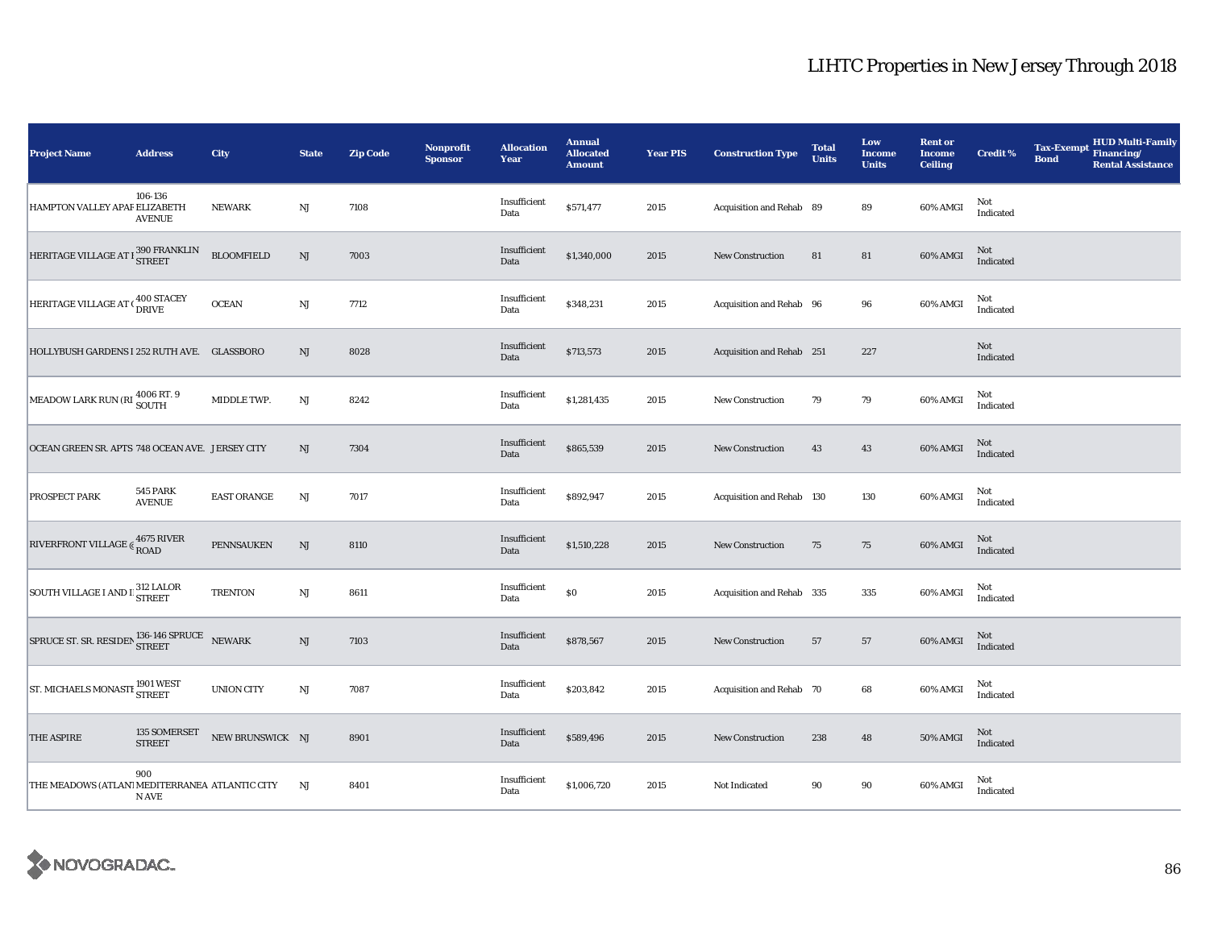| <b>Project Name</b>                              | <b>Address</b>                   | City               | <b>State</b>           | <b>Zip Code</b> | <b>Nonprofit</b><br><b>Sponsor</b> | <b>Allocation</b><br>Year | <b>Annual</b><br><b>Allocated</b><br><b>Amount</b> | <b>Year PIS</b> | <b>Construction Type</b>  | <b>Total</b><br><b>Units</b> | Low<br><b>Income</b><br><b>Units</b> | <b>Rent or</b><br><b>Income</b><br><b>Ceiling</b> | <b>Credit %</b>         | <b>Tax-Exempt</b><br><b>Bond</b> | <b>HUD Multi-Family</b><br>Financing/<br><b>Rental Assistance</b> |
|--------------------------------------------------|----------------------------------|--------------------|------------------------|-----------------|------------------------------------|---------------------------|----------------------------------------------------|-----------------|---------------------------|------------------------------|--------------------------------------|---------------------------------------------------|-------------------------|----------------------------------|-------------------------------------------------------------------|
| HAMPTON VALLEY APAF ELIZABETH                    | 106-136<br><b>AVENUE</b>         | <b>NEWARK</b>      | NJ                     | 7108            |                                    | Insufficient<br>Data      | \$571,477                                          | 2015            | Acquisition and Rehab 89  |                              | 89                                   | 60% AMGI                                          | Not<br>Indicated        |                                  |                                                                   |
| HERITAGE VILLAGE AT I 390 FRANKLIN               |                                  | <b>BLOOMFIELD</b>  | $\mathbf{N}\mathbf{J}$ | 7003            |                                    | Insufficient<br>Data      | \$1,340,000                                        | 2015            | New Construction          | 81                           | 81                                   | 60% AMGI                                          | <b>Not</b><br>Indicated |                                  |                                                                   |
| HERITAGE VILLAGE AT (400 STACEY                  |                                  | <b>OCEAN</b>       | $\mathbf{N}\mathbf{J}$ | 7712            |                                    | Insufficient<br>Data      | \$348,231                                          | 2015            | Acquisition and Rehab 96  |                              | 96                                   | 60% AMGI                                          | Not<br>Indicated        |                                  |                                                                   |
| HOLLYBUSH GARDENS I 252 RUTH AVE. GLASSBORO      |                                  |                    | NJ                     | 8028            |                                    | Insufficient<br>Data      | \$713,573                                          | 2015            | Acquisition and Rehab 251 |                              | 227                                  |                                                   | Not<br>Indicated        |                                  |                                                                   |
| MEADOW LARK RUN (RI 4006 RT. 9                   |                                  | MIDDLE TWP.        | $\mathbf{N}\mathbf{J}$ | 8242            |                                    | Insufficient<br>Data      | \$1,281,435                                        | 2015            | New Construction          | 79                           | $\bf 79$                             | 60% AMGI                                          | Not<br>Indicated        |                                  |                                                                   |
| OCEAN GREEN SR. APTS 748 OCEAN AVE. JERSEY CITY  |                                  |                    | $\rm{NJ}$              | 7304            |                                    | Insufficient<br>Data      | \$865,539                                          | 2015            | <b>New Construction</b>   | 43                           | 43                                   | 60% AMGI                                          | Not<br>Indicated        |                                  |                                                                   |
| <b>PROSPECT PARK</b>                             | <b>545 PARK</b><br><b>AVENUE</b> | <b>EAST ORANGE</b> | NJ                     | 7017            |                                    | Insufficient<br>Data      | \$892,947                                          | 2015            | Acquisition and Rehab 130 |                              | 130                                  | 60% AMGI                                          | Not<br>Indicated        |                                  |                                                                   |
| RIVERFRONT VILLAGE $\epsilon$ 4675 RIVER<br>ROAD |                                  | PENNSAUKEN         | $\rm{NJ}$              | 8110            |                                    | Insufficient<br>Data      | \$1,510,228                                        | 2015            | New Construction          | 75                           | 75                                   | 60% AMGI                                          | Not<br>Indicated        |                                  |                                                                   |
| SOUTH VILLAGE I AND I 312 LALOR                  |                                  | <b>TRENTON</b>     | $\mathbf{N}\mathbf{J}$ | 8611            |                                    | Insufficient<br>Data      | \$0                                                | 2015            | Acquisition and Rehab 335 |                              | 335                                  | 60% AMGI                                          | Not<br>Indicated        |                                  |                                                                   |
| SPRUCE ST. SR. RESIDEN STREET NEWARK             |                                  |                    | $\mathrm{NJ}$          | 7103            |                                    | Insufficient<br>Data      | \$878,567                                          | 2015            | <b>New Construction</b>   | 57                           | 57                                   | 60% AMGI                                          | Not<br>Indicated        |                                  |                                                                   |
| ST. MICHAELS MONASTI 1901 WEST                   |                                  | <b>UNION CITY</b>  | $\mathbf{N}\mathbf{J}$ | 7087            |                                    | Insufficient<br>Data      | \$203,842                                          | 2015            | Acquisition and Rehab 70  |                              | 68                                   | 60% AMGI                                          | Not<br>Indicated        |                                  |                                                                   |
| <b>THE ASPIRE</b>                                | 135 SOMERSET<br><b>STREET</b>    | NEW BRUNSWICK NJ   |                        | 8901            |                                    | Insufficient<br>Data      | \$589,496                                          | 2015            | <b>New Construction</b>   | 238                          | 48                                   | 50% AMGI                                          | <b>Not</b><br>Indicated |                                  |                                                                   |
| THE MEADOWS (ATLAN'I MEDITERRANEA ATLANTIC CITY  | 900<br>N AVE                     |                    | NJ                     | 8401            |                                    | Insufficient<br>Data      | \$1,006,720                                        | 2015            | Not Indicated             | 90                           | 90                                   | 60% AMGI                                          | Not<br>Indicated        |                                  |                                                                   |

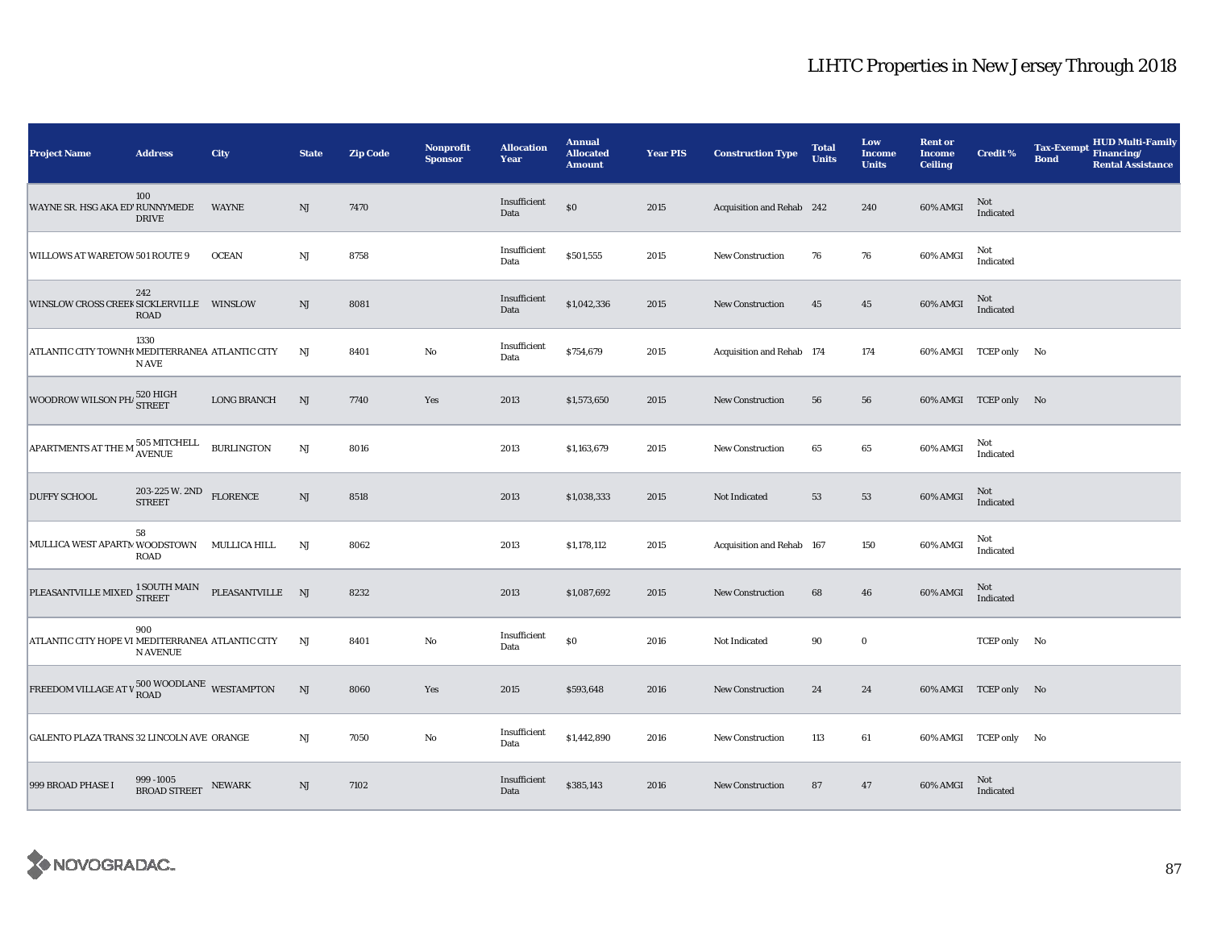| <b>Project Name</b>                                                                                         | <b>Address</b>                                                    | <b>City</b>        | <b>State</b>  | <b>Zip Code</b> | <b>Nonprofit</b><br><b>Sponsor</b> | <b>Allocation</b><br>Year | <b>Annual</b><br><b>Allocated</b><br><b>Amount</b> | <b>Year PIS</b> | <b>Construction Type</b>  | <b>Total</b><br><b>Units</b> | Low<br>Income<br><b>Units</b> | <b>Rent or</b><br><b>Income</b><br><b>Ceiling</b> | <b>Credit %</b>        | <b>Tax-Exempt</b><br><b>Bond</b> | <b>HUD Multi-Family</b><br>Financing/<br><b>Rental Assistance</b> |
|-------------------------------------------------------------------------------------------------------------|-------------------------------------------------------------------|--------------------|---------------|-----------------|------------------------------------|---------------------------|----------------------------------------------------|-----------------|---------------------------|------------------------------|-------------------------------|---------------------------------------------------|------------------------|----------------------------------|-------------------------------------------------------------------|
| WAYNE SR. HSG AKA ED' RUNNYMEDE                                                                             | 100<br><b>DRIVE</b>                                               | <b>WAYNE</b>       | NJ            | 7470            |                                    | Insufficient<br>Data      | $\$0$                                              | 2015            | Acquisition and Rehab 242 |                              | 240                           | 60% AMGI                                          | $\mbox{Not}$ Indicated |                                  |                                                                   |
| WILLOWS AT WARETOW 501 ROUTE 9                                                                              |                                                                   | <b>OCEAN</b>       | $_{\rm NJ}$   | 8758            |                                    | Insufficient<br>Data      | \$501,555                                          | 2015            | <b>New Construction</b>   | 76                           | 76                            | 60% AMGI                                          | Not<br>Indicated       |                                  |                                                                   |
| WINSLOW CROSS CREEK SICKLERVILLE WINSLOW                                                                    | 242<br><b>ROAD</b>                                                |                    | NJ            | 8081            |                                    | Insufficient<br>Data      | \$1,042,336                                        | 2015            | <b>New Construction</b>   | 45                           | $45\,$                        | 60% AMGI                                          | Not<br>Indicated       |                                  |                                                                   |
| ATLANTIC CITY TOWNHOMEDITERRANEA ATLANTIC CITY                                                              | 1330<br>N AVE                                                     |                    | NJ            | 8401            | No                                 | Insufficient<br>Data      | \$754,679                                          | 2015            | Acquisition and Rehab 174 |                              | 174                           |                                                   | 60% AMGI TCEP only No  |                                  |                                                                   |
| WOODROW WILSON PH <sub>1</sub> 520 HIGH                                                                     |                                                                   | <b>LONG BRANCH</b> | NJ            | 7740            | Yes                                | 2013                      | \$1,573,650                                        | 2015            | <b>New Construction</b>   | 56                           | 56                            |                                                   | 60% AMGI TCEP only No  |                                  |                                                                   |
| ${\large \bf A PARTMENTS AT THE M} \begin{tabular}{ll} \bf 505 MITCHELL & \bf  BURLINGTON \\ \end{tabular}$ |                                                                   |                    | $\mathrm{NJ}$ | 8016            |                                    | 2013                      | \$1,163,679                                        | 2015            | New Construction          | 65                           | 65                            | 60% AMGI                                          | Not<br>Indicated       |                                  |                                                                   |
| <b>DUFFY SCHOOL</b>                                                                                         | $203\text{-}225\ \text{W}\text{.}\ 2\text{ND}$<br>FLORENCE STREET |                    | NJ            | 8518            |                                    | 2013                      | \$1,038,333                                        | 2015            | Not Indicated             | 53                           | 53                            | 60% AMGI                                          | Not<br>Indicated       |                                  |                                                                   |
| MULLICA WEST APARTM WOODSTOWN MULLICA HILL                                                                  | 58<br><b>ROAD</b>                                                 |                    | NJ            | 8062            |                                    | 2013                      | \$1,178,112                                        | 2015            | Acquisition and Rehab 167 |                              | 150                           | 60% AMGI                                          | Not<br>Indicated       |                                  |                                                                   |
| $\begin{tabular}{ll} \bf PLEASANTVILLE MIXED & \bf SOUTH MAN & \bf PLEASANTVILLE & \bf NJ \\ \end{tabular}$ |                                                                   |                    |               | 8232            |                                    | 2013                      | \$1,087,692                                        | 2015            | <b>New Construction</b>   | 68                           | 46                            | 60% AMGI                                          | Not<br>Indicated       |                                  |                                                                   |
| ATLANTIC CITY HOPE VI MEDITERRANEA ATLANTIC CITY                                                            | 900<br><b>N AVENUE</b>                                            |                    | NJ            | 8401            | $\rm No$                           | Insufficient<br>Data      | $\$0$                                              | 2016            | Not Indicated             | 90                           | $\mathbf 0$                   |                                                   | TCEP only No           |                                  |                                                                   |
| FREEDOM VILLAGE AT V 500 WOODLANE WESTAMPTON                                                                |                                                                   |                    | $\mathrm{NJ}$ | 8060            | Yes                                | 2015                      | \$593,648                                          | 2016            | <b>New Construction</b>   | 24                           | 24                            |                                                   | 60% AMGI TCEP only No  |                                  |                                                                   |
| GALENTO PLAZA TRANS 32 LINCOLN AVE ORANGE                                                                   |                                                                   |                    | $_{\rm NJ}$   | 7050            | No                                 | Insufficient<br>Data      | \$1,442,890                                        | 2016            | <b>New Construction</b>   | 113                          | 61                            |                                                   | 60% AMGI TCEP only No  |                                  |                                                                   |
| 999 BROAD PHASE I                                                                                           | 999 -1005<br>BROAD STREET NEWARK                                  |                    | NJ            | 7102            |                                    | Insufficient<br>Data      | \$385,143                                          | 2016            | <b>New Construction</b>   | 87                           | 47                            | 60% AMGI                                          | Not<br>Indicated       |                                  |                                                                   |

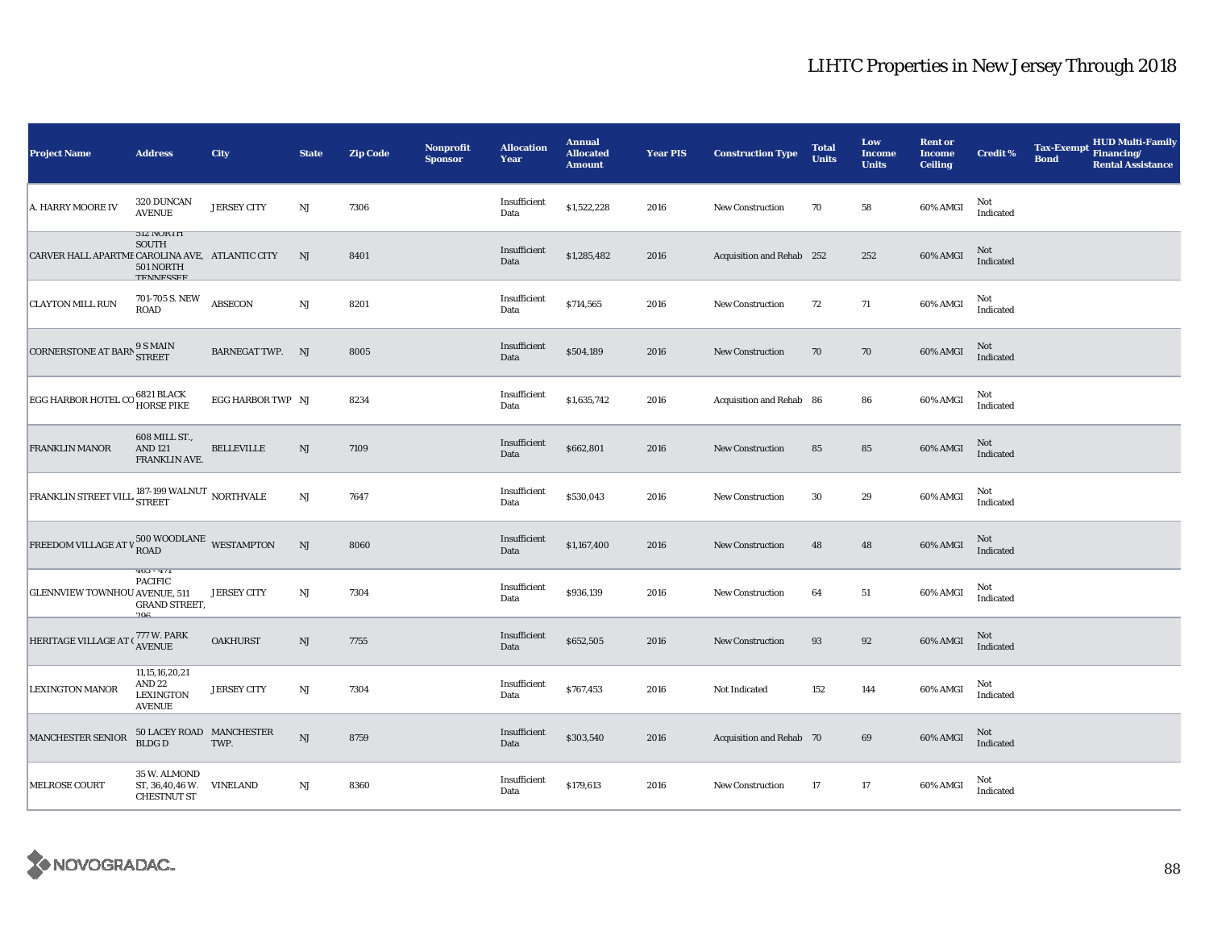| <b>Project Name</b>                                                                                                                                  | <b>Address</b>                                                               | City                    | <b>State</b>           | <b>Zip Code</b> | <b>Nonprofit</b><br><b>Sponsor</b> | <b>Allocation</b><br>Year | <b>Annual</b><br><b>Allocated</b><br><b>Amount</b> | <b>Year PIS</b> | <b>Construction Type</b>  | <b>Total</b><br><b>Units</b> | Low<br><b>Income</b><br><b>Units</b> | <b>Rent or</b><br><b>Income</b><br><b>Ceiling</b> | <b>Credit %</b>  | <b>Tax-Exempt</b><br><b>Bond</b> | <b>HUD Multi-Family</b><br>Financing/<br><b>Rental Assistance</b> |
|------------------------------------------------------------------------------------------------------------------------------------------------------|------------------------------------------------------------------------------|-------------------------|------------------------|-----------------|------------------------------------|---------------------------|----------------------------------------------------|-----------------|---------------------------|------------------------------|--------------------------------------|---------------------------------------------------|------------------|----------------------------------|-------------------------------------------------------------------|
| A. HARRY MOORE IV                                                                                                                                    | 320 DUNCAN<br><b>AVENUE</b>                                                  | <b>JERSEY CITY</b>      | $_{\rm NJ}$            | 7306            |                                    | Insufficient<br>Data      | \$1,522,228                                        | 2016            | <b>New Construction</b>   | 70                           | 58                                   | 60% AMGI                                          | Not<br>Indicated |                                  |                                                                   |
| CARVER HALL APARTME CAROLINA AVE, ATLANTIC CITY                                                                                                      | <b>JIZ NUKIH</b><br><b>SOUTH</b><br>501 NORTH<br><b>TEMMECCEE</b>            |                         | NJ                     | 8401            |                                    | Insufficient<br>Data      | \$1,285,482                                        | 2016            | Acquisition and Rehab 252 |                              | 252                                  | 60% AMGI                                          | Not<br>Indicated |                                  |                                                                   |
| <b>CLAYTON MILL RUN</b>                                                                                                                              | 701-705 S. NEW<br>ROAD                                                       | <b>ABSECON</b>          | $\mathbf{N}\mathbf{J}$ | 8201            |                                    | Insufficient<br>Data      | \$714,565                                          | 2016            | <b>New Construction</b>   | 72                           | 71                                   | 60% AMGI                                          | Not<br>Indicated |                                  |                                                                   |
| CORNERSTONE AT BARN 9 S MAIN                                                                                                                         |                                                                              | <b>BARNEGAT TWP. NJ</b> |                        | 8005            |                                    | Insufficient<br>Data      | \$504,189                                          | 2016            | <b>New Construction</b>   | 70                           | 70                                   | 60% AMGI                                          | Not<br>Indicated |                                  |                                                                   |
| EGG HARBOR HOTEL CO 6821 BLACK                                                                                                                       |                                                                              | EGG HARBOR TWP NJ       |                        | 8234            |                                    | Insufficient<br>Data      | \$1,635,742                                        | 2016            | Acquisition and Rehab 86  |                              | 86                                   | 60% AMGI                                          | Not<br>Indicated |                                  |                                                                   |
| FRANKLIN MANOR                                                                                                                                       | 608 MILL ST.,<br><b>AND 121</b><br>FRANKLIN AVE.                             | <b>BELLEVILLE</b>       | NJ                     | 7109            |                                    | Insufficient<br>Data      | \$662,801                                          | 2016            | New Construction          | 85                           | 85                                   | 60% AMGI                                          | Not<br>Indicated |                                  |                                                                   |
| $\boxed{\textsf{FRANKLIN}~\textsf{STREF}~\textsf{VILL}} \begin{smallmatrix} \textbf{187-199}~\textsf{WALNUT} & \textbf{NORTHVALE} \end{smallmatrix}$ |                                                                              |                         | $\rm{NJ}$              | 7647            |                                    | Insufficient<br>Data      | \$530,043                                          | 2016            | New Construction          | 30                           | 29                                   | 60% AMGI                                          | Not<br>Indicated |                                  |                                                                   |
| FREEDOM VILLAGE AT V $^{500}_{\rm{ROAD}}$ WOODLANE WESTAMPTON                                                                                        |                                                                              |                         | NJ                     | 8060            |                                    | Insufficient<br>Data      | \$1,167,400                                        | 2016            | New Construction          | 48                           | 48                                   | 60% AMGI                                          | Not<br>Indicated |                                  |                                                                   |
| <b>GLENNVIEW TOWNHOU AVENUE, 511</b>                                                                                                                 | $403 - 411$<br><b>PACIFIC</b><br><b>GRAND STREET,</b><br>90c                 | <b>JERSEY CITY</b>      | NJ                     | 7304            |                                    | Insufficient<br>Data      | \$936,139                                          | 2016            | <b>New Construction</b>   | 64                           | 51                                   | 60% AMGI                                          | Not<br>Indicated |                                  |                                                                   |
| HERITAGE VILLAGE AT (777 W. PARK                                                                                                                     |                                                                              | <b>OAKHURST</b>         | $\mathbf{N}\mathbf{J}$ | 7755            |                                    | Insufficient<br>Data      | \$652,505                                          | 2016            | <b>New Construction</b>   | 93                           | $\bf{92}$                            | 60% AMGI                                          | Not<br>Indicated |                                  |                                                                   |
| <b>LEXINGTON MANOR</b>                                                                                                                               | 11, 15, 16, 20, 21<br>AND <sub>22</sub><br><b>LEXINGTON</b><br><b>AVENUE</b> | <b>JERSEY CITY</b>      | NJ                     | 7304            |                                    | Insufficient<br>Data      | \$767,453                                          | 2016            | Not Indicated             | 152                          | 144                                  | 60% AMGI                                          | Not<br>Indicated |                                  |                                                                   |
| MANCHESTER SENIOR                                                                                                                                    | 50 LACEY ROAD MANCHESTER<br><b>BLDG D</b>                                    | TWP.                    | NJ                     | 8759            |                                    | Insufficient<br>Data      | \$303,540                                          | 2016            | Acquisition and Rehab 70  |                              | 69                                   | 60% AMGI                                          | Not<br>Indicated |                                  |                                                                   |
| <b>MELROSE COURT</b>                                                                                                                                 | 35 W. ALMOND<br>ST, 36,40,46 W. VINELAND<br><b>CHESTNUT ST</b>               |                         | $_{\rm NJ}$            | 8360            |                                    | Insufficient<br>Data      | \$179,613                                          | 2016            | New Construction          | 17                           | $17\,$                               | 60% AMGI                                          | Not<br>Indicated |                                  |                                                                   |

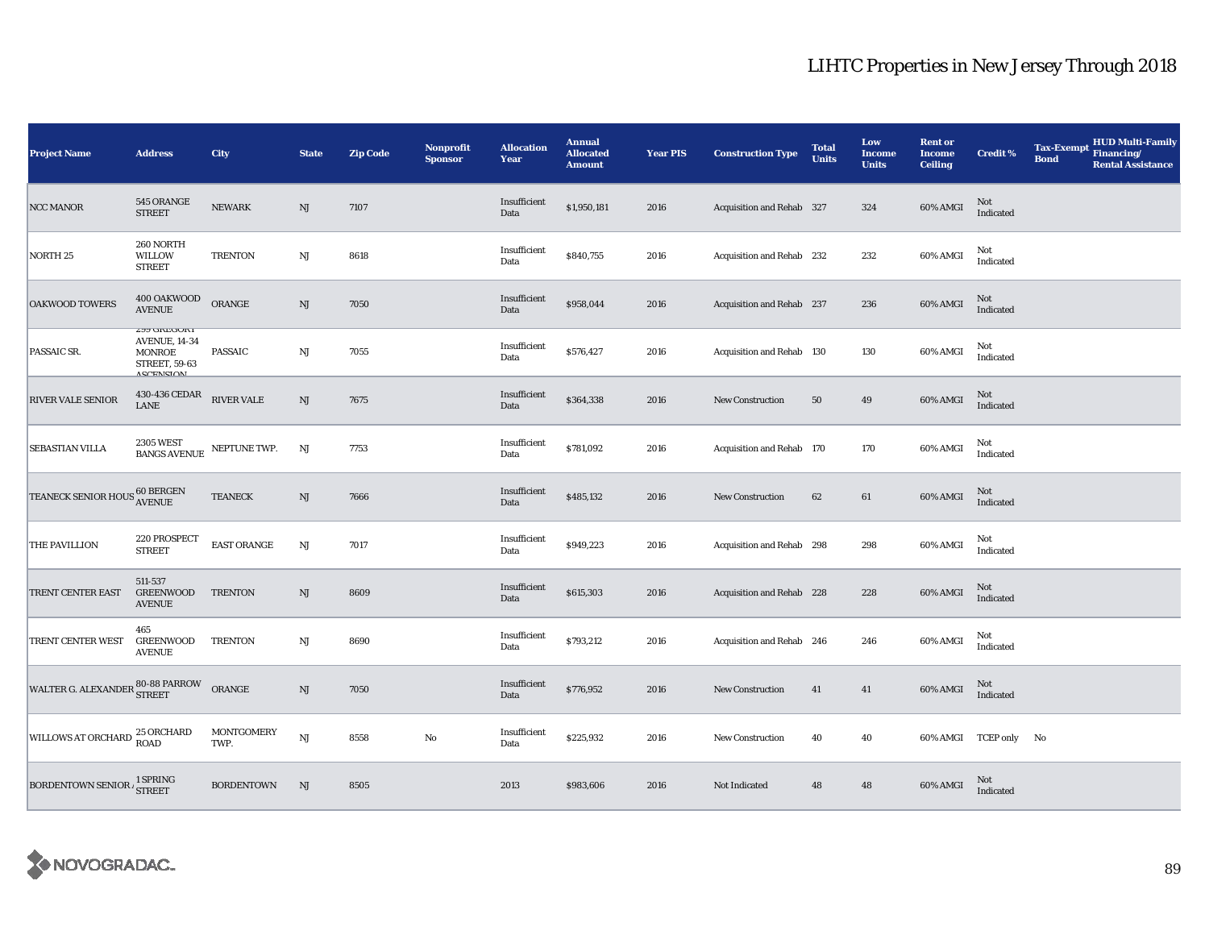| <b>Project Name</b>                  | <b>Address</b>                                                                                                  | City                      | <b>State</b>           | <b>Zip Code</b> | <b>Nonprofit</b><br><b>Sponsor</b> | <b>Allocation</b><br>Year | <b>Annual</b><br><b>Allocated</b><br><b>Amount</b> | <b>Year PIS</b> | <b>Construction Type</b>  | <b>Total</b><br><b>Units</b> | Low<br><b>Income</b><br><b>Units</b> | <b>Rent or</b><br><b>Income</b><br><b>Ceiling</b> | <b>Credit %</b>       | <b>Tax-Exempt</b><br><b>Bond</b> | <b>HUD Multi-Family</b><br>Financing/<br><b>Rental Assistance</b> |
|--------------------------------------|-----------------------------------------------------------------------------------------------------------------|---------------------------|------------------------|-----------------|------------------------------------|---------------------------|----------------------------------------------------|-----------------|---------------------------|------------------------------|--------------------------------------|---------------------------------------------------|-----------------------|----------------------------------|-------------------------------------------------------------------|
| NCC MANOR                            | 545 ORANGE<br><b>STREET</b>                                                                                     | <b>NEWARK</b>             | NJ                     | 7107            |                                    | Insufficient<br>Data      | \$1,950,181                                        | 2016            | Acquisition and Rehab 327 |                              | 324                                  | 60% AMGI                                          | Not<br>Indicated      |                                  |                                                                   |
| NORTH 25                             | 260 NORTH<br>WILLOW<br><b>STREET</b>                                                                            | <b>TRENTON</b>            | NJ                     | 8618            |                                    | Insufficient<br>Data      | \$840,755                                          | 2016            | Acquisition and Rehab 232 |                              | 232                                  | 60% AMGI                                          | Not<br>Indicated      |                                  |                                                                   |
| <b>OAKWOOD TOWERS</b>                | 400 OAKWOOD<br>AVENUE                                                                                           | ORANGE                    | NJ                     | 7050            |                                    | Insufficient<br>Data      | \$958,044                                          | 2016            | Acquisition and Rehab 237 |                              | 236                                  | 60% AMGI                                          | Not<br>Indicated      |                                  |                                                                   |
| PASSAIC SR.                          | <b><i>CAA PIKEPOKI</i></b><br><b>AVENUE, 14-34</b><br><b>MONROE</b><br><b>STREET, 59-63</b><br><b>ASCENSION</b> | <b>PASSAIC</b>            | $_{\rm NJ}$            | 7055            |                                    | Insufficient<br>Data      | \$576,427                                          | 2016            | Acquisition and Rehab 130 |                              | 130                                  | 60% AMGI                                          | Not<br>Indicated      |                                  |                                                                   |
| RIVER VALE SENIOR                    | 430-436 CEDAR<br>LANE                                                                                           | <b>RIVER VALE</b>         | $\mathbf{N}\mathbf{J}$ | 7675            |                                    | Insufficient<br>Data      | \$364,338                                          | 2016            | <b>New Construction</b>   | 50                           | 49                                   | 60% AMGI                                          | Not<br>Indicated      |                                  |                                                                   |
| SEBASTIAN VILLA                      | <b>2305 WEST</b><br>BANGS AVENUE NEPTUNE TWP.                                                                   |                           | NJ                     | 7753            |                                    | Insufficient<br>Data      | \$781,092                                          | 2016            | Acquisition and Rehab 170 |                              | 170                                  | 60% AMGI                                          | Not<br>Indicated      |                                  |                                                                   |
| <b>TEANECK SENIOR HOUS 60 BERGEN</b> |                                                                                                                 | <b>TEANECK</b>            | $\rm{NJ}$              | 7666            |                                    | Insufficient<br>Data      | \$485,132                                          | 2016            | New Construction          | 62                           | 61                                   | 60% AMGI                                          | Not<br>Indicated      |                                  |                                                                   |
| THE PAVILLION                        | 220 PROSPECT<br><b>STREET</b>                                                                                   | <b>EAST ORANGE</b>        | $_{\rm NJ}$            | 7017            |                                    | Insufficient<br>Data      | \$949,223                                          | 2016            | Acquisition and Rehab 298 |                              | 298                                  | 60% AMGI                                          | Not<br>Indicated      |                                  |                                                                   |
| TRENT CENTER EAST                    | 511-537<br><b>GREENWOOD</b><br><b>AVENUE</b>                                                                    | <b>TRENTON</b>            | NJ                     | 8609            |                                    | Insufficient<br>Data      | \$615,303                                          | 2016            | Acquisition and Rehab 228 |                              | 228                                  | 60% AMGI                                          | Not<br>Indicated      |                                  |                                                                   |
| TRENT CENTER WEST                    | 465<br><b>GREENWOOD</b><br><b>AVENUE</b>                                                                        | TRENTON                   | $_{\rm NJ}$            | 8690            |                                    | Insufficient<br>Data      | \$793,212                                          | 2016            | Acquisition and Rehab 246 |                              | 246                                  | 60% AMGI                                          | Not<br>Indicated      |                                  |                                                                   |
| WALTER G. ALEXANDER 80-88 PARROW     |                                                                                                                 | ORANGE                    | NJ                     | 7050            |                                    | Insufficient<br>Data      | \$776,952                                          | 2016            | New Construction          | 41                           | 41                                   | 60% AMGI                                          | Not<br>Indicated      |                                  |                                                                   |
| WILLOWS AT ORCHARD 25 ORCHARD        |                                                                                                                 | <b>MONTGOMERY</b><br>TWP. | NJ                     | 8558            | No                                 | Insufficient<br>Data      | \$225,932                                          | 2016            | <b>New Construction</b>   | 40                           | 40                                   |                                                   | 60% AMGI TCEP only No |                                  |                                                                   |
| BORDENTOWN SENIOR A STREET           |                                                                                                                 | <b>BORDENTOWN</b>         | NJ                     | 8505            |                                    | 2013                      | \$983,606                                          | 2016            | Not Indicated             | 48                           | 48                                   | 60% AMGI                                          | Not<br>Indicated      |                                  |                                                                   |

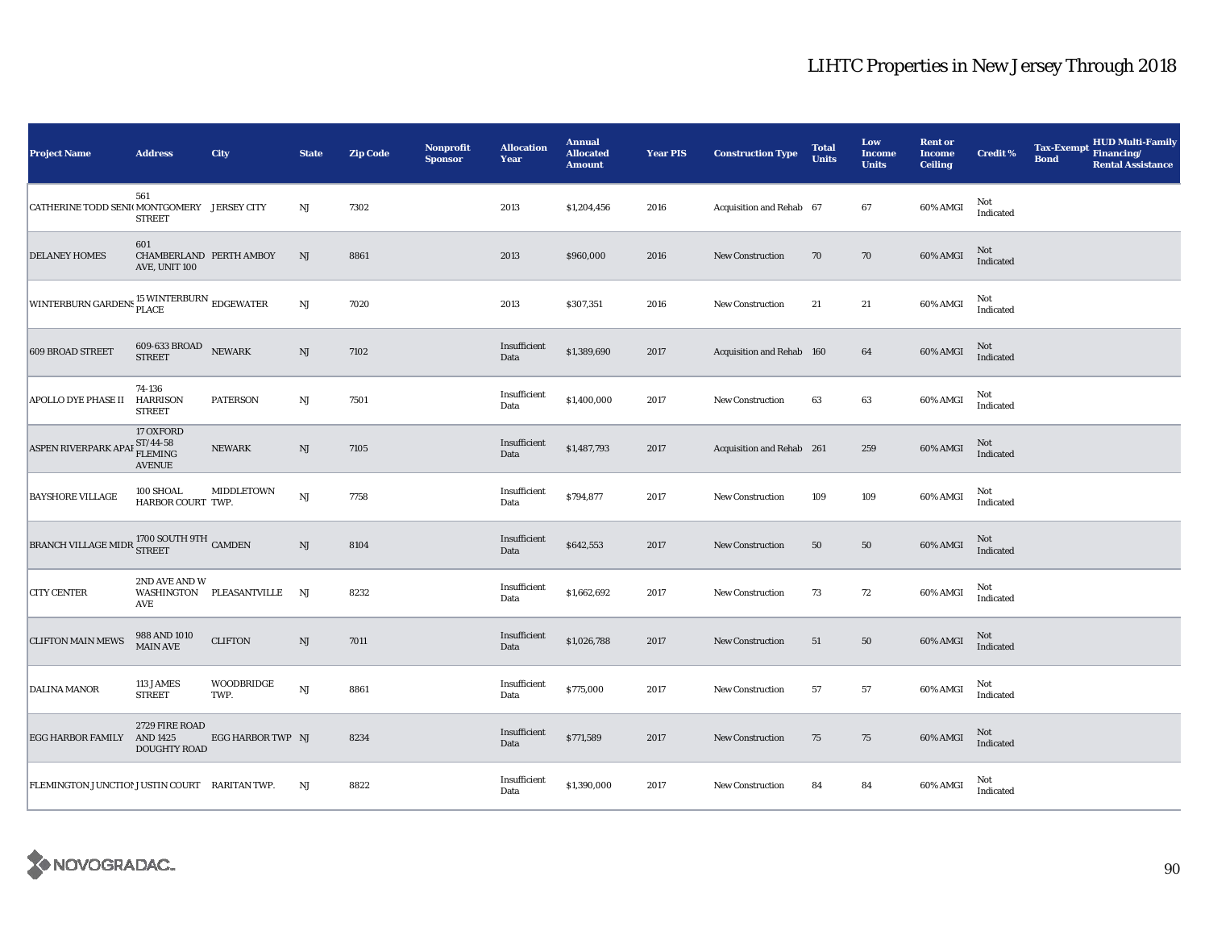| <b>Project Name</b>                                               | <b>Address</b>                                             | City                        | <b>State</b>           | <b>Zip Code</b> | <b>Nonprofit</b><br><b>Sponsor</b> | <b>Allocation</b><br>Year | <b>Annual</b><br><b>Allocated</b><br><b>Amount</b> | <b>Year PIS</b> | <b>Construction Type</b>  | <b>Total</b><br><b>Units</b> | Low<br><b>Income</b><br><b>Units</b> | <b>Rent or</b><br><b>Income</b><br><b>Ceiling</b> | <b>Credit %</b>  | <b>Tax-Exempt</b><br><b>Bond</b> | <b>HUD Multi-Family</b><br>Financing/<br><b>Rental Assistance</b> |
|-------------------------------------------------------------------|------------------------------------------------------------|-----------------------------|------------------------|-----------------|------------------------------------|---------------------------|----------------------------------------------------|-----------------|---------------------------|------------------------------|--------------------------------------|---------------------------------------------------|------------------|----------------------------------|-------------------------------------------------------------------|
| CATHERINE TODD SENI(MONTGOMERY JERSEY CITY                        | 561<br><b>STREET</b>                                       |                             | NJ                     | 7302            |                                    | 2013                      | \$1,204,456                                        | 2016            | Acquisition and Rehab 67  |                              | 67                                   | 60% AMGI                                          | Not<br>Indicated |                                  |                                                                   |
| <b>DELANEY HOMES</b>                                              | 601<br>CHAMBERLAND PERTH AMBOY<br>AVE, UNIT 100            |                             | NJ                     | 8861            |                                    | 2013                      | \$960,000                                          | 2016            | <b>New Construction</b>   | 70                           | 70                                   | 60% AMGI                                          | Not<br>Indicated |                                  |                                                                   |
| WINTERBURN GARDENS <sup>15</sup> WINTERBURN EDGEWATER             |                                                            |                             | $\mathbf{N}\mathbf{J}$ | 7020            |                                    | 2013                      | \$307,351                                          | 2016            | <b>New Construction</b>   | 21                           | $21\,$                               | 60% AMGI                                          | Not<br>Indicated |                                  |                                                                   |
| <b>609 BROAD STREET</b>                                           | 609-633 BROAD<br><b>STREET</b>                             | <b>NEWARK</b>               | $\mathrm{NJ}$          | 7102            |                                    | Insufficient<br>Data      | \$1,389,690                                        | 2017            | Acquisition and Rehab 160 |                              | 64                                   | 60% AMGI                                          | Not<br>Indicated |                                  |                                                                   |
| APOLLO DYE PHASE II                                               | 74-136<br><b>HARRISON</b><br><b>STREET</b>                 | <b>PATERSON</b>             | $\rm{NJ}$              | 7501            |                                    | Insufficient<br>Data      | \$1,400,000                                        | 2017            | New Construction          | 63                           | 63                                   | 60% AMGI                                          | Not<br>Indicated |                                  |                                                                   |
| ASPEN RIVERPARK APA                                               | 17 OXFORD<br>$ST/44-58$<br><b>FLEMING</b><br><b>AVENUE</b> | <b>NEWARK</b>               | NJ                     | 7105            |                                    | Insufficient<br>Data      | \$1,487,793                                        | 2017            | Acquisition and Rehab 261 |                              | 259                                  | 60% AMGI                                          | Not<br>Indicated |                                  |                                                                   |
| <b>BAYSHORE VILLAGE</b>                                           | 100 SHOAL<br>HARBOR COURT TWP.                             | MIDDLETOWN                  | $\mathbf{N}\mathbf{J}$ | 7758            |                                    | Insufficient<br>Data      | \$794,877                                          | 2017            | New Construction          | 109                          | 109                                  | 60% AMGI                                          | Not<br>Indicated |                                  |                                                                   |
| BRANCH VILLAGE MIDR $^{1700\, \rm{S}}$ SOUTH 9TH $\,$ CAMDEN $\,$ |                                                            |                             | NJ                     | 8104            |                                    | Insufficient<br>Data      | \$642,553                                          | 2017            | <b>New Construction</b>   | 50                           | 50                                   | 60% AMGI                                          | Not<br>Indicated |                                  |                                                                   |
| <b>CITY CENTER</b>                                                | 2ND AVE AND W<br>AVE                                       | WASHINGTON PLEASANTVILLE NJ |                        | 8232            |                                    | Insufficient<br>Data      | \$1,662,692                                        | 2017            | New Construction          | 73                           | 72                                   | 60% AMGI                                          | Not<br>Indicated |                                  |                                                                   |
| <b>CLIFTON MAIN MEWS</b>                                          | 988 AND 1010<br>MAIN AVE                                   | <b>CLIFTON</b>              | $\mathrm{NJ}$          | 7011            |                                    | Insufficient<br>Data      | \$1,026,788                                        | 2017            | <b>New Construction</b>   | 51                           | 50                                   | 60% AMGI                                          | Not<br>Indicated |                                  |                                                                   |
| DALINA MANOR                                                      | 113 JAMES<br><b>STREET</b>                                 | WOODBRIDGE<br>TWP.          | $\mathbf{N}\mathbf{J}$ | 8861            |                                    | Insufficient<br>Data      | \$775,000                                          | 2017            | New Construction          | 57                           | 57                                   | 60% AMGI                                          | Not<br>Indicated |                                  |                                                                   |
| EGG HARBOR FAMILY                                                 | 2729 FIRE ROAD<br>AND 1425<br><b>DOUGHTY ROAD</b>          | EGG HARBOR TWP NJ           |                        | 8234            |                                    | Insufficient<br>Data      | \$771,589                                          | 2017            | New Construction          | 75                           | 75                                   | 60% AMGI                                          | Not<br>Indicated |                                  |                                                                   |
| FLEMINGTON JUNCTION JUSTIN COURT RARITAN TWP.                     |                                                            |                             | NJ                     | 8822            |                                    | Insufficient<br>Data      | \$1,390,000                                        | 2017            | New Construction          | 84                           | 84                                   | 60% AMGI                                          | Not<br>Indicated |                                  |                                                                   |

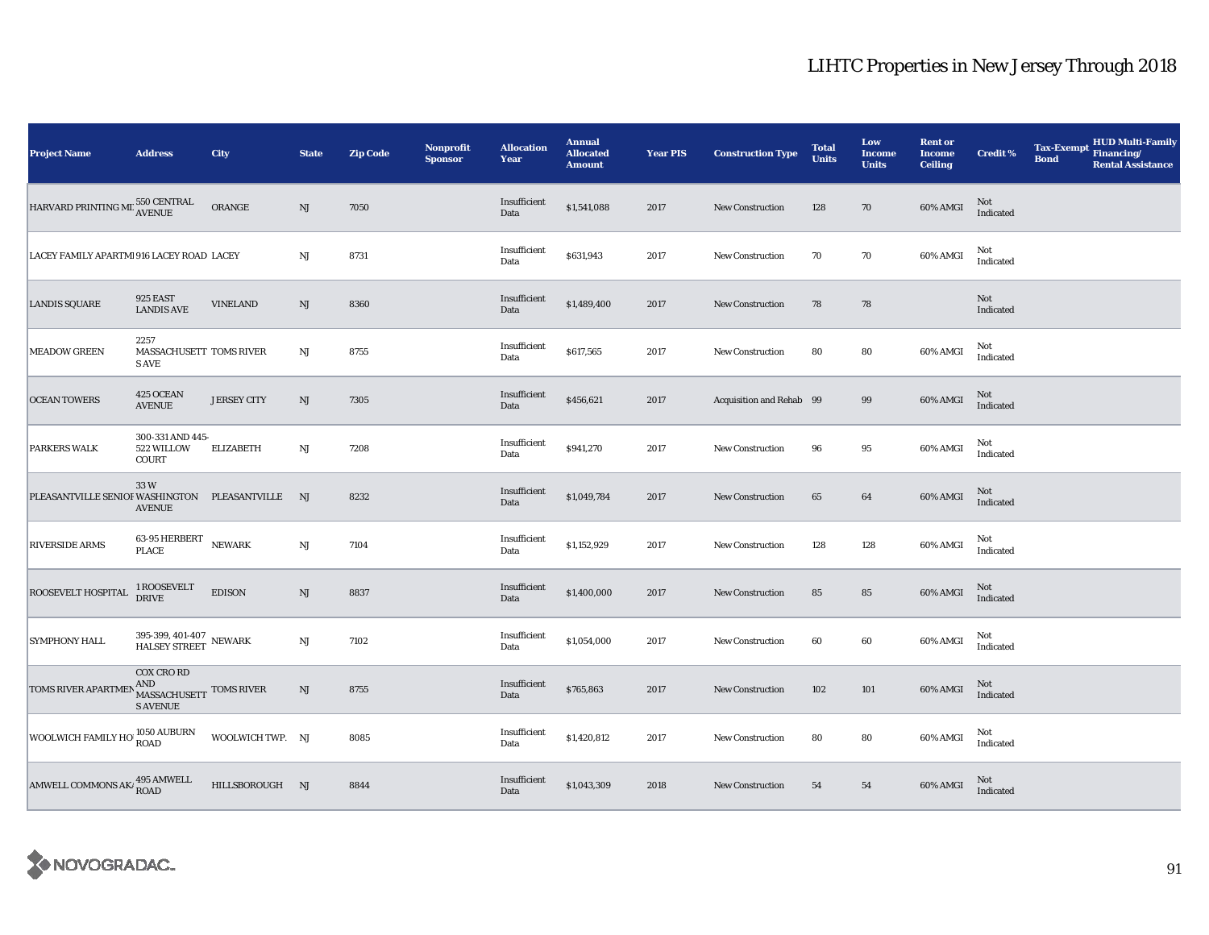| <b>Project Name</b>                                        | <b>Address</b>                                                         | City               | <b>State</b>           | <b>Zip Code</b> | Nonprofit<br><b>Sponsor</b> | <b>Allocation</b><br>Year | <b>Annual</b><br><b>Allocated</b><br><b>Amount</b> | <b>Year PIS</b> | <b>Construction Type</b> | <b>Total</b><br><b>Units</b> | Low<br><b>Income</b><br><b>Units</b> | <b>Rent or</b><br><b>Income</b><br><b>Ceiling</b> | <b>Credit %</b>  | <b>Tax-Exempt</b><br><b>Bond</b> | HUD Multi-Family<br>Financing/<br><b>Rental Assistance</b> |
|------------------------------------------------------------|------------------------------------------------------------------------|--------------------|------------------------|-----------------|-----------------------------|---------------------------|----------------------------------------------------|-----------------|--------------------------|------------------------------|--------------------------------------|---------------------------------------------------|------------------|----------------------------------|------------------------------------------------------------|
| HARVARD PRINTING MI. 550 CENTRAL                           |                                                                        | ORANGE             | NJ                     | 7050            |                             | Insufficient<br>Data      | \$1,541,088                                        | 2017            | <b>New Construction</b>  | 128                          | 70                                   | 60% AMGI                                          | Not<br>Indicated |                                  |                                                            |
| LACEY FAMILY APARTMI 916 LACEY ROAD LACEY                  |                                                                        |                    | $\mathbf{N}\mathbf{J}$ | 8731            |                             | Insufficient<br>Data      | \$631,943                                          | 2017            | <b>New Construction</b>  | 70                           | 70                                   | 60% AMGI                                          | Not<br>Indicated |                                  |                                                            |
| <b>LANDIS SQUARE</b>                                       | 925 EAST<br><b>LANDIS AVE</b>                                          | <b>VINELAND</b>    | NJ                     | 8360            |                             | Insufficient<br>Data      | \$1,489,400                                        | 2017            | <b>New Construction</b>  | 78                           | 78                                   |                                                   | Not<br>Indicated |                                  |                                                            |
| <b>MEADOW GREEN</b>                                        | 2257<br>MASSACHUSETT TOMS RIVER<br>S AVE                               |                    | NJ                     | 8755            |                             | Insufficient<br>Data      | \$617,565                                          | 2017            | New Construction         | 80                           | 80                                   | 60% AMGI                                          | Not<br>Indicated |                                  |                                                            |
| <b>OCEAN TOWERS</b>                                        | 425 OCEAN<br><b>AVENUE</b>                                             | <b>JERSEY CITY</b> | NJ                     | 7305            |                             | Insufficient<br>Data      | \$456,621                                          | 2017            | Acquisition and Rehab 99 |                              | 99                                   | 60% AMGI                                          | Not<br>Indicated |                                  |                                                            |
| <b>PARKERS WALK</b>                                        | 300-331 AND 445-<br>522 WILLOW<br>COURT                                | <b>ELIZABETH</b>   | NJ                     | 7208            |                             | Insufficient<br>Data      | \$941,270                                          | 2017            | <b>New Construction</b>  | 96                           | 95                                   | 60% AMGI                                          | Not<br>Indicated |                                  |                                                            |
| PLEASANTVILLE SENIOI WASHINGTON PLEASANTVILLE NJ           | 33W<br><b>AVENUE</b>                                                   |                    |                        | 8232            |                             | Insufficient<br>Data      | \$1,049,784                                        | 2017            | New Construction         | 65                           | 64                                   | 60% AMGI                                          | Not<br>Indicated |                                  |                                                            |
| <b>RIVERSIDE ARMS</b>                                      | 63-95 HERBERT NEWARK<br><b>PLACE</b>                                   |                    | $_{\rm NJ}$            | 7104            |                             | Insufficient<br>Data      | \$1,152,929                                        | 2017            | <b>New Construction</b>  | 128                          | 128                                  | 60% AMGI                                          | Not<br>Indicated |                                  |                                                            |
| ROOSEVELT HOSPITAL                                         | 1 ROOSEVELT<br>DRIVE                                                   | <b>EDISON</b>      | $\mathbf{N}\mathbf{J}$ | 8837            |                             | Insufficient<br>Data      | \$1,400,000                                        | 2017            | New Construction         | 85                           | 85                                   | 60% AMGI                                          | Not<br>Indicated |                                  |                                                            |
| <b>SYMPHONY HALL</b>                                       | $395\text{-}399,$ $401\text{-}407$ $$\text{NEWARK}\$$ HALSEY STREET    |                    | NJ                     | 7102            |                             | Insufficient<br>Data      | \$1,054,000                                        | 2017            | <b>New Construction</b>  | 60                           | 60                                   | 60% AMGI                                          | Not<br>Indicated |                                  |                                                            |
| TOMS RIVER APARTMEN                                        | <b>COX CRO RD</b><br>AND<br>MASSACHUSETT TOMS RIVER<br><b>S AVENUE</b> |                    | NJ                     | 8755            |                             | Insufficient<br>Data      | \$765,863                                          | 2017            | New Construction         | 102                          | 101                                  | 60% AMGI                                          | Not<br>Indicated |                                  |                                                            |
| WOOLWICH FAMILY HO 1050 AUBURN                             |                                                                        | WOOLWICH TWP. NJ   |                        | 8085            |                             | Insufficient<br>Data      | \$1,420,812                                        | 2017            | <b>New Construction</b>  | 80                           | 80                                   | 60% AMGI                                          | Not<br>Indicated |                                  |                                                            |
| AMWELL COMMONS AK $\mu_{\text{ROAD}}^{495 \text{ AMWELL}}$ |                                                                        | HILLSBOROUGH NJ    |                        | 8844            |                             | Insufficient<br>Data      | \$1,043,309                                        | 2018            | <b>New Construction</b>  | 54                           | 54                                   | 60% AMGI                                          | Not<br>Indicated |                                  |                                                            |

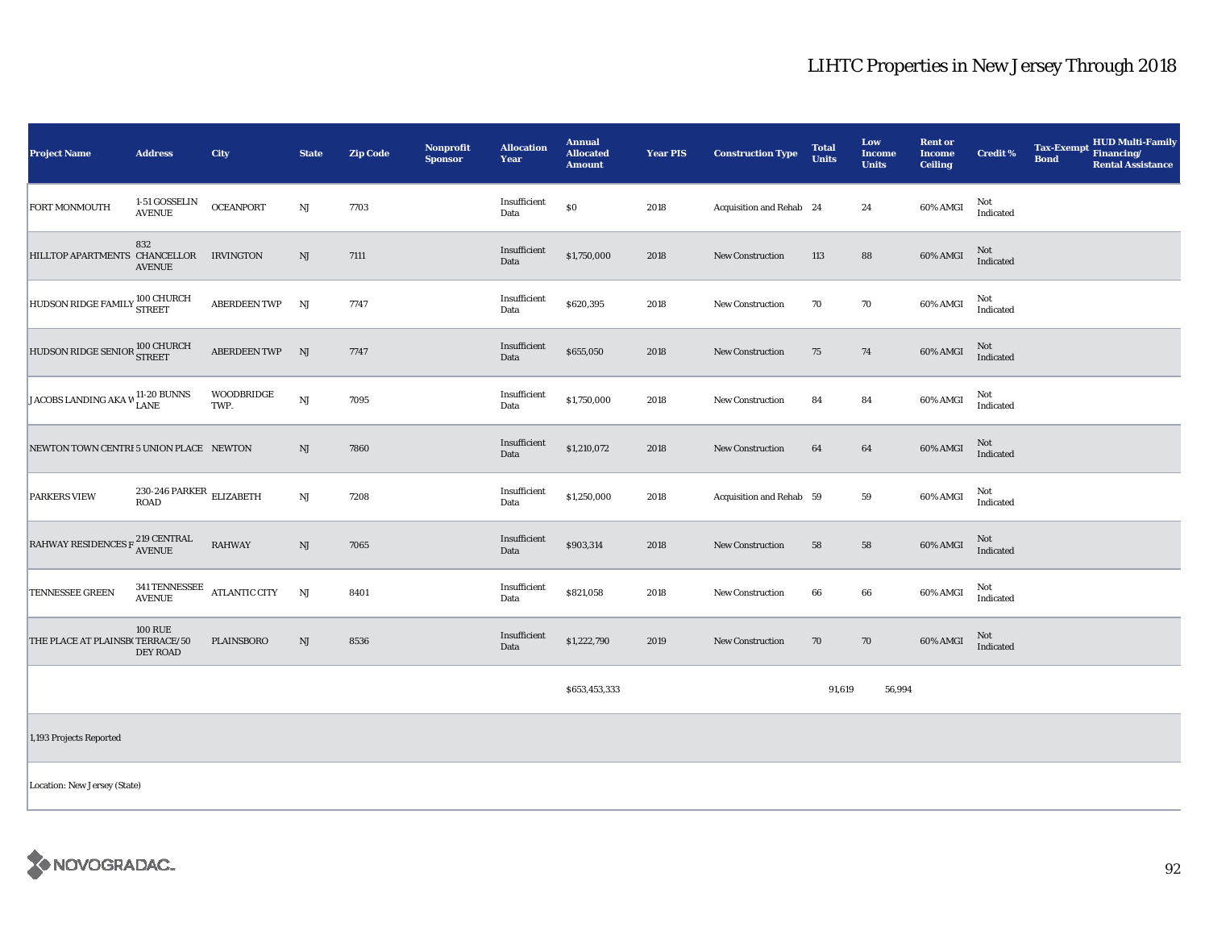| <b>Project Name</b>                                 | <b>Address</b>                                   | City                      | <b>State</b> | <b>Zip Code</b> | Nonprofit<br><b>Sponsor</b> | <b>Allocation</b><br>Year | <b>Annual</b><br><b>Allocated</b><br><b>Amount</b> | <b>Year PIS</b> | <b>Construction Type</b> | <b>Total</b><br><b>Units</b> | Low<br><b>Income</b><br><b>Units</b> | <b>Rent or</b><br><b>Income</b><br><b>Ceiling</b> | <b>Credit %</b>                   | <b>Tax-Exempt</b><br><b>Bond</b> | <b>HUD Multi-Family</b><br>Financing/<br><b>Rental Assistance</b> |
|-----------------------------------------------------|--------------------------------------------------|---------------------------|--------------|-----------------|-----------------------------|---------------------------|----------------------------------------------------|-----------------|--------------------------|------------------------------|--------------------------------------|---------------------------------------------------|-----------------------------------|----------------------------------|-------------------------------------------------------------------|
| <b>FORT MONMOUTH</b>                                | 1-51 GOSSELIN<br><b>AVENUE</b>                   | <b>OCEANPORT</b>          | $_{\rm NJ}$  | 7703            |                             | Insufficient<br>Data      | \$0                                                | 2018            | Acquisition and Rehab 24 |                              | 24                                   | 60% AMGI                                          | Not<br>Indicated                  |                                  |                                                                   |
| HILLTOP APARTMENTS CHANCELLOR IRVINGTON             | 832<br><b>AVENUE</b>                             |                           | NJ           | 7111            |                             | Insufficient<br>Data      | \$1,750,000                                        | 2018            | New Construction         | 113                          | 88                                   | 60% AMGI                                          | Not<br>Indicated                  |                                  |                                                                   |
| HUDSON RIDGE FAMILY 100 CHURCH                      |                                                  | <b>ABERDEEN TWP</b>       | NJ           | 7747            |                             | Insufficient<br>Data      | \$620,395                                          | 2018            | <b>New Construction</b>  | 70                           | 70                                   | 60% AMGI                                          | Not<br>Indicated                  |                                  |                                                                   |
| HUDSON RIDGE SENIOR 100 CHURCH                      |                                                  | ABERDEEN TWP NJ           |              | 7747            |                             | Insufficient<br>Data      | \$655,050                                          | 2018            | <b>New Construction</b>  | 75                           | 74                                   | 60% AMGI                                          | Not<br>Indicated                  |                                  |                                                                   |
| JACOBS LANDING AKA W 11-20 BUNNS                    |                                                  | <b>WOODBRIDGE</b><br>TWP. | NJ           | 7095            |                             | Insufficient<br>Data      | \$1,750,000                                        | 2018            | New Construction         | 84                           | 84                                   | 60% AMGI                                          | Not<br>Indicated                  |                                  |                                                                   |
| NEWTON TOWN CENTRI 5 UNION PLACE NEWTON             |                                                  |                           | NJ           | 7860            |                             | Insufficient<br>Data      | \$1,210,072                                        | 2018            | New Construction         | 64                           | 64                                   | 60% AMGI                                          | Not<br>Indicated                  |                                  |                                                                   |
| <b>PARKERS VIEW</b>                                 | 230-246 PARKER $_{\rm ELIZABETH}$<br><b>ROAD</b> |                           | NJ           | 7208            |                             | Insufficient<br>Data      | \$1,250,000                                        | 2018            | Acquisition and Rehab 59 |                              | 59                                   | 60% AMGI                                          | Not<br>$\operatorname{Indicated}$ |                                  |                                                                   |
| RAHWAY RESIDENCES F $^{219}_{\Lambda \text{VENUE}}$ |                                                  | <b>RAHWAY</b>             | NJ           | 7065            |                             | Insufficient<br>Data      | \$903,314                                          | 2018            | <b>New Construction</b>  | 58                           | 58                                   | 60% AMGI                                          | Not<br>Indicated                  |                                  |                                                                   |
| TENNESSEE GREEN                                     | $341\,\mbox{TENNESSEE}$<br><b>AVENUE</b>         | <b>ATLANTIC CITY</b>      | NJ           | 8401            |                             | Insufficient<br>Data      | \$821,058                                          | 2018            | <b>New Construction</b>  | 66                           | 66                                   | 60% AMGI                                          | Not<br>Indicated                  |                                  |                                                                   |
| THE PLACE AT PLAINSB(TERRACE/50                     | <b>100 RUE</b><br>DEY ROAD                       | PLAINSBORO                | NJ           | 8536            |                             | Insufficient<br>Data      | \$1,222,790                                        | 2019            | New Construction         | 70                           | 70                                   | 60% AMGI                                          | Not<br>Indicated                  |                                  |                                                                   |
|                                                     |                                                  |                           |              |                 |                             |                           | \$653,453,333                                      |                 |                          | 91,619                       | 56,994                               |                                                   |                                   |                                  |                                                                   |
| 1,193 Projects Reported                             |                                                  |                           |              |                 |                             |                           |                                                    |                 |                          |                              |                                      |                                                   |                                   |                                  |                                                                   |
| Location: New Jersey (State)                        |                                                  |                           |              |                 |                             |                           |                                                    |                 |                          |                              |                                      |                                                   |                                   |                                  |                                                                   |